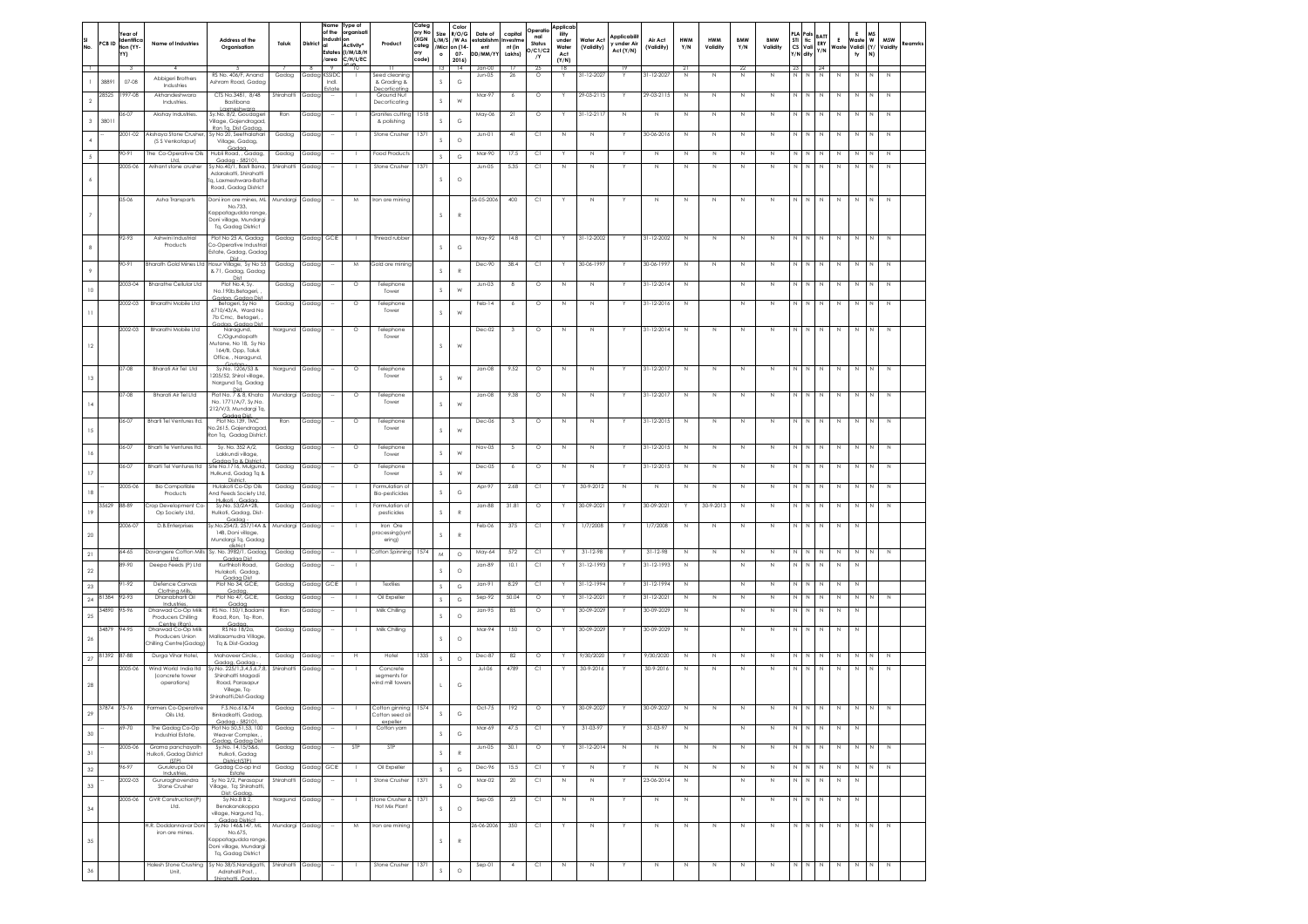| SI<br>No.<br>⊣     | PCB ID      | fear o<br>Identific<br>tion (YY<br>YY) | <b>Name of Industries</b>                              | Address of the<br>Organisation                                                 | Taluk               | <b>District</b> | Name<br>of the<br>Industi<br>Estates<br>area<br>-9 | Type of<br>oraanisat<br>Activity<br>(I/M/LB/H<br>C/H/L/EC<br>10 | Product                                    | Catea<br>ory No<br>(XGN<br>categ<br>ory<br>code) | Size<br>1/M/S<br>/Micr<br>$\circ$<br>13 | Color<br>R/O/G<br>/W As<br>on (14<br>$07 -$<br>2016)<br>$\overline{14}$ | Date of<br>establishr<br>ent<br>DD/MM/Y | capital<br>nvestm<br>nt (in<br>Lakhs)<br>17 | Operatio<br>nal<br>Status<br>O/C1/C2<br>/Y<br>25 | Applicab<br>ility<br>under<br>Water<br>Act<br>(Y/N)<br>$^{18}$ | Water Act<br>(Validity) | Applicabili<br>v under Air<br>Act (Y/N) | Air Act<br>(Validity)  | <b>HWM</b><br>Y/N<br>2 | <b>HWM</b><br>Validity | <b>BMW</b><br>Y/N          | <b>BMW</b><br>Validity | STI<br><b>CS</b><br>Y/N<br>23 | 'als<br>tic<br>Vali<br>dity | BATT<br>ERY<br>Y/N<br>$-24$ | E<br>Waste       | Ε<br>Waste<br>Validi (Y/<br>ty | <b>MS</b><br>$\boldsymbol{\mathsf{w}}$<br>N) | <b>MSW</b><br>Vaidity      | Reamrks |
|--------------------|-------------|----------------------------------------|--------------------------------------------------------|--------------------------------------------------------------------------------|---------------------|-----------------|----------------------------------------------------|-----------------------------------------------------------------|--------------------------------------------|--------------------------------------------------|-----------------------------------------|-------------------------------------------------------------------------|-----------------------------------------|---------------------------------------------|--------------------------------------------------|----------------------------------------------------------------|-------------------------|-----------------------------------------|------------------------|------------------------|------------------------|----------------------------|------------------------|-------------------------------|-----------------------------|-----------------------------|------------------|--------------------------------|----------------------------------------------|----------------------------|---------|
|                    | 3889        | $07 - 08$                              | Abbigeri Brothers<br>Industries                        | RS No. 406/F, Anand<br>Ashram Road, Gadag                                      | Gadag               | Gadag           | <b>SSIDC</b><br>Indi.                              |                                                                 | Seed cleanina<br>& Grading &               |                                                  | $\mathcal{S}$                           | $_{\rm G}$                                                              | Jan-00<br>Jun-05                        | $26\,$                                      | $\circ$                                          |                                                                | $1 - 12 - 202$          |                                         | 31-12-202              | N                      | $\mathbb N$            | $^{22}$<br>N               | N                      | N                             |                             | $\mathbb N$                 | N                | N                              | N                                            | $\mathbb N$                |         |
| $\,2\,$            | 28525       | 997-08                                 | Akhandeshwara                                          | CTS No.3481, 8/48                                                              | Shirahatti          | Gadac           |                                                    |                                                                 | ecorticatin<br>Ground Nut<br>Decorticating |                                                  | s                                       | W                                                                       | Mar-97                                  | 6                                           | $\circ$                                          |                                                                | 29-03-2115              |                                         | 29-03-2115             | N                      | N                      | $\mathbb{N}$               | $\mathbb{N}$           | N                             | N                           | N                           | N                | $\mathbb N$                    | N                                            | $\mathbb N$                |         |
|                    |             | 06-07                                  | Industries.<br>Akshay Industries                       | Bastibana<br>Laxmeshwara<br>Sy.No. 8/2, Goudager                               | Ron                 | Gadag           |                                                    |                                                                 | Granites cutting                           | 1518                                             |                                         |                                                                         | May-06                                  | 21                                          | $\circ$                                          |                                                                | $31 - 12 - 211$         | $\mathbb{N}$                            | N                      | $\mathbb{N}$           | $\mathbb{N}$           | N                          | $\mathbb{N}$           | N                             | $\,N\,$                     | N                           | N                | $\mathbb N$                    | N                                            | $\mathbb N$                |         |
| $\mathbf{3}$       | 38011       | 2001-02                                | Akshava Stone Crushe                                   | Village, Gajendragad,<br>Ron Ta, Dist Gadac<br>Sy No 20, Seethalahari          | Gadag               | Gadag           |                                                    |                                                                 | & polishing<br>Stone Crusher               | 137                                              | s                                       | $_{\rm G}$                                                              | Jun-01                                  | 41                                          | C1                                               | N                                                              | $\mathbb N$             | Y                                       | 30-06-2016             | $\mathbb N$            | $\mathbb N$            | N                          | N                      | N                             | N                           | N                           | $\mathbb N$      | $\mathbb N$                    | N                                            | $\mathbb N$                |         |
| $\sqrt{4}$         |             |                                        | (\$ \$ Venkatapur)                                     | Village, Gadag,<br>Gadaa                                                       |                     |                 |                                                    |                                                                 |                                            |                                                  | s                                       | $\circ$                                                                 |                                         |                                             |                                                  |                                                                |                         |                                         |                        |                        |                        |                            |                        |                               |                             |                             |                  |                                |                                              |                            |         |
| $\mathfrak s$      |             | 90-91<br>2005-06                       | The Co-Operative Oils<br>Ltd.<br>Arihant stone crusher | Hubli Road, , Gadag,<br>Gadaa - 582101<br>Sy.No.40/1, Basti Bana,              | Gadag<br>Shirahatti | Gadag<br>Gadag  | ÷,                                                 |                                                                 | Food Products<br>Stone Crusher             | 137                                              | s                                       | $_{\rm G}$                                                              | Mar-90<br>Jun-05                        | 17.5<br>5.35                                | Сl<br>C1                                         | Υ<br>N                                                         | $\,$ N<br>N             | Y<br>Y                                  | $\,N\,$<br>$\mathbb N$ | $\,$ N<br>$\mathbb N$  | $\,$ N<br>N            | N<br>N                     | $\,$ N<br>$\mathbb{N}$ | N<br>N                        | $\mathbb N$<br>N            |                             | N<br>N           | $\,$ N<br>$\mathbb N$          | N<br>N                                       | $\mathbb N$<br>$\mathbb N$ |         |
|                    |             |                                        |                                                        | Adarakatti, Shirahatti<br>lg, Laxmeshwara-Batti                                |                     |                 |                                                    |                                                                 |                                            |                                                  | s                                       | $\circ$                                                                 |                                         |                                             |                                                  |                                                                |                         |                                         |                        |                        |                        |                            |                        |                               |                             |                             |                  |                                |                                              |                            |         |
|                    |             | 05-06                                  | Asha Transports                                        | Road, Gadag District<br>Doni iron ore mines, ML Mundargi Gadag                 |                     |                 | $\sim$                                             | M                                                               | Iron ore mining                            |                                                  |                                         |                                                                         | 26-05-2006                              | 400                                         | C1                                               |                                                                | N                       |                                         | N                      | $\mathbb N$            | $\mathbb N$            | N                          | $\,$ N                 | $\mathbb{N}$                  | $\mathbb N$                 | N                           | $\mathbb N$      | N                              | N                                            | N                          |         |
|                    |             |                                        |                                                        | No.733,<br>Kappatagudda range                                                  |                     |                 |                                                    |                                                                 |                                            |                                                  | s                                       | R                                                                       |                                         |                                             |                                                  |                                                                |                         |                                         |                        |                        |                        |                            |                        |                               |                             |                             |                  |                                |                                              |                            |         |
|                    |             |                                        |                                                        | Doni village, Mundargi<br>Tq, Gadag District                                   |                     |                 |                                                    |                                                                 |                                            |                                                  |                                         |                                                                         |                                         |                                             |                                                  |                                                                |                         |                                         |                        |                        |                        |                            |                        |                               |                             |                             |                  |                                |                                              |                            |         |
| 8                  |             | 92-93                                  | Ashwini Industria<br>Products                          | Plot No 25 A, Gadag<br>Co-Operative Industria                                  | Gadag               | Gadag GCIE      |                                                    |                                                                 | Thread rubber                              |                                                  | s                                       | G                                                                       | May-92                                  | 14.8                                        | Сl                                               |                                                                | 31-12-2002              |                                         | 31-12-2002             | $\mathbb N$            | $\mathbb N$            | $\mathbb N$                | N                      | N                             | $\mathbb N$                 | Ν                           | $\mathbb N$      | $\mathbb N$                    | N                                            | N                          |         |
|                    |             | $90-91$                                |                                                        | Estate, Gadag, Gadag<br>Dist<br>Bharath Gold Mines Ltd Hosur Village, Sy No 55 | Gadag               | Gadap           | ÷                                                  | M                                                               | Gold ore mining                            |                                                  |                                         |                                                                         | Dec-90                                  | 38.4                                        | C1                                               |                                                                | 30-06-1997              |                                         | 30-06-1997             | N                      | N                      | $\mathbb N$                | $\overline{N}$         | N                             | N                           | N                           | $\mathbb N$      | $\mathbb N$                    | N                                            | N                          |         |
| $\overline{9}$     |             |                                        |                                                        | & 71, Gadag, Gadag<br>Dist                                                     |                     |                 |                                                    |                                                                 |                                            |                                                  | $\mathsf S$                             | $\mathbb{R}$                                                            |                                         |                                             |                                                  |                                                                |                         |                                         |                        |                        |                        |                            |                        |                               |                             |                             |                  |                                |                                              |                            |         |
| $10$               |             | 2003-04                                | <b>Bharathe Cellular Ltd</b>                           | Plot No.4, Sy.<br>No.190b.Betageri.<br>Gadaa, Gadaa Dis                        | Gadag               | Gadag           |                                                    | $\circ$                                                         | Telephone<br>Tower                         |                                                  | s                                       | W                                                                       | $Jun-03$                                | 8                                           | $\circ$                                          | $\mathbb N$                                                    | N                       |                                         | $31 - 12 - 2014$       | $\mathbb N$            |                        | N                          | $\mathbb N$            | N                             | N                           | N                           | $\mathbb N$      | $\,$ N                         | N                                            | $\mathbb N$                |         |
| $\overline{11}$    |             | 2002-03                                | Bharathi Mobile Ltd                                    | Betageri, Sy No<br>6710/43/A, Ward No                                          | Gadag               | Gadag           |                                                    | $\circ$                                                         | Telephone<br>Tower                         |                                                  | s                                       | W                                                                       | Feb-14                                  | 6                                           | $\circ$                                          | N                                                              | N                       |                                         | 31-12-2016             | $\mathbb N$            |                        | N                          | N                      | N                             | $\mathbb N$                 | $\mathbb N$                 | $\mathbb N$      | $\mathbb N$                    | N                                            | N                          |         |
|                    |             | 2002-03                                | Bharathi Mobile Ltd                                    | 7b Cmc, Betageri,<br>dag, Gadag Dis<br>Naragund,                               | Nargund             | Gadag           |                                                    | $\circ$                                                         | Telephone                                  |                                                  |                                         |                                                                         | Dec-02                                  | $\overline{\mathbf{3}}$                     | $\circ$                                          | $\mathbb N$                                                    | N                       |                                         | 31-12-2014             | $\mathbb N$            | $\mathbb N$            | N                          | N                      | N                             | $\mathbb{N}$                | N                           | $\mathbb N$      | $\,N\,$                        | N                                            | $\mathbb N$                |         |
| 12                 |             |                                        |                                                        | C/Ogundopath<br>Mutane, No 18. Sv No                                           |                     |                 |                                                    |                                                                 | Tower                                      |                                                  | s                                       | W                                                                       |                                         |                                             |                                                  |                                                                |                         |                                         |                        |                        |                        |                            |                        |                               |                             |                             |                  |                                |                                              |                            |         |
|                    |             |                                        |                                                        | 164/B, Opp, Taluk<br>Office, , Naragund,                                       |                     |                 |                                                    |                                                                 |                                            |                                                  |                                         |                                                                         |                                         |                                             |                                                  |                                                                |                         |                                         |                        |                        |                        |                            |                        |                               |                             |                             |                  |                                |                                              |                            |         |
| 13                 |             | 07-08                                  | Bharati Air Tel Ltd                                    | Sy.No. 1206/53 &<br>1205/52, Shirol village                                    | Nargund             | Gadag           |                                                    | $\circ$                                                         | Telephone<br>Tower                         |                                                  | s                                       | W                                                                       | Jan-08                                  | 9.52                                        | $\circ$                                          | $\mathbb N$                                                    | N                       |                                         | 31-12-2017             | $\mathbb N$            | $\mathbb N$            | N                          | N                      | N                             | N                           | Ν                           | $\mathbb N$      | $\mathbb N$                    | N                                            | $\mathbb N$                |         |
|                    |             | 07-08                                  | Bharati Air Tel Ltd                                    | Nargund Tq, Gadag<br>Plot No. 7 & 8, Khata                                     | Mundargi            | Gadap           |                                                    | $\circ$                                                         | Telephone                                  |                                                  |                                         |                                                                         | Jan-08                                  | 9.38                                        | $\circ$                                          | N                                                              | N                       |                                         | 31-12-2017             | $\mathbb N$            | $\mathbb N$            | N                          | N                      | N                             | N                           | N                           | $\mathbb N$      | $\mathbb N$                    | N                                            | $\mathbb N$                |         |
| $\mid\!$ 4         |             |                                        |                                                        | No. 1771/A/7, Sy.No.<br>212/V/3, Mundargi Tq,<br>Gadaa Dis                     |                     |                 |                                                    |                                                                 | Tower                                      |                                                  | s                                       | W                                                                       |                                         |                                             |                                                  |                                                                |                         |                                         |                        |                        |                        |                            |                        |                               |                             |                             |                  |                                |                                              |                            |         |
| 15                 |             | 06-07                                  | Bharti Tel Ventures Itd.                               | Plot No.139, TMC<br>No.2615, Gajendragad                                       | Ron                 | Gadag           |                                                    | $\circ$                                                         | Telephone<br>Tower                         |                                                  | s                                       | W                                                                       | Dec-06                                  | $\overline{\mathbf{3}}$                     | $\circ$                                          | N                                                              | $\mathbb{N}$            |                                         | 31-12-2015             | N                      | N                      | N                          | $\mathbb N$            | N                             | N                           |                             | N                | N                              |                                              |                            |         |
|                    |             | 06-07                                  | Bharti Te Ventures Itd.                                | Ron Tg, Gadag District<br>Sy. No. 352 A/2,                                     | Gadag               | Gadap           |                                                    | $\circ$                                                         | Telephone                                  |                                                  |                                         |                                                                         | Nov-05                                  | -5                                          | $\circ$                                          | $\mathbb N$                                                    | N                       |                                         | 31-12-2015             | $\mathbb N$            | $\mathbb N$            | N                          | $\mathbb N$            | N                             | N                           |                             | N                | $\mathbb N$                    | N                                            | $\mathbb N$                |         |
| 16                 |             | 06-07                                  | <b>Bharti Tel Ventures Itd</b>                         | Lakkundi village,<br>Gadaa Ta & Distric<br>Site No.1716, Mulgund,              | Gadag               | Gadag           |                                                    | $\circ$                                                         | Tower<br>Telephone                         |                                                  | s                                       | W                                                                       | Dec-05                                  |                                             | $\circ$                                          | N                                                              | N                       |                                         | 31-12-2015             | N                      | $\mathbb N$            | N                          | N                      | N                             |                             |                             | N                | $\mathbb N$                    |                                              | N                          |         |
| 17                 |             |                                        |                                                        | Hulkund, Gadag Tq &<br>District.                                               |                     |                 |                                                    |                                                                 | Tower                                      |                                                  | s                                       | W                                                                       |                                         | 6                                           |                                                  |                                                                |                         |                                         |                        |                        |                        |                            |                        |                               |                             |                             |                  |                                |                                              |                            |         |
| $18\,$             |             | 2005-06                                | <b>Bio Compatible</b><br>Products                      | Hulakoti Co-Op Oils<br>And Feeds Society Ltd,<br>Hulkoti, Gadaa                | Gadag               | Gadac           |                                                    |                                                                 | Formulation of<br>Bio-pesticides           |                                                  | $\mathsf S$                             | $_{\rm G}$                                                              | Apr-97                                  | 2.68                                        | C1                                               |                                                                | 30-9-2012               | N                                       | N                      | N                      | N                      | N                          | $\mathbb{N}$           | N                             | N                           | N                           | N                | $\mathbb N$                    | N                                            | $\mathbb N$                |         |
| 19                 | 35629       | 88-89                                  | Crop Development Co<br>Op Society Ltd,                 | Sy.No. 53/2A+2B,<br>Hulkoti, Gadag, Dist-<br>Godor                             | Gadag               | Gadag           |                                                    |                                                                 | Formulation of<br>pesticides               |                                                  | $\mathsf S$                             | $\overline{R}$                                                          | Jan-88                                  | 31.81                                       | $\circ$                                          |                                                                | 30-09-2021              |                                         | 30-09-2021             |                        | 30-9-2013              | $\mathbb N$                | N                      | N                             | $\mathbb N$                 | $\mathbb N$                 | $\mathbb N$      | $\mathbb N$                    | $\mathbb N$                                  | $\mathbb N$                |         |
| $20\,$             |             | 2006-07                                | D.B.Enterprises                                        | Sy.No.254/3, 257/14A &<br>14B, Doni village,                                   | Mundargi Gadag      |                 |                                                    |                                                                 | Iron Ore<br>processing (syn                |                                                  | s                                       | R                                                                       | Feb-06                                  | 375                                         | C1                                               |                                                                | 1/7/2008                |                                         | 1/7/2008               | $\mathbb N$            | N                      | $\mathbb N$                | N                      | $\mathbb N$                   | $\mathbb N$                 | N                           | N                | $\mathbb N$                    |                                              |                            |         |
|                    |             | 64-65                                  |                                                        | Mundargi Tq, Gadag<br>Davangere Cotton Mills Sy. No. 3982/1, Gadag,            | Gadag               | Gadap           |                                                    | л.                                                              | ering)<br>Cotton Spinning 1574             |                                                  |                                         |                                                                         | May-64                                  | 572                                         | СI                                               |                                                                | $31 - 12 - 98$          |                                         | $31 - 12 - 98$         | N                      | N                      | N                          | N                      | N                             | N                           |                             | N                | $\mathbb N$                    |                                              |                            |         |
| $21\,$             |             | 89-90                                  | Ltd.<br>Deepa Feeds (P) Ltd                            | Gadaa Dist<br>Kurthkoti Road,                                                  | Gadag               | Gadag           |                                                    |                                                                 |                                            |                                                  | M                                       | $\circ$                                                                 | Jan-89                                  | 10.1                                        | C1                                               |                                                                | 31-12-1993              |                                         | 31-12-1993             | $\mathbb N$            |                        | $\mathbb N$                | N                      | N                             | $\mathbb N$                 | N                           | $\mathbb N$      | N                              |                                              |                            |         |
| $22\,$             |             | 91-92                                  | Defence Canvas                                         | Hulakoti, Gadag,<br>Gadaa Dist<br>Plot No 34, GCIE.                            | Gadag               | Gadac           | GCIE                                               | л.                                                              | Textiles                                   |                                                  | s                                       | $\circ$                                                                 | Jan-91                                  | 8.29                                        | СI                                               |                                                                | 31-12-1994              |                                         | 31-12-1994             | $\mathbb N$            |                        | $\mathbb N$                | N                      | N                             | N                           | N                           | N                | N                              |                                              |                            |         |
| $23\,$<br>$\bf 24$ | 1384        | 92-93                                  | Clothing Mills<br>Dhanabharti Oil                      | Gadaa<br>Plot No 47, GCIE,                                                     | Gadag               | Gadag           |                                                    |                                                                 | Oil Expeller                               |                                                  | s<br>$\mathsf S$                        | $_{\rm G}$<br>$_{\rm G}$                                                | $Sep-92$                                | 50.04                                       | $\circ$                                          |                                                                | 31-12-2021              |                                         | 31-12-2021             | N                      | N                      | $\mathbb N$                | N                      | N                             | N                           |                             | N                | $\mathbb N$                    |                                              | Ν                          |         |
| 25                 | 34890       | 95-96                                  | Industries<br>Dharwad Co-Op Milk<br>Producers Chilling | Gadag<br>RS No. 150/1, Badami<br>Road, Ron, Tq-Ron,                            | Ron                 | Gadag           |                                                    |                                                                 | Milk Chilling                              |                                                  | s                                       | $\circ$                                                                 | Jan-95                                  | 85                                          | $\circ$                                          |                                                                | 30-09-2029              |                                         | 30-09-2029             | N                      |                        | $\mathbb N$                | $\mathbb N$            | N                             | $\mathbb{N}$                | N                           | $\mathbb N$      | $\mathbb N$                    |                                              |                            |         |
|                    | 34879       | 94-95                                  | Centre (Ron)<br>Dharwad Co-Op Milk<br>Producers Union  | Gadaa<br>RS No 18/2a,<br>Mallasamudra Village                                  | Gadag               | Gadag           |                                                    |                                                                 | Mik Chiling                                |                                                  |                                         |                                                                         | Mar-94                                  | 150                                         | $\circ$                                          |                                                                | 30-09-2029              |                                         | 30-09-2029             | $\mathbb N$            |                        | $\mathbb N$                | N                      | N                             | $\mathbb N$                 | N                           | $\mathbb N$      | $\mathbb N$                    |                                              |                            |         |
| $26\,$             |             |                                        | hilling Centre (Gadag)                                 | Tq & Dist-Gadag                                                                |                     |                 |                                                    |                                                                 |                                            |                                                  |                                         | $\circ$                                                                 |                                         |                                             |                                                  |                                                                |                         |                                         |                        |                        |                        |                            |                        |                               |                             |                             |                  |                                |                                              |                            |         |
| 27                 | 81392       | 87-88<br>2005-06                       | Duraa Vihar Hotel.<br>Wind World India Itd             | Mahaveer Circle,<br>Gadaa, Gadaa<br>Sy.No. 225/1,3,4,5,6,7,8,                  | Gadag<br>Shirahatti | Gada<br>Gadag   |                                                    | н                                                               | Hotel<br>Concrete                          | 1335                                             | $\mathsf S$                             | $\circ$                                                                 | Dec-87<br>$Jul-06$                      | 82<br>4789                                  | $\circ$<br>C1                                    | Y                                                              | 9/30/2020<br>30-9-2016  |                                         | 9/30/2020<br>30-9-2016 | N<br>$\mathbb N$       | N<br>N                 | $\mathbb N$<br>$\mathbb N$ | N<br>$\mathbb N$       | N<br>N                        | $\mathbb N$                 | $\mathbb N$                 | N<br>$\mathbb N$ | N<br>$\mathbb N$               | $\mathbb N$                                  | Ν<br>$\mathbb N$           |         |
| 28                 |             |                                        | (concrete tower<br>operations)                         | Shirahatti Magadi<br>Road, Parasapur                                           |                     |                 |                                                    |                                                                 | segments for<br>wind mill towers           |                                                  | $\mathbf{1}$                            | $_{\rm G}$                                                              |                                         |                                             |                                                  |                                                                |                         |                                         |                        |                        |                        |                            |                        |                               |                             |                             |                  |                                |                                              |                            |         |
|                    |             |                                        |                                                        | Vilege, Tq-<br>Shirahatti, Dist-Gadag                                          |                     |                 |                                                    |                                                                 |                                            |                                                  |                                         |                                                                         |                                         |                                             |                                                  |                                                                |                         |                                         |                        |                        |                        |                            |                        |                               |                             |                             |                  |                                |                                              |                            |         |
| 29                 | 37874 75-76 |                                        | Farmers Co-Operative<br>Oils Ltd,                      | F.S.No.61&74<br>Binkadkatti, Gadag                                             | Gadag               | Gadag           |                                                    |                                                                 | Cotton ginning 1574<br>Cotton seed oil     |                                                  |                                         | G                                                                       | Oct-75                                  | 192                                         | $\circ$                                          |                                                                | 30-09-2027              |                                         | 30-09-2027             | N                      | $\mathbb N$            | $\,$ N                     | $\,$ N                 | N                             | $\,$ N                      | N                           | $\,$ N           | $\,$ N                         | N                                            | $\,$ N                     |         |
| $_{30}$            |             | 69-70                                  | The Gadag Co-Op<br>Industrial Estate,                  | Godoo - 582101<br>Plot No 50,51,53, 100<br>Weaver Complex,                     | Gadag               | Gadag           |                                                    |                                                                 | expelle<br>Cotton yarn                     |                                                  | s                                       | $_{\rm G}$                                                              | Mar-69                                  | 47.5                                        | C1                                               |                                                                | 31-03-97                |                                         | 31-03-97               | $\mathbb N$            |                        | $\mathbb N$                | N                      | N                             | N                           |                             | $\mathbb N$      | N                              |                                              |                            |         |
| $31\,$             |             | 2005-06                                | Grama panchavath                                       | Gadaa, Gadaa Dist<br>Sv.No. 14.15/5&6.                                         | Gadaa               | Gadag           |                                                    | STP                                                             | STP                                        |                                                  | $\mathsf S$                             | $\overline{R}$                                                          | $Jun-05$                                | 30.1                                        | $\circ$                                          |                                                                | 31-12-2014              | N                                       | N                      | N                      | N                      | N                          | N                      | N                             | N                           | N                           | N                | N                              | N                                            | N                          |         |
| $32\,$             |             | 96-97                                  | Hulkoti, Gadag District<br>(STP)<br>Gurukrupa Oil      | Hulkoti, Gadag<br>District(STP)<br>Gadag Co-op Ind                             | Gadag               | Gadag           | GCIE                                               | $\overline{1}$                                                  | Oil Expeller                               |                                                  | $\mathsf S$                             | $_{\rm G}$                                                              | Dec-96                                  | 15.5                                        | Сl                                               | Y                                                              | $\mathbb N$             | Y                                       | $\,N\,$                | $\mathbb N$            | $\mathbb N$            | ${\sf N}$                  | $\mathbb N$            | N                             | $\,$ N                      | $\mathbb N$                 | $\mathbb N$      | $\mathbb N$                    | N                                            | $\mathbb N$                |         |
| $33\,$             |             | 2002-03                                | Industries,<br>Gururaghavendra<br>Stone Crusher        | Estate<br>Sv No 2/2, Perasapur<br>Vilage, Tq: Shirahatti                       | Shirahatti          | Gadaa           |                                                    |                                                                 | Stone Crusher                              | 1371                                             | s                                       | $\circ$                                                                 | Mar-02                                  | 20                                          | C1                                               | N                                                              | N                       | Y                                       | 23-06-2014             | N                      |                        | N                          | N                      | N                             | $\mathbb{N}$                | N                           | N                | N                              |                                              |                            |         |
|                    |             | 2005-06                                | GVR Construction(P)                                    | Dist: Gadaa.<br>Sy.No.8 B 2,                                                   | Nargund             | Gadag           |                                                    |                                                                 | itone Crusher &                            | 137                                              |                                         |                                                                         | $Sep-05$                                | 23                                          | CI.                                              | $\mathbb N$                                                    | $\mathbb N$             |                                         | N                      | $\mathbb N$            |                        | N                          | $\mathbb N$            | $\mathbb N$                   | N                           | N                           | N                | $\mathbb N$                    |                                              |                            |         |
| 34                 |             |                                        | Ltd.                                                   | Benakanakoppa<br>village, Nargund Tq.,<br>Godoo District                       |                     |                 |                                                    |                                                                 | Hot Mix Plant                              |                                                  | s                                       | $\circ$                                                                 |                                         |                                             |                                                  |                                                                |                         |                                         |                        |                        |                        |                            |                        |                               |                             |                             |                  |                                |                                              |                            |         |
|                    |             |                                        | H.R. Doddannavar Dor<br>iron ore mines.                | Sy.No 146&147, ML<br>No.675,                                                   | Mundargi Gadag      |                 |                                                    | M                                                               | Iron ore mining                            |                                                  |                                         |                                                                         | 26-06-2006                              | 350                                         | Сl                                               |                                                                | N                       |                                         | $\mathbb N$            | $\mathbb N$            | $\mathbb N$            | N                          | N                      |                               | NN                          | $\mathbb N$                 | $\,$ N           | $\mathbb N$                    | N                                            | $\,$ N                     |         |
| $35\,$             |             |                                        |                                                        | Kappatagudda range<br>Doni village, Mundargi                                   |                     |                 |                                                    |                                                                 |                                            |                                                  | s                                       | R                                                                       |                                         |                                             |                                                  |                                                                |                         |                                         |                        |                        |                        |                            |                        |                               |                             |                             |                  |                                |                                              |                            |         |
|                    |             |                                        | <b>Halesh Stone Crushing</b>                           | Tq, Gadag District<br>Sy No 38/5, Nandigatti,                                  | Shirahatti          | Gadag           | $\overline{\phantom{a}}$                           |                                                                 | Stone Crusher                              | 1371                                             |                                         |                                                                         | $Sep-01$                                | $\sim$                                      | CI.                                              | $\,$ N                                                         | N                       |                                         | $\mathbb N$            | $\mathbb N$            | $\mathbb N$            | N                          | $\mathbb N$            | N                             | $N$ $N$                     |                             | Z                | $\mathbb N$                    | N                                            | $\,$ N                     |         |
| $36\,$             |             |                                        | Unit,                                                  | Adrahalli Post, ,<br>Shirahatti Gadar                                          |                     |                 |                                                    |                                                                 |                                            |                                                  | s                                       | $\circ$                                                                 |                                         |                                             |                                                  |                                                                |                         |                                         |                        |                        |                        |                            |                        |                               |                             |                             |                  |                                |                                              |                            |         |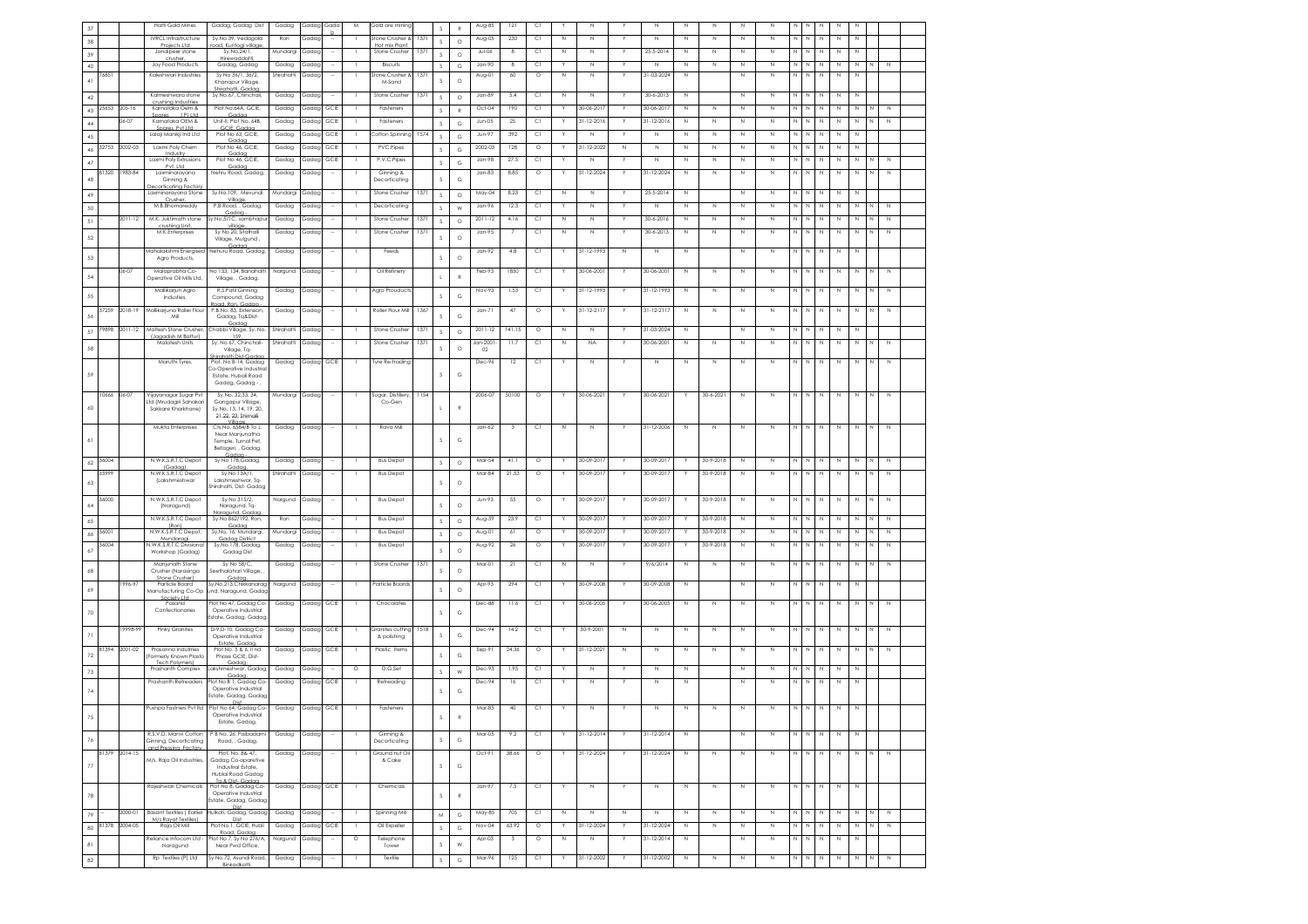|                 |       |               | <b>Hatti Gold Mines</b>                                | Gadag, Gadag Dist                                       | Gadag      | Gadagl     | Gada | M       | Gold ore mining                  |      | S                | $\mathbb{R}$      | Aug-85        | 121            | C1            |             |                |             | Ν                |              | N           |             | N           |              | N<br>Ν                                          | N           | N           |             |             |  |
|-----------------|-------|---------------|--------------------------------------------------------|---------------------------------------------------------|------------|------------|------|---------|----------------------------------|------|------------------|-------------------|---------------|----------------|---------------|-------------|----------------|-------------|------------------|--------------|-------------|-------------|-------------|--------------|-------------------------------------------------|-------------|-------------|-------------|-------------|--|
| 38              |       |               | <b>IVRCL Infrastructure</b><br>Projects I td.          | Sy.No.39, Vedagola<br>ad. Kuntoai villaa                | Ron        | Gadag      |      |         | Stone Crusher &<br>Hot mix Plant | 1371 | s                | $\circ$           | Aug-05        | 230            | C1            | N           | N              |             | $\mathbb N$      | N            | $\mathbb N$ | Ν           | N           | N            | N<br>$\mathbb N$                                | N           | $\mathbb N$ |             |             |  |
| 39              |       |               | Jandipeer stone<br>crusher,                            | Sy.No.24/1,<br>Hirewaddatt                              | Mundargi   | Gadac      |      |         | Stone Crushe                     | 1371 | $\mathcal{S}$    | $\circ$           | $Jul-06$      | -8             | C1            | N           | N              |             | 25-5-2014        | N            | N           | N           | $\mathbb N$ | N            | N<br>Ν                                          | N           | N           |             |             |  |
| $40\,$          |       |               | Joy Food Products                                      | Gadag, Gadag                                            | Gadag      | Gadag      |      |         | Biscuits                         |      | s.               | G                 | Jan-90        |                | Сl            |             | N              |             | Ν                | N            | $\mathbb N$ | N           | $\mathbb N$ |              | N<br>N                                          | N           | $\mathbb N$ |             |             |  |
| $41\,$          | 76851 |               | Kaleshwari Industries                                  | Sv No 36/1, 36/2.<br>Khanapur Village,                  | Shirahatti | Gadaa      |      |         | Stone Crusher &<br>M-Sand        | 1371 |                  | $\circ$           | Aug-01        | 60             | $\circ$       | N           | N              |             | 31-03-2024       | N            |             | N           | N           | N            | N<br>N                                          | N           | $\mathbb N$ |             |             |  |
| 42              |       |               | Kalmeshwara stone                                      | Shirahatti Gadar<br>Sy.No.67, Chinchali,                | Gadag      | Gadag      |      |         | Stone Crusher                    | 1371 | s                | $\circ$           | $Jan-89$      | 5.4            | C1            | $\mathbb N$ | $\mathbb N$    | Y           | $30 - 6 - 2013$  | N            |             | N           | $\mathbb N$ | N            | $\mathbb N$<br>N                                | N           | N           |             |             |  |
| 43              | 25653 | 205-16        | crushing Industries<br>Karnataka Oem &                 | Plot No.64A, GCIE.                                      | Gadag      | Gadag      | GCIE |         | Fasteners                        |      | $\mathbf{s}$     | $\mathbb{R}$      | Oct-04        | 190            | C1            |             | 30-06-201      | Y           | 30-06-201        | N            | N           | N           | N           | N            | N<br>N                                          | N           | N           |             |             |  |
| 44              |       | $6 - 07$      | Spares (P) Ltd.<br>Karnataka OEM &                     | Gadaa<br>Unit-II, Plot No. 64B                          | Gadag      | Gadag      | GCIE |         | Fasteners                        |      | s                |                   | $Jun-05$      | $25\,$         | C1            |             | $1 - 12 - 201$ |             | $31 - 12 - 2016$ | $\mathbb N$  | $\,$ N      | N           | $\mathbb N$ | N            | N<br>N                                          | $\mathbb N$ | $\mathbb N$ |             | $\mathbb N$ |  |
|                 |       |               | Spares Pvt Ltd<br>Lalaji Manikji Ind Ltd               | GCIE, Gadag<br>Plot No 63, GCIE,                        | Gadag      | Gadag      | GCIE |         | Cotton Spinning                  | 1574 |                  | G                 | Jun-97        | 392            | C1            |             | $\mathbb N$    |             | N                | N            | $\,$ N      | Ν           | $\,$ N      | N            | N<br>Ν                                          | N           | N           |             |             |  |
| 45              | 32753 | 2002-03       | Laxmi Poly Chem                                        | Gadaa<br>Plot No 46, GCIE,                              | Gadag      | Gadag      | GCIE |         | PVC.Pipes                        |      | s                | G                 | 2002-03       | 128            | $\circ$       |             | 31-12-2022     | $\mathbb N$ | N                | N            | $\mathbb N$ | N           | $\mathbb N$ | N            | N<br>Ν                                          | N           | N           |             |             |  |
| 46              |       |               | Industry<br>Laxmi Poly Extrusions                      | Gadaa<br>Plot No 46, GCIE                               | Gadag      | Gadag      | GCIE |         | P.V.C.Pipes                      |      | s                | G                 | Jan-98        | 27.5           | C1            |             | $\mathbb N$    |             | $\mathbb N$      | N            | $\mathbb N$ | Ν           | $\mathbb N$ | $\mathbb{N}$ | N<br>$\mathbb N$                                | $\mathbb N$ | N           |             | $\mathbb N$ |  |
| 47              | 81320 | 983-84        | Pvt. Ltd<br>Laxminaravana                              | Gadag<br>Nehru Road, Gadag,                             | Gadag      | Gadag      |      |         | Ginning &                        |      | s                | G                 | $Jan-83$      | 8.85           | $\circ$       |             | 31-12-2024     | Y           | 31-12-2024       |              | N           | N           | N           | N            | N<br>N                                          | N           |             | N           | N           |  |
| 48              |       |               | Ginning &                                              |                                                         |            |            |      |         | Decorticatino                    |      | s                | G                 |               |                |               |             |                |             |                  | N            |             |             |             |              |                                                 |             | N           |             |             |  |
| 49              |       |               | ecorticatina Fac<br>Laxminarayana Stone                | Sy.No.109, Mevundi                                      | Mundargi   | Gadag      |      |         | Stone Crusher                    | 1371 | s                | $\circ$           | May-04        | 8.23           | C1            | $\mathbb N$ | N              |             | 25-5-2014        | N            |             | Ν           | $\mathbb N$ | $N$ $N$      | $\mathbb N$                                     | N           | N           |             |             |  |
| 50              |       |               | Crusher<br>M.B.Bhomareddy                              | Village<br>P.B.Road, , Gadag                            | Gadag      | Gadac      |      |         | Decorticatina                    |      | $\mathcal{S}$    | W                 | Jan-96        | 12.3           | C1            |             | N              | Y           | N                | N            | $\mathbb N$ | Ν           | N           | N            | N<br>N                                          | N           | N           |             | N           |  |
| 51              |       | 2011-12       | M.K. Juktimath stone                                   | Gadaa<br>y.No.5/1C, sambhapu                            | Gadag      | Gadag      |      |         | Stone Crusher                    | 1371 | s                | $\circ$           | $2011 - 12$   | 4.16           | C1            | $\mathbb N$ | N              |             | 30-6-2016        | N            | $\mathbb N$ | Ν           | $\mathbb N$ | N            | N<br>Ν                                          | N           | N           |             | N           |  |
|                 |       |               | crushing Unit<br>M.K.Enterprises                       | village<br>Sy No 20, Sitalhalli                         | Gadag      | Gadag      |      |         | Stone Crusher                    | 1371 |                  |                   | $Jan-95$      | $\overline{7}$ | C1            | $\mathbb N$ | $\mathbb N$    | Y           | $30 - 6 - 2013$  | $\mathbb N$  | $\,$ N      | N           | $\mathbb N$ | N.           | N<br>$\mathbb N$                                | $\,$ N      | $\mathbb N$ | N           | $\mathbb N$ |  |
| 52              |       |               |                                                        | Village, Mulgund<br>Gadaa                               |            |            |      |         |                                  |      | s                | $\circ$           |               |                |               |             |                |             |                  |              |             |             |             |              |                                                 |             |             |             |             |  |
| 53              |       |               | Mahalakshmi Energisec<br>Agro Products,                | Nehuru Road, Gadag,                                     | Gadag      | Gadag      |      |         | Feeds                            |      | s                | $\circ$           | Jan-92        | $4.8\,$        | C1            |             | 31-12-1993     | $\,$ N      | N                | $\mathbb N$  |             | N           | $\mathbb N$ | N            | N<br>N                                          | $\,$ N      | $\mathbb N$ |             |             |  |
|                 |       | 06-07         | Malaprabha Co-                                         | No 133, 134, Banahatti                                  | Nargund    | Gadag      |      |         | Oil Refinery                     |      |                  |                   | Feb-93        | 1850           | C1            |             | 30-06-200      | Y           | 30-06-2001       | N            | N           | N           | N           | N N          | N                                               | N           | N           |             | N           |  |
| 54              |       |               | Operative Oil Mills Ltd                                | Village, , Gadag                                        |            |            |      |         |                                  |      |                  |                   |               |                |               |             |                |             |                  |              |             |             |             |              |                                                 |             |             |             |             |  |
| 55              |       |               | Mallikarjun Agro<br>Industies,                         | R.S.Patil Ginning<br>Compound, Gadag                    | Gadag      | Gadag      |      |         | Agro Prouducts                   |      | S                | G                 | Nov-93        | 1.53           | $\mathbb{C}1$ |             | 31-12-1993     |             | 31-12-1993       | N            | $\mathbb N$ | $\mathbb N$ | $\mathbb N$ | N            | N<br>$\mathbb N$                                | $\mathbb N$ | $\mathbb N$ |             | $\mathbb N$ |  |
|                 | 37259 | 2018-19       | Mallikarjuna Roller Flou                               | Road, Ron, Gadaa<br>P.B.No. 83, Extension,              | Gadag      | Gadag      |      |         | Roller Flour Mill                | 1367 |                  |                   | $Jan-71$      | 47             | $\circ$       |             | 31-12-2117     | Y           | $31 - 12 - 211$  | N            | $\mathbb N$ | N           | $\mathbb N$ | N            | N<br>N                                          | N           | N           |             | $\mathbb N$ |  |
| 56              |       |               | Mil                                                    | Gadag, Tg&Dist-                                         |            |            |      |         |                                  |      | s                | G                 |               |                |               |             |                |             |                  |              |             |             |             |              |                                                 |             |             |             |             |  |
| 57              | 79898 | 2011-12       | Maltesh Stone Crusher,<br>Llagadish M Batturl          | Gadaa<br>Chabbi Village, Sy. No.<br>159                 | Shirahatti | Gadag      |      |         | Stone Crusher                    | 1371 | S                | $\circ$           | $2011 - 12$   | 141.15         | $\circ$       | N           | $\mathbb N$    |             | 31-03-2024       | N            |             | N           | $\,$ N      | N            | N<br>Ν                                          | N           | N           |             |             |  |
|                 |       |               | Malatesh Units                                         | Sy. No 67, Chinchali-                                   | Shirahatti | Gadag      |      |         | Stone Crushe                     | 1371 |                  |                   | Jan-2001      | 11.7           | C1            | N           | <b>NA</b>      | Y           | 30-06-2001       | N            | $\mathbb N$ | N           | $\mathbb N$ | $\mathbb{N}$ | N<br>$\mathbb N$                                | N           | $\mathbb N$ | N           | $\mathbb N$ |  |
| 58              |       |               |                                                        | Vilage, Tq-<br>hirahatti.Dist-Gada                      |            |            |      |         |                                  |      | S                | $\circ$           | 02            |                |               |             |                |             |                  |              |             |             |             |              |                                                 |             |             |             |             |  |
|                 |       |               | Maruthi Tyres,                                         | Plot. No B-14, Gadag<br><b>Co-Operative Industric</b>   | Gadag      | Gadag GCIE |      |         | Tyre Re-trading                  |      |                  |                   | Dec-96        | 12             | C1            |             | $\mathbb N$    |             | N                | N            | $\mathbb N$ | N           | $\,$ N      |              | $\mathbb N$ $\quad \mathbb N$ $\quad \mathbb N$ | $\,$ N      | $\,$ N      | $\mathbb N$ | $\,$ N      |  |
|                 |       |               |                                                        | Estate, Hubali Road<br>Gadag, Gadag -                   |            |            |      |         |                                  |      |                  | G                 |               |                |               |             |                |             |                  |              |             |             |             |              |                                                 |             |             |             |             |  |
|                 | 10666 | 06-07         | Vijayanagar Sugar Pvt                                  | Sy.No. 32,33, 34,                                       | Mundargi   | Gadag      |      |         | Sugar, Distillery                | 1154 |                  |                   | 2006-07       | 50100          | $\circ$       |             | 30-06-2021     |             | 30-06-2021       |              | 30-6-2021   | N           | $\mathbb N$ | N            | N I<br>N                                        | N           | N           |             | N           |  |
| 60              |       |               | td (Mrudagiri Sahakari<br>Sakkare Kharkhane)           | Gangapur Village,<br>Sv.No. 13, 14, 19, 20              |            |            |      |         | Co-Gen                           |      |                  |                   |               |                |               |             |                |             |                  |              |             |             |             |              |                                                 |             |             |             |             |  |
|                 |       |               |                                                        | 21.22.23. Shirnalli                                     |            |            |      |         |                                  |      |                  |                   |               |                |               |             |                |             |                  |              |             |             |             |              |                                                 |             |             |             |             |  |
|                 |       |               | Mukta Enterprises                                      | Cts No. 6584/B To J.<br>Near Manjunatha                 | Gadag      | Gadag      |      |         | Rava Mill                        |      |                  |                   | $Jan-62$      | 3              | C1            | N           | N              |             | 31-12-2006       | N            | $\,$ N      | Ν           | $\mathbb N$ |              |                                                 | $\,$ N      | $\,$ N      | N           | $\,N\,$     |  |
|                 |       |               |                                                        | Temple, Turnal Pet                                      |            |            |      |         |                                  |      |                  | G                 |               |                |               |             |                |             |                  |              |             |             |             |              |                                                 |             |             |             |             |  |
|                 |       |               |                                                        | Betageri, , Gadag<br>Gadaa                              |            |            |      |         |                                  |      |                  |                   |               |                |               |             |                |             |                  |              |             |             |             |              |                                                 |             |             |             |             |  |
| $62\,$          | 36004 |               | N.W.K.S.R.T.C Depot<br>(Godoo)                         | Sy No 178, Gadag,<br>Gadaa                              | Gadag      | Gadag      |      |         | <b>Bus Depot</b>                 |      | s                | $\circ$           | Mar-54        | 41.1           | $\circ$       |             | 30-09-201      |             | 30-09-2017       |              | 30-9-2018   | N           | N           | N            | N<br>N<br>N                                     | N           | N           |             | $\mathbb N$ |  |
| 63              | 35999 |               | N.W.K.S.R.T.C Depot<br>(Lakshmeshwar                   | Sy No 13A/1,<br>Lakshmeshwar, Tq-                       | Shirahatti | Gadag      |      |         | <b>Bus Depot</b>                 |      | s                | $\circ$           | Mar-84        | 21.53          | $\circ$       |             | 30-09-2017     | Y           | 30-09-2017       | Y            | 30-9-2018   | $\mathbb N$ | $\mathbb N$ | $\mathbb{N}$ | $\mathbb N$                                     | N           | $\mathbb N$ | N           | N           |  |
|                 |       |               |                                                        | Shirahatti, Dist-Gadag                                  |            |            |      |         |                                  |      |                  |                   |               |                |               |             |                |             |                  |              |             |             |             |              |                                                 |             |             |             |             |  |
| 64              | 36000 |               | N.W.K.S.R.T.C Depot<br>(Naragund)                      | Sv No 315/2.<br>Naragund, Tq-                           | Nargund    | Gadag      |      |         | <b>Bus Depot</b>                 |      | s                | $\circ$           | <b>Jun-93</b> | 55             | $\circ$       |             | 30-09-201      | Y           | 30-09-2017       |              | 30-9-2018   | N           | $\mathbb N$ | N            | N<br>N                                          | N           | N           |             | N           |  |
| 65              |       |               | N.W.K.S.R.T.C Depot                                    | Jaraaund, Gadac<br>Sy No 862/192, Ron                   | Ron        | Gadag      |      |         | <b>Bus Depot</b>                 |      | s                | $\circ$           | Aug-59        | 23.9           | $\mathbb{C}1$ |             | 30-09-201      |             | 30-09-2017       |              | 30-9-2018   | $\mathbb N$ | $\mathbb N$ | N            | N<br>$\mathbb N$                                | $\mathbb N$ | $\mathbb N$ |             | $\mathbb N$ |  |
|                 | 36001 |               | (Ron)<br>N.W.K.S.R.T.C Depot.                          | Gadag<br>Sy.No. 16, Mundargi,                           | Mundargi   | Gadac      |      |         | <b>Bus Depot</b>                 |      | s                | $\circ$           | Aug-01        | 61             | $\circ$       |             | 30-09-201      | Y           | 30-09-201        |              | 30-9-2018   | N           | N           | N            | N<br>N                                          | N           | N           |             | $\mathbb N$ |  |
| 66              | 36004 |               | Mundaraai<br>N.W.K.S.R.T.C Divisiona                   | Gadaa District<br>Sy.No.178, Gadag,                     | Gadag      | Gadag      |      |         | <b>Bus Depot</b>                 |      |                  |                   | Aug-92        | $2\pm$         | $\circ$       |             | 30-09-201      |             | 30-09-201        |              | 30-9-2018   | N           | $\mathbb N$ | N            | N<br>$\mathbb N$                                | N           | N           |             | N           |  |
| 67              |       |               | Workshop (Gadag)                                       | Gadag Dist                                              |            |            |      |         |                                  |      | S.               | $\circ$           |               |                |               |             |                |             |                  |              |             |             |             |              |                                                 |             |             |             |             |  |
| 68              |       |               | Manjunath Stone                                        | Sv No 58/C.                                             | Gadag      | Gadag      |      |         | Stone Crusher                    | 1371 | S                | $\circ$           | Mar-01        | 21             | C1            | $\mathbb N$ | N              |             | 9/6/2014         | N            | $\mathbb N$ | N           | $\mathbb N$ | N            | N<br>N                                          | N           | N           | N           | $\mathbb N$ |  |
|                 |       | 996-97        | Crusher (Narasinga<br>Stone Crusher)<br>Particle Board | Seethalahari Village<br>Gadaa.<br>Sy.No.213,Chikkanarag |            |            |      |         | Particle Boards                  |      |                  |                   |               | 294            |               |             | 30-09-2008     |             | 30-09-2008       | N            |             | $\mathbb N$ | $\mathbb N$ | N            | $\mathbb N$<br>$\mathbb N$                      | $\mathbb N$ | N           |             |             |  |
| 69              |       |               | Manufacturing Co-Op                                    | nd, Naragund, Gada                                      | Nargund    | Gadag      |      |         |                                  |      | s                | $\circ$           | Apr-93        |                | C1            |             |                |             |                  |              |             |             |             |              |                                                 |             |             |             |             |  |
|                 |       |               | Society Ltd<br>Pasand                                  | lot No 47, Gadag Co                                     | Gadag      | Gadag GCIE |      |         | Chocolates                       |      |                  |                   | Dec-88        | 11.6           | C1            |             | 30-06-2005     | Y           | 30-06-2005       | N            | N           | N           | $\mathbb N$ | $N$ $N$      | $\mathbb N$                                     | $\mathbb N$ | N           | И           | N           |  |
| 70              |       |               | Confectionaries                                        | Operative Industrial<br>state, Gadag, Gadap             |            |            |      |         |                                  |      |                  | G                 |               |                |               |             |                |             |                  |              |             |             |             |              |                                                 |             |             |             |             |  |
|                 |       | 9998-99       | <b>Pinky Granites</b>                                  |                                                         |            |            |      |         |                                  |      |                  |                   |               |                |               |             |                |             |                  |              |             |             |             |              |                                                 |             |             | N           | N           |  |
| 71              |       |               |                                                        | D-9.D-10, Gadag Co-                                     | Gadag      | Gadag GCIE |      |         | Granites cutting                 | 1518 |                  |                   | Dec-94        | 14.2           | C1            |             | 30-9-2001      | N           | N                | N            | N           | N           | $\mathbb N$ | N            | N<br>N                                          | N           |             |             |             |  |
| $72\,$          |       |               |                                                        | Operative Industrial<br>Estate, Gadaa.                  |            |            |      |         | & polishing                      |      | S                | G                 |               |                |               |             |                |             |                  |              |             |             |             |              |                                                 |             |             |             |             |  |
|                 | 81394 | 2001-02       | Prasanna Indutrries<br>Formerly Known Plasto           | Plot No. 5 & 6, Il nd<br>Phase GCIE, Dist-              | Gadag      | Gadag GCIE |      |         | Plastic Items                    |      | s                | G                 | Sep-91        | 24.36          | $\circ$       |             | 31-12-202      | N           | N                | N            | $\mathbb N$ | N           | $\mathbb N$ | $\mathbb N$  | N<br>$\mathbb N$                                | $\mathbb N$ | $\mathbb N$ |             | $\mathbb N$ |  |
|                 |       |               | Tech Polymers)<br>Prashanth Complex                    | Gadac<br>akshmeshwar, Gadag                             | Gadag      | Gadag      |      | $\circ$ | D.G.Set                          |      |                  |                   | Dec-93        | 1.95           | C1            |             | N              | Y           | Ν                | N            |             | N           | $\mathbb N$ | N            | N<br>N                                          | N           | N           |             |             |  |
| 73              |       |               | Prashanth Retreader:                                   | Gadag                                                   |            |            |      |         |                                  |      | s                | W                 |               | 16             | C1            |             | N              |             | N                | N            |             | N           | $\mathbb N$ | $\mathbb N$  | $\mathbb N$                                     | $\mathbb N$ | $\mathbb N$ |             |             |  |
| 74              |       |               |                                                        | lot No B 1, Gadag Co<br>Operative Industrial            | Gadag      | Gadag      | GCIE |         | Retreading                       |      | s                | G                 | Dec-94        |                |               |             |                |             |                  |              |             |             |             |              | $\overline{N}$                                  |             |             |             |             |  |
|                 |       |               |                                                        | Estate, Gadag, Gada                                     |            |            |      |         |                                  |      |                  |                   |               |                |               |             |                |             |                  |              |             |             |             |              |                                                 |             |             |             |             |  |
|                 |       |               | Pushpa Fastners Pvt Itd                                | Plot No 64, Gadag Co-<br>Operative Industrial           | Gadag      | Gadag GCIE |      |         | Fasteners                        |      |                  |                   | Mar-85        | $40\,$         | C1            |             | N              |             | N                | $\mathbb N$  | $\mathbb N$ | N           | N           | N            | N<br>$\mathbb N$                                | Ν           |             |             |             |  |
|                 |       |               |                                                        | Estate, Gadaa,                                          |            |            |      |         |                                  |      |                  |                   |               |                |               |             |                |             |                  |              |             |             |             |              |                                                 |             |             |             |             |  |
| 76              |       |               | R.S.V.D. Manvi Cotton<br>Ginning, Decorticating        | P B No. 26, Palbadami<br>Road, , Gadag,                 | Gadag      | Gadag      |      |         | Ginning &<br>Decorticating       |      | s                | G                 | Mar-05        | 9.2            | C1            |             | 31-12-2014     |             | 31-12-2014       | $\mathbb{N}$ |             | N           | N           | N            | N<br>N                                          | N           | N           |             |             |  |
|                 |       | 81379 2014-15 | and Pressing Factory                                   | Plot. No. 8& 47,                                        | Gadag      | Gadag      |      |         | Ground nut Oil                   |      |                  |                   | $Oct-91$      | 38.66          | $\circ$       |             | 31-12-2024     |             | 31-12-2024       | $\mathbb N$  | N           | $\mathbb N$ | $\mathbb N$ | N N I        | $\mathbb N$                                     | $\,$ N      | N           | N           | N           |  |
| 77              |       |               | M/s. Raja Oil Industries                               | Gadag Co-oparetive<br>Industiral Estate,                |            |            |      |         | & Cake                           |      | s                | G                 |               |                |               |             |                |             |                  |              |             |             |             |              |                                                 |             |             |             |             |  |
|                 |       |               |                                                        | Hublai Road Gadag<br>To & Dist- Godon                   |            |            |      |         |                                  |      |                  |                   |               |                |               |             |                |             |                  |              |             |             |             |              |                                                 |             |             |             |             |  |
|                 |       |               | Rajeshwari Chemicals                                   | Plot No 8, Gadag Co-<br>Operative Industrial            | Gadag      | Gadag GCIE |      |         | Chemicals                        |      |                  |                   | $Jan-97$      | 7.5            | C1            |             | $\,$ N         | Y           | $\,N\,$          | N            | $\mathbb N$ | N           | $\,$ N      |              | $\mathbb N$ $\quad \mathbb N$ $\quad \mathbb N$ | N           | $\,$ N      |             |             |  |
| 78              |       |               |                                                        | Estate, Gadag, Gadag                                    |            |            |      |         |                                  |      | s                | $\mathbb{R}$      |               |                |               |             |                |             |                  |              |             |             |             |              |                                                 |             |             |             |             |  |
| 79              |       | 2000-01       | <b>Basant Textiles (Earlier</b>                        | Dist<br>ulkoti, Gadag, Gadag                            | Gadag      | Gadag      |      |         | Spinning Mill                    |      | ${\sf M}$        | $_{\rm G}$        | May-85        | 705            | C1            | $\mathbb N$ | $\mathbb N$    | $\mathbb N$ | $\mathbb N$      | $\mathbb N$  | $\mathbb N$ | N           | $\mathbb N$ | N N          | $\mathbb N$                                     | $\mathbb N$ | $\mathbb N$ |             | $\mathbb N$ |  |
| $80\,$          | 81378 | 2004-05       | M/s Ravat Textiles)<br>Raja Oil Mill                   | Dist<br>Plot No.1, GCIE, Hubli                          | Gadag      | Gadag GCIE |      | - 1     | Oil Expeller                     |      | $\mathsf S$      | G                 | Nov-04        | 63.92          | $\circ$       |             | 31-12-2024     | Y.          | 31-12-2024       | N            | N           | N           | $\mathbb N$ | N N          | N                                               | N           | N           | N           | N           |  |
|                 |       |               | Reliance Infocom Ltd                                   | Road, Gadaa<br>lot No 7, Sy No 276/A                    | Nargund    | Gadag      |      | $\circ$ | Telephone                        |      |                  |                   | Apr-03        | 3              | $\circ$       | N           | $\mathbb N$    |             | $31 - 12 - 2014$ | N            |             | N           | $\mathbb N$ | N            | $\mathbb N$<br>$\mathbb N$                      | N           | $\mathbb N$ |             |             |  |
| $\bf 8$ l<br>82 |       |               | Naragund<br>Rp Textiles (P) Ltd                        | Near Pwd Office,<br>Sv No 72, Asundi Road.              | Gadag      | Gadag      |      | - 11    | Tower<br>Textile                 |      | s<br>$\mathbb S$ | W<br>$\mathbb{G}$ | Mar-96        | 125            | C1            | Y           | 31-12-2002     | Υ           | 31-12-2002       | $\mathbb N$  | $\mathbb N$ | N           | $\mathbb N$ |              | N N N                                           | $\mathbb N$ | N           | N           | N           |  |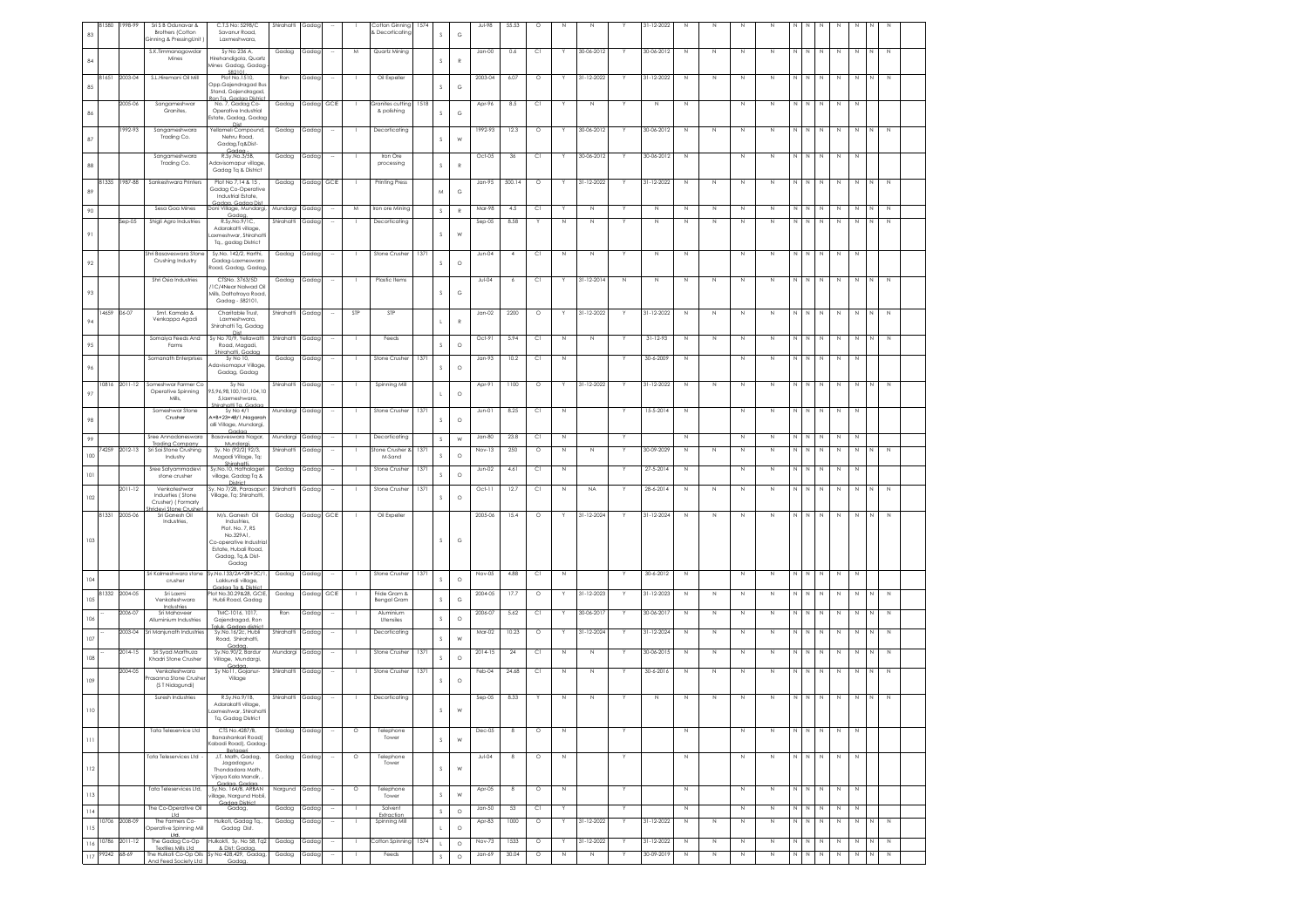|     | 31580       | 1998-99       | Sri S B Odunavar &                                                                | C.T.S No: 5298/C                                                                           | Shirahatti | Gadag      |        |         | Cotton Ginning                  | 1574 |             |               | Jul-98             | 55.53          | $\circ$             | N                | Ν                |    | 31-12-2022                  | N           | N           | N           |                            |              |              |             |             |             |                  |  |
|-----|-------------|---------------|-----------------------------------------------------------------------------------|--------------------------------------------------------------------------------------------|------------|------------|--------|---------|---------------------------------|------|-------------|---------------|--------------------|----------------|---------------------|------------------|------------------|----|-----------------------------|-------------|-------------|-------------|----------------------------|--------------|--------------|-------------|-------------|-------------|------------------|--|
| 83  |             |               | <b>Brothers (Cotton</b><br>Ginning & PressingUnit                                 | Savanur Road.<br>Laxmeshwara.                                                              |            |            |        |         | & Decorticating                 |      | s           | G             |                    |                |                     |                  |                  |    |                             |             |             |             |                            |              |              |             |             |             |                  |  |
|     |             |               |                                                                                   |                                                                                            |            |            |        |         |                                 |      |             |               |                    |                |                     | Y                |                  |    |                             |             |             |             |                            |              | IN I         |             |             |             |                  |  |
| 84  |             |               | S.K.Timmanagowdar<br>Mines                                                        | Sy No 236 A,<br>Hirehandigola, Quartz<br>Aines Gadag, Gadag<br>582101                      | Gadag      | Gadag      |        | M       | Quartz Mining                   |      | s           | $\mathbb R$   | $Jan-00$           | 0.6            | C1                  |                  | 30-06-2012       |    | 30-06-2012                  | $\mathbb N$ | $\mathbb N$ | $\mathbb N$ | $\mathbb N$                | N            |              | N           | $\,$ N      | $\mathbb N$ | $\mathbb N$<br>N |  |
| 85  | 81651       | 2003-04       | S.L.Hiremani Oil Mill                                                             | Plot No.1510,<br>Opp.Gajendragad Bus<br>Stand, Gajendragad,                                | Ron        | Gadag      |        |         | Oil Expeller                    |      | s           | G             | 2003-04            | 6.07           | $\circ$             |                  | 31-12-2022       |    | 31-12-2022                  | $\mathbb N$ | N           | N           | $\mathbb N$                | $\mathbb N$  | N            | N           | N           | $\mathbb N$ | $\mathbb N$      |  |
| 86  |             | 2005-06       | Sangameshwar<br>Granites,                                                         | $n \nabla n$<br>daa Distric<br>No. 7, Gadag Co-<br>Operative Industrial                    | Gadag      | Gadag      | GCIE   |         | iranites cuttina<br>& polishing | 1518 | s           | G             | Apr-96             | 8.5            | C1                  |                  | N                |    | N                           | N           |             | N           | N                          | N            | N            | N           | N           |             |                  |  |
|     |             | 1992-93       | Sangameshwara                                                                     | state, Gadag, Gadag<br>Dist<br>Yellameli Compound.                                         | Gadag      | Gadag      |        |         | Decorticating                   |      |             |               | 1992-93            | 12.3           | $\circ$             |                  | 30-06-2012       |    | 30-06-2012                  | N           | N           | $\mathbb N$ | $\mathbb N$                | N            | N            | N           | N           | N           | $\mathbb N$      |  |
| 87  |             |               | Trading Co.                                                                       | Nehru Road.<br>Gadaa.Ta&Dist-<br>Gadaa                                                     |            |            |        |         | Iron Ore                        |      | s           | W             | Oct-05             | 36             | C1                  |                  |                  | Y. |                             | $\mathbb N$ |             | $\mathbb N$ | $\mathbb N$                |              |              |             | N           | N           |                  |  |
| 88  |             |               | Sangameshwara<br>Trading Co.                                                      | R.Sy.No.3/5B,<br>Adavisomapur village<br>Gadag Tq & District                               | Gadag      | Gadag      |        |         | processing                      |      | s           | $\mathbb{R}$  |                    |                |                     |                  | 30-06-2012       |    | 30-06-2012                  |             |             |             |                            |              | $N$ $N$      | $\,$ N      |             |             |                  |  |
| 89  |             | 81335 1987-88 | Sankeshwara Printers                                                              | Plot No 7,14 & 15,<br>Gadag Co-Operative<br>Industrial Estate,                             | Gadag      | Gadag GCIE |        |         | Printing Press                  |      | M           | G             | $Jan-95$           | 500.14         | $\circ$             | Ÿ                | 31-12-2022       | Y. | 31-12-2022                  | $\mathbb N$ | $\mathbb N$ | $\mathbb N$ | $\mathbb N$                |              | $N$ $N$      | N           | $\,$ N      | $\mathbb N$ | N<br>$\,N\,$     |  |
| 90  |             |               | Sesa Goa Mines                                                                    | Sadaa Gadaa Dis<br>Doni Village, Mundargi,                                                 | Mundargi   | Gadag      |        | M       | Iron ore Mining                 |      | $\mathsf S$ | ${\mathsf R}$ | Mar-98             | 4.5            | C)                  |                  | $\mathbb N$      |    | $\mathbb N$                 | $\mathbb N$ | N           | N           | $\mathbb N$                | N            | N            | N           | N           | $\mathbb N$ | $\,$ N           |  |
|     |             | Sep-05        | Shigli Agro Industries                                                            | Gadag,<br>R.Sy.No.9/1C,                                                                    | Shirahatti | Gadag      |        |         | Decorticating                   |      |             |               | $Sep-05$           | 8.58           |                     | N                | $\mathbb N$      |    | $\mathbb N$                 | $\mathbb N$ | $\mathbb N$ | N           | $\mathbb N$                | $\mathbb{N}$ | N            | $\mathbb N$ | $\,$ N      | $\mathbb N$ | $\,$ N<br>N      |  |
| 91  |             |               |                                                                                   | Adarakatti village<br>axmeshwar, Shirahatt<br>Tq., gadag District                          |            |            |        |         |                                 |      | s           | W             |                    |                |                     |                  |                  |    |                             |             |             |             |                            |              |              |             |             |             |                  |  |
| 92  |             |               | Shri Basaveswara Stone<br>Crushing Industry                                       | Sy.No. 142/2, Harthi,<br>Gadag-Laxmeswara<br>Road, Gadag, Gadag                            | Gadag      | Gadag      |        |         | Stone Crusher                   | 1371 | s           | $\circ$       | Jun-04             | $\overline{4}$ | C1                  | N                | $\mathbb N$      |    | $\mathbb N$                 | $\mathbb N$ |             | N           | $\mathbb N$                |              | $N$ $N$      | N           | N           | N           |                  |  |
|     |             |               | Shri Osia Industries                                                              | CTSNo. 3763/5D<br>1C/4Near Nalwad Oil                                                      | Gadag      | Gadag      |        |         | Plastic Items                   |      |             |               | $Jul-04$           | 6              | C1                  |                  | $31 - 12 - 2014$ | N  | $\mathbb N$                 | $\mathbb N$ | $\mathbb N$ | N           | $\mathbb N$                | $\mathbb N$  | N            | $\mathbb N$ | $\mathbb N$ | $\mathbb N$ | $\mathbb N$      |  |
| 93  | 14659 06-07 |               | Smt. Kamala &                                                                     | Mills, Dattatraya Road<br>Gadag - 582101,<br>Charitable Trust,                             | Shirahatti | Gadag      |        | STP     | STP                             |      | s.          | G             | $Jan-02$           | 2200           | $\circ$             |                  | 31-12-2022       |    | 31-12-2022                  | $\mathbb N$ | N           | $\mathbb N$ | $\mathbb N$                | $\mathbb N$  | N            | N           | $\,$ N      | $\mathbb N$ | N<br>$\,N\,$     |  |
| 94  |             |               | Venkappa Agadi                                                                    | Laxmeshwara<br>Shirahatti Tq, Gadag<br>Dist                                                |            |            |        |         |                                 |      | $\mathsf L$ | $\mathbb R$   |                    |                |                     |                  |                  |    |                             |             |             |             |                            |              |              |             |             |             |                  |  |
| 95  |             |               | Somaiya Feeds And<br>Farms<br>Somanath Enterprises                                | Sy No 70/9, Yellawatti<br>Road, Magadi,<br>Shirahatti, Gadaa<br>Sv No 10.                  | Shirahatti | Gadag      |        |         | Feeds<br>Stone Crusher          | 1371 | $\mathsf S$ | $\circ$       | Oct-91<br>$Jan-93$ | 5.94<br>10.2   | <sub>C1</sub><br>C1 | $\mathbb N$<br>N | $\mathbb N$      | Y  | $31 - 12 - 93$<br>30-6-2009 | $\mathbb N$ | $\mathbb N$ | N           | $\mathbb N$<br>$\mathbb N$ | N            | N<br>N N     | $\mathbb N$ | N           | $\mathbb N$ | $\mathbb N$<br>Ν |  |
| 96  |             |               |                                                                                   | Adavisomapur Village<br>Gadag, Gadag                                                       | Gadag      | Gadag      |        |         |                                 |      | s           | $\circ$       |                    |                |                     |                  |                  |    |                             | $\mathbb N$ |             | N           |                            |              |              | N           | N           | $\mathbb N$ |                  |  |
| 97  |             | 10816 2011-12 | Someshwar Farmer Co<br>Operative Spinning<br>Mills                                | Sv No<br>95,96,98,100,101,104,10<br>5.laxmeshwara.                                         | Shirahatti | Gadag      |        |         | Spinning Mill                   |      | L           | $\circ$       | Apr-91             | 1100           | $\circ$             | ٧                | 31-12-2022       | Y. | 31-12-2022                  | $\mathbb N$ | $\mathbb N$ | $\mathbb N$ | N                          |              | N N          | N           | N           | N           | N                |  |
| 98  |             |               | Someshwar Stone<br>Crusher                                                        | hirahatti TaGada<br>Sy No 4/1<br>4+B+23+48/1,Nagarah<br>alli Village, Mundargi,            | Mundargi   | Gadag      |        |         | Stone Crusher                   | 137  | s           | $\circ$       | Jun-01             | 8.25           | C1                  | $\mathbb N$      |                  |    | $15 - 5 - 2014$             | N           |             | $\,N\,$     | $\mathbb N$                | N            | $\mathbb N$  | $\,N\,$     | Ν           | Ν           |                  |  |
| 99  |             |               | Sree Annadaneswara                                                                | Godon<br><b>Basaveswara Nagar,</b>                                                         | Mundargi   | Gadag      |        |         | Decorticating                   |      | $\mathsf S$ | w             | $Jan-80$           | 23.8           | <b>CI</b>           | $\mathbb N$      |                  |    |                             | N           |             | N           | $\mathbb N$                | N            | N            | N           |             | N           |                  |  |
|     | 74259       | 2012-13       | <b>Trading Company</b><br>Sri Sai Stone Crushing                                  | Mundargi,<br>Sy. No (92/2) 92/3,                                                           | Shirahatti | Gadag      |        |         | Stone Crusher & 1371            |      |             |               | Nov-13             | 250            | $\circ$             | N                | $\mathbb N$      | Y  | 30-09-2029                  | $\mathbb N$ | $\mathbb N$ | N           | $\mathbb{N}$               | $\mathbb{N}$ | N            | N           | $\,$ N      | N           | N<br>N           |  |
| 100 |             |               | Industry                                                                          | Magadi Village, Tq:<br>Shirghatti                                                          |            |            |        |         | M-Sand                          |      | $\mathsf S$ | $\circ$       |                    |                |                     |                  |                  |    |                             |             |             |             |                            |              |              |             |             |             |                  |  |
| 101 |             |               | Sree Satyammadevi<br>stone crusher                                                | Sy.No.10, Hathalager<br>village, Gadag Tq &                                                | Gadag      | Gadag      |        |         | <b>Stone Crusher</b>            | 137  | s           | $\circ$       | Jun-02             | 4.61           | C)                  | $\mathbb N$      |                  |    | 27-5-2014                   | $\mathbb N$ |             | N           | $\mathbb N$                | $\mathbb N$  | $\mathbb N$  | $\mathbb N$ | N           | $\mathbb N$ |                  |  |
|     |             | $2011 - 12$   | Venkateshwar                                                                      | District<br>Sv. No 7/2B. Parasapur:                                                        | Shirahatti | Gadag      |        |         | Stone Crusher                   | 1371 |             |               | $Oct-11$           | 12.7           | C1                  | N                | <b>NA</b>        | Y  | $28 - 6 - 2014$             | N           | $\mathbb N$ | N           | $\mathbb N$                | N            | $\mathsf{N}$ | N           | N           | N           | $\mathbb N$<br>N |  |
| 102 |             | 81331 2005-06 | Indusrties / Stone<br>Crusher) / Formarly<br>idevi Stone Crushe<br>Sri Ganesh Oil | Village, Tq: Shirahatti,<br>M/s. Ganesh Oil                                                | Gadag      | Gadag GCIE |        |         | Oil Expeller                    |      | s           | $\circ$       | 2005-06            | 15.4           | $\circ$             |                  | 31-12-2024       |    | 31-12-2024                  | $\mathbb N$ | $\mathbb N$ | $\mathbb N$ | N                          |              | $N$ $N$      | N           | N           | $\mathbb N$ | N                |  |
|     |             |               | Industries,                                                                       | Industries,<br>Plot, No. 7, RS                                                             |            |            |        |         |                                 |      |             |               |                    |                |                     |                  |                  |    |                             |             |             |             |                            |              |              |             |             |             |                  |  |
| 103 |             |               |                                                                                   | No.329A1.<br>Co-operative Industrial<br>Estate, Hubali Road,<br>Gadag, Tq,& Dist-<br>Gadag |            |            |        |         |                                 |      | s.          | G             |                    |                |                     |                  |                  |    |                             |             |             |             |                            |              |              |             |             |             |                  |  |
| 104 |             |               | Sri Kalmeshwara stone<br>crusher                                                  | y.No.133/2A+2B+3C/1<br>Lakkundi village,<br>Gadaa Ta & Distric                             | Gadag      | Gadag      |        |         | Stone Crusher                   | 137  | $\mathsf S$ | $\Omega$      | Nov-05             | 4.88           | C1                  | $\mathbb N$      |                  |    | 30-6-2012                   | $\,$ N      |             | N           | $\mathbb N$                | N            | $\mathbb N$  | $\mathbb N$ | $\,$ N      | $\mathbb N$ |                  |  |
| 105 | 81332       | 2004-05       | Sri Laxmi<br>Venkateshwara                                                        | flot No.30.29&28, GCIE.<br>Hubli Road, Gadag                                               | Gadag      | Gadag GCIE |        |         | Fride Gram &<br>Bengal Gram     |      | s           | $_{\rm G}$    | 2004-05            | 17.7           | $\circ$             |                  | 31-12-2023       | Y  | 31-12-2023                  | N           | $\mathbb N$ | N           | N                          | N            | N            | N           | N           | N           | $\mathbb N$<br>N |  |
| 106 |             | 2006-07       | Industries<br>Sri Mahaveer<br>Alluminium Industries                               | TMC-1016, 1017,<br>Gajendragad, Ron                                                        | Ron        | Gadag      |        |         | Aluminium<br>Utensiles          |      | $\mathsf S$ | $\circ$       | 2006-07            | 5.62           | C1                  |                  | 30-06-2017       | Y. | 30-06-2017                  | $\mathbb N$ | $\mathbb N$ | $\mathbb N$ | $\mathbb N$                | N            | N            | $\,$ N      | N           | $\mathbb N$ | $\mathbb N$<br>N |  |
| 107 |             | 2003-04       | Sri Manjunath Industries                                                          | laluk, Gadaa district<br>Sy.No.16/2c, Hubli<br>Road, Shirahatti,                           | Shirahatti | Gadag      |        |         | Decorticating                   |      | s           | W             | Mar-02             | 10.23          | $\circ$             |                  | 31-12-2024       |    | 31-12-2024                  | N           | $\mathbb N$ | $\mathbb N$ | N                          | N            | N            | N           | N           | N           | $\mathbb N$      |  |
| 108 |             | $2014 - 15$   | Sri Svad Marthuza<br>Khadri Stone Crusher                                         | Gadac<br>Sv No 90/2 Bardur<br>Village, Mundargi,<br>Gadaa.                                 | Mundargi   | Gadag      |        |         | Stone Crusher                   | 137  | s           | $\circ$       | $2014 - 15$        | 24             | C1                  | N                | $\mathbb N$      |    | 30-06-2015                  | $\mathbb N$ | $\mathbb N$ | $\mathbb N$ | $\mathbb N$                | N            | N            | N           | N           | N           | $\mathbb N$<br>N |  |
| 109 |             | 2004-05       | Venkateshwara<br>asanna Stone Crush<br>(S T Nidagundi)                            | Sy No11, Gojanur-<br>Village                                                               | Shirahatti | Gadag      |        |         | Stone Crusher                   | 137  | s           | $\circ$       | Feb-04             | 24.68          | C1                  | $\mathbb N$      | N                |    | $30 - 6 - 2016$             | $\mathbb N$ | $\,$ N      | N           | N                          | N            | N            | N           | N           | Ν           | $\,$ N           |  |
| 110 |             |               | Suresh Industries                                                                 | R.Sy.No.9/1B,<br>Adarakatti village<br>Laxmeshwar, Shirahatti                              | Shirahatti | Gadag      |        |         | Decorticating                   |      | s           | W             | Sep-05             | 8.33           |                     | N                | $\mathbb N$      |    | N                           | $\mathbb N$ | $\mathbb N$ | N           | N                          |              | N N          | N           | N           | N           | $\mathbb N$      |  |
|     |             |               | Tata Teleservice Ltd                                                              | ig. Gaaag District<br>CTS No.4287/B,                                                       | Gadag      | Gadag      |        | $\circ$ | Telephone                       |      |             |               | Dec-05             | 8              | $\circ$             | $\mathbb N$      |                  |    |                             | $\mathbb N$ |             | N           | N                          | N            | N            | $\mathbb N$ | N           | N           |                  |  |
| 111 |             |               | Tata Teleservices Ltd                                                             | Banashankari Road (<br>(abadi Road), Gadag<br>Betageri<br>J.T. Math, Gadag,                | Gadag      | Gadag      |        | $\circ$ | Tower<br>Telephone              |      | $\mathsf S$ | W             | $Jul-04$           | 8              | $\circ$             | N                |                  | Y  |                             | N           |             | N           | $\mathbb N$                | N            | N            | N           | N           | N           |                  |  |
| 112 |             |               |                                                                                   | Jagadaguru<br>Thondadara Math,<br>Vijaya Kala Mandir,                                      |            |            |        |         | Tower                           |      | $\mathsf S$ | W             |                    |                |                     |                  |                  |    |                             |             |             |             |                            |              |              |             |             |             |                  |  |
| 113 |             |               | Tata Teleservices Ltd.                                                            | Gadaa Gadaa<br>Sy.No. 164/B, ARBAN                                                         | Nargund    | Gadag      | $\sim$ | $\circ$ | Telephone                       |      | $\mathsf S$ | W             | Apr-05             | -8             | $\circ$             | N                |                  | Y  |                             | N           |             | N           | N                          |              | N N          | N           | N           | $\mathbb N$ |                  |  |
|     |             |               |                                                                                   | village, Nargund Hobli<br>Gadaa District                                                   |            |            |        |         | Tower                           |      |             |               |                    |                |                     |                  |                  |    |                             |             |             |             |                            |              |              |             |             |             |                  |  |
| 114 |             |               | The Co-Operative Oil<br>Ltd                                                       | Gadag,                                                                                     | Gadag      | Gadag      |        |         | Solvent<br>Extraction           |      | $\mathsf S$ | $\circ$       | $Jan-50$           | 53             | C1                  | Y                |                  | Y  |                             | $\mathbb N$ |             | N           | $\mathbb N$                |              | N N          | $\mathbb N$ | $\,$ N      | $\mathbb N$ |                  |  |
| 115 | 10706       | 2008-09       | The Formers Co-<br>Operative Spinning Mill<br>Ltd.                                | Hulkoti, Gadag Tq.,<br>Gadag Dist.                                                         | Gadag      | Gadag      |        |         | Spinning Mill                   |      | $\mathsf L$ | $\circ$       | Apr-83             | 1000           | $\circ$             | Y                | 31-12-2022       | Y. | 31-12-2022                  | N           | $\mathbb N$ | N           | N                          | N            | N            | N           | N           | N           | $\mathbb N$<br>N |  |
| 116 | 10786       | 2011-12       | The Gadag Co-Op<br>Textiles Mills Ltd                                             | Hulkokti, Sy. No 58, Tq2<br>& Dist: Gadag                                                  | Gadag      | Gadag      |        |         | Cotton Spinning                 | 1574 | $\mathsf L$ | $\circ$       | Nov-73             | 1533           | $\circ$             | Y                | 31-12-2022       |    | 31-12-2022                  | $\mathbb N$ | $\mathbb N$ | $\mathbb N$ | $\mathbb N$                |              | $N$ $N$      | $\,N\,$     | $\,$ N      | $\mathbb N$ | $\,$ N<br>N      |  |
| 117 | 99242       | 68-69         | The Hulkoti Co-Op Oils<br>And Feed Society Ltd                                    | Sv No 428.429. Gadaa.<br>Gadaa                                                             | Gadag      | Gadag      |        |         | Feeds                           |      | $\mathsf S$ | $\circ$       | $Jan-69$           | 30.04          | $\circ$             | N                | $\mathbb N$      |    | 30-09-2019                  | N           | N           | N           | $\mathbb N$                |              | N N          | N           | N           | N           | N<br>N           |  |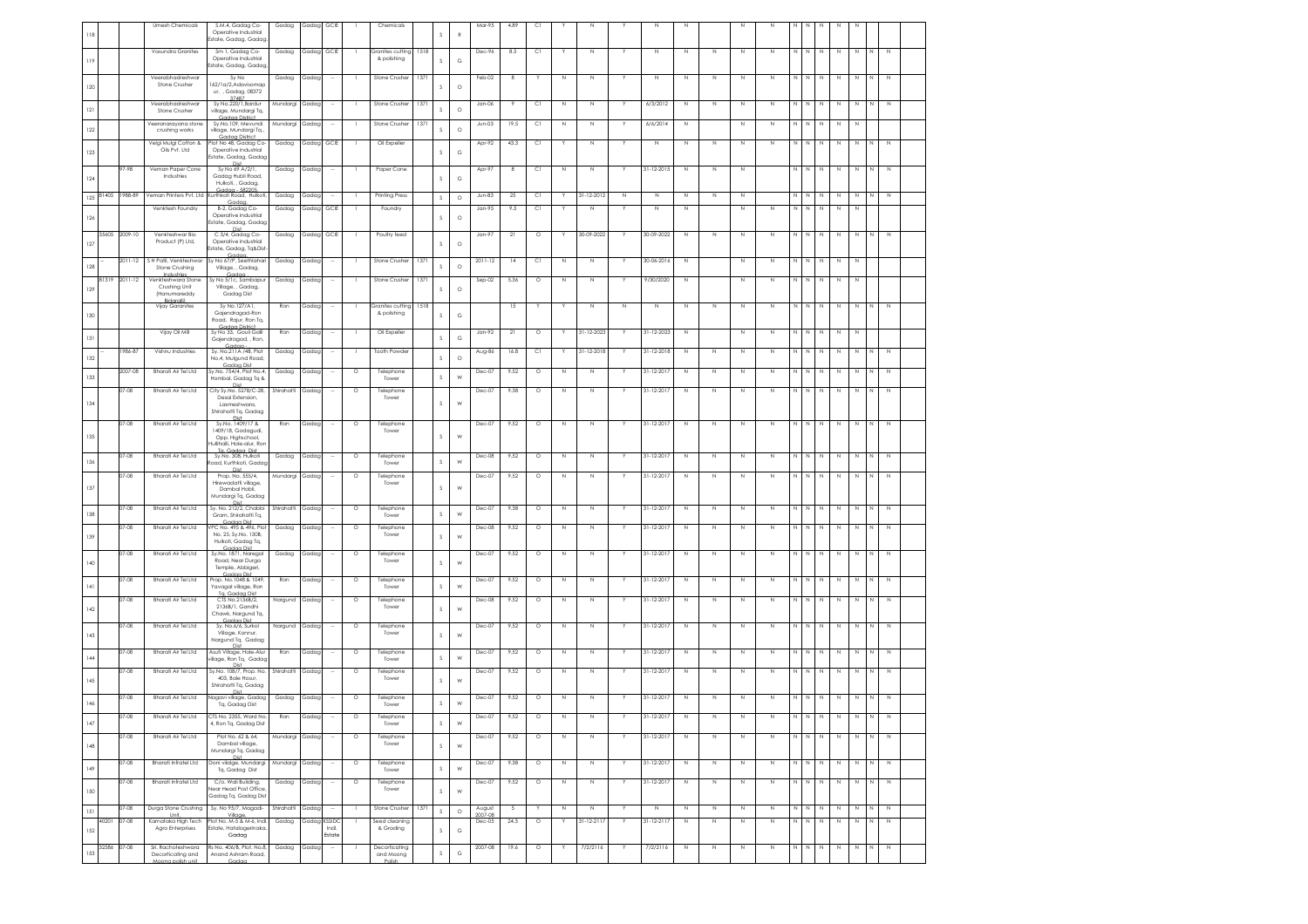| 118 |       |                | <b>Umesh Chemicals</b>                                       | S.M.4, Gadag Co-<br>Operative Industrial<br>Estate, Gadag, Gadag                        | Gadag               | Gadag      | GCIE                    |                | Chemicals                            |      | s             | $\mathbb{R}$ | Mar-95            | 4.89           | C1           |             | Ν               |             | N                         |              |             | Ν           | Ν           |                  |             |                  |             |             |                |                       |  |
|-----|-------|----------------|--------------------------------------------------------------|-----------------------------------------------------------------------------------------|---------------------|------------|-------------------------|----------------|--------------------------------------|------|---------------|--------------|-------------------|----------------|--------------|-------------|-----------------|-------------|---------------------------|--------------|-------------|-------------|-------------|------------------|-------------|------------------|-------------|-------------|----------------|-----------------------|--|
| 119 |       |                | Vasundra Granites                                            | Sm 1, Gadag Co-<br>Operative Industrial<br>Estate, Gadag, Gadag                         | Gadag               | Gadag GCIE |                         |                | iranites cutting<br>& polishing      | 1518 | s             | $_{\rm G}$   | Dec-96            | 8.5            | C1           |             | $\mathbb N$     |             | $\mathbb N$               | $\mathbb N$  | $\mathbb N$ | Ν           | $\,$ N      | N                | N           | $\mathbb N$      | $\,$ N      | N           | N              | $\mathbb N$           |  |
| 120 |       |                | Veerabhadreshwar<br>Stone Crusher                            | Sy No<br>162/1a/2,Adavisomap<br>ur, , Gadag, 08372                                      | Gadag               | Gadag      |                         |                | Stone Crusher                        | 1371 | s             | $\circ$      | Feb-02            | 8              |              | N           | N               |             | $\mathbb N$               | $\mathbb N$  | $\mathbb N$ | N           | N           | N                | N           | $\mathbb N$      | $\,$ N      | N           |                | $\mathbb N$           |  |
| 121 |       |                | Veerabhadreshwar<br>Stone Crusher                            | 37487<br>Sy No.220/1, Bardur<br>village, Mundargi Tq,                                   | Mundargi            | Gadag      |                         |                | Stone Crushe                         | 1371 | s             | $\circ$      | Jan-06            | -9             | C1           | N           | N               |             | 6/3/2012                  | N            | N           | N           | N           |                  |             | N                | N           | N           |                | N                     |  |
| 122 |       |                | Veeranarayana stone<br>crushing works                        | Gadaa District<br>Sy.No.109, Mevundi<br>village, Mundargi Tq.,                          | Mundargi Gadag      |            | $\sim$                  | - 11           | Stone Crusher                        | 1371 | $\mathcal{S}$ | $\circ$      | $Jun-03$          | 19.5           | C1           | N           | $\mathbb N$     | Y           | 6/6/2014                  | N            |             | N           | $\,$ N      | N                | N           | $\,N\,$          | N           | N           |                |                       |  |
| 123 |       |                | Velgi Mulgi Cotton &<br>Oils Pvt. Ltd                        | Gadaa District<br>Plot No 48, Gadag Co-<br>Operative Industrial                         | Gadag               | Gadag      | GCIE                    |                | Oil Expeller                         |      | s             | $_{\rm G}$   | Apr-92            | 43.3           | C1           |             | N               |             | $\mathbb N$               | $\mathbb N$  | $\mathbb N$ | N           | N           | $\mathbb N$      | N           | $\mathbb N$      | $\,$ N      | $\,$ N      | N              | $\mathbb N$           |  |
| 124 |       | $7 - 98$       | Veman Paper Cone<br>Industries                               | Estate, Gadag, Gadag<br>Sy No 69 A/2/1,<br>Gadag Hubli Road,                            | Gadag               | Gadag      |                         |                | Paper Cone                           |      | s             | $_{\rm G}$   | Apr-97            | -8             | C1           | N           | $\mathbb N$     |             | 31-12-2015                | N            | N           | N           |             | N                | N           | N                | N           | N           | N              | N                     |  |
| 125 | 81405 | 1988-89        |                                                              | Hulkoti, , Gadag,<br>Gadag - 582205<br>Veman Printers Pvt. Ltd Kurthkoti Road. Hulkoti. | Gadag               | Gadag      |                         |                | <b>Printing Press</b>                |      | $\mathsf S$   | $\circ$      | $Jun-83$          | 25             | C1           |             | 31-12-2012      | $\mathbb N$ | N                         | N            | N           | N           |             |                  |             |                  | N           |             |                | $\mathbb N$           |  |
| 126 |       |                | Venktesh Foundry                                             | Gadaa.<br>B-2, Gadag Co-<br>Operative Industrial<br>Estate, Gadag, Gadag                | Gadag               | Gadag      | GCIE                    |                | Foundry                              |      | s             | $\circ$      | Jan-95            | 9.5            | C1           | Y           | N               |             | N                         | N            |             | N           | N           | $\mathbb N$      | N           | N                | N           | N           |                |                       |  |
| 127 | 35605 | 2009-10        | Venkteshwar Bio<br>Product (P) Ltd,                          | Die<br>C 3/4, Gadag Co-<br>Operative Industrial<br>state, Gadag, Tg&Dist                | Gadag               | Gadag      | GCIE                    |                | Poultry feed                         |      | s             | $\circ$      | Jan-97            | 21             | $\circ$      |             | 30-09-2022      |             | 30-09-2022                | N            | N           | N           | N           |                  |             |                  |             |             |                |                       |  |
| 128 |       | $2011 - 12$    | S H Patil, Venkteshwar<br>Stone Crushing                     | Gadar<br>Sv No 67/P. Seethlahari<br>Village, , Gadag,                                   | Gadag               | Gadag      |                         |                | Stone Crusher                        | 1371 | s             | $\circ$      | $2011 - 12$       | 14             | C1           | N           | N               |             | 30-06-2016                | N            |             | N           | N           |                  |             | N                | N           | N           |                |                       |  |
| 129 | 81319 | 2011-12        | Industries<br>Venkteshwara Stone<br>Crushing Unit            | Godoo<br>Sy No 5/1c, Sambapur<br>Village, , Gadag,                                      | Gadag               | Gadag      |                         |                | Stone Crushe                         | 1371 | s             | $\circ$      | $Sep-02$          | 5.36           | $\circ$      | N           | N               |             | 9/30/2020                 | $\mathbb N$  |             | N           | N           | N                | N           | $\,N\,$          | $\,$ N      | $\mathbb N$ |                |                       |  |
| 130 |       |                | (Hanumareddy<br><b>Bidaralli</b><br>Vijay Garanites          | Gadag Dist<br>Sy No.127/A1,<br>Gajendragad-Ron<br>Road, Rajur, Ron Tq,                  | Ron                 | Gadag      |                         |                | iranites cutting<br>& polishing      | 1518 | s             | $_{\rm G}$   |                   | 15             |              |             | N               | $\mathbb N$ | $\mathbb N$               | $\mathbb N$  | $\mathbb N$ | N           | N           | $\mathbb N$      | $\mathbb N$ | $\mathbb N$      | $\mathbb N$ | N           | N              | $\mathbb N$           |  |
| 131 |       |                | Vijay Oil Mill                                               | Codoo District<br>Sv No 33. Gouli Galli<br>Gaiendragad, , Ron.                          | Ron                 | Gadag      | ÷                       | - 1            | Oil Expeller                         |      | s             | $_{\rm G}$   | $Jan-92$          | 21             | $\circ$      | Y           | 31-12-2023      | Y.          | 31-12-2023                | $\mathbb N$  |             | $\mathbb N$ | N           | N                | N           | N                | N           | N           |                |                       |  |
| 132 |       | 1986-87        | Vishnu Industries                                            | Gadaa<br>Sy. No.211A /4B, Plot<br>No.4, Mulgund Road,                                   | Gadag               | Gadag      |                         | $\blacksquare$ | Tooth Powder                         |      | s             | $\circ$      | Aug-86            | 16.8           | C1           | Y           | 31-12-2018      | Y           | 31-12-2018                | N            | $\mathbb N$ | N           | $\,$ N      | N                | N           | N                | N           | N           | N              | N                     |  |
| 133 |       | 2007-08        | <b>Bharati Air Tel Ltd</b>                                   | Gadaa Dist<br>Sy.No. 754/4, Plot No.4,<br>Hombal, Gadag Tq &                            | Gadag               | Gadag      |                         | $\circ$        | Telephone<br>Tower                   |      | s             | W            | Dec-07            | 9.52           | $\circ$      | N           | N               |             | 31-12-2017                | N            | $\mathbb N$ | N           | N           | N                | N           | N                | $\mathbb N$ | N           | N              | $\mathbb N$           |  |
| 134 |       | $07 - 08$      | Bharati Air Tel Ltd                                          | Dist<br>City Sy.No. 5278/C-28,<br>Desai Extension.<br>Laxmeshwara.                      | Shirahatti          | Gadag      |                         | $\circ$        | Telephone<br>Tower                   |      | s             | W            | Dec-07            | 9.38           | $\circ$      | N           | N               |             | 31-12-2017                | N            | $\mathbb N$ | N           | N           | N                | N           | N                | $\mathbb N$ | N           | N <sub>1</sub> | N                     |  |
|     |       | $07 - 08$      | Bharati Air Tel I td                                         | Shirahatti Tq, Gadag<br>Sv.No. 1409/17 &                                                | Ron                 | Gadag      | $\sim$                  | $\circ$        | Telephone                            |      |               |              | Dec-07            | 9.52           | $\circ$      | N           | N               |             | 31-12-2017                | N            | $\mathbb N$ | Ν           | N           | N                |             | N                | N           | N           | N              | $\mathbb N$           |  |
| 135 |       |                |                                                              | 1409/18, Godagudi,<br>Opp. Highschool.<br>Hullihalli, Hole-alur, Ron<br>To Godoo Dist   |                     |            |                         |                | Tower                                |      | s             | W            |                   |                |              |             |                 |             |                           |              |             |             |             |                  |             |                  |             |             |                |                       |  |
| 136 |       | $07 - 08$      | <b>Bharati Air Tel Itd</b>                                   | Sv.No. 308. Hulkoti<br>Road, Kurthkoti, Gadac<br>Dist                                   | Gadag               | Gadag      |                         | $\circ$        | Telephone<br>Tower                   |      | s             | W            | Dec-08            | 9.52           | $\circ$      | $\mathbb N$ | N               |             | 31-12-2017                | N            | N           | Ν           | N           |                  |             | N                | N           | N           | N              | N                     |  |
| 137 |       | 07-08          | Bharati Air Tel Ltd                                          | Prop. No. 555/4,<br>Hirewadatti village<br>Dambal Hobli,<br>Mundargi Tq, Gadag          | Mundargi            | Gadag      |                         | $\circ$        | Telephone<br>Tower                   |      | $\mathcal{S}$ | W            | Dec-07            | 9.52           | $\circ$      | N           | N               |             | 31-12-2017                | N            | $\,$ N      | Ν           | N           |                  |             | N                |             |             |                | $\mathbb N$           |  |
| 138 |       | 07-08          | Bharati Air Tel Ltd                                          | Sy. No. 212/2, Chabbi<br>Gram, Shirahatti Tq,<br>Gadaa Dist                             | Shirahatti          | Gadag      |                         | $\circ$        | Telephone<br>Tower                   |      | $\mathsf S$   | W            | $Dec-07$          | 9.38           | $\circ$      | N           | N               |             | 31-12-2017                | $\mathbb N$  | $\,$ N      | N           | N           | N                | N           | $\mathbb N$      | $\,$ N      | $\,$ N      | N              | $\mathbb N$           |  |
| 139 |       | $7 - 08$       | Bharati Air Tel Ltd                                          | PC No. 495 & 496, Plot<br>No. 25, Sy.No. 130B,<br>Hulkoti, Gadag Tq,<br>Godoo Dist      | Gadag               | Gadac      |                         | $\circ$        | Telephone<br>Tower                   |      | s             | W            | Dec-08            | 9.52           | $\circ$      | N           | N               |             | 31-12-2017                | N            | $\mathbb N$ | N           | N           | N                | N           | N                | N           | N           | N              | $\mathbb N$           |  |
| 140 |       | $07 - 08$      | Bharati Air Tel Ltd                                          | Sy.No. 1871, Naregal<br>Road, Near Durga<br>Temple, Abbigeri,                           | Gadag               | Gadag      | $\sim$                  | $\circ$        | Telephone<br>Tower                   |      | s             | W            | Dec-07            | 9.52           | $\circ$      | N           | $\mathbb N$     |             | 31-12-2017                | N            | $\mathbb N$ | Ν           | N           | N                | N           | N                | N           | N           | N              | $\mathbb N$           |  |
| 4   |       | 07-08          | Bharati Air Tel Ltd                                          | Gadaa Dist<br>Prop. No.1048 & 1049<br>Yavagal village, Ron                              | Ron                 | Gadag      |                         | $\circ$        | Telephone<br>Tower                   |      | s             | W            | Dec-07            | 9.52           | $\circ$      | N           | $\mathbb N$     |             | 31-12-2017                | $\mathbb{N}$ | $\mathbb N$ | N           | $\,$ N      | N                | N           | $\,N\,$          | N           | $\,$ N      | N              | $\mathbb N$           |  |
| 142 |       | 07-08          | Bharati Air Tel Ltd                                          | Ta Gadaa Dist<br>CTS No.2136B/2,<br>2136B/1, Gandhi<br>Chawk, Nargund Tq,               | Nargund             | Gadag      |                         | $\circ$        | Telephone<br>Tower                   |      | s             | W            | Dec-08            | 9.52           | $\circ$      | N           | N               |             | 31-12-2017                | $\mathbb N$  | $\mathbb N$ | N           | N           | $\mathbb N$      | N           | $\mathbb N$      | $\,$ N      | $\,$ N      | N              | $\mathbb N$           |  |
| 143 |       | $7 - 08$       | Bharati Air Tel Ltd                                          | Gadaa Dist<br>Sy. No.6/6, Surkol<br>Village, Konnur,<br>Nargund Tq, Gadag<br>Dist       | Nargund Gadag       |            |                         | $\circ$        | Telephone<br>Tower                   |      | s             | W            | Dec-07            | 9.52           | $\circ$      | N           | N               |             | 31-12-2017                | N            | N           | N           | N           |                  |             | N                | N           | N           |                | $\mathbb N$           |  |
| 144 |       | $07 - 08$      | <b>Bharati Air Tel Itd</b>                                   | Asuti Village, Hole-Alur<br>rillage, Ron Tq, Gadac<br>Dist                              | Ron                 | Gadac      |                         | $\circ$        | Telephone<br>Tower                   |      | s             | W            | Dec-07            | 9.52           | $\circ$      | N           | N               |             | $31 - 12 - 2017$          | N            | $\mathbb N$ | N           | N           |                  |             | N                | N           | N           | N              | N                     |  |
| 145 |       | 07-08          | Bharati Air Tel Ltd                                          | Sy.No. 108/7, Prop. No.<br>403, Bale Hosur,<br>Shirahatti Tq, Gadag<br>Dist             | Shirahatti          | Gadag      |                         | $\circ$        | Telephone<br>Tower                   |      | s             | W            | Dec-07            | 9.52           | $\circ$      | N           | N               |             | 31-12-2017                | N            | N           | N           | N           |                  |             | Ν                | Ν           | N           |                | $\mathbb N$           |  |
| 146 |       | 07-08          | Bharati Air Tel Ltd                                          | Nagavi village, Gadag<br>Tq, Gadag Dist                                                 | Gadag               | Gadag      |                         | $\circ$        | Telephone<br>Tower                   |      | s             | W            | Dec-07            | 9.52           | $\circ$      | N           | $\mathbb N$     |             | $31 - 12 - 2017$          | $\mathbb N$  | $\mathbb N$ | N           | $\mathbb N$ | N                | N           | $\mathbb N$      | N           | N           | $\mathbb{N}$   | $\,$ N                |  |
| 147 |       | 07-08          | Bharati Air Tel I tal                                        | CTS No.<br>4, Ron Tq, Gadag Dist                                                        | Ron                 |            |                         |                | Tower                                |      | $\mathsf S$   | ${\sf W}$    |                   |                |              |             |                 |             |                           |              |             |             |             |                  |             |                  |             |             |                |                       |  |
| 148 |       | 07-08          | Bharati Air Tel Ltd                                          | Plot No. 62 & 64,<br>Dambal village,<br>Mundargi Tq, Gadag<br>Dist                      | Mundargi Gadag      |            |                         | $\circ$        | Telephone<br>Tower                   |      | $\mathsf S$   | W            | Dec-07            | 9.52           | $\circ$      | N           | Ν               |             | 31-12-2017                | $\mathbb N$  | $\mathbb N$ | N           | N           |                  |             | $\mathbb N$      | N           | N           | N              | $\mathbb N$           |  |
| 149 |       | $07 - 08$      | <b>Bharati Infratel Ltd</b>                                  | Doni vilalge, Mundargi<br>Tq, Gadag Dist                                                | Mundargi            | Gadag      | $\sim$                  | $\circ$        | Telephone<br>Tower                   |      | $\mathsf S$   | ${\sf W}$    | Dec-07            | 9.38           | $\circ$      | $\mathbb N$ | $\mathbb N$     |             | 31-12-2017                | $\mathbb N$  | $\mathbb N$ | N           | $\mathbb N$ | N                | N           | $\,$ $\,$        | $\mathbb N$ | $\mathbb N$ | $\,N$          | $\mathbb N$           |  |
| 150 |       | $07 - 08$      | Bharati Infratel Ltd                                         | C/o. Wali Building,<br>Near Head Post Office<br>Gadag Tq, Gadag Dist                    | Gadag               | Gadag      | $\sim$                  | $\circ$        | Telephone<br>Tower                   |      | $\mathsf S$   | W            | Dec-07            | 9.52           | $\circ$      | N           | $\mathbb N$     |             | 31-12-2017                | N            | $\mathbb N$ | N           | N           | N                | N           | N                | N           | N           | N              | N                     |  |
| 151 | 40201 | 07-08<br>07-08 | Durga Stone Crushing<br><b>Holt</b><br>Karnataka High Tech   | Sy. No 95/7, Magadi-<br>Village<br>Plot No. M-5 & M-6, Indi.                            | Shirahatti<br>Gadag | Gadag      | $\sim$<br><b>KSSIDC</b> | - 11           | Stone Crusher<br>Seed cleaning       | 1371 | $\mathsf S$   | $\circ$      | August<br>1007-08 | $\sim$<br>24.3 | Y<br>$\circ$ | $\mathbb N$ | N<br>31-12-2117 | Y           | $\mathbb N$<br>31-12-2117 | $\,$ N       | $\mathbb N$ | N           | $\,$ N      | $\mathbb N$<br>N | N<br>N      | N<br>$\mathbb N$ | $\mathbb N$ | $\,N\,$     | N<br>N         | $\,$ N<br>$\mathbb N$ |  |
| 152 |       |                | Agro Enterprises                                             | Estate, Hatalagerinaka,<br>Gadag                                                        |                     | Gadag      | Indi.<br>Estate         |                | & Grading                            |      | $\mathsf S$   | $_{\rm G}$   | Dec-05            |                |              | Y           |                 |             |                           | N            | N           | N           | N           |                  |             |                  | N           | N           |                |                       |  |
| 153 | 32586 | 07-08          | Sri, Rachoteshwara<br>Decorticating and<br>Moong polish unit | Rs No. 406/B, Plot. No.8,<br>Anand Ashram Road<br>Gadaa                                 | Gadag               | Gadaa      |                         |                | Decorticating<br>and Moong<br>Polish |      | $\mathsf S$   | $_{\rm G}$   | 2007-08           | 19.6           | $\circ$      | Y           | 7/2/2116        |             | 7/2/2116                  | N            | N           | $\mathbb N$ | N           | N                | N           | N                | N           | N           | N              | N                     |  |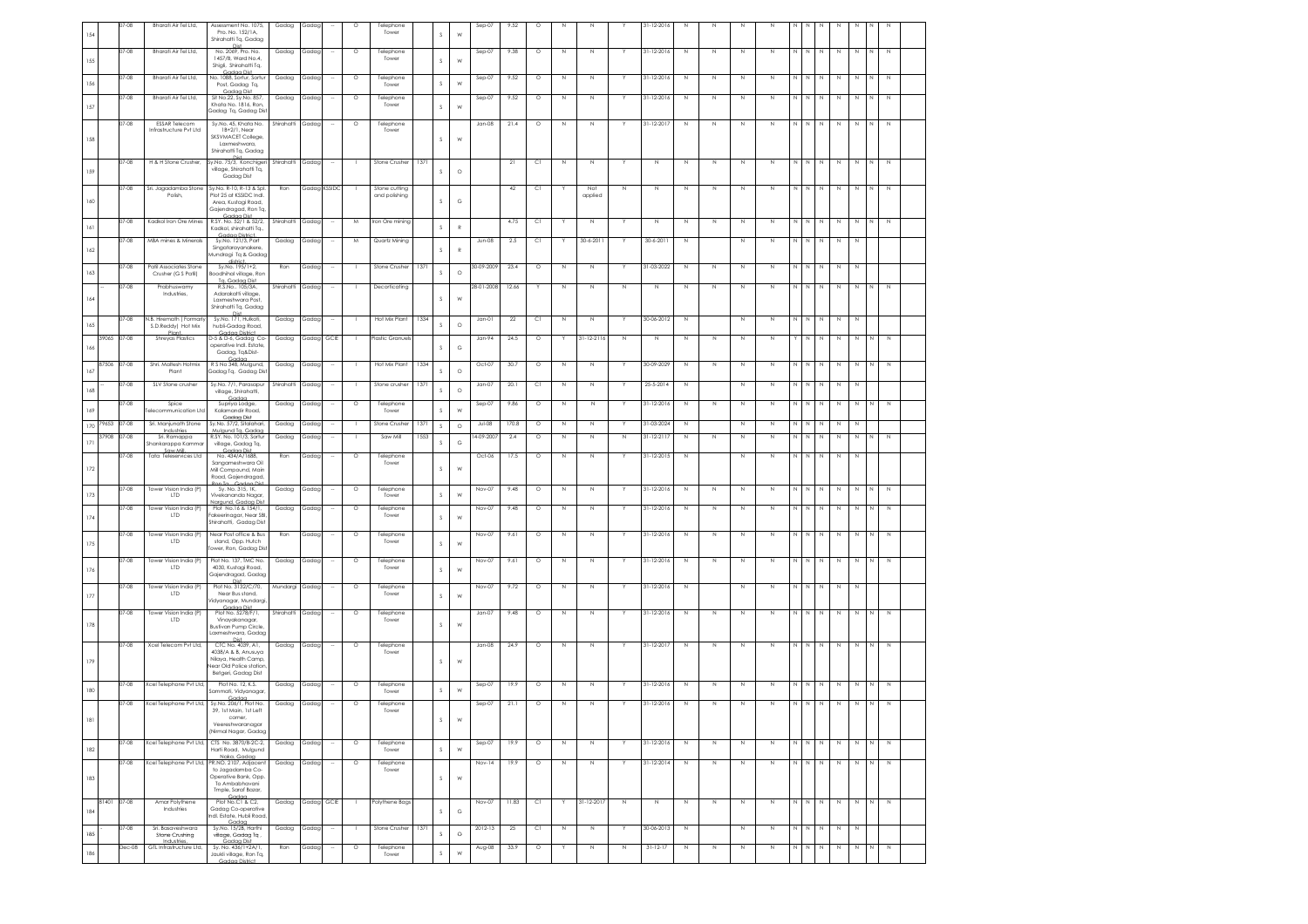| 154     |             | $7-08$    | Bharati Air Tel Ltd,                           | Assessment No. 1075,<br>Pro. No. 152/1A,<br>Shirahatti Tq, Gadag                  | Gadag            | Gadag      |              |         | Telephone<br>Tower             |      | s             | W            | $Sep-07$    | 9.52    | Ó         |             |                |             | 31-12-2016       |             |              |             |             |              |             |              |             |             |                |              |  |
|---------|-------------|-----------|------------------------------------------------|-----------------------------------------------------------------------------------|------------------|------------|--------------|---------|--------------------------------|------|---------------|--------------|-------------|---------|-----------|-------------|----------------|-------------|------------------|-------------|--------------|-------------|-------------|--------------|-------------|--------------|-------------|-------------|----------------|--------------|--|
|         |             | 07-08     | Bharati Air Tel Ltd,                           | No. 2069, Pro. No.<br>1457/B, Ward No.4,                                          | Gadag            | Gadag      |              | $\circ$ | Telephone<br>Tower             |      | s             |              | $Sep-07$    | 9.38    | $\circ$   | N           | N              |             | 31-12-2016       | N           | $\mathbb N$  | N           | N           |              | Ν           | N            | $\,$ N      | N           | N              | $\mathbb N$  |  |
| 155     |             | 07-08     | Bharati Air Tel Ltd,                           | Shigli, Shirahatti Tq,<br>Gadan Dist<br>No. 1088, Sortur, Sortur                  | Gadag            | Gadag      |              | $\circ$ | Telephone                      |      |               | W            | $Sep-07$    | 9.52    | $\circ$   | Ν           | Ν              |             | 31-12-2016       | $\mathbb N$ | $\mathbb N$  | N           | $\mathbb N$ | N            | N           | $\mathbb N$  | $\mathbb N$ | N           | N.             | $\mathbb N$  |  |
| 156     |             | $07 - 08$ | Bharati Air Tel Ltd,                           | Post, Gadag Tq,<br>Gadaa Dist<br>Sit No.22, Sy.No. 857,                           |                  |            |              | $\circ$ | Tower                          |      | $\mathbb S$   | W            |             | 9.52    |           | N           | N              |             | 31-12-2016       | N           | $\mathbb N$  | N           | N           | N            | N           | $\mathbb N$  |             |             |                | $\mathbb N$  |  |
| 157     |             |           |                                                | Khata No. 1816, Ron<br>Gadag Tq, Gadag Dist                                       | Gadag            | Gadag      |              |         | Telephone<br>Tower             |      | s             | W            | $Sep-07$    |         | $\circ$   |             |                |             |                  |             |              |             |             |              |             |              | $\mathbb N$ | $\,$ N      | N              |              |  |
|         |             | 07-08     | <b>ESSAR Telecom</b><br>Infrastructure Pvt Ltd | Sy.No. 45, Khata No.<br>1B+2/1, Near<br>SKSVMACET College,                        | Shirahatti       | Gadag      |              | $\circ$ | Telephone<br>Tower             |      |               |              | Jan-08      | 21.4    | $\circ$   | N           | N              |             | 31-12-2017       | N           | N            | N           | N           |              | N           | N            | $\mathbb N$ | N           | N              | $\mathbb N$  |  |
| 158     |             |           |                                                | Laxmeshwara<br>Shirahatti Tq, Gadag                                               |                  |            |              |         |                                |      | $\mathcal{S}$ | W            |             |         |           |             |                |             |                  |             |              |             |             |              |             |              |             |             |                |              |  |
| 159     |             | 07-08     | H & H Stone Crusher,                           | Sy.No. 75/3, Konchigeri<br>village, Shirahatti Tq,<br>Gadag Dist                  | Shirahatti Gadag |            |              |         | Stone Crusher   1371           |      | s             | $\circ$      |             | 21      | C1        | $\mathbb N$ | Ν              |             | $\mathbb N$      | Ν           | $\mathbb N$  | N           | N           |              |             | N            | N           | N           | N              | N            |  |
|         |             | 07-08     | Sri. Jagadamba Stone<br>Polish                 | Sy.No. R-10, R-13 & Spl.<br>Plot 25 at KSSIDC Indl.                               | Ron              |            | Gadag KSSIDC |         | Stone cutting<br>and polishing |      |               |              |             | 42      | СI        |             | Not<br>applied | N           | $\mathbb N$      | N           | $\mathbb N$  | N           | N           | $\mathbb N$  | N           | $\mathbb N$  | $\,$ N      | $\,$ N      | N              | $\mathbb N$  |  |
| 160     |             |           |                                                | Area, Kustagi Road,<br>Gajendragad, Ron Tq,                                       |                  |            |              |         |                                |      | <sub>S</sub>  | G            |             |         |           |             |                |             |                  |             |              |             |             |              |             |              |             |             |                |              |  |
| 6       |             | 07-08     | Kadkol Iron Ore Mines                          | Gadan Dist<br>R.SY. No. 52/1 & 52/2,                                              | Shirahatti       | Gadag      |              | M       | Iron Ore mining                |      | $\mathbb S$   | $\mathbb{R}$ |             | 4.75    | C1        |             | N              |             | $\mathbb N$      | N           | $\mathbb N$  | N           | N           |              | N           | N            | $\mathbb N$ | N           | N              | $\mathbb N$  |  |
|         |             |           |                                                | Kadkol, shirahatti Tq.,<br>Gadaa District.<br>Sy.No. 121/3, Part                  |                  |            |              |         |                                |      |               |              |             |         |           |             |                |             |                  |             |              |             |             |              |             |              |             |             |                |              |  |
| 162     |             | 07-08     | MBA mines & Minerals                           | Singatarayanakere,<br>Aundragi Tg & Gadag                                         | Gadag            | Gadag      |              | M       | Quartz Mining                  |      | s             | $\mathbb{R}$ | Jun-08      | 2.5     | C1        |             | $30 - 6 - 201$ |             | 30-6-2011        | N           |              | N           | N           | N            |             | N            | N           | N           |                |              |  |
| 163     |             | 07-08     | Patil Associates Stone<br>Crusher (G S Patil)  | Sv.No. 195/1+2.<br>soodhihal village, Ron<br>Ta. Gadaa Dist                       | Ron              | Gadag      |              | - 11    | Stone Crusher                  | 1371 | $\mathbb S$   | $\circ$      | 30-09-2009  | 23.4    | $\circ$   | N           | N              | Y           | 31-03-2022       | N           | N            | N           | N           | N            | N           | N            | N           | N           |                |              |  |
|         |             | 07-08     | Prabhuswamy<br>Industries,                     | R.S.No., 105/3A,<br>Adarakatti village,                                           | Shirahatti       | Gadag      |              |         | Decorticating                  |      |               |              | 28-01-2008  | 12.66   |           | N           | N              | $\mathbb N$ | $\mathbb N$      | N           | $\mathbb N$  | N           | N           | $\mathbb N$  | N           | $\mathbb N$  | $\mathbb N$ | N           | N              | $\mathbb N$  |  |
| 164     |             |           |                                                | Laxmeshwara Post<br>Shirahatti Tq, Gadag<br><b>Dist</b>                           |                  |            |              |         |                                |      | <sub>S</sub>  | W            |             |         |           |             |                |             |                  |             |              |             |             |              |             |              |             |             |                |              |  |
| 165     |             | 07-08     | .B. Hiremath (Formarl<br>S.D.Reddy) Hot Mix    | Sy.No. 171, Hulkoti,<br>hubli-Gadag Road,                                         | Gadag            | Gadag      |              |         | Hot Mix Plant                  | 1334 | s             | $\circ$      | Jan-01      | $^{22}$ | <b>CI</b> | N           | N              |             | 30-06-2012       | $\mathbb N$ |              | N           | N           | $\mathbb N$  | $\mathbb N$ | $\mathbb N$  | $\mathbb N$ | N           |                |              |  |
| 166     | 39065       | 07-08     | Pla<br>Shreyas Plastics                        | Gadaa District<br>D-5 & D-6, Gadag Co-<br>operative Indl. Estate,                 | Gadag            | Gadag GCIE |              |         | Plastic Granuels               |      | s             | G            | Jan-94      | 24.5    | $\circ$   | Y           | 31-12-2116     | $\mathbb N$ | N                | Ν           | $\mathbb N$  | N           | N           | Y            | N           | $\mathbb N$  | $\mathbb N$ | $\mathbb N$ | $\mathbb N$    | $\mathbb N$  |  |
|         |             |           |                                                | Gadag, Tg&Dist-<br>Gadon<br>R S No 348, Mulgund,                                  |                  |            |              |         |                                |      |               |              |             |         |           |             |                |             | 30-09-2029       |             |              |             |             |              |             |              |             |             |                |              |  |
| 167     | 87506       | $07 - 08$ | Shri, Maltesh Hotmix<br>Plant                  | Gadag Tq, Gadag Dist                                                              | Gadag            | Gadag      |              |         | Hot Mix Plant                  | 1334 | S             | $\circ$      | Oct-07      | 30.7    | $\circ$   | N           | N              |             |                  | N           | $\mathbb{N}$ | N.          | N           | N            | N           | N            | N           | N           | N              | N            |  |
| 168     |             | 07-08     | SLV Stone crusher                              | Sy.No. 7/1, Parasapur<br>village, Shirahatti,<br>Godoc                            | Shirahatti       | Gadag      |              |         | Stone crusher                  | 1371 | $\mathbb S$   | $\circ$      | Jan-07      | 20.1    | <b>CI</b> | N           | N              |             | 25-5-2014        | N           |              | N           | N           |              | N           | $\mathbb N$  | $\mathbb N$ | N           |                |              |  |
| 169     |             | 07-08     | Spice<br>elecommunication Ltd                  | Supriya Lodge,<br>Kalamandir Road,                                                | Gadag            | Gadag      |              | $\circ$ | Telephone<br>Tower             |      | $\mathbb S$   | W            | $Sep-07$    | 9.86    | $\circ$   | N           | $\mathbb N$    |             | 31-12-2016       | $\mathbb N$ | $\mathbb N$  | $\mathbb N$ | $\mathbb N$ |              |             | N            | $\mathbb N$ | N           | N              | Z            |  |
| 170     | 79653 07-08 |           | Sri. Manjunath Stone                           | Gadaa Dist<br>Sy.No. 57/2, Sitalahari,                                            | Gadag            | Gadag      |              |         | Stone Crusher                  | 1371 |               |              | $Jul-08$    | 170.8   | $\circ$   | N           | N              |             | 31-03-2024       | N           |              | N           | N           | $\mathbb{N}$ | N           | N            | N           | N           |                |              |  |
|         | 37908       | 07-08     | Industries<br>Sri. Ramappa                     | Mulaund Ta, Gadac<br>R.SY. No. 101/3, Sortur                                      | Gadag            | Gadag      |              |         | Saw Mil                        | 1553 | $\mathbb S$   | $\circ$      | 4-09-2007   | 2.4     | $\circ$   | Ν           | Ν              | $\mathbb N$ | $31 - 12 - 2117$ | Ν           | N            | $\mathbb N$ | N           |              |             | N            | N           | N           | N              | $\mathbb N$  |  |
| 171     |             |           | hankarappa Kamma<br>Saw Mil                    | village, Gadag Tq,<br>Gadaa Dist                                                  |                  |            |              |         |                                |      | s             | G            |             |         |           |             |                |             |                  |             |              |             |             |              |             |              |             |             |                |              |  |
| 172     |             | $7 - 08$  | Tata Teleservices Ltd.                         | No. 434/A/1688,<br>Sangameshwara Oil<br>Mill Compound, Main                       | Ron              | Gadag      |              | $\circ$ | Telephone<br>Tower             |      |               | W            | Oct-06      | 17.5    | $\circ$   | N           | N              |             | 31-12-2015       | Ν           |              | N           | $\mathbb N$ | N            | N           | N            | N           |             |                |              |  |
| 173     |             | $07 - 08$ | Tower Vision India (P)<br><b>LTD</b>           | Road, Gajendragad,<br>Ron Ta Gadaa Dist<br>Sy. No. 315, 1K,<br>Vivekananda Nagar, | Gadag            | Gadag      |              | $\circ$ | Telephone<br>Tower             |      | $\mathsf S$   | W            | Nov-07      | 9.48    | $\circ$   | $\mathbb N$ | N              |             | 31-12-2016       | $\mathbb N$ | $\mathbb N$  | $\mathbb N$ | $\mathbb N$ | N            | N           | $\,N\,$      | $\mathbb N$ | $\,$ N      | N              | N            |  |
|         |             | $7-08$    | Tower Vision India (P)                         | Naraund, Gadaa Dis<br>Plot No.16 & 154/1,                                         | Gadag            | Gadag      |              | $\circ$ | Telephone                      |      |               |              | Nov-07      | 9.48    | $\circ$   | N           | Ν              |             | 31-12-2016       | N           | N            | N           | N           | N            | N           | N            | N           | N           | $\mathbb N$    | $\mathbb N$  |  |
| 174     |             |           | <b>LTD</b>                                     | akeerinagar, Near SBI<br>hirahatti, Gadag Dist                                    |                  |            |              |         | Tower                          |      | s             | W            |             |         |           |             |                |             |                  |             |              |             |             |              |             |              |             |             |                |              |  |
| 175     |             | 07-08     | Tower Vision India (P)<br>LTD                  | Near Post office & Bus<br>stand, Opp. Hutch<br>ower, Ron, Gadag Dist              | Ron              | Gadag      |              | $\circ$ | Telephone<br>Tower             |      | s             | W            | Nov-07      | 9.61    | $\circ$   | Ν           | N              |             | 31-12-2016       | $\mathbb N$ | $\mathbb N$  | N           | N           |              |             | $\mathbb{N}$ | $\mathbb N$ | N           | N              | $\mathbb{N}$ |  |
| $176\,$ |             | 07-08     | Tower Vision India (P)<br>LTD                  | Plot No. 137. TMC No.<br>4030, Kustagi Road,<br>Gajendragad, Gadag                | Gadag            | Gadag      |              | $\circ$ | Telephone<br>Tower             |      | s             | W            | Nov-07      | 9.61    | $\circ$   | N           | $\mathbb N$    |             | 31-12-2016       | N           | $\mathbb N$  | N.          | N           | N            | N           | N            | N           | N           | N              | $\mathbb{N}$ |  |
|         |             | $07 - 08$ | Tower Vision India (P)<br><b>LTD</b>           | Plot No. 3132/C/70,                                                               | Mundargi Gadag   |            |              | $\circ$ | Telephone                      |      |               |              | Nov-07      | 9.72    | $\circ$   | Ν           | N              |             | 31-12-2016       | Ν           |              | N           | N           |              |             | N            | N           |             |                |              |  |
| 177     |             |           |                                                | Near Bus stand,<br>Vidyanagar, Mundargi,<br>Godoo Dist                            |                  |            |              |         | Tower                          |      | $\mathbb S$   | W            |             |         |           |             |                |             |                  |             |              |             |             |              |             |              |             |             |                |              |  |
| 178     |             | 07-08     | Tower Vision India (P)<br>LTD                  | Plot No. 5278/F/1.<br>Vinayakanagar,<br>Bustivan Pump Circle                      | Shirahatti       | Gadag      |              | $\circ$ | Telephone<br>Tower             |      | s             | W            | $Jan-07$    | 9.48    | $\circ$   | N           | N              |             | 31-12-2016       | N           | $\mathbb N$  | N           | N           | $\mathbb N$  | N           | $\mathbb N$  | $\,$ N      | $\mathbb N$ | $\overline{z}$ | N            |  |
|         |             |           |                                                | Laxmeshwara, Gadag<br>Dist                                                        |                  |            |              |         |                                |      |               |              |             |         |           |             |                |             |                  |             |              |             |             |              |             |              |             |             |                |              |  |
|         |             | 07-08     | Xcel Telecom Pvt Ltd,                          | CTC No. 4039, A1,<br>4038/A & B, Anusuya                                          | Gadag            | Gadag      |              | $\circ$ | Telephone<br>Tower             |      |               |              | Jan-08      | 24.9    | $\circ$   | N           | N              |             | 31-12-2017       | N           | $\mathbb N$  | N           | N           |              | Ν           | N            | $\mathbb N$ | N           | N              | $\mathbb N$  |  |
| 179     |             |           |                                                | Nilaya, Health Camp,<br>lear Old Police station                                   |                  |            |              |         |                                |      | $\mathcal{S}$ | W            |             |         |           |             |                |             |                  |             |              |             |             |              |             |              |             |             |                |              |  |
|         |             | $07 - 08$ | Xcel Telephone Pvt Ltd,                        | Betgeri, Gadag Dist<br>Plot No. 12, K.S.                                          | Gadag            | Gadag      |              | $\circ$ | Telephone                      |      |               |              | Sep-07      | 19.9    | $\circ$   | N           | N              | Y           | 31-12-2016       | N           | $\mathbb N$  | N           | $\mathbb N$ |              | N           | N            | N           | N           | N              | N            |  |
| 180     |             |           |                                                | Sammati, Vidyanagar,<br>Gadac<br>Sy.No. 206/1, Plot No.                           |                  |            |              |         | Tower                          |      | $\mathsf S$   | W            |             |         |           |             |                |             |                  |             |              |             |             |              |             |              |             |             |                |              |  |
|         |             | 07-08     | Kcel Telephone Pvt Ltd,                        | 39, 1st Main, 1st Left                                                            | Gadag            | Gadag      |              | $\circ$ | Telephone<br>Tower             |      |               |              | $Sep-07$    | 21.1    | $\circ$   | N           | N              |             | 31-12-2016       | Ν           | N            | N           | Ν           |              |             | Ν            | N           | N           |                |              |  |
| 181     |             |           |                                                | corner<br>Veereshwaranagar<br>(Nirmal Nagar, Gadag                                |                  |            |              |         |                                |      | s             | W            |             |         |           |             |                |             |                  |             |              |             |             |              |             |              |             |             |                |              |  |
| 182     |             | 07-08     | Xcel Telephone Pvt Ltd,                        | CTS No. 3870/B-2C-2,<br>Harti Road, Mulgund                                       | Gadag            | Gadag      |              | $\circ$ | Telephone<br>Tower             |      | $\mathbb S$   | W            | Sep-07      | 19.9    | $\circ$   | N           | N              |             | 31-12-2016       | $\mathbb N$ | N            | N           | N           | $\mathbb{N}$ | $\mathbb N$ | Z            | $\mathbb N$ | Z           | $\overline{z}$ | z            |  |
|         |             | 07-08     |                                                | Naka Gadaa<br>Xcel Telephone Pyt Ltd PR NO 2107 Adjacent<br>to Jagadamba Co-      | Gadag            | Gadag      |              | $\circ$ | Telephone<br>Tower             |      |               |              | $Nov-14$    | 19.9    | $\circ$   | N           | N              |             | $31 - 12 - 2014$ | N           | $\mathbb N$  | N           | N           | N            | N           | N            | N           | N           | N              | $\mathbb{N}$ |  |
| 183     |             |           |                                                | Operative Bank, Opp.<br>To Ambabhavani                                            |                  |            |              |         |                                |      | $\mathbb S$   | W            |             |         |           |             |                |             |                  |             |              |             |             |              |             |              |             |             |                |              |  |
|         |             |           |                                                | Tmple, Saraf Bazar,                                                               |                  |            |              |         |                                |      |               |              |             |         |           |             |                |             |                  |             |              |             |             |              |             |              |             |             |                |              |  |
| 184     | 81401       | 07-08     | Amar Polythene<br>Industries                   | Plot No.C1 & C2,<br>Gadag Co-operative<br>ndl. Estate, Hubli Road,                | Gadag            | Gadag GCIE |              |         | Polythene Bags                 |      | $\mathbb S$   | $_{\rm G}$   | Nov-07      | 11.83   | C1        |             | 31-12-2017     | $\mathbb N$ | $\mathbb N$      | N           | $\mathbb N$  | N           | N           |              | N           | N            | N           | N           | N              | N            |  |
| 185     |             | 07-08     | Sri, Basaveshwara<br>Stone Crushing            | Godon<br>Sv.No. 15/2B. Harthi<br>village, Gadag Tq.                               | Gadag            | Gadaa      |              | - 11    | Stone Crusher                  | 1371 | $\mathbb S$   | $\circ$      | $2012 - 13$ | 25      | C1        | $\mathbb N$ | N              | Y           | 30-06-2013       | $\mathbb N$ |              | $\,$ N      | N           | N            | N           | $\mathbb N$  | $\mathbb N$ | $\,N\,$     |                |              |  |
|         |             | $Dec-08$  | Industries.<br>GTL Infrastructure Ltd,         | Gadaa Dist<br>Sy. No. 436/1+2A/1,                                                 | Ron              | Gadag      |              | $\circ$ | Telephone                      |      |               |              | Aug-08      | 33.9    | $\circ$   |             | N              | $\mathbb N$ | $31 - 12 - 17$   | $\mathbb N$ | N            | N           | $\mathbb N$ | N            | N           | $\mathbb N$  | $\,$ N      | $\,N\,$     | N              | $\mathbb N$  |  |
| 186     |             |           |                                                | Jaukli village, Ron Tq,<br>Gadaa District                                         |                  |            |              |         | Tower                          |      | $\mathsf S$   | ${\sf W}$    |             |         |           |             |                |             |                  |             |              |             |             |              |             |              |             |             |                |              |  |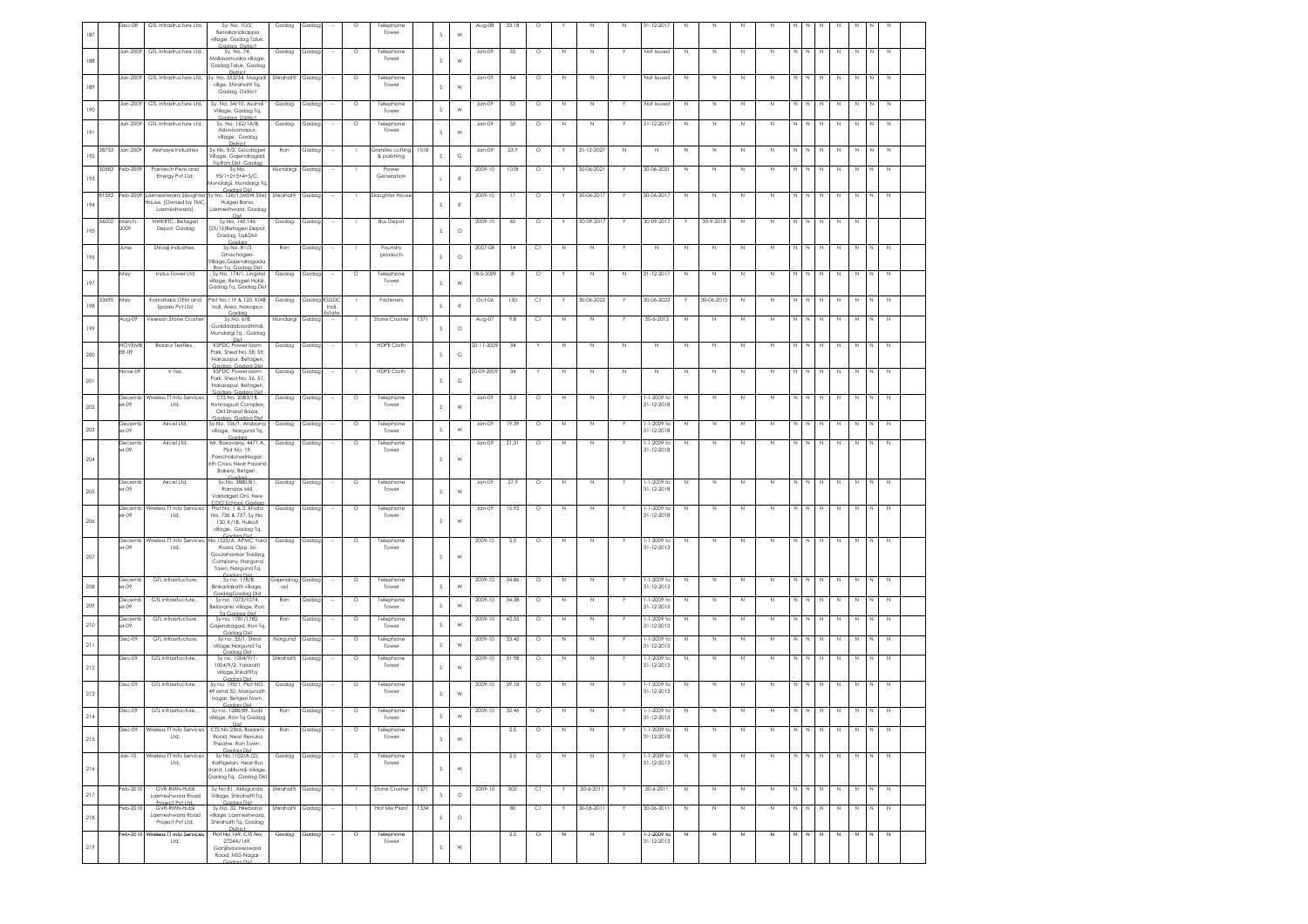| 187     |       | $0eC-08$              | GTL Infrastructure Ltd,                                                   | Sy. No. 10/2,<br>Benakanakoppa                                                                              | Gadag           | Gadag        |        | $\circ$ | Telephone<br>Tower              |      | s              | W            | Aug-08     | 33.18 | $\circ$   |             | N           | N           | 31-12-2017                       | $\mathbb N$ | N           | N           |             |             |             |             |             |             |                       |  |
|---------|-------|-----------------------|---------------------------------------------------------------------------|-------------------------------------------------------------------------------------------------------------|-----------------|--------------|--------|---------|---------------------------------|------|----------------|--------------|------------|-------|-----------|-------------|-------------|-------------|----------------------------------|-------------|-------------|-------------|-------------|-------------|-------------|-------------|-------------|-------------|-----------------------|--|
|         |       | Jan-2009              | GTL Infrastructure Ltd,                                                   | village, Gadag Taluk<br>Godoo District<br>Sy. No. 74                                                        | Gadag           | Gadag        |        | $\circ$ | Telephone                       |      |                |              | Jan-09     | 33    | $\circ$   | N           | $\mathbb N$ |             | Not Issued                       | $\mathbb N$ | $\mathbb N$ | N           | N           | N           |             | N           | $\mathbb N$ | N           |                       |  |
| 188     |       |                       |                                                                           | Mallasamudra village,<br>Gadag Taluk, Gadag                                                                 |                 |              |        |         | Tower                           |      | s              | W            |            |       |           |             |             |             |                                  |             |             |             |             |             |             |             |             |             |                       |  |
| 189     |       | Jan-2009              |                                                                           | District<br>GTL Infrastructure Ltd, Sy. No. 553/34, Magadi<br>villge, Shirahatti Tq,<br>Gadag District      | Shirahatti      | Gadag        |        | $\circ$ | Telephone<br>Tower              |      | s              | W            | Jan-09     | 34    | $\circ$   | N           | $\mathbb N$ |             | Not Issued                       | $\mathbb N$ | $\mathbb N$ | N           | Ν           | $\mathbb N$ | N           | $\mathbb N$ | $\mathbb N$ | N           | $\mathbb N$           |  |
| 190     |       | Jan-2009              | GTL Infrastructure Ltd,                                                   | Sv. No. 54/10. Asundi<br>Village, Gadag Tq,                                                                 | Gadag           | Gadag        |        | $\circ$ | Telephone<br>Tower              |      | s              | W            | $Jan-09$   | 33    | $\circ$   | N           | N           |             | Not Issued                       | N           | $\mathbb N$ | N           | N           | N           |             | N           | N           | N           | N                     |  |
| 191     |       | Jan-2009              | GTL Infrastructure Ltd,                                                   | Gadaa District<br>Sy. No. 162/1A/B,<br>Adavisomapur,                                                        | Gadag           | Gadag        |        | $\circ$ | Telephone<br>Tower              |      | s              | W            | Jan-09     | 33    | $\circ$   | N           | $\mathbb N$ |             | 31-12-2017                       | $\mathbb N$ | N           | N           | N           | N           |             | N           | N           | N           | $\mathbb N$           |  |
| 192     | 38733 | Jan-2009              | Akshaya Industries                                                        | village, Gadag<br>District<br>Sy.No. 8/2, Goudageri<br>Vilage, Gajendragad,                                 | Ron             | Gadac        |        |         | Granites cutting<br>& polishing | 1518 | s              | $_{\rm G}$   | $Jan-09$   | 23.9  | $\circ$   |             | 31-12-2027  | N           | $\mathbb N$                      | N           | $\mathbb N$ | N           | Ν           | N           |             | N           | N           | N           | $\mathbb N$           |  |
| 193     | 30583 | eb-2009               | Pointech Pens and<br>Energy Pvt Ltd,                                      | Ta-Ron.Dist- Gadas<br>Sv.No.<br>$95/1+2+3+4+5/C.$<br>Mundargi, Mundargi Tq,                                 | Mundargi        | Gadag        |        |         | Power<br>Generation             |      | $\mathsf{L}$   | $\mathbb{R}$ | 2009-10    | 1078  | $\circ$   |             | 30-06-2021  |             | 30-06-2021                       | $\mathbb N$ | N           | N           | N           | N           | N           | N           | $\mathbb N$ | N           | N                     |  |
| 194     | 81592 | Feb-2009              | ouse, (Owned by TMC,                                                      | Godon Dist<br>Laxmeshwara Slaughter Sy No. 126/1, (MSW Site)<br>Hulgeri Bana,                               | Shirahatti      | Gadag        |        |         | Slaughter House                 |      | s              | $\mathbb{R}$ | 2009-10    | 17    | $\circ$   |             | 30-06-2017  |             | 30-06-2017                       | N           | N           | N           | Ν           | N           | $\mathbb N$ | $\mathbb N$ | N           | N           | N                     |  |
| 195     | 36002 | March<br>2009         | Laxmeshwara),<br>NWKRTC, Betageri<br>Depot, Gadag                         | Laxmeshwara, Gadag<br>Dist<br>Sy.No. 145,146<br>(23/15)Betageri Depot                                       | Gadag           | Gadag        |        |         | <b>Bus Depot</b>                |      | s              | $\circ$      | 2009-10    | 60    | $\circ$   |             | 30-09-2017  |             | 30-09-2017                       |             | 30-9-2018   | $\mathbb N$ | N           | N           |             | N           | $\mathbb N$ | N           |                       |  |
| 196     |       | June                  | Shivaji Industries,                                                       | Gadag, Ta&Dist-<br>Gadar<br>Sy.No. 81/3,<br>Onachageri                                                      | Ron             | Gadag        |        |         | Foundry<br>products             |      | s              | $\circ$      | 2007-08    | 14    | C1        | $\mathbb N$ | $\mathbb N$ | Y           | $\mathbb N$                      | N           | $\mathbb N$ | N           | N           | N           | N           | $\,$ $\,$   | $\mathbb N$ | $\mathbb N$ | $\mathbb N$<br>$\,$ N |  |
| 197     |       | May                   | Indus Tower Ltd                                                           | Village,Gajendragada,<br>Ron Ta, Gadaa Dist.<br>, Sy.No. 174/1, Lingdal<br>village, Betageri Hobli,         | Gadag           | Gadag        |        | $\circ$ | Telephone<br>Tower              |      | s              | W            | 18-5-2009  | 8     | $\circ$   |             | $\mathbb N$ | $\mathbb N$ | 31-12-2017                       | $\mathbb N$ | N           | $\mathbb N$ | Ν           | N           | N           | $\mathbb N$ | $\mathbb N$ | N           | $\mathbb N$           |  |
| 198     | 33690 | May                   | Karnataka OEM and<br>Spares Pvt Ltd                                       | Gadag Tq, Gadag Dist<br>Plot No.119 & 120, KIAB<br>Indl. Area, Narsapur,                                    | Gadag           | Gadaa KSSIDC | Indi.  |         | Fasteners                       |      | $\mathsf S$    | $\mathbb{R}$ | Oct-06     | 130   | C1        |             | 30-06-2022  |             | 30-06-2022                       |             | 30-06-2015  | N           | N           | N           | N           | N           | $\mathbb N$ | N           | N                     |  |
| 199     |       | Aug-09                | Veeresh Stone Crusher                                                     | Gadaa<br>Sy.No. 6/8,<br>Guddadaboodhihal<br>Mundargi Tq , Gadag                                             | Mundargi        | Gadag        |        |         | Stone Crusher                   | 1371 | s              | $\circ$      | Aug-07     | 9.8   | <b>CI</b> | N           | $\mathbb N$ |             | 30-6-2013                        | $\mathbb N$ | N           | N           | N           | N           |             | N           | $\,$ N      | N           | $\mathbb N$           |  |
| 200     |       | <b>NOVEM</b><br>ER-09 | Bidarur Textiles,                                                         | Dist<br><b>KSPDC Power loom</b><br>Park, Shed No. 58, 59,<br>Narasapur, Betageri,                           | Gadag           | Gadag        |        |         | <b>HDPE Cloth</b>               |      | s              | G            | 20-11-2009 | 34    |           | N           | N           | N           | $\mathbb N$                      | N           | N           | N           | N           | N           |             | N           | N           | N           |                       |  |
| 201     |       | Vove-09               | V-Tex,                                                                    | Gadaa Gadaa Dist<br>KSPDC Power loom<br>Park, Shed No. 56, 57<br>Narasapur, Betageri,                       | Gadag           | Gadag        |        |         | <b>HDPE Cloth</b>               |      | s              | G            | 20-09-2009 | 34    | r.        | Ν           | $\mathbb N$ | $\mathbb N$ | N                                | $\mathbb N$ | $\mathbb N$ | N           | Ν           | N           |             | N           | $\mathbb N$ | N           | $\mathbb N$           |  |
| 202     |       | Decemb<br>$er-09$     | Wireless TT Info Services<br>Ltd.                                         | Gadaa, Gadaa Dis<br>CTS No. 2083/1B.<br>Honnagudi Complex<br>Old Sharaf Bazar.                              | Gadag           | Gadag        |        | $\circ$ | Telephone<br>Tower              |      | s              | W            | $Jan-09$   | 2.5   | $\circ$   | N           | $\mathbb N$ |             | $-1 - 2009$ to<br>31-12-2018     | N           | N           | N           | N           | N           | N           | N           | N           | N           | N<br>N                |  |
| 203     |       | Decemt<br>$er-09$     | Aircel Ltd,                                                               | Gadaa, Gadaa Dist<br>Sy.No. 156/1, Arabana<br>village, Nargund Tq,                                          | Gadag           | Gadag        |        | $\circ$ | Telephone<br>Tower              |      | $\mathsf S$    | W            | $Jan-09$   | 19.39 | $\circ$   | $\mathbb N$ | $\mathbb N$ |             | 1-1-2009 to<br>31-12-2018        | N           | $\,N\,$     | N           | $\mathbb N$ | $\mathbb N$ | N           | $\,N\,$     | $\,$ N      | $\,$ N      | N<br>N                |  |
| 204     |       | Jecemt<br>er-09       | Aircel Ltd,                                                               | Gadac<br>Mr. Basavaraj, 4471 A,<br>Plot No. 19,<br>PanchakshariNagar,<br>6th Cross, Near Pasanc             | Gadag           | Gadag        |        | $\circ$ | Telephone<br>Tower              |      | s              | W            | Jan-09     | 21.31 | $\circ$   | N           | N           |             | $-1 - 2009$ to<br>31-12-2018     | N           | N           | N           | N           | Ν           |             | N           | N           | N           | N                     |  |
| 205     |       | Jecem<br>$-09$        | Aircel Ltd                                                                | Bakery, Betgeri,<br>Sy.No. 3880/B1<br>Ramdas Mill,                                                          | Gadag           | Gadag        |        | $\circ$ | Telephone<br>Tower              |      | s              | W            | $Jan-09$   | 27.9  | $\circ$   | N           | $\mathbb N$ |             | l-1-2009 ta<br>31-12-2018        | $\mathbb N$ | $\,N\,$     | N           | N           | $\mathbb N$ | N           | $\,N\,$     | $\,$ N      | N           | N<br>$\mathbb N$      |  |
|         |       | Decemb<br>$er-09$     | Wireless TT Info Services<br>Ltd,                                         | Vakkalgeri Oni, New<br>CDO School, Godac<br>Plot No. 1 & 2, Khata<br>No. 736 & 737, Sy.No.                  | Gadag           | Gadag        |        | $\circ$ | Telephone<br>Tower              |      |                |              | Jan-09     | 15.95 | $\circ$   | Ν           | N           |             | $-1 - 2009$ to<br>31-12-2018     | N           | N           | N           | N           | N           | N           | N           | N           | N           | N<br>N                |  |
| 206     |       | Decemb                | Wireless TT Info Services                                                 | 130, K/1B, Hulkoti<br>village, Gadag Tq,<br>Gadaa Dist<br>No.1525/A, APMC Yard                              | Gadag           | Gadag        |        | $\circ$ | Telephone                       |      | s.             | W            | 2009-10    | 2.5   | $\circ$   | N           | N           |             | l-1-2009 ta                      | N           | N           | N           | N           |             | N   N       | N           | N           | N           | N<br>N                |  |
| 207     |       | $-09$                 | Ltd,                                                                      | Road, Opp. Sri.<br>Gourishankar Trading<br>Company, Nargund<br>Town, Nargund Tq,                            |                 |              |        |         | Tower                           |      | s              | W            |            |       |           |             |             |             | 31-12-2013                       |             |             |             |             |             |             |             |             |             |                       |  |
| $208\,$ |       | Jeceml<br>$-09$       | GTL infrasrtucture,                                                       | <b>Godoo Dist</b><br>, Sy no. 178/B,<br>Binkadakatti village,                                               | Gajendrag<br>ad | Gadag        |        | $\circ$ | Telephone<br>Tower              |      | $\mathsf S$    | W            | 2009-10    | 34.86 | $\circ$   | N           | N           |             | I-1-2009 to<br>31-12-2013        | $\mathbb N$ | $\mathbb N$ | N           | N           | N           |             | N           | $\,$ N      | N           | N<br>$\,N\,$          |  |
| 209     |       | Decemi<br>$er-09$     | GTL infrasrtucture, ,                                                     | GadaaGadaa Dist<br>Sy no. 1073/1074,<br>Belavanki village, Ron                                              | Ron             | Gadag        |        | $\circ$ | Telephone<br>Tower              |      | s              | W            | 2009-10    | 34.38 | $\circ$   | N           | $\mathbb N$ |             | $-1 - 2009$ to<br>31-12-2013     | $\mathbb N$ | $\mathbb N$ | N           | Ν           | N           | N           | $\mathbb N$ | $\mathbb N$ | N           | N                     |  |
| 210     |       | Decemb<br>$er-09$     | GTL infrasrtucture,                                                       | Ta Gadaa Dist<br>Sy no, 1781/1782,<br>Gajendragad, Ron Tq,                                                  | Ron             | Gadag        |        | $\circ$ | Telephone<br>Tower              |      | $\mathsf S$    | W            | 2009-10    | 42.35 | $\circ$   | $\,$ N      | $\mathbb N$ |             | 1-1-2009 to<br>31-12-2013        | N           | $\,$ N      | N           | N           | $\mathbb N$ | N           | $\,N\,$     | $\,$ N      | $\mathbb N$ | $\,$ N<br>N           |  |
| 211     |       | Dec-09                | GTL infrasrtucture,                                                       | Gadaa Dist<br>, Sy no. 35/1, Shirol<br>village, Nargund Tq                                                  | Nargund         | Gadag        |        | $\circ$ | Telephone<br>Tower              |      | $\mathbb S$    | W            | 2009-10    | 33.42 | $\circ$   | N           | N           |             | $-1-2009$ to<br>31-12-2013       | N           | N           | N           | N           | N           | N           | N           | N           | N           | N<br>N                |  |
| 212     |       | Dec-09                | GTL infrasrtucture,                                                       | Gadaa Dist<br>Sy no. 1004/9/1-<br>1004/9/2, Yalaratti<br>village.ShirattiTa                                 | Shirahatti      | Gadag        |        | $\circ$ | Telephone<br>Tower              |      | s              | W            | 2009-10    | 31.98 | $\circ$   | N           | N           |             | $-1-2009$ to<br>31-12-2013       | N           | N           | N           | N           | N           | N           | N           | $\mathbb N$ | N           | N<br>N.               |  |
| 213     |       | Dec-09                | GTL infrasrtucture, ,                                                     | Gadaa Dist<br>Sy no. 190/1, Plot NO.<br>49 amd 50, Manjunath<br>nagar, Betgeri town,                        | Gadag           | Gadag        |        | $\circ$ | Telephone<br>Tower              |      | s              | W            | 2009-10    | 39.18 | $\circ$   | N           | $\mathbb N$ |             | 1-1-2009 to<br>31-12-2013        | N           | $\,$ N      | N           | $\mathbb N$ | $\mathbb N$ | N           | N           | $\,$ N      | N           | N<br>N                |  |
|         |       | Dec-09                | GTL infrasrtucture, ,                                                     | Godoo Dist<br>Sy no. 1288/89, Sudii<br>village, Ron Tq Gadag<br>Dist                                        | Ron             | Gadag        |        | $\circ$ | Telephone<br>lowe               |      |                |              | 2009-10    | 32.46 | $\circ$   | N           | $\mathbb N$ |             | 1-1-2009 to<br>$1 - 12 - 201$    | $\mathbb N$ | N           | N           | N           | N           |             | $\mathbb N$ | $\,$ N      | N           |                       |  |
| 215     |       | Dec-09                | Wireless TT Info Services<br>Ltd,                                         | CTS No.2366, Badami<br>Road, Near Renuka<br>Theatre, Ron Town,                                              | Ron             | Gadaa        |        | $\circ$ | Telephone<br>Tower              |      | $\mathsf S$    | W            |            | 2.5   | $\circ$   | N           | $\mathbb N$ | Y           | -1-2009 to<br>31-12-2018         | N           | N           | N           | N           | N           | N           | $\mathbb N$ | $\,$ N      | N           | N<br>$\,$ N           |  |
| 216     |       | $Jan-10$              | Wireless TT Info Services<br>Ltd.                                         | Gadaa Dist<br>Sy No.1102/A (2),<br>Kattigelan, Near Bus<br>stand, Lakkundi village.<br>Gadag Tq, Gadag Dist | Gadag           | Gadag        |        | $\circ$ | Telephone<br>Tower              |      | $\mathsf S$    | W            |            | 2.5   | $\circ$   | N           | N           |             | $-1-2009$ to<br>$31 - 12 - 2013$ | N           | N           | N           | N           | N           | N           | N           | N           | N           | N                     |  |
| 217     |       | eb-2010               | GVR-RMN-Hubli<br>Laxmeshwara Road                                         | Sy No 81, Akkigunda<br>Village, Shirahatti Tq,                                                              | Shirahatti      | Gadag        | $\sim$ |         | Stone Crusher                   | 1371 | $\mathsf S$    | $\circ$      | 2009-10    | 300   | C1        | Y.          | 30-6-2011   | Y.          | 30-6-2011                        | $\mathbb N$ | N           | N           | N           | N           | N           | N           | $\mathbb N$ | N           | N<br>N                |  |
| 218     |       | $eb-201$              | Project Pvt Ltd.<br>GVR-RMN-Hubli<br>Laxmeshwara Road<br>Project Pvt Ltd, | Gadaa Dist<br>Sy.No. 32, Hirebana<br>village, Laxmeshwara,<br>Shirahatti Tq, Gadag                          | Shirahatti      | Gadag        |        |         | Hot Mix Plant                   | 1334 | $\mathbb{S}$   | $\circ$      |            | 80    | C)        |             | 30-06-2011  |             | 30-06-2011                       | $\mathbb N$ | $\,N\,$     | $\mathbb N$ | N           | N           | N           | $\,$ N      | $\mathbb N$ | N           | N<br>$\mathbb N$      |  |
| 219     |       | eb-2010               | Wireless TT info Services<br>Ltd,                                         | District<br>Plot No.169, CTS No.<br>2724A/169,<br>Ganjibasaveswara<br>Road, MSS Nagar,                      | Gadag           | Gadag        |        | $\circ$ | Telephone<br>Tower              |      | $\mathbb{S}^-$ | ${\sf W}$    |            | 2.5   | $\circ$   | И           | N           |             | $-1-2009$ to<br>31-12-2013       | N           | N           | N           | Ν           | И           | N           | N           | N           | И           | N<br>N                |  |
|         |       |                       |                                                                           |                                                                                                             |                 |              |        |         |                                 |      |                |              |            |       |           |             |             |             |                                  |             |             |             |             |             |             |             |             |             |                       |  |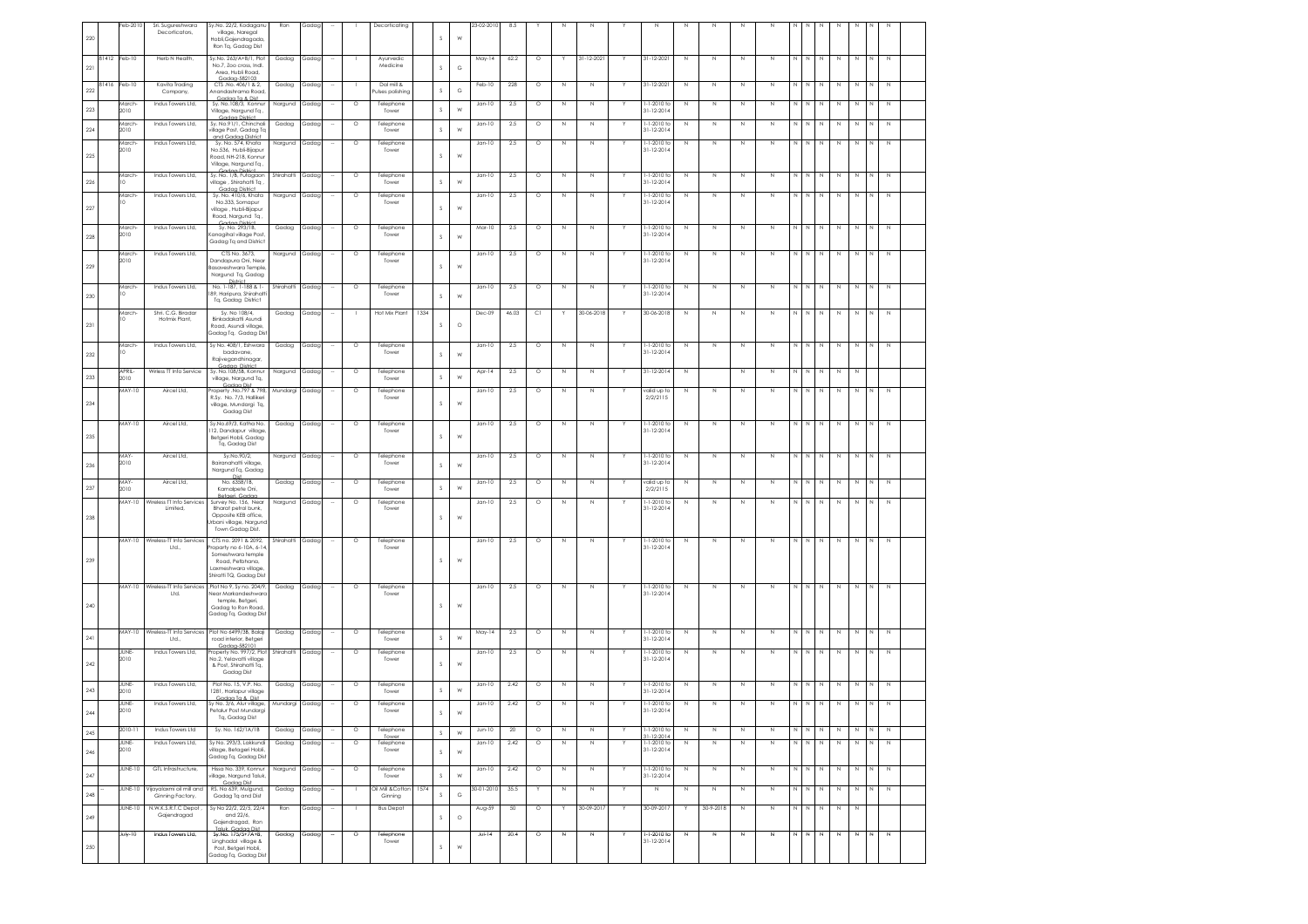| 220 |       | eb-201                | Sri. Sugureshwara<br>Decorticators,                       | Sy.No. 22/2, Kodaganu<br>village, Naregal<br>Hobli, Gajendragada<br>Ron Tq, Gadag Dist      | Ron              | Gadag |                          |         | Decorticating                          |      | s             | W          | 23-02-2010 | 8.5     |         |                         |             |   |                                       |                   |                   |              |              |              |              |              |             |             |                |             |  |
|-----|-------|-----------------------|-----------------------------------------------------------|---------------------------------------------------------------------------------------------|------------------|-------|--------------------------|---------|----------------------------------------|------|---------------|------------|------------|---------|---------|-------------------------|-------------|---|---------------------------------------|-------------------|-------------------|--------------|--------------|--------------|--------------|--------------|-------------|-------------|----------------|-------------|--|
| 221 | 81412 | Feb-10                | Herb N Health,                                            | Sy.No. 263/A+B/1, Plot<br>No.7, Zoo cross, Indl.<br>Area, Hubli Road,<br>Gadaa-582103       | Gadag            | Gadag |                          |         | Ayurvedic<br>Medicine                  |      | s             | G          | May-14     | 62.2    | $\circ$ |                         | 31-12-2021  |   | 31-12-2021                            | $\mathbb N$       | N                 | N            | Z            | $\mathbb{N}$ | $\mathbb N$  | N            | $\mathbb N$ | N           | N              | Z           |  |
| 222 | 81416 | Feb-10                | Kavita Tradina<br>Company,                                | CTS .No. 406/1 & 2.<br>Anandashrama Roac                                                    | Gadag            | Gadac |                          |         | Dal mill &<br>ulses polishing          |      | s             | $_{\rm G}$ | Feb-10     | 228     | $\circ$ | N                       | $\mathbb N$ |   | 31-12-2021                            | N                 | N                 | N            | $\mathbb N$  | N            | N            | N            | N           | $\mathbb N$ | N              | N           |  |
| 223 |       | March<br>010          | Indus Towers Ltd,                                         | Gadaa Ta & Dist<br>Sy. No.108/3, Konnur<br>Village, Nargund Tq.                             | Nargund          | Gadag |                          | $\circ$ | Telephone<br>Tower                     |      | $\mathsf S$   | W          | $Jan-10$   | 2.5     | $\circ$ | N                       | N           |   | 1-1-2010 to<br>31-12-2014             | N                 | $\mathbb{N}$      | N            | $\mathbb N$  | N            | N N          |              | $\mathbb N$ | $\mathbb N$ | $\,N\,$        | $\mathbb N$ |  |
| 224 |       | March<br>2010         | Indus Towers Ltd,                                         | Gadaa District<br>Sy. No.91/1, Chinchali<br>village Post, Gadag Tq                          | Gadag            | Gadag |                          | $\circ$ | Telephone<br>Tower                     |      | s             | W          | $Jan-10$   | 2.5     | $\circ$ | $\overline{\mathbb{N}}$ | N           |   | 1-1-2010 to<br>$31 - 12 - 2014$       | N                 | $\mathbb N$       | N            | $\mathbb N$  | N            | N            | N            | $\mathbb N$ | Z           | N              | z           |  |
|     |       | March<br>2010         | Indus Towers Ltd.                                         | and Gadaa District<br>Sv. No. 574, Khata<br>No.536. Hubli-Bijapur                           | Nargund Gadag    |       | ٠.                       | $\circ$ | Telephone<br>Tower                     |      |               |            | $Jan-10$   | 2.5     | $\circ$ | N                       | $\mathbb N$ |   | $1 - 1 - 2010$ to<br>$31 - 12 - 2014$ | N                 | $\mathbb N$       | N            | $\mathbb{N}$ | N            | N            | N            | $\mathbb N$ | $\mathbb N$ | N              | $\mathbb N$ |  |
| 225 |       |                       |                                                           | Road, NH-218, Konnur<br>Village, Nargund Tq.<br>strint                                      |                  |       |                          |         |                                        |      | $\mathcal{S}$ | W          |            |         |         |                         |             |   |                                       |                   |                   |              |              |              |              |              |             |             |                |             |  |
| 226 |       | March-<br>$\Omega$    | Indus Towers I td                                         | Sv. No. 1/B, Futagaon<br>village, Shirahatti Tq.<br>Gadaa District                          | Shirahatti       | Gadag |                          | $\circ$ | Telephone<br>Tower                     |      | s             | W          | $Jan-10$   | 2.5     | $\circ$ | N                       | $\mathbb N$ |   | 1-1-2010 to<br>$31 - 12 - 2014$       | N                 | N                 | N            | $\mathbb N$  | N            | N            |              | $\mathbb N$ | N           | N              | $\,$ N      |  |
| 227 |       | March                 | Indus Towers Ltd,                                         | Sv. No. 410/6. Khata<br>No.333, Somapur<br>village , Hubli-Bijapur<br>Road, Nargund Tq.     | Nargund          | Gadag |                          | $\circ$ | Telephone<br>Tower                     |      | s             | W          | Jan-10     | $2.5\,$ | $\circ$ | N                       | N           |   | 1-1-2010 to<br>$31 - 12 - 2014$       | N                 | $\mathbb N$       | N            | N            | N            | N            |              | N           | N           |                | N           |  |
| 228 |       | March<br>2010         | Indus Towers Ltd,                                         | Gadaa District<br>Sy. No. 293/1B,<br>Kanagihal village Post<br>Gadag Tq and District        | Gadag            | Gadag |                          | $\circ$ | Telephone<br>Tower                     |      | $\mathcal{S}$ | W          | Mar-10     | 2.5     | $\circ$ | $\mathbb N$             | N           |   | 1-1-2010 to<br>$31 - 12 - 2014$       | N                 | $\mathbb N$       | N            | N            | $\mathbb{N}$ | N            | $\mathbb N$  | $\,$ N      | $\,$ N      | N              | $\,$ N      |  |
| 229 |       | March<br>2010         | Indus Towers Ltd,                                         | CTS No. 3673,<br>Dandapura Oni, Near<br>Basaveshwara Temple                                 | Nargund Gadag    |       |                          | $\circ$ | Telephone<br>Tower                     |      | $\mathcal{S}$ | W          | $Jan-10$   | 2.5     | $\circ$ | $\mathbb N$             | N           |   | 1-1-2010 to<br>$31 - 12 - 2014$       | N                 | $\mathbb N$       | N            | $\mathbb{N}$ | N            | N            | N            | N           | $\,$ N      | N              | $\,$ N      |  |
| 230 |       | March<br>$\circ$      | Indus Towers Ltd,                                         | Nargund Tq, Gadag<br>No. 1-187, 1-188 & 1-<br>89, Haripura, Shirahatt                       | Shirahatti       | Gadag |                          | $\circ$ | Telephone<br>Tower                     |      | s             | W          | $Jan-10$   | 2.5     | $\circ$ | N                       | $\mathbb N$ |   | 1-1-2010 ta<br>$31 - 12 - 2014$       | $\mathbb N$       | $\mathbb N$       | N            | $\mathbb N$  | N            | N            | N            | Z           | N           | $\overline{N}$ | Z           |  |
|     |       | March                 | Shri, C.G. Biradar                                        | Tq, Gadag District<br>Sv. No 108/4.                                                         | Gadag            | Gadag | $\sim$                   | -1      | Hot Mix Plant                          | 1334 |               |            | Dec-09     | 46.03   | C1      | Y                       | 30-06-2018  | Y | 30-06-2018                            | N                 | N                 | $\mathbb{N}$ | $\mathbb{N}$ |              | $N$ $N$      | N            | N           | $\mathbb N$ | N              | N           |  |
| 231 |       |                       | Hotmix Plant,                                             | Binkadakatti Asundi<br>Road, Asundi village,<br>Gadag Tg, Gadag Dis                         |                  |       |                          |         |                                        |      | s             | $\circ$    |            |         |         |                         |             |   |                                       |                   |                   |              |              |              |              |              |             |             |                |             |  |
| 232 |       | March-                | Indus Towers Ltd,                                         | Sy No. 408/1, Eshwara<br>badavane.<br>Rajivegandhinagar,                                    | Gadag            | Gadag |                          | $\circ$ | Telephone<br>Tower                     |      | $\mathcal{S}$ | W          | $Jan-10$   | 2.5     | $\circ$ | N                       | $\mathbb N$ |   | 1-1-2010 to<br>$31 - 12 - 2014$       | N                 | N                 | N            | $\mathbb N$  | N            | N            | N            | N           | N           |                | $\mathbb N$ |  |
| 233 |       | <b>APRIL</b><br>2010  | Wirless TI Info Service                                   | Gadaa District<br>Sv. No.108/5B. Konnur<br>village, Nargund Tq,                             | Nargund          | Gadag |                          | $\circ$ | Telephone<br>Tower                     |      | s             | W          | Apr-14     | 2.5     | $\circ$ | N                       | N           |   | 31-12-2014                            | $\mathbb{N}$      |                   | N            | $\mathbb{N}$ | N            | N            | N.           | N           | $\mathbb N$ |                |             |  |
| 234 |       | <b>MAY-10</b>         | Aircel Ltd,                                               | Gadaa Dist<br>Property .No.797 & 798,<br>R.Sy. No. 7/3, Hallikeri<br>village, Mundargi Tq,  | Mundargi         | Gadag |                          | $\circ$ | Telephone<br>Tower                     |      | s             | W          | Jan-10     | $2.5\,$ | $\circ$ | N                       | Ν           |   | valid up to<br>2/2/2115               | N                 | $\mathbb N$       | N            | N            | N            | N            |              | $\mathbb N$ | $\,$ N      |                | $\,$ N      |  |
| 235 |       | <b>MAY-10</b>         | Aircel Ltd,                                               | Gadag Dist<br>Sy.No.69/3, Katha No.<br>12, Dandapur village,                                | Gadag            | Gadag |                          | $\circ$ | Telephone<br>Tower                     |      | s             | W          | $Jan-10$   | $2.5\,$ | $\circ$ | $\mathbb N$             | N           |   | 1-1-2010 to<br>$31 - 12 - 2014$       | N                 | $\mathbb N$       | N            | $\mathbb N$  | $\mathbb{N}$ | $\,$ N       | $\mathbb N$  | $\,$ N      | $\,$ N      | N              | $\,$ N      |  |
|     |       | MAY-<br>2010          | Aircel Ltd,                                               | Betgeri Hobli, Gadag<br>Tq, Gadag Dist<br>Sy.No.90/2,<br>Bairanahatti village,              | Nargund          | Gadag |                          | $\circ$ | Telephone<br>Tower                     |      |               |            | $Jan-10$   | $2.5\,$ | $\circ$ | N                       | N           |   | 1-1-2010 to<br>$31 - 12 - 2014$       | N                 | $\mathbb N$       | N            | $\mathbb N$  | N            | Ν            |              |             |             |                | $\mathbb N$ |  |
| 236 |       | MAY-                  | Aircel Ltd,                                               | Nargund Tq, Gadag<br>Die:<br>No. 6358/1B,                                                   | Gadag            | Gadag |                          | $\circ$ | Telephone                              |      | s             | W          | $Jan-10$   | 2.5     | $\circ$ | $\mathbb N$             | $\mathbb N$ |   | valid up to                           | N                 | $\mathbb N$       | N            | $\mathbb N$  | N            | $\mathbb{N}$ |              | $\mathbb N$ | $\mathbb N$ | N              | N           |  |
| 237 |       | 2010<br><b>MAY-10</b> | Wireless TT Info Services                                 | Karnalpete Oni,<br>Betgeri, Gada<br>Survey No. 156, Near                                    | Nargund Gadag    |       |                          | $\circ$ | Tower<br>Telephone                     |      | s             | W          | $Jan-10$   | 2.5     | $\circ$ | N                       | $\mathbb N$ |   | 2/2/2115<br>$1-1-2010$ to             | N                 | N                 | N            | $\mathbb{N}$ | N            | N            | N            | N           | N           | N              | N           |  |
| 238 |       |                       | Limited.                                                  | Bharat petrol bunk.<br>Opposite KEB office.<br>Jrbani village, Narguna<br>Town Gadag Dist.  |                  |       |                          |         | Tower                                  |      |               | W          |            |         |         |                         |             |   | $31 - 12 - 2014$                      |                   |                   |              |              |              |              |              |             |             |                |             |  |
|     |       | MAY-10                | Wireless-TT Info Services<br>Ltd.                         | CTS no. 2091 & 2092.<br>roparty no 6-10A, 6-1-                                              | Shirahatti Gadag |       |                          | $\circ$ | Telephone<br>Tower                     |      |               |            | $Jan-10$   | 2.5     | $\circ$ | N                       | N           |   | $1 - 1 - 2010$ to<br>$31 - 12 - 2014$ | N                 | N                 | N            | N            |              | N N N        |              | N           | N           | N              | N           |  |
| 239 |       |                       |                                                           | Someshwara temple<br>Road, Petbhana,<br>Laxmeshwara village,<br>Shiratti TQ, Gadag Dist     |                  |       |                          |         |                                        |      | £.            | W          |            |         |         |                         |             |   |                                       |                   |                   |              |              |              |              |              |             |             |                |             |  |
|     |       | <b>MAY-10</b>         | Wireless-TT Info Services<br>Ltd.                         | Plot No 9, Sy no. 204/9,<br>Near Markandeshward<br>temple, Betgeri,                         | Gadag            | Gadag |                          | $\circ$ | Telephone<br>Tower                     |      |               |            | $Jan-10$   | $2.5\,$ | $\circ$ | Ν                       | N           |   | 1-1-2010 to<br>$31 - 12 - 2014$       | N                 | $\mathbb N$       | N            | N            | N            |              |              |             |             |                | $\mathbb N$ |  |
| 240 |       |                       |                                                           | Gadag to Ron Road<br>Gadag Tq, Gadag Dist                                                   |                  |       |                          |         |                                        |      |               | W          |            |         |         |                         |             |   |                                       |                   |                   |              |              |              |              |              |             |             |                |             |  |
| 241 |       | <b>MAY-10</b>         | Wireless-TT Info Services Plot No 6499/3B, Balaji<br>Ltd. | road interior. Betaeri<br>Gadaa-582101                                                      | Gadag            | Gadag |                          | $\circ$ | Telephone<br>Tower                     |      | s             | W          | May-14     | 2.5     | $\circ$ | $\mathbb N$             | $\mathbb N$ |   | 1-1-2010 to<br>$31 - 12 - 2014$       | N                 | $\mathbb{N}$      | $\mathbb{N}$ | $\mathbb N$  | N            | $\mathbb N$  | N            | N           | $\,$ N      | N              | N           |  |
| 242 |       | JUNE<br>2010          | Indus Towers Ltd,                                         | Property No. 997/2, Plot<br>No.2, Yelavatti village<br>& Post, Shirahatti Tq,<br>Gadag Dist | Shirahatti       | Gadag |                          | $\circ$ | Telephone<br>Tower                     |      | $\mathcal{S}$ | W          | $Jan-10$   | $2.5\,$ | $\circ$ | N                       | N           |   | 1-1-2010 to<br>$31 - 12 - 2014$       | $\mathbb N$       | $\mathbb N$       | N            | $\mathbb N$  | N            | $\mathbb N$  | Ν            | $\mathbb N$ | $\mathbb N$ |                | $\,$ N      |  |
| 243 |       | JUNE<br>2010          | Indus Towers Ltd,                                         | Plot No. 15, V.P. No.<br>1281, Harlapur village                                             | Gadag            | Gadag |                          | $\circ$ | Telephone<br>Tower                     |      | s             | W          | $Jan-10$   | 2.42    | $\circ$ | $\mathbb N$             | N           |   | 1-1-2010 to<br>$31 - 12 - 2014$       | N                 | $\mathbb N$       | N            | N            | N            | $\mathbb N$  | N            | $\mathbb N$ | $\mathbb N$ | N              | $\,$ N      |  |
| 244 |       | JUNE-<br>2010         | Indus Towers Ltd,                                         | Gadaa Ta & Dist<br>Sy No. 3/6, Alur village,<br>Petalur Post Mundargi<br>Tq, Gadag Dist     | Mundargi Gadag   |       |                          | $\circ$ | Telephone<br>Tower                     |      |               | W          | $Jan-10$   | 2.42    | $\circ$ | N                       | N           |   | 1-1-2010 to<br>$31 - 12 - 2014$       | N                 | N                 | N            | $\mathbb N$  | N.           | N            | N            | N           | N           |                | N           |  |
| 245 |       | 2010-11               | Indus Towers Ltd                                          | Sy. No. 162/1A/1B                                                                           | Gadag            | Gadag | $\overline{\phantom{a}}$ | $\circ$ | Telephone<br>Tower                     |      | $\mathsf S$   | W          | $Jun-10$   | $20\,$  | $\circ$ | $\,$ N                  | $\,$ N      | Y | 1-1-2010 to<br>31-12-2014             | $\mathbb N$       | $\mathbb N$       | N            | $\mathbb N$  | N            | $\mathbb N$  | $\mathbb N$  | $\mathbb N$ | $\,$ N      | N              | $\,$ N      |  |
| 246 |       | JUNE-<br>2010         | Indus Towers Ltd,                                         | Sy No. 293/3, Lakkundi<br>village, Betageri Hobli,<br>Gadag Tq, Gadag Dist                  | Gadag            | Gadag |                          | $\circ$ | Telephone<br>Tower                     |      | $\mathsf S$   | W          | $Jan-10$   | 2.42    | $\circ$ | N                       | $\mathbb N$ |   | 1-1-2010 to<br>$31 - 12 - 2014$       | N                 | $\mathbb N$       | N            | $\mathbb N$  | N            | N            | $\mathbb{N}$ | $\mathbb N$ | N           | Z              | N           |  |
| 247 |       | JUNE-10               | GTL Infrastructure,                                       | Hissa No. 339, Konnur<br>village, Nargund Taluk<br>Gadaa Dist                               | Nargund          | Gadag | $\overline{\phantom{a}}$ | $\circ$ | Telephone<br>Tower<br>Oil Mill &Cotton |      | s             | W          | $Jan-10$   | 2.42    | $\circ$ | N<br>N                  | N           | Y | 1-1-2010 to<br>$31 - 12 - 2014$<br>N  | N<br>$\mathbb{N}$ | N<br>$\mathbb{N}$ | N            | $\,N\,$      |              | NNN          |              | N           | N           | N<br>N         | N<br>N      |  |
| 248 |       | JUNE-10               | Vijayalaxmi oil mill and<br>Ginning Factory,              | RS. No 639, Mulgund,<br>Gadag Tq and Dist                                                   | Gadag            | Gadag |                          |         | Ginning                                | 1574 | s             | $_{\rm G}$ | 30-01-2010 | 35.5    |         |                         | $\mathbb N$ |   |                                       |                   |                   | N            | $\mathbb N$  |              | N N          | N            | N           | $\mathbb N$ |                |             |  |
| 249 |       | JUNE-10               | N.W.K.S.R.T.C Depot,<br>Gajendragad                       | Sy No 22/2, 22/5, 22/4<br>and 22/6,<br>Gajendragad, Ron<br>Taluk, Gadaa Dist                | Ron              | Gadag |                          | - 1     | <b>Bus Depot</b>                       |      | $\mathsf S$   | $\circ$    | Aug-59     | 50      | $\circ$ |                         | 30-09-2017  | Y | 30-09-2017                            |                   | 30-9-2018         | $\mathbb N$  | Z            | $\mathbb N$  | $\mathbb N$  | N            | $\mathbb N$ | $\mathbb N$ |                |             |  |
| 250 |       | July-10               | indus Towers Ltd.                                         | Sv.No. 175/5+7A+B.<br>Linghadal village &<br>Post, Betgeri Hobli,<br>Gadag Tq, Gadag Dist   | Gadag            | Gadag | $\sim$                   | $\circ$ | Telephone<br>Tower                     |      | $\mathbb S$   | W          | Jul-14     | 20.4    | $\circ$ | $\mathbb N$             | N           |   | $1 - 1 - 2010$ to<br>$31 - 12 - 2014$ | $\mathbb N$       | N                 | N            | N            |              | N N N        |              | N           | N           | N              | N           |  |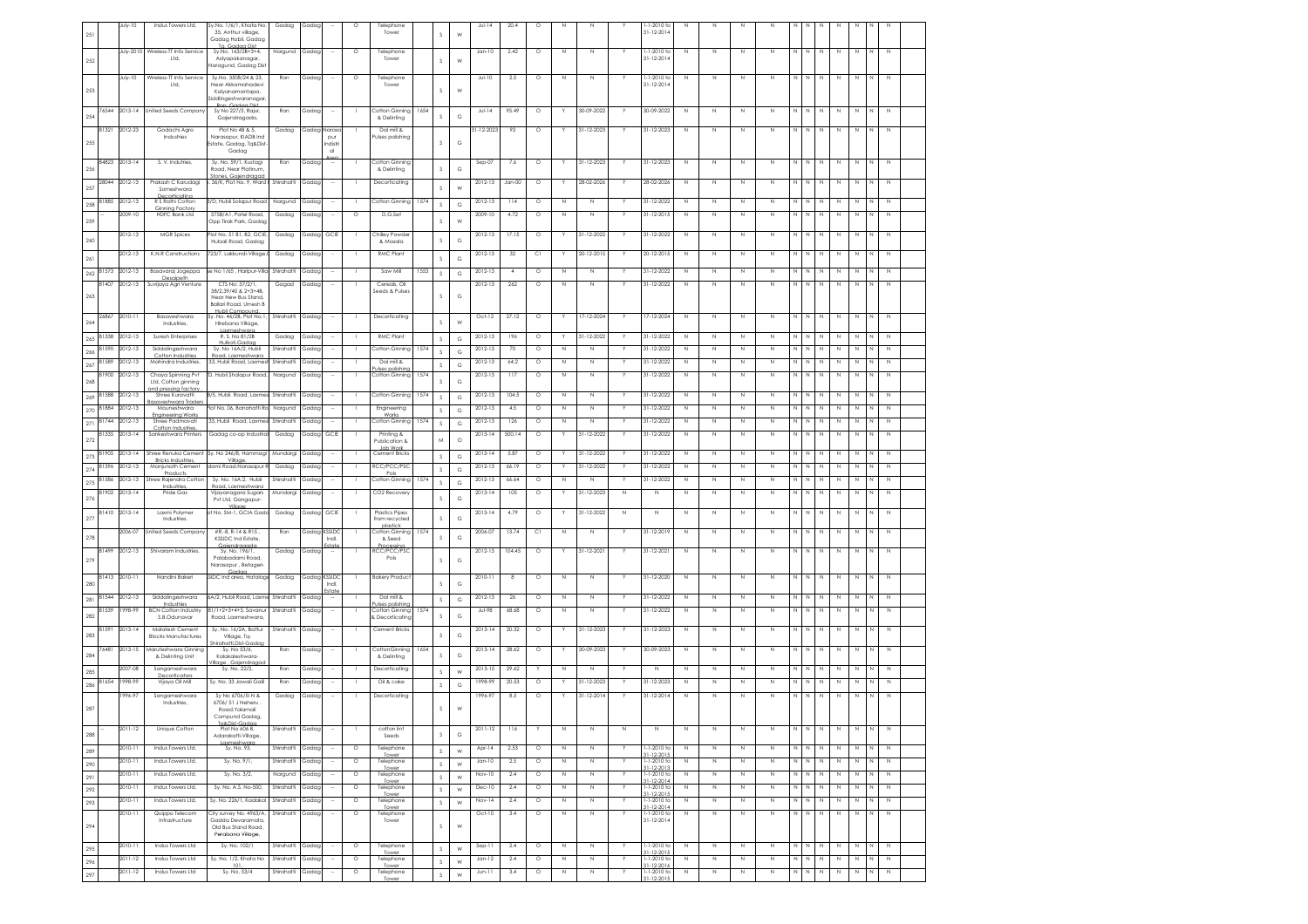| 251        |                | July-10                | Indus Towers Ltd,                                             | Sy.No. 1/6/1, Khata No.<br>35. Anthur village.<br>Gadag Hobli, Gadag                    | Gadag                   | Gadac          |                        | $\circ$            | Telephone<br>Tower                             |      | S.               | W               | $JU - 14$              | 20.4           | $\circ$            |                            |                          |    | $-1-2010$ to<br>$31 - 12 - 2014$              | N                          |                             |                            |                            |                        |                             |                  |                  |        |                            |  |
|------------|----------------|------------------------|---------------------------------------------------------------|-----------------------------------------------------------------------------------------|-------------------------|----------------|------------------------|--------------------|------------------------------------------------|------|------------------|-----------------|------------------------|----------------|--------------------|----------------------------|--------------------------|----|-----------------------------------------------|----------------------------|-----------------------------|----------------------------|----------------------------|------------------------|-----------------------------|------------------|------------------|--------|----------------------------|--|
| 252        |                | July-2010              | Wireless-TT Info Service<br>Ltd.                              | Godga Dis<br>Sy.No. 163/2B+3+4,<br>Adyapakanagar,                                       | Nargund                 | Gadag          |                        | $\circ$            | Telephone<br>Tower                             |      | $\mathcal{S}$    | W               | $Jan-10$               | 2.42           | $\circ$            | N                          | $\mathbb{N}$             |    | 1-1-2010 to<br>$31 - 12 - 2014$               | N                          | N                           | N                          | N                          | N                      | N<br>N                      | N                | N                |        | N                          |  |
|            |                | July-10                | Wireless-TT Info Service<br>Ltd,                              | <b>Varagund, Gadag Dis</b><br>Sy.No. 3508/24 & 23,<br>Near Akkamahadevi                 | Ron                     | Gadag          |                        | $\circ$            | Telephone<br>Tower                             |      |                  |                 | JuH10                  | $2.5\,$        | $\circ$            | N                          | $\,$ N                   |    | $1 - 1 - 2010$ to<br>31-12-2014               | N                          | $\mathbb N$                 | N                          | $\mathbb N$                | N.                     | N<br>N                      | $\,$ N           | N                |        | $\,$ N                     |  |
| 253        |                |                        |                                                               | Kalyanamantapa,<br>iddlingeshwaranaga<br>P <sub>0</sub><br><b>Godon Dist</b>            |                         |                |                        |                    |                                                |      | s                | W               |                        |                |                    |                            |                          |    |                                               |                            |                             |                            |                            |                        |                             |                  |                  |        |                            |  |
| 254        |                |                        | 76544 2013-14 United Seeds Company                            | Sy No 227/3, Rajur,<br>Gajendragada,                                                    | Ron                     | Gadag          |                        |                    | Cotton Ginning<br>& Delinting                  | 1654 | S.               | G               | $J \cup \vdash$ 14     | 95.49          | $\circ$            |                            | 30-09-2022               |    | 30-09-2022                                    | N                          | N                           | N                          | N                          |                        | N                           | N                |                  |        | N                          |  |
| 255        | 81321          | 2012-23                | Godachi Agro<br>Industries                                    | Plot No 4B & 5,<br>Narasapur, KIADB Ind<br>state, Gadag, Tg&Dist                        | Gadag                   | Gadap          | Naras<br>pur<br>Indist |                    | Dal mill &<br>Pulses polishing                 |      | $\mathcal{S}$    | G               | $1 - 12 - 2023$        | 93             | $\circ$            |                            | 31-12-2023               |    | 31-12-2023                                    | N                          | N                           | N                          | N                          | N.                     | N                           | N                | N                |        | N                          |  |
| 256        | 84823          | 2013-14                | S. V. Indutries,                                              | Gadag<br>Sy. No. 59/1, Kustagi                                                          | Ron                     | Gada           |                        |                    | Cotton Ginning                                 |      | S                | G               | $Sep-07$               | 7.6            | $\circ$            | Y                          | 31-12-2023               | Y. | 31-12-2023                                    | N                          | N                           | $\mathbb N$                | N                          | N                      | N<br>N                      | N                | N                |        | $\mathbb N$                |  |
|            | 28044          | 2012-13                | Prakash C Karudagi                                            | Road, Near Platinum<br>ones Gaiendraga<br>. 36/K, Plot No. 9, Ward I                    | Shirahatti              | Gadag          |                        |                    | & Delinting<br>Decorticating                   |      |                  | W               | 2012-13                | $Jan-00$       | $\circ$            |                            | 28-02-2026               |    | 28-02-2026                                    | N                          | N                           | $\mathbb N$                | N                          | N                      | N<br>N                      | $\mathbb N$      | N                | N      | $\,$ N                     |  |
| 257<br>258 | 81885          | 2012-13                | Someshwara<br>Decorticatina<br>R S Rathi Cotton               | 3/D, Hubli Solapur Road                                                                 | Nargund                 | Gadag          |                        |                    | Cotton Ginning                                 | 1574 | $\mathbb S$      | $_{\rm G}$      | 2012-13                | 114            | $\circ$            | N                          | N                        |    | 31-12-2022                                    | N                          | N                           | N                          | N                          |                        |                             | N                | N                |        | N                          |  |
| 259        |                | 2009-10                | Ginning Factor<br><b>HDFC Bank Ltd</b>                        | 3758/A1. Patel Road.<br>Opp Tirak Park, Gada;                                           | Gadag                   | Gadap          |                        | $\circ$            | D.G.Set                                        |      | s                | W               | 2009-10                | 4.72           | $\circ$            | $\mathbb N$                | $\mathbb N$              |    | 31-12-2015                                    | N                          | $\mathbb{N}$                | $\mathbb N$                | $\mathbb N$                | N                      | N<br>N                      | $\mathbb N$      | N                | N      | $\,$ N                     |  |
|            |                | 2012-13                | <b>MGR</b> Spices                                             | lot No. 51 B1, B2, GCIE                                                                 | Gadag                   | Gadag          | GCIE                   |                    | Chilley Powde                                  |      | s                |                 | 2012-13                | 17.15          | $\circ$            |                            | 31-12-2022               |    | 31-12-2022                                    | N                          | N                           | N                          | $\mathbb N$                | N                      | N                           | N                | N                |        | N                          |  |
| 260<br>261 |                | 2012-13                | K.N.R Constructions                                           | Hubali Road, Gadag<br>723/7, Lakkundi-Village, 0                                        | Gadag                   | Gadac          |                        |                    | & Masala<br><b>RMC Plant</b>                   |      | s                | $_{\rm G}$<br>G | 2012-13                | - 32           | C1                 |                            | 20-12-2015               |    | 20-12-2015                                    | N                          | N                           | N                          | $\mathbb{N}$               | N                      | N.<br>N                     | N                | N                |        | N                          |  |
| 262        | 81573          | 2012-13                | Basavaraj Jogeppa                                             | se No 1/65 , Haripur-Villa                                                              | Shirahatti              | Gada           |                        |                    | Saw Mill                                       | 1553 | s                | G               | 2012-13                | $\overline{4}$ | $\circ$            | $\mathbb N$                | $\mathbb N$              |    | 31-12-2022                                    | N                          | $\mathbb{N}$                | N                          | $\mathbb N$                |                        | N<br>N                      | $\mathbb N$      | $\mathbb N$      |        | N                          |  |
|            | 8140           | 2012-13                | Desginett<br>Suvijaya Agri Venture                            | CTS No: 37/2/1,<br>38/2,39/40 & 2+3+4B,                                                 | Gagad                   | Gada           |                        |                    | Cereals, Oil<br>Seeds & Pulses                 |      |                  |                 | 2012-13                | 262            | $\circ$            | N                          | N                        |    | 31-12-2022                                    | Ν                          | N                           | N                          | N                          | N                      | N                           | N                | N                |        | N                          |  |
| 263        |                |                        |                                                               | Near New Bus Stand,<br>Ballari Road, Umesh B                                            |                         |                |                        |                    |                                                |      | s.               | G               |                        |                |                    |                            |                          |    |                                               |                            |                             |                            |                            |                        |                             |                  |                  |        |                            |  |
| 264        | 2686           | 2010-11                | Basaveshwara<br>Industries,                                   | y. No. 46/2B, Plot No.1<br>Hirebana Village,                                            | Shirahatti              | Gadag          |                        |                    | Decorticating                                  |      | S                | W               | Oct-12                 | 27.12          | $\circ$            |                            | 17-12-2024               |    | 17-12-2024                                    | N                          | N                           | N                          | N                          |                        | N                           | N                | N                |        | N                          |  |
| 265        | 81338          | 2012-13                | Suresh Enterprises                                            | Laxmeshwara<br>R. S. No 81/2B<br>Hulkoti Godoc                                          | Gadag                   | Gadag          |                        |                    | RMC Plant                                      |      | s                | G               | 2012-13                | 196            | $\circ$            | Y                          | 31-12-2022               |    | 31-12-2022                                    | $\mathbb N$                | N                           | $\mathbb N$                | $\mathbb N$                |                        | N<br>N                      | $\mathbb N$      | N                |        | N                          |  |
| 266        | 81590<br>81589 | 2012-13<br>2012-13     | Siddalingeshwara<br>Cotton Industries<br>Mahindra Industries. | Sy. No 16A/2, Hubli<br>Road, Laxmeshward<br>33, Hubli Road, Laxmes                      | Shirahatti<br>Shirahatt | Gada<br>Gadag  |                        |                    | Cotton Ginning<br>Dal mill &                   | 1574 | s                | G               | 2012-13<br>2012-13     | 70<br>64.2     | $\circ$<br>$\circ$ | N<br>N                     | N<br>$\mathbb N$         |    | 31-12-2022<br>31-12-2022                      | N<br>Ν                     | N<br>Ν                      | N<br>N                     | N<br>N                     | N                      | N                           | N<br>N           | N<br>Ν           |        | N<br>$\,$ N                |  |
| 267        | 81900          | 2012-13                | Chaya Spinning Pvt                                            | D, Hubli Sholapur Road,                                                                 | Nargund                 | Gadag          |                        | -1                 | ses polishir<br>Cotton Ginning 1574            |      | s                | G               | 2012-13                | 117            | $\circ$            | $\mathbb N$                | $\mathbb{N}$             | Y  | 31-12-2022                                    | $\mathbb N$                | N                           | $\mathbb N$                | $\mathbb N$                | N<br>N                 | N                           | $\mathbb N$      | $\mathbb N$      |        | N                          |  |
| 268<br>269 | 81588          | 2012-13                | Ltd. Cotton ainning<br>nd pressing factor<br>Shree Kuravatti  | 8/5, Hubli Road, Laxm                                                                   | Shirahatt               | Gadag          |                        |                    | Cotton Ginning                                 | 1574 | s<br>s           | G<br>$_{\rm G}$ | 2012-13                | 104.5          | $\circ$            | N                          | $\mathbb N$              |    | 31-12-2022                                    | N                          | $\mathbb N$                 | $\,$ N                     | $\mathbb N$                |                        | Ν                           | N                | N                |        | $\,$ N                     |  |
|            | 270 81884      | 2012-13                | aveshwara Trade<br>Mouneshwara<br><b>Engineering Works</b>    | Plot No. 06, Banahatti Ra                                                               | Nargund                 | Gadag          |                        |                    | Engineering<br>Works                           |      | $\mathsf S$      | G               | 2012-13                | 4.5            | $\circ$            | N                          | $\mathbb{N}$             |    | 31-12-2022                                    | $\mathbb N$                | N                           | N                          | $\mathbb N$                |                        | N                           | N                | Ν                |        | N                          |  |
| 271        | 81744          | 2012-13                | Shree Padmavati<br>Cotton Industries,                         | 33, Hubli Road, Laxme                                                                   | Shirahatt               | Gada           |                        |                    | Cotton Ginning                                 | 1574 | s                | G               | 2012-13                | 126            | $\circ$            | $\mathbb N$                | $\mathbb N$              |    | 31-12-2022                                    | N                          | N                           | $\mathbb N$                | $\mathbb N$                | N                      | N                           | $\mathbb N$      | $\mathbb N$      |        | N                          |  |
| 272        | 81335          | 2013-14                | Sankeshwara Printers                                          | Gadag co-op Industria                                                                   | Gadag                   | Gadag          | GCIE                   |                    | Printing &<br>Publication &<br><b>Job Work</b> |      | M                | $\circ$         | 2013-14                | 500.14         | $\circ$            |                            | 31-12-2022               |    | 31-12-2022                                    | $\mathbb N$                | N                           | $\mathbb N$                | $\mathbb N$                | N                      | N<br>N                      | N                | $\mathbb N$      | N      | N                          |  |
| 273        | 81905<br>81396 | $2013 - 14$<br>2012-13 | Shree Renuka Cement<br>Bricks Industries,<br>Manjunath Cement | Sy. No 246/8, Hammagi<br>Village.<br>dami Road.Narasapur                                | Mundargi<br>Gadag       | Gada<br>Gada   |                        |                    | Cement Bricks<br>RCC/PCC/PSC                   |      | s                | G               | $2013 - 14$<br>2012-13 | 5.87<br>66.19  | $\circ$<br>$\circ$ |                            | 31-12-2022<br>31-12-2022 |    | 31-12-2022<br>31-12-2022                      | $\mathbb N$<br>$\mathbb N$ | Ν<br>N                      | $\mathbb N$<br>$\mathbb N$ | $\mathbb N$<br>$\mathbb N$ | N                      | N<br>N<br>N                 | $\mathbb N$<br>N | N<br>$\mathbb N$ | N      | $\mathbb N$<br>$\mathbb N$ |  |
| 274<br>275 | 81586          | 2012-13                | Products<br>Shree Rajendra Cottor                             | Sy. No. 16A:2, Hubli                                                                    | Shirahatti              | Gada           |                        |                    | Cotton Ginning                                 | 1574 | S<br>s           | G<br>G          | 2012-13                | 66.64          | $\circ$            | N                          | $\mathbb N$              |    | 31-12-2022                                    | N                          | N                           | N                          | N                          | N                      | N                           | N                | N                |        | N                          |  |
| 276        | 81902          | 2013-14                | Industries<br>Pride Gas                                       | Road, Laxmeshward<br>Vijayanagara Sugars<br>Pvt Ltd, Gangapur-                          | Mundargi                | Gadap          |                        |                    | CO2 Recovery                                   |      | $\mathcal{S}$    | G               | $2013 - 14$            | 105            | O                  |                            | 31-12-2023               | Ν  | Ν                                             | Ν                          | Ν                           | Ν                          | N                          |                        |                             | N                | Ν                |        | $\,N\,$                    |  |
| 277        | 81410          | 2013-14                | Laxmi Polyme<br>Industries.                                   | Villag<br>t No. SM-1, GCIA Gado                                                         | Gadag                   | Gadap          | GCIE                   |                    | <b>Plastics Pipes</b><br>from recycled         |      | S                | G               | $2013 - 14$            | 4.79           | $\circ$            |                            | 31-12-2022               | Ν  | N                                             | N                          | Ν                           | N                          | N                          |                        |                             | N                | N                |        | N                          |  |
| 278        |                | 2006-07                | Inited Seeds Compan                                           | #R.-8, R-14 & R15<br><b>KSSIDC Ind Estate</b>                                           | Ron                     | Gadap          | <b>CSSID</b><br>Indi.  |                    | plastick<br>Cotton Ginning<br>& Seed           | 1574 | s                | $_{\rm G}$      | 2006-07                | 13.74          | C1                 | N                          | $\mathbb{N}$             |    | 31-12-2019                                    | $\mathbb N$                | $\mathbb{N}$                | N                          | N                          | N                      | N<br>N                      | $\mathbb N$      | N                |        | N                          |  |
| 279        | 81499          | 2012-13                | Shivaram Industries                                           | Gaiendragade<br>Sy. No. 196/1,<br>Palabadami Road                                       | Gadag                   | Gadap          | ÷                      |                    | RCC/PCC/PSC<br>Pols                            |      | s                | G               | 2012-13                | 104.45         | $\circ$            |                            | 31-12-2021               | Y  | 31-12-2021                                    | $\mathbb N$                | $\mathsf{N}\xspace$         | $\mathbb N$                | $\mathbb N$                | N                      | N<br>$\mathbb{N}$           | $\mathbb N$      | $\mathbb N$      |        | N                          |  |
| 280        | 81413          | 2010-11                | Nandini Baker                                                 | Narasapur , Betageri<br>SIDC Ind area, Hatalage                                         | Gadag                   | Gadag          | KSSID<br>Indi.         |                    | <b>Bakery Product</b>                          |      | S                | G               | 2010-11                | -8             | $\circ$            | N                          | N                        | Y  | 31-12-2020                                    | N                          | N                           | N                          | N                          | N.                     |                             | N                | N                |        | N                          |  |
| 281        | 81544          | 2012-13                | Siddalingeshwara<br>Industries                                | 6A/2, Hubli Road, Laxn                                                                  | Shirahatti              | Gadag          |                        |                    | Dal mill &<br>ulses polishir                   |      | S                | G               | 2012-13                | 26             | $\circ$            | $\mathbb N$                | $\mathbb N$              | Y  | 31-12-2022                                    | $\mathbb N$                | $\mathbb N$                 | N                          | $\mathbb N$                |                        | N<br>N                      | $\,$ N           | N                | N      | N                          |  |
| 282        | 81539          | 998-99                 | <b>BCN Cotton Industriy</b><br>S.B.Odunavar                   | 31/1+2+3+4+5, Savanur<br>Road, Laxmeshwara                                              | Shirahatti              | Gadap          |                        |                    | Cotton Ginning<br>& Decorticating              | 1574 | s                | G               | <b>Jul-98</b>          | 68.68          | $\circ$            | N                          | N                        | Y  | 31-12-2022                                    | Ν                          | N                           | N                          | N                          | N<br>N                 | N                           | $\mathbb N$      | N                |        | N                          |  |
| 283        | 81591          | 2013-14                | Malatesh Cement<br><b>Blocks Manufactures</b>                 | Sy. No. 16/2A, Battur<br>Vilage, Tq-                                                    | Shirahatti              | Gadag          |                        |                    | Cement Bricks                                  |      | s                | G               | 2013-14                | 20.32          | $\circ$            |                            | 31-12-2023               |    | 31-12-2023                                    | $\mathbb N$                | N                           | $\mathbb N$                | N                          | N                      | N<br>N                      | $\mathbb N$      | N                |        | $\,$ N                     |  |
| 284        | 7648           | 2013-15                | Maruteshwara Ginning<br>& Delinting Unit                      | rahatti.Dist-Gad<br>Sy. No 53/6,<br>Kalakaleshwara-                                     | Ron                     | Gada           |                        |                    | CottonGinning<br>& Delinting                   | 1654 | s                | G               | 2013-14                | 28.62          | $\circ$            |                            | 30-09-2023               |    | 30-09-2023                                    | $\mathbb N$                | N                           | $\mathbb N$                | N                          | N                      | N                           | $\mathbb N$      | N                |        | N                          |  |
| 285        |                | 2007-08                | Sangameshwara<br>Decorticators                                | Gaiendrage<br>llage<br>Sy. No. 22/2,                                                    | Ron                     | Gadap          |                        |                    | Decorticating                                  |      | -S               | W               | 2013-15                | 29.62          |                    | N                          | $\mathbb{N}$             |    | $\mathbb N$                                   | N                          | $\mathbb N$                 | N                          | N                          |                        |                             | N                |                  |        | N                          |  |
| 286        | 81654          | 1998-99                | Vijaya Oil Mill                                               | Sy. No. 33 Jawali Gall                                                                  | Ron                     | Gada           |                        |                    | Oil & cake                                     |      | s.               | G               | 1998-99                | 20.53          | $\circ$            |                            | 31-12-2023               |    | 31-12-2023                                    | $\mathbb N$                | N                           | N                          | N                          | N                      | N                           | $\mathbb N$      | N                |        | $\,$ N                     |  |
| $287\,$    |                | 1996-97                | Sangameshwara<br>Industries,                                  | Sy No 6706/5IN &<br>6706/ 51 J Neheru<br>Road, Yalamali                                 | Gadag                   | Gadap          |                        |                    | Decorticating                                  |      | s                | W               | 1996-97                | 8.5            | $\circ$            |                            | 31-12-2014               |    | $31 - 12 - 2014$                              | N                          | N                           | N                          | N                          | N                      | N                           | $\mathbb N$      | N                |        | N                          |  |
| 288        |                | 2011-12                | Unique Cotton                                                 | Lompuna Gaaag,<br>Ta&Dist-Gadac<br>Adarakatti-Village,                                  | Shirahatti              | Gadap          |                        |                    | cotton lint<br>Seeds                           |      | S                | G               | 2011-12                | 116            |                    | $\mathbb N$                | N                        | N  | $\mathbb N$                                   | N                          | N                           | N                          | $\mathbb N$                | N                      | N                           | $\mathbb N$      | $\mathbb N$      | N      | N                          |  |
| 289        |                | 2010-11                | Indus Towers Ltd,                                             | Laxmeshwar<br>Sy. No. 93,                                                               | Shirahatti              | Gadag          | $\sim$                 | $\circ$            | Telephone<br>Tower                             |      | $\mathsf S$      | W               | Apr-14                 | 2.53           | $\circ$            | $\,$ N                     | $\,$ N                   | Y  | $1 - 1 - 2010$ to<br>31-12-2015               | $\,$ N                     | $\mathbb N$                 | N                          | $\mathbb N$                | N                      | $\mathbb{N}$<br>$\mathbb N$ | $\,N\,$          | $\mathbb N$      | N      | $\,$ N                     |  |
| 290        |                | 2010-11<br>2010-11     | Indus Towers Ltd,                                             | Sy. No. 9/1,                                                                            | Shirahatti              | Gadap          |                        | $\circ$<br>$\circ$ | Telephone<br>Tower                             |      | $\mathsf S$      | W               | $Jan-10$               | 2.5            | $\circ$            | $\mathbb N$                | N                        |    | 1-1-2010 to<br>31-12-2013<br>1-1-2010 to      | N                          | $\mathbb N$<br>$\mathbb{N}$ | N<br>N                     | $\mathbb N$<br>N           | N<br>$\mathbb{N}$<br>N | N<br>N<br>N                 | $\mathbb N$<br>N | N                |        | N                          |  |
| 291<br>292 |                | 2010-11                | Indus Towers Ltd,<br>Indus Towers Ltd.                        | Sy. No. 3/2,<br>Sv. No. A.S. No-500.                                                    | Nargund<br>Shirahatti   | Gadap<br>Gadac |                        | $\circ$            | Telephone<br>Tower<br>Telephone                |      | S<br>$\mathsf S$ | W<br>W          | Nov-10<br>Dec-10       | 2.4<br>2.4     | $\circ$<br>$\circ$ | $\mathbb N$<br>$\mathbb N$ | $\mathbb N$<br>N         | Y. | 31-12-2014<br>1-1-2010 to                     | N<br>N                     | N                           | N                          | N                          | N                      | N<br>N                      | N                | N<br>N           | N<br>N | $\mathbb N$<br>$\mathbb N$ |  |
| 293        |                | 2010-11                | Indus Towers Ltd,                                             | Sy. No. 226/1, Kadako                                                                   | Shirahatt               | Gadap          |                        | $\circ$            | Tower<br>Telephone<br>Tower                    |      | $\mathsf S$      | W               | Nov-14                 | 2.4            | $\circ$            | $\mathbb N$                | $\,$ N                   |    | 31-12-2015<br>1-1-2010 to<br>$31 - 12 - 2014$ | Ν                          | N                           | N                          | $\mathbb N$                | N                      | N<br>$\mathbb N$            | N                | N                |        | N                          |  |
| 294        |                | 2010-11                | Quippo Telecom<br>Infrastructure                              | City survey No. 4963/A.<br>Gadda Devaramata<br>Old Bus Stand Road.<br>Perabana Village, | Shirahatti              | Gadag          |                        | $\circ$            | Telephone<br>Tower                             |      | s                | W               | $Oct-10$               | 3.4            | $\circ$            | $\mathbb N$                | $\mathbb N$              |    | 1-1-2010 to<br>$31 - 12 - 2014$               | Ν                          | $\mathbb N$                 | N                          | N                          | N                      | N<br>N                      | $\,N\,$          | N                | N      | $\mathbb N$                |  |
| 295        |                | 2010-11                | Indus Towers Ltd                                              | Sy. No. 102/1                                                                           | Shirahatti              | Gadag          |                        | $\circ$            | Telephone<br>Tower                             |      | $\mathsf S$      | W               | Sep-11                 | 2.4            | $\circ$            | $\,$ N                     | $\,$ N                   |    | 1-1-2010 to<br>$31 - 12 - 2015$               | N                          | $\mathbb N$                 | N                          | N                          |                        | N<br>N                      | $\,$ N           | N                |        | $\,$ N                     |  |
| 296        |                | 2011-12                | Indus Towers Ltd<br>Indus Towers Ltd                          | Sy. No. 1/2, Khata No<br>101                                                            | Shirahatti              | Gadap          |                        | $\circ$            | Telephone<br>Tower                             |      | $\mathsf S$      | W               | $Jan-12$               | 2.4            | $\circ$            | $\mathbb N$                | N                        | Y  | 1-1-2010 to<br>31-12-2016                     | N                          | $\mathbb N$                 | N                          | $\mathbb N$                | N<br>N                 | N                           | $\mathbb N$      | $\mathbb N$      | N      | N                          |  |
| 297        |                | 2011-12                |                                                               | Sy. No. 53/4                                                                            | Shirahatti              | Gadag          |                        | $\circ$            | Telephone<br>Tower                             |      | $\mathsf S$      | W               | $Jun-11$               | 3.4            | $\circ$            | $\,$ N                     | $\mathbb N$              |    | 1-1-2010 to<br>1-12-201                       | N                          | $\mathbb{N}$                | N                          | $\mathbb N$                | Ν                      | N<br>$\mathbb N$            | N                | N                | N      | $\,$ N                     |  |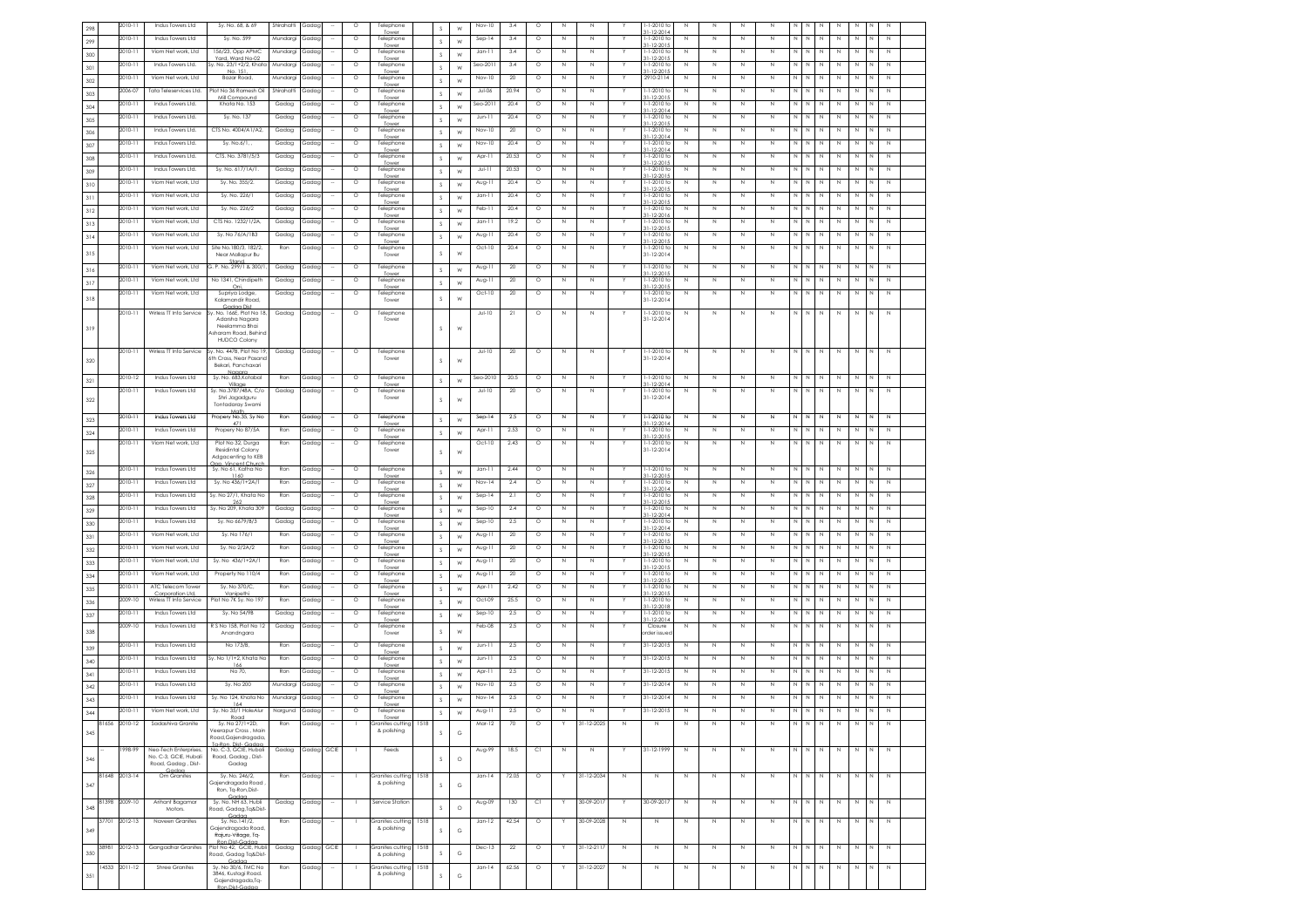| 298 |       | 2010-11       | Indus Towers Ltd                               | Sy. No. 68, & 69                            | Shirahatt | Gadag      | $\circ$ | Telephone<br>Towe               |      | s             | W          | Nov-10   | 3.4     | $\circ$ | Ν            | N            |             | 1-2010 to                         | N           | N            | N           | N            |                         |                                      |             |                |             |                |                     |  |
|-----|-------|---------------|------------------------------------------------|---------------------------------------------|-----------|------------|---------|---------------------------------|------|---------------|------------|----------|---------|---------|--------------|--------------|-------------|-----------------------------------|-------------|--------------|-------------|--------------|-------------------------|--------------------------------------|-------------|----------------|-------------|----------------|---------------------|--|
| 299 |       | 2010-11       | Indus Towers Ltd                               | Sy. No. 599                                 | Mundargi  | Gadac      | $\circ$ | Telephone                       |      | s             | W          | Sep-14   | 3.4     | $\circ$ | $\mathbb{N}$ | $\mathbb{N}$ |             | 1-1-2010 to                       | N           | N            | N           | $\mathbb N$  | N                       | IN.                                  | N           | N              | N           |                | N                   |  |
| 300 |       | 2010-11       | Viom Net work, Ltd                             | 156/23, Opp APMC                            | Mundargi  | Gadag      | $\circ$ | Tower<br>Telephone              |      | s             | W          | $Jan-11$ | 3.4     | $\circ$ | N            | $\mathbb N$  |             | $1 - 12 - 201$<br>$-1 - 2010$ to  | N           | $\mathbb N$  | N           | $\mathbb N$  | N                       | N                                    | $\mathbb N$ | N              | N           |                | N                   |  |
| 301 |       | 2010-11       | Indus Towers Ltd.                              | Yard, Ward No-02<br>Sy. No. 23/1+2/2, Khata | Mundargi  | Gadap      | $\circ$ | Tower<br>Telephone              |      | s             | W          | Seo-2011 | 3.4     | $\circ$ | $\mathbb N$  | N            |             | $1 - 12 - 201$<br>1-1-2010 to     | Ν           | $\mathbb N$  | N           | N            | N N                     |                                      | N           | $\mathbb N$    | N           |                | $\mathbb N$         |  |
| 302 |       | 2010-11       | Viom Net work, Ltd                             | No. 151<br>Bazar Road,                      | Mundargi  | Gadag      | $\circ$ | Tower<br>Telephone              |      | s             |            | Nov-10   | 20      | $\circ$ | N            | N            |             | $1 - 12 - 201$<br>2910-2114       | N           | N            | N           | N            | N   N                   |                                      | N           | N              | N           |                | N                   |  |
|     |       | 2006-07       |                                                | Plot No 36 Ramesh Oi                        | Shirahatt |            | $\circ$ | Tower                           |      |               | W          |          | 20.94   |         | $\mathbb N$  | $\mathbb N$  |             |                                   | Ν           | N            |             | $\mathbb N$  | N                       | N                                    | $\mathbb N$ | N              | N           |                | $\mathbb N$         |  |
| 303 |       |               | Tata Teleservices Ltd.                         | Mill Compour                                |           | Gadag      |         | Telephone                       |      | s             | W          | Jul-06   |         | $\circ$ |              |              |             | $-1 - 2010$ to                    |             |              | N           |              |                         |                                      |             |                |             |                |                     |  |
| 304 |       | 2010-11       | Indus Towers Ltd.                              | Khata No. 153                               | Gadag     | Gadag      | $\circ$ | Telephone<br>Tower              |      | s             | W          | Seo-2011 | 20.4    | $\circ$ | $\mathbb{N}$ | $\mathbb N$  |             | 1-1-2010 to<br>$1 - 12 - 201$     | N           | N            | N           | N            | N I N                   |                                      | $\mathbb N$ | N              | N           |                | N                   |  |
| 305 |       | 2010-11       | Indus Towers Ltd.                              | Sy. No. 137                                 | Gadag     | Gadap      | $\circ$ | Telephone<br>Tower              |      | S.            | W          | $Jun-11$ | 20.4    | $\circ$ | $\mathbb N$  | $\mathbb N$  |             | $-1 - 2010$ to<br>$-12 - 201$     | N           | $\mathbb N$  | N           | $\mathbb N$  | $\mathbb N$             | N                                    | $\mathbb N$ | $\mathbb N$    | N           |                | $\mathbb N$         |  |
| 306 |       | 2010-11       | Indus Towers Ltd.                              | CTS No. 4004/A1/A2,                         | Gadag     | Gadag      | $\circ$ | Telephone<br>Town               |      | s             | W          | Nov-10   | 20      | $\circ$ | $\mathbb N$  | $\mathbb N$  |             | 1-1-2010 to<br>$1 - 12 - 201$     | Ν           | $\,N\,$      | N           | $\mathbb N$  | N N                     |                                      | $\mathbb N$ | N              | N           |                | $\mathbb N$         |  |
| 307 |       | 2010-11       | Indus Towers Ltd.                              | Sy. No.6/1,                                 | Gadag     | Gadac      | $\circ$ | Telephone                       |      | s             | W          | Nov-10   | 20.4    | $\circ$ | N            | N            |             | $-1-2010$ to                      | N           | N            | N           | $\mathbb N$  | N N                     |                                      | N           | N              | N           |                | N                   |  |
| 308 |       | 2010-11       | Indus Towers Ltd.                              | CTS. No. 3781/5/3                           | Gadag     | Gadag      | $\circ$ | Tower<br>Telephone              |      | s             | W          | Apr-11   | 20.53   | $\circ$ | $\mathbb N$  | $\mathbb N$  |             | $-12-201$<br>-1-2010 to           | Ν           | $\mathbb N$  | Ν           | $\mathbb N$  | N                       | N                                    | $\mathbb N$ | N              | N           |                | $\mathbb N$         |  |
| 309 |       | 2010-11       | Indus Towers Ltd.                              | Sy. No. 617/1A/1.                           | Gadag     | Gadag      | $\circ$ | Telephone                       |      | $\mathcal{S}$ | W          | $JU$ -11 | 20.53   | $\circ$ | $\mathbb N$  | $\mathbb N$  |             | $12 - 201$<br>1-1-2010 to         | N           | N            | N           | N            | N                       | IN.                                  | N           | N              | N           |                | N                   |  |
|     |       | 2010-11       | Viom Net work, Ltd.                            | Sy. No. 355/2.                              | Gadag     | Gadap      | $\circ$ | Tower<br>Telephone              |      |               |            | Aug-11   | 20.4    | $\circ$ | $\mathbb N$  | $\mathbb N$  |             | $1 - 12 - 201$<br>$-1 - 2010$ to  | N           | $\mathbb N$  | N           | $\mathbb N$  | $\mathbb N$             | N                                    | $\mathbb N$ | $\mathbb N$    | N           |                | $\mathbb N$         |  |
| 310 |       |               |                                                |                                             |           |            |         | Tower                           |      | s.            | W          |          |         |         |              |              |             | $-12-201$                         |             |              |             |              |                         |                                      |             |                |             |                |                     |  |
| 311 |       | 2010-11       | Viom Net work, Ltd                             | Sy. No. 226/1                               | Gadag     | Gadap      | $\circ$ | Telephone<br>Tower              |      | s             | W          | $Jan-11$ | 20.4    | $\circ$ | N            | N            |             | $1 - 1 - 2010$ to<br>31-12-2015   | N           | $\mathbb N$  | N           | $\mathbb N$  | N N                     |                                      | N           | N              | N           |                | $\mathbb N$         |  |
| 312 |       | 2010-11       | Viom Net work, Ltd                             | Sy. No. 226/2                               | Gadag     | Gadac      | $\circ$ | Telephone<br>Tower              |      | s             | W          | Feb-11   | 20.4    | $\circ$ | N            | N            |             | 1-1-2010 to<br>$-12-201$          | N           | N            | N           | N            | N                       | IN.                                  | N           | N              | N           |                | N                   |  |
| 313 |       | 2010-1        | Viom Net work, Ltd                             | CTS No. 1232/1/2A                           | Gadag     | Gadag      | $\circ$ | Telephone<br>Towe               |      | s             | W          | Jan-11   | 19.2    | $\circ$ | $\mathbb N$  | $\mathbb N$  |             | -1-2010 to                        | Ν           | N            | N           | $\mathbb N$  | Ν                       | N                                    | $\mathbb N$ | N              | N           |                | $\mathbb N$         |  |
| 314 |       | 2010-11       | Viom Net work, Ltd.                            | Sv. No 76/A/1B3                             | Gadag     | Gadag      | $\circ$ | Telephone                       |      | $\mathcal{S}$ | W          | Aug-11   | 20.4    | $\circ$ | $\mathbb{N}$ | $\mathbb N$  |             | 1-1-2010 to                       | N           | N            | N           | N            | N I N                   |                                      | N           | N              | N           |                | N                   |  |
|     |       | 2010-11       | Viom Net work, Ltd.                            | Site No.180/3, 182/2,                       | Ron       | Gadag      | $\circ$ | Tower<br>Telephone              |      |               |            | $Oct-10$ | 20.4    | $\circ$ | $\mathbb N$  | $\mathbb N$  |             | $1 - 12 - 2015$<br>$-1 - 2010$ to | Ν           | $\mathbb N$  | N           | $\mathbb N$  | $\mathbb N$             | N                                    | $\mathbb N$ | $\mathbb N$    | $\mathbb N$ |                | $\,$ N              |  |
| 315 |       |               |                                                | Near Mallapur Bu<br>Stand                   |           |            |         | Tower                           |      | s.            | W          |          |         |         |              |              |             | 31-12-2014                        |             |              |             |              |                         |                                      |             |                |             |                |                     |  |
| 316 |       | 2010-11       | Viom Net work, Ltd                             | G. P. No. 299/1 & 300/1                     | Gadag     | Gadag      | $\circ$ | Telephone<br>Tower              |      | $\mathcal{S}$ | W          | Aug-11   | -20     | $\circ$ | $\mathbb N$  | $\mathbb{N}$ |             | $-1-2010$ to<br>$1 - 12 - 2015$   | N           | N            | N           | N            | NN                      |                                      | N           | $\mathbb N$    | N           |                | N                   |  |
| 317 |       | 2010-11       | Viom Net work, Ltd                             | No 1341, Chindipeth                         | Gadag     | Gadac      | $\circ$ | Telephone                       |      | s             | W          | Aug-11   | $20\,$  | $\circ$ | $\mathbb N$  | N            |             | $-1 - 2010$ to<br>$1 - 12 - 201$  | N           | $\mathbb N$  | N           | $\mathbb N$  | $\mathbb N$             | $\mathbb{N}$                         | $\mathbb N$ | N              | N           |                | $\mathbb N$         |  |
|     |       | 2010-11       | Viom Net work, Ltd                             | Oni<br>Supriya Lodge                        | Gadag     | Gadag      | $\circ$ | Tower<br>Telephone              |      |               |            | $Oct-10$ | 20      | $\circ$ | N            | N            |             | 1-1-2010 to                       | N           | $\mathbb N$  | N           | N            | $\mathbb{N}$            | N                                    | $\mathbb N$ | $\mathbb N$    | Ν           |                | $\mathbb N$         |  |
| 318 |       |               |                                                | Kalamandir Road,<br>Godoo Dist              |           |            |         | Tower                           |      | S.            | W          |          |         |         |              |              |             | 31-12-2014                        |             |              |             |              |                         |                                      |             |                |             |                |                     |  |
|     |       | 2010-11       | Wirless TT Info Service                        | y. No. 166E, Plot No 18,<br>Adarsha Nagara  | Gadag     | Gadag      | $\circ$ | Telephone<br>Tower              |      |               |            | JuH10    | 21      | $\circ$ | N            | $\mathbb N$  |             | $1 - 1 - 2010$ to<br>31-12-2014   | Ν           | $\mathbb N$  | N           | $\mathbb N$  |                         | $N$ $N$                              | $\,$ N      | $\,$ $\,$ $\,$ | N           |                | $\mathbb N$         |  |
| 319 |       |               |                                                | Neelamma Bhai                               |           |            |         |                                 |      |               | W          |          |         |         |              |              |             |                                   |             |              |             |              |                         |                                      |             |                |             |                |                     |  |
|     |       |               |                                                | Asharam Road, Behino<br>HUDCO Colony        |           |            |         |                                 |      |               |            |          |         |         |              |              |             |                                   |             |              |             |              |                         |                                      |             |                |             |                |                     |  |
|     |       | 2010-11       | Wirless TT Info Service                        | y. No. 447B, Plot No 19,                    | Gadag     | Gadag      | $\circ$ | Telephone                       |      |               |            | JuH10    | $20\,$  | $\circ$ | $\mathbb N$  | $\mathbb N$  |             | $-1 - 2010$ to                    | N           | $\mathbb N$  | N           | $\mathbb N$  |                         | $\,N\,$ $\,$ $\,$ N $\,$ $\,$ N $\,$ |             | $\,$ N         | N           |                | $\mathbb N$         |  |
| 320 |       |               |                                                | ith Cross, Near Pasan<br>Bekari, Panchaxari |           |            |         | Tower                           |      |               | W          |          |         |         |              |              |             | 31-12-2014                        |             |              |             |              |                         |                                      |             |                |             |                |                     |  |
|     |       |               |                                                | Noogra                                      |           |            |         |                                 |      |               |            |          |         |         |              |              |             |                                   |             |              |             |              |                         |                                      |             |                |             |                |                     |  |
| 321 |       | 2010-12       | Indus Towers Ltd                               | Sy. No. 683, Kotabal<br>Village             | Ron       | Gadac      | $\circ$ | Telephone<br>Tower              |      | s             | W          | Seo-2010 | 20.5    | $\circ$ | N            | N            |             | $-1 - 2010$ to<br>$-12-2014$      | N           | N            | N           | N            | N                       | N                                    | $\mathbb N$ | N              | N           |                | $\mathbb N$         |  |
| 322 |       | 2010-11       | Indus Towers Ltd                               | Sy. No.3787/48A, C/c<br>Shri Jagadguru      | Gadag     | Gadag      | $\circ$ | Telephone<br>Tower              |      |               | W          | JuH10    | 20      | $\circ$ | N            | N            |             | 1-1-2010 to<br>31-12-2014         | N           | $\mathbb N$  | N           | N            | N N                     |                                      | N           | $\mathbb N$    | N           | N.             | $\,$ N              |  |
|     |       |               |                                                | Tontadaray Swami<br>Mati                    |           |            |         |                                 |      |               |            |          |         |         |              |              |             |                                   |             |              |             |              |                         |                                      |             |                |             |                |                     |  |
| 323 |       | 2010-1        | indus Towers Ltd                               | Propery No.35, Sy No                        | Ron       | Gadag      | $\circ$ | Telephone                       |      | s             | W          | Sep-14   | 2.5     | $\circ$ | N            | N            |             | $-1-2010$ to                      | И           | N            | N           | N            |                         | N N                                  | N           | N              | N           |                | N                   |  |
| 324 |       | 2010-11       | Indus Towers Ltd                               | 471<br>Propery No 87/5A                     | Ron       | Gadag      | $\circ$ | Towe<br>Telephone               |      | s             | W          | Apr-11   | 2.53    | $\circ$ | $\mathbb{N}$ | $\mathbb N$  |             | 1-1-2010 to                       | N           | N            | N           | N            | N I N                   |                                      | $\mathbb N$ | $\mathbb N$    | N           |                | $\bar{\phantom{a}}$ |  |
|     |       | 2010-11       | Viom Net work, Ltd.                            | Plot No 32, Durga                           | Ron       | Gadag      | $\circ$ | Tower<br>Telephone              |      |               |            | $Oct-10$ | 2.43    | $\circ$ | $\mathbb N$  | N            |             | 1-12-201<br>1-1-2010 to           | N           | N            | N           | $\mathbb N$  | N                       | N                                    | $\mathbb N$ | N              | N           |                | N                   |  |
| 325 |       |               |                                                | Residintal Colony<br>Adgacenting to KEB     |           |            |         | Tower                           |      | s             | W          |          |         |         |              |              |             | 31-12-2014                        |             |              |             |              |                         |                                      |             |                |             |                |                     |  |
|     |       | 2010-11       | Indus Towers Ltd                               | Sy. No 61, Katha No                         | Ron       |            | $\circ$ | Telephone                       |      |               |            |          | 2.44    | $\circ$ |              |              |             | $-1 - 2010$ to                    |             |              |             |              |                         |                                      |             |                |             |                | N                   |  |
| 326 |       |               |                                                | 1160                                        |           | Gadac      |         | Tower                           |      | s.            | W          | Jan-11   |         |         | N            | N            |             | $-12-201$                         | N           | N            | N           | N            | N   N                   |                                      | N           | N              | N           |                |                     |  |
| 327 |       | 2010-11       | Indus Towers Ltd                               | Sy. No 436/1+2A/1                           | Ror       | Gadag      | $\circ$ | Telephone                       |      | s             | W          | Nov-14   | 2.4     | $\circ$ | $\mathbb N$  | $\mathbb N$  |             | -1-2010 to                        | N           | N            | Ν           | $\mathbb N$  | $N$ $N$                 |                                      | $\mathbb N$ | N              | N           |                | $\mathbb N$         |  |
| 328 |       | 2010-11       | Indus Towers Ltd                               | Sy. No 27/1, Khata No<br>262                | Ron       | Gadag      | $\circ$ | Telephone<br>Tower              |      | s             | W          | Sep-14   | 2.1     | $\circ$ | $\mathbb N$  | $\mathbb N$  |             | $-1-2010$ to<br>$31 - 12 - 201$   | N           | N            | N           | $\mathbb N$  | N                       | $\mathsf{N}$                         | $\mathbb N$ | N              | N           |                | N                   |  |
| 329 |       | 2010-11       | Indus Towers Ltd                               | Sy. No 209, Khata 309                       | Gadag     | Gadag      | $\circ$ | Telephone                       |      | s             | W          | $Sep-10$ | 2.4     | $\circ$ | N            | $\mathbb N$  |             | $-1-2010$ to<br>$12 - 201$        | N           | N            | N           | $\mathbb N$  | Ν                       | N                                    | $\mathbb N$ | N              | Ν           |                | $\mathbb N$         |  |
| 330 |       | 2010-11       | Indus Towers Ltd                               | Sy. No 6679/B/3                             | Gadag     | Gadag      | $\circ$ | Tower<br>Telephone              |      | S             | W          | $Sep-10$ | 2.5     | $\circ$ | $\mathbb N$  | $\mathbb N$  |             | 1-1-2010 to                       | $\mathbb N$ | $\,N\,$      | N           | $\mathbb N$  | N N                     |                                      | $\,N\,$     | $\,$ N         | N           | N              | $\mathbb N$         |  |
| 331 |       | 2010-11       | Viom Net work, Ltd                             | Sy. No 176/1                                | Ron       | Gadac      | $\circ$ | Telephone                       |      | $\mathcal{S}$ | W          | Aug-11   | 20      | $\circ$ | N            | N            |             | $1 - 12 - 201$<br>$-1-2010$ to    | N           | N            | N           | $\mathbb N$  | N                       | I N                                  | N           | N              | N           |                | N                   |  |
|     |       | 2010-11       | Viom Net work, Ltd                             | Sy. No 2/2A/2                               | Ror       | Gadag      | $\circ$ | Tower<br>Telephone              |      |               |            | Aug-11   | $20\,$  | $\circ$ | $\mathbb N$  | $\mathbb N$  |             | $-12-201$<br>-1-2010 to           | Ν           | $\mathbb N$  | Ν           | $\mathbb N$  | N                       | N                                    | $\mathbb N$ | N              | Ν           |                | N                   |  |
| 332 |       | 2010-11       | Viom Net work, Ltd                             | Sy. No 436/1+2A/                            | Ron       | Gadac      | $\circ$ | Telephone                       |      | s             | W          |          | 20      | $\circ$ | $\mathbb N$  | $\mathbb N$  |             | 1-1-2010 to                       | N           | N            | N           | $\mathbb N$  | N                       | IN.                                  | N           | N              | N           |                | N                   |  |
| 333 |       |               |                                                |                                             |           |            |         | Tower                           |      | s             | W          | Aug-11   |         |         |              |              |             | $1 - 12 - 201$                    |             |              |             |              |                         |                                      |             |                |             |                |                     |  |
| 334 |       | 2010-11       | Viom Net work, Ltd                             | Property No 110/4                           | Ron       | Gadac      | $\circ$ | Telephone<br>Tower              |      | s             | W          | Aug-11   | 20      | $\circ$ | N            | $\mathbb N$  |             | -1-2010 to<br>$-12-201$           | N           | N            | N           | $\mathbb N$  | N                       |                                      | $\mathbb N$ | N              | N           |                | $\mathbb N$         |  |
| 335 |       | 2010-11       | ATC Telecom Towe<br>Corporation Ltd.           | Sy. No 370/C,<br>Vanipeth                   | Ron       | Gadap      | $\circ$ | Telephone<br>Tower              |      | s             | W          | Apr-11   | 2.42    | $\circ$ | N            | N            |             | $1 - 1 - 2010$ to<br>11-12-201    | N           | $\mathbb N$  | N           | $\mathbb{N}$ | N N                     |                                      | $\mathbb N$ | N              | N           |                | $\mathbb N$         |  |
| 336 |       | 2009-10       | Wirless TT Info Service                        | Plot No 7K Sy. No 197                       | Ron       | Gadac      | $\circ$ | Telephone                       |      | $\mathcal{S}$ | W          | Oct-09   | 25.5    | $\circ$ | N            | N            |             | 1-1-2010 to<br>$-12-201$          | N           | N            | N           | N            | N   N                   |                                      | N           | N              | N           |                | N                   |  |
| 337 |       | 2010-1        | Indus Towers Ltd                               | Sy. No 54/9B                                | Gadag     | Gadag      | $\circ$ | Tower<br>Telephone              |      | s             | W          | $Sep-10$ | 2.5     | $\circ$ | $\mathbb N$  | $\mathbb N$  |             | -1-2010 to                        | Ν           | N            | N           | $\mathbb N$  | Ν                       | N                                    | $\mathbb N$ | N              | N           |                | $\mathbb N$         |  |
|     |       | 2009-10       | Indus Towers Ltd                               | R S No 158, Plot No 12                      | Gadag     | Gadac      | $\circ$ | Towe<br>Telephone               |      |               |            | Feb-08   | 2.5     | $\circ$ | $\mathbb{N}$ | $\mathbb N$  |             | $-12 - 201$<br>Closure            | N           | N            | N           | N            | N                       | N                                    | N           | $\mathbb N$    | N           |                | N                   |  |
| 338 |       |               |                                                | Anandngara                                  |           |            |         | Tower                           |      |               | W          |          |         |         |              |              |             | order issues                      |             |              |             |              |                         |                                      |             |                |             |                |                     |  |
| 339 |       | 2010-11       | Indus Towers Ltd                               | No 173/B                                    | Ron       | Gadag      | $\circ$ | Telephone                       |      | s             | W          | $Jun-11$ | 2.5     | $\circ$ | N            | $\mathbb N$  |             | 31-12-2015                        | Ν           | N            | Ν           | $\mathbb N$  | Ν                       | $\mathbb N$                          | N           | Ν              | N           |                | $\mathbb N$         |  |
| 340 |       | 2010-11       | Indus Towers Ltd                               | Sy. No 1/1+2, Khata Nc<br>166               | Ron       | Gadag      | $\circ$ | Telephone<br>Tower              |      | $\mathcal{S}$ | W          | $Jun-11$ | 2.5     | $\circ$ | $\mathbb N$  | $\mathbb{N}$ |             | 31-12-2015                        | N           | N            | N           | $\mathbb N$  | N I N                   |                                      | $\mathbb N$ | $\mathbb N$    | N           |                | $\mathbb N$         |  |
| 341 |       | 2010-11       | Indus Towers Ltd                               | No 70,                                      | Ron       | Gadag      | $\circ$ | Telephone                       |      | s             | W          | Apr-11   | 2.5     | $\circ$ | N            | $\mathbb N$  |             | 31-12-2015                        | N           | N            | N           | N            | N                       |                                      | $\mathbb N$ | N              | Ν           |                | $\mathbb N$         |  |
| 342 |       | 2010-11       | Indus Towers Ltd                               | Sy. No 200                                  | Mundargi  | Gadag      | $\circ$ | Tower<br>Telephone              |      | s             | W          | Nov-10   | 2.5     | $\circ$ | $\mathbb N$  | N            |             | $31 - 12 - 2014$                  | $\mathbb N$ | $\mathbb N$  | N           | $\mathbb N$  | N N                     |                                      | $\mathbb N$ | $\,$ N         | Ν           |                | $\mathbb N$         |  |
|     |       | 2010-11       | Indus Towers Ltd                               | Sy. No 124, Khata No                        | Mundargi  | Gadac      | $\circ$ | Town<br>Telephone               |      |               |            | Nov-14   | 2.5     | $\circ$ | $\mathbb N$  | $\mathbb N$  |             | $31 - 12 - 2014$                  | N           | $\mathbb N$  | N           | $\mathbb N$  | N I N                   |                                      | N           | N              | Ν           |                | $\mathbb N$         |  |
| 343 |       | 2010-11       | Viom Net work, Ltd                             | 164<br>Sy. No 35/1 HoleAlur                 | Nargund   | Gadag      | $\circ$ | Tower<br>Telephone              |      | $\mathcal{S}$ | W          | Aug-11   | $2.5\,$ | $\circ$ | $\mathbb N$  | $\mathbb N$  |             | 31-12-2015                        | N           | $\mathbb N$  | N           | $\,$ N       | $\mathbb{N}=\mathbb{N}$ |                                      | N           | N              | N           |                | $\mathbb N$         |  |
| 344 |       |               |                                                |                                             |           |            |         |                                 |      | $\mathsf S$   | W          |          |         |         |              |              |             |                                   |             |              |             |              |                         |                                      |             |                |             | $\overline{N}$ |                     |  |
| 345 |       | 81656 2010-12 | Sadashiva Granite                              | Sy. No 27/1+2D.<br>Veerapur Cross , Main    | Ron       | Gadaa      | - 1     | Granites cutting<br>& polishing | 1518 | $\mathcal{S}$ | G          | $Mar-12$ | 70      | $\circ$ |              | 31-12-2025   | $\mathbb N$ | $\mathbb N$                       | N           | N            | N           | $\mathbb N$  |                         | N N N                                |             | $\frac{1}{2}$  | N           |                | N                   |  |
|     |       |               |                                                | Road, Gajendragada,<br>Ta-Ron, Dist-Gadag   |           |            |         |                                 |      |               |            |          |         |         |              |              |             |                                   |             |              |             |              |                         |                                      |             |                |             |                |                     |  |
|     |       | 1998-99       | Neo-Tech Enterprises.<br>No. C-3. GCIE. Hubali | No. C-3 GCIF Hubali                         | Gadag     | Gadaa GCIE |         | Feeds                           |      |               |            | Aug-99   | 18.5    | C1      | N            | N            |             | 31-12-1999                        | N           | $\mathbb{N}$ | N           | N            |                         | N N N                                |             | $\mathbb N$    | N           | N              | N                   |  |
| 346 |       |               | Road, Gadag, Dist-                             | Road, Gadag, Dist-<br>Gadag                 |           |            |         |                                 |      | $\mathcal{S}$ | $\circ$    |          |         |         |              |              |             |                                   |             |              |             |              |                         |                                      |             |                |             |                |                     |  |
|     |       | 81648 2013-14 | Gadaa<br>Om Granites                           | Sy. No. 246/2,                              | Ron       | Gadag      |         | Granites cutting                | 1518 |               |            | $Jan-14$ | 72.05   | $\circ$ |              | 31-12-2034   | $\mathbb N$ | $\mathbb N$                       | N           | $\mathbb N$  | N           | $\mathbb N$  | Ν                       | $\mathbb N$                          | $\mathbb N$ | $\,$ N         | N           |                |                     |  |
| 347 |       |               |                                                | Gajendragada Road<br>Ron, Tq-Ron, Dist-     |           |            |         | & polishing                     |      | S             | G          |          |         |         |              |              |             |                                   |             |              |             |              |                         |                                      |             |                |             |                |                     |  |
|     | 81398 | 2009-10       | Arihant Bagamar                                | Gadaa<br>Sy. No. NH 63, Hubli               | Gadag     | Gadag      |         | Service Station                 |      |               |            | Aug-09   | 130     | C1      | Y.           | 30-09-2017   |             | 30-09-2017                        | $\,$ N      | $\mathbb N$  | $\mathbb N$ | $\mathbb N$  | N N                     |                                      | N           | $\mathbb N$    | $\mathbb N$ |                | N                   |  |
| 348 |       |               | Motors.                                        | Road, Gadag,Tq&Dist-                        |           |            |         |                                 |      | S             | $\circ$    |          |         |         |              |              |             |                                   |             |              |             |              |                         |                                      |             |                |             |                |                     |  |
|     | 37701 | 2012-13       | Naveen Granites                                | Gadaa<br>Sv. No.141/2.                      | Ron       | Gadag      |         | Granites cuttina                | 1518 |               |            | $Jan-12$ | 42.54   | $\circ$ |              | 30-09-2028   | N           | N                                 | N           | N            | N           | $\mathbb N$  |                         | N I N I                              | N           | N              | N           |                | N                   |  |
| 349 |       |               |                                                | Gaiendragada Road.<br>Raiuru-Village, Tq-   |           |            |         | & polishing                     |      | $\mathcal{S}$ | G          |          |         |         |              |              |             |                                   |             |              |             |              |                         |                                      |             |                |             |                |                     |  |
|     | 38981 | 2012-13       | <b>Gangadhar Granites</b>                      | Ron Dist-Godoo<br>Plot No 42, GCIE, Hubli   | Gadag     | Gadag GCIE |         | Granites cutting                | 1518 |               |            | Dec-13   | 22      | $\circ$ |              | 31-12-2117   | $\mathbb N$ | $\mathbb N$                       | $\,$ N      | $\mathbb N$  | N           | N            |                         | N N N                                |             | $\mathbb N$    | N           | N              | N                   |  |
| 350 |       |               |                                                | Road, Gadag Tq&Dist-                        |           |            |         | & polishing                     |      | s             | G          |          |         |         |              |              |             |                                   |             |              |             |              |                         |                                      |             |                |             |                |                     |  |
|     | 4533  | 2011-12       | <b>Shree Granites</b>                          | Gadaa<br>Sy. No 30/6, TMC No                | Ron       | Gadag      |         | Granites cutting                | 1518 |               |            | $Jan-14$ | 62.56   | $\circ$ | Y.           | 31-12-2027   | $\mathbb N$ | N                                 | N           | $\mathbb N$  | N           | $\mathbb N$  | N                       | N                                    | N           | $\mathbb N$    | $\,$ N      |                | $\mathbb N$         |  |
| 351 |       |               |                                                | 3846, Kustagi Road.<br>Gajendragada,Tq-     |           |            |         | & polishing                     |      | s             | $_{\rm G}$ |          |         |         |              |              |             |                                   |             |              |             |              |                         |                                      |             |                |             |                |                     |  |
|     |       |               |                                                | Ron.Dist-Gadaa                              |           |            |         |                                 |      |               |            |          |         |         |              |              |             |                                   |             |              |             |              |                         |                                      |             |                |             |                |                     |  |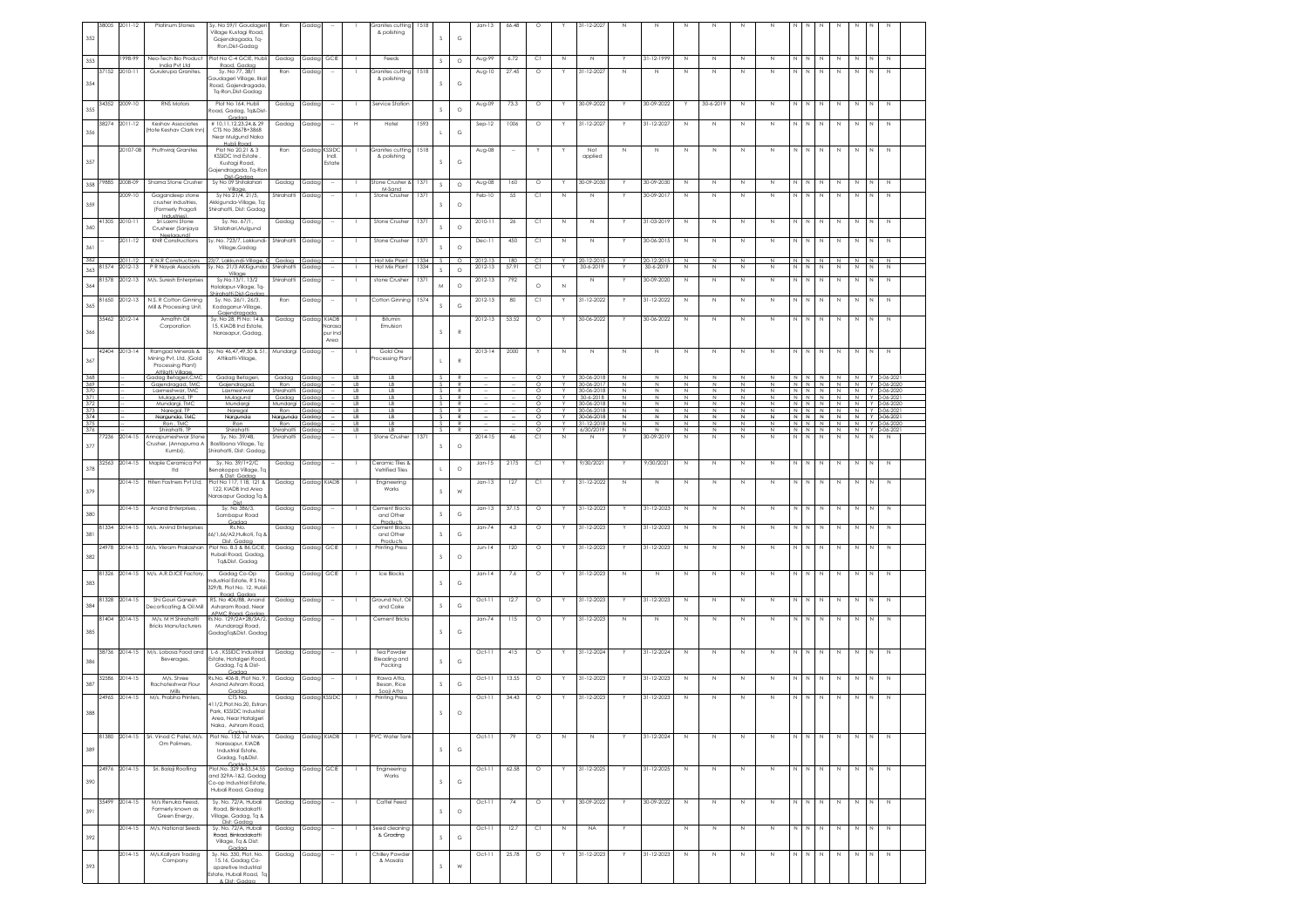| 352               |                | 38005 2011-12            | Platinum Stones                                                           | Sy. No 59/1 Goudager<br>Village Kustagi Road,<br>Gajendragada, Tq-<br>Ron, Dist-Gadag                 | Ron                      | Gadap                |                          |             | iranites cuttina<br>& polishing                          | 1518       | <sub>S</sub> | $_{\rm G}$         | $Jan-13$             | 66.48                    | $\circ$             |              | 31-12-2023                     |                  |                          |                            |                   |                    |                   |                  |              |                             |                                    |             |    |                  |
|-------------------|----------------|--------------------------|---------------------------------------------------------------------------|-------------------------------------------------------------------------------------------------------|--------------------------|----------------------|--------------------------|-------------|----------------------------------------------------------|------------|--------------|--------------------|----------------------|--------------------------|---------------------|--------------|--------------------------------|------------------|--------------------------|----------------------------|-------------------|--------------------|-------------------|------------------|--------------|-----------------------------|------------------------------------|-------------|----|------------------|
|                   |                | 1998-99                  | Neo-Tech Bio Product                                                      | Plot No C-4 GCIE, Hubli                                                                               | Gadag                    | Gadag                | GCIE                     |             | Feeds                                                    |            |              | $\circ$            | Aug-99               | 6.72                     | C1                  | Ν            | $\mathbb N$                    |                  | 31-12-1999               | N                          | N                 | N                  | Ν                 |                  |              | N                           | $\,$ N                             | N           |    | $\mathbb N$      |
| 353               | 37152          | 2010-11                  | India Pvt Ltd<br>Gurukrupa Granites.                                      | Raod, Gadaa<br>Sv. No 77, 38/1                                                                        | Ron                      | Gadaa                |                          |             | Granites cuttina                                         | 1518       | $\mathbb{S}$ |                    | Aug-10               | 27.45                    | $\circ$             |              | $31 - 12 - 2027$               | N                | N                        | N                          | N                 | N                  | N                 | N                |              | N                           | $\mathbb N$                        | N           |    | N                |
| 354               |                |                          |                                                                           | Soudaaeri Villaae, Ilkal<br>Road, Gajendragada<br>Ta-Ron.Dist-Gadaa                                   |                          |                      |                          |             | & polishing                                              |            | s            | G                  |                      |                          |                     |              |                                |                  |                          |                            |                   |                    |                   |                  |              |                             |                                    |             |    |                  |
| 355               |                | 34352 2009-10            | <b>RNS Motors</b>                                                         | Plot No 164, Hubli<br>Road, Gadag, Tg&Dist                                                            | Gadag                    | Gadag                | $\sim$                   | - 1         | Service Station                                          |            | s            | $\circ$            | Aug-09               | 73.3                     | $\circ$             |              | 30-09-2022                     |                  | 30-09-2022               | Y                          | 30-6-2019         | N                  | N                 | N                | <b>N</b>     | N                           | $\mathbb N$                        | N           |    | N                |
| 356               |                | 38274 2011-12            | Keshav Associates<br>Hote Keshav Clark Inn                                | Gadaa<br>#10,11,12,23,24,&29<br>CTS No 3867B+3868<br>Near Mulgund Naka                                | Gadag                    | Gadag                |                          | н           | Hotel                                                    | 1593       |              | G                  | Sep-12               | 1006                     | $\circ$             |              | 31-12-2027                     |                  | 31-12-2027               | $\mathbb N$                | N                 | $\mathbb N$        | N                 | N                |              | N                           | $\,$ N                             | N           |    | N                |
| 357               |                | 20107-08                 | Pruthviraj Granites                                                       | Hubli Road<br>Plot No 20,21 & 3<br><b>KSSIDC Ind Estate</b>                                           | Ron                      | Gadag KSSIDC         | Indi.                    |             | Granites cutting<br>& polishing                          | 1518       | S.           | G                  | Aug-08               | $\overline{\phantom{a}}$ |                     |              | Not<br>applied                 | N                | Ν                        | $\mathbb N$                | N                 | N                  | Ν                 | $\mathbb N$      | N            | $\mathbb N$                 | $\,$ N                             | N           |    | $\mathbb N$      |
| 358               | 79885          | 2008-09                  | Shama Stone Crusher                                                       | Kustagi Road,<br>Gajendragada, Tq-Ror<br>Dist.Codor<br>Sy No 09 Shitalahari                           | Gadag                    | Gada                 | Estate                   |             | Stone Crusher &                                          | 1371       | $\mathsf S$  | $\circ$            | Aug-08               | 160                      | $\circ$             |              | 30-09-2030                     |                  | 30-09-2030               | $\mathbb N$                | $\mathbb N$       | $\mathbb N$        | $\mathbb N$       | N                |              | N                           | $\mathbb N$                        | Ν           |    | $\mathbb N$      |
|                   |                | 2009-10                  | Gagandeep stone                                                           | Village,<br>Sy No 21/4, 21/5,                                                                         | Shirahatti               | Gadag                |                          |             | M-Sand<br>Stone Crusher                                  | 1371       |              |                    | Feb-10               | 55                       | C1                  | N            | N                              |                  | 30-09-2017               | $\mathbb{N}$               | N                 | N                  | N                 | $\mathbb{N}$     | N            | N                           | $\mathbb N$                        | N           | N  | N                |
| 359               |                |                          | crusher industries<br>(Formerly Pragati<br>Industries                     | Akkigunda-Village, Tq<br>Shirahatti, Dist: Gadap                                                      |                          |                      |                          |             |                                                          |            | <sub>S</sub> | $\circ$            |                      |                          |                     |              |                                |                  |                          |                            |                   |                    |                   |                  |              |                             |                                    |             |    |                  |
| 360               | 41305          | 2010-1<br>2011-12        | Sri Laxmi Stone<br>Crusheer (Sanjaya<br>Neelgaundl                        | Sv. No. 67/1.<br>Sitalahari, Mulgund<br>Sy. No. 723/7, Lakkundi-                                      | Gadag<br>Shirahatti      | Gadag                |                          |             | Stone Crusher<br>Stone Crushe                            | 137<br>137 | S            | $\circ$            | 2010-11              | $26\,$<br>450            | СI<br>C1            | Ν            | $\mathbb N$                    |                  | 31-03-2019<br>30-06-2015 | N                          | N                 | N                  | Ν                 |                  |              | N                           | N                                  | N           |    |                  |
| 361<br>362        |                | 011-12                   | <b>KNR</b> Constructions<br>K.N.R Constructions                           | Village, Gadag<br>23/7, Lakkundi-Village, C                                                           | Gadag                    | Gadag<br>Gada        |                          |             | Hot Mix Plant 1334                                       |            |              | $\circ$<br>$\circ$ | Dec-11               | 180                      | C1                  | N            | N<br>20-12-201                 |                  | 20-12-201                | N<br>$\mathbb{N}$          | N<br>$\mathbb{N}$ | N<br>N             | N<br>N            | Ν                |              | N<br>N N N N                | N                                  | N<br>N      | N. | N<br>N           |
| 363               | 81574          | 2012-13                  | P R Nayak Associats                                                       | Sy. No. 21/3 AKKigunda                                                                                | Shirahatti               | Gadag                |                          |             | Hot Mix Plant                                            | 1334       | $\mathsf S$  | $\circ$            | 2012-13              | 57.91                    | C1                  |              | 30-6-2019                      |                  | 30-6-2019                | $\mathbb N$                | Ν                 | N                  | N                 | N                | N            | N                           | $\mathbb N$                        | N           | N  | $\mathbb N$      |
|                   | 81578          | 2012-13                  | M/s. Suresh Enterprises                                                   | Village<br>Sy.No.13/1, 13/2<br>Holalapur-Village, Tq-                                                 | Shirahatti               | Gadag                |                          |             | stone Crusher                                            | 1371       | M            | $\circ$            | 2012-13              | 792                      | $\circ$             | N            | $\mathbb N$                    |                  | 30-09-2020               | $\mathbb N$                | $\mathbb N$       | $\,N\,$            | $\mathbb N$       | $\mathsf{N}$     |              | $\mathbb N$                 | $\mathbb N$                        | $\mathbb N$ |    | $\mathbb N$      |
| 364               |                |                          |                                                                           | hirahatti.Dist-Gadac                                                                                  |                          |                      |                          |             |                                                          |            |              |                    |                      |                          |                     |              |                                |                  |                          |                            |                   |                    |                   |                  |              |                             |                                    |             |    |                  |
| 365               | 81650          | 2012-13<br>35462 2012-14 | N.S. R Cotton Ginning<br>Mill & Processing Unit,<br>Amafhh Oil            | Sv. No. 26/1, 26/3.<br>Kodaaanur-Village<br>Gaiendragada.<br>Sy. No 28, PI No: 14 &                   | Ron<br>Gadag             | Gadag<br>Gadag KIADB | $\sim$                   | - 1         | Cotton Ginning 1574<br>Bitumin                           |            | s            | G                  | 2012-13<br>2012-13   | 80<br>53.52              | C1<br>$\circ$       |              | 31-12-2022<br>30-06-2022       |                  | 31-12-2022<br>30-06-2022 | $\mathbb N$<br>$\mathbb N$ | Ν<br>N            | N<br>$\mathbb N$   | N<br>N            | N<br>$\mathbb N$ | N            | N<br>N                      | $\mathbb N$<br>N                   | N<br>N      |    | $\mathbb N$<br>N |
| 366               |                |                          | Corporation                                                               | 15, KIADB Ind Estate,<br>Narasapur, Gadag,                                                            |                          |                      | laras<br>bur Ind<br>Area |             | Emulsion                                                 |            | $\mathbf{S}$ | $\mathbb{R}$       |                      |                          |                     |              |                                |                  |                          |                            |                   |                    |                   |                  |              |                             |                                    |             |    |                  |
| 367               |                | 42404 2013-14            | Ramgad Minerals &<br>Mining Pvt, Ltd, (Gold<br>Processing Plant)          | Sy. No 46,47,49,50 & 51,<br>Attikatti-Village,                                                        | Mundargi                 | Gadag                |                          |             | Gold Ore<br>rocessing Plan                               |            | $\mathsf{L}$ | $\mathbb{R}$       | $2013 - 14$          | 2000                     |                     | Ν            | N                              | N                | N                        | N                          | N                 | N                  | Ν                 | Ν                | $\mathbb N$  | N                           | $\mathbb N$                        | Ν           |    | N                |
| $\frac{368}{369}$ |                |                          | Attilatti Village<br>Gadag Betageri, CMC                                  | Gadag Betageri,                                                                                       | Gadag                    | Gadas                |                          | LB          | LB                                                       |            | $S_{\perp}$  | R                  |                      |                          | $\circ$             | Y            | 30-06-2018                     | $\mathbb N$      | N                        | N                          | N                 | N                  | N                 |                  |              | N N N N                     |                                    |             |    | N Y 0-06-202     |
|                   |                |                          | Gajendragad, IMC<br>Laxmeshwar, TMC                                       | Gajendragad,<br>Laxmeshwar                                                                            | Ron<br>Shirahatti        | Gadag<br>Gada        |                          | $L$ B<br>LB | LB<br>LB                                                 |            | S.           | S R<br>R           |                      |                          | $\circ$<br>$\Omega$ | $\vee$       | 30-06-2017<br>30-06-2018       | $\mathbb N$<br>N | N<br>N                   | $\mathbb N$<br>N           | $\mathbb N$<br>N  | ${\mathbb N}$<br>N | N<br>$\mathbb{N}$ | N                |              |                             | $N$ $N$ $N$<br>NNN NNN N906-2020   | N           |    | Y 0-06-2020      |
| $\frac{370}{371}$ |                |                          | Mulgaund TP<br>Mundarai, TMC                                              | Mulgaund<br>Mundargi                                                                                  | Gadag<br>Mundargi        | Gadag<br>Gadag       |                          | LB<br>LB    | LB<br>LB                                                 |            | s.           | S R<br>R           |                      |                          | $\circ$<br>$\circ$  | Y            | 30-6-2018<br>30-06-2018        | N<br>N           | N<br>N                   | N<br>N                     | N<br>N            | N<br>N             | N<br>Ν            |                  |              |                             | IN N N N N N Y 0-06-202<br>N N N N | N           |    | Y 0-06-2020      |
| $\frac{372}{373}$ |                |                          | Naregal, TP                                                               | Naregal                                                                                               | Ron                      | Gadas                |                          | LB          | LB                                                       |            | S.           | $\overline{R}$     |                      |                          | $\circ$             | $\vee$       | 30-06-2018                     | N                | $\mathbb N$              | $\mathbb N$                | N                 | $\mathbb N$        | N                 |                  |              | $N \quad N \quad N \quad N$ |                                    | N           |    | $Y$ 0-06-202     |
| 374<br>375        |                |                          | Nargunda, TMC<br>Ron, TMC                                                 | Nargunda<br>Ron                                                                                       | Nargunda<br>Ron          | Gadag<br>Gada        |                          | LB<br>LB.   | LB<br>LB                                                 |            | $\sim$       | S R<br>R           |                      |                          | $\circ$<br>$\Omega$ | $\vee$       | 30-06-2018<br>$31 - 12 - 2018$ | $\mathbb N$<br>N | $\mathbb N$<br>N         | N<br>N                     | $\mathbb N$<br>N  | N<br>N             | И<br>$\mathbb{N}$ |                  |              |                             | NNNNN<br>N N N N N Y 0-06-2020     |             |    | N Y 0-06-202     |
| 376<br>377        | 7236           | 2014-15                  | Shirahatti, TF<br>Annapurneshwar Ston<br>Crusher, (Annapurna A<br>Kumbi), | Shirahatt<br>Sy. No. 39/4B,<br>Bastibana Village, Tq:<br>Shirahatti, Dist: Gadag                      | Shirahatti<br>Shirahatti | Gadaa<br>Gadag       |                          | LB          | LB<br>Stone Crusher                                      | 137        | s I<br>s     | R<br>$\circ$       | 2014-15              | 46                       | $\circ$<br>СI       | Y<br>N       | 6/30/2019<br>N                 | N                | N<br>30-09-2019          | N<br>N                     | N<br>N            | N<br>N             | N<br>N            | N                | N            | N                           | NNNNNNNNN90-06-202<br>N            | N           | N  | N                |
| 378               | 32563          | $2014 - 15$              | Maple Ceramica Pvt<br>Itd                                                 | Sv. No. 39/1+2/C<br>Benakoppa Village, Tq<br>& Dist: Gadaa                                            | Gadag                    | Gadag                |                          |             | Ceramic Tiles &<br>Vetrified Tiles                       |            | $\mathsf{L}$ | $\circ$            | $Jan-15$             | 2175                     | C1                  |              | 9/30/2021                      |                  | 9/30/2021                | $\mathbb N$                | N                 | N                  | N                 | N                | N            | N                           | N                                  | N           |    | N                |
| 379               |                | 2014-15                  | Hiten Fastners Pvt Ltd,                                                   | Plot No 117, 118, 121 &<br>122, KIADB Ind Area<br>larasapur Gadag Tq 8<br>Dist                        | Gadag                    |                      | Gadag KIADB              |             | Engineering<br>Works                                     |            | $\mathbb S$  | W                  | $Jan-13$             | 127                      | Сl                  |              | 31-12-2022                     | N                | N                        | N                          | N                 | N                  | Ν                 | Ν                |              | N                           | N                                  | N           |    |                  |
| 380               |                | 2014-15                  | Anand Enterprises, .                                                      | Sy. No 386/3,<br>Sambapur Road<br>Gadaa                                                               | Gadag                    | Gadag                |                          |             | Cement Blocks<br>and Other<br>Product                    |            | $\mathbb S$  | G                  | $Jan-13$             | 37.15                    | $\circ$             |              | 31-12-2023                     |                  | 31-12-2023               | N                          | N                 | N                  | Ν                 | N                |              | N                           | N                                  | N           |    | $\mathbb{N}$     |
| 381               | 81334<br>24978 | 2014-15<br>2014-15       | M/s. Arvind Enterprises<br>M/s. Vikram Prakashan                          | Rs.No.<br>66/1.66/A2.Hulkoti, Ta 8<br>Dist. Gadaa<br>Plot No. B.5 & B6, GCIE                          | Gadag<br>Gadag           | Gadag<br>Gadag       | GCIE                     |             | Cement Blocks<br>and Other<br>Products<br>Printing Press |            | s            | G                  | $Jan-74$<br>$Jun-14$ | 4.3<br>120               | $\circ$<br>$\circ$  |              | 31-12-2023<br>31-12-2023       |                  | 31-12-2023<br>31-12-2023 | N<br>N                     | N<br>N            | N<br>N             | N<br>N            | N<br>Ν           |              | N<br>Ν                      | N<br>N                             | N<br>Ν      |    |                  |
| 382               |                |                          |                                                                           | Hubali Road, Gadag,<br>Tq&Dist. Gadag                                                                 |                          |                      |                          |             |                                                          |            | s            | $\circ$            |                      |                          |                     |              |                                |                  |                          |                            |                   |                    |                   |                  |              |                             |                                    |             |    |                  |
| 383               | 81326          | 2014-15                  | M/s. A.R.D.ICE Factory,                                                   | Gadag Co-Op<br>Industrial Estate, R S No.<br>329/B, Plot No. 12, Hubl<br>Road, Gadaa                  | Gadag                    | Gadag                | GCIE                     |             | Ice Blocks                                               |            | s            | G                  | $Jan-14$             | 7.6                      | $\circ$             |              | 31-12-2023                     | N                | N                        | $\mathbb N$                | N                 | $\mathbb N$        | N                 | N                | N            | N                           | $\mathbb N$                        | N           |    | $\mathbb N$      |
| 384               | 81328          | 2014-15                  | Shi Gouri Ganesh<br>Jecorticating & Oil Mill                              | RS. No 406/8B, Anand<br>Asharam Road, Near<br>APMC Road, Gadaa                                        | Gadag                    | Gadag                |                          |             | Ground Nut, Oi<br>and Cake                               |            | $\mathbb S$  | $_{\rm G}$         | $Oct-11$             | 12.7                     | $\circ$             | Y            | 31-12-2023                     | Y.               | 31-12-2023               | N                          | N                 | N                  | N                 | N                | $\mathbb N$  | N                           | N                                  | N           | N  | N                |
| 385               | 81404          | $2014 - 15$              | M/s. M H Shirahatti<br><b>Bricks Manufacturers</b>                        | Rs.No. 129/2A+2B/3A/2,<br>Mundaragi Road,<br>GadagTq&Dist. Gada                                       | Gadag                    | Gadag                |                          |             | Cement Bricks                                            |            |              | G                  | $Jan-74$             | 115                      | $\circ$             |              | 31-12-2023                     | N                | $\mathbb{N}$             | N                          | N                 | N                  | Ν                 |                  | N N          | $\,$ N                      | N                                  | N           | N  | N                |
| 386               |                | 38736 2014-15            | M/s. Lobosa Food and<br>Beverages,                                        | L-6 . KSSIDC Industrial<br>Estate, Hatalgeri Road                                                     | Gadag                    | Gadag                |                          |             | Tea Powder<br><b>Bleading and</b>                        |            | s            | G                  | $Oct-11$             | 415                      | $\circ$             |              | 31-12-2024                     | Y                | 31-12-2024               | $\mathbb N$                | N                 | N                  | N                 |                  | N N          | N                           | N                                  | N           | N  | N                |
| 387               | 32586          | $2014 - 15$              | M/s. Shree<br>Rachoteshwar Flour                                          | Gadag, Tq & Dist-<br>Cod<br>Rs.No. 406-B, Plot No. 9,<br>Anand Ashram Road,                           | Gadag                    | Gadag                |                          |             | Packing<br>Rawa Atta,                                    |            | $\mathbb S$  | $_{\rm G}$         | $Oct-11$             | 13.55                    | $\circ$             |              | 31-12-2023                     |                  | 31-12-2023               | N                          | N                 | N                  | Ν                 |                  |              | N                           | N                                  | N           |    | N                |
|                   | 24965          | $2014 - 15$              | M/s. Prabha Printers.                                                     |                                                                                                       |                          |                      |                          |             | Besan, Rice<br>Sooii Atto                                |            |              |                    | $Oct-11$             | 34.43                    |                     |              | 31-12-2023                     |                  | 31-12-2023               |                            |                   |                    |                   |                  |              |                             |                                    |             |    |                  |
|                   |                |                          |                                                                           | CTS No.<br>411/2, Plot. No. 20, Estran<br>Park, KSSIDC Industrial<br>Area, Near Hatalgeri             | Gadag                    | Gadaa KSSIDC         |                          |             | <b>Printing Press</b>                                    |            |              |                    |                      |                          | $\circ$             |              |                                |                  |                          | N                          | N                 | N                  | N                 | Ν                | $\mathbb{N}$ | N                           | N                                  | N           |    |                  |
|                   |                |                          |                                                                           |                                                                                                       |                          |                      |                          |             |                                                          |            |              |                    |                      |                          |                     |              |                                |                  |                          |                            |                   |                    |                   |                  |              |                             |                                    |             |    |                  |
| 389               |                |                          |                                                                           | Naka, Ashram Road,                                                                                    |                          |                      |                          |             |                                                          |            |              |                    |                      |                          |                     |              |                                |                  |                          |                            |                   |                    |                   |                  |              |                             |                                    |             |    | N                |
|                   |                |                          | 81380 2014-15 Sri. Vinod C Patel, M/s.<br>Om Polimers,                    | Plot No. 152, 1st Main,<br>Narasapur, KIADB<br>Industrial Estate,<br>Gadag, Tq&Dist.                  | Gadag                    |                      | Gadag KIADB              |             | <b>PVC Water Tank</b>                                    |            | s            | G                  | $Oct-11$             | 79                       | $\circ$             | $\mathbb{N}$ | N                              |                  | 31-12-2024               | $\mathbb N$                | $\mathbb N$       | N                  | N                 | Z                | N            | Z                           | N                                  | N           | N  |                  |
|                   | 24976          | 2014-15                  | Sri. Balaji Roofling                                                      | Gadan<br>Plot.No. 329 B-53,54,55                                                                      | Gadag                    |                      | Gadag GCIE               |             | Engineering                                              |            |              |                    | $Oct-11$             | 62.58                    | $\circ$             | Y            | 31-12-2025                     |                  | 31-12-2025               | Z                          | $\mathbb N$       | Z                  | N                 | N                | $\mathbb{N}$ | Z                           | $\,N\,$                            | $\mathbb N$ | N  | Z                |
| 390               |                |                          |                                                                           | and 329A-1&2, Gadag<br>Co-op Industrial Estate<br>Hubali Road, Gadag                                  |                          |                      |                          |             | Works                                                    |            | $\mathbb S$  | $_{\rm G}$         |                      |                          |                     |              |                                |                  |                          |                            |                   |                    |                   |                  |              |                             |                                    |             |    |                  |
| 391               | 35499          | 2014-15                  | M/s Renuka Feesd,<br>Formerly known as<br>Green Energy,                   | Sy. No. 72/A, Hubali<br>Road, Binkadakatti<br>Village, Gadag, Tq &                                    | Gadag                    | Gadag                | $\sim$                   |             | Cattel Feed                                              |            | s            | $\circ$            | $Oct-11$             | 74                       | $\circ$             |              | 30-09-2022                     |                  | 30-09-2022               | $\mathbb N$                | N                 | $\mathbb N$        | N                 | $\mathbb N$      | $\mathbb{N}$ | $\overline{N}$              | N                                  | $\mathbb N$ | N  | N                |
| 392               |                | $2014 - 15$              | M/s. National Seeds                                                       | Dist: Godaa<br>Sv. No. 72/A. Hubali<br>Road, Binkadakatti<br>Village, Tq & Dist:                      | Gadag                    | Gadaa                |                          |             | Seed cleaning<br>& Grading                               |            | $\mathsf S$  | $_{\rm G}$         | $Oct-11$             | 12.7                     | C1                  | N            | <b>NA</b>                      | Y                |                          | $\mathbb N$                | N                 | N                  | N                 | N                | $\mathbb{N}$ | N                           | N                                  | N           | N  | N                |
| 393               |                | $2014 - 15$              | M/s.Kallyani Trading<br>Company                                           | Gadaa<br>Sy. No. 330, Plot. No.<br>15.16, Gadag Co-<br>operative Industrial<br>state, Hubali Road, Tr | Gadag                    | Gadaa                |                          |             | Chilley Powder<br>& Masala                               |            | $\mathbb S$  | W                  | $Oct-11$             | 25.78                    | $\circ$             |              | 31-12-2023                     |                  | $31 - 12 - 2023$         | $\mathbb N$                | Ν                 | N                  | N                 | N                | <b>N</b>     | N                           | N                                  | N           | N  | N                |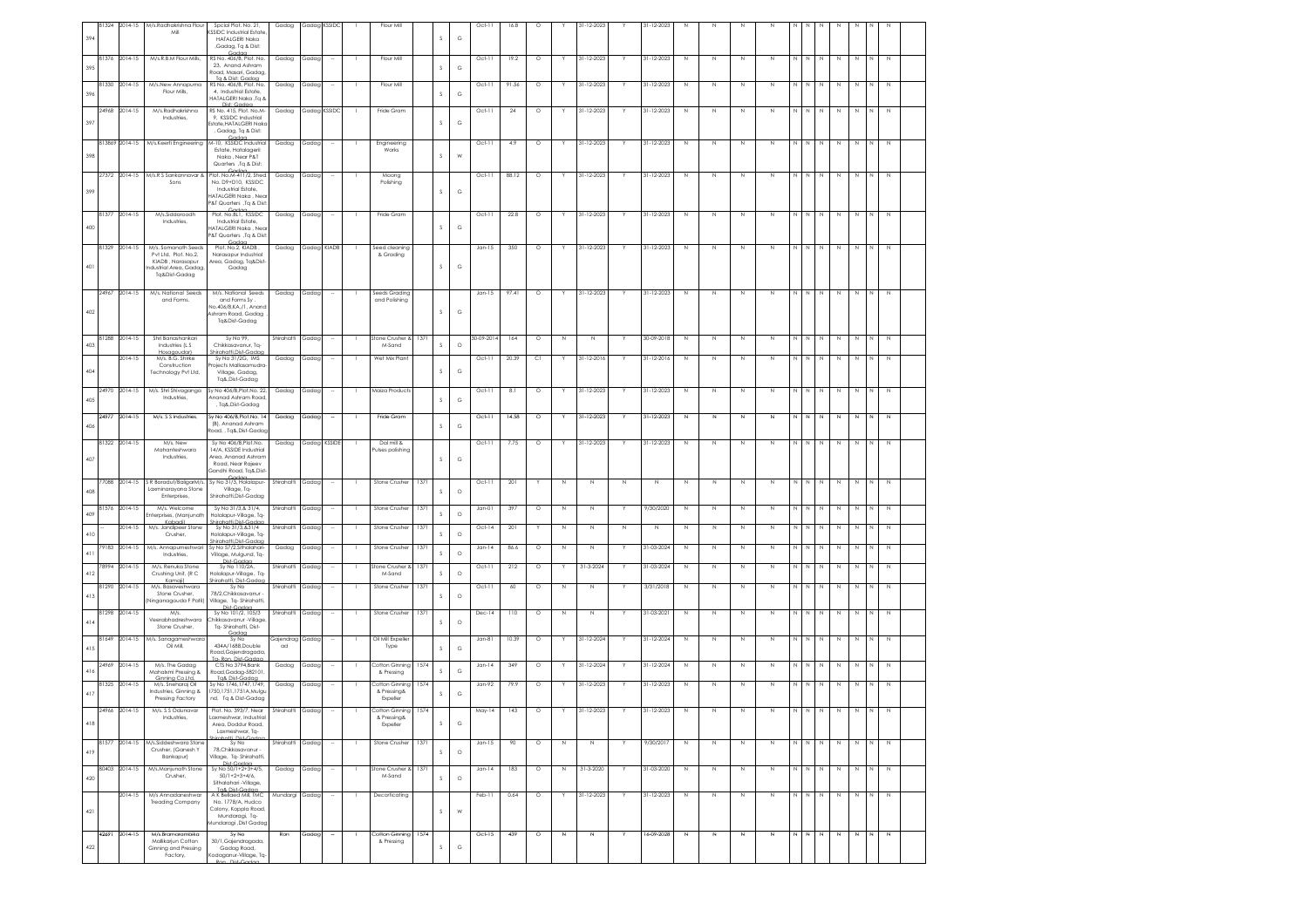| 394 |       | 31324 2014-15      | M/s.Radhakrishna Flou<br>Mil                                                         | Spcial Plot. No. 21,<br>SSIDC Industrial Estate<br><b>HATALGERI Naka</b><br>,Gadag, Tq & Dist:                        | Gadag               | Gadag KSSIDC   |                          | Flour Mill                                  |            | <sub>S</sub>  | G          | $Oct-11$             | 16.8        | $\circ$ |        | 31-12-2023                 |             | 31-12-2023       |                  |             |             |        |                  |              |             |             |             |             |                  |  |
|-----|-------|--------------------|--------------------------------------------------------------------------------------|-----------------------------------------------------------------------------------------------------------------------|---------------------|----------------|--------------------------|---------------------------------------------|------------|---------------|------------|----------------------|-------------|---------|--------|----------------------------|-------------|------------------|------------------|-------------|-------------|--------|------------------|--------------|-------------|-------------|-------------|-------------|------------------|--|
| 395 | 81376 | 2014-15            | M/s.R.B.M Flour Mills,                                                               | Gador<br>RS No. 406/B, Plot. No.<br>23, Anand Ashram<br>Road, Masari, Gadag,<br>To & Dist: Godgo                      | Gadag               | Gadag          |                          | Flour Mill                                  |            | s             | G          | $Oct-11$             | 19.2        | $\circ$ |        | 31-12-2023                 |             | 31-12-2023       | N                | N           | $\mathbb N$ | N      | N                |              | N           | N           | N           |             | $\mathbb N$      |  |
| 396 | 81330 | $2014-15$          | M/s.New Annapurna<br>Flour Mills,                                                    | RS No. 406/B, Plot. No.<br>4, Industrial Estate,<br>ATALGERI Naka ,Tq &                                               | Gadag               | Gadag          |                          | Flour Mill                                  |            | s             | G          | $Oct-11$             | 91.56       | $\circ$ |        | 31-12-2023                 |             | 31-12-2023       | N                | N           | N           | N      | Ν                |              | N           | N           | N           |             | $\mathbb N$      |  |
| 397 | 24968 | 2014-15            | M/s.Radhakrishna<br>Industries,                                                      | Dist: Gadaa<br>RS No. 415, Plot. No.M-<br>9, KSSIDC Industrial<br>Estate, HATALGERI Nako<br>, Gadag, Tq & Dist:       | Gadag               |                | Gadag KSSIDC             | Fride Gram                                  |            | s             | G          | $Oct-11$             | 24          | $\circ$ |        | 31-12-2023                 |             | 31-12-2023       | N                | N           | $\mathbb N$ | N      | N                |              | Ν           | N           | N           |             | $\mathbb N$      |  |
| 398 |       | 813869 2014-15     | M/s.Keerti Engineering                                                               | M-10, KSSIDC Industrial<br>Estate, Hatalageril<br>Naka, Near P&T<br>Quarters , Tq & Dist:                             | Gadag               | Gadag          |                          | Engineering<br>Works                        |            | <sub>S</sub>  | W          | $Oct-11$             | 4.9         | $\circ$ |        | 31-12-2023                 |             | 31-12-2023       | $\mathbb N$      | N           | $\mathbb N$ | N      | N                |              | N           | N           | N           |             |                  |  |
| 399 | 27372 | 2014-15            | M/s.R S Sankannavar &<br>Sons                                                        | Plot. No.M-411/2, Shed<br>No. D9+D10, KSSIDC<br>Industrial Estate,<br>HATALGERI Naka , Near                           | Gadag               | Gadag          |                          | Moong<br>Polishing                          |            |               | G          | $Oct-11$             | 88.12       | $\circ$ |        | 31-12-2023                 |             | 31-12-2023       | $\mathbb N$      | N           | $\mathbb N$ | N      | $\mathbb N$      | N            | N           | N           | N           |             | N                |  |
|     | 81377 | $2014-15$          | M/s.Siddaroodh<br>Industries,                                                        | 8T Quarters , Tq & Dist:<br>Plot. No.BL1, KSSIDC<br>Industrial Estate,                                                | Gadag               | Gadag          |                          | Fride Gram                                  |            |               |            | $Oct-11$             | 22.8        | $\circ$ |        | 31-12-2023                 |             | 31-12-2023       | N                | N           | N           | Ν      | Ν                |              | N           | N           | N           |             | $\mathbb N$      |  |
| 400 | 81329 | 2014-15            | M/s. Somanath Seeds                                                                  | HATALGERI Naka , Nea<br>P&T Quarters ,Tq & Dist<br>Plot. No.2, KIADB,                                                 | Gadag               |                | Gadag KIADB              | Seed cleaning                               |            | $\mathcal{S}$ | G          | $Jan-15$             | 350         | $\circ$ | Y      | 31-12-2023                 |             | 31-12-2023       | $\mathbb N$      | Ν           | $\mathbb N$ | N      | N                | $\mathbb N$  | $\mathbb N$ | $\mathbb N$ | $\mathbb N$ | $\mathbb N$ | $\,N\,$          |  |
| 401 |       |                    | Pvt Ltd, Plot. No.2,<br>KIADB, Narasapur<br>dustrial Area, Gadag<br>Tq&Dist-Gadag    | Narasapur Industria<br>Area, Gadag, Tq&Dist<br>Gadag                                                                  |                     |                |                          | & Grading                                   |            |               | Ġ          |                      |             |         |        |                            |             |                  |                  |             |             |        |                  |              |             |             |             |             |                  |  |
| 402 |       | 24967 2014-15      | M/s. National Seeds<br>and Forms.                                                    | M/s. National Seeds<br>and Forms Sy<br>No.406/8.KA./1. Anano                                                          | Gadag               | Gadag          |                          | Seeds Grading<br>and Polishing              |            | s             | G          | $Jan-15$             | 97.41       | $\circ$ |        | 31-12-2023                 |             | 31-12-2023       | N                | Ν           | N           | Ν      |                  | N N          | N           | N           | N           | N           | N                |  |
|     | 81288 | 2014-15            | Shri Banashankari                                                                    | Ashram Road, Gadag<br>Tg&Dist-Gadag<br>Sy No 99,                                                                      | Shirahatti          | Gadag          |                          | itone Crusher &                             | 137        |               |            | 30-09-2014           | 164         | $\circ$ | N      | N                          |             | 30-09-2018       | $\mathbb N$      | $\mathbb N$ | $\mathbb N$ | N      | N                |              | N           | $\mathbb N$ | N           |             | N                |  |
| 403 |       | 2014-15            | Industries (LS<br>Hosagoudar<br>M/s. B.G. Shirke                                     | Chikkasavanur, Tq-<br>Shirahatti.Dist-Gadaa<br>Sy No 31/2G, IMS                                                       | Gadag               | Gadag          |                          | M-Sand<br>Wet Mix Plant                     |            | $\mathbb S$   | $\circ$    | $Oct-11$             | 20.39       | Сl      |        | $31 - 12 - 2016$           | Y           | 31-12-2016       | $\,$ N           | Ν           | $\,$ N      | N      | N                | N            | N           | $\,$ N      | $\mathbb N$ | N           | $\,N\,$          |  |
| 404 |       |                    | Construction<br>Technology Pvt Ltd,                                                  | ojects Mallasamudro<br>Village, Gadag,<br>Tq&,Dist-Gadag                                                              |                     |                |                          |                                             |            |               | G          |                      |             |         |        |                            |             |                  |                  |             |             |        |                  |              |             |             |             |             |                  |  |
| 405 | 24970 | 2014-15            | M/s. Shri Shivaganga<br>Industries,                                                  | Sy No 406/B, Plot.No. 22,<br>Ananad Ashram Road,<br>, Tq&, Dist-Gadag                                                 | Gadag               | Gadag          |                          | Maiza Products                              |            | <sub>S</sub>  | G          | $Oct-11$             | 8.1         | $\circ$ |        | 31-12-2023                 |             | 31-12-2023       | N                | N           | N           | Ν      | N                | N            | $\mathbb N$ | $\mathbb N$ | Ν           |             | $\mathbb N$      |  |
| 406 | 24977 | 2014-15            | M/s. S S Industries,                                                                 | Sy No 406/B, Plot. No. 14<br>(B), Ananad Ashram<br>toad, , Tq&,Dist-Gada                                              | Gadag               | Gadag          |                          | Fride Gram                                  |            | s             | G          | Oct-11               | 14.58       | $\circ$ |        | 31-12-2023                 |             | 31-12-2023       | $\mathbb N$      | N           | N           | И      | И                |              | N           | N           | И           |             | $\mathbb N$      |  |
| 407 | 81322 | 2014-15            | M/s. New<br>Mahanteshwara<br>Industries,                                             | Sy No 406/B, Plot.No.<br>14/A, KSSIDE Industrial<br>Area, Ananad Ashram<br>Road, Near Rajeev<br>Gandhi Road, Tq&,Dist | Gadag               |                | Gadag KSSIDE             | Dal mill &<br>ulses polishing               |            | s             | G          | $Oct-11$             | 7.75        | $\circ$ |        | 31-12-2023                 |             | 31-12-2023       | N                | N           | N           | N      | N                | N            | N           | N           | N           |             | $\mathbb N$      |  |
| 408 | 77088 | 2014-15            | S R Baradut/BaligarM/s<br>Laxminarayana Stone<br>Enterprises,                        | Sy No 31/3, Holalapur-<br>Vilage, Tq-<br>Shirahatti, Dist-Gadag                                                       | Shirahatti          | Gadag          |                          | Stone Crusher                               | 1371       | s             | $\circ$    | $Oct-11$             | 201         | Y       | N      | $\mathbb N$                | $\mathbb N$ | $\mathbb N$      | $\,$ N           | $\mathbb N$ | $\,N\,$     | N      | $\mathbb N$      | N            | $\,N\,$     | $\,$ N      | N           | N           | $\,$ N           |  |
| 409 | 81576 | 2014-15            | M/s. Welcome<br>Interprises, (Manjunati<br>Kabadi                                    | Sy No 31/3, & 31/4,<br>Holalapur-Village, Tq-<br>Shirahatti, Dist-Gadaa                                               | Shirahatti          | Gadag          |                          | Stone Crusher                               | 137        | s             | $\circ$    | Jan-01               | 397         | $\circ$ | N      | N                          |             | 9/30/2020        | N                | N           | N           | N      | Ν                | $\mathbb N$  | N           | N           | N           | N           | $\mathbb N$      |  |
| 410 | 79183 | 2014-15<br>2014-15 | M/s. Jandipeer Stone<br>Crusher.<br>M/s. Annapurneshwar                              | Sv No 31/3.8.31/4<br>Holalapur-Village, Ta-<br>Shirahatti.Dist-Gadaa<br>Sy No 57/2, Sithalahari-                      | Shirahatti          | Gadag          |                          | Stone Crusher<br>Stone Crushe               | 137<br>137 | s             | $\circ$    | $Oct-14$<br>$Jan-14$ | 201<br>86.6 | $\circ$ | N<br>N | $\mathbb N$<br>$\mathbb N$ | N           | N<br>31-03-2024  | $\mathbb N$<br>N | N<br>N      | N<br>N      | N<br>N | N<br>$\mathbb N$ | N            | N<br>И      | N<br>N      | N           |             | N<br>$\mathbb N$ |  |
| 411 | 8994  | 2014-15            | Industries,<br>M/s. Renuka Stone                                                     | Village, Mulgund, Tq-<br>Dist.Codo<br>Sy No 110/2A,                                                                   | Gadag<br>Shirahatti | Gadag<br>Gadap |                          | itone Crusher &                             | 137        | s             | $\circ$    | $Oct-11$             | 212         | $\circ$ |        | 31-3-2024                  |             | 31-03-2024       | N                | Ν           | $\mathbb N$ | Ν      | N                |              | Ν           | N           | Ν<br>N      |             | $\mathbb N$      |  |
| 412 | 81290 | 2014-15            | Crushing Unit, (R C<br>Kamaii<br>M/s. Basaveshwara<br>Stone Crusher                  | Holalapur-Village, Tq-<br>hirahatti, Dist-Gadar<br>Sy No<br>78/2.Chikkasavanur                                        | Shirahatti          | Gadag          |                          | M-Sand<br>Stone Crusher                     | 137        | s             | $\circ$    | $Oct-11$             | 60          | $\circ$ | N      | $\mathbb N$                |             | 3/31/2018        | N                | N           | N           | Ν      | N                |              | N           | N           | Ν           |             | $\mathbb N$      |  |
| 413 | 81298 | 2014-15            | Ninganagouda F Patil<br>M/s<br>Veerabhadreshwara                                     | Village, Tq-Shirahatti,<br>Dist-Godo<br>Sy No 101/2, 105/3<br>:<br>hikkasavanur -Village                              | Shirahatt           | Gadag          |                          | Stone Crusher                               | 137        | s.            | $\circ$    | Dec-14               | 110         | $\circ$ | N      | $\mathbb N$                |             | 31-03-2021       | $\mathbb N$      | $\mathbb N$ | N           | N      | $\mathbb N$      |              | N           | $\,$ N      | N           |             | $\mathbb N$      |  |
| 414 | 81649 | 2014-15            | Stone Crusher<br>M/s. Sanagameshwara                                                 | Tq-Shirahatti, Dist-<br>Gadac<br>Sy No                                                                                | Gajendrag           | Gadag          |                          | Oil Mill Expeller                           |            | s             | $\circ$    | Jan-81               | 10.39       | $\circ$ |        | 31-12-2024                 | Y           | 31-12-2024       | N                | N           | N           | N      | Ν                | $\mathbb N$  | N           | N           | N           | N           | $\mathbb N$      |  |
| 415 | 24969 | $2014 - 15$        | Oil Mill,<br>M/s. The Gadag                                                          | 434A/1688,Double<br>Road,Gajendragada,<br>Ta-Ron Dist-Gadar<br>CTS No 3794 Bonk                                       | ad<br>Gadag         | Gadaa          | $\overline{\phantom{a}}$ | Type<br>Cotton Ginning                      | 1574       | s             | G          | $Jan-14$             | 349         | $\circ$ |        | $31 - 12 - 2024$           |             | $31 - 12 - 2024$ | $\mathbb N$      | N           | $\mathbb N$ | N      | N                | N            | N           | N           | N           | N           | N                |  |
| 416 |       | 81325 2014-15      | Mahalxmi Pressing &<br>Ginning Co.Ltd.<br>M/s. Sneharaj Oil<br>Industries, Ginning & | Road, Gadag-582101<br>Ta& Dist-Gadaa<br>Sy No 1746, 1747, 1749,<br>1750, 1751, 1751A, Mulgi                           | Gadag               | Gadag          |                          | & Pressing<br>Cotton Ginning<br>& Pressing& | 1574       | S             | G          | Jan-92               | 79.9        | $\circ$ |        | 31-12-2023                 |             | 31-12-2023       | N                | Ν           | N           | Ν      | $\mathbb N$      | N            | N           | $\,$ N      | $\mathbb N$ | N           | N                |  |
| 417 |       | 24966 2014-15      | Pressing Factory<br>M/s. S S Odunavar                                                | nd, Tq & Dist-Gadag<br>Plot. No. 393/7, Near                                                                          | Shirahatti          | Gadag          |                          | Expeller<br>Cotton Ginning                  | 1574       | <sub>S</sub>  | G          | May-14               | 143         | $\circ$ |        | 31-12-2023                 |             | 31-12-2023       | N                | N           | $\mathbb N$ | N      | N                | N            | N           | N           | N           |             | $\mathbb N$      |  |
| 418 |       |                    | inaustries,                                                                          | axmesnwar, inaustric<br>Area, Doddur Road,<br>Laxmeshwar, Tq-<br>irahatti Dist-Gade                                   |                     |                |                          | rressinga<br>Expeller                       |            | $\mathbb S$   | $_{\rm G}$ |                      |             |         |        |                            |             |                  |                  |             |             |        |                  | $\mathbb{N}$ |             |             |             | N           |                  |  |
| 419 | 81577 | 2014-15            | M/s.Siddeshwara Ston<br>Crusher, (Ganesh Y<br>Bankapur)                              | Sy No<br>78, Chikkasavanur<br>Village, Tq-Shirahatti,                                                                 | Shirahatti          | Gadag          |                          | Stone Crusher                               | 137        | s             | $\circ$    | $Jan-15$             | 90          | $\circ$ | N      | $\mathbb N$                |             | 9/30/2017        | $\mathbb N$      | $\mathbb N$ | N           | N      | $\mathbb N$      |              | N           | $\mathbb N$ | N           |             | $\mathbb N$      |  |
| 420 | 30403 | 2014-15            | M/s.Manjunath Stone<br>Crusher,                                                      | Dist-Gadaa<br>Sy No 50/1+2+3+4/5,<br>$50/1+2+3+4/6$ ,<br>Sithalahari - Village,<br><b>To&amp; Dist-Godod</b>          | Gadag               | Gadag          | $\overline{\phantom{a}}$ | tone Crusher &<br>M-Sand                    | 137        | s             | $\circ$    | $Jan-14$             | 183         | $\circ$ | Ν      | 31-3-2020                  |             | 31-03-2020       | $\mathbb N$      | N           | N           | Ν      | Ν                | $\mathbb{N}$ | N           | N           | N           | N           | $\mathbb N$      |  |
| 421 |       | $2014 - 15$        | M/s Annadaneshwar<br><b>Treading Company</b>                                         | A K Bellged Mill, TMC<br>No. 1778/A, Hudco<br>Colony, Koppla Road<br>Mundaragi, Tq-<br>Iundaragi ,Dist Gada           | Mundargi Gadag      |                | $\sim$                   | Decorticating                               |            | s             | ${\sf W}$  | Feb-11               | 0.64        | $\circ$ | Y      | 31-12-2023                 |             | 31-12-2023       | $\mathbb N$      | N           | $\,$ N      | N      | $\mathbb{N}$     | $\mathbb{N}$ | N           | $\,N\,$     | $\mathbb N$ | N           | $\,N\,$          |  |
| 422 | 42691 | 2014-15            | M/s.Bramarambika<br>Mallikarjun Cotton<br>Ginning and Pressing<br>Factory,           | Sy No<br>30/1,Gajendragada,<br>Gadag Road,<br>(odaganur-Village, Tq-<br>Dist.Cr                                       | Ron                 | Gadag          |                          | otton Ginning<br>& Pressing                 | 1574       | $\mathbb S$   | $_{\rm G}$ | $Oct-15$             | 439         | $\circ$ | И      | N                          |             | 6-09-2028        | N                | N           | N           | N      | И                | $\mathbb{N}$ | N           | N           | N           | И           | N                |  |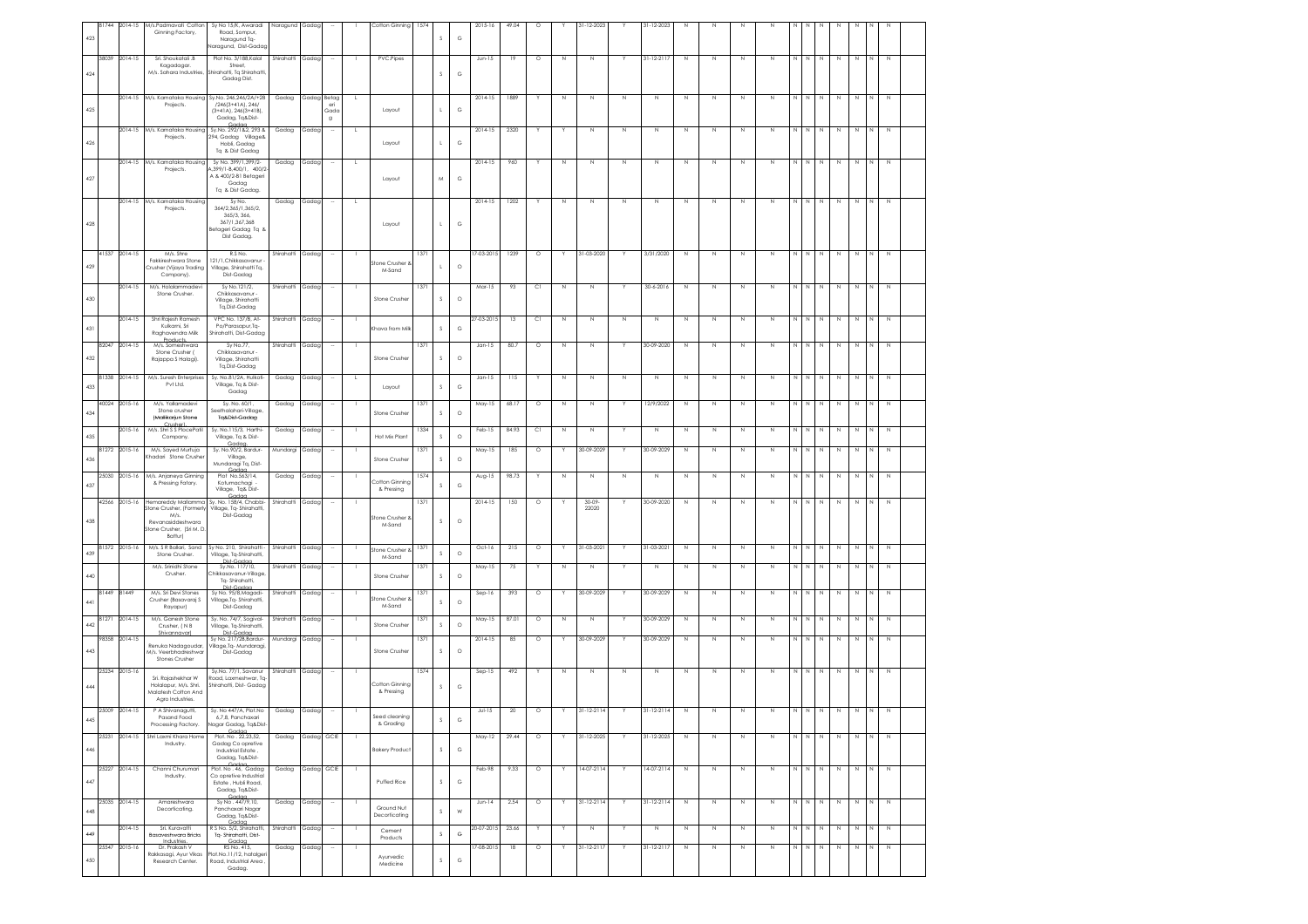| 423 | 81744 | 2014-15       | M/s.Padmavati Cotto<br>Ginning Factory,                                                                         | Sy No 15/K, Awaradi<br>Road, Sompur,<br>Naragund Tq-<br>aragund, Dist-Gadag                         | Naragund   | Gadag       |                           |                | Cotton Ginning                      | 1574 | s             | G             | 2015-16     | 49.04 | Ó       |             | 1-12-2023          |              | 31-12-2023       |             |             |             |              |             |                        |             |             |               |             |  |
|-----|-------|---------------|-----------------------------------------------------------------------------------------------------------------|-----------------------------------------------------------------------------------------------------|------------|-------------|---------------------------|----------------|-------------------------------------|------|---------------|---------------|-------------|-------|---------|-------------|--------------------|--------------|------------------|-------------|-------------|-------------|--------------|-------------|------------------------|-------------|-------------|---------------|-------------|--|
| 424 | 38039 | 2014-15       | Sri. Shoukatali .B<br>Kagadagar.<br>M/s. Sahara Industries                                                      | Plot No. 3/188, Kalal<br>Street,<br>Shirahatti, Tq Shirahatti<br>Gadag Dist.                        | Shirahatti | Gadag       |                           |                | PVC.Pipes                           |      | s             | $\mathbb{G}$  | $Jun-15$    | 19    | $\circ$ | $\mathbb N$ | N                  |              | 31-12-2117       | $\mathbb N$ | N           | N           | $\mathbb N$  | $N$   $N$   | $\mathbb N$            | $\mathbb N$ | $\mathbb N$ | N             | $\mathbb N$ |  |
|     |       |               | 2014-15 M/s. Karnataka Housing                                                                                  | Sy.No. 246,246/2A/+2B                                                                               | Gadag      | Gadag Betag |                           |                |                                     |      |               |               | 2014-15     | 1889  |         | $\mathbb N$ | $\mathbb N$        | $\mathbb N$  | $\mathbb N$      | $\,$ N      | $\mathbb N$ | $\mathbb N$ | $\mathbb N$  | NN          | $\mathbb N$            | $\,$ N      | $\,$ N      | N             | $\,$ N      |  |
| 425 |       |               | Projects.                                                                                                       | $/246[3+41A], 246/$<br>$(3+4)$ A), $246(3+4)$ B),<br>Gadag, Tq&Dist-<br>Gadac                       |            |             | eri<br>Gado<br>$^{\rm g}$ |                | Layout                              |      |               | $_{\rm G}$    |             |       |         |             |                    |              |                  |             |             |             |              |             |                        |             |             |               |             |  |
| 426 |       | $2014 - 15$   | M/s. Karnataka Housing<br>Projects.                                                                             | Sy.No. 292/1&2, 293 &<br>294, Gadag Village&<br>Hobli, Gadag<br>Tq & Dist Gadag                     | Gadag      | Gadar       |                           |                | Layout                              |      |               | $_{\rm G}$    | 2014-15     | 2320  |         |             | $\mathbb N$        | $\mathbb{N}$ | $\mathbb N$      | $\mathbb N$ | $\mathbb N$ | N           | $\mathbb N$  | N           | N                      | N           | N           | N             | $\,$ N      |  |
| 427 |       |               | 2014-15 M/s. Karnataka Housing<br>Projects.                                                                     | Sy No. 399/1,399/2-<br>.399/1-B,400/1, 400/2-<br>A & 400/2-B1 Betageri<br>Gadaa<br>Ta & Dist Gadaa. | Gadag      | Gadag       |                           | L.             | Layout                              |      | M             | $_{\rm G}$    | $2014 - 15$ | 960   |         | N           | N                  | $\mathbb N$  | $\mathbb N$      | $\mathbb N$ | $\mathbb N$ | N           | $\mathbb N$  | N N         | N                      | $\,$ N      | $\,$ N      | N             | N           |  |
|     |       |               | 2014-15 M/s. Karnataka Housing<br>Projects.                                                                     | Sv No.<br>364/2.365/1.365/2.                                                                        | Gadag      | Gadag       |                           | L.             |                                     |      |               |               | 2014-15     | 1202  |         | N           | N                  | N            | N                | $\mathbb N$ | N           | N           | $\mathbb N$  | NN          | N                      | N           | N           | N             | N           |  |
| 428 |       |               |                                                                                                                 | 365/3.366.<br>367/1 367 368<br>Betageri Gadag Tq &<br>Dist Gadag.                                   |            |             |                           |                | Layout                              |      |               | G             |             |       |         |             |                    |              |                  |             |             |             |              |             |                        |             |             |               |             |  |
| 429 | 41537 | $2014 - 15$   | M/s. Shre<br>Fakkireshwara Stone<br>Crusher (Vijaya Trading<br>Company).                                        | R.S No.<br>121/1, Chikkasavanur<br>Village, Shirahatti Tq,<br>Dist-Gadag                            | Shirahatti | Gadag       |                           |                | tone Crusher<br>M-Sand              | 1371 |               | $\circ$       | 7-03-2015   | 1239  | $\circ$ |             | 31-03-2020         |              | 3/31/2020        | $\mathbb N$ | N           | $\mathbb N$ | N            | N           | $\mathbb N$            | $\mathbb N$ | $\mathbb N$ |               | $\mathbb N$ |  |
| 430 |       | 2014-15       | M/s. Holalammadev<br>Stone Crusher.                                                                             | Sy No.121/2,<br>Chikkasavanur<br>Village, Shirahatti<br>Tq, Dist-Gadag                              | Shirahatt  | Gadag       |                           |                | Stone Crushe                        | 1371 | s             | $\circ$       | Mar-15      | 93    | C1      | N           | N                  |              | 30-6-2016        | $\mathbb N$ | $\mathbb N$ | N           | N            | NN          | N                      | $\mathbb N$ | $\mathbb N$ | N             | $\mathbb N$ |  |
| 431 |       | 2014-15       | Shri Rajesh Ramesh<br>Kulkarni, Sri<br>Raghavendra Milk<br><b>Products</b>                                      | VPC No. 137/B, At-<br>Po/Parasapur,Tq-<br>Shirahatti, Dist-Gadag                                    | Shirahatti | Gadag       |                           |                | Khava from Milk                     |      | s             | G             | 7-03-201    | 13    | C1      | N           | N                  | $\mathbb N$  | N                | $\mathbb N$ | $\mathbb N$ | N           | N            | N           | $\mathbb N$            | $\mathbb N$ | $\mathbb N$ | N             | $\mathbb N$ |  |
| 432 | 8204. | 2014-15       | M/s. Someshwara<br>Stone Crusher (<br>Rajappa S Halagi).                                                        | Sy No.77,<br>Chikkasavanur -<br>Village, Shirahatti<br>Tq,Dist-Gadag                                | Shirahatti | Gadag       |                           |                | Stone Crusher                       |      | s             | $\circ$       | $Jan-15$    | 80.7  | $\circ$ | Ν           | N                  |              | 30-09-2020       | N           | N           | N           | N            | N           |                        |             |             |               |             |  |
| 433 | 81338 | 2014-15       | M/s. Suresh Enterprises<br>Pvt Ltd.                                                                             | Sy. No.81/2A, Hulkoti-<br>Village, Tq & Dist-<br>Gadag                                              | Gadag      | Gadag       |                           | .L             | Layout                              |      | s             | $_{\rm G}$    | $Jan-15$    | 115   |         | N           | N                  | $\mathbb N$  | $\mathbb N$      | N           | N           | N           | N            | N           | N<br>N                 | N           | N           | N             | $\mathbb N$ |  |
| 434 |       | 40024 2015-16 | M/s. Yallamadevi<br>Stone crusher<br>(Mattikarjun Stone                                                         | Sy. No. 60/1,<br>Seethalahari-Village,<br>Tq&Dist-Gadag                                             | Gadag      | Gadag       |                           |                | Stone Crushe                        | 1371 | s             | $\circ$       | May-15      | 68.17 | $\circ$ | N           | Ν                  |              | 12/9/2022        | $\mathbb N$ | N           | N           | $\mathbb N$  | $\mathbb N$ | N<br>N                 | N           | $\mathbb N$ | N             | $\mathbb N$ |  |
| 435 |       | 2015-16       | M/s. Shri S S PlocePatil<br>Company.                                                                            | Sv. No.115/3. Harthi-<br>Village, Tq & Dist-<br>Gadaa                                               | Gadag      | Gadag       |                           |                | Hot Mix Plant                       | 1334 | s             | $\circ$       | Feb-15      | 84.93 | C1      | N           | N                  |              | N                | $\mathbb N$ | N           | N           | $\mathbb{N}$ | N           | N<br>N                 | N           | $\mathbb N$ | N             | $\mathbb N$ |  |
| 436 | 81272 | 2015-16       | M/s. Sayed Murtuja<br>hadari Stone Crushe                                                                       | Sy. No.90/2, Bardur-<br>Village,<br>Mundaragi Tq, Dist-                                             | Mundargi   | Gadag       |                           |                | Stone Crusher                       | 1371 | s             | $\circ$       | May-15      | 185   | $\circ$ |             | 30-09-2029         |              | 30-09-2029       | N           | N           | $\mathbb N$ | N            | N           | $\mathbb N$            | N           | N           | N             | $\mathbb N$ |  |
| 437 | 25030 | 2015-16       | M/s. Anjaneya Ginning<br>& Pressing Fatory.                                                                     | Gadac<br>Plot No.563/14,<br>Kotumachagi<br>Village, Tq& Dist-                                       | Gadag      | Gadag       |                           |                | <b>Cotton Ginning</b><br>& Pressing | 1574 | s             | G             | Aug-15      | 98.73 |         | N           | N                  | N            | $\mathbb N$      | N           | N           | N           | N            | N           | N.                     | N           | N           |               |             |  |
| 438 | 42566 | 2015-16       | Hemareddy Mallamma<br>tone Crusher, (Former<br>M/s.<br>Revanasiddeshwara<br>Stone Crusher, (Sri M. D<br>Battur) | Sy. No. 158/4, Chabbi-<br>Village, Tq- Shirahatti,<br>Dist-Gadag                                    | Shirahatti | Gadag       |                           |                | Stone Crusher<br>M-Sand             | 137  | $\mathcal{S}$ | $\circ$       | 2014-15     | 150   | $\circ$ |             | $30 - 09$<br>22020 |              | 30-09-2020       | $\mathbb N$ | N           | N           | N            | $\mathbb N$ | $\mathbb{N}$<br>N      | $\mathbb N$ | N           | N             | $\mathbb N$ |  |
| 439 | 81572 | 2015-16       | M/s. S R Ballari, Sand<br>Stone Crusher.                                                                        | Sy No. 210, Shirahatti -<br>Village, Tq-Shirahatti,<br>Dist.C.                                      | Shirahatti | Gadag       |                           |                | Stone Crusher &<br>M-Sand           | 1371 | s             | $\circ$       | Oct-16      | 215   | $\circ$ | Y           | 31-03-202          |              | 31-03-2021       | $\mathbb N$ | N           | Z           | $\mathbb N$  | NN          | $\mathbb N$            | $\mathbb N$ | $\mathbb N$ | N             | N           |  |
| 440 |       |               | M/s. Srinidhi Stone<br>Crusher.                                                                                 | Sy.No. 117/10,<br>Chikkasavanur-Village<br>Tq-Shirahatti,                                           | Shirahatti | Gadag       |                           |                | Stone Crushe                        | 137  | s             | $\circ$       | May-15      | 75    |         | N           | N                  |              | $\mathbb N$      | N           | N           | N           | $\mathbb N$  | N           | $\mathbb N$<br>N       | N           | N           | N             | $\mathbb N$ |  |
| 441 | 81449 | 81449         | M/s. Sri Devi Stones<br>Crusher (Basavaraj S<br>Rayapur)                                                        | Dist-Gadaa<br>Sy No. 95/8, Magadi-<br>Village, Tq-Shirahatti.<br>Dist-Gadag                         | Shirahatti | Gadag       |                           |                | tone Crusher<br>M-Sand              | 137  | s             | $\circ$       | Sep-16      | 393   | $\circ$ |             | 30-09-2029         | Y            | 30-09-2029       | N           | N           | N           | N            | NN          | N                      | N           | N           | N             | N           |  |
| 442 | 81271 | 2014-15       | M/s. Ganesh Stone<br>Crusher, (NB<br>ivar)                                                                      | Sy. No. 74/7, Sogival-<br>Village, Tq-Shirahatti,<br>Dist-Gadaa                                     | Shirahatti | Gadag       |                           |                | Stone Crusher                       | 1371 | s             | $\circ$       | May-15      | 87.01 | $\circ$ | N           | $\mathbb N$        |              | 30-09-2029       | $\mathbb N$ | $\mathbb N$ | N           | $\mathbb N$  | $N$   $N$   | N                      | $\,$ N      | $\,$ N      | N             | N           |  |
| 443 | 98358 | 2014-15       | Renuka Nadagoudar,<br>M/s. Veerbhadreshwar<br>Stones Crusher                                                    | Sy No. 217/2B, Bardur-<br>Village, Tq- Mundaragi,<br>Dist-Gadag                                     | Mundargi   | Gadag       |                           |                | Stone Crushe                        | 137  | $\mathcal{S}$ | $\circ$       | 2014-15     | 85    | $\circ$ |             | 30-09-2029         |              | 30-09-2029       | N           | N           | N           | $\mathbb N$  | N           | N<br>N                 | N           | N           |               | N           |  |
| 444 | 25234 | 2015-16       | Sri. Rajashekhar W<br>Holalapur, M/s. Shri.<br>Malatesh Cotton And<br>Agro Industries.                          | Sy.No. 77/1, Savanur<br>Road, Laxmeshwar, Tq-<br>Shirahatti, Dist- Gadag                            | Shirahatti | Gadag       |                           |                | Cotton Ginning<br>& Pressing        |      | $\mathcal{S}$ | G             | $Sep-15$    | 492   |         | N           | N                  | N            | $\mathbb N$      | N           | N           | N           | N            | N           | N<br>N                 | N           | N           |               | N           |  |
| 445 |       | 25009 2014-15 | P A Shivanagutti,<br>rasana rooa<br>Processing Factory.                                                         | Sy. No 447/A, Plot.No<br>6,7,8, Panchaxa<br>Nagar Gadag, Tq&Dist-<br>Godoc                          | Gadag      | Gadag       |                           |                | & Grading                           |      |               | G             | JuH15       | 20    | $\circ$ | Υ           | $31 - 12 - 2114$   |              | $31 - 12 - 2114$ | $\mathbb N$ | N           | N           | N            |             | $N$ $N$<br>$\mathbb N$ |             | N<br>N      | $\frac{1}{2}$ | Z           |  |
| 446 | 25231 | 2014-15       | Shri Laxmi Khara Home<br>Industry.                                                                              | Plot. No. 22,23,52,<br>Gadag Co opretive<br>Industrial Estate,<br>Gadag, Tq&Dist-                   | Gadag      | Gadag GCIE  |                           |                | <b>Bakery Product</b>               |      | $\mathsf S$   | $_{\rm G}$    | May-12      | 29.44 | $\circ$ |             | 31-12-2025         |              | 31-12-2025       | $\mathbb N$ | N           | $\mathbb N$ | $\mathbb N$  | N           | $\mathbb N$<br>N       | N           | N           | N             | $\mathbb N$ |  |
| 447 | 25227 | 2014-15       | Channi Churumari<br>Industry.                                                                                   | Gadan<br>Plot. No . 46, Gadag<br>Co opretive Industrial<br>Estate, Hubli Road,<br>Gadag, Tq&Dist-   | Gadag      |             | Gadag GCIE                |                | Puffed Rice                         |      | $\mathsf S$   | ${\mathbb G}$ | Feb-98      | 9.33  | $\circ$ | Y.          | 14-07-2114         | Y.           | 14-07-2114       | $\mathbb N$ | $\mathbb N$ | $\mathbb N$ | $\mathbb N$  | N N         | N                      | N           | N           | N             | N           |  |
| 448 | 25035 | 2014-15       | Amareshwara<br>Decorticating.                                                                                   | Garlan<br>Sy No. 447/9,10,<br>Panchaxari Nagar<br>Gadag, Tq&Dist-                                   | Gadag      | Gadag       |                           |                | Ground Nut<br>Decorticating         |      | $\mathsf S$   | ${\sf W}$     | $Jun-14$    | 2.54  | $\circ$ | Y           | $31 - 12 - 2114$   |              | $31 - 12 - 2114$ | $\mathbb N$ | $\mathbb N$ | $\mathbb N$ | $\mathbb N$  | NN          | N                      | N           | N           | N             | $\mathbb N$ |  |
| 449 |       | $2014 - 15$   | Sri Kurovotti<br>Basaveshwara Bricks                                                                            | Gadan<br>R S No. 5/2, Shirahatti,<br>Tq-Shirahatti, Dist-                                           | Shirahatti | Gadag       | $\sim$                    | $\blacksquare$ | Cement<br>Products                  |      | $\mathsf S$   | G             | 20-07-2015  | 23.66 | Y       | Y           | $\,$ N             | Y            | $\,$ N           | N           | $\mathbb N$ | N           | N            | N I N       | N                      | N           | $\,$ N      | N             | $\,$ N      |  |
| 450 |       | 25547 2015-16 | Industries.<br>Dr. Prakash V<br>Rakkasagi, Ayur Vikas<br>Research Center.                                       | Gadaa<br>RS No. 415,<br>Plot.No.11/12, hatalger<br>Road, Industrial Area,<br>Gadag.                 | Gadag      | Gadag       |                           |                | Ayurvedic<br>Medicine               |      | $\mathsf S$   | $_{\rm G}$    | 7-08-2015   | 18    | $\circ$ | Y           | 31-12-2117         | Y            | 31-12-2117       | $\,$ N      | N           | $\,$ N      | $\,$ N       | $N$ $N$     | N                      | $\,$ N      | $\,N\,$     | N             | $\mathbb N$ |  |
|     |       |               |                                                                                                                 |                                                                                                     |            |             |                           |                |                                     |      |               |               |             |       |         |             |                    |              |                  |             |             |             |              |             |                        |             |             |               |             |  |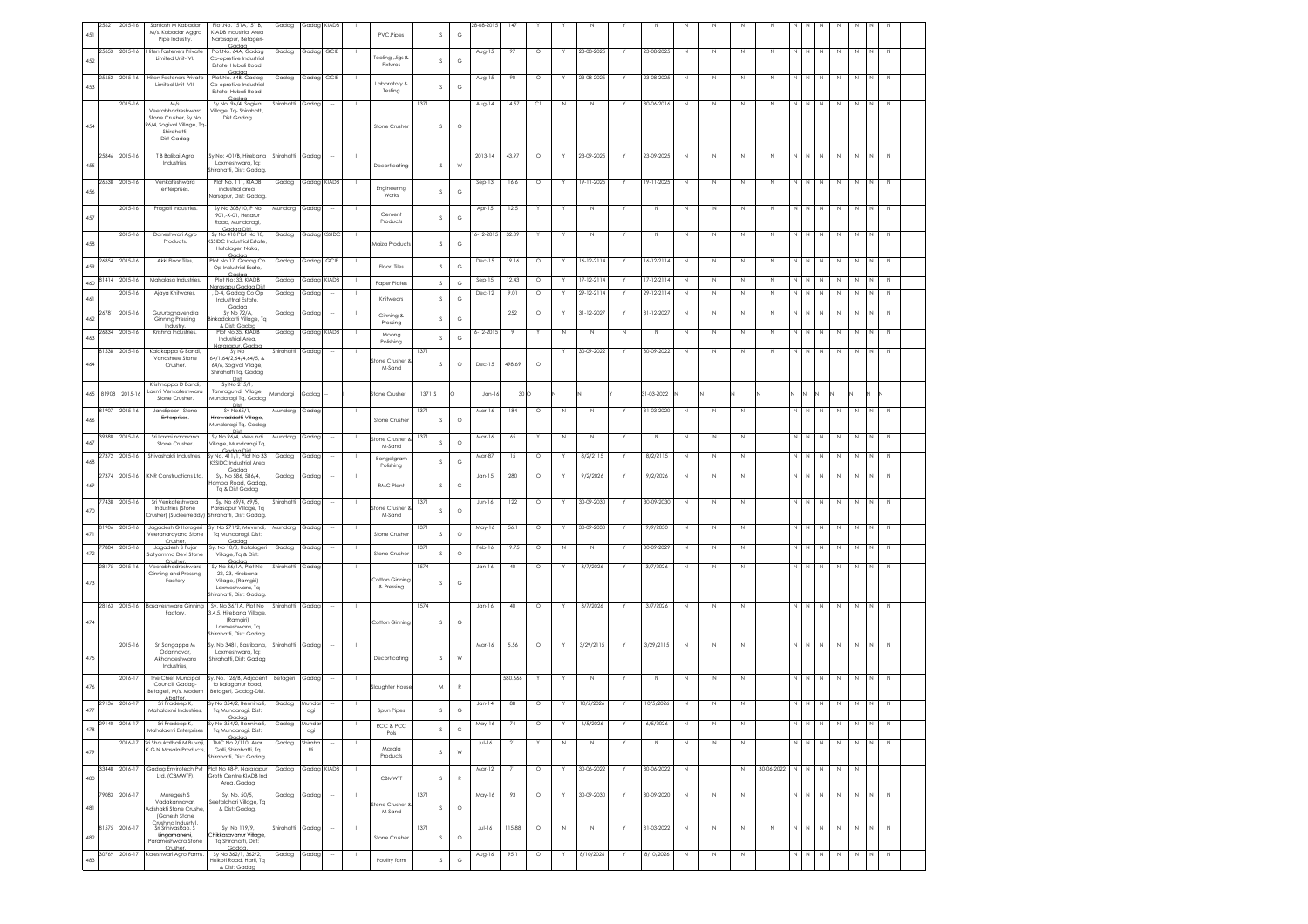| 451     | 25621 | 2015-16       | Santosh M Kabadar<br>M/s. Kabadar Aggro<br>Pipe Industry. | Plot.No. 151A,151 B,<br>KIADB Industrial Area<br>Narasapur, Betageri  | Gadag            | Gadag KIADB   |               |              | PVC.Pipes                |      | s             | $_{\rm G}$   | $8 - 08 - 2015$ | 147             |         |              |                 |              |                  |              |              |             |            |              |                             |             |         |                |              |  |
|---------|-------|---------------|-----------------------------------------------------------|-----------------------------------------------------------------------|------------------|---------------|---------------|--------------|--------------------------|------|---------------|--------------|-----------------|-----------------|---------|--------------|-----------------|--------------|------------------|--------------|--------------|-------------|------------|--------------|-----------------------------|-------------|---------|----------------|--------------|--|
| 452     | 25653 | 2015-16       | liten Fasteners Private<br>Limited Unit- VI.              | Plot.No. 64A, Gadag<br>Co-opretive Industrial                         | Gadag            | Gadag         | GCIE          |              | Tooling , Jigs &         |      | s             | G            | Aug-15          | 97              | $\circ$ |              | 23-08-2025      |              | 23-08-2025       | N            | $\mathbb N$  | $\mathbb N$ | N          | N            | N<br>N                      | N           | N       | N.             | N            |  |
|         | 25652 | 2015-16       | Hiten Fasteners Private                                   | Estate, Hubali Road,<br>Gada<br>Plot.No. 64B, Gadag                   | Gadag            | Gadag         | GCIE          |              | Fixtures                 |      |               |              | Aug-15          | 90              | $\circ$ |              | 23-08-2025      |              | 23-08-2025       | N            | $\mathbb N$  | N           | N          | N            | N<br>N                      | N           | N       | N              | $\mathbb N$  |  |
| 453     |       |               | Limited Unit- VII.                                        | Co-opretive Industrial<br>Estate, Hubali Road,                        |                  |               |               |              | Laboratory &<br>Testing  |      | s             | G            |                 |                 |         |              |                 |              |                  |              |              |             |            |              |                             |             |         |                |              |  |
|         |       | 2015-16       | M/s.<br>Veerabhadreshward                                 | Gadaa<br>Sy.No. 96/4, Sogival<br>Vilage, Tq-Shirahatti,               | Shirahatti       | Gadag         |               |              |                          | 1371 |               |              | Aug-14          | 14.57           | C1      | N            | Ν               |              | 30-06-2016       | N            | $\mathbb N$  | N           | N          | N            | N<br>N                      | N           | N       | N              | $\mathbb N$  |  |
| 454     |       |               | Stone Crusher, Sy.No.<br>96/4, Sogival Village, Tq        | Dist Gadag                                                            |                  |               |               |              | Stone Crushe             |      | s.            | $\circ$      |                 |                 |         |              |                 |              |                  |              |              |             |            |              |                             |             |         |                |              |  |
|         |       |               | Shirahatti.<br>Dist-Gadag                                 |                                                                       |                  |               |               |              |                          |      |               |              |                 |                 |         |              |                 |              |                  |              |              |             |            |              |                             |             |         |                |              |  |
|         |       |               |                                                           |                                                                       |                  |               |               |              |                          |      |               |              |                 |                 |         |              |                 |              |                  |              |              |             |            |              |                             |             |         |                |              |  |
| 455     | 25846 | 2015-16       | T B Balikai Agro<br>Industries.                           | Sy No: 401/B, Hirebana<br>Laxmeshwara, Tq:<br>Shirahatti, Dist: Gadac | Shirahatti       | Gadag         |               | - 1          | Decorticating            |      | s             | W            | 2013-14         | 43.97           | $\circ$ | Y            | 23-09-2025      |              | 23-09-2025       | $\mathbb N$  | $\mathbb N$  | $\mathbb N$ | N          | N            | $\mathbb N$<br>N            | $\mathbb N$ | N       | N              | N            |  |
|         | 26538 | 2015-16       | Venkoteshword                                             | Plot No. 111, KIADB                                                   | Gadag            | Gadag KIADB   |               |              |                          |      |               |              | Sep-13          | 16.6            | $\circ$ | Y            | 9-11-2025       | Y            | 19-11-2025       | N            | N            | N           | N          | N            | N<br>N                      | $\mathbb N$ | N       | N              | $\mathbb N$  |  |
| 456     |       |               | enterprises.                                              | industrial area,<br>Narsapur, Dist: Gadag                             |                  |               |               |              | Engineering<br>Works     |      | s             | G            |                 |                 |         |              |                 |              |                  |              |              |             |            |              |                             |             |         |                |              |  |
|         |       | 2015-16       | Pragati Industries.                                       | Sv No 308/10, P No                                                    | Mundargi Gadag   |               |               |              |                          |      |               |              | Apr-15          | 12.5            |         |              | N               |              | $\mathbb N$      | N            | $\mathbb N$  | N           | N          | N            | N<br>N                      | $\mathbb N$ | N       | N              | N            |  |
| 457     |       |               |                                                           | 901.-X-01. Hesarur<br>Road, Mundaragi,                                |                  |               |               |              | Cement<br>Products       |      | s             | G            |                 |                 |         |              |                 |              |                  |              |              |             |            |              |                             |             |         |                |              |  |
|         |       | 2015-16       | Daneshwari Agro<br>Products.                              | Gadaa Dist<br>Sy No 418 Plot No 10,<br>(SSIDC Industrial Estate       | Gadag            | Gadag         | <b>KSSIDC</b> |              |                          |      |               |              | $6 - 12 - 2015$ | 32.09           |         |              | N               |              | $\mathbb{N}$     | $\mathbb{N}$ | $\mathbb{N}$ | N           | N          | N            | N<br>N                      | N           | N       | N              | $\mathbb N$  |  |
| 458     |       |               |                                                           | Hatalageri Naka,<br>Codor                                             |                  |               |               |              | Maiza Products           |      | s             | G            |                 |                 |         |              |                 |              |                  |              |              |             |            |              |                             |             |         |                |              |  |
| 459     | 6854  | 2015-16       | Akki Floor Tiles,                                         | Plot No 17, Gadag Co<br>Op Industrial Esate,                          | Gadag            | Gadag         | GCIE          |              | Floor Tiles              |      | s             | $\mathbb{G}$ | $Dec-15$        | 19.16           | $\circ$ |              | $6 - 12 - 2114$ |              | $6 - 12 - 2114$  | N            | N            | N           | N          |              |                             | N           |         |                | $\mathbb N$  |  |
| 460     | 81414 | 2015-16       | Mahalasa Industries                                       | Cod<br>Plot No: 33, KIADB                                             | Gadag            | Gadag         | <b>KIADB</b>  |              | Paper Plates             |      | $\mathcal{S}$ | G            | Sep-15          | 12.43           | $\circ$ | Y            | 17-12-2114      | Y            | $17 - 12 - 2114$ | N            | N            | N           | N          | N            | N<br>N                      | N           | N       | N              | $\mathbb N$  |  |
| $461\,$ |       | 015-16        | Ajaya Knitwares.                                          | larasapu Gadag Di:<br>D-4, Gadag Co Op<br>Industtrial Estate,         | Gadag            | Gadag         |               |              | Knitwears                |      | s             | $_{\rm G}$   | Dec-12          | 9.01            | $\circ$ |              | 29-12-2114      |              | 29-12-2114       | N            | N            | N           | N          | N            | N                           | $\mathbb N$ | N       | N              | $\mathbb N$  |  |
|         | 26781 | 2015-16       | Gururaghavendra                                           | Godo<br>Sv No 72/A.                                                   | Gadag            | Gadag         |               |              |                          |      |               |              |                 | 252             | $\circ$ | Y            | 31-12-2027      | Y            | 31-12-2027       | N            | $\mathbb N$  | N           | N          | N            | N<br>N                      | N           | N       | N              | N            |  |
| 462     |       |               | Ginning Pressing<br>Industry.                             | Binkadakatti Village, T<br>& Dist: Gadaa                              |                  |               |               |              | Ginning &<br>Pressing    |      | s             | G            |                 |                 |         |              |                 |              |                  |              |              |             |            |              |                             |             |         |                |              |  |
| 463     | 26834 | 2015-16       | Krishna Industries.                                       | Plot No 35, KIADB<br>Industrial Area,                                 | Gadag            | Gadag         | KIADE         |              | Moong<br>Polishing       |      | s             | G            | $6 - 12 - 201$  |                 |         | N            | $\mathbb N$     | $\mathbb{N}$ | $\mathbb{N}$     | N            | $\mathbb{N}$ | N           | N          | N            | $\mathbb N$<br>N            | $\mathbb N$ | N       | N              | $\mathbb N$  |  |
|         | 81538 | 2015-16       | Kalakappa G Bandi,<br>Vanashree Stone                     | Narasaour, Gadac<br>Sy No<br>64/1,64/2,64/4,64/5, &                   | Shirahatti       | Gadap         |               |              |                          |      |               |              |                 |                 |         |              | 30-09-2022      |              | 30-09-2022       | $\mathbb N$  | N            | N           | N          | N            | N                           | N           | N       | N              | $\mathbb N$  |  |
| 464     |       |               | Crusher.                                                  | 64/6, Sogival Vilage,<br>Shirahatti Tq, Gadag                         |                  |               |               |              | tone Crusher<br>M-Sand   |      | s             | $\circ$      | $Dec-15$        | 498.69          | $\circ$ |              |                 |              |                  |              |              |             |            |              |                             |             |         |                |              |  |
|         |       |               | Krishnappa D Bandi.                                       | Sy No 215/1,                                                          |                  |               |               |              |                          |      |               |              |                 |                 |         |              |                 |              |                  |              |              |             |            |              |                             |             |         |                |              |  |
| 465     | 81908 | $2015 - 16$   | Laxmi Venkateshwara<br>Stone Crusher.                     | Tamragundi Vilage,<br>Mundaragi Tq, Gadag                             | lundargi         | Gadac         |               |              | Stone Crusher            | 1371 |               | $\circ$      | Jan-1           | 30 <sub>O</sub> |         |              |                 |              | 31-03-2022       |              |              |             |            | И            |                             |             |         |                |              |  |
|         | 81907 | 2015-16       | Igndineer Stone<br>Enterprises.                           | Dist<br>Sv No65/1.<br>Hirewaddatti Village                            | Mundargi Gadag   |               |               |              |                          | 1371 |               |              | Mar-16          | 184             | $\circ$ | N            | N               |              | 31-03-2020       | N            | $\mathbb N$  | N           |            | N            | N<br>N                      | N           | N       | N              | $\mathbb N$  |  |
| 466     |       |               |                                                           | Mundaragi Tq, Gadag                                                   |                  |               |               |              | Stone Crushe             |      | -S            | $\circ$      |                 |                 |         |              |                 |              |                  |              |              |             |            |              |                             |             |         |                |              |  |
| 467     | 39388 | 2015-16       | Sri Laxmi naravana<br>Stone Crusher.                      | Sv No 96/4, Mevundi<br>Vilage, Mundaragi Tq,                          | Mundargi Gadag   |               |               |              | tone Crusher<br>M-Sand   | 137  |               | $\circ$      | Mar-16          | 65              |         | $\mathbb{N}$ | N               |              | N                | $\mathbb N$  | $\mathbb N$  | N           |            | N            | N                           | N           | N       | N.             | $\mathbb{N}$ |  |
| 468     | 27372 | 2015-16       | Shivashakti Industries                                    | Godoo Dist<br>Sy No. 411/1, Plot No 33                                | Gadag            | Gadag         |               |              | Bengalgram               |      | s             | $_{\rm G}$   | Mar-87          | 15              | $\circ$ |              | 8/2/2115        |              | 8/2/2115         | N            | $\mathbb N$  | Ν           |            |              |                             | Ν           | N       |                | $\mathbb N$  |  |
|         | 27374 | 2015-16       | <b>KNR Constructions Ltd.</b>                             | <b>KSSIDC Industrial Area</b><br>Gadac<br>Sv. No 586, 586/4.          | Gadag            | Gadag         |               |              | Polishing                |      |               |              | $Jan-15$        | 280             | $\circ$ |              | 9/2/2026        |              | 9/2/2026         | N            | $\mathbb N$  | N           |            | N            | N<br>N                      | N           | N       | N.             | $\mathbb N$  |  |
| 469     |       |               |                                                           | Hombal Road, Gadag<br>Tq & Dist Gadag                                 |                  |               |               |              | <b>RMC Plant</b>         |      | $\mathcal{S}$ | G            |                 |                 |         |              |                 |              |                  |              |              |             |            |              |                             |             |         |                |              |  |
|         | 77438 | 2015-16       | Sri Venkateshwara                                         | Sy. No 69/4, 69/5.                                                    | Shirahatti       | Gadag         |               |              |                          | 1371 |               |              | Jun-16          | 122             | $\circ$ |              | 30-09-2030      |              | 30-09-2030       | N            | $\mathbb N$  | $\mathbb N$ |            | N            | N                           | N           | N       | N              | $\mathbb N$  |  |
| 470     |       |               | Industries (Stone<br>Crusher) (Sudeerreddy                | Parasapur Village, Ta<br>Shirahatti, Dist: Gadac                      |                  |               |               |              | one Crusher<br>M-Sand    |      | $\mathcal{S}$ | $\circ$      |                 |                 |         |              |                 |              |                  |              |              |             |            |              |                             |             |         |                |              |  |
| 471     | 81906 | 2015-16       | Jagadesh G Horogeri<br>/eeranarayana Stone                | Sy. No 271/2, Mevundi,<br>Tq Mundaragi, Dist:                         | Mundargi         | Gadag         |               |              | Stone Crushe             | 1371 | $\mathcal{S}$ | $\circ$      | May-16          | 56.1            | $\circ$ | Y            | 30-09-2030      | Y            | 9/9/2030         | $\mathbb{N}$ | $\mathbb N$  | $\mathbb N$ |            | $\mathbb{N}$ | $\mathbb{N}$<br>$\mathbb N$ | $\mathbb N$ | $\,N\,$ | N              | $\mathbb N$  |  |
|         | 77884 | 2015-16       | Crusher.<br>Jagadesh S Pujar                              | Gadaa<br>Sy. No 10/8, Hatalage                                        | Gadag            | Gadap         |               |              |                          | 1371 |               |              | Feb-16          | 19.75           | $\circ$ | N            | N               |              | 30-09-2029       | N            | $\mathbb N$  | N           |            | N            | N                           | N           | N       | N              | $\mathbb N$  |  |
| 472     |       |               | Satyamma Devi Stone<br>Crisher                            | Village, Tq & Dist:<br>Gadan                                          |                  |               |               |              | Stone Crushe             |      | s             | $\circ$      |                 |                 |         |              |                 |              |                  |              |              |             |            |              |                             |             |         |                |              |  |
|         | 28175 | 2015-16       | Veerabhadreshwara<br>Ginning and Pressing                 | Sv No 36/1A, Plot No<br>22, 23. Hirebana                              | Shirahatti       | Gadag         |               |              | Cotton Ginning           | 1574 |               |              | $Jan-16$        | 40              | $\circ$ |              | 3/7/2026        |              | 3/7/2026         | $\mathbb N$  | $\mathbb N$  | N           |            | N            |                             | N           | N       |                | $\mathbb N$  |  |
| 473     |       |               | Factory                                                   | Village, (Ramgiri)<br>Laxmeshwara, Ta<br>Shirahatti, Dist: Gadac      |                  |               |               |              | & Pressing               |      |               | G            |                 |                 |         |              |                 |              |                  |              |              |             |            |              |                             |             |         |                |              |  |
|         | 28163 | 2015-16       | <b>Basaveshwara Ginning</b>                               | Sv. No 36/1A. Plot No                                                 | Shirahatti       | Gadag         |               |              |                          | 1574 |               |              | Jan-16          | 40              | $\circ$ |              | 3/7/2026        |              | 3/7/2026         | N            | $\mathbb N$  | N           |            | N            | N                           | N           | N       |                | $\mathbb N$  |  |
| 474     |       |               | Factory.                                                  | 3,4,5, Hirebana Village<br>(Ramgiri)                                  |                  |               |               |              | Cotton Ginning           |      | s             | $_{\rm G}$   |                 |                 |         |              |                 |              |                  |              |              |             |            |              |                             |             |         |                |              |  |
|         |       |               |                                                           | Laxmeshwara, Tq<br>Shirahatti, Dist: Gadag                            |                  |               |               |              |                          |      |               |              |                 |                 |         |              |                 |              |                  |              |              |             |            |              |                             |             |         |                |              |  |
|         |       | 2015-16       | Sri Sangappa M<br>Odannavar.                              | Sy. No 3481, Bastibana,<br>Laxmeshwara, Tq:                           | Shirahatti Gadap |               |               |              |                          |      |               |              | Mar-16          | 5.56            | $\circ$ | Y            | 3/29/2115       |              | 3/29/2115        | N            | $\mathbb N$  | $\mathbb N$ |            | N            | N                           | N           | N       | N.             | $\mathbb N$  |  |
| 475     |       |               | Akhandeshwara<br>Industries,                              | Shirahatti, Dist: Gadag                                               |                  |               |               |              | Decorticating            |      | s             | W            |                 |                 |         |              |                 |              |                  |              |              |             |            |              |                             |             |         |                |              |  |
|         |       | 2016-17       | The Chief Muncipal                                        | Sy. No. 126/B, Adjacent                                               | Betageri         | Gadag         |               |              |                          |      |               |              |                 | 580.666         |         |              | N               |              | $\mathbb N$      | $\mathbb N$  | $\mathbb N$  | N           |            | N            | N                           | N           | N       | N              | $\mathbb N$  |  |
| 476     |       |               | Council, Gadag-<br>Betageri, M/s, Moder                   | to Balaganur Road,<br>Betageri, Gadag-Dist                            |                  |               |               |              | Slaughter House          |      | M             | $\mathsf{R}$ |                 |                 |         |              |                 |              |                  |              |              |             |            |              |                             |             |         |                |              |  |
| 477     | 29136 | 2016-17       | Abattor<br>Sri Pradeep K.<br>Mahalaxmi Industries         | Sv No 354/2. Bennihalli.<br>Tq Mundaragi, Dist:                       | Gadag            | Munda<br>agi  |               |              | Spun Pipes               |      | s             | $_{\rm G}$   | $Jan-14$        | 88              | $\circ$ | Y            | 10/5/2026       | Y            | 10/5/2026        | N            | $\mathbb N$  | N           |            | N            | N<br>N                      | N           | N       | N              | $\mathbb N$  |  |
|         |       | 29140 2016-17 | Sri Pradeep K,                                            | Sy No 354/2, Bennihalli,                                              | Gadag            | Mundar        |               |              |                          |      |               |              | May-16          | 74              | $\circ$ |              | 6/5/2026        | Y            | 6/5/2026         | $\mathbb N$  | $\mathbb N$  | $\mathbb N$ |            | $\mathbb{N}$ | $\mathbb{N}$<br>$\mathbb N$ | $\mathbb N$ | $\,N\,$ | N              | $\,$ N       |  |
| 478     |       |               | Mahalaxmi Enterprises                                     | Tq Mundaragi, Dist:<br>Gadaa<br>TMC No 2/110, Asar                    |                  | agi           |               |              | RCC & PCC<br>Pols        |      | $\mathsf S$   | $_{\rm G}$   |                 |                 |         |              |                 |              |                  |              |              |             |            |              |                             |             |         |                |              |  |
| 479     |       | 2016-17       | Sri Shoukathali M Buvaji,<br>C.G.N Masala Products        | Galli, Shirahatti, Tq                                                 | Gadag            | Shiraho<br>Ħi |               |              | Masala<br>Products       |      | $\mathsf S$   | ${\sf W}$    | JUH16           | 21              |         | N            | N               |              | $\mathbb N$      | N            | $\mathbb N$  | N           |            | N            | $\mathbb N$                 | N           | N       | N.             | $\mathbb N$  |  |
|         |       | 33448 2016-17 | Gadag Envirotech Pvt                                      | Shirahatti, Dist: Gadag<br>Plot No 48-P. Narasapur                    | Gadag            |               | Gadag KIADB   | - 1          |                          |      |               |              | Mar-12          | 71              | $\circ$ | Y            | 30-06-2022      | Y            | 30-06-2022       | N            |              | N           | 30-06-2022 | N            | N<br>N                      | N           | N       |                |              |  |
| 480     |       |               | Ltd, (CBMWTF).                                            | Groth Centre KIADB Inc<br>Area, Gadag                                 |                  |               |               |              | CBMWTF                   |      | $\mathsf S$   | $\mathbb R$  |                 |                 |         |              |                 |              |                  |              |              |             |            |              |                             |             |         |                |              |  |
|         |       | 79083 2016-17 | Muregesh S                                                | Sy. No. 50/5,                                                         | Gadag            | Gadag         | $\sim$        | $\mathbf{I}$ |                          | 1371 |               |              | May-16          | 93              | $\circ$ | Y            | 30-09-2030      | Y            | 30-09-2020       | $\mathbb N$  | $\mathbb N$  | $\,$ N      |            | $\mathbb{N}$ | N<br>$\,N\,$                | $\mathbb N$ | $\,$ N  | N <sub>1</sub> | N            |  |
| 481     |       |               | Vadakannavar.<br>dishakti Stone Crushe                    | Seetalahari Village, Ta<br>& Dist: Gadag.                             |                  |               |               |              | tone Crusher a<br>M-Sand |      | $\mathsf S$   | $\circ$      |                 |                 |         |              |                 |              |                  |              |              |             |            |              |                             |             |         |                |              |  |
|         | 81575 | 2016-17       | (Ganesh Stone)<br>Sri SrinivasRao. S                      | Sy. No 119/9,                                                         | Shirahatti       | Gadag         |               |              |                          | 1371 |               |              | Jul-16          | 115.88          | $\circ$ | $\,$ N       | $\,$ N          | Y            | 31-03-2022       | $\mathbb N$  | $\,N\,$      | N           | $\,$ N     | $\mathbb{N}$ | $\mathbb{N}$<br>$\,N\,$     | $\,$ N      | $\,$ N  | N              | $\,N\,$      |  |
| 482     |       |               | Lingamaneni.<br>Parameshwara Stone                        | Chikkasavanur Village<br>Ta Shirahatti, Dist:                         |                  |               |               |              | Stone Crusher            |      | $\mathsf S$   | $\circ$      |                 |                 |         |              |                 |              |                  |              |              |             |            |              |                             |             |         |                |              |  |
|         | 30769 | 2016-17       | Crisher<br>Kaleshwari Agro Farms.                         | Gadaa<br>Sy No 362/1, 362/2,                                          | Gadag            | Gadag         |               |              |                          |      |               |              | Aug-16          | 95.1            | $\circ$ |              | 8/10/2026       | Y            | 8/10/2026        | $\mathbb N$  | $\mathbb N$  | N           |            | $\mathbb N$  | N<br>$\,N\,$                | $\mathbb N$ | N       | N <sub>1</sub> | $\mathbb N$  |  |
| 483     |       |               |                                                           | Hulkoti Road, Harti, Tq<br>& Dist: Gadaa                              |                  |               |               |              | Poultry farm             |      | s             | $_{\rm G}$   |                 |                 |         |              |                 |              |                  |              |              |             |            |              |                             |             |         |                |              |  |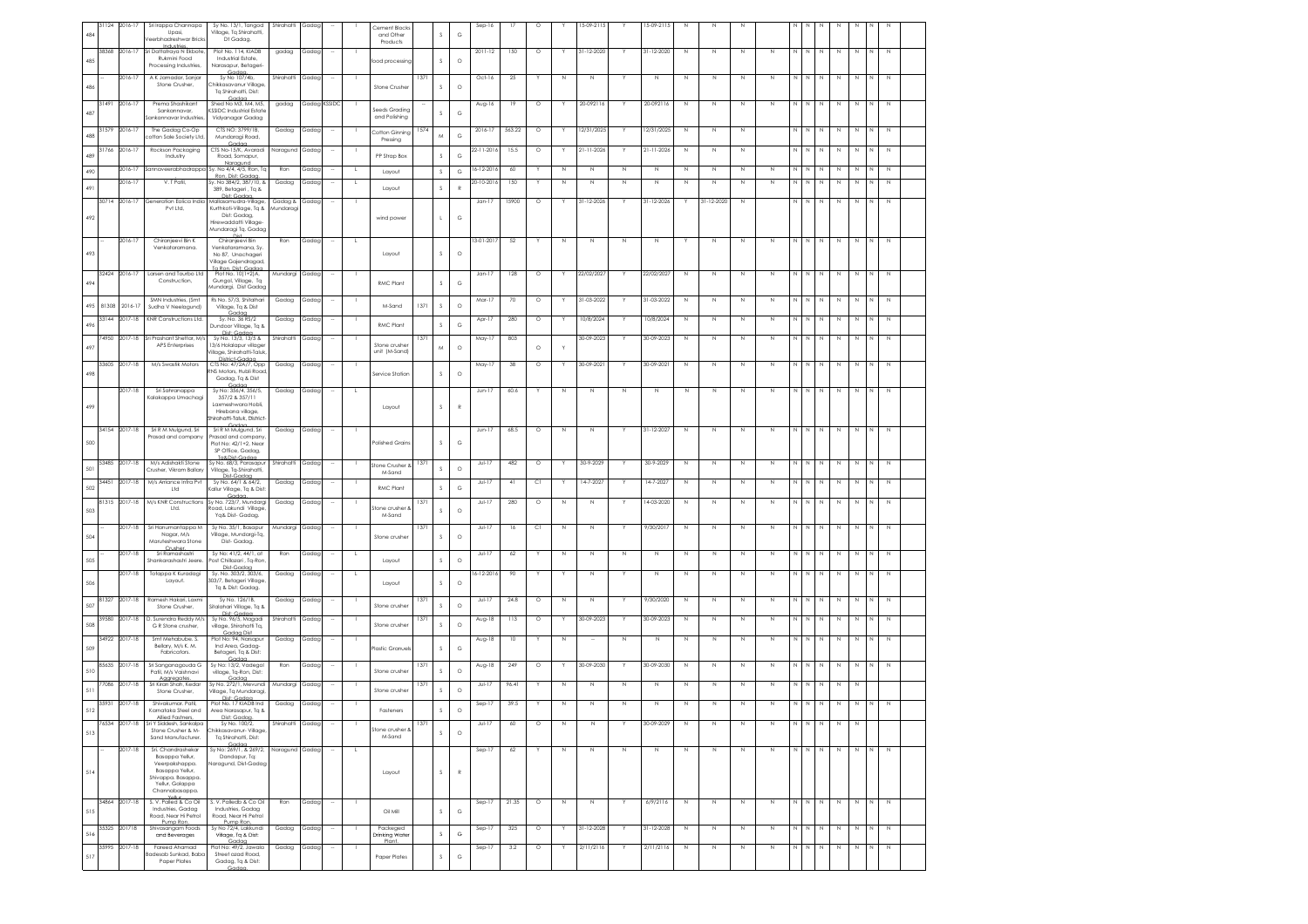| 484 | 31124 | 2016-17       | Sri Irappa Channapa<br>Upasi,<br>eerbhadreshwar Brick             | Sy No. 13/1, Tangod<br>Village, Tq Shirahatti,<br>Dt Gadag.                | Shirahatti          | Gadag |              |          | Cement Blocks<br>and Other<br>Products |      | s            | $_{\rm G}$   | Sep-16           | 17     | $\circ$ |             | 5-09-2115        |             | 15-09-2115       | N            |             |             |             |             |              |             |             |             |   |             |  |
|-----|-------|---------------|-------------------------------------------------------------------|----------------------------------------------------------------------------|---------------------|-------|--------------|----------|----------------------------------------|------|--------------|--------------|------------------|--------|---------|-------------|------------------|-------------|------------------|--------------|-------------|-------------|-------------|-------------|--------------|-------------|-------------|-------------|---|-------------|--|
| 485 | 38368 | 2016-17       | Sri Dattatraya N Ekbote<br>Rukmini Food                           | Plot No. 114, KIADB<br>Industrial Estate,                                  | gadag               | Gadag |              |          | food processing                        |      | s            | $\circ$      | 2011-12          | 150    | $\circ$ |             | 31-12-2020       |             | 31-12-2020       | N            | N           | N           | Ν           | N           |              | N           | N           | N           |   |             |  |
|     |       | 2016-17       | Processing Industries,<br>A K Jamadar, Sanjar                     | Narasapur, Betageri-<br>Gada<br>Sv No 107/4b.                              | Shirahatti          | Gadag |              |          |                                        | 1371 |              |              | $Oct-16$         | -25    |         | N           | $\mathbb N$      |             | N                | $\mathbb N$  | N           | N           | N           | N           | <b>N</b>     | N           | N           | N           |   | N           |  |
| 486 |       |               | Stone Crusher.                                                    | Chikkasavanur Village<br>Tq Shirahatti, Dist:<br>Gadaa                     |                     |       |              |          | Stone Crusher                          |      | <sub>S</sub> | $\circ$      |                  |        |         |             |                  |             |                  |              |             |             |             |             |              |             |             |             |   |             |  |
| 487 | 31491 | 2016-17       | Prema Shashikant<br>Sankannavar,<br>sankannavar Industries        | Shed No M3, M4, M5.<br><b>KSSIDC Industrial Estate</b><br>Vidyanagar Gadag | gadag               |       | Gadag KSSIDC |          | Seeds Grading<br>and Polishing         |      | <sub>S</sub> | G            | Aug-16           | 19     | $\circ$ |             | 20-092116        |             | 20-092116        | $\mathbb N$  | N           | N           | Ν           | N           | $\mathbb N$  | N           | N           | Ν           |   |             |  |
| 488 | 31579 | 2016-13       | The Gadag Co-Op<br>ofton Sale Society Ltd.                        | CTS NO: 3799/1B,<br>Mundaragi Road,                                        | Gadag               | Gadag |              |          | Cotton Ginning<br>Pressing             | 157. | M            | G            | 2016-17          | 563.22 | $\circ$ |             | 2/31/2025        |             | 12/31/2025       | $\,$ N       | N           | N           |             |             |              |             |             |             |   | N           |  |
| 489 | 31766 | 2016-17       | Rockson Packaging<br>Industry                                     | CTS No-15/K. Avaradi<br>Road, Somapur,                                     | Naragund            | Gadaa |              |          | PP Strap Box                           |      | $\mathbb S$  | G            | 22-11-2016       | 15.5   | $\circ$ | Y           | $21 - 11 - 2026$ | Y           | $21 - 11 - 2026$ | $\mathbb N$  | Ν           | N           |             | Ν           | N            | N           | N           | Ν           |   | N           |  |
| 490 |       | 2016-17       | Sannaveerabhadrappo                                               | Naragund<br>Sy. No 4/4, 4/5, Ron, Tq<br>Ron, Dist: Goda                    | Ron                 | Gadag |              | L        | Layout                                 |      | $\mathbb S$  | G            | $16 - 12 - 2016$ | 60     | Y       | N           | $\mathbb N$      | N           | $\mathbb N$      | $\mathbb N$  | N           | $\,N\,$     | $\mathbb N$ | $\mathbb N$ | $\mathbb{N}$ | N           | $\mathbb N$ | N           |   | N           |  |
| 491 |       | 2016-17       | V. T Patil                                                        | Sv. No 384/2, 387/10, &<br>389, Betageri, Tq &<br>Dist: Gadaa,             | Gadag               | Gadag |              | L.       | Layout                                 |      | $\mathbb S$  | $\mathbb{R}$ | $20 - 10 - 2016$ | 150    | Υ       | N           | $\mathbb{N}$     | N           | N                | $\mathbb N$  | N           | N           | N           | N           | N            | N           | $\mathbb N$ | N           |   | N           |  |
|     | 30714 | 2016-17       | Generation Eolica India<br>Pvt Ltd,                               | Mallasamudra-Village,<br>Kurthkoti-Village, Tq &                           | Gadag &<br>Aundarag | Gadag |              |          |                                        |      |              |              | $Jan-17$         | 15900  | $\circ$ |             | 31-12-2026       | Y           | 31-12-2026       | Y            | 31-12-2020  | $\mathbb N$ |             | $\mathbb N$ | $\mathbb{N}$ | N           | $\mathbb N$ | N           | N | N           |  |
| 492 |       |               |                                                                   | Dist: Gadag,<br>Hirewaddatti Village<br>Mundaragi Tq. Gadag                |                     |       |              |          | wind power                             |      | $\mathbf{L}$ | G            |                  |        |         |             |                  |             |                  |              |             |             |             |             |              |             |             |             |   |             |  |
|     |       | 2016-17       | Chiranjeevi Bin K<br>Venkataramana.                               | Chiranjeevi Bin<br>Venkataramana, Sv.                                      | Ron                 | Gadag |              | <b>L</b> |                                        |      |              |              | 13-01-2017       | 52     |         | N           | N                | N           | N                |              | N           | N           | N           | N           |              | N           | N           |             |   | N           |  |
| 493 |       |               |                                                                   | No 87, Unachageri<br>Village Gajendragad                                   |                     |       |              |          | Layout                                 |      | s            | $\circ$      |                  |        |         |             |                  |             |                  |              |             |             |             |             |              |             |             |             |   |             |  |
| 494 |       | 32424 2016-17 | Larsen and Tourbo Ltd<br>Construction.                            | Plot No. 10(1+2)A,<br>Gungol, Village, Tq<br>Mundargi, Dist Gadap          | Mundargi Gadag      |       |              |          | RMC Plant                              |      | $\mathbb S$  | G            | $Jan-17$         | 128    | $\circ$ |             | 22/02/202        |             | 22/02/202        | N            | N           | N           | N           | N           | <b>N</b>     | N           | N           | N           |   | N           |  |
| 495 | 81308 | $2016 - 17$   | SMN Industries, (Smt<br>Sudha V Neelagund)                        | Rs No. 57/3, Shitalhari<br>Village, Tq & Dist                              | Gadag               | Gadag |              |          | M-Sand                                 | 1371 | $\mathsf S$  | $\circ$      | Mar-17           | 70     | $\circ$ |             | 31-03-2022       |             | 31-03-2022       | $\mathbb N$  | N           | N           | $\mathbb N$ | N           | $\mathbb N$  | N           | $\mathbb N$ | Ν           |   | N           |  |
| 496 | 33144 | 2017-18       | KNR Constructions Ltd.                                            | Gadaa<br>Sy. No. 36 RS/2<br>Dundoor Village, Tq &                          | Gadag               | Gadag |              |          | RMC Plant                              |      | $\mathbb S$  | G            | Apr-17           | 280    | $\circ$ |             | 10/8/2024        |             | 10/8/2024        | $\mathbb N$  | N           | $\mathbb N$ | Ν           | N           | Ν            | N           | N           | N           |   | $\mathbb N$ |  |
|     |       | 4950 2017-18  | Sri Prashant Shettar, M/s                                         | Dist: Gadaa<br>Sv No. 13/3, 13/5 &<br>13/6 Holalapur village               | Shirahatti          | Gadag |              |          | Stone crusher                          | 137  |              |              | May-17           | 803    |         |             | 30-09-2023       |             | 30-09-2023       | $\mathbb N$  | N           | $\mathbb N$ | N           | N           | N            | N           | N           | N           |   | $\mathbb N$ |  |
| 497 |       |               | APS Enterprises                                                   | /illage. Shirahatti-Taluk<br>District-Godgo                                |                     |       |              |          | unit (M-Sand                           |      | M            | $\circ$      |                  |        | $\circ$ |             |                  |             |                  |              |             |             |             |             |              |             |             |             |   |             |  |
| 498 | 33605 | 2017-18       | M/s Swastik Motors                                                | CTS No: 47/2A/7, Opp<br>NS Motors, Hubli Road<br>Gadag, Tq & Dist          | Gadag               | Gadag |              |          | Service Station                        |      | s            | $\circ$      | May-17           | 38     | $\circ$ |             | 30-09-2021       | Y           | 30-09-2021       | $\mathbb N$  | N           | N           | N           | N           | N            | N           | N           | Ν           |   |             |  |
|     |       | 2017-18       | Sri Sahranappa<br>Kalakappa Umachagi                              | Sy No: 356/4, 356/5,<br>357/2 & 357/11                                     | Gadag               | Gadag |              |          |                                        |      |              |              | $Jun-1$          | 60.6   |         | Ν           | $\mathbb N$      | N           | N                | N            | N           | N           | Ν           | Ν           |              | N           | N           | Ν           |   | N           |  |
| 499 |       |               |                                                                   | Laxmeshwara Hobli,<br>Hirebana village,<br>hirahatti-Taluk, District       |                     |       |              |          | Layout                                 |      | <sub>S</sub> | R            |                  |        |         |             |                  |             |                  |              |             |             |             |             |              |             |             |             |   |             |  |
|     |       | 34154 2017-18 | Sri R M Mulgund, Sri                                              | Codoo<br>Sri R M Mulgund, Sri                                              | Gadag               | Gadag |              |          |                                        |      |              |              | $Jun-17$         | 68.5   | $\circ$ | Ν           | N                |             | $31 - 12 - 2027$ | $\mathbb N$  | N           | N           | Ν           | N           | N            | N           | N           | N           | N | N           |  |
| 500 |       |               | Prasad and company                                                | Prasad and company<br>Plot No: 42/1+2, Near<br>SP Office, Gadag,           |                     |       |              |          | Polished Grains                        |      | s            | G            |                  |        |         |             |                  |             |                  |              |             |             |             |             |              |             |             |             |   |             |  |
| 501 | 53485 | 2017-18       | M/s Adishakti Stone<br>Crusher, Vikram Ballan                     | To & Dist. Cadaa<br>Sy No. 68/3, Parasapur<br>Village, Tq-Shirahatti,      | Shirahatti          | Gadag |              |          | <b>Itone Crusher &amp;</b><br>M-Sand   | 137  | s            | $\circ$      | JuH17            | 482    | $\circ$ |             | 30-9-2029        | Y           | 30-9-2029        | $\mathbb N$  | $\mathbb N$ | $\mathbb N$ | $\mathbb N$ | N           | N            | N           | N           | N           | N | $\mathbb N$ |  |
| 502 | 3445  | 2017-18       | M/s Arriance Infra Pvt<br>Ltd                                     | Dist-Gadaa<br>Sy No. 64/1 & 64/2,<br>Callur Village, Tq & Dist             | Gadag               | Gadap |              |          | RMC Plant                              |      | $\mathbb S$  | G            | JuF17            | 41     | C1      |             | 14-7-2027        |             | 14-7-2027        | N            | N           | $\mathbb N$ | Ν           | N           |              | N           | N           | N           |   | $\mathbb N$ |  |
| 503 | 81315 | $2017 - 18$   | M/s KNR Constructions<br>Ltd.                                     | Gade<br>Sy No. 723/7, Mundargi<br>Road, Lakundi Village                    | Gadag               | Gadag |              |          | tone crusher &                         | 137  | <sub>S</sub> | $\circ$      | JuH17            | 280    | $\circ$ | N           | N                |             | 14-03-2020       | N            | N           | N           | N           | N           |              | N           | N           | N           |   | $\mathbb N$ |  |
|     |       | 2017-18       | Sri Hanumantappa M                                                | Yg& Dist- Gadag<br>Sy No. 35/1, Basapur                                    | Mundargi            | Gadag |              |          | M-Sand                                 | 1371 |              |              | JuH17            | 16     | C1      | N           | N                |             | 9/30/2017        | $\mathbb N$  | N           | N           | Ν           | $\mathbb N$ | $\mathbb N$  | $\,N\,$     | $\mathbb N$ | Ν           | N | $\mathbb N$ |  |
| 504 |       |               | Nagar, M/s<br>Maruteshwara Stone<br>Crusher                       | Village, Mundargi-Tq,<br>Dist-Gadag.                                       |                     |       |              |          | Stone crusher                          |      | s            | $\circ$      |                  |        |         |             |                  |             |                  |              |             |             |             |             |              |             |             |             |   |             |  |
| 505 |       | 2017-18       | Sri Ramashastri<br>Shankarashastri Jeere                          | Sy No: 41/2, 44/1, at<br>Post Chillazari , Tq-Ron<br>Dist-Gada             | Ron                 | Gadag |              |          | Layout                                 |      | $\mathbb S$  | $\circ$      | $Jul-17$         | 62     |         | N           | $\mathbb N$      | $\mathbb N$ | N                | N            | N           | N           | N           | N           |              | N           | $\,$ N      | N           |   | N           |  |
| 506 |       | 2017-18       | Totappa K Kuradagi<br>Layout.                                     | Sv. No. 303/2, 303/6.<br>303/7. Betageri Village<br>Tq & Dist: Gadag.      | Gadag               | Gadag |              | ι.       | Lavout                                 |      | s            | $\circ$      | $6 - 12 - 2016$  | 90     |         |             | $\mathbb N$      |             | N                | $\mathbb{N}$ | N           | N           | N           | N           | N            | N           | $\mathbb N$ | N           |   | $\mathbb N$ |  |
| 507 | 81327 | 2017-18       | Ramesh Hakari, Laxmi<br>Stone Crusher.                            | Sy No. 126/1B,<br>Sitalahari Village, Tq &                                 | Gadag               | Gadag |              |          | Stone crusher                          | 1371 | s            | $\circ$      | JuH17            | 24.8   | $\circ$ | $\mathbb N$ | N                |             | 9/30/2020        | N            | N           | N           | N           | N           | <b>N</b>     | N           | N           | N           |   | N           |  |
| 508 | 39580 | 2017-18       | D. Surendra Reddy M/s<br>G R Stone crusher,                       | Dist: Gadaa<br>Sy No. 96/5, Magadi<br>village, Shirahatti Tq,              | Shirahatti          | Gadag |              |          | Stone crusher                          | 137  | s            | $\circ$      | Aug-18           | 113    | $\circ$ |             | 30-09-2023       |             | 30-09-2023       | $\mathbb N$  | N           | $\mathbb N$ | N           | N           |              | N           | $\,$ N      | N           |   | $\mathbb N$ |  |
| 509 | 34922 | 2017-18       | Smt Mehabube, S.<br>Bellary, M/s K. M.                            | Gadaa Dist<br>Plot No: 94, Narsapur<br>Ind Area Godoo-                     | Gadag               | Gadag |              |          | Plastic Granuel                        |      | <sub>S</sub> | G            | Aug-18           | 10     |         | N           |                  | N           | N                | N            | N           | Ν           | N           | N           | <b>N</b>     | N           | N           | N           |   | $\mathbb N$ |  |
|     | 85635 | 2017-18       | Fabricators.<br>Sri Sanganagouda G                                | Betageri, Ta & Dist:<br>Gadaa<br>Sy No: 13/2, Vadegol                      | Ron                 | Gadag |              |          |                                        | 1371 |              |              | Aug-18           | 249    | $\circ$ | Y           | 30-09-2030       | Y           | 30-09-2030       | $\,$ N       | $\mathbb N$ | $\,$ N      | $\mathbb N$ | $\mathbb N$ | $\mathbb{N}$ | N           | $\,$ N      | $\mathbb N$ | N | N           |  |
| 510 | 7086  | 2017-18       | Patil, M/s Vaishnavi<br>Aggregates<br>Sri Kiran Shah, Keda        | village, Tq-Ron, Dist:<br>Gadaa<br>Sy No. 272/1, Mevundi                   | Mundargi            | Gadag |              |          | Stone crusher                          |      | s            | $\circ$      | $Jul-17$         | 96.41  |         | Ν           | $\mathbb N$      | N           | Ν                | N            | N           | N           | Ν           |             |              | Ν           | N           | Ν           |   |             |  |
| 511 | 35931 | 2017-18       | Stone Crusher<br>Shivakumar Patil                                 | Village, Tq Mundaragi,<br>Dist: Gadaa<br>Plot No. 17 KIADB Ind             | Gadag               | Gadag |              |          | Stone crusher                          |      | <sub>S</sub> | $\circ$      | Sep-17           | 39.5   |         | N           | N                | N           | N                | $\mathbb N$  | N           | N           | Ν           | N           |              | N           | N           |             |   |             |  |
| 512 |       | 6534 2017-18  | Karnataka Steel and<br>Sri Y Siddesh, Sankalpa                    | Area Narasapur, Tq &<br>Sy No. 100/2,                                      | Shirahatti          | Gadag |              |          | Fasteners                              | 1371 | s            | $\circ$      | JuH17            | 60     | $\circ$ | $\mathbb N$ | $\mathbb N$      |             | 30-09-2029       | $\mathbb N$  | $\mathbb N$ | N           | $\mathbb N$ | $\mathbb N$ | $\,$ N       | $\,N\,$     | $\,$ N      | N           |   |             |  |
| 513 |       |               | Stone Crusher & M-<br>Sand Manufacturer.                          | :hikkasavanur- Village<br>Tq Shirahatti, Dist:                             |                     |       |              |          | Stone crusher &<br>M-Sand              |      | $\mathbb S$  | $\circ$      |                  |        |         |             |                  |             |                  |              |             |             |             |             |              |             |             |             |   |             |  |
|     |       | 2017-18       | Sri. Chandrashekar<br>Basappa Yellur,                             | Sy No: 269/1, & 269/2, Naragund Gadag<br>Dandapur, Tq:                     |                     |       |              |          |                                        |      |              |              | $Sep-17$         | 62     |         | N           | $\mathbb N$      | $\mathbb N$ | N                | $\mathbb N$  | $\mathbb N$ | N           | N           | NN          |              | $\mathbb N$ | $\mathbb N$ | N           | N | $\mathbb N$ |  |
| 514 |       |               | Veerpakshappa.<br>Basappa Yellur,<br>Shivappa. Basappa.           | <b>Varagund, Dist-Gadag</b>                                                |                     |       |              |          | Layout                                 |      | $\mathbb S$  | $\mathbb{R}$ |                  |        |         |             |                  |             |                  |              |             |             |             |             |              |             |             |             |   |             |  |
|     |       |               | Yellur, Golappa<br>Channabasappa.                                 |                                                                            |                     |       |              |          |                                        |      |              |              |                  |        |         |             |                  |             |                  |              |             |             |             |             |              |             |             |             |   |             |  |
| 515 | 34864 | 2017-18       | S.V. Palled & Co Oil<br>Industries, Gadaa<br>Road, Near Hi Petrol | S.V. Palledb & Co Oil<br>Industries, Gadaa<br>Road, Near Hi Petrol         | Ron                 | Gadaa |              |          | Oil Mill                               |      | $\mathsf S$  | G            | $Sep-17$         | 21.35  | $\circ$ | N           | $\mathbb N$      |             | 6/9/2116         | $\mathbb N$  | N           | N           | N           | N           | $\mathbb N$  | N           | N           | N           |   | N           |  |
| 516 | 35325 | 201718        | Pump Ron<br>Shivasangam Foods                                     | Pump Ron<br>Sy No 72/4, Lakkundi<br>Village, Ta & Dist:                    | Gadag               | Gadag |              |          | Packeged<br><b>Drinking Water</b>      |      | $\mathsf S$  | G            | Sep-17           | 325    | $\circ$ | Y           | 31-12-2028       | Y           | 31-12-2028       | $\mathbb N$  | N           | $\,$ N      | $\mathbb N$ | $\mathbb N$ | N            | $\,N\,$     | $\,$ N      | $\mathbb N$ | N | $\mathbb N$ |  |
|     | 35995 | 2017-18       | and Beverages<br>Fareed Ahamad                                    | Gadaa<br>Plot No: 49/2, Jawala                                             | Gadag               | Gadag |              |          | Plant.                                 |      |              |              | $Sep-17$         | 3.2    | $\circ$ |             | 2/11/2116        |             | 2/11/2116        | $\mathbb N$  | $\mathbb N$ | N           | N           | $\mathbb N$ |              | N           | N           | N           |   | $\mathbb N$ |  |
| 517 |       |               | adesab Sunkad, Baba<br>Paper Plates                               | Street azad Road,<br>Gadag, Tq & Dist:                                     |                     |       |              |          | Paper Plates                           |      | $\mathbb S$  | G            |                  |        |         |             |                  |             |                  |              |             |             |             |             |              |             |             |             |   |             |  |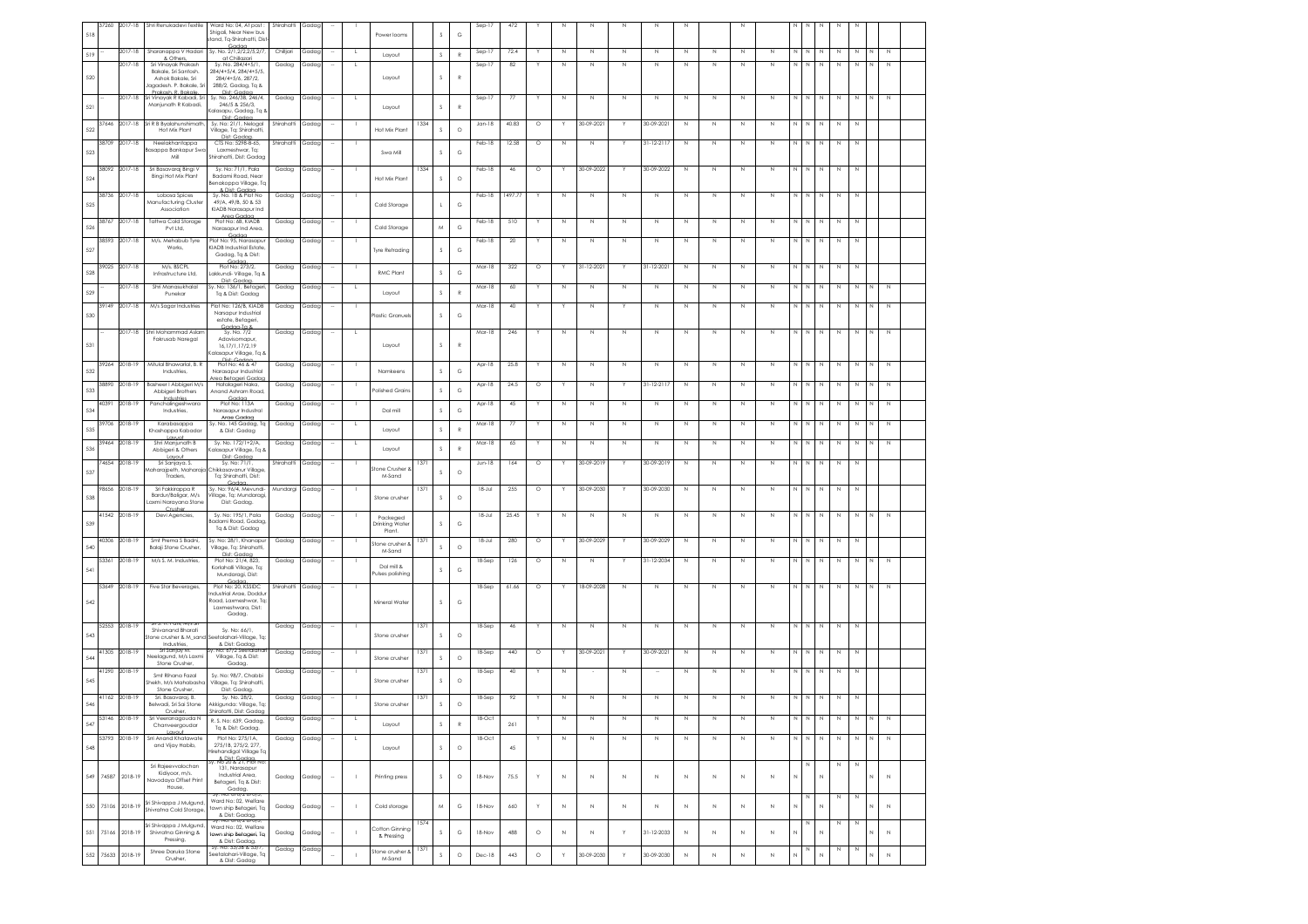| 518 | 37260 | 2017-18       | Shri Renukadevi Textile                           | Ward No: 04, At post:<br>Shigali, Near New bus<br>stand, Tq-Shirahatti, Dis | Shirahatti | Gadag |                          |                | Power looms               |      | s            | $_{\rm G}$     | Sep-17      | 472     |         |             |             |             |                  |              |             |             |             |                         |             |              |             |   |   |              |  |
|-----|-------|---------------|---------------------------------------------------|-----------------------------------------------------------------------------|------------|-------|--------------------------|----------------|---------------------------|------|--------------|----------------|-------------|---------|---------|-------------|-------------|-------------|------------------|--------------|-------------|-------------|-------------|-------------------------|-------------|--------------|-------------|---|---|--------------|--|
|     |       | 2017-18       | Sharanappa V Hadari                               | Sy. No. 2/1,2/2,2/5,2/7,                                                    | Chilijari  | Gadac |                          | <b>L</b>       |                           |      |              |                | $Sep-17$    | 72.4    |         | N           | N           | $\mathbb N$ | $\mathbb N$      | N            | N           | N           | N           | N                       | N           | N            | N           | N |   | N            |  |
| 519 |       |               | & Others,                                         | at Chillazari                                                               |            |       |                          |                | Layout                    |      | s            | $\mathbb{R}$   |             |         |         |             |             |             |                  |              |             |             |             |                         |             |              |             |   |   |              |  |
|     |       | 2017-18       | Sri Vinayak Prakash<br>Bakale, Sri Santosh.       | Sy. No. 284/4+5/1<br>284/4+5/4, 284/4+5/5,                                  | Gadag      | Gadag |                          | L,             |                           |      |              |                | $Sep-17$    | 82      |         | N           | Ν           | N           | N                | N            | N           | N           | Ν           | N                       |             | Ν            | Ν           | N |   | N            |  |
| 520 |       |               | Ashok Bakale, Sri<br>Jagadesh. P. Bakale, Sri     | 284/4+5/6, 287/2,                                                           |            |       |                          |                | Layout                    |      | s            | $\mathbb{R}$   |             |         |         |             |             |             |                  |              |             |             |             |                         |             |              |             |   |   |              |  |
|     |       |               | Prakash R Bakale                                  | 288/2, Gadag, Tq &<br>Dist: Godac                                           |            |       |                          |                |                           |      |              |                |             |         |         |             |             |             |                  |              |             |             |             |                         |             |              |             |   |   |              |  |
| 521 |       | 2017-18       | Sri Vinayak R Kabadi, Sr<br>Manjunath R Kabadi,   | Sy. No. 246/3B, 246/4,<br>246/5 & 256/3,                                    | Gadag      | Gadag |                          | L.             |                           |      | s            | $\mathbb R$    | $Sep-17$    | 77      |         | N           | Ν           | $\mathbb N$ | N                | $\,$ N       | $\mathbb N$ | N           | Ν           | N                       | $\mathbb N$ | N            | $\,$ N      | Ν | N | $\mathbb N$  |  |
|     |       |               |                                                   | alasapu, Gadag, Tq &                                                        |            |       |                          |                | Layout                    |      |              |                |             |         |         |             |             |             |                  |              |             |             |             |                         |             |              |             |   |   |              |  |
|     | 37646 | 2017-18       | Sri R B Byalahunshimath                           | Dist: Gadaa<br>Sy. No: 21/1, Nelogal                                        | Shirahatti | Gadag |                          |                |                           | 1334 |              |                | $Jan-18$    | 40.83   | $\circ$ |             | 30-09-2021  |             | 30-09-2021       | $\mathbb N$  | N           | $\mathbb N$ | Ν           | Ν                       |             | N            | $\mathbb N$ | Ν |   |              |  |
| 522 |       |               | Hot Mix Plant                                     | Village, Tq: Shirahatti,<br>Dist: Gadac                                     |            |       |                          |                | Hot Mix Plant             |      | s            | $\circ$        |             |         |         |             |             |             |                  |              |             |             |             |                         |             |              |             |   |   |              |  |
|     | 38709 | 2017-18       | Neelakhantappa                                    | CTS No: 5298-B-65.                                                          | Shirahatti | Gadag |                          |                |                           |      |              |                | Feb-18      | 12.58   | $\circ$ | N           | N           |             | $31 - 12 - 2117$ | $\mathbb N$  | $\mathbb N$ | N           | N           | N                       | N           | N            | N           | N |   |              |  |
| 523 |       |               | Basappa Bankapur Sw<br>Mil                        | Laxmeshwar, Ta:<br>Shirahatti, Dist: Gadac                                  |            |       |                          |                | Swa Mill                  |      | $\mathsf S$  | G              |             |         |         |             |             |             |                  |              |             |             |             |                         |             |              |             |   |   |              |  |
|     | 38092 | 2017-18       | Sri Basavaraj Bingi V                             | Sy. No: 71/1, Pala                                                          | Gadag      | Gadag |                          |                |                           | 1334 |              |                | Feb-18      | 46      | $\circ$ |             | 30-09-2022  | <b>V</b>    | 30-09-2022       | $\mathbb N$  | N           | $\mathbb N$ | Ν           | N                       | $\mathbb N$ | $\mathbb N$  | N           | Ν |   |              |  |
| 524 |       |               | <b>Bingi Hot Mix Plant</b>                        | Badami Road, Near                                                           |            |       |                          |                | Hot Mix Plant             |      | s            | $\circ$        |             |         |         |             |             |             |                  |              |             |             |             |                         |             |              |             |   |   |              |  |
|     |       |               |                                                   | Benakoppa Village, Tq<br>& Dist: Godoo                                      |            |       |                          |                |                           |      |              |                |             |         |         |             |             |             |                  |              |             |             |             |                         |             |              |             |   |   |              |  |
|     | 38736 | 2017-18       | Lobosa Spices<br>Manufacturing Cluster            | Sy. No. 18 & Plot No<br>49/A, 49/B, 50 & 53                                 | Gadag      | Gadag |                          |                |                           |      |              |                | Feb-18      | 1497.77 |         | Ν           | Ν           | $\mathbb N$ | N                | N            | N           | N           | Ν           |                         |             | N            |             |   |   |              |  |
| 525 |       |               | Association                                       | KIADB Narasapur Ind                                                         |            |       |                          |                | Cold Storage              |      | $\mathsf{L}$ | G              |             |         |         |             |             |             |                  |              |             |             |             |                         |             |              |             |   |   |              |  |
|     | 38767 | 2017-18       | <b>Tattwa Cold Storage</b>                        | Area Gadaa<br>Plot No: 6B, KIADB                                            | Gadag      | Gadac |                          |                |                           |      |              |                | Feb-18      | 510     |         | N           | Ν           | $\mathbb N$ | $\mathbb N$      | N            | $\mathbb N$ | N           | Ν           | Ν                       |             | N            | $\mathbb N$ | N |   |              |  |
| 526 |       |               | Pvt Ltd,                                          | Narasapur Ind Area,                                                         |            |       |                          |                | Cold Storage              |      | M            | $_{\rm G}$     |             |         |         |             |             |             |                  |              |             |             |             |                         |             |              |             |   |   |              |  |
|     | 38593 | 2017-18       | M/s. Mehabub Tyre                                 | Gadaa<br>Plot No: 95. Narasapur                                             | Gadag      | Gadag |                          |                |                           |      |              |                | Feb-18      | 20      |         | N           | N           | $\mathbb N$ | N                | $\mathbb N$  | N           | N           | N           | N                       | N           | $\mathbb N$  | N           | N |   |              |  |
| 527 |       |               | Works.                                            | KIADB Industrial Estate<br>Gadag, Tq & Dist:                                |            |       |                          |                | Tyre Retrading            |      | $\mathsf S$  | G              |             |         |         |             |             |             |                  |              |             |             |             |                         |             |              |             |   |   |              |  |
|     |       |               |                                                   | Gadaa                                                                       |            |       |                          |                |                           |      |              |                |             |         |         | Y           |             | Y           |                  |              |             |             |             |                         |             |              |             |   |   |              |  |
| 528 | 39025 | 2017-18       | M/s. BSCPL<br>Infrastructure Ltd,                 | Plot No: 273/2,<br>Lakkundi- Village, Tq 8                                  | Gadag      | Gadag |                          |                | <b>RMC Plant</b>          |      | $\mathsf S$  | $_{\rm G}$     | Mar-18      | 322     | $\circ$ |             | 31-12-202   |             | 31-12-2021       | $\mathbb N$  | N           | $\mathbb N$ | $\mathbb N$ | N N                     |             | $\mathbb N$  | $\,$ N      | N |   |              |  |
|     |       | 2017-18       | Shri Manasukhalal                                 | Dist: Gadaa.<br>Sy. No: 136/1, Betageri                                     | Gadag      | Gadac |                          | - L            |                           |      |              |                | Mar-18      | 60      |         | N           | N           | $\mathbb N$ | N                | N            | $\mathbb N$ | N           | N           | N                       | N           | $\mathbb N$  | $\mathbb N$ | N |   | $\mathbb{N}$ |  |
| 529 |       |               | Punekar                                           | Tq & Dist: Gadag                                                            |            |       |                          |                | Layout                    |      | s            | $\mathbb{R}$   |             |         |         |             |             |             |                  |              |             |             |             |                         |             |              |             |   |   |              |  |
|     | 39149 | 2017-18       | M/s Sagar Industries                              | Plot No: 126/B. KIADB                                                       | Gadag      | Gadag |                          |                |                           |      |              |                | Mar-18      | 40      |         |             | N           |             | N                | $\mathbb N$  | $\mathbb N$ | N           | N           | N                       |             | N            | N           | N |   | N            |  |
| 530 |       |               |                                                   | Narsapur Industrial<br>estate, Betageri,                                    |            |       |                          |                | Plastic Granuel           |      | s            | G              |             |         |         |             |             |             |                  |              |             |             |             |                         |             |              |             |   |   |              |  |
|     |       |               |                                                   | Godon-To &                                                                  |            |       |                          |                |                           |      |              |                |             |         |         |             |             |             |                  |              |             |             |             |                         |             |              |             |   |   |              |  |
|     |       | 2017-18       | Shri Mohammad Aslan<br>Fakrusab Naregal           | Sy. No. 7/2<br>Adavisomapur                                                 | Gadag      | Gadag |                          | $\mathbf{L}$   |                           |      |              |                | Mar-18      | 246     |         | N           | $\mathbb N$ | $\mathbb N$ | $\mathbb N$      | $\mathbb N$  | $\mathbb N$ | N           | N           |                         | $N$ $N$     | $\mathbb N$  | $\,$ N      | N | N | N            |  |
| 531 |       |               |                                                   | 16,17/1,17/2,19                                                             |            |       |                          |                | Layout                    |      | s            | $\overline{R}$ |             |         |         |             |             |             |                  |              |             |             |             |                         |             |              |             |   |   |              |  |
|     |       |               |                                                   | alasapur Village, Tq &<br>Dist: Code                                        |            |       |                          |                |                           |      |              |                |             |         |         |             |             |             |                  |              |             |             |             |                         |             |              |             |   |   |              |  |
| 532 | 39264 | 2018-19       | Mitulal Bhawarlal, B. R<br>Industries             | Plot No: 46 & 47<br>Narasapur Industrial                                    | Gadag      | Gadag |                          |                | Namkeens                  |      | $\mathsf S$  | $_{\rm G}$     | Apr-18      | 25.8    |         | N           | N           | $\mathbb N$ | $\mathbb N$      | N            | N           | N           | Ν           | N                       | $\mathbb N$ | N            | $\mathbb N$ | Ν |   | $\mathbb N$  |  |
|     | 38890 | 2018-19       | Basheer   Abbigeri M/s                            | Vea Betaaeri Gada<br>Hatalageri Naka,                                       | Gadag      | Gadag |                          | - 1            |                           |      |              |                | Apr-18      | 24.5    | $\circ$ | Y           | Ν           |             | $31 - 12 - 2117$ | $\mathbb N$  | $\mathbb N$ | N           | Ν           | N                       | N           | N            | $\mathbb N$ | N |   | N            |  |
| 533 |       |               | Abbigeri Brothers                                 | Anand Ashram Road,                                                          |            |       |                          |                | Olished Grains            |      | $\mathsf S$  | $_{\rm G}$     |             |         |         |             |             |             |                  |              |             |             |             |                         |             |              |             |   |   |              |  |
|     | 40391 | 2018-19       | Industries<br>Panchalingeshwara                   | Godon<br>Plot No: 113A                                                      | Gadag      | Gadag | $\sim$                   |                |                           |      |              |                | Apr-18      | 45      |         | N           | N           | $\mathbb N$ | $\mathbb N$      | $\mathbb N$  | $\mathbb N$ | N           | N           | N                       | N           | $\mathbb N$  | N           | N |   | $\mathbb N$  |  |
| 534 |       |               | Industries.                                       | Narasapur Industral<br>Arge Gadaa                                           |            |       |                          |                | Dal mill                  |      | $\mathsf S$  | $_{\rm G}$     |             |         |         |             |             |             |                  |              |             |             |             |                         |             |              |             |   |   |              |  |
|     | 39706 | 2018-19       | Karabasappa                                       | Sy. No. 145 Gadag, Tq                                                       | Gadag      | Gadag |                          | L,             |                           |      |              | $\mathbb{R}$   | Mar-18      | 77      |         | $\mathbb N$ | N           | $\mathbb N$ | N                | $\mathbb N$  | $\mathbb N$ | N           | N           | $\mathbb N$             |             | N            | $\mathbb N$ | N |   | $\mathbb N$  |  |
| 535 |       |               | Khashappa Kabada<br>Lavuot                        | & Dist: Gadag                                                               |            |       |                          |                | Layout                    |      | $\mathsf S$  |                |             |         |         |             |             |             |                  |              |             |             |             |                         |             |              |             |   |   |              |  |
| 536 | 39464 | 2018-19       | Shri Maniunath B<br>Abbigeri & Others             | Sv. No. 172/1+2/A.<br>Calasapur Village, Tq &                               | Gadag      | Gadag |                          | L.             | Layout                    |      | s            | $\overline{R}$ | Mar-18      | 65      |         | N           | N           | $\mathbb N$ | N                | N            | N           | N           | N           | N                       | N           | N            | N           | N |   | N            |  |
|     |       |               | Lavout                                            | Dist: Gadaa                                                                 |            |       |                          |                |                           |      |              |                |             |         |         |             |             |             |                  |              |             |             |             |                         |             |              |             |   |   |              |  |
| 537 | 74654 | 2018-19       | Sri Sanjaya. S.<br>iaharajpeth, Mahara            | Sy. No: 71/1,<br>Chikkasavanur Village                                      | Shirahatti | Gadag |                          |                | itone Crusher             | 1371 | s            | $\circ$        | $Jun-18$    | 164     | $\circ$ |             | 30-09-2019  | Y           | 30-09-2019       | $\mathbb N$  | N           | $\mathbb N$ | Ν           | $\mathbb N$             | $\mathbb N$ | $\mathbb N$  | $\,$ N      | Ν |   |              |  |
|     |       |               | Traders,                                          | Tq: Shirahatti, Dist:<br>Gadac                                              |            |       |                          |                | M-Sand                    |      |              |                |             |         |         |             |             |             |                  |              |             |             |             |                         |             |              |             |   |   |              |  |
|     | 98656 | 2018-19       | Sri Fakkirappa R                                  | Sy. No: 96/4, Mevundi-                                                      | Mundargi   | Gadag |                          |                |                           |      |              |                | $18 - J$ ul | 255     | $\circ$ |             | 30-09-2030  |             | 30-09-2030       | $\mathbb N$  | N           | $\mathbb N$ | Ν           | N                       | N           | N            | N           | N |   |              |  |
| 538 |       |               | Bardur/Baligar, M/s<br>axmi Narayana Stone.       | Village, Tq: Mundaragi<br>Dist: Gadag.                                      |            |       |                          |                | Stone crusher             |      | s            | $\circ$        |             |         |         |             |             |             |                  |              |             |             |             |                         |             |              |             |   |   |              |  |
|     | 41542 | 2018-19       | Crushe<br>Devi Agencies,                          | Sy. No: 195/1, Pala                                                         | Gadag      | Gadag |                          |                |                           |      |              |                | $18 -$ Jul  | 25.45   |         | N           | Ν           | $\mathbb N$ | N                | $\mathbb N$  | $\mathbb N$ | N           | N           | Ν                       |             | N            | $\mathbb N$ | N |   |              |  |
| 539 |       |               |                                                   | ladami Road, Gadag                                                          |            |       |                          |                | Packeged<br>Drinking Wate |      | s            | $_{\rm G}$     |             |         |         |             |             |             |                  |              |             |             |             |                         |             |              |             |   |   |              |  |
|     |       |               |                                                   | Tq & Dist: Gadag                                                            |            |       |                          |                | Plant.                    |      |              |                |             |         |         |             |             |             |                  |              |             |             |             |                         |             |              |             |   |   |              |  |
| 540 | 40306 | 2018-19       | Smt Prema S Badni.<br><b>Balaii Stone Crusher</b> | Sv. No: 28/1. Khanapur<br>Village, Ta: Shirahatti,                          | Gadag      | Gadac |                          |                | Stone crusher 8           | 137  | s            | $\circ$        | $18 - Jul$  | 280     | $\circ$ | Y           | 30-09-2029  |             | 30-09-2029       | N            | N           | N           | N           | N                       | -N          | N            | N           | N |   |              |  |
|     |       |               |                                                   | Dist: Gadaa                                                                 |            |       |                          |                | M-Sand                    |      |              |                |             |         |         |             |             |             |                  |              |             |             |             |                         |             |              |             |   |   |              |  |
|     | 53361 | 2018-19       | M/s S. M. Industries                              | Plot No: 21/4, 823,<br>Korlahalli Village, Tq:                              | Gadag      | Gadag |                          |                | Dal mill &                |      |              |                | 18-Sep      | 126     | $\circ$ | N           | N           |             | 31-12-2034       | N            | N           | N           | N           | $\mathbb N$             | N           | $\mathbb N$  | $\,$ N      | Ν |   | N            |  |
| 541 |       |               |                                                   | Mundaragi, Dist:                                                            |            |       |                          |                | Pulses polishing          |      | $\mathsf S$  | $_{\rm G}$     |             |         |         |             |             |             |                  |              |             |             |             |                         |             |              |             |   |   |              |  |
|     | 53649 | 2018-19       | Five Star Beverages,                              | Gada<br>Plot No: 20, KSSIDC                                                 | Shirahatti | Gadag |                          |                |                           |      |              |                | 18-Sep      | 61.66   | $\circ$ |             | 8-09-2028   | N           | N                |              | N           | N           |             |                         |             |              |             |   |   |              |  |
|     |       |               |                                                   | ndustrial Arae, Doddu<br>Road, Laxmeshwar, Tq:                              |            |       |                          |                |                           |      |              |                |             |         |         |             |             |             |                  |              |             |             |             |                         |             |              |             |   |   |              |  |
| 542 |       |               |                                                   | Laxmeshwara, Dist:                                                          |            |       |                          |                | Mineral Water             |      | s            | G              |             |         |         |             |             |             |                  |              |             |             |             |                         |             |              |             |   |   |              |  |
|     |       |               | <b>05 H POIL M/SS</b>                             | Gadag.                                                                      |            |       |                          |                |                           |      |              |                |             |         |         |             |             |             |                  |              |             |             |             |                         |             |              |             |   |   |              |  |
|     | 52553 | 2018-19       | Shivanand Bharati                                 | Sy. No: 66/1,                                                               | Gadag      | Gadag |                          |                |                           | 1371 |              |                | 18-Sep      | 46      |         | N           | N           | $\mathbb N$ | $\mathbb N$      | N            | N           | N           | Ν           | N                       | N           | N            | $\mathbb N$ | Ν |   |              |  |
| 543 |       |               | itone crusher & M_sar<br>Industries.              | eetalahari-Village, Tq:                                                     |            |       |                          |                | Stone crushe              |      | s            | $\circ$        |             |         |         |             |             |             |                  |              |             |             |             |                         |             |              |             |   |   |              |  |
|     | 41305 | 2018-19       | Sri Sanjay M                                      | & Dist: Gadag.<br>No: 67/2 Seetalahar                                       | Gadag      | Gadag |                          |                |                           | 137  |              |                | 18-Sep      | 440     | $\circ$ |             | 30-09-2021  |             | 30-09-2021       | N            | Ν           | N           | Ν           |                         |             | N            | $\,$ N      | Ν |   |              |  |
| 544 |       |               | Neelagund, M/s Laxmi<br>Stone Crusher.            | Village, Tq & Dist:<br>Gadag.                                               |            |       |                          |                | Stone crusher             |      | s            | $\circ$        |             |         |         |             |             |             |                  |              |             |             |             |                         |             |              |             |   |   |              |  |
|     | 41290 | 2018-19       | Smt Rihana Fazal                                  | Sy. No: 98/7, Chabbi                                                        | Gadag      | Gadag |                          |                |                           | 1371 |              |                | 18-Sep      | 40      |         | $\mathbb N$ |             | $\mathbb N$ | $\sim$           | N            | N           | N           | N           | N                       | -N          | N            | $\mathbb N$ | N |   |              |  |
| 545 |       |               | Shekh, M/s Mahabash                               | Village, Tq: Shirahatti,                                                    |            |       |                          |                | Stone crusher             |      | s            | $\circ$        |             |         |         |             |             |             |                  |              |             |             |             |                         |             |              |             |   |   |              |  |
|     | 41162 | 2018-19       | Stone Crusher,<br>Sri, Basavarai, B.              | Dist: Gadaa.<br>Sy. No. 28/2,                                               | Gadag      | Gadag |                          |                |                           | 1371 |              |                | 18-Sep      | 92      |         | N           | Ν           | N           | $\mathbb N$      | N            | N           | N           | Ν           | N                       | N           | N            | N           | Ν |   |              |  |
| 546 |       |               | Belwadi, Sri Sai Stone                            | Akkigunda: Village, Tq:                                                     |            |       |                          |                | Stone crusher             |      | s            | $\circ$        |             |         |         |             |             |             |                  |              |             |             |             |                         |             |              |             |   |   |              |  |
|     | 53146 | 2018-19       | Crusher.<br>Sri Veeranagouda N                    | Shiratatti, Dist: Gadag                                                     | Gadag      | Gadac |                          |                |                           |      |              |                | 18-Oct      |         |         | N           | Ν           | N           | $\mathbb{N}$     | N            | N           |             | N           | N                       | N           | N            | Ν           | N |   | N            |  |
| 547 |       |               | Chanveergoudar<br>Lavout                          | R. S. No: 639, Gadag,<br>Tq & Dist: Gadag.                                  |            |       |                          |                | Layout                    |      | $\mathsf S$  | $\mathbb R$    |             | 261     |         |             |             |             |                  |              |             |             |             |                         |             |              |             |   |   |              |  |
|     |       | 53793 2018-19 | Srri Anand Khatawate                              | Plot No: 275/1A,                                                            | Gadag      | Gadag |                          | L,             |                           |      |              |                | 18-Oct      |         |         | N           | N           | $\mathbb N$ | $\mathbb N$      | $\mathbb N$  | $\mathbb N$ | N           | N           | N N                     |             | N            | $\mathbb N$ | N |   |              |  |
| 548 |       |               | and Vijay Habib,                                  | 275/1B, 275/2, 277,<br>lirehandigol Village Tq                              |            |       |                          |                | Layout                    |      | $\mathsf S$  | $\circ$        |             | $45\,$  |         |             |             |             |                  |              |             |             |             |                         |             |              |             |   |   |              |  |
|     |       |               |                                                   | n&96tx9998m                                                                 |            |       |                          |                |                           |      |              |                |             |         |         |             |             |             |                  |              |             |             |             |                         |             |              |             |   |   |              |  |
|     |       |               | Sri Rajeevvalochan<br>Kidiyoor, m/s.              | 131, Narasapur                                                              |            |       |                          |                |                           |      |              |                |             |         |         |             |             |             |                  |              |             |             |             |                         |             |              | N           | N |   |              |  |
| 549 | 74587 | 2018-19       | Navodaya Offset Print                             | Industrial Area,<br>Betageri, Tq & Dist:                                    | Gadag      | Gadag | $\sim$                   | $\mathbf{I}$   | Printing press            |      | $\mathsf S$  | $\circ$        | 18-Nov      | 75.5    | Y       | $\,$ N      | $\,$ N      | $\,N\,$     | $\mathbb N$      | $\,$ N       | $\,$ N      | N           | N           | $\mathbb N$             |             | $\mathbb N$  |             |   | N | $\,$ N       |  |
|     |       |               | House,                                            | Gadag.<br>sy: No: 870/2 870/3                                               |            |       |                          |                |                           |      |              |                |             |         |         |             |             |             |                  |              |             |             |             |                         |             |              |             |   |   |              |  |
| 550 | 75106 | 2018-19       | Sri Shivappa J Mulgund                            | Ward No: 02, Welfare                                                        | Gadag      | Gadag | $\overline{\phantom{a}}$ | $\overline{1}$ | Cold storage              |      | M            | $_{\rm G}$     | 18-Nov      | 660     | Y       | $\mathbb N$ | $\mathbb N$ | $\mathbb N$ | $\mathbb N$      | $\mathbb N$  | $\mathbb N$ | $\,N\,$     | $\mathbb N$ | $\overline{\mathsf{N}}$ | Ν           | N            | N           | N |   | $\mathbb N$  |  |
|     |       |               | Shivratna Cold Storage                            | town ship Betageri, Tq                                                      |            |       |                          |                |                           |      |              |                |             |         |         |             |             |             |                  |              |             |             |             |                         |             |              |             |   |   |              |  |
|     |       |               | Sri Shivappa J Mulgund                            | & Dist: Gadag.<br>y. No: 870/2870/3,<br>Ward No: 02. Welfare                |            |       |                          |                | Cotton Ginning            | 1574 |              |                |             |         |         |             |             |             |                  |              |             |             |             |                         | N           |              | $\mathbb N$ | N |   |              |  |
| 551 | 75166 | 2018-19       | Shivratna Ginning &<br>Pressing,                  | town ship Betageri, Ta                                                      | Gadag      | Gadag | $\sim$                   | - 1            | & Pressing                |      | $\mathsf S$  | $_{\rm G}$     | 18-Nov      | 488     | $\circ$ | N           | N           | Y           | 31-12-2033       | $\mathbb{N}$ | N           | N           | N           | $\mathbb N$             |             | $\mathbb{N}$ |             |   | N | $\mathbb N$  |  |
|     |       |               |                                                   | & Dist: Gadaa.<br>Sy. No: 53/38 & 53/                                       | Gadag      | Gadag |                          |                |                           | 1371 |              |                |             |         |         |             |             |             |                  |              |             |             |             |                         | N           |              | $\,$ N      | N |   |              |  |
| 552 | 75633 | 2018-19       | Shree Daruka Stone<br>Crusher,                    | Seetalahari-Village, Tq<br>& Dist: Gadag                                    |            |       |                          |                | stone crusher &<br>M-Sand |      | s            | $\circ$        | $Dec-18$    | 443     | $\circ$ | Y           | 30-09-2030  | Y           | 30-09-2030       | $\mathbb N$  | N           | $\,$ N      | $\mathbb N$ | $\hbox{N}$              |             | $\mathbb N$  |             |   |   | $\mathbb N$  |  |
|     |       |               |                                                   |                                                                             |            |       |                          |                |                           |      |              |                |             |         |         |             |             |             |                  |              |             |             |             |                         |             |              |             |   |   |              |  |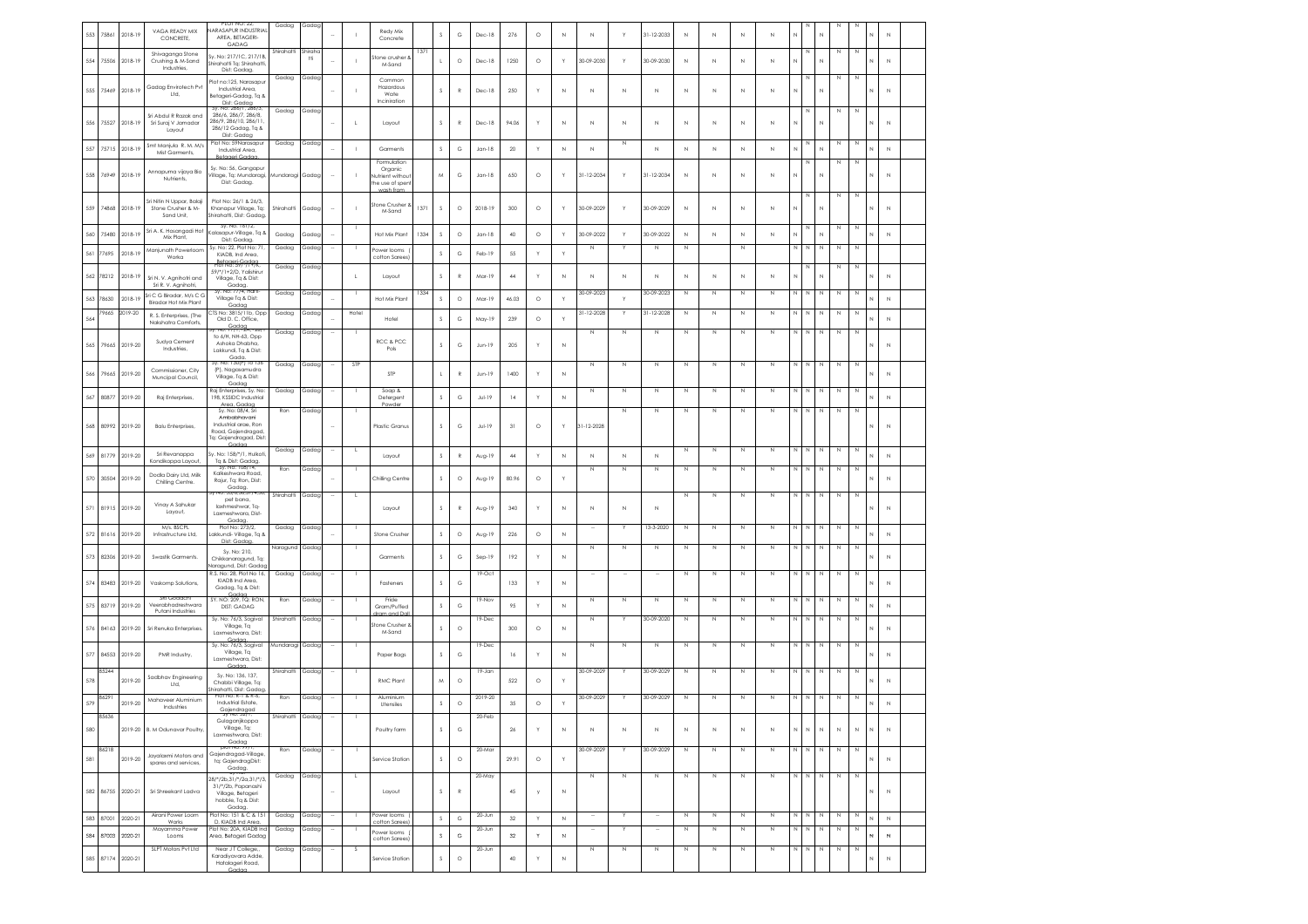|     |       |          | VAGA READY MIX                                                            | <b>JARASAPUR INDUSTRIAL</b>                                                                     | Gadag           | Gadap                 |                          |              | Redy Mix                                                   |      |              |               |            |        |         |             |                          |              |                          |              |             |             |             |              |              |             |             |             |   |              |
|-----|-------|----------|---------------------------------------------------------------------------|-------------------------------------------------------------------------------------------------|-----------------|-----------------------|--------------------------|--------------|------------------------------------------------------------|------|--------------|---------------|------------|--------|---------|-------------|--------------------------|--------------|--------------------------|--------------|-------------|-------------|-------------|--------------|--------------|-------------|-------------|-------------|---|--------------|
| 553 | 75861 | 2018-19  | CONCRETE,                                                                 | AREA, BETAGERI-<br>GADAG                                                                        |                 |                       |                          |              | Concrete                                                   |      | <sub>S</sub> | G             | Dec-18     | 276    | $\circ$ | N           | $\mathbb N$              | Y            | 31-12-2033               | N            | N           | N           | N           | N            |              |             |             |             |   | $\mathbb N$  |
| 554 | 75506 | 2018-19  | Shivaganga Stone<br>Crushing & M-Sand<br>Industries                       | iv. No: 217/1C, 217/1B.<br>Shirahatti Ta: Shirahatti<br>Dist: Gadaa,                            | Shirahatti      | Shiraha<br><b>tti</b> |                          |              | tone crusher a<br>M-Sand                                   | 137  |              | $\circ$       | Dec-18     | 1250   | $\circ$ | Y           | 30-09-2030               | Y            | 30-09-2030               | $\mathbb N$  | N           | $\mathbb N$ | N           | N            |              | N           | N           | N           |   | $\mathbb N$  |
| 555 | 75469 | 2018-19  | Gadag Envirotech Pvt<br>Ltd,                                              | Plot no:125, Narasapu<br>Industrial Area,<br>Betageri-Gadag, Tq &<br>Dist: Gadaa                | Gadag           | Gadag                 |                          |              | Common<br>Hazardous<br>Wate<br>Inciniration                |      | <sub>S</sub> | $\mathbb{R}$  | Dec-18     | 250    | Y       | Ν           | $\mathbb N$              | $\mathbb N$  | N                        | N            | N           | N           | N           | N            |              | N           | N           | Ν           |   | $\,N\,$      |
| 556 | 75527 | 2018-19  | Sri Abdul R Razak and<br>Sri Suraj V Jamadar<br>Layout                    | 286/6, 286/7, 286/8,<br>286/9 286/10 286/11<br>286/12 Gadag, Tq &<br>Dist: Gadaa                | Gadag           | Gada                  |                          |              | Layout                                                     |      | s            | $\mathbb{R}$  | Dec-18     | 94.06  | Y       | N           | $\mathbb N$              | $\mathbb N$  | N                        | $\mathbb N$  | $\mathbb N$ | N           | N           | N            |              | N           |             | N           |   | $\,N\,$      |
| 557 | 75715 | 2018-19  | Smt Manjula R. M. M/s<br>Mist Garments,                                   | Plot No: 59Narasapur<br>Industrial Area,<br><b>Ratgaran Cada</b>                                | Gadag           | Gada                  |                          |              | Garments                                                   |      | $\mathbb S$  | G             | $Jan-18$   | 20     | Y       | N           | $\mathbb N$              | N            | N                        | $\mathbb{N}$ | N           | N           | N           | $\mathbb N$  |              | N           |             | Ν           |   | $\mathbb{N}$ |
| 558 | 76949 | 2018-19  | Annapurna vijaya Bio<br>Nutrients,                                        | Sy. No: 56, Gangapur<br>/illage, Tq: Mundaragi,<br>Dist: Gadag.                                 | Mundaragi       | Gadag                 |                          |              | Formulation<br>Organic<br>utrient withou<br>te use of sper |      | M            | G             | $Jan-18$   | 650    | $\circ$ |             | 31-12-2034               | Y            | 31-12-2034               | $\mathbb N$  | N           | $\mathbb N$ | N           | $\mathbb{N}$ |              | N           |             | N           |   | $\mathbb N$  |
| 559 | 74868 | 2018-19  | Sri Nitin N Uppar, Balaii<br>Stone Crusher & M-<br>Sand Unit,             | Plot No: 26/1 & 26/3.<br>Khanapur Village, Tq:<br>Shirahatti, Dist: Gadag                       | Shirahatti      | Gada                  | ÷,                       |              | tone Crusher<br>M-Sand                                     | 1371 | <sub>S</sub> | $\circ$       | 2018-19    | 300    | $\circ$ |             | 30-09-2029               | Y            | 30-09-2029               | $\,$ N       | N           | $\mathbb N$ | N           | N            |              | N           |             |             |   | $\mathbb N$  |
| 560 | 75480 | 2018-19  | Sri A. K. Hosangadi Hot<br>Mix Plant.                                     | Sy. No. 161/2<br>Kalasapur-Village, Tq &                                                        | Gadag           | Gadap                 |                          |              | Hot Mix Plant                                              | 1334 | $\mathbb S$  | $\circ$       | $Jan-18$   | $40$   | $\circ$ |             | 30-09-2022               | Y            | 30-09-2022               | $\mathbb N$  | N           | $\mathbb N$ | N           | N            |              | $\mathbb N$ |             | N           | N | $\,N\,$      |
| 561 | 77695 | 2018-19  | Manjunath Powerloom<br>Worka                                              | Dist: Gadag.<br>Sy. No: 22, Plot No: 71.<br>KIADB, Ind Area.                                    | Gadag           | Gadap                 |                          |              | ower looms<br>cotton Sarees)                               |      | $\mathbb S$  | $_{\rm G}$    | Feb-19     | 55     | Y       | X           | $\mathbb N$              |              | $\mathbb{N}$             | $\mathbb N$  |             | $\,N\,$     |             | $\mathbb{N}$ | N            | N           | $\,$ N      | N           |   |              |
| 562 | 78212 | 2018-19  | Sri N. V. Agnihotri and                                                   | Betggeri-G9d99<br>59/*/1+2/D, Yalishirur<br>Village, Tq & Dist:                                 | Gadag           | Gadag                 |                          |              | Layout                                                     |      |              | $\mathbb{R}$  | Mar-19     | $44\,$ | Y       | Ν           | $\mathbb N$              | $\mathbb{N}$ | N                        | N            | N           | N           | $\mathbb N$ | N            |              | N           |             |             |   | $\mathbb N$  |
| 563 | 78630 | $2018-1$ | Sri R. V. Agnihotri,<br>Sri C G Biradar. M/s C C<br>Biradar Hot Mix Plant | Gadag.<br>Sv. No: ///4. Harti<br>Village Ta & Dist:                                             | Gadag           | Gadaç                 |                          |              | Hot Mix Plan                                               | 1334 | $\mathbb S$  | $\circ$       | Mar-19     | 46.03  | $\circ$ |             | 80-09-2023               |              | 30-09-2023               | N            | N           | N           | N           | N            |              | N           | N           | Ν           |   | $\mathbb N$  |
| 564 | 79665 | 2019-20  | R. S. Enterprises, (The<br>Nakshatra Comforts,                            | Gadag<br>IS No: 3815/11b, Opp<br>Old D. C. Office,                                              | Gadag           | Gadag                 |                          | Hotel        | Hotel                                                      |      | $\mathbb S$  | $_{\rm G}$    | May-19     | 239    | $\circ$ | f,          | 31-12-2028               | Y            | 31-12-2028               | N            | N           | N           | N           | $\mathbb N$  | N            | N           | N           | Ν           |   | $\mathbb N$  |
| 565 | 79665 | 2019-20  | Sudya Cement<br>Industries,                                               | 69099 <sub>A, +267</sub><br>to 6/H, NH-63, Opp<br>Ashoka Dhabha<br>Lakkundi, Tq & Dist:<br>Gada | Gadag           | Gadag                 |                          |              | RCC & PCC<br>Pols                                          |      | <sub>S</sub> | G             | $Jun-19$   | 205    | Y       | N           | N                        | N            | N                        | N            | N           | N           | Ν           | N            |              | N           | N           | Ν           |   | $\mathbb{N}$ |
| 566 | 79665 | 2019-20  | Commissioner, City<br>Muncipal Council,                                   | 0: 130(P) 10 138<br>(P), Nagasamudra<br>Village, Tq & Dist:                                     | Gadag           | Gadag                 |                          | STP          | STP                                                        |      |              | $\mathbb{R}$  | $Jun-19$   | 1400   |         | N           | N                        | N            | N                        | N            | N           | N           | N           | N            |              | N           | $\mathbb N$ | Ν           |   | $\mathbb N$  |
| 567 | 80877 | 2019-20  | Raj Enterprises,                                                          | Gadag<br>Raj Enterprises, Sy. No:<br>198, KSSIDC Industrial                                     | Gadag           | Gadap                 |                          |              | Soap &<br>Detergent                                        |      | $\mathsf S$  | G             | $Jul-19$   | 14     | Y       | N           | N                        | N            | N                        | N            | N           | N           | N           | Ν            |              | N           | N           | N           |   | $\mathbb N$  |
| 568 | 80992 | 2019-20  | <b>Balu Enterprises</b>                                                   | Area, Gadaa<br>Sy. No: 08/4. Sri<br>Ambabhavani<br>Industrial arge, Ron<br>Road, Gajendragad    | Ron             | Gadag                 |                          |              | Plastic Granus                                             |      | <sub>S</sub> | G             | JuH19      | 31     | $\circ$ |             | 31-12-2028               | $\mathbb N$  | N                        | $\mathbb N$  | N           | N           | N           | $\mathbb N$  | N            | $\,N\,$     | $\mathbb N$ | Ν           |   | $\mathbb{N}$ |
| 569 | 81779 | 2019-20  | Sri Revanappa                                                             | Tq: Gajendragad, Dist<br>Sv. No: 158/*/1. Hulkot                                                | Gadag           | Gadag                 | н.                       | $\mathbf{L}$ | Layout                                                     |      | $\mathsf S$  | $\mathbb R$   | Aug-19     | $44$   | Y       | N           | $\mathbb N$              | $\mathbb N$  | $\mathbb N$              | $\mathbb N$  | N           | N           | N           | N            | N            | N           | N           | N           |   | $\mathbb N$  |
| 570 | 30504 | 2019-20  | Kondikoppa Layout,<br>Dodla Dairy Ltd, Milk<br>Chilling Centre.           | Tg & Dist: Gadag.<br>NO: 108/14<br>Kalkeshwara Road<br>Rajur, Tq: Ron, Dist:                    | Ror             | Gadag                 |                          |              | Chilling Centre                                            |      | $\mathsf S$  | $\circ$       | Aug-19     | 80.96  | $\circ$ |             | N                        | $\mathbb N$  | N                        | N            | N           | N           | N           | $\mathbb N$  | N            | $\mathbb N$ | $\,$ N      | N           |   | $\mathbb N$  |
| 571 | 81915 | 2019-20  | Vinay A Sahukar<br>Layout,                                                | Gadag<br>: 35/6, 36, 37/4, 3<br>pet bana,<br>laxhmeshwar, Tq-<br>Laxmeshwara, Dist-             | Shirahatt       | Gadag                 |                          |              | Layout                                                     |      | -S           | $\mathbb{R}$  | Aug-19     | 340    | Y       | N           | $\mathbb N$              | N            | N                        | N            | N           | N           | N           | N            |              | N           | N           | Ν           |   | $\mathbb{N}$ |
| 572 | 81616 | 2019-20  | M/s. BSCPL<br>Infrastructure Ltd,                                         | Gadag<br>Plot No: 273/2,<br>akkundi- Village, Tq 8                                              | Gadag           | Gadag                 |                          |              | Stone Crushe                                               |      | $\mathbb S$  | $\circ$       | Aug-19     | 226    | $\circ$ | N           |                          |              | 13-3-2020                | N            | $\mathbb N$ | N           | N           | N            |              | N           | $\,$ N      | Ν           |   | $\mathbb N$  |
| 573 | 82306 | 2019-20  | Swastik Garments.                                                         | Dist: Gadac<br>Sy. No: 210.<br>Chikkanaragund, Tq:                                              | Naragund Gadag  |                       |                          |              | Garments                                                   |      | s            | G             | $Sen-19$   | 192    | Y       | N           | $\mathbb N$              | N            | N                        | $\mathbb N$  | N           | N           | N           | N            |              | N           | N           | N           |   | $\mathbb{N}$ |
| 574 | 83483 | 2019-20  | Vaskomp Solutions,                                                        | Jaraaund, Dist: Gada<br>R.S. No: 28, Plot No 16,<br>KIADB Ind Area.                             | Gadag           | Gadag                 |                          |              | Fasteners                                                  |      | -S           | G             | 19-Oct     | 133    | Y       | N           |                          |              |                          | $\mathbb N$  | N           | N           | N           | $\mathbb N$  | $\,$ N       | $\,N\,$     | $\,$ N      | Ν           |   | $\mathbb N$  |
|     |       |          |                                                                           | Gadaa, Ta & Dist:<br>Gadar<br>SY. NO: 209, TQ: RON                                              | Ron             | Gadag                 |                          |              | Fride                                                      |      |              |               | 19-Nov     |        |         |             | $\mathbb N$              | $\mathbb N$  | N                        | N            | $\mathbb N$ | N           | N           | N            | N            | N           | $\,$ N      | Ν           |   |              |
| 575 | 83719 | 2019-20  | Veerabhadreshwara<br>Putani Industries                                    | DIST: GADAG<br>Sy. No: 76/3, Sogival                                                            | Shirahatt       | Gadag                 |                          |              | Gram/Puffed<br>and De                                      |      | $\mathsf S$  | G             | 19-Dec     | 95     | Y       | N           | N                        |              | 30-09-2020               | N            | N           | N           | N           | N            |              | N           | N           | N           |   | $\mathbb N$  |
| 576 | 84163 | 2019-20  | Sri Renuka Enterprises.                                                   | Village, Tq<br>Laxmeshwara, Dist:<br>Gaad                                                       |                 |                       |                          |              | tone Crusher<br>M-Sand                                     |      | s            | $\circ$       |            | 300    | $\circ$ | Ν           |                          |              |                          |              |             |             |             |              |              |             |             |             |   | $\mathbb N$  |
| 577 | 84553 | 2019-20  | PMR Industry                                                              | Sy. No: 76/3, Sogival<br>Village, Tq<br>Laxmeshwara, Dist:<br>Gadar                             | Mundaragi Gadag |                       |                          |              | Paper Bags                                                 |      | s            | G             | 19-Dec     | 16     |         | $\mathbb N$ | $\mathbb N$              | N            | N                        | $\mathbb N$  | N           | N           | N           | N            | N            | N           | $\mathbb N$ | N           |   | $\mathbb{N}$ |
| 578 | 85244 | 2019-20  | Sadbhav Engineering<br>Ltd,                                               | Sy. No: 136, 137,<br>Chabbi Village, Tq:<br>hirahatti. Dist: Gadaa                              | Shirahatti      | Gadag                 |                          |              | RMC Plant                                                  |      | M            | $\circ$       | 19-Jan     | 522    | $\circ$ |             | 30-09-2029               |              | 30-09-2029               | N            | N           | N           | Ν           | $\mathbb N$  | $\mathbb N$  | $\,N\,$     | N           | Ν           |   | $\mathbb N$  |
| 579 | 8629  | 2019-20  | Mahaveer Aluminium<br>Industries                                          | Industrial Estate,<br>Gajendragad                                                               | Ron             | Gadag                 |                          |              | Aluminium<br>Utensiles                                     |      | $\mathsf S$  | $\circ$       | 2019-20    | 35     | $\circ$ | Y           | 30-09-2029               |              | 30-09-2029               |              |             | N           | N           |              |              | Ν           | N           | Ν           |   | $\mathbb{N}$ |
| 580 |       |          | 2019-20 B. M Odunavar Poultry,                                            | Gulaganjikoppa<br>Village, Tq:<br>Laxmeshwara, Dist:<br>Gadag                                   | Shirahatti      | Gadaa                 |                          |              | Poultry farm                                               |      | $\mathsf S$  | $\mathbb{G}$  | 20-Feb     | $26\,$ | Y       | $\mathbb N$ | $\mathbb N$              | $\mathbb N$  | $\mathbb N$              | $\mathbb N$  | $\mathbb N$ | $\,N\,$     | $\mathbb N$ | $\mathbb N$  | $\mathbb N$  | $\mathbb N$ | $\,$ N      | $\mathbb N$ | N | $\,$ N       |
| 581 | 86218 | 2019-20  | Jayalaxmi Motors and<br>spares and services,                              | DIOT NO: YY/<br>Gajendragad-Village,<br>tq: GajendragDist:                                      | Ron             | Gadag                 |                          |              | Service Station                                            |      | $\mathsf S$  | $\circ$       | 20-Mar     | 29.91  | $\circ$ | Υ           | 30-09-2029               | Y            | 30-09-2029               | $\mathbb N$  | N           | N           | N           | Ν            | N            | N           | N           | N           |   | $\mathbb N$  |
| 582 | 86755 | 2020-21  | Sri Shreekant Ladva                                                       | Gadag.<br>28/*/2b,31/*/2a,31/*/3,<br>31/*/2b, Papanashi<br>Village, Betageri                    | Gadag           | Gadag                 | $\overline{\phantom{a}}$ | $\mathbf{L}$ | Layout                                                     |      | $\mathbb S$  | ${\mathsf R}$ | 20-May     | 45     | y       | $\mathbb N$ | $\mathbb N$              | $\mathbb N$  | N                        | N            | N           | N           | N           | N I N        |              | N           | N           | N           |   | $\mathbb N$  |
|     |       |          | Airani Power Loom                                                         | hobble, Tq & Dist:<br>Gadag.<br>Plot No: 151 & C & 151                                          | Gadag           | Gadap                 | $\overline{\phantom{a}}$ |              | Power looms                                                |      |              |               | $20 - Jun$ |        |         |             | $\overline{\phantom{a}}$ |              | $\overline{\phantom{a}}$ | $\mathbb N$  | N           | N           | N           | Ν            | N            | N           | $\mathbb N$ | N           |   |              |
| 583 | 87001 | 2020-21  | Works<br>Mayamma Power                                                    | D, KIADB Ind Area,<br>Plot No: 20A. KIADB Ind                                                   | Gadag           | Gadag                 |                          |              | cotton Sarees<br>Power looms                               |      | $\mathbb S$  | $_{\rm G}$    | 20-Jun     | 32     | Y       | $\mathbb N$ | $\sim$                   | Y            | $\sim$                   | $\mathbb N$  | N           | N           | N           | N            | $\mathbb{N}$ | N           | N           | N           |   | $\,N\,$      |
| 584 | 87003 | 2020-21  | Looms<br>SLPT Motors Pvt Ltd                                              | Area, Betageri Gadag<br>Near JT College,,                                                       | Gadag           | Gadag                 |                          | s            | cotton Sarees)                                             |      | $\mathbb S$  | $_{\rm G}$    | $20 - Jun$ | $32\,$ | Y       | $_{\rm N}$  | $\mathbb N$              | $\mathbb N$  | N                        | $\mathbb N$  | $\mathbb N$ | N           | N           | N            | $\mathbb N$  | N           | $\,$ N      | N           |   | $\mathbb N$  |
| 585 | 87174 | 2020-21  |                                                                           | Karadiyavara Adde,<br>Hatalageri Road,<br>Godo                                                  |                 |                       |                          |              | Service Station                                            |      | $\mathsf S$  | $\circ$       |            | 40     | Y       | $\mathbb N$ |                          |              |                          |              |             |             |             |              |              |             |             |             | N | $\mathbb N$  |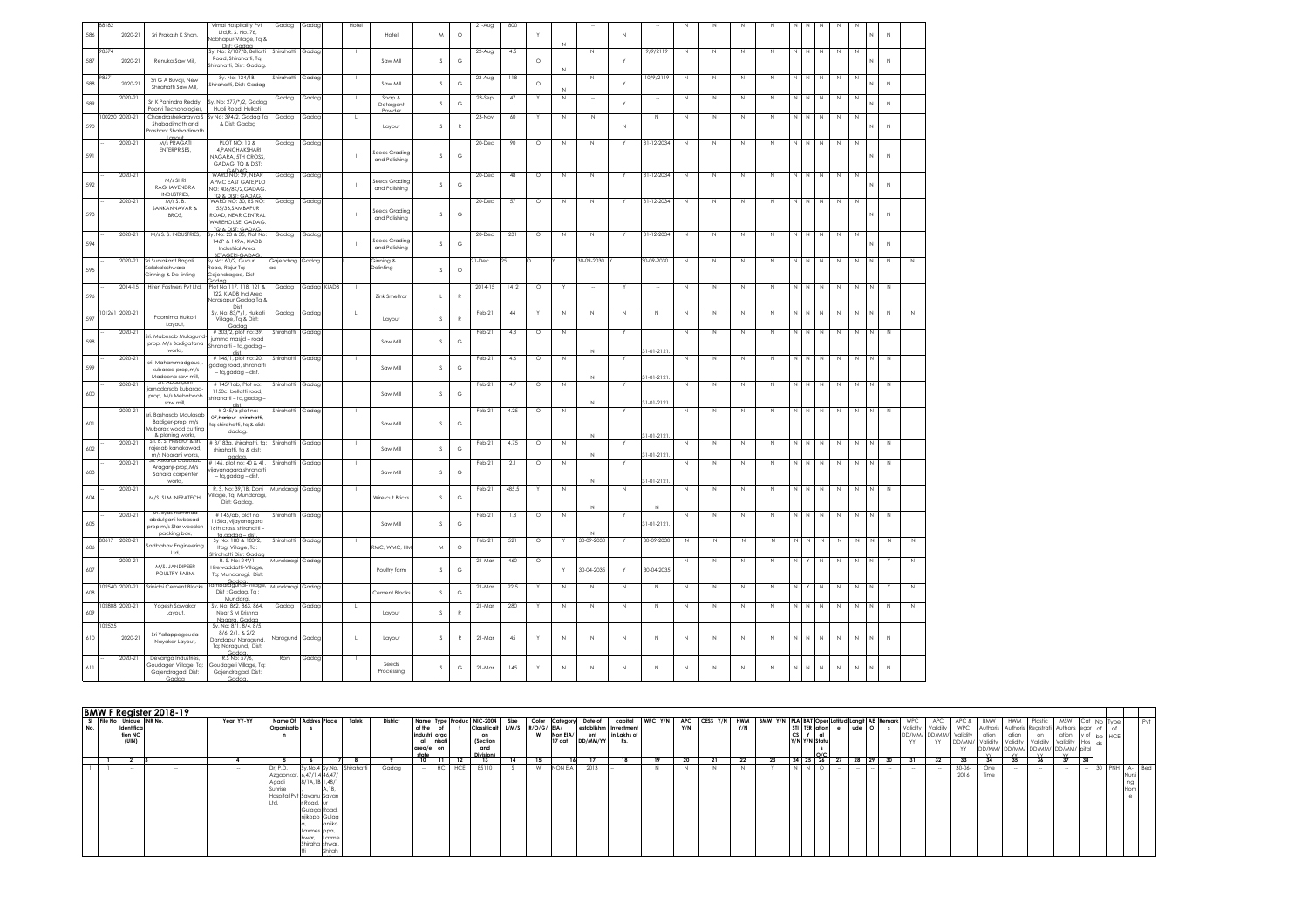|     | 88182  |                |                                                                                    | Vimal Hospitality Pvt                                                                    | Gadag            | Gadag       | Hote         |                                |               |              | 21-Aug    | 800    |         |             |                 |                   |                    |              |              |              |                |              |                   |                |              |              |              |  |
|-----|--------|----------------|------------------------------------------------------------------------------------|------------------------------------------------------------------------------------------|------------------|-------------|--------------|--------------------------------|---------------|--------------|-----------|--------|---------|-------------|-----------------|-------------------|--------------------|--------------|--------------|--------------|----------------|--------------|-------------------|----------------|--------------|--------------|--------------|--|
| 586 |        | 2020-21        | Sri Prakash K Shah,                                                                | Ltd, R. S. No. 76,<br>labhapur-Village, Tq 8                                             |                  |             |              | Hotel                          | M             | $\circ$      |           |        |         |             |                 | N                 |                    |              |              |              |                |              |                   |                |              |              | N            |  |
|     |        |                |                                                                                    | Dist: Gadaa                                                                              |                  |             |              |                                |               |              |           |        |         |             |                 |                   |                    |              |              |              |                |              |                   |                |              |              |              |  |
| 587 | 98574  | 2020-21        | Renuka Saw Mill,                                                                   | Sv No: 2/107/8 Bellatti Shirahatti<br>Road, Shirghatti, Ta:<br>Shirahatti, Dist: Gadag.  |                  | Gadaa       |              | Saw Mill                       | s             | G            | 22-Aug    | 4.5    | $\circ$ | N           | N               |                   | 9/9/2119           | N            | N            | N            | N              | N.           | N<br>$\mathbb{N}$ | N              | N            |              | $\mathbb N$  |  |
| 588 | 9857   | 2020-21        | Sri G A Buvaii, New<br>Shirahatti Saw Mill.                                        | Sy. No: 134/1B,<br>Shirahatti, Dist: Gadaa                                               | Shirahatti       | Gadac       |              | Saw Mill                       | s             | G            | $23-Aug$  | 118    | $\circ$ | N           | N               | Y                 | 10/9/2119          | N            | $\mathbb{N}$ | $\mathbb{N}$ | $\overline{N}$ | N            | N<br>$\mathbb{N}$ | N              | $\mathbb{N}$ | N            | N            |  |
| 589 |        | 020-21         | Sri K Panindra Reddy,<br>Poorvi Techonologies,                                     | Sv. No: 277/*/2. Gadac<br>Hubli Road Hulkoti                                             | Gadaa            | Gadad       |              | Sogp &<br>Detergent            | $\mathsf S$   | $_{\rm G}$   | 23-Sep    | 47     |         | N           |                 |                   |                    | N            | N            | N            | N              | N            | N                 | N              | N            |              | $\mathbb N$  |  |
| 590 |        | 00220 2020-21  | Chandrashekarayya S<br>Shabadimath and<br>rashant Shabadimath                      | Sy No: 394/2, Gadag Tq<br>& Dist: Gadag                                                  | Gadag            | Gadag       |              | Powder<br>Lavout               | s             | R            | 23-Nov    | $60\,$ | Ÿ       | $\mathbb N$ | $\mathbb N$     | N                 | $\mathbb N$        | N            | $\mathbb N$  | N            | $\mathbb N$    | $\mathbb{N}$ | N<br>N            | $\mathbb N$    | $\mathbb N$  | N            | $\mathbb N$  |  |
|     |        | 2020-21        | M/s PRAGATI<br>ENTERPRISES,                                                        | PLOT NO: 13 &<br>14, PANCHAKSHARI                                                        | Gadag            | Gadag       |              |                                |               |              | 20-Dec    | 90     | $\circ$ | N           | N               | <b>V</b>          | 31-12-2034         | N            | $\mathbb N$  | N            | N              | N.           | N<br>Ν            | N              | $\mathbb{N}$ |              |              |  |
| 591 |        |                |                                                                                    | NAGARA, 5TH CROSS,<br>GADAG, TQ & DIST:<br>CADAG                                         |                  |             |              | Seeds Grading<br>and Polishing | s             | G            |           |        |         |             |                 |                   |                    |              |              |              |                |              |                   |                |              |              | $\mathbb{N}$ |  |
| 592 |        | 2020-21        | M/s SHRI<br>RAGHAVENDRA                                                            | WARD NO: 29, NEAR<br>APMC FAST GATE PLO<br>NO: 406/8K/2.GADAG                            | Gadag            | Gadaa       |              | Seeds Gradino<br>and Polishing | s             | G            | 20-Dec    | 48     | $\circ$ | N           | N               |                   | 31-12-2034         | N            | N            | N            | N              | N            | N<br>N            | N              | $\mathbb{N}$ |              | $\mathbb N$  |  |
|     |        | 2020-21        | INDUSTRIES.<br>M/s S. B.                                                           | TO & DIST: GADAG<br>WARD NO: 30, RS NO:                                                  | Gadaa            | Gadag       |              |                                |               |              | 20-Dec    | 57     | $\circ$ | N           | N               |                   | 31-12-2034         | $\mathbb N$  | N            | N            | $\mathbb{N}$   | N            | N<br>$\mathbb{N}$ | $\mathbb{N}$   | $\mathbb{N}$ |              |              |  |
| 593 |        |                | SANKANNAVAR &<br>BROS.                                                             | 55/3B.SAMBAPUR<br>ROAD NEAR CENTRAL<br>WARFHOUSE GADAG                                   |                  |             |              | Seeds Gradina<br>and Polishing | s             | G            |           |        |         |             |                 |                   |                    |              |              |              |                |              |                   |                |              |              | $\mathbb N$  |  |
|     |        | 2020-21        | M/s S. S. INDUSTRIES,                                                              | TO & DIST: CADAC<br>Sy. No: 23 & 35, Plot No:                                            | Gadag            | Gadag       |              |                                |               |              | 20-Dec    | 231    | $\circ$ | N           | N               |                   | 31-12-2034         | $\mathbb{N}$ | $\mathbb N$  | N            | $\mathbb{N}$   | N            | N<br>$\mathbb N$  | $\mathbb N$    | $\,$ N       |              |              |  |
| 594 |        |                |                                                                                    | 146P & 149A, KIADB<br>Industrial Area,<br><b>BETAGERI-GADAG</b>                          |                  |             |              | Seeds Grading<br>and Polishing | s             | G            |           |        |         |             |                 |                   |                    |              |              |              |                |              |                   |                |              | N            | N            |  |
| 595 |        | 2020-21        | Sri Suryakant Bagali,<br>Calakaleshwara                                            | Sy No: 60/2, Gudur<br>Road, Rajur Tq:                                                    | Gajendrag<br>ad  | Gadag       |              | Ginning &<br>Delinting         | s             | $\circ$      | 21-Dec    | つら     |         |             | 30-09-2030      |                   | 30-09-2030         | $\mathbb N$  | N            | $\mathbb{N}$ | $\,$ N         | $\mathbb{N}$ | $\mathbb N$<br>N  | $\mathbb N$    | $\,$ N       | N            | $\,$ N       |  |
|     |        | $2014 - 15$    | <b>Ginning &amp; De-linting</b>                                                    | Gajendragad, Dist:<br>Plot No 117, 118, 121 &                                            |                  |             | $\mathbf{I}$ |                                |               |              |           |        |         |             | $\sim$          |                   | $\sim$             |              |              |              |                | N            | N                 |                |              |              |              |  |
| 596 |        |                | Hiten Fastners Pvt Ltd,                                                            | 122. KIADB Ind Area<br>Narasapur Gadag Tq 8<br>Dist                                      | Gadag            | Gadag KIADB |              | Zink Smeltrar                  | $\mathsf{L}$  | $\mathbb{R}$ | $2014-15$ | 1412   | $\circ$ |             |                 |                   |                    | N            | $\mathbb N$  | $\mathbb{N}$ | N              |              | N                 | $\mathbb N$    | $\,$ N       | $\mathbb{N}$ | $\,$ N       |  |
| 597 |        | 101261 2020-21 | Poornima Hulkoti<br>Layout,                                                        | Sv. No: 83/*/1. Hulkofi<br>Village, Ta & Dist:                                           | Gadag            | Gadaa       | <b>L</b>     | Layout                         | $\mathsf S$   | $\mathbb{R}$ | Feb-21    | 44     | Y       | N           | N               | $\mathbb{N}$      | $\mathbb{N}$       | $\mathbb{N}$ | $\mathbb{N}$ | $\mathbb{N}$ | $\mathbb{N}$   | $\mathbb{N}$ | $\mathbb{N}$<br>N | $\mathbb{N}$   | N            | N            | N            |  |
| 598 |        | 2020-21        | ri, Mabusab Mulaauno                                                               | Godoo<br>#303/2, plot no: 39,<br>iumma masiid - road                                     | Shirahatti       | Gadag       |              | Saw Mill                       | s             | G            | Feb-21    | 4.3    | $\circ$ | N           |                 |                   |                    | Z            | N            | N            | N              | N            | N                 | N              | Z            | N            | $\mathbb N$  |  |
|     |        |                | prop. M/s Badiaatana<br>works                                                      | Shirahatti - tq,gadag<br>dist                                                            |                  |             |              |                                |               |              |           |        |         |             | N               |                   | $1 - 01 - 2121$    |              |              |              |                |              |                   |                |              |              |              |  |
| 599 |        | 2020-21        | sri. Mahammadgous j.<br>kubasad-prop,m/s<br>Madeena saw mil.                       | #146/1, plot no: 20,<br>gadag road, shirahatt<br>- ta.aadaa - dist.                      | Shirahatti       | Gadag       |              | Saw Mill                       | $\mathsf S$   | G            | Feb-21    | 4.6    | $\circ$ | N           | N               |                   | $31 - 01 - 2121$ . | N            | N            | $\mathbb N$  | N              | N            | N<br>$\mathbb N$  | $\mathbb N$    | $\,$ N       | N            | $\mathbb N$  |  |
| 600 |        | 2020-21        | M ADOL<br>amadarsab kubasad-<br>prop, M/s Mehaboob                                 | #145/1ab, Plot no:<br>1150c, beliatti road,<br>shirahatti - tq,gadag                     | Shirahatti       | Gadag       |              | Saw Mill                       | s             | G            | Feb-21    | 4.7    | $\circ$ | $\,$ N      |                 | <b>V</b>          |                    | N            | $\mathbb N$  | $\mathbb N$  | $\mathbb N$    | N.           | $\mathbb N$<br>N  | $\mathbb N$    | $\,$ N       | N            | $\mathbb N$  |  |
|     |        | 2020-21        | saw mill,                                                                          | # 245/g plot no:                                                                         | Shirahatti Gadap |             |              |                                |               |              | Feb-21    | 4.25   | $\circ$ | N           | N               |                   | $31 - 01 - 2121$   | N            | $\mathbb N$  | $\mathbb N$  | N              | N            | N<br>$\mathbb N$  | $\,$ N         | $\,$ N       | $\mathbb{N}$ | $\mathbb N$  |  |
| 601 |        |                | sri, Bashasab Moulasab<br>Badiger-prop, m/s<br>Mubarak wood cutting                | 07 hariour-shirabatti<br>ta: shirahatti, ta & dist:<br>dadag.                            |                  |             |              | Saw Mill                       | s             | G            |           |        |         |             | N               |                   | $31 - 01 - 2121$   |              |              |              |                |              |                   |                |              |              |              |  |
| 602 |        | 020-21         | & planing works,<br>Srl, B. S. Hesarur & Srl.<br>raiesab kanakawad.                | # 3/183a, shirahatti, tq:<br>shirahatti, tq & dist:                                      | Shirahatti       | Gadac       |              | Saw Mill                       | $\mathsf S$   | $_{\rm G}$   | Feb-21    | 4.75   | $\circ$ | N           |                 |                   |                    | N            | N            | N            | N              | N            | N                 | N              | $\mathbb{N}$ | N            | $\mathbb N$  |  |
|     |        | 2020-21        | m/s Noorani works<br>sn. Askarail Dadusac<br>Araganji-prop, M/s                    | aadaa.<br>#146, plot no: 40 & 41,                                                        | Shirahatti       | Gadag       |              |                                |               |              | Feb-21    | 2.1    | $\circ$ | N           | N               |                   | $1 - 01 - 2121$    | N            | $\mathbb{N}$ | N            | N              | $\mathbb{N}$ | N<br>$\mathbb{N}$ | N              | N            | $\mathbb{N}$ | N            |  |
| 603 |        |                | Sahara carpenter<br>works.                                                         | vijayanagara,shirahatti<br>- ta.aadaa - dist.                                            |                  |             |              | Saw Mill                       | s             | G            |           |        |         |             | N               |                   | $(1 - 01 - 212)$   |              |              |              |                |              |                   |                |              |              |              |  |
|     |        | 2020-21        |                                                                                    | R. S. No: 39/18. Doni<br>Village, Tq: Mundaragi                                          | Mundaragi        | Gadag       |              |                                |               |              | Feb-21    | 485.5  |         | N           |                 | $\mathbb{N}$      |                    | N            | $\mathbb N$  | N            | N              | N            | N<br>Ν            | N              | $\mathbb N$  | Ν            | $\mathbb N$  |  |
| 604 |        |                | M/S. SLM INFRATECH,                                                                | Dist: Gadag.                                                                             |                  |             |              | Wire cut Bricks                | s             | G            |           |        |         |             | N               |                   | N                  |              |              |              |                |              |                   |                |              |              |              |  |
| 605 |        | 2020-21        | <b>BMOS PASSING</b><br>abdulgani kubasad-<br>prop, m/s Star wooder<br>packing box, | #145/ab. plot no<br>1150a, vijayanagara<br>16th cross, shirahatti -                      | Shirahatti       | Gadag       |              | Saw Mill                       | s.            | G            | Feb-21    | 1.8    | $\circ$ | N           | N               | Y                 | 31-01-2121         | N            | N            | $\mathbb N$  | N              | N            | $\,$ N<br>N       | N              | $\,N\,$      | N            | $\mathbb N$  |  |
| 606 | 80617  | 2020-21        | Sadbahav Engineering                                                               | ta.aadaa - dist.<br>Sv No: 180 & 183/2.<br>Itaai Village, Ta:                            | Shirahatti       | Gadaa       | $\mathbf{I}$ | RMC, WMC, HM                   | M             | $\circ$      | Feb-21    | 521    | $\circ$ | Y           | 30-09-2030      |                   | 30-09-2030         | $\mathbb{N}$ | N            | N            | N              | N            | N<br>N            | N              | N            | N            | $\mathbb{N}$ |  |
|     |        | 2020-21        | Ltd,                                                                               | Shirahatti Dist: Gadar<br>R. S. No: 24*/1,                                               | Mundaragi        | Gadag       |              |                                |               |              | 21-Mar    | 460    | $\circ$ |             |                 |                   |                    | N            | N            | N            | N              | N            | N                 | $\overline{N}$ | N            | N            |              |  |
| 607 |        | 102540 2020-21 | M/S. JANDIPEER<br>POULTRY FARM,<br>Srinidhi Cement Blocks                          | Hirewaddatti-Village<br>Tq: Mundaragi, Dist:<br>Gadaa<br>Tambaragundi-Village            | Mundaragi        |             |              | Poultry farm                   | $\mathcal{S}$ | G            | 21-Mar    | 22.5   |         | x<br>N      | 30-04-2035<br>N | $\mathbf{v}$<br>N | 30-04-2035<br>N    | $\mathbb N$  | N            | N            | N              | $\mathbb{N}$ | $\mathbb N$       | N              | $\mathbb N$  | Ν            |              |  |
| 608 |        |                |                                                                                    | Dist : Gadaa, Ta :<br>Mundarai.                                                          |                  | Gadag       |              | Cement Block                   | s             | G            |           |        |         |             |                 |                   |                    |              |              |              |                |              |                   |                |              |              |              |  |
| 609 |        | 102808 2020-21 | Yogesh Sawakar<br>Layout,                                                          | Sy. No: 862, 863, 864,<br>Near S M Krishna<br>Nagara, Gadaa                              | Gadag            | Gadag       | $\mathbf{L}$ | Layout                         | s             | $\mathbb{R}$ | 21-Mar    | 280    |         | N           | N               | N                 | N                  | N            | N            | N            | N              | $\mathbb{N}$ | Z<br>N            | N              | Z            | N            | $\mathbb N$  |  |
| 610 | 102525 | 2020-21        | Sri Yallappagouda<br>Nayakar Layout,                                               | Sv. No: 8/1, 8/4, 8/5.<br>8/6, 2/1, 8, 2/2,<br>Dandapur Naragund,<br>Tq: Naragund, Dist: | Naragund         | Gadac       |              | Lavout                         | -S            | R            | 21-Mar    | 45     | Y.      | N           | N               | $\mathbb N$       | N                  | $\mathbb N$  | $\mathbb{N}$ | N            | $\mathbb N$    | N            | $\mathbb{N}$      | N              | $\mathbb N$  |              | N            |  |
| 611 |        | 2020-21        | Devanaa Industries.<br>Goudageri Village, Ta:<br>Gajendragad, Dist:<br>Gadar       | R.S No: 57/6,<br>Goudageri Village, Ta:<br>Gajendragad, Dist:<br>Gadac                   | Ron              | Gadag       |              | Seeds<br>Processing            | s             | G            | 21-Mar    | 145    |         | N           | N               | $\mathbb N$       | N                  | N            | $\mathbb{N}$ | N            | $\mathbb N$    | N            | N                 | N              | $\mathbb N$  |              | N            |  |

|     |  |                       | BMW F Register 2018-19    |            |                                                                                         |                      |                                                                                                                         |                           |          |                                 |               |                      |                    |      |                             |                      |                |                                                 |         |                   |          |     |                                                   |                     |    |                   |             |    |                                     |        |                     |             |                 |                 |                                                                                                          |             |        |        |
|-----|--|-----------------------|---------------------------|------------|-----------------------------------------------------------------------------------------|----------------------|-------------------------------------------------------------------------------------------------------------------------|---------------------------|----------|---------------------------------|---------------|----------------------|--------------------|------|-----------------------------|----------------------|----------------|-------------------------------------------------|---------|-------------------|----------|-----|---------------------------------------------------|---------------------|----|-------------------|-------------|----|-------------------------------------|--------|---------------------|-------------|-----------------|-----------------|----------------------------------------------------------------------------------------------------------|-------------|--------|--------|
| No. |  | Identifica<br>tion NO | SI File No Unique INR No. | Year YY-YY | Name Of<br>Organisatio                                                                  |                      | <b>Addres Place</b>                                                                                                     | Taluk                     | District | Name<br>of the<br>industri orga | of            | Type Produc NIC-2004 | Classificait<br>on | Size | Color<br>$L/M/S$ R/O/G/EIA/ | Category<br>Non EIA/ | Date of<br>ent | capital<br>establishm Investment<br>in Lakhs of | WPC Y/N | <b>APC</b><br>Y/N | CESS Y/N | Y/N | HWM BMW Y/N PLA BAT Oper Latitud Longit AE Remark | STI TER ation<br>cs |    | $\sim$            | ude 0       |    | <b>WPC</b><br>Validity Validity WPC | APC    | APC &               | <b>BMW</b>  | <b>HWM</b>      | Plastic         | MSW<br>Authoris Authoris Registrati Authoris egor                                                        | Cat No Type |        | Pvt    |
|     |  | (UIN)                 |                           |            |                                                                                         |                      |                                                                                                                         |                           |          | ി<br>area/e                     | Inisati<br>on |                      | (Section<br>and    |      |                             | 17 cat               | DD/MM/YY       | Rs.                                             |         |                   |          |     |                                                   | Y/N Y/N Statu       |    |                   |             |    | DD/MM/ DD/MM/ Validity<br>YY        |        | YY                  | ation       | ation           | on              | ation y of be HCE<br>DD/MM/ Validity Validity Validity Validity Hos<br>DD/MM/ DD/MM/ DD/MM/ DD/MM/ pital |             |        |        |
|     |  | $\sim$                |                           |            |                                                                                         | $\ddot{\phantom{0}}$ |                                                                                                                         |                           |          | state<br>10                     |               | $\sim$               | Division)<br>13    | 14   | 15                          |                      |                |                                                 |         | 20                |          | 22  | 23                                                | 24<br>25            | 26 | 27                | 28 29       | 30 | -31                                 | 32     | 33                  | MM.         | <b>VV</b><br>35 | <b>MM</b><br>36 | <b>MM</b><br>37                                                                                          | 20          |        |        |
|     |  | $\sim$                | $\sim$                    | $\sim$     | Dr, P.D.<br>Azgaonkar. 6,47/1,4 46,47/<br>Agadi<br>Sunrise<br>Hospital Pvt Savanu Savan | r Road, ur<br>hwar,  | 8/1A, 1B 1,48/1<br>A.1B.<br>Gulaga Road,<br>njikopp Gulag<br>anjiko<br>Laxmes ppa,<br>Laxme<br>Shiraha shwar,<br>Shirah | Sy.No.4 Sy.No. Shirahatti | Gadag    | $\sim$                          | HC 1          | HCE                  | 85110              |      | W                           | NON EIA              | 2013           |                                                 |         | N                 |          |     |                                                   | N N                 |    | $\circ$<br>$\sim$ | -<br>$\sim$ |    | $\sim$                              | $\sim$ | $30 - 06 -$<br>2016 | One<br>Time | -               | $\sim$          | $\sim$                                                                                                   | $\sim$      | 30 PNH | A- Bed |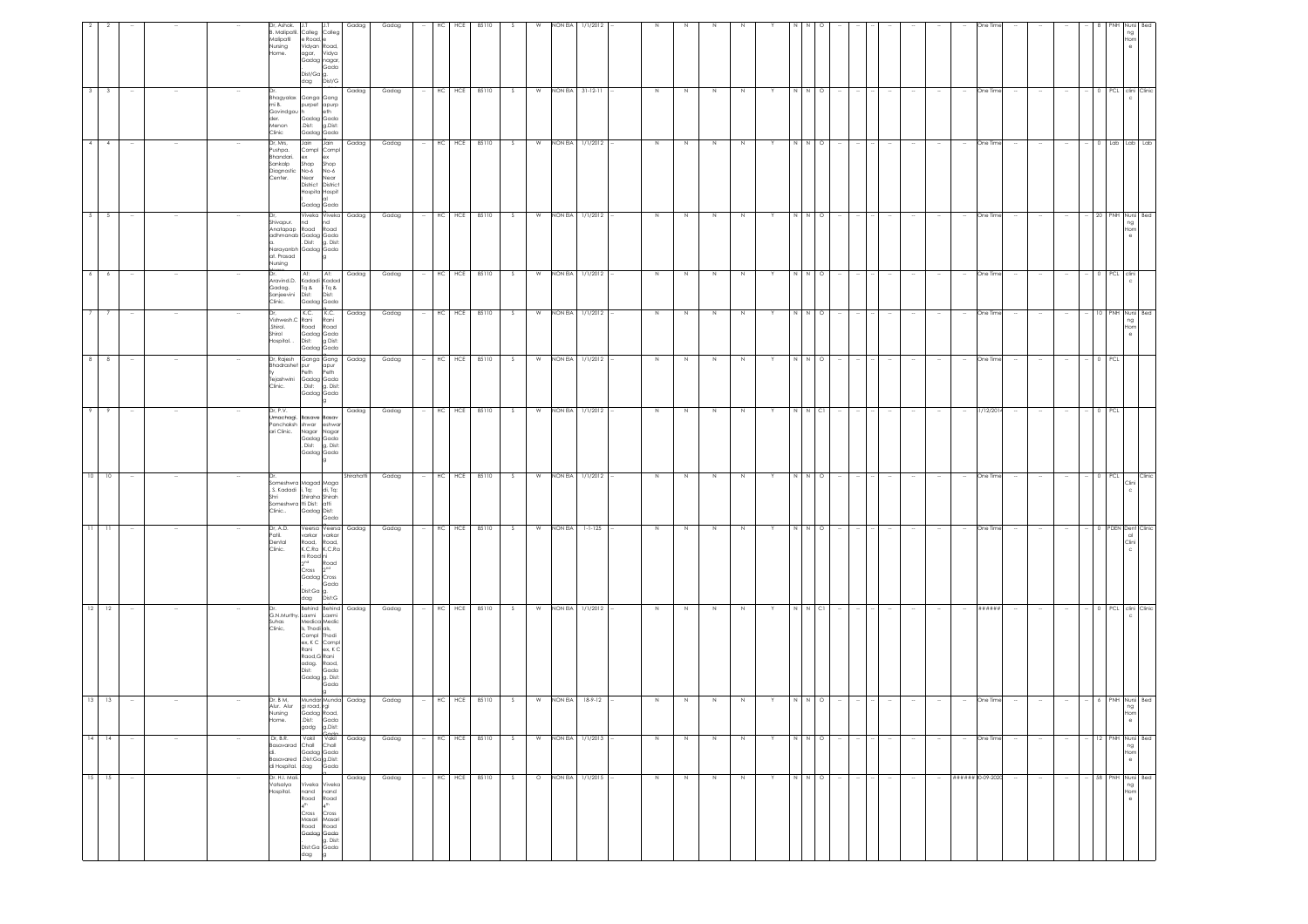|                                                                                                                                                                                      |                                                                                |                                                                                        |                                                                                                                                                                                                              | $11 -$                                                                                                                                                                                       | $10-1$                                                                                                      |                                                                                                            | $\overline{\phantom{a}}$                                                                                 | $\overline{7}$                                                                                  | 6                                                                        |                                                                                                                                  |                                                                                                                                            |                                                                                    |                                                                                                                  |
|--------------------------------------------------------------------------------------------------------------------------------------------------------------------------------------|--------------------------------------------------------------------------------|----------------------------------------------------------------------------------------|--------------------------------------------------------------------------------------------------------------------------------------------------------------------------------------------------------------|----------------------------------------------------------------------------------------------------------------------------------------------------------------------------------------------|-------------------------------------------------------------------------------------------------------------|------------------------------------------------------------------------------------------------------------|----------------------------------------------------------------------------------------------------------|-------------------------------------------------------------------------------------------------|--------------------------------------------------------------------------|----------------------------------------------------------------------------------------------------------------------------------|--------------------------------------------------------------------------------------------------------------------------------------------|------------------------------------------------------------------------------------|------------------------------------------------------------------------------------------------------------------|
| 15 15                                                                                                                                                                                | $14 - 14$                                                                      | $13$ 13                                                                                | $12 - 12$                                                                                                                                                                                                    | $11 -$                                                                                                                                                                                       | 10                                                                                                          | -9                                                                                                         | $^{\circ}$                                                                                               | $\overline{7}$                                                                                  | 6                                                                        | $5 \mid 5$                                                                                                                       | $4 \mid 4$                                                                                                                                 | $3 \mid 3$                                                                         |                                                                                                                  |
| $\sim$                                                                                                                                                                               | $\sim$                                                                         |                                                                                        | $\sim$                                                                                                                                                                                                       | $\sim$                                                                                                                                                                                       |                                                                                                             |                                                                                                            |                                                                                                          |                                                                                                 |                                                                          |                                                                                                                                  |                                                                                                                                            | $\sim$                                                                             |                                                                                                                  |
|                                                                                                                                                                                      | $\sim$                                                                         |                                                                                        |                                                                                                                                                                                                              |                                                                                                                                                                                              |                                                                                                             |                                                                                                            |                                                                                                          |                                                                                                 |                                                                          |                                                                                                                                  |                                                                                                                                            |                                                                                    |                                                                                                                  |
|                                                                                                                                                                                      |                                                                                |                                                                                        |                                                                                                                                                                                                              |                                                                                                                                                                                              |                                                                                                             |                                                                                                            |                                                                                                          |                                                                                                 |                                                                          |                                                                                                                                  |                                                                                                                                            |                                                                                    |                                                                                                                  |
| $\sim$                                                                                                                                                                               | $\sim$                                                                         |                                                                                        |                                                                                                                                                                                                              |                                                                                                                                                                                              |                                                                                                             |                                                                                                            |                                                                                                          |                                                                                                 |                                                                          |                                                                                                                                  |                                                                                                                                            |                                                                                    |                                                                                                                  |
| Dr. H.I. Mali.<br>Vatsalya<br>Hospital.                                                                                                                                              | Dr, B.R.<br>Basavarad<br>Basavared<br>di Hospital.                             | Dr. B M.<br>Alur. Alur<br>Nursing<br>łome.                                             | Dr.<br>Suhas<br>Clinic,                                                                                                                                                                                      | Dr, A.D.<br>Patil.<br>Dental<br>Clinic.                                                                                                                                                      | . S. Kadadi<br>Shri<br>Clinic                                                                               | Dr, P.V.<br>Panchaksh<br>ari Clinic.                                                                       | Dr, Rajesh<br>Bhadrashet pur<br>.<br>Tejashwini<br>Clinic.                                               | Shirol.<br>Shirol<br>Hospital                                                                   | Aravind.D.<br>Gadag.<br>Sanjeevini<br>Clinic.                            | Shivapur.<br>at. Prasad<br>Nursing                                                                                               | Dr. Mrs.<br>Pushpa.<br>Bhandari.<br>Sankalp<br>Diagnostic<br>Center.                                                                       | Bhagyalax<br>mi B.<br>Govindgou h<br>der.<br>Menon<br>Clinic                       | Dr, Ashok.<br>3. Malipatil.<br>Malipatil<br>Nursing<br>lome.                                                     |
| Viveka Viveka<br>nand nand<br>Road<br>Road<br>4 <sup>th</sup><br>$4^{\rm th}$<br>Cross<br>Cross<br>Masari<br>Masari<br>Road<br>Road<br>Gadag Gada<br>g. Dist:<br>Dist:Ga Gada<br>dag | Vakil Vakil Gadag<br>Chall Chall<br>Gadag Gada<br>.Dist:Ga g.Dist:<br>dag Gada | Mundar Munda Gadag<br>gi road, rgi<br>Gadag Road,<br>.Dist:<br>Gada<br>g.Dist:<br>gadg | Behind Behind Gadag<br>G.N.Murthy.Laxmi Laxmi<br>Medica Medic<br>Is, Thodi als,<br>Compl Thodi<br>ex, K C Compl<br>Rani<br>ex, K C<br>Raod, G Rani<br>adag. Raod,<br>Dist:<br>Gada<br>Gadag g. Dist:<br>Gada | Veersa Veersa<br>varkar varkar<br>Road, Road,<br>K.C.Ra K.C.Ra<br>ni Road <mark>ni</mark><br>Road<br>$2^{nd}$<br>Cross<br>2 <sup>nd</sup><br>Gadag Cross<br>Gada<br>Dist:Ga g.<br>dag Dist:G | someshwra Magad Maga<br>i, Tq: di, Tq:<br>Shiraha Shirah<br>Someshwra tti Dist: atti<br>Gadag Dist:<br>Gada | Umachaai. Basave Basav<br>shwar eshwar<br>Nagar Nagar<br>Gadag Gada<br>Dist: g, Dist:<br>Gadag Gada<br>lg. | Ganga Gang Gadag<br>apur<br>Peth<br>Peth<br>Gadag Gada<br>. Dist: g. Dist:<br>Gadag Gada<br>$\mathbf{g}$ | $K.C.$ $K.C.$<br>Vishwesh.C Rani Rani<br>Road Road<br>Gadag Gada<br>Dist: g Dist:<br>Gadag Gada | At:<br>At:<br>Kadadi Kadad<br>Tq & iTq &<br>Dist:<br>Dist:<br>Gadag Gada | Viveka Viveka Gadag<br><b>Ind</b><br>nd<br>Anatapap Road Road<br>adhmanab Gadag Gada<br>. Dist: g. Dist:<br>Narayanbh Gadag Gada | Jain Jain<br>Compl Compl<br>ex<br>ex<br>Shop Shop<br>No-6 No-6<br>Near<br>Near<br>District District<br>Hospita Hospit<br>lal<br>Gadag Gada | Ganga Gang<br>purpet apurp<br>eth<br>Gadag Gada<br>.Dist:<br>g.Dist:<br>Gadag Gada | pelloC<br>Colleg<br>e Road, e<br>Vidyan Road,<br>agar, Vidya<br>Gadag nagar,<br>Gada<br>Dist/Ga g.<br>dag Dist/G |
| Gadag                                                                                                                                                                                |                                                                                |                                                                                        |                                                                                                                                                                                                              | Gadag                                                                                                                                                                                        | Shirahatti                                                                                                  | Gadag                                                                                                      |                                                                                                          | Gadag                                                                                           | Gadag                                                                    |                                                                                                                                  | Gadag                                                                                                                                      | Gadag                                                                              | Gadag                                                                                                            |
| Gadag                                                                                                                                                                                | Gadag                                                                          | Gadag                                                                                  | Gadag                                                                                                                                                                                                        | Gadag                                                                                                                                                                                        | Gadag                                                                                                       | Gadag                                                                                                      | Gadag                                                                                                    | Gadag                                                                                           | Gadag                                                                    | Gadag                                                                                                                            | Gadag                                                                                                                                      | Gadag                                                                              | Gadag                                                                                                            |
|                                                                                                                                                                                      | $\sim$                                                                         |                                                                                        | $\sim$                                                                                                                                                                                                       | $\sim$                                                                                                                                                                                       |                                                                                                             |                                                                                                            |                                                                                                          | $\sim$                                                                                          |                                                                          |                                                                                                                                  | $\sim$                                                                                                                                     | $\sim$                                                                             |                                                                                                                  |
|                                                                                                                                                                                      | HC HCE                                                                         |                                                                                        | HC<br>HCE                                                                                                                                                                                                    | $HC$ $HCE$                                                                                                                                                                                   | HC HCE                                                                                                      | $-$ HC HCE                                                                                                 | HCE<br>HC                                                                                                | HC HCE                                                                                          |                                                                          | $-$ HC HCE                                                                                                                       |                                                                                                                                            | HC HCE                                                                             | HCE<br>НC                                                                                                        |
| $-$ HC HCE 85110                                                                                                                                                                     | 85110                                                                          | $-$ HC HCE 85110                                                                       | 85110                                                                                                                                                                                                        | 85110                                                                                                                                                                                        | 85110                                                                                                       | 85110                                                                                                      | 85110                                                                                                    | 85110                                                                                           | HC HCE 85110                                                             | 85110                                                                                                                            | HC HCE 85110                                                                                                                               | 85110                                                                              | 85110                                                                                                            |
| S                                                                                                                                                                                    | S                                                                              | S                                                                                      | S.                                                                                                                                                                                                           | S                                                                                                                                                                                            | S                                                                                                           | S                                                                                                          | S.                                                                                                       | S                                                                                               | S                                                                        | S                                                                                                                                | S                                                                                                                                          | S                                                                                  | S.                                                                                                               |
| $\circ$                                                                                                                                                                              | W                                                                              |                                                                                        | W                                                                                                                                                                                                            | W                                                                                                                                                                                            | W                                                                                                           | W                                                                                                          | W                                                                                                        |                                                                                                 | W                                                                        |                                                                                                                                  | W                                                                                                                                          | W                                                                                  | W                                                                                                                |
|                                                                                                                                                                                      |                                                                                |                                                                                        |                                                                                                                                                                                                              | NON EIA 1-1-125                                                                                                                                                                              |                                                                                                             |                                                                                                            |                                                                                                          |                                                                                                 |                                                                          |                                                                                                                                  |                                                                                                                                            |                                                                                    | NON EIA                                                                                                          |
| NON EIA 1/1/2015 -                                                                                                                                                                   | NON EIA 1/1/2013                                                               | W NON EIA 18-9-12                                                                      | NON EIA 1/1/2012                                                                                                                                                                                             |                                                                                                                                                                                              | NON EIA 1/1/2012                                                                                            | NON EIA 1/1/2012                                                                                           | NON EIA 1/1/2012                                                                                         | W NON EIA 1/1/2012                                                                              | NON EIA 1/1/2012                                                         | W NON EIA 1/1/2012                                                                                                               | NON EIA 1/1/2012 -                                                                                                                         | NON EIA 31-12-11                                                                   | 1/1/2012                                                                                                         |
|                                                                                                                                                                                      |                                                                                |                                                                                        |                                                                                                                                                                                                              |                                                                                                                                                                                              |                                                                                                             |                                                                                                            |                                                                                                          |                                                                                                 |                                                                          |                                                                                                                                  |                                                                                                                                            |                                                                                    |                                                                                                                  |
| $\overline{N}$                                                                                                                                                                       | N                                                                              | N                                                                                      | N                                                                                                                                                                                                            | $\,N\,$                                                                                                                                                                                      | $\,$ N                                                                                                      | $\,N\,$                                                                                                    | N                                                                                                        | $\,$ N                                                                                          | N                                                                        | N                                                                                                                                | N                                                                                                                                          | N                                                                                  |                                                                                                                  |
| N                                                                                                                                                                                    | N                                                                              | N                                                                                      | N                                                                                                                                                                                                            | $\,N\,$                                                                                                                                                                                      | N                                                                                                           | N                                                                                                          | N                                                                                                        | N                                                                                               | $\,N\,$                                                                  | N                                                                                                                                | $\,N\,$                                                                                                                                    | N                                                                                  |                                                                                                                  |
| N                                                                                                                                                                                    | N                                                                              | N                                                                                      | N                                                                                                                                                                                                            | $\,$ N                                                                                                                                                                                       | N                                                                                                           | $\,$ N                                                                                                     | N                                                                                                        | $\,$ N                                                                                          | N                                                                        | N                                                                                                                                | N                                                                                                                                          | N                                                                                  |                                                                                                                  |
| N                                                                                                                                                                                    | N                                                                              | N.                                                                                     | N                                                                                                                                                                                                            | N                                                                                                                                                                                            | N                                                                                                           | N                                                                                                          | N.                                                                                                       | $\,N\,$                                                                                         | N                                                                        | N                                                                                                                                | N                                                                                                                                          | N                                                                                  |                                                                                                                  |
| Y                                                                                                                                                                                    | Y                                                                              |                                                                                        | Y                                                                                                                                                                                                            | Y                                                                                                                                                                                            |                                                                                                             | Y                                                                                                          | Y                                                                                                        | Y                                                                                               | Y                                                                        | Y                                                                                                                                | Y                                                                                                                                          | Y                                                                                  |                                                                                                                  |
| $N N$ 0 -                                                                                                                                                                            |                                                                                |                                                                                        | N                                                                                                                                                                                                            |                                                                                                                                                                                              |                                                                                                             |                                                                                                            | N                                                                                                        |                                                                                                 |                                                                          | N N O                                                                                                                            |                                                                                                                                            |                                                                                    |                                                                                                                  |
|                                                                                                                                                                                      | $N \qquad N \qquad O \qquad \cdots$                                            | $\circ$                                                                                | $N$ Cl                                                                                                                                                                                                       | $N$ $N$ $O$                                                                                                                                                                                  | $N$ 0                                                                                                       | $N$ $N$ $Cl$                                                                                               | $N$ O                                                                                                    | N N O                                                                                           | $N$ $N$ 0                                                                |                                                                                                                                  | $N$ $N$ 0                                                                                                                                  | N N O                                                                              |                                                                                                                  |
|                                                                                                                                                                                      |                                                                                |                                                                                        |                                                                                                                                                                                                              |                                                                                                                                                                                              |                                                                                                             |                                                                                                            |                                                                                                          |                                                                                                 |                                                                          |                                                                                                                                  |                                                                                                                                            |                                                                                    |                                                                                                                  |
| $\sim$ 1 $\sim$                                                                                                                                                                      | $\sim$                                                                         |                                                                                        |                                                                                                                                                                                                              | $\sim$                                                                                                                                                                                       |                                                                                                             |                                                                                                            | $\sim$                                                                                                   | $\sim$                                                                                          |                                                                          |                                                                                                                                  |                                                                                                                                            | $\sim$                                                                             |                                                                                                                  |
| $\sim$                                                                                                                                                                               | $\sim$                                                                         |                                                                                        |                                                                                                                                                                                                              | $\sim$                                                                                                                                                                                       |                                                                                                             |                                                                                                            |                                                                                                          |                                                                                                 |                                                                          |                                                                                                                                  |                                                                                                                                            | $\sim$                                                                             |                                                                                                                  |
| $\sim$                                                                                                                                                                               | $\sim$                                                                         |                                                                                        |                                                                                                                                                                                                              | $\sim$                                                                                                                                                                                       |                                                                                                             |                                                                                                            |                                                                                                          |                                                                                                 |                                                                          |                                                                                                                                  |                                                                                                                                            | $\sim$                                                                             |                                                                                                                  |
| $\sim$                                                                                                                                                                               | $\sim$                                                                         |                                                                                        |                                                                                                                                                                                                              | $\sim$                                                                                                                                                                                       |                                                                                                             |                                                                                                            |                                                                                                          | $\sim$                                                                                          |                                                                          |                                                                                                                                  |                                                                                                                                            | $\sim$                                                                             |                                                                                                                  |
|                                                                                                                                                                                      | $\sim$                                                                         |                                                                                        | $\sim$                                                                                                                                                                                                       | $\sim$                                                                                                                                                                                       |                                                                                                             | $\sim$                                                                                                     | $\sim$                                                                                                   | $\sim$                                                                                          |                                                                          |                                                                                                                                  |                                                                                                                                            | $\sim$                                                                             |                                                                                                                  |
| ###### 30-09-2020                                                                                                                                                                    | One Time                                                                       | One Time                                                                               | ******                                                                                                                                                                                                       | One Time                                                                                                                                                                                     | One Time                                                                                                    | 81/12/201                                                                                                  | One Time                                                                                                 | One Time                                                                                        | One Time                                                                 | One Time                                                                                                                         | One Time                                                                                                                                   | One Time                                                                           | Dne Tin                                                                                                          |
| $\sim$                                                                                                                                                                               | $\sim$                                                                         |                                                                                        | $\sim$                                                                                                                                                                                                       | $\sim$                                                                                                                                                                                       |                                                                                                             | $\sim$                                                                                                     | $\sim$                                                                                                   | $\sim$                                                                                          |                                                                          |                                                                                                                                  |                                                                                                                                            | $\sim$                                                                             |                                                                                                                  |
| $\sim$                                                                                                                                                                               | $\sim$                                                                         |                                                                                        |                                                                                                                                                                                                              | $\sim$                                                                                                                                                                                       |                                                                                                             |                                                                                                            |                                                                                                          |                                                                                                 |                                                                          |                                                                                                                                  |                                                                                                                                            | $\sim$                                                                             |                                                                                                                  |
| $\sim$                                                                                                                                                                               | $\sim$                                                                         |                                                                                        | $\sim$                                                                                                                                                                                                       | $\sim$                                                                                                                                                                                       |                                                                                                             |                                                                                                            | $\sim$                                                                                                   |                                                                                                 |                                                                          |                                                                                                                                  |                                                                                                                                            | $\sim$                                                                             |                                                                                                                  |
|                                                                                                                                                                                      | $\sim$                                                                         |                                                                                        |                                                                                                                                                                                                              |                                                                                                                                                                                              |                                                                                                             |                                                                                                            |                                                                                                          |                                                                                                 |                                                                          | 20                                                                                                                               |                                                                                                                                            |                                                                                    |                                                                                                                  |
|                                                                                                                                                                                      |                                                                                |                                                                                        |                                                                                                                                                                                                              |                                                                                                                                                                                              | PCL                                                                                                         | 0 PCL                                                                                                      | $0$ PCL                                                                                                  | 10 PNH Nursi Bed                                                                                | 0 PCL clini                                                              |                                                                                                                                  |                                                                                                                                            |                                                                                    |                                                                                                                  |
| - 58 PNH Nursi Bed<br>ng<br>Hom<br>$_{\rm e}$                                                                                                                                        | 12 PNH Nursi Bed<br>ng<br>Hom<br>$_{\rm e}$                                    | PNH Nursi Bec<br>ng<br>Hom<br>$\theta$                                                 | 0 PCL clini Clinic                                                                                                                                                                                           | 0 PDEN Dent Clinic<br>$\alpha$<br>Clini                                                                                                                                                      | Clinic<br>Clini<br>$\mathbf c$                                                                              |                                                                                                            |                                                                                                          | ng<br>Hom<br>$\theta$                                                                           |                                                                          | PNH Nursi Beo<br>ng<br>Hom<br>$\theta$                                                                                           | 0 Lab Lab Lab                                                                                                                              | 0 PCL clini Clinic                                                                 | ng<br>Hom                                                                                                        |
|                                                                                                                                                                                      |                                                                                |                                                                                        |                                                                                                                                                                                                              |                                                                                                                                                                                              |                                                                                                             |                                                                                                            |                                                                                                          |                                                                                                 |                                                                          |                                                                                                                                  |                                                                                                                                            |                                                                                    |                                                                                                                  |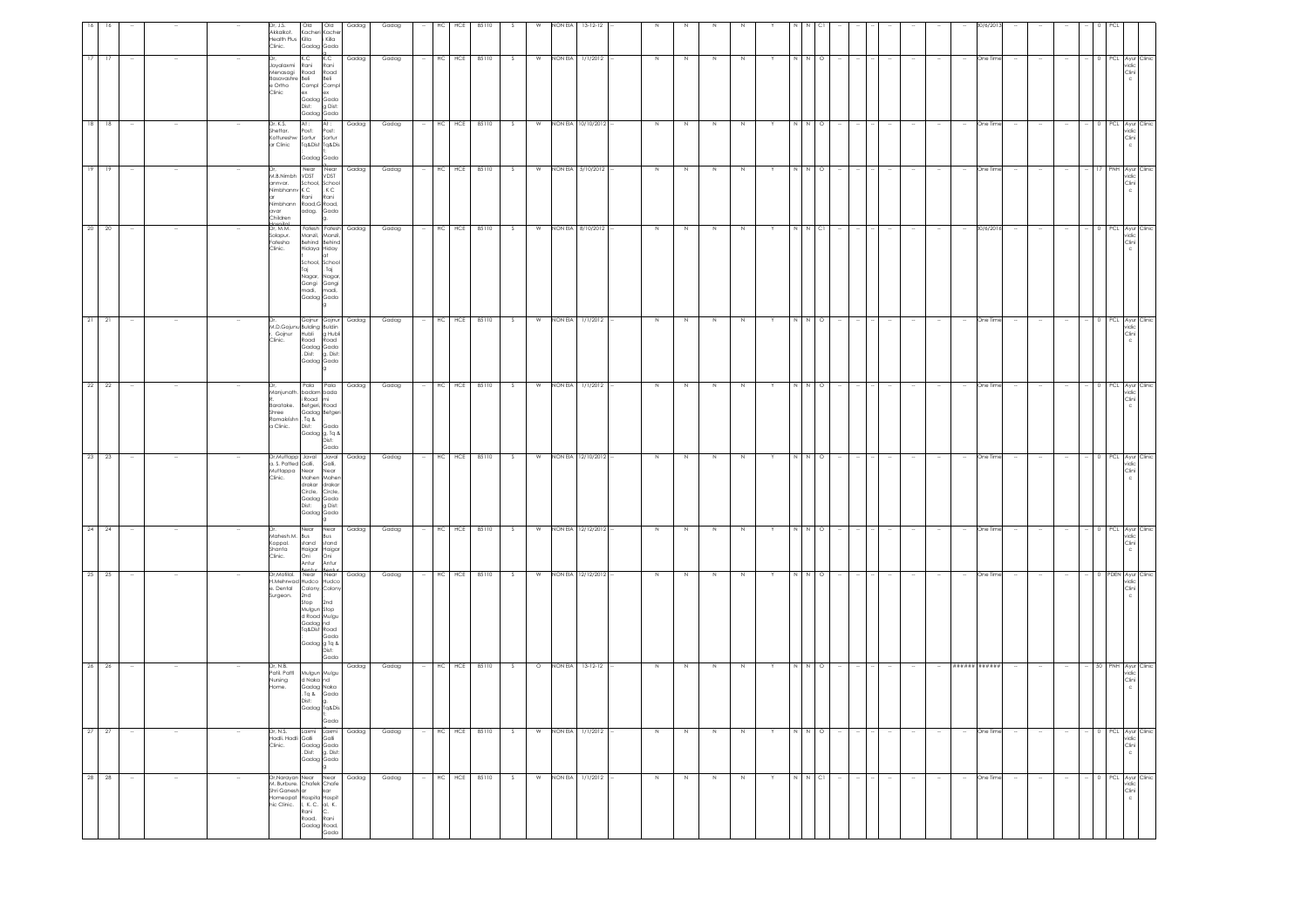| 28 28                                                                                                                                                                                                                | 27 27                                                       | 26 26                                                                            | 25 25                                                                                                                                       | 24                                                            | 23 23                                                                                                                                               |                                                                                                         | $21$ $21$<br>22 22                                                                                                                          | 20 20                                                                                                                                       | 19                                                                                                 | 18                                                     | 17                                                                                |                                                       |
|----------------------------------------------------------------------------------------------------------------------------------------------------------------------------------------------------------------------|-------------------------------------------------------------|----------------------------------------------------------------------------------|---------------------------------------------------------------------------------------------------------------------------------------------|---------------------------------------------------------------|-----------------------------------------------------------------------------------------------------------------------------------------------------|---------------------------------------------------------------------------------------------------------|---------------------------------------------------------------------------------------------------------------------------------------------|---------------------------------------------------------------------------------------------------------------------------------------------|----------------------------------------------------------------------------------------------------|--------------------------------------------------------|-----------------------------------------------------------------------------------|-------------------------------------------------------|
|                                                                                                                                                                                                                      |                                                             |                                                                                  |                                                                                                                                             | 24                                                            |                                                                                                                                                     |                                                                                                         |                                                                                                                                             |                                                                                                                                             | 19                                                                                                 | 18                                                     | 17                                                                                |                                                       |
|                                                                                                                                                                                                                      |                                                             |                                                                                  |                                                                                                                                             | $\sim$                                                        |                                                                                                                                                     |                                                                                                         |                                                                                                                                             |                                                                                                                                             |                                                                                                    |                                                        |                                                                                   |                                                       |
| $\overline{\phantom{a}}$                                                                                                                                                                                             | $\overline{\phantom{a}}$                                    |                                                                                  |                                                                                                                                             |                                                               |                                                                                                                                                     |                                                                                                         |                                                                                                                                             |                                                                                                                                             |                                                                                                    |                                                        |                                                                                   |                                                       |
|                                                                                                                                                                                                                      |                                                             |                                                                                  |                                                                                                                                             |                                                               |                                                                                                                                                     |                                                                                                         |                                                                                                                                             |                                                                                                                                             |                                                                                                    |                                                        |                                                                                   |                                                       |
|                                                                                                                                                                                                                      | Dr, N.S.<br>Hadli, Hadli Galli<br>Clinic.                   | Dr, N.B.<br>Patil, Pattl<br>Nursing<br>Home.                                     | Dr, Motilal. Near<br>Surgeon.                                                                                                               | Mahesh.M. Bus<br>Koppal.<br>Shanta<br>Clinic.                 | Muttappa Near<br>Clinic.                                                                                                                            | Baratake.<br>Shree<br>Ramakrishn , Tq &<br>a Clinic.                                                    | Clinic.<br>IDr.                                                                                                                             | Dr, M.M.<br>Solapur.<br>Fatesha<br>Clinic.                                                                                                  | annvar.<br>Nimbhanny K C<br>avar<br>Children                                                       | Dr. K.S.<br>Shettar.<br>Kottureshw Sortur<br>ar Clinic | Jayalaxmi Rani<br>Basavashre Beli<br>e Ortho<br>Clinic                            | Dr, J.S.<br>Akkalkot.<br>Health Plus Killa<br>Clinic. |
| Dr, Narayan Near Near<br>M. Burbure. Chafek Chafe<br>Shri Ganesh ar kar<br>w. bulber Charles Christ<br>Shi Ganesh ar<br>Homeopat Hospita Hospit<br>Thic Clinic. I, K. C. al, K.<br>Road, Road<br>Gadag Road,<br>Gada | Laxmi Laxmi<br>Gadag Gada<br>. Dist: g. Dist:<br>Gadag Gada | Mulgun Mulgu<br>d Naka nd<br>Gadag Naka<br>$\Delta$ pT.<br>Dist:<br>Gadag Tq&Dis | H.Mehrwad Hudco Hudco<br>e. Dental Colony, Colony<br>2nd<br>Stop<br>Mulgun Stop<br>d Road Mulgu<br>Gadag nd<br>Tq&Dist Road<br>Gadag g Tq & | Near Near<br>stand<br>Haigar Haigar<br>Oni<br>Antur<br>Rontin | Dr, Muttapp Javal Javal Gadag<br>a. S. Patted Galli, Galli,<br>Mahen Maher<br>drakar drakar<br>Circle, Circle,<br>Gadag Gada<br>Dist:<br>Gadag Gada | Manjunath. badam bada<br>i Road mi<br>Betgeri, Road<br>Gadag Betgeri<br>Dist:<br>Gadag g, Tq &<br>Dist: | Dr. Gojnur Gojnur Gadag<br>M.D.Gojunu Bulding Buldin<br>r. Gojnur Hubli g Hubli<br>Road<br>Gadag Gada<br>. Dist:<br>Gadag Gada<br>Pala Pala | Fatesh Fatesh<br>Manzil, Manzil,<br>Behind Behind<br>Hidaya Hiday<br>lat<br>School, School<br>Taj<br>Nagar,<br>Gangi<br>madi,<br>Gadag Gada | Near Near<br>M.B.Nimbh VDST VDST<br>School, School<br>Rani<br>Nimbhann Road, G Road,<br>adag. Gada | At:<br>Post:<br>Tq&Dist Tq&Dis<br>Gadag Gada           | K.C<br>Menasagi Road<br>Compl Compl<br>ex ex<br>Gadag Gada<br>Dist:<br>Gadag Gada | Old<br>Kacheri Kache<br>Gadag Gada                    |
|                                                                                                                                                                                                                      | Gada<br>Galli                                               | Gada                                                                             | Near<br>2nd<br>Gada<br>Dist:<br>Gada                                                                                                        | Bus<br>stand<br>Oni<br>Antur<br>anti                          | Near<br>g Dist:                                                                                                                                     | Gada<br>Gada                                                                                            | Road<br>g. Dist:                                                                                                                            | , Taj<br>Nagar,<br>Gangi<br>madi,                                                                                                           | , K C<br>Rani                                                                                      | At :<br>Post:<br>Sortur                                | K.C<br>Rani<br>Road<br>Beli<br>g Dist:                                            | Old<br>i Killa                                        |
| Gadag                                                                                                                                                                                                                | Gadag                                                       | Gadag                                                                            | Gadag                                                                                                                                       | Gadag                                                         |                                                                                                                                                     |                                                                                                         | Gadag                                                                                                                                       | Gadag                                                                                                                                       | Gadag                                                                                              | Gadag                                                  | Gadag                                                                             | Gadag                                                 |
| Gadag                                                                                                                                                                                                                | Gadag                                                       | Gadag                                                                            | Gadag                                                                                                                                       | Gadag                                                         | Gadag                                                                                                                                               |                                                                                                         | Gadag<br>Gadag                                                                                                                              | Gadag                                                                                                                                       | Gadag                                                                                              | Gadag                                                  | Gadag                                                                             | Gadag                                                 |
|                                                                                                                                                                                                                      | $\sim$                                                      |                                                                                  |                                                                                                                                             | $\sim$                                                        |                                                                                                                                                     |                                                                                                         |                                                                                                                                             |                                                                                                                                             |                                                                                                    |                                                        |                                                                                   |                                                       |
|                                                                                                                                                                                                                      |                                                             |                                                                                  |                                                                                                                                             | $HC$ $HCE$                                                    |                                                                                                                                                     |                                                                                                         |                                                                                                                                             | HC HCE                                                                                                                                      |                                                                                                    | HC                                                     | HC HCE                                                                            | HС                                                    |
|                                                                                                                                                                                                                      |                                                             |                                                                                  |                                                                                                                                             |                                                               |                                                                                                                                                     |                                                                                                         |                                                                                                                                             |                                                                                                                                             | HC HCE                                                                                             | HCE                                                    |                                                                                   | HCE                                                   |
| HC HCE 85110                                                                                                                                                                                                         | HC HCE 85110                                                | HC HCE 85110                                                                     | HC HCE 85110                                                                                                                                | 85110                                                         | HC HCE 85110                                                                                                                                        |                                                                                                         | HC HCE 85110<br>HC HCE 85110                                                                                                                | 85110                                                                                                                                       | 85110                                                                                              | 85110                                                  | 85110                                                                             | 85110                                                 |
| S                                                                                                                                                                                                                    | S.                                                          | S                                                                                | S.                                                                                                                                          | s.                                                            | S                                                                                                                                                   |                                                                                                         | s.<br>S                                                                                                                                     | S                                                                                                                                           |                                                                                                    | S.                                                     | -S                                                                                | -S                                                    |
| W                                                                                                                                                                                                                    | W                                                           |                                                                                  | W                                                                                                                                           | $\overline{w}$                                                |                                                                                                                                                     |                                                                                                         | W<br>W                                                                                                                                      | W                                                                                                                                           | W                                                                                                  | W                                                      | W                                                                                 | W                                                     |
|                                                                                                                                                                                                                      |                                                             |                                                                                  |                                                                                                                                             |                                                               |                                                                                                                                                     |                                                                                                         |                                                                                                                                             |                                                                                                                                             |                                                                                                    |                                                        | NON EIA                                                                           | NON EIA                                               |
| NON EIA 1/1/2012                                                                                                                                                                                                     | NON EIA 1/1/2012                                            | O NON EIA 13-12-12                                                               | NON EIA 12/12/2012                                                                                                                          | NON EIA 12/12/2012                                            | W NON EIA 12/10/2012                                                                                                                                |                                                                                                         | NON EIA 1/1/2012<br>NON EIA 1/1/2012                                                                                                        | NON EIA 8/10/2012                                                                                                                           | NON EIA 5/10/2012                                                                                  | NON EIA 10/10/2012                                     | 1/1/2012                                                                          | $13-12-12$                                            |
|                                                                                                                                                                                                                      |                                                             |                                                                                  |                                                                                                                                             |                                                               |                                                                                                                                                     |                                                                                                         |                                                                                                                                             |                                                                                                                                             |                                                                                                    |                                                        |                                                                                   |                                                       |
| $\,$ N                                                                                                                                                                                                               | N                                                           | N                                                                                | $\,$ N                                                                                                                                      | N                                                             | N                                                                                                                                                   |                                                                                                         | N<br>N                                                                                                                                      | $\,N\,$                                                                                                                                     | $\mathbb N$                                                                                        | N                                                      | N                                                                                 |                                                       |
| $\,N\,$                                                                                                                                                                                                              | N                                                           | N                                                                                | $\,N\,$                                                                                                                                     | N                                                             | N                                                                                                                                                   |                                                                                                         | N<br>N                                                                                                                                      | N                                                                                                                                           | N                                                                                                  | N                                                      | N                                                                                 |                                                       |
| $\,$ N                                                                                                                                                                                                               | N                                                           | N                                                                                | $\,$ N                                                                                                                                      | N                                                             | N                                                                                                                                                   |                                                                                                         | N<br>N                                                                                                                                      | $\,$ N                                                                                                                                      | N                                                                                                  | N                                                      | N                                                                                 |                                                       |
| $\,N\,$                                                                                                                                                                                                              | N                                                           | N                                                                                | N                                                                                                                                           | N                                                             | N                                                                                                                                                   |                                                                                                         | N<br>N                                                                                                                                      | N                                                                                                                                           |                                                                                                    | N                                                      | N.                                                                                |                                                       |
|                                                                                                                                                                                                                      | Y                                                           | Y                                                                                | Y                                                                                                                                           | Y                                                             | Y                                                                                                                                                   |                                                                                                         | Y<br>Y                                                                                                                                      | Y                                                                                                                                           |                                                                                                    |                                                        |                                                                                   |                                                       |
|                                                                                                                                                                                                                      |                                                             |                                                                                  |                                                                                                                                             | N                                                             |                                                                                                                                                     |                                                                                                         | N                                                                                                                                           |                                                                                                                                             | N                                                                                                  |                                                        |                                                                                   |                                                       |
| $N$ $N$ $Cl$                                                                                                                                                                                                         | N N O                                                       | N N O                                                                            | $N$ 0                                                                                                                                       | NO                                                            | N N O                                                                                                                                               |                                                                                                         | N N O<br>$N$ 0                                                                                                                              | N N CI                                                                                                                                      | N O                                                                                                | $\circ$                                                | $\circ$                                                                           |                                                       |
| $\sim$                                                                                                                                                                                                               | $\sim$                                                      |                                                                                  |                                                                                                                                             |                                                               |                                                                                                                                                     |                                                                                                         |                                                                                                                                             |                                                                                                                                             |                                                                                                    |                                                        |                                                                                   |                                                       |
| $\sim$                                                                                                                                                                                                               | $\sim$                                                      | $\sim$                                                                           |                                                                                                                                             | $\sim$                                                        |                                                                                                                                                     |                                                                                                         |                                                                                                                                             | $\sim$                                                                                                                                      |                                                                                                    |                                                        |                                                                                   |                                                       |
| $\sim$<br>$\sim$                                                                                                                                                                                                     | $\sim$<br>$\sim$                                            | $\sim$<br>$\sim$                                                                 |                                                                                                                                             | $\sim$<br>$\sim$                                              | $\sim$                                                                                                                                              |                                                                                                         | $\sim$                                                                                                                                      | $\sim$                                                                                                                                      |                                                                                                    |                                                        |                                                                                   |                                                       |
| $\sim$                                                                                                                                                                                                               | $\sim$                                                      | $\sim$                                                                           |                                                                                                                                             | $\sim$                                                        |                                                                                                                                                     |                                                                                                         |                                                                                                                                             |                                                                                                                                             |                                                                                                    |                                                        |                                                                                   |                                                       |
| $\overline{\phantom{a}}$                                                                                                                                                                                             | $\sim$                                                      |                                                                                  | $\overline{\phantom{a}}$                                                                                                                    | $\sim$                                                        |                                                                                                                                                     |                                                                                                         | $\sim$<br>$\sim$                                                                                                                            | $\sim$                                                                                                                                      |                                                                                                    |                                                        |                                                                                   |                                                       |
| One Time                                                                                                                                                                                                             | One Time                                                    | ****** ******                                                                    | One Time                                                                                                                                    | One Time                                                      | One Time                                                                                                                                            |                                                                                                         | One Time<br>One Time                                                                                                                        | 30/6/2016                                                                                                                                   | One Time                                                                                           | One Time                                               | One Time                                                                          | 30/6/20                                               |
| $\sim$                                                                                                                                                                                                               | $\sim$                                                      | $\sim$                                                                           |                                                                                                                                             | $\sim$                                                        |                                                                                                                                                     |                                                                                                         | $\sim$                                                                                                                                      | $\sim$                                                                                                                                      |                                                                                                    |                                                        |                                                                                   |                                                       |
| $\overline{\phantom{a}}$                                                                                                                                                                                             | $\sim$                                                      |                                                                                  |                                                                                                                                             | $\sim$                                                        |                                                                                                                                                     |                                                                                                         |                                                                                                                                             |                                                                                                                                             |                                                                                                    |                                                        |                                                                                   |                                                       |
| $\sim$                                                                                                                                                                                                               | $\sim$                                                      | $\overline{\phantom{a}}$                                                         |                                                                                                                                             | $\sim$                                                        |                                                                                                                                                     |                                                                                                         | $\sim$                                                                                                                                      |                                                                                                                                             |                                                                                                    |                                                        |                                                                                   |                                                       |
|                                                                                                                                                                                                                      |                                                             |                                                                                  |                                                                                                                                             |                                                               |                                                                                                                                                     |                                                                                                         |                                                                                                                                             |                                                                                                                                             |                                                                                                    |                                                        |                                                                                   |                                                       |
|                                                                                                                                                                                                                      | 0 PCL Ayur Clinic                                           | 50 PNH Ayur Clinic                                                               | 0 PDEN Ayur Clinic<br>vidic                                                                                                                 | 0 PCL Ayur Clinic                                             | 0 PCL Ayur Clinic<br>vidic                                                                                                                          |                                                                                                         | 0 PCL Ayur Clinic<br>0 PCL Ayur Clinic                                                                                                      | 0 PCL Ayur Clinic                                                                                                                           |                                                                                                    |                                                        |                                                                                   |                                                       |
| PCL Ayur Clinic<br>vidic<br>Clini<br>$\mathbb C$                                                                                                                                                                     | vidic<br>Clini<br>$\mathbb{C}$                              | vidic<br>Clini                                                                   | Clini                                                                                                                                       | vidic<br>Clini                                                | Clini                                                                                                                                               | vidic<br>Clini                                                                                          | vidic<br>Clini                                                                                                                              | vidic<br>Clini                                                                                                                              | PNH Ayur Clini<br>vidic<br>Clini                                                                   | PCL Ayur Clini<br>vidic<br>Clini<br>$\mathsf{c}$       | PCL Ayur<br>vidic<br>Clini                                                        |                                                       |
|                                                                                                                                                                                                                      |                                                             |                                                                                  |                                                                                                                                             |                                                               |                                                                                                                                                     |                                                                                                         |                                                                                                                                             |                                                                                                                                             |                                                                                                    |                                                        | Clini                                                                             |                                                       |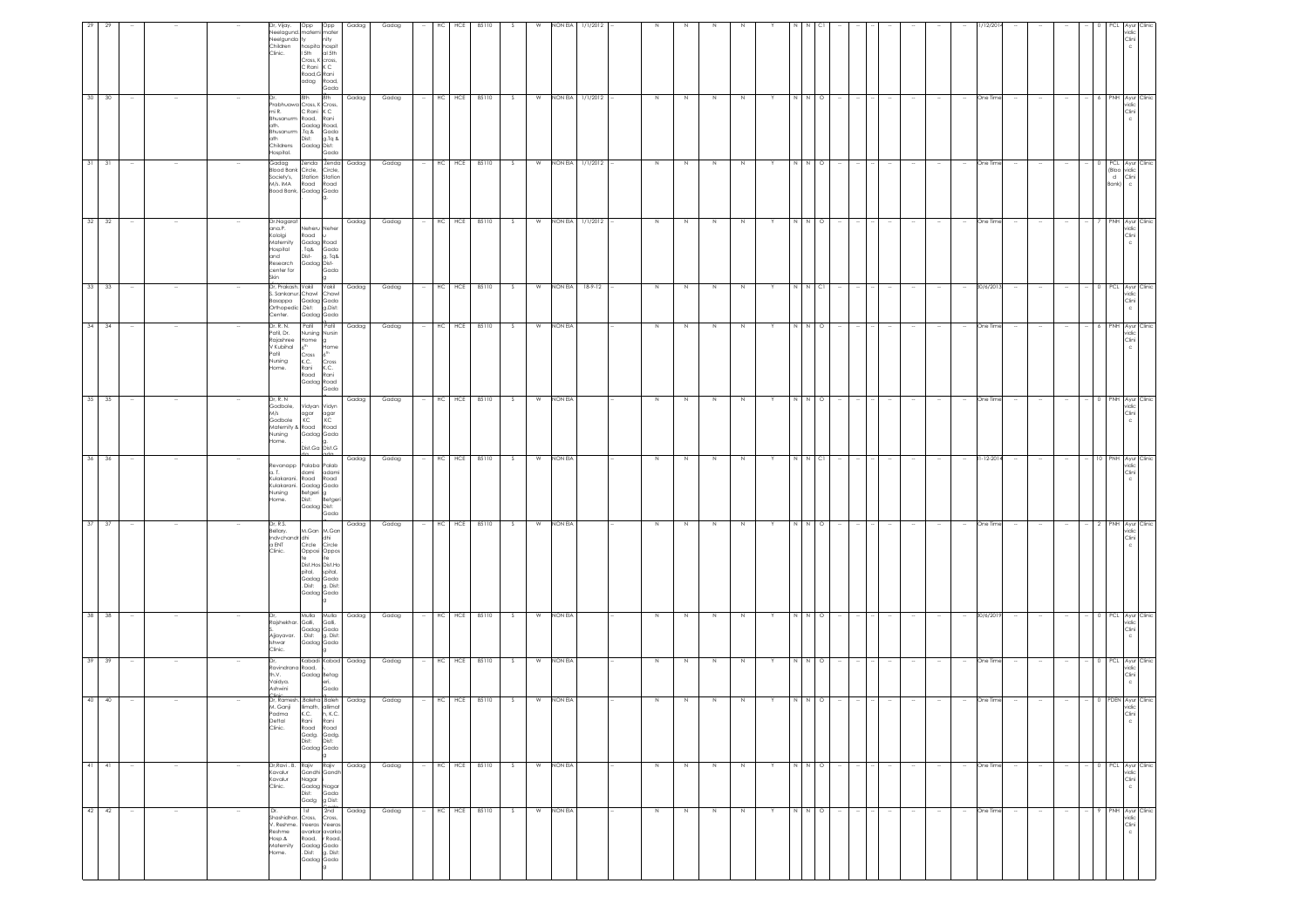|        |        | Dr, Vijay.<br>Opp Opp<br>Neelagund, materni<br>Neelgunda ty<br>nity<br>Children<br>hospita hospit<br>Clinic.<br>I 5th<br>Cross, K cross,<br>C Rani K C<br>Road, G Rani<br>adag<br>8th<br>8th<br>Prabhuawa Cross, K Cross,<br>mi R.<br>C Rani K C<br>Bhusanurm Road,<br>ath. Gadag Road,<br>Bhusanurm .Tq & Gada | Gadag<br>mater<br>al 5th<br>Road,<br>Gada<br>Gadag<br>Rani         | Gadag<br>Gadag |        | HCE<br>НC<br>HC HCE 85110 | 85110     | S   | W<br>W | NON EIA | 1/1/2012<br>NON EIA 1/1/2012 | $\,$ N  | $\mathbb N$ | $\,$ N      | N           |    | N N    | $\circ$ |                                    |                          |        |                          |                          | One Time   |        |        |                      |         |                     | ridic<br>Clini<br>PNH Ayur Clinic<br>vidic<br>Clini |
|--------|--------|-----------------------------------------------------------------------------------------------------------------------------------------------------------------------------------------------------------------------------------------------------------------------------------------------------------------|--------------------------------------------------------------------|----------------|--------|---------------------------|-----------|-----|--------|---------|------------------------------|---------|-------------|-------------|-------------|----|--------|---------|------------------------------------|--------------------------|--------|--------------------------|--------------------------|------------|--------|--------|----------------------|---------|---------------------|-----------------------------------------------------|
|        |        | ath<br>Dist:<br>Childrens<br>Gadag Dist:<br>Hospital.<br>Gadag<br>Zenda<br>Blood Bank Circle,<br>Society's,<br>Station<br>M/s. IMA<br>Road<br>Bood Bank, Gadag Gada                                                                                                                                             | g.Tq &<br>Gada<br>Zenda<br>Gadag<br>Circle,<br>Station<br>Road     | Gadag          | $\sim$ | HC HCE 85110              |           | S.  | W      |         | NON EIA 1/1/2012             | $\,$ N  | N           | $\,$ N      | N           | Y. | NN     | $\circ$ | $\overline{\phantom{a}}$<br>$\sim$ | $\overline{\phantom{a}}$ | $\sim$ | $\overline{\phantom{a}}$ | $\sim$                   | One Time   | $\sim$ | $\sim$ | $\sim$               |         | (Bloo<br>d<br>Bank) | 0 PCL Ayur Clinic<br>ridic<br>Clini                 |
|        |        | Dr.Nagarat<br>ana.P.<br>Neheru Neher<br>Kololgi<br>Road<br>Maternity<br>Gadag Road<br>Tag &<br>Hospital<br>Dist-<br>and<br>Gadag Dist<br>Research<br>center for<br>Skin                                                                                                                                         | Gadag<br>Gada<br>g, Tq&<br>Gada                                    | Gadag          |        | HC HCE 85110              |           | S.  |        |         | W NON EIA 1/1/2012           | N       | N           | N           | N           |    | N.     | $\circ$ |                                    |                          |        |                          |                          | One Time   |        |        |                      |         |                     | NH Ayur Clinic<br>vidic<br>Clini<br>c               |
|        |        | Dr, Prakash. Vakil Vakil<br>S. Sankanur, Chawl<br>Basappa Gadag Gada<br>Orthopedic Dist: g.Dist:<br>Center. Gadag Gada                                                                                                                                                                                          | Gadag<br>Chawl                                                     | Gadag          |        | HC HCE 85110              |           | S.  | W      | NON EIA | $18-9-12$                    | N       | N.          | N           | N           |    | N N CI |         |                                    |                          |        |                          | $\sim$                   | 30/6/2013  |        |        |                      |         |                     | PCL Ayur Clinic<br>vidic<br>Clini<br>$\mathsf{c}$   |
|        |        | Dr. R. N.<br>Patil<br>Patil, Dr.<br>Nursing Nursin<br>Rajashree<br>$\begin{bmatrix} \mathsf{Home} \\ \mathsf{f}^{\mathsf{th}} \end{bmatrix} \begin{bmatrix} \mathsf{g} \\ \mathsf{H}\mathsf{c} \end{bmatrix}$<br>V Kubihal<br>Patil<br>Cross<br>K.C.<br>Nursing<br>Home.<br>Rani<br>Road<br>Gadag Road          | Patil<br>Gadag<br>Home<br>Cross<br>K.C.<br>Rani<br>Gada            | Gadag          |        | HCE<br>НC                 | 85110     | -S  | W      | NON EIA |                              | N       | N           | N           | N           |    |        | $\circ$ |                                    |                          |        |                          | $\sim$                   | One Time   |        |        |                      |         | NΗ                  | Ayur Clinic<br>ridic<br>Clini                       |
|        |        | Dr, R, N<br>Godbole,<br>Vidyan Vidyn<br>M/s<br>agar<br>KC<br>Godbole<br>Maternity & Road<br>Nursing<br>Gadag Gada<br>Home.<br>.<br>Dist.Ga Dist.G                                                                                                                                                               | Gadag<br>agar<br>KC<br>Road                                        | Gadag          |        | HC HCE 85110              |           |     | W      | NON EIA |                              | $\,$ N  |             | N           | N           |    | N      | $\circ$ |                                    |                          |        |                          |                          | One Time   |        |        |                      |         | PNH                 | Ayur Clinic<br>vidic<br>Clini<br>Ċ                  |
|        |        | Palaba Palab<br>evanapp<br>a. T.<br>dami<br>Kulakarani.<br>Road<br>Kulakarani. Gadag Gada<br>Nursing<br>Betgerig<br>Dist: Be<br>Home.<br>Gadag Dist:                                                                                                                                                            | Gadag<br>adam<br>Road<br>Betger<br>Gada                            | Gadag          |        | HC                        | HCE 85110 | S   | W      | NON EIA |                              | $\,N\,$ | N           | $\,$ N      | $\mathbb N$ |    | N      | C1      |                                    |                          |        |                          | $\sim$                   | 31-12-2014 |        |        |                      |         | PNH                 | Ayur Clinic<br>vidic<br>Clini                       |
|        |        | Dr, R.S.<br>Bellary.<br>M.Gan M.Gan<br>Indvchandr dhi<br>a ENT Circle<br>dhi<br>Opposi Oppos<br>Clinic.<br>te ite<br>Dist.Hos Dist.Ho<br>pital, spital,<br>Gadag Gada<br>. Dist: g. Dist:<br>Gadag Gada                                                                                                         | Gadag<br>Circle                                                    | Gadag          |        | HC                        | HCE 85110 | S.  | W      | NON EIA |                              | $\,$ N  |             | $\mathbb N$ | $\mathbb N$ |    | N N    | $\circ$ |                                    |                          |        |                          | $\overline{\phantom{a}}$ | One Time   |        |        |                      |         | PNH                 | Ayur Clinic<br>vidic<br>Clini                       |
|        |        | Mulla Mulla<br>Rajshekhar. Galli,<br>Gadag Gada<br>Ajjayavar. . Dist: g. Dist:<br>Gadag Gada<br>Ishwar<br>Clinic.                                                                                                                                                                                               | Gadag<br>Galli,                                                    | Gadag          |        | HCE<br>HC                 | 85110     | -S  | W      | NON EIA |                              | N       |             |             | N           |    |        | $\circ$ |                                    |                          |        |                          |                          | 30/6/201   |        |        |                      |         | PCL.                | Ayur Clinic<br>ridic<br>Clini                       |
|        |        | Kabadi Kabad<br>Ravindrana Road,<br>th.V.<br>Gadag Betag<br>Vaidya.<br>Ashwini<br>linin.                                                                                                                                                                                                                        | Gadag<br>Gada                                                      | Gadag          |        | HC HCE 85110              |           | S.  | W      | NON EIA |                              | $\,$ N  | N           | N           | N           |    |        | $\circ$ |                                    |                          |        |                          |                          | One Time   |        |        |                      |         |                     | PCL Ayur Clinic<br>ridic<br>Clini                   |
|        |        | Dr, Ramesh, Baleha Baleh<br>M. Ganji<br>limath,<br>K.C.<br>Padma<br>Dettal<br>Clinic.<br>Rani<br>Road<br>Gadg.<br>Dist:<br>Gadag Gada                                                                                                                                                                           | Gadag<br>allimat<br>h, K.C.<br>Rani<br>Road<br>Gadg.<br>Dist:      | Gadag          |        | HC HCE 85110              |           | -S  | W      | NON EIA |                              | $\,N\,$ | N           | N           | N           |    |        | $\circ$ |                                    |                          |        |                          |                          | One Time   |        |        |                      | $\circ$ | PDEN                | Ayur Clini<br>idio<br>`lini                         |
| $\sim$ | $\sim$ | Dr, Ravi. B. Rajiv<br>Gandhi Gandh<br>Kavalur<br>Kavalur<br>Nagar<br>Clinic.<br>Gadag Nagar<br>Dist: Gada<br>Gadg                                                                                                                                                                                               | Rajiv<br>Gadag<br>Gada<br>g Dist:                                  | Gadag          |        | HC HCE 85110              |           | S.  | W      | NON EIA |                              | N       | N           | $\,$ N      | $\,N\,$     | Y  | N N O  |         |                                    | $\sim$                   |        |                          | $\sim$                   | One Time   | $\sim$ |        | $\ddot{\phantom{a}}$ |         |                     | 0 PCL Ayur Clinic<br>vidic<br>Clini<br>$\mathbb C$  |
| $\sim$ | $\sim$ | 1st<br>Dr. Ist 2nd<br>Shashidhar. Cross, Cross,<br>V. Reshme. Veeras Veeras<br>Reshme<br>avarkar avarka<br>Hosp.&<br>Road,<br>Maternity<br>Gadag Gada<br>. Dist: g. Dist:<br>Home.<br>Gadag Gada                                                                                                                | $\frac{G \cdot \text{c}{d}}{2 \cdot \text{d}}$<br>Gadag<br>r Road, | Gadag          |        | HC<br>HCE                 | 85110     | - S | W      | NON EIA |                              | N       | N           | N           | N           |    | N N O  |         | $\sim$                             | $\sim$                   | $\sim$ |                          | $\sim$                   | One Time   | $\sim$ | $\sim$ | $\sim$               |         |                     | PNH Ayur Clinic<br>vidic<br>Clini<br>$\mathbf{C}$   |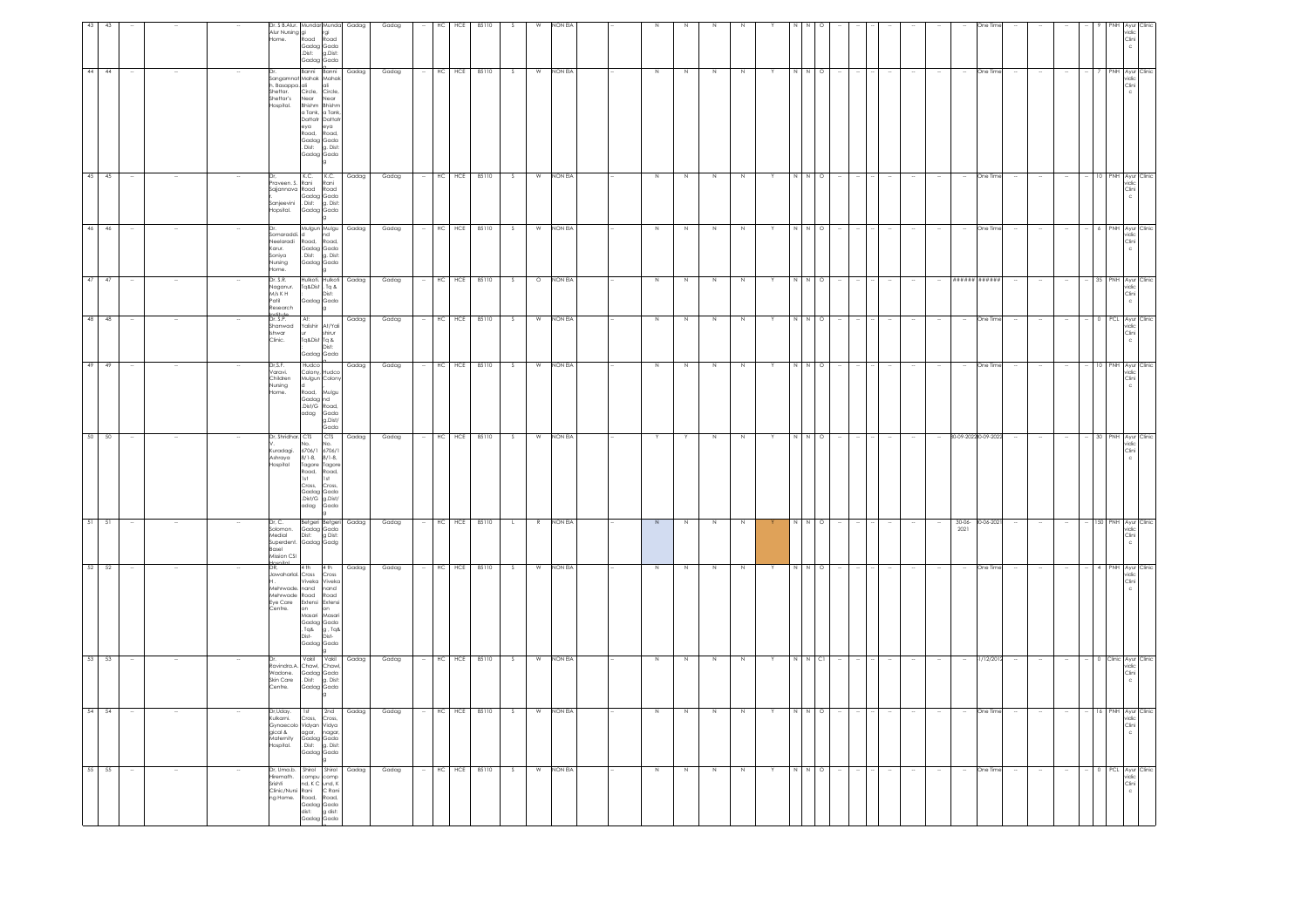| rgi<br>Road<br>Gadag Gada<br>Dist: g.Dist:<br>Gadag Gada<br>44 44<br>Banni Banni<br>HC<br>HCE<br>85110<br>Gadag<br><b>NON EIA</b><br>Gadaa<br>S.<br>W<br>N<br>N<br>N<br>$\circ$<br>One Time<br>7 PNH Ayur Clinic<br>vidic<br>Clini<br>c<br>N<br>Y<br>N N<br>Sangamnat Mahak Mahak<br>h. Basappa. ali<br>loli<br>Shettar.<br>Circle,<br>Circle<br>Shettar's<br>Near<br>Bhishm<br>Near<br>Bhishm<br>lospital.<br>a Tank, a Tank,<br>Dattatr Dattatr<br>eya<br>eya<br>Road,<br>Road,<br>Gadag Gada<br>Dist: g. Dist:<br>Gadag Gada<br>45 45<br>K.C. K.C. Gadag<br>Gadag<br>HC HCE 85110<br>W NON EIA<br>S.<br>N<br>N<br>$\,$ N<br>N<br>Y<br>One Time<br>10 PNH Avur Clinic<br>$\sim$<br>$\Omega$<br>$\sim$<br>raveen. S.<br>Rani<br>Rani<br>Sajjannava Road<br>Road<br>Gadag Gada<br>Dist: g. Dist:<br>Sanjeevini<br>Hopsital.<br>Gadag Gada<br>Mulgun Mulgu Gadag<br>d nd<br>HCE<br>85110<br>46 46<br>Gadag<br>HC<br>-S<br>W<br>NON EIA<br>N<br>Z<br>N<br>N<br>N N<br>$\circ$<br>One Time<br>6 PNH Ayur Clinic<br>vidic<br>Dr<br>omaraddi.<br>Neelaradi<br>Road,<br>Road,<br>Karur.<br>Gadag Gada<br>Soniya<br>Dist: g. Dist:<br>Nursing<br>Gadag Gada<br>ome.<br>Dr. S.R.<br>Gadag<br>Gadag<br>HCE<br>85110<br>47<br>Hulkoti. Hulkoti<br><b>NON EIA</b><br>,,,,,,<br>#####<br>47<br>HC<br>$\circ$<br>35 PNH Ayur Clinic<br>vidic<br>Clini<br>c<br>S.<br>N<br>N<br>N<br>-N<br>--- -----<br>Naganur.<br>M/s K H<br>Tq&Dist . Tq &<br>Dist:<br>Patil<br>Gadag Gada<br>Research<br>lg.<br>Institute<br>Dr. S.P.<br>Gadag<br>HC HCE 85110<br>48 48<br>At:<br>Gadag<br>$\overline{\mathcal{S}}$<br>W<br>NON EIA<br>Z<br>Z<br>Z<br>N<br>N N<br>$\circ$<br>One Time<br>0 PCL Ayur Clinic<br>vidic<br>$\sim$<br>Y<br><br>Yalishir<br>At/Yali<br>Shanwad<br>shwar<br>hirur<br>Tg&Dist Tg &<br>Clinic.<br>Gadaa Gada<br>49 49<br>Dr,S.F.<br>Varavi.<br>Hudco<br>Colony, Hudco<br>Gadag<br>Gadag<br>HC.<br>HCE 85110<br>W<br>NON EIA<br>$\,$ N $\,$<br>$\,N\,$<br>$\,$ N $\,$<br>$\circ$<br>One Tim<br>10 PNH Ayur<br>vidic<br>S.<br>$\mathbb N$<br>N N<br>Children<br>Mulgun Colony<br>Nursing<br>ld.<br>Home.<br>Road,<br>vlulgu<br>Gadag nd<br>.Dist/G Road,<br>adag<br>Gada<br>g.Dist/<br>Gada<br>CTS<br>85110<br>50 50<br>Dr. Shridhar, CTS<br>Gadaa<br>Gadag<br>HC HCE<br>NON EIA<br>80-09-202280-09-2022<br>$\sim$<br>$\sim$<br>S<br>W<br>Y<br>N<br>N<br>Y<br>N N<br>$\circ$<br>$\sim$<br>$\sim$<br>$\sim$<br>- 30 PNH Ayur Clinic<br>vidic<br>Y<br>$\sim$<br>$\sim$<br>6706/1<br>Kuradagi.<br>6706/1<br>$8/1-8$ ,<br>$8/1-8$<br>Ashraya<br>Hospital<br>Tagore Tagore<br>Road, Road,<br>1st<br>1st<br>Cross.<br>Cross.<br>Gadag<br>Gada<br>Dist/G g.Dist/<br>Gada<br>adag<br>Gadag<br>Gadag<br>HC<br>HCE<br>85110<br>NON EIA<br>51<br>- 51<br>R<br>N<br>$30 - 06 -$<br>30-06-2021<br>- 150 PNH Ayur Clinic<br>vidic<br>Dr, C.<br>Betgeri Betgeri<br>$\,$ N<br>N<br>$\circ$<br>$\mathbf{L}$<br>N<br>$\sim$<br>$\sim$<br>$\sim$<br>$\sim$<br>2021<br>nomolos<br>Gadag Gada<br>Dist: g Dist:<br>Medial<br>Superdent.<br>Gadag Gadg<br>Basel<br>Mission CSI<br>52 52<br>DR,<br>4 th<br>4 <sub>th</sub><br>Gadag<br>Gadag<br>HC<br>HCE<br>85110<br>W<br>NON EIA<br>One Time<br>4 PNH Ayur Clinic<br>-S<br>N<br>Z<br>Z<br>Z<br>N N<br>$\circ$<br>$\overline{\phantom{a}}$<br>Υ<br>$\overline{\phantom{a}}$<br>Jawaharlal. Cross<br>Cross<br>Viveka Viveka<br>Mehrwade. <mark>nand</mark><br>nand<br>Mehrwade Road<br>Road<br>Eye Care<br>Extensi<br>Extensi<br>Centre.<br>on<br>lon<br>Masari<br>Masari<br>Gadag Gada<br>, Tq& g, Tq&<br>Dist-<br>Dist-<br>Gadag Gada<br>53 53<br>Vakil Vakil<br>Gadag<br>Gadag<br>$HC$<br>HCE<br>85110<br>NON EIA<br>W<br>N<br>$\geq$<br>N<br>N N<br>C1<br>31/12/2012<br>0 Clinic Ayur Clinic<br>vidic<br>Clini<br>S<br>$\,$ N<br>$\sim$<br>Υ<br>Dr.<br>$\sim$<br>Ravindra.A<br>Chawl. Chawl.<br>Wadone.<br>Gadag Gada<br>Skin Care<br>. Dist: g. Dist:<br>Centre.<br>Gadag Gada<br>Gadag<br>HCE<br>85110<br>54 54<br>Dr.Udav.<br>1st<br>2nd Gadag<br>HC.<br>S.<br>W<br>NON EIA<br>N<br>N<br>N<br>One Time<br>16 PNH Ayur Clinic<br>vidic<br>N<br>Y<br>N N<br>$\circ$<br>Kulkarni.<br>Cross,<br>Cross,<br>Gynaecolo<br>Vidyan Vidya<br>gical &<br>agar,<br>nagar<br>Maternity<br>Hospital.<br>Gadag Gada<br>Cadag Gada<br>Dist: g. Dist:<br>Gadag Gada<br>$55$ 55<br>HC HCE 85110<br>Dr, Uma.b. Shirol Shirol Gadag<br>NON EIA<br>Gadag<br>W<br>- 0 PCL Ayur Clinic<br>vidic<br>Clini<br>c<br>- S<br>z<br>$\overline{N}$<br>Z<br>$\circ$<br>One Time<br>$\sim$<br>N<br>Y<br>N N<br>$\sim$<br>$\sim$<br>liremath.<br>compu comp<br>Srishti<br>Clinic/Nursi Rani C Rani<br>ng Home.<br>Road,<br>Road,<br>Gadag Gada<br>dist:<br>Gadag Gada | vidic<br>Clini<br>c | vidic<br>Clini<br>c | $\frac{Clin}{c}$ | Clini<br>$\mathsf{c}$ | $\frac{Clin}{c}$ | $\begin{array}{c} \text{Cini} \\ \text{c} \end{array}$ | Clini<br>$\mathbf c$ | vidic<br>Clini<br>$\rm ^c$ | $\rm ^c$ | $\frac{\text{Clin}}{\text{c}}$ |  |
|---------------------------------------------------------------------------------------------------------------------------------------------------------------------------------------------------------------------------------------------------------------------------------------------------------------------------------------------------------------------------------------------------------------------------------------------------------------------------------------------------------------------------------------------------------------------------------------------------------------------------------------------------------------------------------------------------------------------------------------------------------------------------------------------------------------------------------------------------------------------------------------------------------------------------------------------------------------------------------------------------------------------------------------------------------------------------------------------------------------------------------------------------------------------------------------------------------------------------------------------------------------------------------------------------------------------------------------------------------------------------------------------------------------------------------------------------------------------------------------------------------------------------------------------------------------------------------------------------------------------------------------------------------------------------------------------------------------------------------------------------------------------------------------------------------------------------------------------------------------------------------------------------------------------------------------------------------------------------------------------------------------------------------------------------------------------------------------------------------------------------------------------------------------------------------------------------------------------------------------------------------------------------------------------------------------------------------------------------------------------------------------------------------------------------------------------------------------------------------------------------------------------------------------------------------------------------------------------------------------------------------------------------------------------------------------------------------------------------------------------------------------------------------------------------------------------------------------------------------------------------------------------------------------------------------------------------------------------------------------------------------------------------------------------------------------------------------------------------------------------------------------------------------------------------------------------------------------------------------------------------------------------------------------------------------------------------------------------------------------------------------------------------------------------------------------------------------------------------------------------------------------------------------------------------------------------------------------------------------------------------------------------------------------------------------------------------------------------------------------------------------------------------------------------------------------------------------------------------------------------------------------------------------------------------------------------------------------------------------------------------------------------------------------------------------------------------------------------------------------------------------------------------------------------------------------------------------------------------------------------------------------------------------------------------------------------------------------------------------------------------------------------------------------------------------------------------------------------------------------------------------------------------------------------------------------------------------------------------------------------------------------------------------------|---------------------|---------------------|------------------|-----------------------|------------------|--------------------------------------------------------|----------------------|----------------------------|----------|--------------------------------|--|
|                                                                                                                                                                                                                                                                                                                                                                                                                                                                                                                                                                                                                                                                                                                                                                                                                                                                                                                                                                                                                                                                                                                                                                                                                                                                                                                                                                                                                                                                                                                                                                                                                                                                                                                                                                                                                                                                                                                                                                                                                                                                                                                                                                                                                                                                                                                                                                                                                                                                                                                                                                                                                                                                                                                                                                                                                                                                                                                                                                                                                                                                                                                                                                                                                                                                                                                                                                                                                                                                                                                                                                                                                                                                                                                                                                                                                                                                                                                                                                                                                                                                                                                                                                                                                                                                                                                                                                                                                                                                                                                                                                                                                                                               |                     |                     |                  |                       |                  |                                                        |                      |                            |          |                                |  |
| 43<br>HC                                                                                                                                                                                                                                                                                                                                                                                                                                                                                                                                                                                                                                                                                                                                                                                                                                                                                                                                                                                                                                                                                                                                                                                                                                                                                                                                                                                                                                                                                                                                                                                                                                                                                                                                                                                                                                                                                                                                                                                                                                                                                                                                                                                                                                                                                                                                                                                                                                                                                                                                                                                                                                                                                                                                                                                                                                                                                                                                                                                                                                                                                                                                                                                                                                                                                                                                                                                                                                                                                                                                                                                                                                                                                                                                                                                                                                                                                                                                                                                                                                                                                                                                                                                                                                                                                                                                                                                                                                                                                                                                                                                                                                                      |                     |                     |                  |                       |                  |                                                        |                      |                            |          |                                |  |
|                                                                                                                                                                                                                                                                                                                                                                                                                                                                                                                                                                                                                                                                                                                                                                                                                                                                                                                                                                                                                                                                                                                                                                                                                                                                                                                                                                                                                                                                                                                                                                                                                                                                                                                                                                                                                                                                                                                                                                                                                                                                                                                                                                                                                                                                                                                                                                                                                                                                                                                                                                                                                                                                                                                                                                                                                                                                                                                                                                                                                                                                                                                                                                                                                                                                                                                                                                                                                                                                                                                                                                                                                                                                                                                                                                                                                                                                                                                                                                                                                                                                                                                                                                                                                                                                                                                                                                                                                                                                                                                                                                                                                                                               |                     |                     |                  |                       |                  |                                                        |                      |                            |          |                                |  |
|                                                                                                                                                                                                                                                                                                                                                                                                                                                                                                                                                                                                                                                                                                                                                                                                                                                                                                                                                                                                                                                                                                                                                                                                                                                                                                                                                                                                                                                                                                                                                                                                                                                                                                                                                                                                                                                                                                                                                                                                                                                                                                                                                                                                                                                                                                                                                                                                                                                                                                                                                                                                                                                                                                                                                                                                                                                                                                                                                                                                                                                                                                                                                                                                                                                                                                                                                                                                                                                                                                                                                                                                                                                                                                                                                                                                                                                                                                                                                                                                                                                                                                                                                                                                                                                                                                                                                                                                                                                                                                                                                                                                                                                               |                     |                     |                  |                       |                  |                                                        |                      |                            |          |                                |  |
|                                                                                                                                                                                                                                                                                                                                                                                                                                                                                                                                                                                                                                                                                                                                                                                                                                                                                                                                                                                                                                                                                                                                                                                                                                                                                                                                                                                                                                                                                                                                                                                                                                                                                                                                                                                                                                                                                                                                                                                                                                                                                                                                                                                                                                                                                                                                                                                                                                                                                                                                                                                                                                                                                                                                                                                                                                                                                                                                                                                                                                                                                                                                                                                                                                                                                                                                                                                                                                                                                                                                                                                                                                                                                                                                                                                                                                                                                                                                                                                                                                                                                                                                                                                                                                                                                                                                                                                                                                                                                                                                                                                                                                                               |                     |                     |                  |                       |                  |                                                        |                      |                            |          |                                |  |
|                                                                                                                                                                                                                                                                                                                                                                                                                                                                                                                                                                                                                                                                                                                                                                                                                                                                                                                                                                                                                                                                                                                                                                                                                                                                                                                                                                                                                                                                                                                                                                                                                                                                                                                                                                                                                                                                                                                                                                                                                                                                                                                                                                                                                                                                                                                                                                                                                                                                                                                                                                                                                                                                                                                                                                                                                                                                                                                                                                                                                                                                                                                                                                                                                                                                                                                                                                                                                                                                                                                                                                                                                                                                                                                                                                                                                                                                                                                                                                                                                                                                                                                                                                                                                                                                                                                                                                                                                                                                                                                                                                                                                                                               |                     |                     |                  |                       |                  |                                                        |                      |                            |          |                                |  |
|                                                                                                                                                                                                                                                                                                                                                                                                                                                                                                                                                                                                                                                                                                                                                                                                                                                                                                                                                                                                                                                                                                                                                                                                                                                                                                                                                                                                                                                                                                                                                                                                                                                                                                                                                                                                                                                                                                                                                                                                                                                                                                                                                                                                                                                                                                                                                                                                                                                                                                                                                                                                                                                                                                                                                                                                                                                                                                                                                                                                                                                                                                                                                                                                                                                                                                                                                                                                                                                                                                                                                                                                                                                                                                                                                                                                                                                                                                                                                                                                                                                                                                                                                                                                                                                                                                                                                                                                                                                                                                                                                                                                                                                               |                     |                     |                  |                       |                  |                                                        |                      |                            |          |                                |  |
|                                                                                                                                                                                                                                                                                                                                                                                                                                                                                                                                                                                                                                                                                                                                                                                                                                                                                                                                                                                                                                                                                                                                                                                                                                                                                                                                                                                                                                                                                                                                                                                                                                                                                                                                                                                                                                                                                                                                                                                                                                                                                                                                                                                                                                                                                                                                                                                                                                                                                                                                                                                                                                                                                                                                                                                                                                                                                                                                                                                                                                                                                                                                                                                                                                                                                                                                                                                                                                                                                                                                                                                                                                                                                                                                                                                                                                                                                                                                                                                                                                                                                                                                                                                                                                                                                                                                                                                                                                                                                                                                                                                                                                                               |                     |                     |                  |                       |                  |                                                        |                      |                            |          |                                |  |
|                                                                                                                                                                                                                                                                                                                                                                                                                                                                                                                                                                                                                                                                                                                                                                                                                                                                                                                                                                                                                                                                                                                                                                                                                                                                                                                                                                                                                                                                                                                                                                                                                                                                                                                                                                                                                                                                                                                                                                                                                                                                                                                                                                                                                                                                                                                                                                                                                                                                                                                                                                                                                                                                                                                                                                                                                                                                                                                                                                                                                                                                                                                                                                                                                                                                                                                                                                                                                                                                                                                                                                                                                                                                                                                                                                                                                                                                                                                                                                                                                                                                                                                                                                                                                                                                                                                                                                                                                                                                                                                                                                                                                                                               |                     |                     |                  |                       |                  |                                                        |                      |                            |          |                                |  |
|                                                                                                                                                                                                                                                                                                                                                                                                                                                                                                                                                                                                                                                                                                                                                                                                                                                                                                                                                                                                                                                                                                                                                                                                                                                                                                                                                                                                                                                                                                                                                                                                                                                                                                                                                                                                                                                                                                                                                                                                                                                                                                                                                                                                                                                                                                                                                                                                                                                                                                                                                                                                                                                                                                                                                                                                                                                                                                                                                                                                                                                                                                                                                                                                                                                                                                                                                                                                                                                                                                                                                                                                                                                                                                                                                                                                                                                                                                                                                                                                                                                                                                                                                                                                                                                                                                                                                                                                                                                                                                                                                                                                                                                               |                     |                     |                  |                       |                  |                                                        |                      |                            |          |                                |  |
|                                                                                                                                                                                                                                                                                                                                                                                                                                                                                                                                                                                                                                                                                                                                                                                                                                                                                                                                                                                                                                                                                                                                                                                                                                                                                                                                                                                                                                                                                                                                                                                                                                                                                                                                                                                                                                                                                                                                                                                                                                                                                                                                                                                                                                                                                                                                                                                                                                                                                                                                                                                                                                                                                                                                                                                                                                                                                                                                                                                                                                                                                                                                                                                                                                                                                                                                                                                                                                                                                                                                                                                                                                                                                                                                                                                                                                                                                                                                                                                                                                                                                                                                                                                                                                                                                                                                                                                                                                                                                                                                                                                                                                                               |                     |                     |                  |                       |                  |                                                        |                      |                            |          |                                |  |
| Dr. S B.Alur. Mundar Munda<br>Gadag<br>Gadag<br>HCE<br>85110<br>W<br><b>NON EIA</b><br>Dr. S B. Anon.<br>Alur Nursing gi<br>Alur Nursing Road                                                                                                                                                                                                                                                                                                                                                                                                                                                                                                                                                                                                                                                                                                                                                                                                                                                                                                                                                                                                                                                                                                                                                                                                                                                                                                                                                                                                                                                                                                                                                                                                                                                                                                                                                                                                                                                                                                                                                                                                                                                                                                                                                                                                                                                                                                                                                                                                                                                                                                                                                                                                                                                                                                                                                                                                                                                                                                                                                                                                                                                                                                                                                                                                                                                                                                                                                                                                                                                                                                                                                                                                                                                                                                                                                                                                                                                                                                                                                                                                                                                                                                                                                                                                                                                                                                                                                                                                                                                                                                                 |                     |                     |                  |                       |                  |                                                        |                      |                            |          |                                |  |
|                                                                                                                                                                                                                                                                                                                                                                                                                                                                                                                                                                                                                                                                                                                                                                                                                                                                                                                                                                                                                                                                                                                                                                                                                                                                                                                                                                                                                                                                                                                                                                                                                                                                                                                                                                                                                                                                                                                                                                                                                                                                                                                                                                                                                                                                                                                                                                                                                                                                                                                                                                                                                                                                                                                                                                                                                                                                                                                                                                                                                                                                                                                                                                                                                                                                                                                                                                                                                                                                                                                                                                                                                                                                                                                                                                                                                                                                                                                                                                                                                                                                                                                                                                                                                                                                                                                                                                                                                                                                                                                                                                                                                                                               |                     |                     |                  |                       |                  |                                                        |                      |                            |          |                                |  |
|                                                                                                                                                                                                                                                                                                                                                                                                                                                                                                                                                                                                                                                                                                                                                                                                                                                                                                                                                                                                                                                                                                                                                                                                                                                                                                                                                                                                                                                                                                                                                                                                                                                                                                                                                                                                                                                                                                                                                                                                                                                                                                                                                                                                                                                                                                                                                                                                                                                                                                                                                                                                                                                                                                                                                                                                                                                                                                                                                                                                                                                                                                                                                                                                                                                                                                                                                                                                                                                                                                                                                                                                                                                                                                                                                                                                                                                                                                                                                                                                                                                                                                                                                                                                                                                                                                                                                                                                                                                                                                                                                                                                                                                               |                     |                     |                  |                       |                  |                                                        |                      |                            |          |                                |  |
|                                                                                                                                                                                                                                                                                                                                                                                                                                                                                                                                                                                                                                                                                                                                                                                                                                                                                                                                                                                                                                                                                                                                                                                                                                                                                                                                                                                                                                                                                                                                                                                                                                                                                                                                                                                                                                                                                                                                                                                                                                                                                                                                                                                                                                                                                                                                                                                                                                                                                                                                                                                                                                                                                                                                                                                                                                                                                                                                                                                                                                                                                                                                                                                                                                                                                                                                                                                                                                                                                                                                                                                                                                                                                                                                                                                                                                                                                                                                                                                                                                                                                                                                                                                                                                                                                                                                                                                                                                                                                                                                                                                                                                                               |                     |                     |                  |                       |                  |                                                        |                      |                            |          |                                |  |
|                                                                                                                                                                                                                                                                                                                                                                                                                                                                                                                                                                                                                                                                                                                                                                                                                                                                                                                                                                                                                                                                                                                                                                                                                                                                                                                                                                                                                                                                                                                                                                                                                                                                                                                                                                                                                                                                                                                                                                                                                                                                                                                                                                                                                                                                                                                                                                                                                                                                                                                                                                                                                                                                                                                                                                                                                                                                                                                                                                                                                                                                                                                                                                                                                                                                                                                                                                                                                                                                                                                                                                                                                                                                                                                                                                                                                                                                                                                                                                                                                                                                                                                                                                                                                                                                                                                                                                                                                                                                                                                                                                                                                                                               |                     |                     |                  |                       |                  |                                                        |                      |                            |          |                                |  |
|                                                                                                                                                                                                                                                                                                                                                                                                                                                                                                                                                                                                                                                                                                                                                                                                                                                                                                                                                                                                                                                                                                                                                                                                                                                                                                                                                                                                                                                                                                                                                                                                                                                                                                                                                                                                                                                                                                                                                                                                                                                                                                                                                                                                                                                                                                                                                                                                                                                                                                                                                                                                                                                                                                                                                                                                                                                                                                                                                                                                                                                                                                                                                                                                                                                                                                                                                                                                                                                                                                                                                                                                                                                                                                                                                                                                                                                                                                                                                                                                                                                                                                                                                                                                                                                                                                                                                                                                                                                                                                                                                                                                                                                               |                     |                     |                  |                       |                  |                                                        |                      |                            |          |                                |  |
|                                                                                                                                                                                                                                                                                                                                                                                                                                                                                                                                                                                                                                                                                                                                                                                                                                                                                                                                                                                                                                                                                                                                                                                                                                                                                                                                                                                                                                                                                                                                                                                                                                                                                                                                                                                                                                                                                                                                                                                                                                                                                                                                                                                                                                                                                                                                                                                                                                                                                                                                                                                                                                                                                                                                                                                                                                                                                                                                                                                                                                                                                                                                                                                                                                                                                                                                                                                                                                                                                                                                                                                                                                                                                                                                                                                                                                                                                                                                                                                                                                                                                                                                                                                                                                                                                                                                                                                                                                                                                                                                                                                                                                                               |                     |                     |                  |                       |                  |                                                        |                      |                            |          |                                |  |
|                                                                                                                                                                                                                                                                                                                                                                                                                                                                                                                                                                                                                                                                                                                                                                                                                                                                                                                                                                                                                                                                                                                                                                                                                                                                                                                                                                                                                                                                                                                                                                                                                                                                                                                                                                                                                                                                                                                                                                                                                                                                                                                                                                                                                                                                                                                                                                                                                                                                                                                                                                                                                                                                                                                                                                                                                                                                                                                                                                                                                                                                                                                                                                                                                                                                                                                                                                                                                                                                                                                                                                                                                                                                                                                                                                                                                                                                                                                                                                                                                                                                                                                                                                                                                                                                                                                                                                                                                                                                                                                                                                                                                                                               |                     |                     |                  |                       |                  |                                                        |                      |                            |          |                                |  |
|                                                                                                                                                                                                                                                                                                                                                                                                                                                                                                                                                                                                                                                                                                                                                                                                                                                                                                                                                                                                                                                                                                                                                                                                                                                                                                                                                                                                                                                                                                                                                                                                                                                                                                                                                                                                                                                                                                                                                                                                                                                                                                                                                                                                                                                                                                                                                                                                                                                                                                                                                                                                                                                                                                                                                                                                                                                                                                                                                                                                                                                                                                                                                                                                                                                                                                                                                                                                                                                                                                                                                                                                                                                                                                                                                                                                                                                                                                                                                                                                                                                                                                                                                                                                                                                                                                                                                                                                                                                                                                                                                                                                                                                               |                     |                     |                  |                       |                  |                                                        |                      |                            |          |                                |  |
|                                                                                                                                                                                                                                                                                                                                                                                                                                                                                                                                                                                                                                                                                                                                                                                                                                                                                                                                                                                                                                                                                                                                                                                                                                                                                                                                                                                                                                                                                                                                                                                                                                                                                                                                                                                                                                                                                                                                                                                                                                                                                                                                                                                                                                                                                                                                                                                                                                                                                                                                                                                                                                                                                                                                                                                                                                                                                                                                                                                                                                                                                                                                                                                                                                                                                                                                                                                                                                                                                                                                                                                                                                                                                                                                                                                                                                                                                                                                                                                                                                                                                                                                                                                                                                                                                                                                                                                                                                                                                                                                                                                                                                                               |                     |                     |                  |                       |                  |                                                        |                      |                            |          |                                |  |
|                                                                                                                                                                                                                                                                                                                                                                                                                                                                                                                                                                                                                                                                                                                                                                                                                                                                                                                                                                                                                                                                                                                                                                                                                                                                                                                                                                                                                                                                                                                                                                                                                                                                                                                                                                                                                                                                                                                                                                                                                                                                                                                                                                                                                                                                                                                                                                                                                                                                                                                                                                                                                                                                                                                                                                                                                                                                                                                                                                                                                                                                                                                                                                                                                                                                                                                                                                                                                                                                                                                                                                                                                                                                                                                                                                                                                                                                                                                                                                                                                                                                                                                                                                                                                                                                                                                                                                                                                                                                                                                                                                                                                                                               |                     |                     |                  |                       |                  |                                                        |                      |                            |          |                                |  |
|                                                                                                                                                                                                                                                                                                                                                                                                                                                                                                                                                                                                                                                                                                                                                                                                                                                                                                                                                                                                                                                                                                                                                                                                                                                                                                                                                                                                                                                                                                                                                                                                                                                                                                                                                                                                                                                                                                                                                                                                                                                                                                                                                                                                                                                                                                                                                                                                                                                                                                                                                                                                                                                                                                                                                                                                                                                                                                                                                                                                                                                                                                                                                                                                                                                                                                                                                                                                                                                                                                                                                                                                                                                                                                                                                                                                                                                                                                                                                                                                                                                                                                                                                                                                                                                                                                                                                                                                                                                                                                                                                                                                                                                               |                     |                     |                  |                       |                  |                                                        |                      |                            |          |                                |  |
|                                                                                                                                                                                                                                                                                                                                                                                                                                                                                                                                                                                                                                                                                                                                                                                                                                                                                                                                                                                                                                                                                                                                                                                                                                                                                                                                                                                                                                                                                                                                                                                                                                                                                                                                                                                                                                                                                                                                                                                                                                                                                                                                                                                                                                                                                                                                                                                                                                                                                                                                                                                                                                                                                                                                                                                                                                                                                                                                                                                                                                                                                                                                                                                                                                                                                                                                                                                                                                                                                                                                                                                                                                                                                                                                                                                                                                                                                                                                                                                                                                                                                                                                                                                                                                                                                                                                                                                                                                                                                                                                                                                                                                                               |                     |                     |                  |                       |                  |                                                        |                      |                            |          |                                |  |
|                                                                                                                                                                                                                                                                                                                                                                                                                                                                                                                                                                                                                                                                                                                                                                                                                                                                                                                                                                                                                                                                                                                                                                                                                                                                                                                                                                                                                                                                                                                                                                                                                                                                                                                                                                                                                                                                                                                                                                                                                                                                                                                                                                                                                                                                                                                                                                                                                                                                                                                                                                                                                                                                                                                                                                                                                                                                                                                                                                                                                                                                                                                                                                                                                                                                                                                                                                                                                                                                                                                                                                                                                                                                                                                                                                                                                                                                                                                                                                                                                                                                                                                                                                                                                                                                                                                                                                                                                                                                                                                                                                                                                                                               |                     |                     |                  |                       |                  |                                                        |                      |                            |          |                                |  |
|                                                                                                                                                                                                                                                                                                                                                                                                                                                                                                                                                                                                                                                                                                                                                                                                                                                                                                                                                                                                                                                                                                                                                                                                                                                                                                                                                                                                                                                                                                                                                                                                                                                                                                                                                                                                                                                                                                                                                                                                                                                                                                                                                                                                                                                                                                                                                                                                                                                                                                                                                                                                                                                                                                                                                                                                                                                                                                                                                                                                                                                                                                                                                                                                                                                                                                                                                                                                                                                                                                                                                                                                                                                                                                                                                                                                                                                                                                                                                                                                                                                                                                                                                                                                                                                                                                                                                                                                                                                                                                                                                                                                                                                               |                     |                     |                  |                       |                  |                                                        |                      |                            |          |                                |  |
|                                                                                                                                                                                                                                                                                                                                                                                                                                                                                                                                                                                                                                                                                                                                                                                                                                                                                                                                                                                                                                                                                                                                                                                                                                                                                                                                                                                                                                                                                                                                                                                                                                                                                                                                                                                                                                                                                                                                                                                                                                                                                                                                                                                                                                                                                                                                                                                                                                                                                                                                                                                                                                                                                                                                                                                                                                                                                                                                                                                                                                                                                                                                                                                                                                                                                                                                                                                                                                                                                                                                                                                                                                                                                                                                                                                                                                                                                                                                                                                                                                                                                                                                                                                                                                                                                                                                                                                                                                                                                                                                                                                                                                                               |                     |                     |                  |                       |                  |                                                        |                      |                            |          |                                |  |
|                                                                                                                                                                                                                                                                                                                                                                                                                                                                                                                                                                                                                                                                                                                                                                                                                                                                                                                                                                                                                                                                                                                                                                                                                                                                                                                                                                                                                                                                                                                                                                                                                                                                                                                                                                                                                                                                                                                                                                                                                                                                                                                                                                                                                                                                                                                                                                                                                                                                                                                                                                                                                                                                                                                                                                                                                                                                                                                                                                                                                                                                                                                                                                                                                                                                                                                                                                                                                                                                                                                                                                                                                                                                                                                                                                                                                                                                                                                                                                                                                                                                                                                                                                                                                                                                                                                                                                                                                                                                                                                                                                                                                                                               |                     |                     |                  |                       |                  |                                                        |                      |                            |          |                                |  |
|                                                                                                                                                                                                                                                                                                                                                                                                                                                                                                                                                                                                                                                                                                                                                                                                                                                                                                                                                                                                                                                                                                                                                                                                                                                                                                                                                                                                                                                                                                                                                                                                                                                                                                                                                                                                                                                                                                                                                                                                                                                                                                                                                                                                                                                                                                                                                                                                                                                                                                                                                                                                                                                                                                                                                                                                                                                                                                                                                                                                                                                                                                                                                                                                                                                                                                                                                                                                                                                                                                                                                                                                                                                                                                                                                                                                                                                                                                                                                                                                                                                                                                                                                                                                                                                                                                                                                                                                                                                                                                                                                                                                                                                               |                     |                     |                  |                       |                  |                                                        |                      |                            |          |                                |  |
|                                                                                                                                                                                                                                                                                                                                                                                                                                                                                                                                                                                                                                                                                                                                                                                                                                                                                                                                                                                                                                                                                                                                                                                                                                                                                                                                                                                                                                                                                                                                                                                                                                                                                                                                                                                                                                                                                                                                                                                                                                                                                                                                                                                                                                                                                                                                                                                                                                                                                                                                                                                                                                                                                                                                                                                                                                                                                                                                                                                                                                                                                                                                                                                                                                                                                                                                                                                                                                                                                                                                                                                                                                                                                                                                                                                                                                                                                                                                                                                                                                                                                                                                                                                                                                                                                                                                                                                                                                                                                                                                                                                                                                                               |                     |                     |                  |                       |                  |                                                        |                      |                            |          |                                |  |
|                                                                                                                                                                                                                                                                                                                                                                                                                                                                                                                                                                                                                                                                                                                                                                                                                                                                                                                                                                                                                                                                                                                                                                                                                                                                                                                                                                                                                                                                                                                                                                                                                                                                                                                                                                                                                                                                                                                                                                                                                                                                                                                                                                                                                                                                                                                                                                                                                                                                                                                                                                                                                                                                                                                                                                                                                                                                                                                                                                                                                                                                                                                                                                                                                                                                                                                                                                                                                                                                                                                                                                                                                                                                                                                                                                                                                                                                                                                                                                                                                                                                                                                                                                                                                                                                                                                                                                                                                                                                                                                                                                                                                                                               |                     |                     |                  |                       |                  |                                                        |                      |                            |          |                                |  |
|                                                                                                                                                                                                                                                                                                                                                                                                                                                                                                                                                                                                                                                                                                                                                                                                                                                                                                                                                                                                                                                                                                                                                                                                                                                                                                                                                                                                                                                                                                                                                                                                                                                                                                                                                                                                                                                                                                                                                                                                                                                                                                                                                                                                                                                                                                                                                                                                                                                                                                                                                                                                                                                                                                                                                                                                                                                                                                                                                                                                                                                                                                                                                                                                                                                                                                                                                                                                                                                                                                                                                                                                                                                                                                                                                                                                                                                                                                                                                                                                                                                                                                                                                                                                                                                                                                                                                                                                                                                                                                                                                                                                                                                               |                     |                     |                  |                       |                  |                                                        |                      |                            |          |                                |  |
|                                                                                                                                                                                                                                                                                                                                                                                                                                                                                                                                                                                                                                                                                                                                                                                                                                                                                                                                                                                                                                                                                                                                                                                                                                                                                                                                                                                                                                                                                                                                                                                                                                                                                                                                                                                                                                                                                                                                                                                                                                                                                                                                                                                                                                                                                                                                                                                                                                                                                                                                                                                                                                                                                                                                                                                                                                                                                                                                                                                                                                                                                                                                                                                                                                                                                                                                                                                                                                                                                                                                                                                                                                                                                                                                                                                                                                                                                                                                                                                                                                                                                                                                                                                                                                                                                                                                                                                                                                                                                                                                                                                                                                                               |                     |                     |                  |                       |                  |                                                        |                      |                            |          |                                |  |
|                                                                                                                                                                                                                                                                                                                                                                                                                                                                                                                                                                                                                                                                                                                                                                                                                                                                                                                                                                                                                                                                                                                                                                                                                                                                                                                                                                                                                                                                                                                                                                                                                                                                                                                                                                                                                                                                                                                                                                                                                                                                                                                                                                                                                                                                                                                                                                                                                                                                                                                                                                                                                                                                                                                                                                                                                                                                                                                                                                                                                                                                                                                                                                                                                                                                                                                                                                                                                                                                                                                                                                                                                                                                                                                                                                                                                                                                                                                                                                                                                                                                                                                                                                                                                                                                                                                                                                                                                                                                                                                                                                                                                                                               |                     |                     |                  |                       |                  |                                                        |                      |                            |          |                                |  |
|                                                                                                                                                                                                                                                                                                                                                                                                                                                                                                                                                                                                                                                                                                                                                                                                                                                                                                                                                                                                                                                                                                                                                                                                                                                                                                                                                                                                                                                                                                                                                                                                                                                                                                                                                                                                                                                                                                                                                                                                                                                                                                                                                                                                                                                                                                                                                                                                                                                                                                                                                                                                                                                                                                                                                                                                                                                                                                                                                                                                                                                                                                                                                                                                                                                                                                                                                                                                                                                                                                                                                                                                                                                                                                                                                                                                                                                                                                                                                                                                                                                                                                                                                                                                                                                                                                                                                                                                                                                                                                                                                                                                                                                               |                     |                     |                  |                       |                  |                                                        |                      |                            |          |                                |  |
|                                                                                                                                                                                                                                                                                                                                                                                                                                                                                                                                                                                                                                                                                                                                                                                                                                                                                                                                                                                                                                                                                                                                                                                                                                                                                                                                                                                                                                                                                                                                                                                                                                                                                                                                                                                                                                                                                                                                                                                                                                                                                                                                                                                                                                                                                                                                                                                                                                                                                                                                                                                                                                                                                                                                                                                                                                                                                                                                                                                                                                                                                                                                                                                                                                                                                                                                                                                                                                                                                                                                                                                                                                                                                                                                                                                                                                                                                                                                                                                                                                                                                                                                                                                                                                                                                                                                                                                                                                                                                                                                                                                                                                                               |                     |                     |                  |                       |                  |                                                        |                      |                            |          |                                |  |
|                                                                                                                                                                                                                                                                                                                                                                                                                                                                                                                                                                                                                                                                                                                                                                                                                                                                                                                                                                                                                                                                                                                                                                                                                                                                                                                                                                                                                                                                                                                                                                                                                                                                                                                                                                                                                                                                                                                                                                                                                                                                                                                                                                                                                                                                                                                                                                                                                                                                                                                                                                                                                                                                                                                                                                                                                                                                                                                                                                                                                                                                                                                                                                                                                                                                                                                                                                                                                                                                                                                                                                                                                                                                                                                                                                                                                                                                                                                                                                                                                                                                                                                                                                                                                                                                                                                                                                                                                                                                                                                                                                                                                                                               |                     |                     |                  |                       |                  |                                                        |                      |                            |          |                                |  |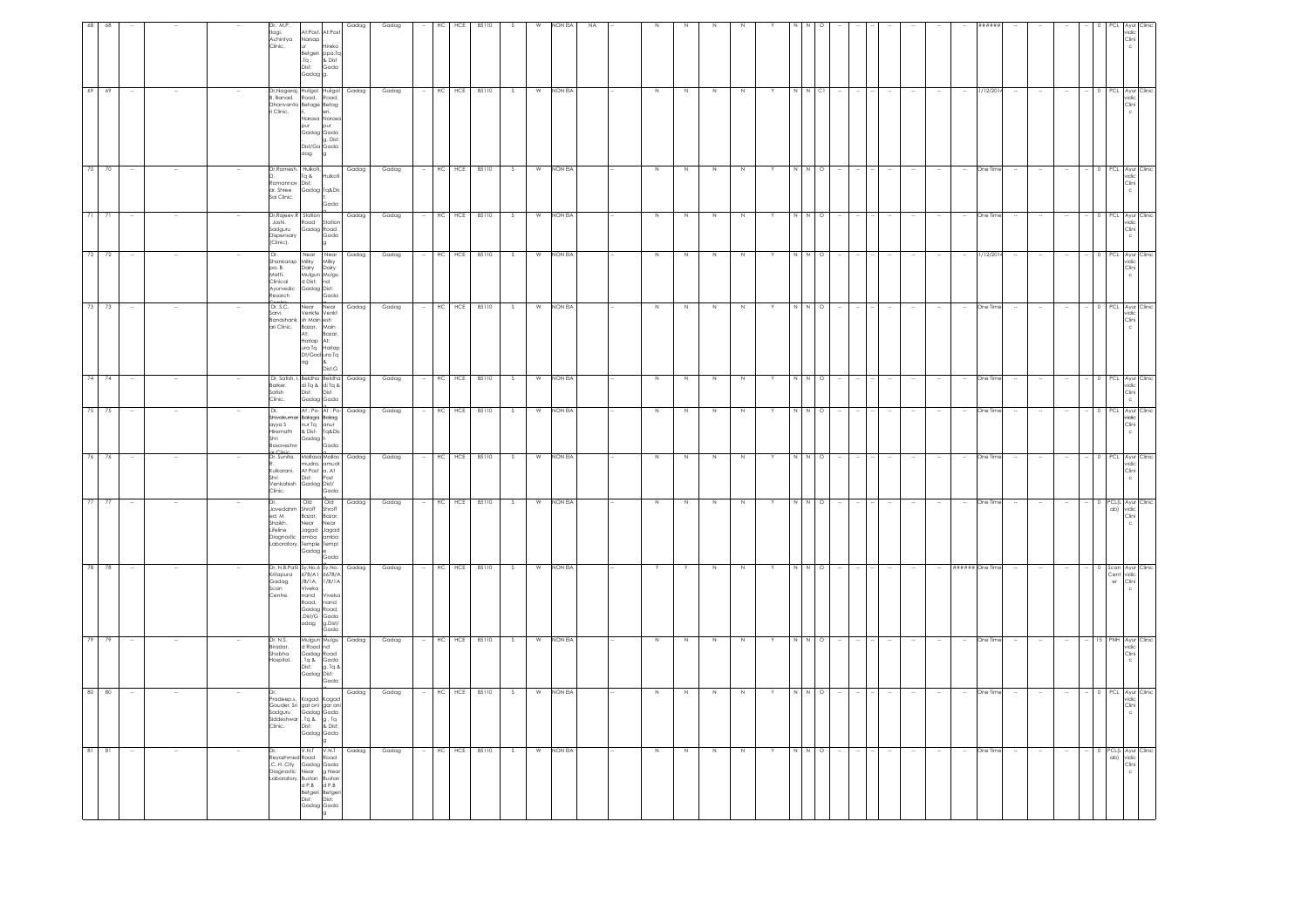|                                                        |                                                                                               |                                                                   |                                                                     |                                                                                                                                                           |                                                                                         |                                                                              |                                                                                                                           | Avur Clinic                                                                                       |                                                                                                     |                                                                             | Ayur Clinic                                                                 | Ayur Clinio                                       |                                                                    |
|--------------------------------------------------------|-----------------------------------------------------------------------------------------------|-------------------------------------------------------------------|---------------------------------------------------------------------|-----------------------------------------------------------------------------------------------------------------------------------------------------------|-----------------------------------------------------------------------------------------|------------------------------------------------------------------------------|---------------------------------------------------------------------------------------------------------------------------|---------------------------------------------------------------------------------------------------|-----------------------------------------------------------------------------------------------------|-----------------------------------------------------------------------------|-----------------------------------------------------------------------------|---------------------------------------------------|--------------------------------------------------------------------|
| Clini                                                  | PCL Ayur Clinic<br>vidic<br>Clini                                                             | PCL Ayur Clini<br>vidic<br>Clini                                  | PCL Ayur Clinic<br>Clini<br>c                                       | PCL Ayur Clinic<br>vidic<br>Clini<br>Ċ                                                                                                                    | PCL Ayur Clinic<br>vidic<br>Clini<br>c                                                  | 0 PCL Ayur Clinic<br>ridic<br>Clini                                          | 0 PCL Ayur Clinic<br>vidic<br>Clini<br>c                                                                                  | PCL.<br>vidic<br>Clini<br>$\mathsf{c}$                                                            | PCL(L Ayur Clinic<br>ab) vidic<br>$\frac{\text{Clin}}{\text{c}}$                                    | Scan Ayur Clinic<br>Cent<br>vidic<br>Clini<br>er                            | NH<br>ridic<br>Clini                                                        | PCL<br>vidic<br>Clini                             | PCL(L Ayur Clinic<br>ab) vidic<br>Clini                            |
|                                                        |                                                                                               |                                                                   |                                                                     |                                                                                                                                                           |                                                                                         |                                                                              |                                                                                                                           |                                                                                                   | $\Omega$                                                                                            |                                                                             |                                                                             |                                                   |                                                                    |
|                                                        |                                                                                               |                                                                   |                                                                     |                                                                                                                                                           |                                                                                         |                                                                              |                                                                                                                           |                                                                                                   |                                                                                                     |                                                                             |                                                                             |                                                   |                                                                    |
|                                                        |                                                                                               |                                                                   |                                                                     |                                                                                                                                                           |                                                                                         | $\sim$                                                                       | $\sim$                                                                                                                    |                                                                                                   |                                                                                                     | $\ddot{\phantom{a}}$                                                        |                                                                             |                                                   |                                                                    |
|                                                        |                                                                                               |                                                                   |                                                                     |                                                                                                                                                           |                                                                                         | $\sim$                                                                       | $\sim$                                                                                                                    |                                                                                                   |                                                                                                     | $\sim$                                                                      |                                                                             |                                                   |                                                                    |
|                                                        |                                                                                               |                                                                   |                                                                     |                                                                                                                                                           |                                                                                         | $\overline{\phantom{a}}$                                                     | $\sim$                                                                                                                    |                                                                                                   |                                                                                                     | $\sim$                                                                      |                                                                             |                                                   |                                                                    |
|                                                        | 1/12/201                                                                                      | One Tim                                                           | One Time                                                            | 1/12/20                                                                                                                                                   | One Time                                                                                | One Time                                                                     | One Time                                                                                                                  | One Tin                                                                                           | One Time                                                                                            | ###### One Time                                                             | One Tim                                                                     |                                                   | One Time                                                           |
|                                                        |                                                                                               |                                                                   |                                                                     |                                                                                                                                                           | $\overline{\phantom{a}}$                                                                | $\sim$                                                                       | $\sim$                                                                                                                    |                                                                                                   |                                                                                                     |                                                                             |                                                                             |                                                   |                                                                    |
|                                                        |                                                                                               |                                                                   |                                                                     |                                                                                                                                                           |                                                                                         |                                                                              |                                                                                                                           |                                                                                                   |                                                                                                     | $\sim$                                                                      |                                                                             |                                                   |                                                                    |
|                                                        |                                                                                               |                                                                   |                                                                     |                                                                                                                                                           |                                                                                         | $\sim$                                                                       |                                                                                                                           |                                                                                                   |                                                                                                     | $\sim$                                                                      |                                                                             |                                                   |                                                                    |
|                                                        |                                                                                               |                                                                   |                                                                     |                                                                                                                                                           |                                                                                         |                                                                              | - 14                                                                                                                      |                                                                                                   |                                                                                                     | $\sim$                                                                      |                                                                             |                                                   |                                                                    |
|                                                        |                                                                                               |                                                                   |                                                                     |                                                                                                                                                           |                                                                                         | $\overline{\phantom{a}}$                                                     | $\sim$                                                                                                                    |                                                                                                   |                                                                                                     | $\sim$                                                                      |                                                                             |                                                   |                                                                    |
|                                                        |                                                                                               |                                                                   |                                                                     |                                                                                                                                                           |                                                                                         |                                                                              | $\sim$                                                                                                                    |                                                                                                   |                                                                                                     |                                                                             |                                                                             |                                                   |                                                                    |
|                                                        | C1                                                                                            | $\circ$                                                           | $\circ$                                                             | $\circ$                                                                                                                                                   | $\circ$                                                                                 | $\circ$                                                                      | $\circ$                                                                                                                   | $\circ$                                                                                           | $\circ$                                                                                             | $\circ$                                                                     | O                                                                           |                                                   | $\circ$                                                            |
|                                                        |                                                                                               |                                                                   | N N                                                                 |                                                                                                                                                           | NN                                                                                      | N N                                                                          | N N                                                                                                                       |                                                                                                   | N N                                                                                                 | NN                                                                          |                                                                             |                                                   |                                                                    |
|                                                        |                                                                                               |                                                                   |                                                                     |                                                                                                                                                           |                                                                                         | Y                                                                            | Y                                                                                                                         |                                                                                                   |                                                                                                     |                                                                             |                                                                             |                                                   |                                                                    |
|                                                        | N                                                                                             | N                                                                 | N                                                                   | N                                                                                                                                                         | Z                                                                                       | $\mathbb N$                                                                  | $\,N\,$                                                                                                                   | N                                                                                                 | N                                                                                                   | N                                                                           | N                                                                           |                                                   | $\mathbb N$                                                        |
|                                                        | N                                                                                             | N                                                                 | N                                                                   | N                                                                                                                                                         | Z                                                                                       | $\,$ N                                                                       | N                                                                                                                         | N                                                                                                 | N                                                                                                   | $\,N\,$                                                                     | N                                                                           |                                                   | N                                                                  |
|                                                        | N                                                                                             | N                                                                 | N                                                                   | N                                                                                                                                                         | Z                                                                                       | N                                                                            | N                                                                                                                         |                                                                                                   | N                                                                                                   | Y                                                                           | -N.                                                                         |                                                   | N                                                                  |
|                                                        | $\,$ N                                                                                        | N                                                                 | N                                                                   | N                                                                                                                                                         | N                                                                                       | N                                                                            | N                                                                                                                         | N                                                                                                 | N                                                                                                   | Y                                                                           | N                                                                           | N                                                 | Z                                                                  |
|                                                        |                                                                                               |                                                                   |                                                                     |                                                                                                                                                           |                                                                                         |                                                                              |                                                                                                                           |                                                                                                   |                                                                                                     |                                                                             |                                                                             |                                                   |                                                                    |
|                                                        |                                                                                               |                                                                   |                                                                     |                                                                                                                                                           |                                                                                         |                                                                              |                                                                                                                           |                                                                                                   |                                                                                                     |                                                                             |                                                                             |                                                   |                                                                    |
| NON EIA                                                | NON EIA                                                                                       | NON EIA                                                           | NON EIA                                                             | NON EIA                                                                                                                                                   | NON EIA                                                                                 | NON EIA                                                                      | NON EIA                                                                                                                   | NON EIA                                                                                           | NON EIA                                                                                             | NON EIA                                                                     | NON EIA                                                                     | NON EIA                                           | NON EIA                                                            |
|                                                        | W                                                                                             | W                                                                 | W                                                                   | W                                                                                                                                                         | W                                                                                       | W                                                                            | W                                                                                                                         | W                                                                                                 | W                                                                                                   | W                                                                           | W                                                                           | W                                                 | W                                                                  |
|                                                        | S.                                                                                            | - S                                                               | $\mathcal{S}$                                                       | -S.                                                                                                                                                       | S.                                                                                      | S                                                                            | S.                                                                                                                        |                                                                                                   | -S                                                                                                  | S                                                                           | - 5                                                                         |                                                   | S.                                                                 |
| 85110                                                  |                                                                                               |                                                                   | 85110                                                               | 85110                                                                                                                                                     | 85110                                                                                   |                                                                              | 85110                                                                                                                     | 85110                                                                                             |                                                                                                     |                                                                             | 85110                                                                       | 85110                                             |                                                                    |
| HC<br>HCE                                              | HC HCE 85110                                                                                  | HC HCE 85110                                                      | HC HCE                                                              | HC<br>HCE                                                                                                                                                 | HC<br>HCE                                                                               | HC HCE 85110                                                                 | HC<br>HCE                                                                                                                 | HC<br>HCE                                                                                         | HC HCE 85110                                                                                        | HC HCE 85110                                                                | HC<br>HCE                                                                   | HCE<br>HC.                                        | HC HCE 85110                                                       |
|                                                        |                                                                                               |                                                                   |                                                                     |                                                                                                                                                           |                                                                                         |                                                                              |                                                                                                                           |                                                                                                   |                                                                                                     | $\sim$                                                                      |                                                                             |                                                   |                                                                    |
| Gadag                                                  | Gadag                                                                                         | Gadag                                                             | Gadag                                                               | Gadag                                                                                                                                                     | Gadag                                                                                   | Gadag                                                                        | Gadag                                                                                                                     | Gadag                                                                                             | Gadag                                                                                               | Gadag                                                                       | Gadag                                                                       | Gadag                                             | Gadag                                                              |
| Gadag                                                  | Gadag                                                                                         | Gadag                                                             | Gadag                                                               | Gadag                                                                                                                                                     | Gadag                                                                                   | Gadag                                                                        | Gadaa                                                                                                                     | Gadag                                                                                             | Gadag                                                                                               |                                                                             | Gadag                                                                       | Gadag                                             | Gadag                                                              |
| At:Post. At:Post<br>Hireko<br>ppa.To<br>& Dist<br>Gada | ri, eri,<br>Narasa Narasa<br>pur<br>Gadag Gada<br>g. Dist:<br>Dist/Ga Gada                    | Hulkoti<br>Gadag Tq&Dis<br>Gada                                   | Station<br>Gadag Road                                               | Near                                                                                                                                                      | Near<br>Venkte Venkt<br>Main<br>Bazar,<br>At:<br>ura Ta<br>Dt/Gad ura Ta<br>8<br>Dist:G | Dist<br>Gada                                                                 | At: Po-At: Po-<br>Tq&Dis<br>Gada                                                                                          | mudra. amudr<br>At Post a. At<br>Post<br>Gada                                                     | <b>Old</b><br>Shroff<br>Bazar,<br>Near<br>Jagad<br>Gada                                             | 678/A1 6678/A<br>Vivek<br>nand<br>Gadag<br>Dist/G Gada<br>g.Dist/<br>Gada   | Mulgun Mulgu<br>Gadag Road<br>. Tq & Gada<br>g. Tq &<br>Gadag Dist:<br>Gada | Gadag Gada                                        | V.N.T<br>Betgeri Betger<br>Dist: Dist:<br>Gadag Gada               |
| Narsap<br>s<br>Betgeri<br>Tq :<br>Dist:<br>Gadag       | dag                                                                                           | $a$ pT                                                            | Road                                                                | Near                                                                                                                                                      | Near<br>Bazar,<br>At:<br>Harlap<br>ag                                                   | Dist:<br>Gadag                                                               | Gadaa I                                                                                                                   | Dist:                                                                                             | Old<br>Shroff<br>Bazar,<br>Near<br>bogol<br>Gadag <sup>e</sup>                                      | Viveka<br>nand<br>Road,<br>adag                                             | d Road nd<br>Dist:                                                          | Pradeep.s. Kagad Kagad                            | V.N.T<br>Reyazhmed Road Road<br>.C. H. City Gadag Gada             |
| Dr, M.P.<br>st, m.s.<br>Itagi.<br>Achintya<br>Clinic.  | Dr, Nagaraj, Huilgol Huilgol<br>B. Banad. Road. Road.<br>Dhanvanta Betage Betag<br>ri Clinic. | Dr.Ramesh. Hulkoti,<br>Ramannav Dist:<br>ar. Shree<br>Sai Clinic. | Dr.Raieev.R Station<br>Joshi.<br>Sadguru<br>Dispensary<br>(Clinic). | Dr.<br>Shankarap Milky Milky<br>pa. B. Dairy Dairy<br>Matti. Mulgun Mulgu<br>Clinical d Dist: nd<br>Ayurvedic d Dist: nd<br>Resarch Gadag Dist:<br>Contri | Contro<br>Sarvi. Venkte Venk<br>Banashank sh Main esh<br>ari Clinic.                    | Dr, Satish. I. Beldha Beldha<br>Barker. di Tq & di Tq &<br>Satish<br>Clinic. | Dr.<br>Shivakumar Balaga Balag<br>ayya S nur Tq anur<br>Hiremath & Dist- Tq&Dis<br>uyyuu<br>Hiremath<br>Shri<br>Basaveshw | ar Clinic<br>Dr. Sunita. Mallasa Mallas<br>Kulkarani.<br>Shri<br>venkatesh Gadag Dist/<br>Clinic. | Dr.<br>Javedahm<br>ed. M<br>Shaikh.<br>Lifeline<br>Diagnostic amba amba<br>Laboratory. Temple Templ | Dr, N.B.Patil Sy.No.6 Sy.No. Gadag<br>Kritapura<br>Gadag<br>Scan<br>Centre. | Dr. N.S.<br>Biradar.<br>Shobha<br>Hospital.                                 | Gouder. Sri gar oni gar oni<br>Sadguru Gadag Gada | Diagnostic Near g Near<br>Laboratory, Bustan Bustan<br>d P.B d P.B |
|                                                        |                                                                                               |                                                                   |                                                                     |                                                                                                                                                           |                                                                                         | $\overline{\phantom{a}}$                                                     |                                                                                                                           |                                                                                                   |                                                                                                     |                                                                             |                                                                             |                                                   |                                                                    |
|                                                        |                                                                                               |                                                                   |                                                                     |                                                                                                                                                           |                                                                                         | $\sim$                                                                       |                                                                                                                           |                                                                                                   |                                                                                                     |                                                                             |                                                                             |                                                   |                                                                    |
|                                                        |                                                                                               |                                                                   |                                                                     |                                                                                                                                                           |                                                                                         |                                                                              |                                                                                                                           |                                                                                                   |                                                                                                     | $\sim$                                                                      |                                                                             |                                                   |                                                                    |
|                                                        | 69<br>69                                                                                      | 70<br>70 1                                                        | $\frac{1}{21}$<br>71                                                | 72<br>72                                                                                                                                                  | 73<br>73                                                                                | 74<br>74                                                                     | 75<br>75                                                                                                                  | 76<br>76                                                                                          | 77                                                                                                  | 78 78                                                                       | 79                                                                          | 80<br>80                                          | $81$ $81$                                                          |
|                                                        |                                                                                               |                                                                   |                                                                     |                                                                                                                                                           |                                                                                         |                                                                              |                                                                                                                           |                                                                                                   | 77                                                                                                  |                                                                             | 79                                                                          |                                                   |                                                                    |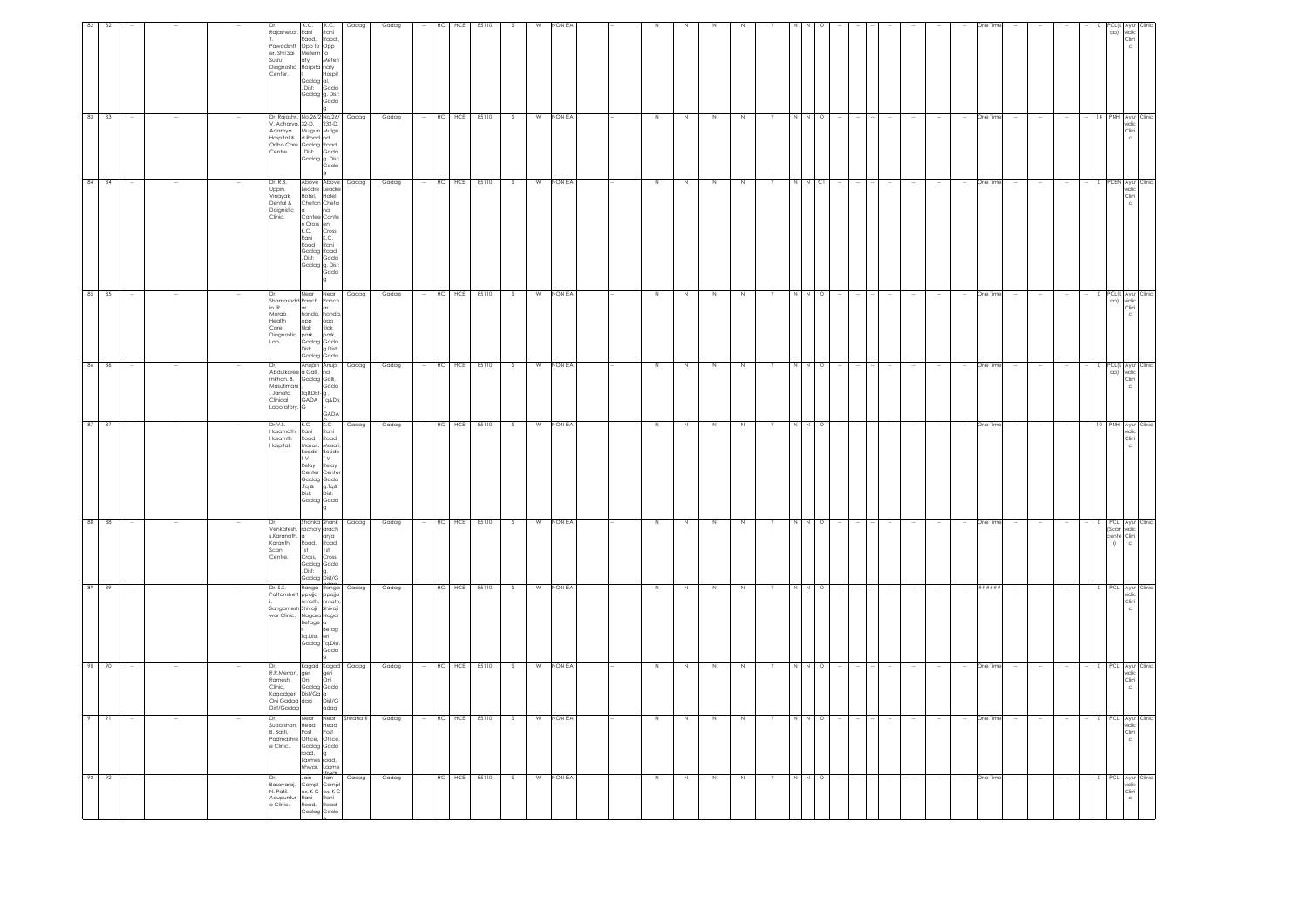| 92 92                                                                                                         | 91                                                                                                      | 90                                                                                                                            | 89                                                                                                                | 88                                                                                                                    | 87                                                                                                                                                 | 86                                                                                                                             |                                                                                                                                | 84<br>85 85                                                                                                                                                                                                                  | 83                                                                                                                                                                                               | 82                                                                                                                                                               |
|---------------------------------------------------------------------------------------------------------------|---------------------------------------------------------------------------------------------------------|-------------------------------------------------------------------------------------------------------------------------------|-------------------------------------------------------------------------------------------------------------------|-----------------------------------------------------------------------------------------------------------------------|----------------------------------------------------------------------------------------------------------------------------------------------------|--------------------------------------------------------------------------------------------------------------------------------|--------------------------------------------------------------------------------------------------------------------------------|------------------------------------------------------------------------------------------------------------------------------------------------------------------------------------------------------------------------------|--------------------------------------------------------------------------------------------------------------------------------------------------------------------------------------------------|------------------------------------------------------------------------------------------------------------------------------------------------------------------|
|                                                                                                               | 91                                                                                                      | 90                                                                                                                            | 89                                                                                                                | 88                                                                                                                    | 87                                                                                                                                                 | 86                                                                                                                             |                                                                                                                                | 84                                                                                                                                                                                                                           | 83                                                                                                                                                                                               | 82                                                                                                                                                               |
|                                                                                                               |                                                                                                         |                                                                                                                               |                                                                                                                   |                                                                                                                       |                                                                                                                                                    |                                                                                                                                |                                                                                                                                |                                                                                                                                                                                                                              |                                                                                                                                                                                                  |                                                                                                                                                                  |
|                                                                                                               |                                                                                                         |                                                                                                                               |                                                                                                                   |                                                                                                                       |                                                                                                                                                    |                                                                                                                                |                                                                                                                                |                                                                                                                                                                                                                              |                                                                                                                                                                                                  |                                                                                                                                                                  |
|                                                                                                               |                                                                                                         |                                                                                                                               |                                                                                                                   |                                                                                                                       |                                                                                                                                                    |                                                                                                                                |                                                                                                                                |                                                                                                                                                                                                                              |                                                                                                                                                                                                  |                                                                                                                                                                  |
| Dr.<br>Basavaraj, Compl<br>Compl<br>N. Patil. ex, K C ex, K C<br>Acupuntur Rani Rani<br>e Clínic. Road, Road, | e Clinic.                                                                                               | or, Nagal Naga<br>R.R.Menon, geri geri Gri<br>Clinic, Gadag Gada<br>Kagadgeri Dist/Ga g<br>Oni Gadag dag Dist/G<br>Dist/Gadag | Dr. S.S. Ranga Kunga<br>Pattanshett ppajja ppajja<br>I. Patanshett paja ppajja<br>I. Philosophia Shivaji          | s.Karanath. a<br>Karanth<br>Scan<br>Centre.                                                                           | Dr.V.S.<br>Hosamath.<br>Hosamth<br>Hospital.                                                                                                       | Masutimani<br>Janata                                                                                                           | in. R.<br>Morab.<br>Morab.<br>Health opp opp<br>Care tilak tilak<br>Diagnostic park, park,<br>Lab. Gadag Gada<br>Dist: g Dist: | Dr. R.B.<br>Uppin.<br>Vinayak<br>Dental &<br>Daignistic<br>Clinic.                                                                                                                                                           | Centre.                                                                                                                                                                                          | Dr. K.C.<br>Rajashekar. Rani<br>Diagnostic<br>Center.                                                                                                            |
| Laxmes road,<br>hhwar. Laxme<br>Jain                                                                          | Near<br>Sudarshan. Head Head<br>B. Basti. Post Post<br>Padmashre Office, Office,<br>Gadag Gada<br>road, | Kagad Kagad                                                                                                                   | sangamesh Shivaji<br>Shivaji Shivaji<br>War Clinic. Nagara Nagar<br>Betage a ri<br>Tq.Dist. eri<br>Gadag Tq.Dist. | Shanka Shank<br>Venkatesh. rachary arach<br>.<br>Road,<br>1st<br>Cross,<br>Gadag<br>Cadag<br>Dist: g.<br>Gadag Dist/G | K.C<br>Rani<br>Road<br>Masari, Masari<br>Beside<br>T V<br>Relay<br>Kelay<br>Center Center<br>Gadag Gada<br>Tq & g.Tq&<br>Dist: Dist:<br>Gadag Gada | Dr, Anupin Anupi<br>Abdulkaree a Galli, na<br>mkhan. B. Gadag Galli,<br>Tq&Dist-g.<br>Clinical GADA Ta&Dis<br>Laboratory. G f- | Shamashdd Panch Panch<br>and are<br>ar ar<br>honda, honda<br>Gadag Gada                                                        | Above Above<br>Leadre Leadre<br>Hotel,<br>Chetan Cheta<br>a<br>Cantee Cante<br>n Cross en<br>K.C. Cross<br>Rani K.C.<br>Road<br>Gadag<br>Cadag Road<br>Dist: Gada<br>baday Road<br>Dist: Gada<br>Gadag g, Dist:<br>Near Near | Dr. Rajashri. No.26/2 No.26/<br>V. Acharya. 32-D, 232-D,<br>Adamya Mulgun Mulgu<br>Hospital & d Road nd<br>Ortho Care Gadag Road<br>Centre. Dist: Gada<br>. Dist: Gada<br>Gadag g. Dist:<br>Gada | Ranger Range Range<br>T. Range Range Range<br>er. Shri Sai Meterin to<br>Susrut aty Me<br>Hospita naty<br>Gadag al,<br>-<br>Dist: Gada<br>Gadag g. Dist:<br>Gada |
| Jain                                                                                                          | Near<br>g                                                                                               | adag                                                                                                                          | Gada                                                                                                              | arya<br>Road,<br>Ist<br>Cross,                                                                                        | K.C<br>Rani<br>Road<br>Beside<br>T V<br>Relay                                                                                                      | Gada<br>GADA                                                                                                                   |                                                                                                                                | Hotel.<br>Rani<br>Gada                                                                                                                                                                                                       |                                                                                                                                                                                                  | K.C.<br>Rani<br>Meter<br>Hospit                                                                                                                                  |
| Gadag                                                                                                         | Shirahatti                                                                                              | Gadag                                                                                                                         | Gadag                                                                                                             | Gadag                                                                                                                 | Gadag                                                                                                                                              | Gadag                                                                                                                          |                                                                                                                                | Gadag<br>Gadag                                                                                                                                                                                                               | Gadag                                                                                                                                                                                            | Gadag                                                                                                                                                            |
| Gadag                                                                                                         | Gadag                                                                                                   | Gadag                                                                                                                         | Gadag                                                                                                             | Gadag                                                                                                                 | Gadag                                                                                                                                              | Gadag                                                                                                                          |                                                                                                                                | Gadag<br>Gadag                                                                                                                                                                                                               | Gadag                                                                                                                                                                                            | Gadag                                                                                                                                                            |
|                                                                                                               |                                                                                                         |                                                                                                                               |                                                                                                                   |                                                                                                                       |                                                                                                                                                    |                                                                                                                                |                                                                                                                                |                                                                                                                                                                                                                              |                                                                                                                                                                                                  |                                                                                                                                                                  |
| HC HCE 85110                                                                                                  | HC                                                                                                      | HC<br>HCE                                                                                                                     | HC HCE 85110                                                                                                      | HC                                                                                                                    | HC HCE 85110                                                                                                                                       | HC HCE                                                                                                                         |                                                                                                                                | <b>HCE</b><br>HC<br>HC HCE 85110                                                                                                                                                                                             | HC                                                                                                                                                                                               | HC.<br>HCE                                                                                                                                                       |
|                                                                                                               | HCE 85110                                                                                               | 85110                                                                                                                         |                                                                                                                   | HCE 85110                                                                                                             |                                                                                                                                                    | 85110                                                                                                                          |                                                                                                                                | 85110                                                                                                                                                                                                                        | HCE 85110                                                                                                                                                                                        | 85110                                                                                                                                                            |
| - S                                                                                                           | S                                                                                                       | -S                                                                                                                            |                                                                                                                   | - 8                                                                                                                   | S                                                                                                                                                  | $\mathcal{S}$                                                                                                                  |                                                                                                                                | S.<br>- S                                                                                                                                                                                                                    |                                                                                                                                                                                                  |                                                                                                                                                                  |
| W                                                                                                             | W                                                                                                       | W                                                                                                                             | W                                                                                                                 | W                                                                                                                     |                                                                                                                                                    | W                                                                                                                              |                                                                                                                                | W<br>W                                                                                                                                                                                                                       | W                                                                                                                                                                                                |                                                                                                                                                                  |
| NON EIA                                                                                                       | NON EIA                                                                                                 | NON EIA                                                                                                                       | NON EIA                                                                                                           | NON EIA                                                                                                               | W NON EIA                                                                                                                                          | <b>NON EIA</b>                                                                                                                 |                                                                                                                                | <b>NON EIA</b><br>NON EIA                                                                                                                                                                                                    | NON EIA                                                                                                                                                                                          | NON EL                                                                                                                                                           |
|                                                                                                               |                                                                                                         |                                                                                                                               |                                                                                                                   |                                                                                                                       |                                                                                                                                                    |                                                                                                                                |                                                                                                                                |                                                                                                                                                                                                                              |                                                                                                                                                                                                  |                                                                                                                                                                  |
|                                                                                                               |                                                                                                         |                                                                                                                               |                                                                                                                   |                                                                                                                       |                                                                                                                                                    |                                                                                                                                |                                                                                                                                |                                                                                                                                                                                                                              |                                                                                                                                                                                                  |                                                                                                                                                                  |
| Z                                                                                                             | N                                                                                                       | N                                                                                                                             | $\,$ N                                                                                                            | N                                                                                                                     | N                                                                                                                                                  | N                                                                                                                              |                                                                                                                                | N<br>N                                                                                                                                                                                                                       | N                                                                                                                                                                                                |                                                                                                                                                                  |
| N                                                                                                             | N                                                                                                       | N                                                                                                                             |                                                                                                                   |                                                                                                                       | Z                                                                                                                                                  | N                                                                                                                              |                                                                                                                                | N<br>N                                                                                                                                                                                                                       |                                                                                                                                                                                                  |                                                                                                                                                                  |
| Z                                                                                                             | N                                                                                                       | N                                                                                                                             | $\mathbb N$                                                                                                       | N                                                                                                                     | N                                                                                                                                                  | N                                                                                                                              |                                                                                                                                | N<br>N                                                                                                                                                                                                                       |                                                                                                                                                                                                  |                                                                                                                                                                  |
| N                                                                                                             | N                                                                                                       | N                                                                                                                             |                                                                                                                   | $\mathbb N$                                                                                                           | N                                                                                                                                                  | N                                                                                                                              |                                                                                                                                | N<br>N                                                                                                                                                                                                                       |                                                                                                                                                                                                  |                                                                                                                                                                  |
|                                                                                                               |                                                                                                         |                                                                                                                               |                                                                                                                   |                                                                                                                       |                                                                                                                                                    |                                                                                                                                |                                                                                                                                |                                                                                                                                                                                                                              |                                                                                                                                                                                                  |                                                                                                                                                                  |
| N N                                                                                                           | N                                                                                                       |                                                                                                                               |                                                                                                                   |                                                                                                                       |                                                                                                                                                    | N                                                                                                                              |                                                                                                                                |                                                                                                                                                                                                                              |                                                                                                                                                                                                  |                                                                                                                                                                  |
| $\circ$                                                                                                       | $\circ$                                                                                                 | $\circ$                                                                                                                       | $\circ$                                                                                                           | $\circ$                                                                                                               | $\Omega$                                                                                                                                           | $\circ$                                                                                                                        |                                                                                                                                | C1<br>$\circ$                                                                                                                                                                                                                |                                                                                                                                                                                                  |                                                                                                                                                                  |
|                                                                                                               |                                                                                                         |                                                                                                                               |                                                                                                                   |                                                                                                                       |                                                                                                                                                    |                                                                                                                                |                                                                                                                                |                                                                                                                                                                                                                              |                                                                                                                                                                                                  |                                                                                                                                                                  |
|                                                                                                               |                                                                                                         |                                                                                                                               |                                                                                                                   |                                                                                                                       |                                                                                                                                                    |                                                                                                                                |                                                                                                                                |                                                                                                                                                                                                                              |                                                                                                                                                                                                  |                                                                                                                                                                  |
|                                                                                                               |                                                                                                         |                                                                                                                               |                                                                                                                   |                                                                                                                       |                                                                                                                                                    |                                                                                                                                |                                                                                                                                |                                                                                                                                                                                                                              |                                                                                                                                                                                                  |                                                                                                                                                                  |
|                                                                                                               |                                                                                                         |                                                                                                                               |                                                                                                                   |                                                                                                                       |                                                                                                                                                    |                                                                                                                                |                                                                                                                                |                                                                                                                                                                                                                              |                                                                                                                                                                                                  |                                                                                                                                                                  |
| $\sim$                                                                                                        |                                                                                                         | $\sim$                                                                                                                        |                                                                                                                   | One Tim                                                                                                               |                                                                                                                                                    | One Time                                                                                                                       |                                                                                                                                |                                                                                                                                                                                                                              |                                                                                                                                                                                                  |                                                                                                                                                                  |
| One Time                                                                                                      | One Time                                                                                                | One Time                                                                                                                      | ******                                                                                                            |                                                                                                                       | One Time                                                                                                                                           |                                                                                                                                |                                                                                                                                | One Time<br>One Time                                                                                                                                                                                                         |                                                                                                                                                                                                  |                                                                                                                                                                  |
|                                                                                                               |                                                                                                         |                                                                                                                               |                                                                                                                   |                                                                                                                       |                                                                                                                                                    |                                                                                                                                |                                                                                                                                |                                                                                                                                                                                                                              |                                                                                                                                                                                                  |                                                                                                                                                                  |
|                                                                                                               |                                                                                                         |                                                                                                                               |                                                                                                                   |                                                                                                                       |                                                                                                                                                    |                                                                                                                                |                                                                                                                                |                                                                                                                                                                                                                              |                                                                                                                                                                                                  |                                                                                                                                                                  |
|                                                                                                               |                                                                                                         |                                                                                                                               |                                                                                                                   |                                                                                                                       |                                                                                                                                                    |                                                                                                                                |                                                                                                                                |                                                                                                                                                                                                                              |                                                                                                                                                                                                  |                                                                                                                                                                  |
|                                                                                                               |                                                                                                         |                                                                                                                               | PCL                                                                                                               | PCL                                                                                                                   |                                                                                                                                                    |                                                                                                                                |                                                                                                                                |                                                                                                                                                                                                                              |                                                                                                                                                                                                  | ab)                                                                                                                                                              |
| 0 PCL Ayur Clinic                                                                                             | PCL Ayur Clinic<br>vidic<br>Clini<br>c                                                                  | PCL Ayur Clinic<br>$\frac{1}{2}$<br>Clini<br>C                                                                                | vidic<br>Clini                                                                                                    | $\begin{array}{ccc}\n\text{(Scan vidic)}\\ \text{cente Clini} & \uparrow & \text{c}\n\end{array}$                     | NH.<br>Clini                                                                                                                                       | PCL(L Ayur Clinic<br>ab) vidic<br>$rac{\text{Clini}}{\text{C}}$                                                                | PCL(L Ayur Clinic<br>ab) vidic<br>Clini                                                                                        | PDEN Ayur Clinic<br>vidic<br>Clini                                                                                                                                                                                           | kyur<br>ridic<br>Clini<br>Ċ                                                                                                                                                                      | vidic<br>Clini<br>c                                                                                                                                              |
|                                                                                                               |                                                                                                         |                                                                                                                               | Ayur Clinic                                                                                                       | Avur Clinio                                                                                                           | Ayur Clinio<br>vidic                                                                                                                               |                                                                                                                                |                                                                                                                                |                                                                                                                                                                                                                              |                                                                                                                                                                                                  |                                                                                                                                                                  |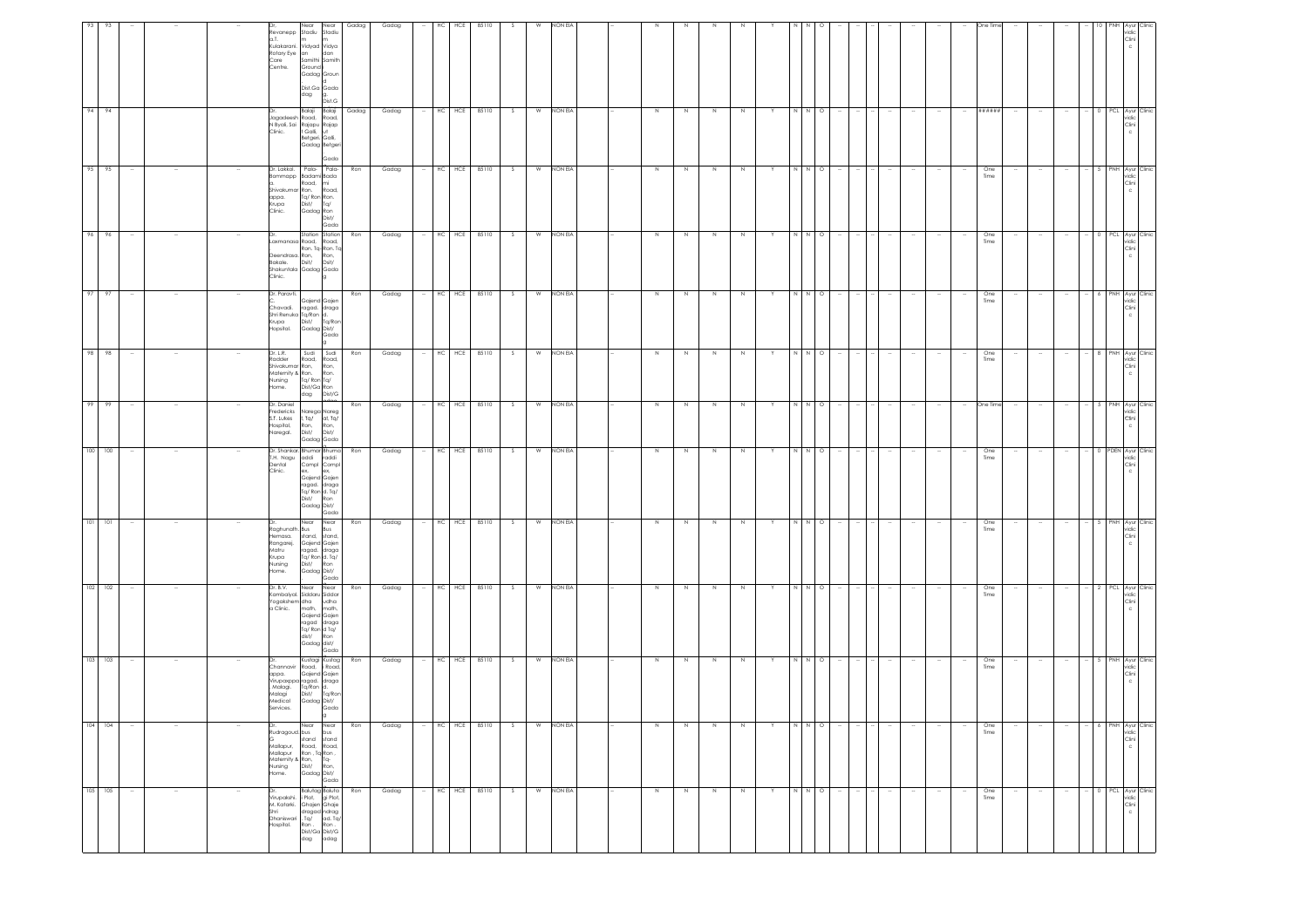| 105 105                                                                                                                                                               | $104 - 104$                                                                                                                                                             | 103 103                                                                                                                                               | $102$ 102                                                                                                                                                  | $101 - 101$                                                                                                                | $100 - 100$                                                                                                                                                      | 99 99                                                                          | 98 98                                                                                          | 97 97                                                                                           | 96                                                                                                    | 95 95                                                                                                                           | 94 94                                                                                                                                                        |                                                                                                                                              |
|-----------------------------------------------------------------------------------------------------------------------------------------------------------------------|-------------------------------------------------------------------------------------------------------------------------------------------------------------------------|-------------------------------------------------------------------------------------------------------------------------------------------------------|------------------------------------------------------------------------------------------------------------------------------------------------------------|----------------------------------------------------------------------------------------------------------------------------|------------------------------------------------------------------------------------------------------------------------------------------------------------------|--------------------------------------------------------------------------------|------------------------------------------------------------------------------------------------|-------------------------------------------------------------------------------------------------|-------------------------------------------------------------------------------------------------------|---------------------------------------------------------------------------------------------------------------------------------|--------------------------------------------------------------------------------------------------------------------------------------------------------------|----------------------------------------------------------------------------------------------------------------------------------------------|
| $\sim$                                                                                                                                                                |                                                                                                                                                                         | $\sim$                                                                                                                                                |                                                                                                                                                            |                                                                                                                            | $\sim$                                                                                                                                                           | $\sim$                                                                         | $\sim$                                                                                         | $\overline{\phantom{a}}$                                                                        | 96                                                                                                    | $\sim$                                                                                                                          |                                                                                                                                                              |                                                                                                                                              |
|                                                                                                                                                                       |                                                                                                                                                                         |                                                                                                                                                       |                                                                                                                                                            |                                                                                                                            |                                                                                                                                                                  |                                                                                |                                                                                                |                                                                                                 |                                                                                                       |                                                                                                                                 |                                                                                                                                                              |                                                                                                                                              |
|                                                                                                                                                                       |                                                                                                                                                                         |                                                                                                                                                       |                                                                                                                                                            |                                                                                                                            |                                                                                                                                                                  |                                                                                |                                                                                                |                                                                                                 |                                                                                                       |                                                                                                                                 |                                                                                                                                                              |                                                                                                                                              |
|                                                                                                                                                                       |                                                                                                                                                                         |                                                                                                                                                       |                                                                                                                                                            |                                                                                                                            |                                                                                                                                                                  |                                                                                |                                                                                                |                                                                                                 |                                                                                                       |                                                                                                                                 |                                                                                                                                                              |                                                                                                                                              |
| Shri<br>Dhaniswari<br>Hospital.                                                                                                                                       | Mallapur,<br>Home.                                                                                                                                                      | Dr.<br>appa.<br>Malagi<br>Medical<br>Services.                                                                                                        | Dr. B.V.<br>Yogakshem dha<br>a Clinic.                                                                                                                     | Raghunath. Bus<br>Hemasa.<br>Rangarej.<br>Matru<br>Krupa<br>Nursing<br>Home.                                               | I.H. Nagu<br>Dental<br>Clinic.                                                                                                                                   | Dr. Daniel<br>Fredericks<br>S.T. Lukes<br>Hospital,<br>Naregal.                | Dr. L.R.<br>Radder<br>Shivakumar Ron,<br>Maternity & Ron.<br>Nursing<br>Home.                  | Dr. Paravti.<br>Chavadi.<br>Krupa<br>Hopsital.                                                  | Deendrasa. Ron,<br>Bakale. Dsit/<br>Clinic.                                                           | sommapp<br>Shivakumar Ron.<br>appa.<br>Krupa<br>Clinic.                                                                         |                                                                                                                                                              | a.T.<br>Kulakarani.<br>Rotary Eye an<br>Care<br>Centre.                                                                                      |
| Dr. Balutag Baluta<br>Virupakshi. i Plot, gi Plot,<br>M. Katarki. Ghajen Ghaje<br>dragad narag<br>Ta/ ad. Ta/<br>Ron . Ron .<br>Ron Ron<br>Dist/Ga Dist/G<br>dag adag | Near<br>Near<br>Rudragoud. bus bus<br>G stand stand<br>Road, Road,<br>Mallapur Ron, Ta-Ron,<br>Mallapur Ron, Ta-Ron,<br>Nursing Dist/ Ron,<br>Home. Gadag Dist/<br>Gada | Kustagi Kustag<br>Channavir Road, iRoad<br>Gajend Gajen<br>Virupaxppa ragad. draga<br>Malagi. Ta/Ron d.<br>Dist/ Tq/Ron<br>Gadag Dist/<br>Gada<br>la. | Near<br>Near<br>Kambalyal. Siddaru Siddar<br>udha<br>math,<br>math,<br>Gajend Gajen<br>ragad draga<br>Tq/ Ron d Tq/<br>dist/<br>Ron<br>Gadag dist/<br>Gada | Near<br>Near<br>Bus<br>stand, stand,<br>Gajend Gajen<br>ragad. draga<br>Tq/ Ron d. Tq/<br>Dist/ Ron<br>Gadag Dist/<br>Gada | Dr. Shankar. Bhumar Bhuma<br>addi<br>raddi<br>Compl Compl<br>ex,<br>ex,<br>Gajend Gajen<br>ragad. draga<br>Tq/ Ron d. Tq/<br>Dist/<br>Ron<br>Gadag Dist/<br>Gada | Narega Nareg<br>I, Tq/ al, Tq/<br>Ron,<br>Dist/<br>Ron,<br>Dist/<br>Gadag Gada | Sudi Sudi<br>Road,<br>Road,<br>Ron,<br>Ron.<br>Tq/ Ron Tq/<br>Dist/Ga Ron<br>dag Dist/G<br>dag | Gajend Gajen<br>ragad. draga<br>Shri Renuka Tq/Ron d.<br>Tq/Ron<br>Dist/<br>Gadag Dist/<br>Gada | Station Station<br>Laxmanasa Road, Road,<br>Ron. Tq-Ron. Tq<br>Ron,<br>Dsit/<br>Shakuntala Gadag Gada | Dr. Lakkol. Pala- Pala-<br>Badami Bada<br>Road, mi<br>Road,<br>Tq/ Ron Ron.<br>Dist/ Tq/<br>Dist/<br>Gadag Ron<br>Dist/<br>Gada | Dist.G<br>Balaji<br>Balaji<br>Jagadeesh Road, Road,<br>N Byali, Sai Rajapu Rajap<br>Clinic.         † Galli,   ut<br>Betgeri, Galli,<br>Gadag Betger<br>Gada | Near<br>Near<br>Revanepp Stadiu Stadiu<br>m<br>Vidyad Vidya<br>dan<br>Samithi Samith<br>Ground i<br>Gadag Groun<br>Dist.Ga Gada<br>dag<br>g. |
| Ron                                                                                                                                                                   | Ron                                                                                                                                                                     | Ron                                                                                                                                                   | Ron                                                                                                                                                        | Ron                                                                                                                        | Ron                                                                                                                                                              | Ron                                                                            | Ron                                                                                            | Ron                                                                                             | Ron                                                                                                   | Ron                                                                                                                             | Gadag                                                                                                                                                        | Gadag                                                                                                                                        |
| Gadag                                                                                                                                                                 | Gadag                                                                                                                                                                   | Gadag                                                                                                                                                 | Gadag                                                                                                                                                      | Gadag                                                                                                                      | Gadag                                                                                                                                                            | Gadag                                                                          | Gadag                                                                                          | Gadag                                                                                           | Gadag                                                                                                 | Gadag                                                                                                                           | Gadag                                                                                                                                                        | Gadag                                                                                                                                        |
|                                                                                                                                                                       |                                                                                                                                                                         | $\sim$                                                                                                                                                |                                                                                                                                                            |                                                                                                                            |                                                                                                                                                                  |                                                                                |                                                                                                |                                                                                                 |                                                                                                       |                                                                                                                                 |                                                                                                                                                              |                                                                                                                                              |
|                                                                                                                                                                       | HC                                                                                                                                                                      |                                                                                                                                                       |                                                                                                                                                            |                                                                                                                            | HC                                                                                                                                                               | HC                                                                             |                                                                                                |                                                                                                 | HC                                                                                                    | HC                                                                                                                              |                                                                                                                                                              | нc                                                                                                                                           |
| HC HCE 85110                                                                                                                                                          | HCE 85110                                                                                                                                                               | HC HCE 85110                                                                                                                                          | HC HCE 85110                                                                                                                                               | HC HCE 85110                                                                                                               | HCE<br>85110                                                                                                                                                     | HCE<br>85110                                                                   | HC HCE 85110                                                                                   | HC HCE 85110                                                                                    | HCE<br>85110                                                                                          | HCE<br>85110                                                                                                                    | HC HCE 85110                                                                                                                                                 | HCE<br>85110                                                                                                                                 |
| S                                                                                                                                                                     | S                                                                                                                                                                       | S                                                                                                                                                     | S.                                                                                                                                                         | - S                                                                                                                        | S                                                                                                                                                                | S                                                                              | S                                                                                              | S                                                                                               | S.                                                                                                    | S.                                                                                                                              | $\sim$                                                                                                                                                       | -S                                                                                                                                           |
|                                                                                                                                                                       | W                                                                                                                                                                       |                                                                                                                                                       | W                                                                                                                                                          | W                                                                                                                          | W                                                                                                                                                                | W                                                                              |                                                                                                |                                                                                                 | W                                                                                                     | W                                                                                                                               | W                                                                                                                                                            | W                                                                                                                                            |
| W NON EIA                                                                                                                                                             | NON EIA                                                                                                                                                                 | W NON EIA                                                                                                                                             | NON EIA                                                                                                                                                    | NON EIA                                                                                                                    | NON EIA                                                                                                                                                          | NON EIA                                                                        | W NON EIA                                                                                      | W NON EIA                                                                                       | NON EIA                                                                                               | NON EIA                                                                                                                         | NON EIA                                                                                                                                                      | NON EIA                                                                                                                                      |
|                                                                                                                                                                       |                                                                                                                                                                         |                                                                                                                                                       |                                                                                                                                                            |                                                                                                                            |                                                                                                                                                                  |                                                                                |                                                                                                |                                                                                                 |                                                                                                       |                                                                                                                                 |                                                                                                                                                              |                                                                                                                                              |
|                                                                                                                                                                       |                                                                                                                                                                         |                                                                                                                                                       |                                                                                                                                                            |                                                                                                                            |                                                                                                                                                                  |                                                                                |                                                                                                |                                                                                                 |                                                                                                       |                                                                                                                                 |                                                                                                                                                              |                                                                                                                                              |
| $\,$ N $\,$                                                                                                                                                           | $\,N\,$                                                                                                                                                                 | N                                                                                                                                                     | $\,$ N                                                                                                                                                     | $\,N\,$                                                                                                                    | N                                                                                                                                                                | Z                                                                              | N                                                                                              | N                                                                                               | N                                                                                                     | N                                                                                                                               | Z                                                                                                                                                            |                                                                                                                                              |
| $\,N\,$                                                                                                                                                               | N                                                                                                                                                                       | N                                                                                                                                                     | N                                                                                                                                                          | N                                                                                                                          | N                                                                                                                                                                | N                                                                              | N                                                                                              | N                                                                                               | N                                                                                                     | N                                                                                                                               | $\,N\,$                                                                                                                                                      |                                                                                                                                              |
| $\,$ N $\,$                                                                                                                                                           | $\,N\,$                                                                                                                                                                 | N                                                                                                                                                     | $\,$ N                                                                                                                                                     | $\,$ N                                                                                                                     | N                                                                                                                                                                | $\overline{N}$                                                                 | N                                                                                              | N                                                                                               | N                                                                                                     | N                                                                                                                               | $\geq$                                                                                                                                                       |                                                                                                                                              |
| $\,$ N                                                                                                                                                                | $\,$ N                                                                                                                                                                  | N                                                                                                                                                     | N                                                                                                                                                          | N                                                                                                                          | N                                                                                                                                                                | $\overline{z}$                                                                 | N                                                                                              | N                                                                                               | N                                                                                                     | N                                                                                                                               | $\,$ N                                                                                                                                                       |                                                                                                                                              |
| Y                                                                                                                                                                     |                                                                                                                                                                         | Y                                                                                                                                                     |                                                                                                                                                            |                                                                                                                            |                                                                                                                                                                  | Y                                                                              | Y                                                                                              | Y                                                                                               |                                                                                                       | Y                                                                                                                               |                                                                                                                                                              |                                                                                                                                              |
| $N$ $N$ $O$                                                                                                                                                           | N N O                                                                                                                                                                   | N N                                                                                                                                                   | N N                                                                                                                                                        | N N                                                                                                                        | $N$ $N$                                                                                                                                                          | $N$ $N$                                                                        | $N$ $N$                                                                                        | N N O                                                                                           | NN                                                                                                    | N N                                                                                                                             | $N$ $N$                                                                                                                                                      |                                                                                                                                              |
| $\sim$                                                                                                                                                                |                                                                                                                                                                         | $\circ$<br>$\sim$                                                                                                                                     | $\circ$                                                                                                                                                    | $\circ$                                                                                                                    | $\circ$                                                                                                                                                          | $\circ$                                                                        | $\circ$                                                                                        | $\sim$                                                                                          | $\circ$                                                                                               | $\circ$                                                                                                                         | $\circ$                                                                                                                                                      |                                                                                                                                              |
|                                                                                                                                                                       |                                                                                                                                                                         |                                                                                                                                                       |                                                                                                                                                            |                                                                                                                            |                                                                                                                                                                  |                                                                                |                                                                                                |                                                                                                 |                                                                                                       |                                                                                                                                 |                                                                                                                                                              |                                                                                                                                              |
| $\sim$                                                                                                                                                                |                                                                                                                                                                         |                                                                                                                                                       |                                                                                                                                                            |                                                                                                                            |                                                                                                                                                                  |                                                                                |                                                                                                | $\sim$                                                                                          |                                                                                                       |                                                                                                                                 |                                                                                                                                                              |                                                                                                                                              |
|                                                                                                                                                                       |                                                                                                                                                                         |                                                                                                                                                       |                                                                                                                                                            |                                                                                                                            |                                                                                                                                                                  |                                                                                |                                                                                                |                                                                                                 |                                                                                                       |                                                                                                                                 |                                                                                                                                                              |                                                                                                                                              |
|                                                                                                                                                                       |                                                                                                                                                                         |                                                                                                                                                       |                                                                                                                                                            |                                                                                                                            |                                                                                                                                                                  |                                                                                |                                                                                                |                                                                                                 |                                                                                                       |                                                                                                                                 |                                                                                                                                                              |                                                                                                                                              |
| $\sim$                                                                                                                                                                |                                                                                                                                                                         |                                                                                                                                                       |                                                                                                                                                            |                                                                                                                            |                                                                                                                                                                  | $\sim$                                                                         |                                                                                                | $\sim$                                                                                          |                                                                                                       |                                                                                                                                 | $\sim$                                                                                                                                                       |                                                                                                                                              |
| One<br>Time                                                                                                                                                           | One<br>Time                                                                                                                                                             | One<br>Time                                                                                                                                           | One<br>Time                                                                                                                                                | One<br>Time                                                                                                                | One<br>Time                                                                                                                                                      | One Time                                                                       | One<br>Time                                                                                    | One<br>Time                                                                                     | One<br>Time                                                                                           | One<br>Time                                                                                                                     | ######                                                                                                                                                       |                                                                                                                                              |
| $\sim$                                                                                                                                                                |                                                                                                                                                                         | $\sim$                                                                                                                                                |                                                                                                                                                            |                                                                                                                            |                                                                                                                                                                  | $\sim$                                                                         |                                                                                                | $\sim$                                                                                          |                                                                                                       |                                                                                                                                 |                                                                                                                                                              |                                                                                                                                              |
|                                                                                                                                                                       |                                                                                                                                                                         |                                                                                                                                                       |                                                                                                                                                            |                                                                                                                            |                                                                                                                                                                  |                                                                                |                                                                                                |                                                                                                 |                                                                                                       |                                                                                                                                 |                                                                                                                                                              |                                                                                                                                              |
| $\sim$                                                                                                                                                                |                                                                                                                                                                         | $\sim$                                                                                                                                                |                                                                                                                                                            |                                                                                                                            |                                                                                                                                                                  |                                                                                |                                                                                                | $\overline{\phantom{a}}$                                                                        |                                                                                                       | $\sim$                                                                                                                          |                                                                                                                                                              |                                                                                                                                              |
|                                                                                                                                                                       |                                                                                                                                                                         |                                                                                                                                                       |                                                                                                                                                            |                                                                                                                            |                                                                                                                                                                  |                                                                                |                                                                                                |                                                                                                 | PCL                                                                                                   | 5 I PNH                                                                                                                         |                                                                                                                                                              |                                                                                                                                              |
| - 0 PCL Ayur Clinic<br>vidic<br>Clini<br>$\mathbb C$                                                                                                                  | 6 PNH Ayur Clinic<br>vidic<br>Clini<br>$\mathbb C$                                                                                                                      | - 5 PNH Ayur Clinic<br>vidic<br>Clini                                                                                                                 | 2 PCL Ayur Clinic<br>vidic<br>Clini                                                                                                                        | PNH Ayur<br>vidic<br>Clini                                                                                                 | 0 PDEN Ayur Clinic<br>idic<br>Clini                                                                                                                              | 5 PNH Ayur Clinic<br>vidic<br>Clini<br>c                                       | 8 PNH Ayur Clinic<br>vidic<br>Clini                                                            | 6 PNH Ayur Clinic<br>vidic<br>Clini<br>c.                                                       | Ayur<br>Clinic<br>vidic<br>Clini                                                                      | Ayur<br>≘lin⊪<br>vidic<br>Clini                                                                                                 | 0 PCL Ayur Clinic<br>ridic<br>Clini                                                                                                                          | idic<br>Clini<br>c                                                                                                                           |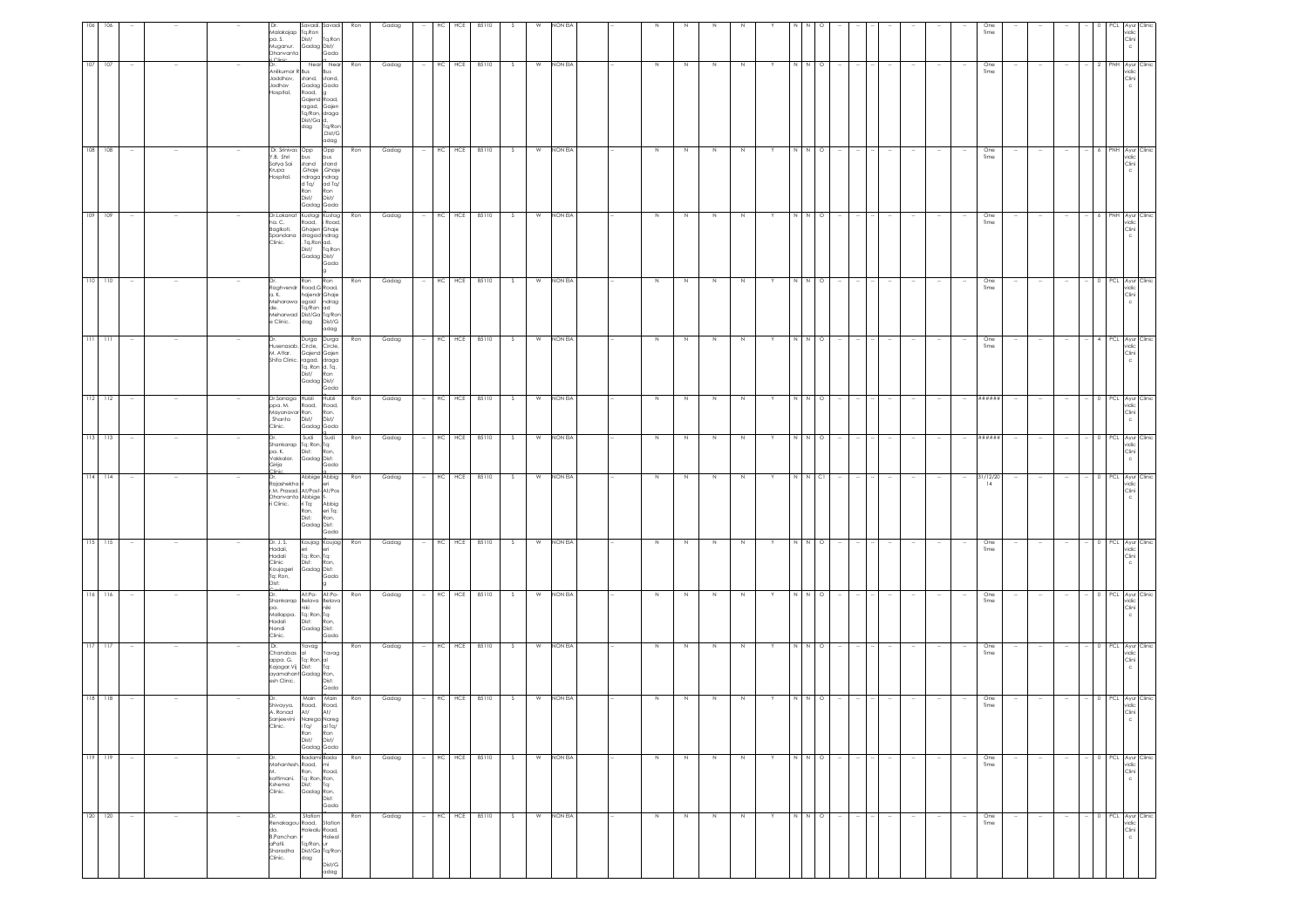|     |             |        |        |        | Savadi, Savadi<br>Dr.<br>Malakajap Tq.Ron<br>Dist/<br>pa. S.<br>Gadag Dist/<br>Muganur.<br>Dhanvanta                                                                                                                                     | Ron<br>Tq.Ron<br>Gada                                      | Gadag        |        | НC | HCE        | 85110            |     | w              | NON EV    |         |         |             |             |   |              |         |        |        |        |                          |                          |                          | One<br>Time      |                          |        |                          |  | vidic<br>Clini<br>c                                 |
|-----|-------------|--------|--------|--------|------------------------------------------------------------------------------------------------------------------------------------------------------------------------------------------------------------------------------------------|------------------------------------------------------------|--------------|--------|----|------------|------------------|-----|----------------|-----------|---------|---------|-------------|-------------|---|--------------|---------|--------|--------|--------|--------------------------|--------------------------|--------------------------|------------------|--------------------------|--------|--------------------------|--|-----------------------------------------------------|
|     | $107 - 107$ |        |        |        | Near Near<br>Dr.<br>Anilkumar R Bus<br>Jaddhav, stand,<br>Jadhav<br>Gadag Gada<br>Hospital,<br>Road,<br>Gajend<br>ragad,<br>Tq/Ron, draga<br>Dist/Ga d,<br>dag                                                                           | Bus<br>stand,<br>toad,<br>Gajen<br>Tq/Ro<br>Dist/G<br>adag | Gadag<br>Ron |        |    | HC HCE     | 85110            | S.  | $\overline{w}$ | NON EIA   | $\,N\,$ | N       | $\,$ N      |             | Y | N            | $\circ$ |        |        |        |                          |                          |                          | One<br>Time      |                          |        |                          |  | PNH Ayur Clinic<br>vidic<br>Clini                   |
| 108 | 108         |        |        |        | Dr. Srinivas Opp<br>Y.B. Shri<br>bus<br>stand stand<br>Ghaje Ghaje<br>Satya Sai<br>Krupa<br>ndraga ndrag<br>Hospital.<br>$d \, \text{Ta}$ $dd \, \text{Ta}$<br>Ron<br>Dist/<br>Gadag Gada                                                | Opp<br>bus<br>Ron<br>Dist/                                 | Ron<br>Gadag |        |    |            | HC HCE 85110     |     | W              | NON EIA   | N       |         | $\mathbb N$ |             |   |              | N O     |        |        |        |                          |                          |                          | One<br>Time      |                          |        |                          |  | PNH Ayur Clin<br>vidic<br>Clini                     |
| 109 | 109         |        |        |        | Dr.Lokanat Kustagi Kustag<br>ha. C.<br>Road, i Road,<br>Baglkoti.<br>Ghajen Ghaje<br>Spandana dragad ndrag<br>Clinic.<br>. Tq.Ron ad.<br>Dist/ Tq.Ron<br>Gadag Dist/                                                                     | Gada                                                       | Ron<br>Gadag |        |    |            | HC HCE 85110     | S.  | W              | NON EIA   | $\,$ N  | N       | N           | $\mathbb N$ |   | N            | $N$ O   |        |        |        |                          |                          |                          | One<br>Time      |                          |        |                          |  | PNH Ayur Clinic<br>vidic<br>Clini                   |
|     | $110 - 110$ |        |        |        | Ron Ron<br>Dr.<br>Raghvendr Road, G Road,<br>hajendr Ghaje<br>a. K.<br>Meharawa agad ndrag<br>Tq/Ron ad<br>Meharwad Dist/Ga Tq/Ror<br>e Clinic.<br>dag                                                                                   | Ron<br>Dist/G<br>adag                                      | Gadag        |        |    |            | HC HCE 85110     | S.  | W              | NON EIA   | $\,$ N  | N       | $\,$ N      |             |   | N            | $N$ 0   |        |        |        |                          |                          |                          | One<br>Time      |                          |        |                          |  | PCL Ayur Clinic<br>vidic<br>Clini<br>$\mathbf{C}$   |
|     | $111 - 111$ | $\sim$ |        |        | Durga Durga<br>Dr.<br>---<br>Husenasab. Circle, Circle,<br>M. Attar. Gajend Gajen<br>Shifa Clinic. ragad. draga<br>Tq. Ron d. Tq.<br>Dist/<br>Gadag Dist/                                                                                | Ron<br>Gada                                                | Ron<br>Gadag | $\sim$ |    |            | HC HCE 85110     | s.  | W              | NON EIA   | N       | N       | N           | N           | Y | N            | N O     |        | $\sim$ | $\sim$ |                          | $\sim$                   | $\sim$                   | One<br>Time      | $\sim$                   | $\sim$ | $\sim$                   |  | 4 PCL Ayur Clinic<br>vidic<br>Clini<br>$\mathsf{c}$ |
|     | $112 - 112$ | $\sim$ |        |        | Dr.Sanaga Hubli Hubli<br>ppa. M. Road, Road,<br>Mayanavar Ron.<br>Shanta Dist/<br>Gadag Gada<br>Clinic.                                                                                                                                  | Ron.<br>Dist/                                              | Ron<br>Gadag | $\sim$ |    |            | HC HCE 85110     | S.  | W              | NON EIA   | N       | N       | N           | N           | Y |              | N N O   |        | $\sim$ | $\sim$ | $\sim$                   | $\sim$                   | $\sim$                   | *******          | $\sim$                   | $\sim$ | $\sim$                   |  | 0 PCL Ayur Clinic<br>vidic<br>Clini<br>$\mathbf c$  |
|     | 113 113     |        |        |        | Sudi Sudi<br>Shankarap Tq: Ron, Tq:<br>Dist:<br>pa. K.<br>vakkalar. Gadag Dist:<br>Girija Gadag Dist:<br>Girija                                                                                                                          | Ron<br>Ron,                                                | Gadag        |        |    | HC HCE     | 85110            | s.  | W              | NON EIA   | N       | N       | $\,$ N      | N           | Y | $\,$ N       | $N$ O   |        |        | $\sim$ |                          |                          | $\sim$                   | ######           |                          |        |                          |  | PCL Ayur Clinic<br>vidic<br>Clini<br>$\mathsf{c}$   |
|     | $114$ 114   |        |        |        | <sup>o</sup> linie<br>Abbige Abbig<br>Dr.<br>Rajashekha ri<br>eri<br>r.M. Prasad. At/Post-At/Pos<br>Dhanvanta Abbige t-<br>i Clinic.<br>ri Tq:<br>ni Tq:<br>Ron, eri Tq:<br>Dist: Ron,<br>Gadag Dist:                                    | Abbig<br>eri Tq:<br>Gada                                   | Ron<br>Gadag |        |    | HC HCE     | 85110            | S.  | W              | NON EIA   | $\,$ N  | N       | N           |             |   |              | C1      |        |        |        |                          |                          |                          | 31/12/20<br>14   |                          |        |                          |  | PCL Ayur Clini<br>vidic<br>Clini                    |
|     | $115 - 115$ |        |        |        | Koujag Koujag<br>Dr. J. S.<br>Hadali,<br>eri<br>Tq: Ron, Tq:<br>Hadali<br>Clinic<br>Dist:<br>Koujageri<br>Gadag Dist:<br>Tq: Ron,<br>Dist:                                                                                               | Ron<br>Ron,<br>Gada                                        | Gadag        |        |    | $HC$ $HCE$ | 85110            | - S | W              | NON EIA   | N       | N       | N           | N           | Y | $\mathbb{N}$ | $\circ$ |        |        |        |                          |                          |                          | One<br>Time      |                          |        | $\overline{\phantom{a}}$ |  | PCL Ayur Clinic<br>vidic<br>Clini                   |
|     | 116 116     | $\sim$ |        |        | At:Po- At:Po-<br>Dr.<br>Shankarap Belava Belava<br>pa. niki niki<br>Mallappa. Tq: Ron, Tq:<br>Hadali Dist: Ron,<br>Nandi Gadag Dist:<br>Clinic.                                                                                          | Gada                                                       | Ron<br>Gadag |        |    |            | $-$ HC HCE 85110 | S   |                | W NON EIA | N       | N       | N           | N           | Y |              | N N O   |        | $\sim$ | $\sim$ | $\sim$                   | $\sim$                   | $\sim$                   | One<br>Time      |                          | - 11   | $\sim$                   |  | 0 PCL Ayur Clinic<br>vidic<br>Clini                 |
|     | $117 - 117$ |        |        |        | Dr.<br>Yavag<br>Chanabas<br>$\frac{d}{d}$<br>$\frac{d}{d}$<br>$\frac{d}{d}$<br>$\frac{d}{d}$<br>$\frac{d}{d}$<br>$\frac{d}{d}$<br>$\frac{d}{d}$<br>$\frac{d}{d}$<br>appa. G.<br>Kajagar.Vij Dist:<br>ayamahant Gadag Ron,<br>esh Clinic. | Yavag<br>Dist:<br>Gada                                     | Ron<br>Gadag |        |    |            | HC HCE 85110     | S   | W              | NON EIA   | $\,N\,$ | N       | Z           | $\mathbb N$ |   |              | N N O   |        |        | $\sim$ |                          | $\sim$                   | $\overline{\phantom{a}}$ | One<br>Time      |                          |        | $\sim$                   |  | 0 PCL Ayur Clinic<br>vidic<br>Clini                 |
|     | $118$ 118   |        |        |        | Main Main<br>Dr.<br>Road, Road,<br>Shivayya.<br>A. Ronad At/<br>Sanjeevini Narega Nareg<br>Clinic.<br>ITq/<br>Ron<br>Dist/<br>Gadag Gada                                                                                                 | At/<br>al Tq $/$<br>Ron<br>Dist/                           | Ron<br>Gadag |        |    |            | $-$ HC HCE 85110 | S.  | W              | NON EIA   | N       | N       | N           | N           | Y | ΙN           | $N$ O   |        |        |        |                          |                          | $\sim$                   | One<br>Time      |                          |        | $\sim$                   |  | 0 PCL Ayur Clinic<br>vidic<br>Clini                 |
|     | 119 119     | $\sim$ | $\sim$ | $\sim$ | Badami Bada<br>Dr.<br>Mahantesh, Road,<br>mi<br>Ron.<br>Tq: Ron, Ron,<br>Dist: Tq:<br>kattimani.<br>Kshema<br>Gadag Ron,<br>Clinic.                                                                                                      | Ron<br>Road,<br>$T_{\rm Q}$<br>Dist:<br>Gada               | Gadag        | $\sim$ |    |            | HC HCE 85110     | S   | W              | NON EIA   | $\,$ N  | $\,N\,$ | N           | N           | Y |              | N N O   | $\sim$ | $\sim$ | $\sim$ | $\overline{\phantom{a}}$ | $\sim$                   | $\sim$                   | $rac{One}{Time}$ | $\sim$                   | $\sim$ | $\sim$                   |  | 0 PCL Ayur Clinic<br>vidic<br>Clini<br>$_{\rm c}$   |
|     | 120 120     |        |        |        | Station<br>Renakagou Road,<br>da.<br>Holealu Road,<br>B.Panchan<br>Tq/Ron, ur<br>aPatil.<br>Sharadha Dist/Ga Tq/Ror<br>Clinic.<br>dag                                                                                                    | Station<br>Holeal<br>Dist/G<br>adag                        | Ron<br>Gadag |        |    |            | HC HCE 85110     | S   | W              | NON EIA   | $\,$ N  | $\,N\,$ | $\,$ N      | $\,N\,$     | Υ |              | N N O   |        |        | $\sim$ | $\overline{\phantom{a}}$ | $\overline{\phantom{a}}$ | $\overline{\phantom{a}}$ | One<br>Time      | $\overline{\phantom{a}}$ | ÷      | $\overline{\phantom{a}}$ |  | 0 PCL Ayur Clinic<br>vidic<br>Clini<br>$_{\rm c}$   |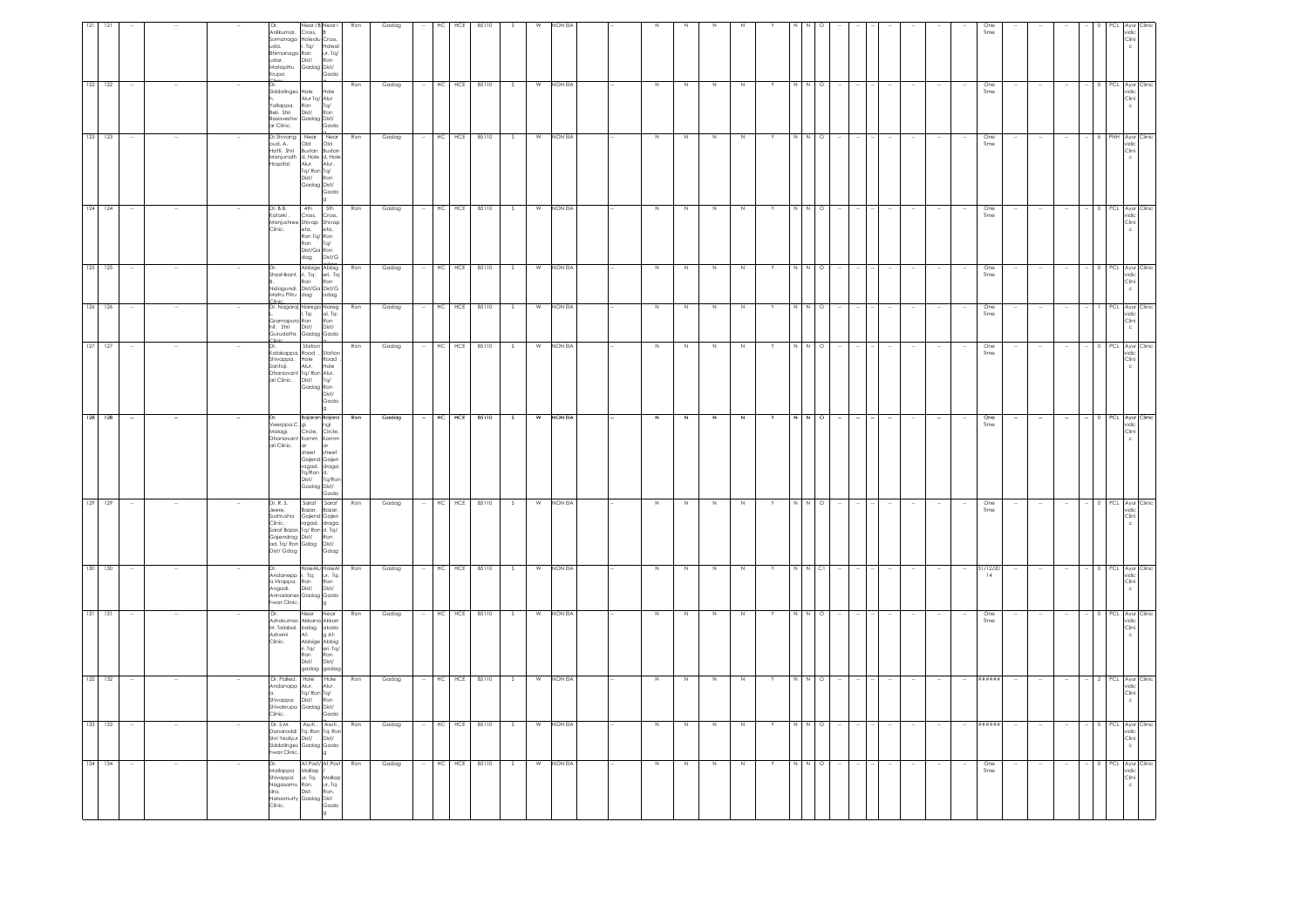| 132 132                                                                           | 131                                                                                                                       | $130 - 130$                                                                                                  | 129 129                                                                                                                                                                                                                   | $128 - 128$                                                                                                                             | $127 - 127$                                                                                                                                          | 126                                                         | 125 125                                                                      |                                                                                                                     | 123 123<br>$124 - 124$                                                                                                                                                  | 122                                                                                                                                           |                                                                                                                                                           |
|-----------------------------------------------------------------------------------|---------------------------------------------------------------------------------------------------------------------------|--------------------------------------------------------------------------------------------------------------|---------------------------------------------------------------------------------------------------------------------------------------------------------------------------------------------------------------------------|-----------------------------------------------------------------------------------------------------------------------------------------|------------------------------------------------------------------------------------------------------------------------------------------------------|-------------------------------------------------------------|------------------------------------------------------------------------------|---------------------------------------------------------------------------------------------------------------------|-------------------------------------------------------------------------------------------------------------------------------------------------------------------------|-----------------------------------------------------------------------------------------------------------------------------------------------|-----------------------------------------------------------------------------------------------------------------------------------------------------------|
|                                                                                   | 131                                                                                                                       |                                                                                                              |                                                                                                                                                                                                                           |                                                                                                                                         |                                                                                                                                                      | 126                                                         |                                                                              |                                                                                                                     |                                                                                                                                                                         | 122                                                                                                                                           |                                                                                                                                                           |
|                                                                                   |                                                                                                                           |                                                                                                              |                                                                                                                                                                                                                           |                                                                                                                                         |                                                                                                                                                      |                                                             |                                                                              |                                                                                                                     |                                                                                                                                                                         |                                                                                                                                               |                                                                                                                                                           |
|                                                                                   |                                                                                                                           |                                                                                                              |                                                                                                                                                                                                                           |                                                                                                                                         |                                                                                                                                                      |                                                             |                                                                              |                                                                                                                     |                                                                                                                                                                         |                                                                                                                                               |                                                                                                                                                           |
|                                                                                   |                                                                                                                           |                                                                                                              |                                                                                                                                                                                                                           |                                                                                                                                         |                                                                                                                                                      |                                                             |                                                                              |                                                                                                                     |                                                                                                                                                                         |                                                                                                                                               |                                                                                                                                                           |
| bu <sub>land</sub><br>At: g Abig<br>Abbige Abbig<br>n Tq/ en: Tq/<br>Ron<br>Dist/ | Near<br>Dr.<br>Ashokumar, Akkana Akkan<br>M. Talabal. balag abala<br>Ashwini At: g At:<br>m: raidba<br>Ashwini<br>Clinic. | ---<br>Andanepp r, Tq:<br>a.Virappa. Ron<br>Angadi. Dist/<br>Angadi.<br>Annadanes Gadaa Gada<br>twar Clinic. | Dr. R. S.<br>or. is. 3 sarar<br>Jeshen, Bazar, Bazar, Bazar, Cinic, Gajend Gajen<br>Clínic, ragad. draga<br>Saraf Bazar, Ta/ Ron d. Ta/<br>Gajendrag Dist/<br>Gajendrag Dist/ Ron<br>ad. Tq/ Ron Gdag Dist/<br>Dist/ Gdag | Dr, Bajaran Bajara<br>Veerppa.C. gi ngi<br>Malagi, Circle, Circle,<br>Dhanavant Kamm Kamm<br>ari Clinic.<br>ar<br>street<br>Gadaa Dist/ | Dr. Station<br>Kalakappa, Road ,<br>Shivappa.<br>Hole<br>Alur.<br>Santoji.<br>Dhanavant Ta/ Ron Alur.<br>ari Clinic. Dist/ Ta/<br>Gadag Ron<br>Dist/ | Gramapuro Ron<br>Dist/<br>hit. Shri<br>Gurudatta Gadag Gada | <br>Shashikant.<br>Ron<br>--<br>Nidagundi. Dist/Ga Dist/G<br>Matru Pitru dag | Katarki .<br>Cross,<br>Namjushree Shivap<br>Clinic. eta, eta,<br>Clinic. eta, eta,<br>Ron Tq/ Ron<br>Ron Tq/<br>dag | Dr.Shivang Near Near<br>oud. A.<br>Natti. Shri<br>Old<br>Manjunath<br>Hospital.<br>a, note<br>alur. Alur.<br>Tg/ Ron Tg/<br>Dist/ Ron<br>Gadag Dist/<br>Dr. B.B.<br>4th | Siddalinges Hole<br>Alur Tq/<br>Alur Tq/<br>Ron Tq/<br>Dist/ Ron<br>Yallappa.<br>Beli, Shri<br>Basaveshw Gadag Dist/<br>ar Clinic. Gadag Gada | <b>Jearl B</b><br>Anilkumar. Cross,<br>Somanago Holealu Cross,<br>uda. r. Tg/ Holea<br>Bhimanago Ron<br>udar. Dist/ Ron<br>Matapitru Gadag Dist/<br>Krupa |
| Ron<br>Dist/<br>gadag gadag                                                       | Near                                                                                                                      | HoleAlu HoleAl<br>ur, Tq:<br>Ron<br>Dist/                                                                    | Saraf Saraf<br>Gdag                                                                                                                                                                                                       | $\alpha$<br>street<br>Gajend Gajen<br>rajana sajan<br>Tg/Ron d.<br>Dist/ Tg/Ron<br>Gada                                                 | Station<br>Road<br>Hole<br>Gada                                                                                                                      | Ron<br>Dist/                                                | Abbige Abbig<br>ri, Tq: eri, Tq:<br>Ron<br>adag                              | Cross,<br>Dist/Ga Ron<br>dag Dist/G                                                                                 | Old<br>Bustan Bustar<br>d, Hole d, Hole<br>Gada<br>I 5th                                                                                                                | Hole<br>Gada                                                                                                                                  | Holeal<br>ur. Tq/<br>Gada                                                                                                                                 |
|                                                                                   | Ron                                                                                                                       | Ron                                                                                                          | Ron                                                                                                                                                                                                                       | Ron                                                                                                                                     | Ron                                                                                                                                                  | Ron                                                         | Ron                                                                          |                                                                                                                     | Ron<br>Ron                                                                                                                                                              | Ron                                                                                                                                           | Ron                                                                                                                                                       |
|                                                                                   | Gadag                                                                                                                     | Gadag                                                                                                        | Gadag                                                                                                                                                                                                                     | Gaqaã                                                                                                                                   | Gadag                                                                                                                                                | Gadag                                                       | Gadag                                                                        |                                                                                                                     | Gadag<br>Gadag                                                                                                                                                          | Gadag                                                                                                                                         | Gadag                                                                                                                                                     |
|                                                                                   |                                                                                                                           |                                                                                                              |                                                                                                                                                                                                                           |                                                                                                                                         |                                                                                                                                                      |                                                             |                                                                              |                                                                                                                     |                                                                                                                                                                         |                                                                                                                                               |                                                                                                                                                           |
|                                                                                   | HC<br>HCE                                                                                                                 | HC<br>HCE                                                                                                    | HCE<br>НC                                                                                                                                                                                                                 | HCE<br>HC                                                                                                                               | $HC$ $HCE$                                                                                                                                           | HCE<br>HC                                                   | HCE<br>HC                                                                    |                                                                                                                     | HCE<br>HC.<br>HCE<br>HC                                                                                                                                                 | HCE                                                                                                                                           |                                                                                                                                                           |
|                                                                                   | 85110                                                                                                                     | 85110                                                                                                        | 85110                                                                                                                                                                                                                     | 85110                                                                                                                                   | 85110                                                                                                                                                | 85110                                                       | 85110                                                                        |                                                                                                                     | 85110<br>85110                                                                                                                                                          | 85110                                                                                                                                         | 85110                                                                                                                                                     |
|                                                                                   | S.                                                                                                                        | S                                                                                                            | -S                                                                                                                                                                                                                        | $\overline{\mathbf{s}}$                                                                                                                 | $\mathbb{S}$                                                                                                                                         | s                                                           | -S                                                                           |                                                                                                                     | -S<br>S.                                                                                                                                                                |                                                                                                                                               |                                                                                                                                                           |
|                                                                                   | W                                                                                                                         | W                                                                                                            | W                                                                                                                                                                                                                         | $\overline{w}$                                                                                                                          | W                                                                                                                                                    | W                                                           | W                                                                            |                                                                                                                     | W<br>W                                                                                                                                                                  |                                                                                                                                               |                                                                                                                                                           |
|                                                                                   | NON EIA                                                                                                                   | NON EIA                                                                                                      | NON EIA                                                                                                                                                                                                                   | NON EIA                                                                                                                                 | NON EIA                                                                                                                                              | NON EIA                                                     | NON EIA                                                                      |                                                                                                                     | NON EIA<br>NON EIA                                                                                                                                                      | non Eia                                                                                                                                       | ON EV                                                                                                                                                     |
|                                                                                   |                                                                                                                           |                                                                                                              |                                                                                                                                                                                                                           |                                                                                                                                         |                                                                                                                                                      |                                                             |                                                                              |                                                                                                                     |                                                                                                                                                                         |                                                                                                                                               |                                                                                                                                                           |
|                                                                                   |                                                                                                                           |                                                                                                              |                                                                                                                                                                                                                           |                                                                                                                                         |                                                                                                                                                      |                                                             |                                                                              |                                                                                                                     |                                                                                                                                                                         |                                                                                                                                               |                                                                                                                                                           |
|                                                                                   | Z                                                                                                                         | $\geq$                                                                                                       | N                                                                                                                                                                                                                         | $\overline{z}$                                                                                                                          | N                                                                                                                                                    | N                                                           | N                                                                            |                                                                                                                     | N<br>N                                                                                                                                                                  | $\mathbb N$                                                                                                                                   |                                                                                                                                                           |
|                                                                                   | N                                                                                                                         | $\overline{N}$                                                                                               | N                                                                                                                                                                                                                         | $\mathbf{N}$                                                                                                                            | N                                                                                                                                                    |                                                             | N.                                                                           |                                                                                                                     | N.<br>N                                                                                                                                                                 |                                                                                                                                               |                                                                                                                                                           |
|                                                                                   | $\mathbb N$                                                                                                               | N                                                                                                            | N                                                                                                                                                                                                                         | $\overline{z}$                                                                                                                          | $\geq$                                                                                                                                               | N                                                           | N                                                                            |                                                                                                                     | N<br>N                                                                                                                                                                  |                                                                                                                                               |                                                                                                                                                           |
|                                                                                   | $\mathbb N$                                                                                                               | N                                                                                                            | $\mathbb{N}$                                                                                                                                                                                                              | z                                                                                                                                       | Z                                                                                                                                                    | N                                                           | $\mathbb{N}$                                                                 |                                                                                                                     | $\mathbb{N}$<br>N                                                                                                                                                       |                                                                                                                                               |                                                                                                                                                           |
|                                                                                   |                                                                                                                           |                                                                                                              |                                                                                                                                                                                                                           |                                                                                                                                         |                                                                                                                                                      |                                                             |                                                                              |                                                                                                                     |                                                                                                                                                                         |                                                                                                                                               |                                                                                                                                                           |
|                                                                                   | N                                                                                                                         |                                                                                                              | N                                                                                                                                                                                                                         | $\overline{N}$                                                                                                                          | $\begin{array}{ccc} & N & N & O \end{array}$                                                                                                         |                                                             | N                                                                            |                                                                                                                     | $\mathbb{N}$                                                                                                                                                            |                                                                                                                                               |                                                                                                                                                           |
|                                                                                   | $\circ$                                                                                                                   | <sub>C</sub>                                                                                                 | $\circ$                                                                                                                                                                                                                   | $\Omega$                                                                                                                                |                                                                                                                                                      |                                                             | $\circ$                                                                      |                                                                                                                     | $\circ$<br>N O                                                                                                                                                          |                                                                                                                                               |                                                                                                                                                           |
|                                                                                   |                                                                                                                           |                                                                                                              |                                                                                                                                                                                                                           |                                                                                                                                         |                                                                                                                                                      |                                                             |                                                                              |                                                                                                                     |                                                                                                                                                                         |                                                                                                                                               |                                                                                                                                                           |
|                                                                                   |                                                                                                                           |                                                                                                              |                                                                                                                                                                                                                           |                                                                                                                                         |                                                                                                                                                      |                                                             |                                                                              |                                                                                                                     |                                                                                                                                                                         |                                                                                                                                               |                                                                                                                                                           |
|                                                                                   |                                                                                                                           |                                                                                                              |                                                                                                                                                                                                                           |                                                                                                                                         |                                                                                                                                                      |                                                             |                                                                              |                                                                                                                     |                                                                                                                                                                         |                                                                                                                                               |                                                                                                                                                           |
|                                                                                   |                                                                                                                           |                                                                                                              |                                                                                                                                                                                                                           |                                                                                                                                         |                                                                                                                                                      |                                                             |                                                                              |                                                                                                                     |                                                                                                                                                                         |                                                                                                                                               |                                                                                                                                                           |
|                                                                                   |                                                                                                                           | $\overline{\phantom{a}}$                                                                                     |                                                                                                                                                                                                                           |                                                                                                                                         |                                                                                                                                                      |                                                             |                                                                              |                                                                                                                     |                                                                                                                                                                         |                                                                                                                                               |                                                                                                                                                           |
|                                                                                   | One<br>Time                                                                                                               | 31/12/20<br>14                                                                                               | One<br>Time                                                                                                                                                                                                               | One<br>Time                                                                                                                             | One<br>Time                                                                                                                                          | One<br>Time                                                 | One<br>Time                                                                  | Time                                                                                                                | One<br>Time<br>One                                                                                                                                                      | One<br>Time                                                                                                                                   | Time                                                                                                                                                      |
|                                                                                   |                                                                                                                           |                                                                                                              |                                                                                                                                                                                                                           |                                                                                                                                         |                                                                                                                                                      |                                                             |                                                                              |                                                                                                                     |                                                                                                                                                                         |                                                                                                                                               |                                                                                                                                                           |
|                                                                                   |                                                                                                                           |                                                                                                              |                                                                                                                                                                                                                           |                                                                                                                                         |                                                                                                                                                      |                                                             |                                                                              |                                                                                                                     |                                                                                                                                                                         |                                                                                                                                               |                                                                                                                                                           |
|                                                                                   |                                                                                                                           |                                                                                                              |                                                                                                                                                                                                                           |                                                                                                                                         |                                                                                                                                                      |                                                             |                                                                              |                                                                                                                     |                                                                                                                                                                         |                                                                                                                                               |                                                                                                                                                           |
|                                                                                   |                                                                                                                           |                                                                                                              |                                                                                                                                                                                                                           |                                                                                                                                         |                                                                                                                                                      |                                                             |                                                                              |                                                                                                                     |                                                                                                                                                                         |                                                                                                                                               |                                                                                                                                                           |
|                                                                                   | PCL Ayur<br>vidic<br>Clini<br>c                                                                                           | PCL Ayur Clinic<br>vidic<br>Clini<br>$\mathsf{c}$                                                            | 0 PCL Ayur<br>vidic<br>$rac{Clini}{c}$                                                                                                                                                                                    | 0 PCL Ayur Clinic<br>vidic<br>Clini<br>c                                                                                                | 0 PCL Ayur Clinic<br>vidic<br>Clini                                                                                                                  | PCL Ayur<br>vidic<br>Clini                                  | 0 PCL Ayur<br>vidic<br>Clini<br>c                                            | 0 PCL Ayur Clinic<br>vidic<br>Clini<br>$\mathbb C$                                                                  | PNH Avur<br>$\frac{1}{2}$<br>$\frac{1}{2}$<br>$\frac{1}{2}$<br>$\frac{1}{2}$<br>$\frac{1}{2}$                                                                           | Ayur<br>vidic<br>Clini                                                                                                                        | Clini                                                                                                                                                     |
|                                                                                   | :lini                                                                                                                     |                                                                                                              | :lini                                                                                                                                                                                                                     |                                                                                                                                         |                                                                                                                                                      |                                                             | Clinic                                                                       |                                                                                                                     | <b>lini</b>                                                                                                                                                             |                                                                                                                                               |                                                                                                                                                           |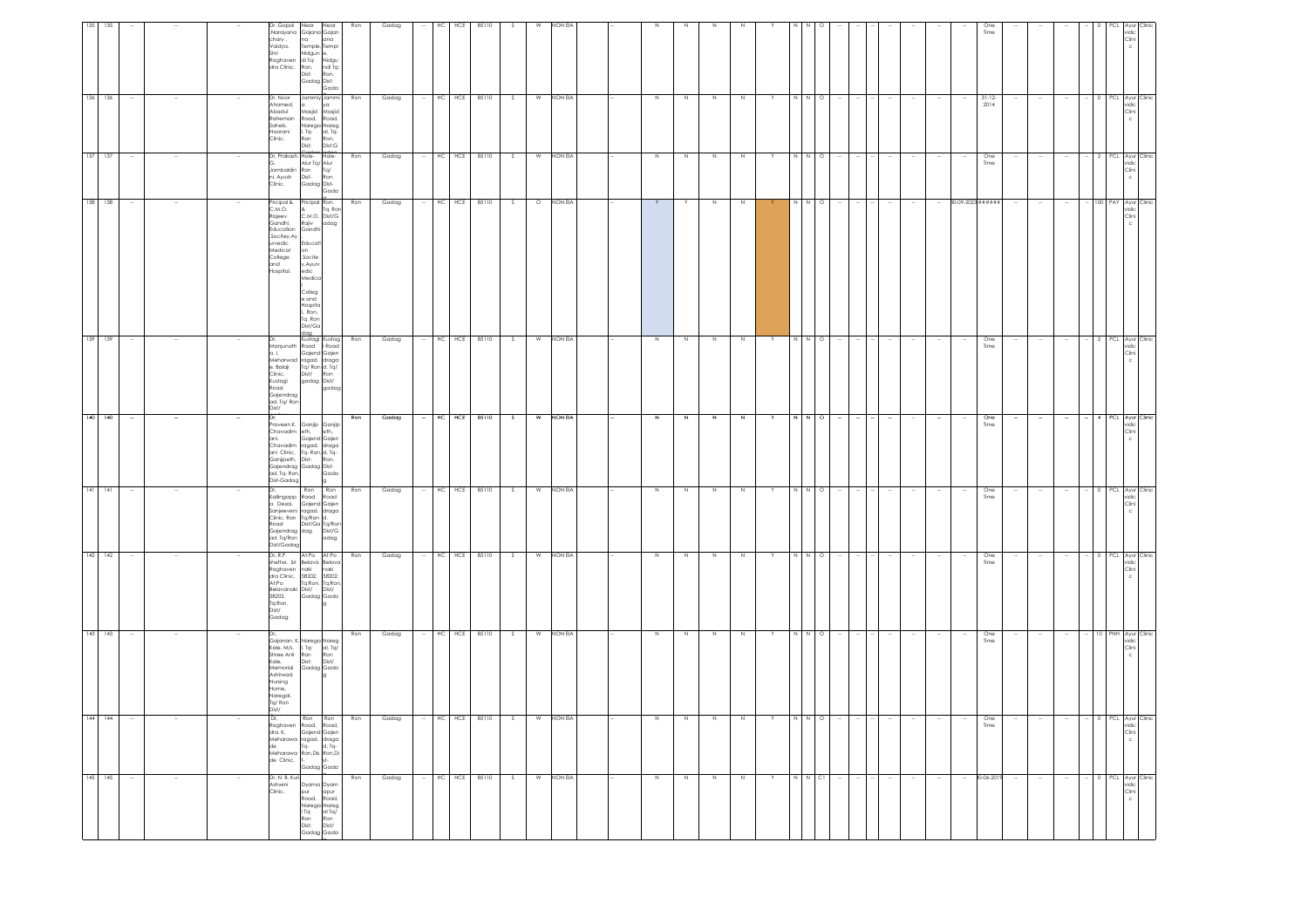| 135         | 135 |                          | Shri | Dr. Gopal<br>chary.<br>Vaidya.<br>Raghaven<br>dra Clinic. Ron,                                                                  | Near<br>Near<br>Narayana Gajana Gajan<br>na<br>ana<br>Temple, Templ<br>Nidgun e<br>di Tq:<br>Nidgu<br>ndi Tq:<br>Dist:<br>Ron,<br>Gadag Dist:<br>Gada                             | Ron | Gadag |        | HС | HCE        | 85110            | -S | W              | NON EI    |              |         |              |             |   |     |         |        |                  |                          |                   | One<br>Time         |        |        |                          |   | ٢CL                        |                     |
|-------------|-----|--------------------------|------|---------------------------------------------------------------------------------------------------------------------------------|-----------------------------------------------------------------------------------------------------------------------------------------------------------------------------------|-----|-------|--------|----|------------|------------------|----|----------------|-----------|--------------|---------|--------------|-------------|---|-----|---------|--------|------------------|--------------------------|-------------------|---------------------|--------|--------|--------------------------|---|----------------------------|---------------------|
| 136 136     |     |                          |      | Dr. Noor<br>Ahamed.<br>lubadA<br>Raheman<br>Saheb.<br>Noorani<br>Clinic.                                                        | Jammiy Jammi<br>ya<br>Masjid<br>Masjid<br>Road,<br>Road,<br>Narega Nareg<br>l. Tq:<br>al. Tq:<br>Ron<br>Ron,<br>Dist:<br>Dist:G                                                   | Ron | Gadag |        | HC | HCE        | 85110            | s  | W              | NON EIA   | $\mathbb N$  | N       | $\,$ N       |             |   |     | $\circ$ |        |                  |                          |                   | $31 - 12 -$<br>2014 |        |        |                          |   | PCL Ayur Clinic            | Clini               |
| 137         | 137 |                          |      | Dr, Prakash. Hole-<br>Jambaldin Ron<br>ni. Ayush Dist-<br>Clinic.                                                               | Hole-<br>Alur Tq/ Alur<br>Tq/<br>Ron<br>Gadag Dist-<br>Gada                                                                                                                       | Ron | Gadag |        | HC | HCE        | 85110            | S. | W              | NON EIA   | N            | N       | N            | N           |   |     | $\circ$ |        |                  |                          |                   | One<br>Time         |        |        | $\sim$                   |   | PCL Ayur Clinic            | Clini               |
| 138 138     |     |                          |      | Pricipal &<br>C.M.O.<br>Rajeev<br>Gandhi.<br>Education<br>Socitey.Ay<br>urvedic<br>Medical<br>College<br>and<br>Hospital.       | Pricipal Ron.<br>& Tq. Ror<br>Rajiv<br>adag<br>Gandhi<br>Educati<br>on<br>Socite.<br>y.Ayurv<br>edic<br>Medico<br>Colleg<br>e and<br>Hospita<br>Ron.<br>Tq. Ron<br>Dist/Ga<br>gob | Ron | Gadag |        |    |            | HC HCE 85110     | S  |                | O NON EIA | Y            |         | $\,$ N       | $\,N\,$     |   |     | $N$ 0   |        | $\sim$           | $\sim$                   | 80-09-2023 ###### |                     |        |        |                          |   | 100 PAY Ayur Clinic        |                     |
| 139 139     |     |                          | a.1  | Manjunath<br>e. Balaji<br>Clinic,<br>Kustagi<br>Road<br>Gajendrag<br>ad. Tg/ Ron<br>Dist/                                       | Kustagi Kustag<br>Road<br>i Road<br>Gajend Gajen<br>Meharwad ragad. draga<br>Tq/ Ron d. Tq/<br>Dist/<br>Ron<br>gadag Dist/<br>gadag                                               | Ron | Gadag |        |    | HC HCE     | 85110            | s  | W              | NON EIA   | $\mathbb N$  | N       | $\,$ N       | $\mathbb N$ |   | N   | $N$ 0   |        |                  |                          |                   | One<br>Time         |        |        | $\sim$                   |   | 2 PCL Ayur Clinic          | vidic<br>Clini      |
| $140 - 140$ |     | $\sim$                   | Dr.  | ad, Tq-Ron,<br>Dist-Gadag                                                                                                       | Praveen.K. Ganjip Ganjip<br>Chavadim eth, eth,<br>ani. Gajend Gajen<br>chavadim ragad, draga<br>ani Clinic, Tq-Ron,d,Tq-<br>Ganjipeth, Dist-Ron,<br>Gajendrag Gadag Dist-<br>Gada | Ron | Gadag | $\sim$ |    |            | HC HCE 85110     | s. | w              | NON EIA   | $\mathbb{N}$ | N       | $\mathbb{N}$ | N           | Y |     | N N O   | $\sim$ | $\sim$           | $\sim$                   | $\sim$            | One<br>Time         |        | $\sim$ | $\sim$                   |   | 4 PCL Ayur Clinic          | vidic<br>Clini      |
| $141 - 141$ |     | $\overline{\phantom{a}}$ |      | Road<br>Gajendrag dag<br>ad. Tq/Ron<br>Dist/Gadag                                                                               | . Ron . Ron<br>Kallingapp Road<br>Road Road<br>a. Desai. Gajend Gajen<br>Sanjeeveni ragad. draga<br>Clinic Ron Ta/Ron d.<br>Dist/Ga Tq/Ron<br>Dist/G<br>adag                      | Ron | Gadag | $\sim$ |    |            | HC HCE 85110     | S. | W              | NON EIA   | N            | N       | N            | N           | Y |     | N N O   | $\sim$ | $\sim$<br>$\sim$ | $\sim$                   | $\sim$            | One<br>Time         | $\sim$ | $\sim$ | $\sim$                   |   | 0 PCL Ayur Clinic          | vidic<br>Clini      |
| $142$ 142   |     | $\sim$                   |      | Dr, R.P.<br>Raghaven naki<br>At:Po<br>Belavanaki Dist/<br>58202,<br>Tq:Ron,<br>Dist/<br>Gadag                                   | At:Po At:Po<br>shetter. Sri Belava Belava<br>naki<br>dra Clinic, 58202, 58202,<br>Tq:Ron, Tq:Ron<br>Dist/<br>Gadag Gada                                                           | Ron | Gadag |        |    |            | $-$ HC HCE 85110 | S  |                | W NON EIA | N            | N       | N            | N           | Y |     | N N O   | $\sim$ | $\sim$           | $\sim$                   | $\sim$            | One<br>Time         |        | $\sim$ | $\sim$                   |   | 0 PCL Ayur Clinic<br>vidic | Clini               |
| $143$ 143   |     |                          |      | Kale. M/s.<br>Shree Anil Ron<br>Kale, Dist:<br>Kale,<br>Memorial<br>Ashirwad<br>Nursing<br>Home,<br>Naregal.<br>Tq/Ron<br>Dist/ | Gajanan. K. Narega Nareg<br>al. Tq/<br>I. Tq:<br>Ron<br>Dist/<br>Gadag Gada                                                                                                       | Ron | Gadag |        |    | $HC$ $HCE$ | 85110            | S. | $\overline{w}$ | NON EIA   | N            | N       | N            | N           | Y | I N | $N$ 0   |        |                  |                          |                   | One<br>Time         |        |        | $\overline{\phantom{a}}$ | 0 | PNH Ayur Clinic            |                     |
|             |     |                          |      | de Clinic,                                                                                                                      | Raghaven Road, Road,<br>dra. K. Gajend Gajen<br>Meharawa ragad, draga<br>de l'Iq- d, Tq-<br>Meharawa Ron, Dis Ron, Di<br>$st-$<br>Gadag Gada                                      |     | uaaag |        |    |            |                  |    |                |           |              |         |              |             |   |     |         |        |                  |                          |                   | Time                |        |        |                          |   |                            | vidic<br>Clini<br>c |
| 145 145     |     | $\overline{\phantom{a}}$ |      | Dr, N. B. Kuri<br>Ashwini<br>Clinic.                                                                                            | Dyama Dyam<br>pur<br>Road,<br>apur<br>Road,<br>Narega Nareg<br>  Tq: al Tq/<br>I Tq:<br>Ron<br>Dist:<br>Ron<br>Dist/<br>Gadag Gada                                                | Ron | Gadag |        |    |            | HC HCE 85110     | S. | W              | NON EIA   | Z            | $\,N\,$ | Z            | $\mathbb N$ |   |     | N N CI  | $\sim$ | $\sim$<br>$\sim$ | $\overline{\phantom{a}}$ | $\sim$            | 30-06-2019          | $\sim$ | $\sim$ | $\sim$                   |   | PCL Ayur Clinic            | vidic<br>Clini      |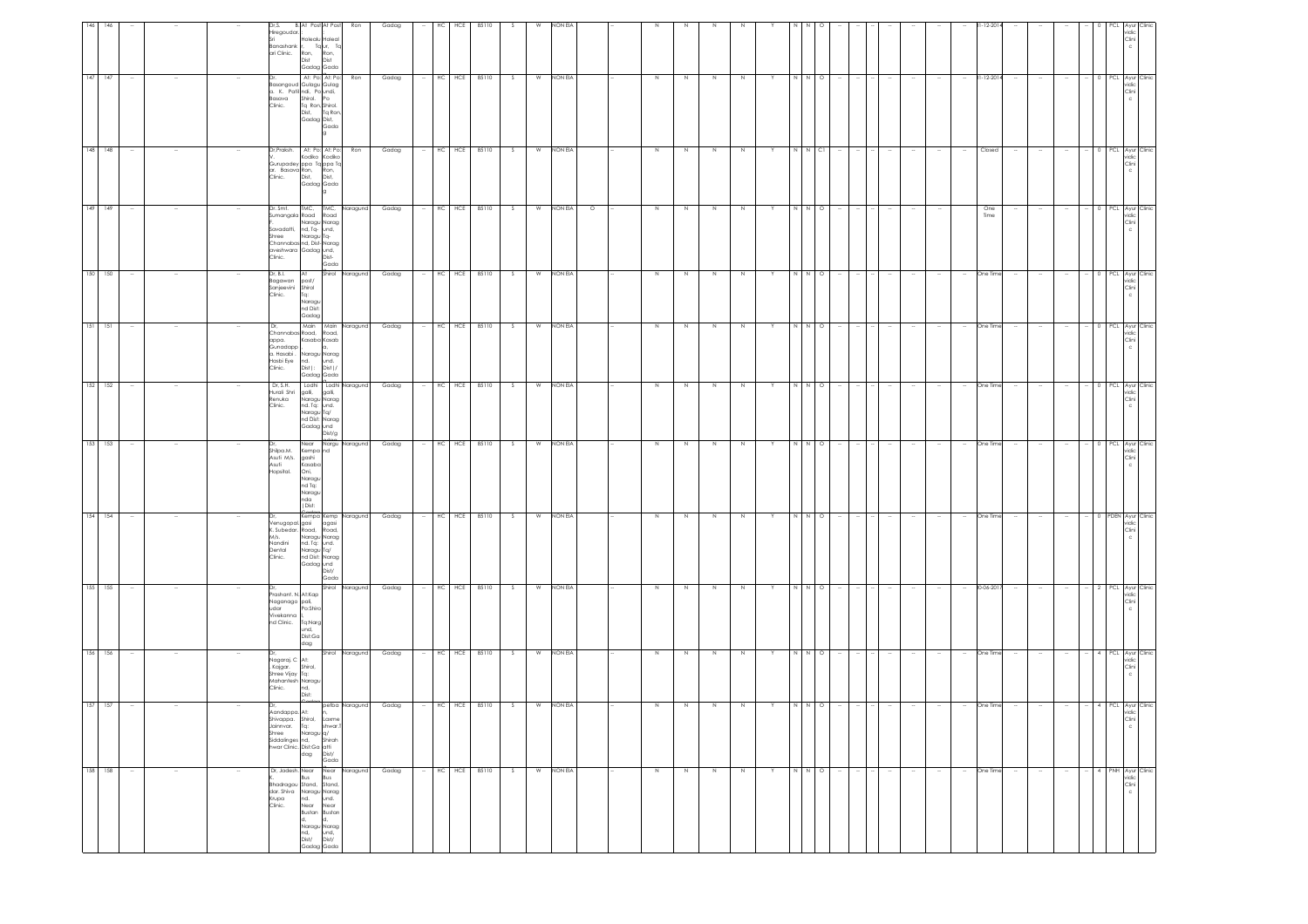| 146         |                          |        | Dr.S.<br>Hiregoudar.<br>Banashank<br>ari Clinic.                    | <b>B.</b> At Post At Post<br>Iolealu Holeal<br>Taur, Ta<br>n, Ron,<br>Ron,<br>Dist<br>Dist<br>Gadag Gada                                                                                                             | Ron                               | Gadag | HCE<br>НC          | 85110 |         | NON EL  |         |         |             |             |             |    |       |         |                |        |                  |        |                          | $-12-20$    |        |        |        |                   | idio<br>Clini                                       |
|-------------|--------------------------|--------|---------------------------------------------------------------------|----------------------------------------------------------------------------------------------------------------------------------------------------------------------------------------------------------------------|-----------------------------------|-------|--------------------|-------|---------|---------|---------|---------|-------------|-------------|-------------|----|-------|---------|----------------|--------|------------------|--------|--------------------------|-------------|--------|--------|--------|-------------------|-----------------------------------------------------|
| $147 - 147$ |                          |        | Basava<br>Clinic.                                                   | At: Po: At: Po:<br>Basangoud Gulagu Gulag<br>a. K. Patil ndi, Po undi,<br>Basava Shirol. Po<br>Clinic. Ta Ron, Shirol.<br>Dist, Ta Ror<br>Gadag Dist,                                                                | Ron<br>Tq Ron<br>Gada             | Gadag | HCE<br>$\rm HC$    | 85110 | W       | NON EIA |         | N       |             | N           | N           |    | N N   | $\circ$ |                |        |                  |        |                          | 31-12-201   |        |        |        |                   | PCL Ayur Clinic<br>vidic<br>Clini<br>c              |
| 148 148     |                          |        |                                                                     | Dr,Praksh. At: Po: At: Po:<br>Kodiko Kodiko<br>Gurupadey ppa Ta <sub>l</sub> ppa Ta<br>ar. Basava Ron, Ron,<br>Clínic.     Dist,   Dist,<br>Gadag Gada                                                               | Ron                               | Gadag | HC<br>HCE          | 85110 | W       | NON EIA |         | N       |             |             |             |    |       | C1      |                |        |                  |        |                          | Closed      |        |        |        | PCL Ayur          | vidic<br>Clini<br>c                                 |
| 149 149     |                          |        | Dr. Smt.<br>Savadatti,<br>Shree                                     | umangala Road Road<br>Naragu Narag<br>nd, Tq- und,<br>Naragu Tq-<br>Channabas nd, Dist-Narag<br>aveshwara Gadag und,<br>Clinic. Dist-                                                                                | TMC, TMC, Naragund<br>Gada        | Gadag | $_{\rm HC}$<br>HCE | 85110 | W<br>s  | NON EIA | $\circ$ | $\,N\,$ |             | $\mathbb N$ | $\mathbb N$ |    | N N   | $\circ$ |                |        |                  |        |                          | One<br>Time |        |        |        |                   | PCL Ayur Clinic<br>vidic<br>Clini<br>$\mathsf{c}$   |
| 150 150     | $\sim$                   |        | Dr, B.I.<br>Bagawan<br>Sanjeevini<br>Clinic.                        | At<br>post/<br>Shirol<br>Tq:<br>Naragu<br>nd Dist:<br>Gadag                                                                                                                                                          | Shirol Naragund                   | Gadag | $HC$<br>HCE        | 85110 | W<br>s  | NON EIA |         | $\,N\,$ | $\mathbb N$ | $\,$ N      | $\,$ N      |    | N     | $\circ$ |                |        |                  |        | $\overline{\phantom{a}}$ | One Time    |        |        |        |                   | PCL Ayur Clinic<br>vidic<br>Clini                   |
| $151 - 151$ |                          |        | Dr.<br>appa.<br>Gunadapp<br>a. Hasabi .<br>Hasbi Eye<br>Clinic.     | Channabas Road, Road,<br>Kasaba Kasab<br>Naragu Narag<br>und.<br>nd.<br>Dist   :<br>Dist   /<br>Gadag Gada                                                                                                           | Main Main Naragund                | Gadag | HC<br>HCE          | 85110 | W<br>S. | NON EIA |         | N       | N           | N           | N           |    | N N   | $\circ$ |                |        | $\sim$           |        | $\sim$                   | One Time    |        |        |        |                   | PCL Ayur Clini<br>vidic<br>Clini<br>c               |
| 152 152     | $\sim$                   |        | Dr, S.H.<br>turali Shri<br>Renuka<br>Clinic.                        | gali,<br>galli,<br>Naragu Narag<br>nd. Tq: und.<br>Naragu Tq/<br>nd Dist: Narag<br>Gadag und                                                                                                                         | Lodhi Lodhi Naragund<br>Dist/g    | Gadag | HC HCE 85110       |       | W<br>S. | NON EIA |         | N       | N           | N           | $\mathbb N$ | Y  | N N   | $\circ$ |                |        | $\sim$           |        | $\sim$                   | One Time    |        |        |        | PCL Ayur Clini    | vidic<br>Clini                                      |
| 153 153     |                          |        | Shilpa.M.<br>Asuti M/s.<br>Asufi<br>Hopsital.                       | Kempa nd<br>gashi<br>Kasaba<br>Oni,<br>Naragu<br>nd Tq:<br>Naragu<br>nda<br>  Dist:                                                                                                                                  | Near Nargu Naragund               | Gadag | HC HCE 85110       |       | W<br>S  | NON EIA |         | Z       | $\,N\,$     | $\,$ N      | $\,$ N      | Y  | N N O |         |                |        | $\sim$           |        | $\overline{\phantom{a}}$ | One Time    |        |        |        | 0 PCL Ayur Clinic | vidic<br>Clini                                      |
| 154 154     |                          |        | M/s.<br>Nandini<br>Dental<br>Clinic.                                | Kempa Kemp<br>enugopal. gasi<br>agasi<br>C. Subedar. Road, Road,<br>Naragu Narag<br>nd. Tq: und.<br>Naragu Tq/<br>nd Dist: Narag<br>Gadag und<br>Dist/<br>Gada                                                       | Naragund                          | Gadag | HC<br>HCE          | 85110 | W<br>S. | NON EIA |         | $\,N\,$ | $\mathbb N$ | $\,N\,$     | $\,$ N      |    | N N   | $\circ$ |                |        |                  |        |                          | One Time    |        |        |        |                   | PDEN Ayur Clinic<br>vidic<br>Clini                  |
| 155 155     |                          |        | Naganago pali,<br>udar<br>Vivekanna<br>nd Clinic.                   | Prashant, N. At:Kap<br>Po:Shiro<br>Tq:Narg<br>und,<br>Dist:Ga<br>dag                                                                                                                                                 | Shirol<br>Naragund                | Gadag | HCE<br>HC          | 85110 | W       | NON EIA |         | $\,N\,$ |             | $\mathbb N$ | N           |    | N     | $\circ$ |                |        |                  |        |                          | 30-06-201   |        |        |        |                   | PCL Ayur Clini<br>vidic<br>Clini                    |
| 156<br>156  |                          |        | Nagaraj. C At:<br>. Kajgar. Shirol,<br>Shree Vijay Tq:              | Mahantesh Naragu<br>Clinic. nd,<br>Dist:                                                                                                                                                                             | Naragund<br>Shirol                | Gadag | HCE<br>НC          | 85110 | W       | NON EIA |         | $\,$ N  |             | N           |             |    |       | $\circ$ |                |        |                  |        |                          | One Time    |        |        |        |                   | PCL Ayur Clinic<br>vidic<br>Clini                   |
| 157 157     | $\overline{\phantom{a}}$ |        | Aandappa, At:<br>Shivappa.<br>Jainnvar.<br>Shree<br>Siddalinges nd, | Shirol, Laxme<br>$Tq$ :<br>Naragu q/<br>nd, Shirah<br>hwar Clinic. Dist:Ga atti<br>dag                                                                                                                               | petba Naragund<br>shwar.T<br>Gada | Gadag | HC<br>HCE          | 85110 | W<br>S. | NON EIA |         | N       | N           | N           | N           |    |       | $\circ$ |                |        |                  |        |                          | One Time    |        |        |        | 4 PCL Ayur Clinic | vidic<br>c                                          |
| 158 158     | $\sim$                   | $\sim$ | $\overline{\phantom{a}}$<br>Krupa<br>Clinic.                        | Dr. Jadesh. Near Near Naragund<br>K. Bus Bus<br>Bhadragou Stand, Stand,<br>dar. Shiva Naragu Narag<br>nd. und.<br>Near Near<br>Bustan Bustan<br>d, d,<br>Naragu Narag<br>nd,<br>Dist/<br>und,<br>Dist/<br>Gadag Gada |                                   | Gadag | $-$ HC HCE 85110   |       | W<br>S  | NON EIA |         | N       | N           | N           | N           | Y. | NNO   |         | <b>Section</b> | $\sim$ | $\sim$<br>$\sim$ | $\sim$ | $\sim$                   | One Time    | $\sim$ | $\sim$ | $\sim$ |                   | 4 PNH Ayur Clinic<br>vidic<br>Clini<br>$\mathsf{c}$ |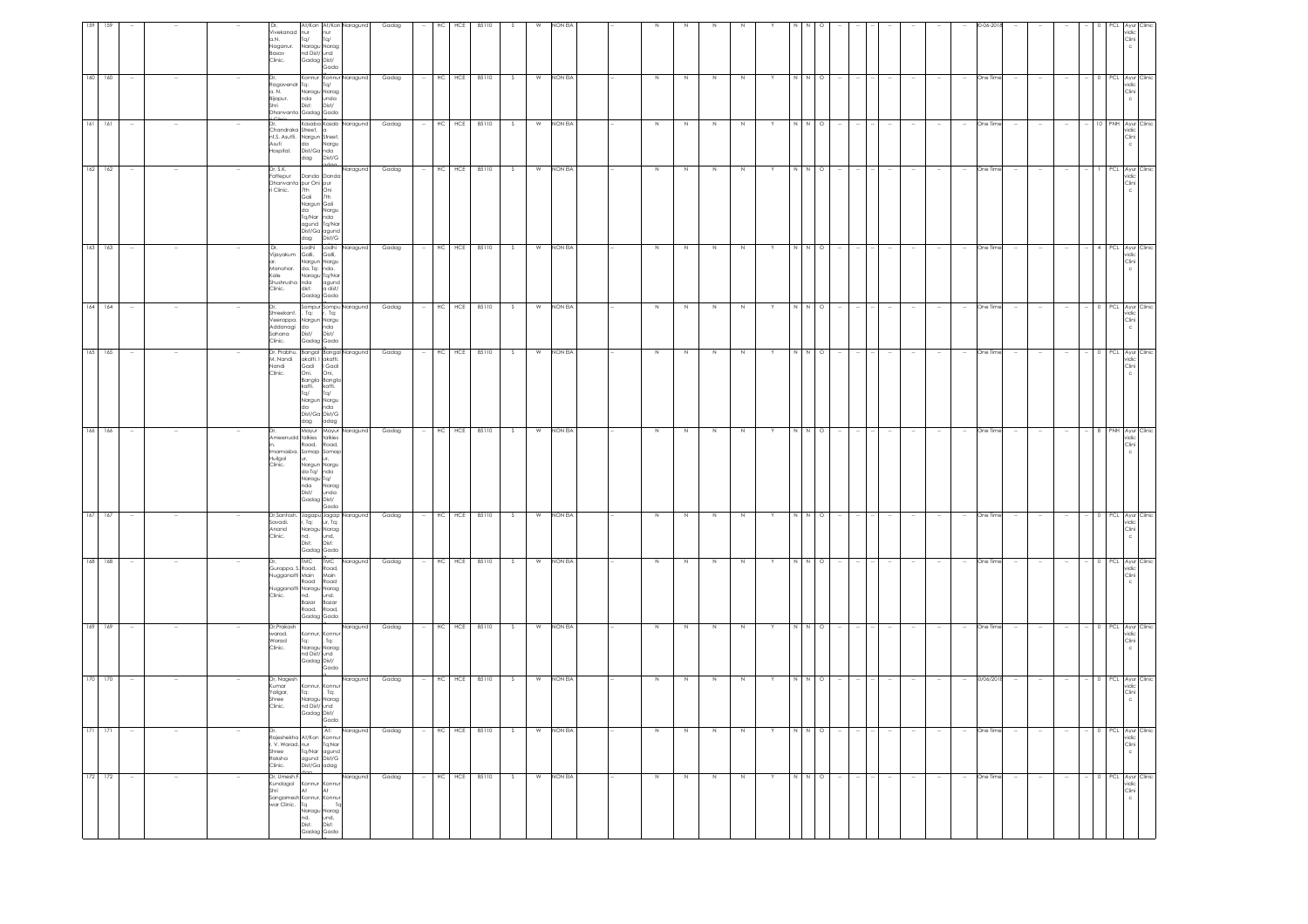| 159 | 159         |        |        |     | Vivekanad nur<br>a.N. Tq/<br>Naganur.<br>Basav<br>Clinic.                                           | nur<br>Tq/<br>Naragu Narag<br>nd Dist/und<br>Gadag Dist/                                                                                      | At/Kon At/Kon Naragund<br>Gada                     | Gadag | HC<br>HCE       | 85110     |               |   | non Eia |  |         |         |        |        |   |             |         |        |  |          |                                      |        |                          |                          | 'CL     | Ayur Clinic<br>vidic<br>Clini<br>c            |
|-----|-------------|--------|--------|-----|-----------------------------------------------------------------------------------------------------|-----------------------------------------------------------------------------------------------------------------------------------------------|----------------------------------------------------|-------|-----------------|-----------|---------------|---|---------|--|---------|---------|--------|--------|---|-------------|---------|--------|--|----------|--------------------------------------|--------|--------------------------|--------------------------|---------|-----------------------------------------------|
| 160 | 160         |        |        | Dr, | Ragavendr Tq:<br>a. N.<br>Bijapur.<br>Shri<br>Dhanvanta Gadag Gada                                  | Tq/<br>Naragu Narag<br>nda<br>Dist:                                                                                                           | Konnur Konnur Naragund<br>unda<br>Dist/            | Gadag | HCE<br>НC       | 85110     | -S            | W | NON EIA |  | N       |         |        |        |   |             | $\circ$ |        |  | One Time |                                      |        |                          |                          | PCL.    | Ayur Clinic<br>ridic<br>Clini                 |
|     | $161 - 161$ |        |        |     | Chandraka Street,<br>nt.S. Asutti. Nargun Street,<br>Asuti<br>Hospital.                             | da<br>Dist/Ga Inda<br>dag                                                                                                                     | Kasaba Kasab Naragund<br>Nargu<br>Dist/G           | Gadag | HC HCE 85110    |           | s             | W | NON EIA |  | $\,$ N  | N       | N      | N      |   |             | $\circ$ |        |  |          | One Time                             |        |                          |                          | PNH     | Ayur Clinic<br>vidic<br>Clini<br>c            |
|     | $162$ 162   |        |        |     | Dr. S.K.<br>Fattepur<br>Dhanvanta pur Oni pur<br>in Clinic. 7th Oni<br>Gali 7th<br>Nargun Gali      | Danda Danda<br>da T<br>Tq/Nar<br>agund Tq/Nar<br>Dist/Ga agund<br>dag                                                                         | Naragund<br>Nargu<br>nda<br>Dist/G                 | Gadag | HC HCE 85110    |           | - S           | W | NON EIA |  | N       | N       | N      | N      |   | N.          | $\circ$ |        |  |          | One Time                             |        |                          |                          |         | PCL Ayur Clinic<br>vidic<br>Clini             |
|     | 163 163     |        |        |     | Dr.<br>Vijayakum Galli,<br>Manohar.<br>Kale<br>Shushrusha nda<br>Clinic. dist:                      | Nargun Nargu<br>da. Tq: nda.<br>Naragu Tq/Nar<br>Gadag Gada                                                                                   | Lodhi Lodhi Naragund<br>Galli,<br>agund<br>a dist/ | Gadag | HC              | HCE 85110 | S.            | W | NON EIA |  | N       | N.      | N      | N      |   |             | $\circ$ |        |  | $\sim$   | One Time<br>$\overline{\phantom{a}}$ |        |                          |                          |         | PCL Ayur Clinic<br>vidic<br>Clini             |
|     | $164$ 164   | $\sim$ |        | Dr, | Shreekant.<br>Veerappa. Nargun Nargu<br>Addanagi da nda<br>Sahana Dist/ Dist/<br>Clinic. Gadag-Gada | , Tq:                                                                                                                                         | Sompur Sompu Naragund<br>r, Tq:                    | Gadag | HC HCE 85110    |           | S             | W | NON EIA |  | N       | N       | N      | N      | Y | N N O       |         |        |  | $\sim$   | One Time<br>$\sim$                   |        | $\sim$                   | $\sim$                   |         | - 0 PCL Ayur Clinic<br>vidic<br>Clini<br>c    |
|     | 165 165     |        |        |     | Dr. Prabhu. Bangal Bangal Naragund<br>M. Nandi<br>Nandi<br>Clinic.                                  | akatti. I akatti.<br>Gadi   Gadi<br>Oni, Oni,<br>Bangla Bangla<br>katti. katti.<br>Ta/ Ta/<br>Nargun Nargu<br>da nda<br>Dist/Ga Dist/G<br>dag | adag                                               | Gadag | HC HCE 85110    |           | S             | W | NON EIA |  | $\,$ N  | $\,N\,$ | $\,$ N | $\,$ N |   | N N         | $\circ$ |        |  | $\sim$   | One Time<br>$\overline{\phantom{a}}$ |        | $\overline{\phantom{a}}$ | $\overline{\phantom{a}}$ |         | 0 PCL Ayur Clinic<br>ridic<br>Clini           |
|     | 166 166     |        |        |     | Ameenudd talkies talkies<br>Imamasba. Somap Somap<br>Huilgol<br>Clinic.                             | Mayur Mayur<br>Road,<br>ur,<br>Nargun Nargu<br>da Ta/<br>Maragu Ta/<br>nda Narag<br>Dist/ unda<br>Gadag Dist/                                 | Naragund<br>Road,<br>unda<br>Gada                  | Gadag | HC HCE 85110    |           |               | W | NON EIA |  | $\,N\,$ | N       | N      |        |   | N           | $\circ$ |        |  |          | One Time                             |        |                          |                          | NH      | Ayur Clinic<br>vidic<br>Clini                 |
| 167 | 167         |        |        |     | Dr,Santosh. Jagapu Jagap Naragund<br>Savadi,<br>Anand<br>Clinic.                                    | r, Tq:<br>Naragu Narag<br>nd,<br>Dist:<br>Gadag Gada                                                                                          | ur, Tq:<br>und,<br>Dist:                           | Gadag | HCE<br>HC       | 85110     | -S            | W | NON EIA |  | N       | N       | N      | N      |   |             | $\circ$ |        |  |          | One Time                             |        |                          |                          | PCL     | Ayur Clinic<br>vidio<br>Clini<br>c            |
|     | 168 168     |        |        |     | Gurappa. S. Road, Road,<br>Nugganatti Main<br>Clinic.                                               | <b>TMC</b><br>Road<br>Road.<br>Gadag Gada                                                                                                     | <b>IMC</b><br>Naragund<br>Main<br>Road<br>Road,    | Gadag | HC HCE 85110    |           | -S            | W | NON EIA |  | $\,$ N  | N       | $\,$ N | N      |   | N N         | $\circ$ |        |  |          | One Time                             |        |                          |                          | PCL     | Ayur Clinic<br>ridic<br>Clini                 |
| 169 | 169         |        |        |     | Dr, Prakash<br>warad.<br>Warad<br>Clinic.                                                           | Konnur, Konnu<br>Tq:<br>Naragu Narag<br>nd Dist/ und<br>Gadag Dist/                                                                           | Naragund<br>, Tq:<br>Gada                          | Gadag | HCE<br>HC       | 85110     | -S            | W | NON EIA |  | $\,$ N  | N       | N      | N      |   |             | $\circ$ |        |  |          | One Time                             |        |                          |                          |         | PCL Ayur Clinic<br>ridic<br>Clini             |
|     | 170 170     |        |        |     | Dr, Nagesh<br>Kumar<br>Yaligar,<br>Shree<br>Clinic.                                                 | Konnur, Konnu<br>Tq:<br>Naragu Narag<br>nd Dist/ und<br>Gadag Dist/                                                                           | Naragund<br>Tq:<br>Gada                            | Gadag | HC<br>HCE       | 85110     | S.            | W | NON EIA |  | N       | N       | N      | N      | Y | N N         | $\circ$ |        |  | $\sim$   | 80/06/2018                           |        |                          | $\sim$                   |         | - 0 PCL Ayur Clinic<br>vidic<br>Clini         |
|     | $171 - 171$ |        |        |     | Rajeshekha At/Kon Konnu<br>r. V. Warad. nur<br>Shree<br>Raksha<br>Clinic.                           | Tq/Nar<br>agund Dist/G<br>Dist/Ga adag                                                                                                        | At:<br>Naragund<br>Tq:Nar<br>agund                 | Gadag | HC<br>HCE       | 85110     | $\mathcal{S}$ | W | NON EIA |  | N       | N       | N      | N      |   | N N O       |         | $\sim$ |  | $\sim$   | One Time                             | $\sim$ | $\sim$                   | $\sim$                   |         | - 0 PCL Ayur Clinic<br>vidic<br>Clini<br>c    |
|     | 172 172     | $\sim$ | $\sim$ |     | Dr, Umesh.F.<br>Kundagol<br>Shri<br>Sangamesh Konnur, Konnur<br>war Clinic. Tq                      | Konnur Konnur<br>At<br>At<br>Naragu Narag<br>nd,<br>Dist:<br>und,<br>Dist:<br>Gadag Gada                                                      | Naragund<br>To                                     | Gadag | $\rm HC$<br>HCE | 85110     | - S           | W | NON EIA |  | N       | N       | N      | N      |   | $N$ $N$ $Q$ |         | $\sim$ |  | $\sim$   | One Time<br>$\sim$                   |        | $\sim$                   | $\sim$                   | $0$ PCL | Ayur Clinic<br>vidic<br>Clini<br>$\mathbf{C}$ |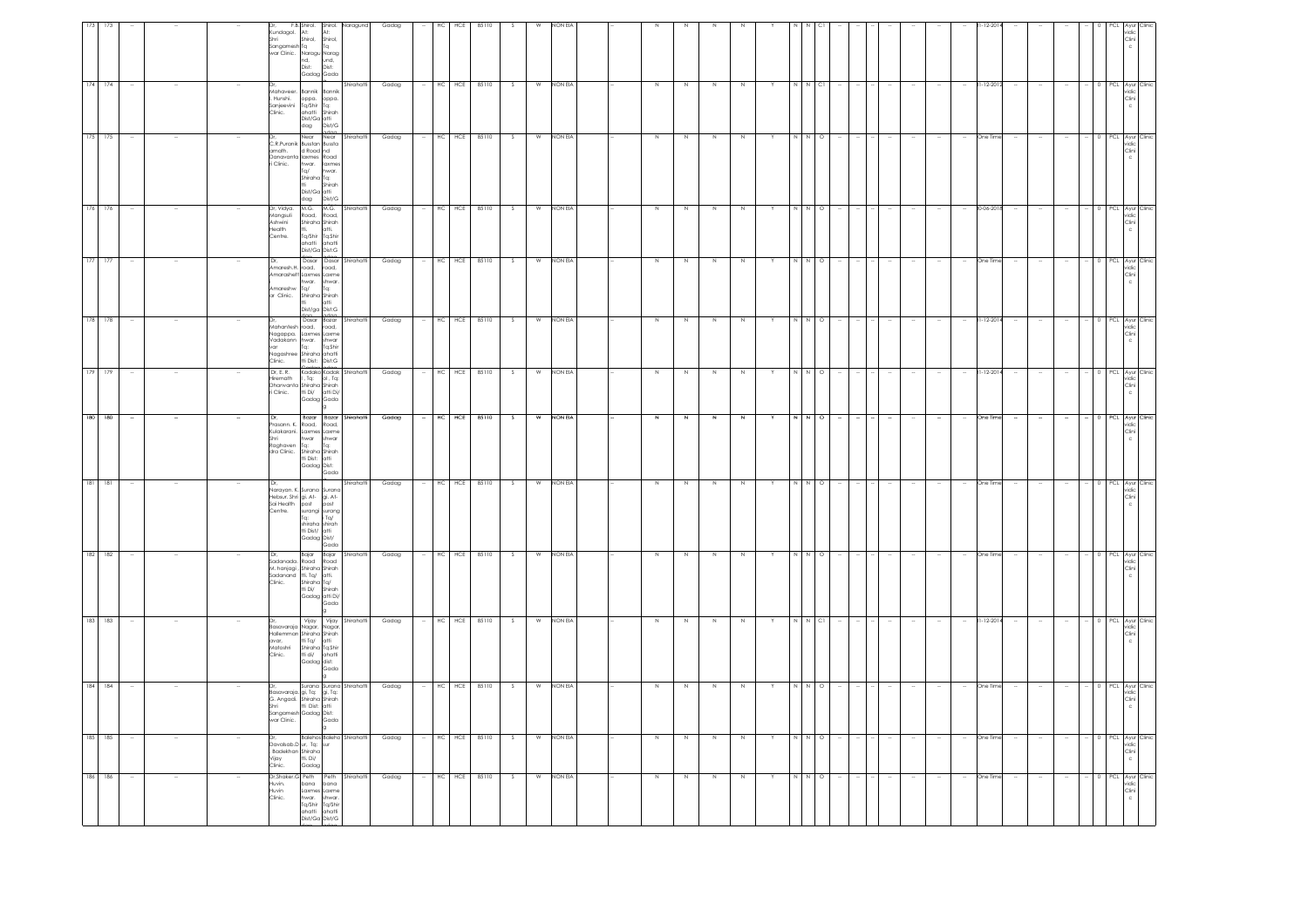| vidic<br>Clini                                                                               | PCL Ayur<br>vidic<br>Clini<br>$\epsilon$                                                   | PCL Ayur Clini<br>vidic<br>Clini<br>$\epsilon$                                                    | PCL Ayur Clinic<br>vidic<br>Clini                                                                | PCL Ayur Clinic<br>vidic<br>Clini<br>$\epsilon$                                        | PCL Ayur Clinic<br>vidic<br>Clini<br>$\mathbf{C}$                                                                               | $\begin{tabular}{ c c } \hline PCL & Ayur & Clinic \\ \hline \hline \end{tabular}$ | PCL Ayur<br>vidic<br>Clini                                                                   | PCL Ayur Clini<br>vidic<br>Clini                                                                                       |                                                                                     | 0 PCL Ayur Clinic<br>vidic<br>Clini                                                                                        | PCL Ayur Clini<br>vidic<br>Clini<br>$\mathsf{c}$                                                                                                                  | Clini                                                                | PCL Ayur<br>vidic<br>Clini                                                                                             |
|----------------------------------------------------------------------------------------------|--------------------------------------------------------------------------------------------|---------------------------------------------------------------------------------------------------|--------------------------------------------------------------------------------------------------|----------------------------------------------------------------------------------------|---------------------------------------------------------------------------------------------------------------------------------|------------------------------------------------------------------------------------|----------------------------------------------------------------------------------------------|------------------------------------------------------------------------------------------------------------------------|-------------------------------------------------------------------------------------|----------------------------------------------------------------------------------------------------------------------------|-------------------------------------------------------------------------------------------------------------------------------------------------------------------|----------------------------------------------------------------------|------------------------------------------------------------------------------------------------------------------------|
|                                                                                              |                                                                                            |                                                                                                   |                                                                                                  |                                                                                        |                                                                                                                                 |                                                                                    |                                                                                              |                                                                                                                        | 0 PCL Ayur Clinic<br>vidic<br>Clini                                                 |                                                                                                                            |                                                                                                                                                                   | 0 PCL Ayur Clinic<br>vidic                                           |                                                                                                                        |
|                                                                                              |                                                                                            |                                                                                                   |                                                                                                  |                                                                                        |                                                                                                                                 |                                                                                    |                                                                                              |                                                                                                                        |                                                                                     |                                                                                                                            |                                                                                                                                                                   |                                                                      |                                                                                                                        |
|                                                                                              |                                                                                            | $\overline{\phantom{a}}$                                                                          |                                                                                                  |                                                                                        |                                                                                                                                 | $\sim$                                                                             |                                                                                              |                                                                                                                        | $\sim$                                                                              |                                                                                                                            |                                                                                                                                                                   | $\sim$                                                               |                                                                                                                        |
|                                                                                              |                                                                                            |                                                                                                   |                                                                                                  |                                                                                        |                                                                                                                                 |                                                                                    |                                                                                              |                                                                                                                        |                                                                                     |                                                                                                                            |                                                                                                                                                                   | $\sim$                                                               |                                                                                                                        |
|                                                                                              |                                                                                            |                                                                                                   |                                                                                                  |                                                                                        |                                                                                                                                 |                                                                                    |                                                                                              |                                                                                                                        |                                                                                     |                                                                                                                            |                                                                                                                                                                   | $\sim$                                                               |                                                                                                                        |
|                                                                                              | 31-12-201                                                                                  | One Tim                                                                                           | 30-06-201                                                                                        | One Time                                                                               | 31-12-201                                                                                                                       | 31-12-201                                                                          | One Tim                                                                                      | One Time                                                                                                               | One Time                                                                            | $31 - 12 - 201$                                                                                                            | One Tin                                                                                                                                                           | One Time                                                             | One Tim                                                                                                                |
|                                                                                              |                                                                                            |                                                                                                   |                                                                                                  |                                                                                        | $\sim$                                                                                                                          | $\sim$                                                                             |                                                                                              |                                                                                                                        | $\sim$                                                                              |                                                                                                                            |                                                                                                                                                                   | $\sim$                                                               |                                                                                                                        |
|                                                                                              |                                                                                            |                                                                                                   |                                                                                                  |                                                                                        |                                                                                                                                 |                                                                                    |                                                                                              |                                                                                                                        |                                                                                     |                                                                                                                            |                                                                                                                                                                   | $\sim$                                                               |                                                                                                                        |
|                                                                                              |                                                                                            |                                                                                                   |                                                                                                  |                                                                                        |                                                                                                                                 |                                                                                    |                                                                                              |                                                                                                                        |                                                                                     |                                                                                                                            |                                                                                                                                                                   | $\sim$                                                               |                                                                                                                        |
|                                                                                              |                                                                                            |                                                                                                   |                                                                                                  |                                                                                        |                                                                                                                                 |                                                                                    |                                                                                              |                                                                                                                        |                                                                                     |                                                                                                                            |                                                                                                                                                                   | $\sim$                                                               |                                                                                                                        |
|                                                                                              |                                                                                            |                                                                                                   |                                                                                                  |                                                                                        |                                                                                                                                 |                                                                                    |                                                                                              |                                                                                                                        | $\sim$                                                                              |                                                                                                                            |                                                                                                                                                                   |                                                                      |                                                                                                                        |
|                                                                                              |                                                                                            |                                                                                                   |                                                                                                  |                                                                                        |                                                                                                                                 |                                                                                    |                                                                                              |                                                                                                                        |                                                                                     |                                                                                                                            |                                                                                                                                                                   |                                                                      |                                                                                                                        |
|                                                                                              |                                                                                            | $\circ$                                                                                           |                                                                                                  | $\circ$                                                                                | $\circ$                                                                                                                         |                                                                                    | $\circ$                                                                                      | $\circ$                                                                                                                |                                                                                     |                                                                                                                            | $\circ$                                                                                                                                                           |                                                                      | $\circ$                                                                                                                |
|                                                                                              |                                                                                            | $\overline{N}$                                                                                    | $N$ O                                                                                            |                                                                                        |                                                                                                                                 | N O<br>N                                                                           |                                                                                              |                                                                                                                        | N N O                                                                               | N N CI                                                                                                                     | $\overline{N}$                                                                                                                                                    | N N O                                                                |                                                                                                                        |
|                                                                                              |                                                                                            |                                                                                                   |                                                                                                  |                                                                                        | Y                                                                                                                               |                                                                                    |                                                                                              |                                                                                                                        | Y                                                                                   |                                                                                                                            |                                                                                                                                                                   | Y                                                                    |                                                                                                                        |
|                                                                                              |                                                                                            |                                                                                                   |                                                                                                  | N                                                                                      | $\mathbb N$                                                                                                                     | N                                                                                  |                                                                                              |                                                                                                                        | N                                                                                   | N                                                                                                                          |                                                                                                                                                                   | N                                                                    |                                                                                                                        |
|                                                                                              |                                                                                            | N                                                                                                 | N                                                                                                | N                                                                                      | N                                                                                                                               | N                                                                                  |                                                                                              | N                                                                                                                      | N                                                                                   | Z                                                                                                                          | N                                                                                                                                                                 | N                                                                    |                                                                                                                        |
|                                                                                              |                                                                                            | Z                                                                                                 | N                                                                                                | N                                                                                      | N                                                                                                                               | N                                                                                  | N                                                                                            | N                                                                                                                      | N                                                                                   | Z.                                                                                                                         | N                                                                                                                                                                 | N                                                                    |                                                                                                                        |
|                                                                                              |                                                                                            | N                                                                                                 | N                                                                                                | N                                                                                      | N                                                                                                                               | N                                                                                  | $\mathbb{N}$                                                                                 | $\mathbb N$                                                                                                            | N                                                                                   | N                                                                                                                          | N                                                                                                                                                                 | N                                                                    | N                                                                                                                      |
|                                                                                              |                                                                                            |                                                                                                   |                                                                                                  |                                                                                        |                                                                                                                                 |                                                                                    |                                                                                              |                                                                                                                        |                                                                                     |                                                                                                                            |                                                                                                                                                                   |                                                                      |                                                                                                                        |
|                                                                                              |                                                                                            |                                                                                                   |                                                                                                  |                                                                                        |                                                                                                                                 |                                                                                    |                                                                                              |                                                                                                                        |                                                                                     |                                                                                                                            |                                                                                                                                                                   |                                                                      |                                                                                                                        |
|                                                                                              | <b>NON EIA</b>                                                                             | NON EIA                                                                                           | NON EIA                                                                                          | NON EIA                                                                                | NON EIA                                                                                                                         | <b>NON EIA</b>                                                                     | NON EIA                                                                                      | NON EIA                                                                                                                | NON EIA                                                                             | NON EIA                                                                                                                    | NON EIA                                                                                                                                                           | NON EIA                                                              | NON EIA                                                                                                                |
|                                                                                              |                                                                                            | W                                                                                                 | W                                                                                                | W                                                                                      | W                                                                                                                               | W                                                                                  | W                                                                                            | W                                                                                                                      | W                                                                                   | W                                                                                                                          | W                                                                                                                                                                 | W                                                                    | W                                                                                                                      |
|                                                                                              |                                                                                            | S.                                                                                                | -S                                                                                               | - S                                                                                    | S.                                                                                                                              | S.                                                                                 | -S.                                                                                          | $\mathcal{S}$                                                                                                          | S.                                                                                  | -S.                                                                                                                        |                                                                                                                                                                   | S                                                                    |                                                                                                                        |
| 85110                                                                                        | 85110                                                                                      | 85110                                                                                             | 85110                                                                                            | 85110                                                                                  | 85110                                                                                                                           | 85110                                                                              | 85110                                                                                        | 85110                                                                                                                  | 85110                                                                               | 85110                                                                                                                      | 85110                                                                                                                                                             | 85110                                                                | 85110                                                                                                                  |
| HĊ                                                                                           | HCE                                                                                        | HCE                                                                                               | $HC$ $HCE$                                                                                       | HCE                                                                                    | $HC$ $HCE$                                                                                                                      | HCE                                                                                | HC HCE                                                                                       | $HC$ $HCE$                                                                                                             | HC HCE                                                                              | HC HCE                                                                                                                     | HCE                                                                                                                                                               |                                                                      | HCE                                                                                                                    |
|                                                                                              | HC                                                                                         | HC                                                                                                |                                                                                                  | HC                                                                                     | $\sim$                                                                                                                          | HC                                                                                 |                                                                                              |                                                                                                                        | $\sim$                                                                              | $\sim$                                                                                                                     | HC                                                                                                                                                                | $-$ HC $HCE$                                                         | HC                                                                                                                     |
| Gadag                                                                                        | Gadag                                                                                      | Gadag                                                                                             | Gadag                                                                                            | Gadag                                                                                  | Gadag                                                                                                                           | Gadag                                                                              | Gadag                                                                                        | Gadag                                                                                                                  | Gadag                                                                               | Gadag                                                                                                                      | Gadag                                                                                                                                                             | Gadag                                                                | Gadag                                                                                                                  |
|                                                                                              |                                                                                            |                                                                                                   |                                                                                                  |                                                                                        |                                                                                                                                 |                                                                                    |                                                                                              |                                                                                                                        |                                                                                     |                                                                                                                            |                                                                                                                                                                   |                                                                      |                                                                                                                        |
| aragun                                                                                       | Shirahatt                                                                                  | Near Near Shirahatti                                                                              | M.G. M.G. Shirahatti<br>Road, Road,                                                              | dee edee<br>Dasar Dasar Shirahatti                                                     | dee edee Shirahatti                                                                                                             | Kadako Kadak Shirahatti                                                            | Bazar Bazar Shirahatti                                                                       | Shirahatt                                                                                                              | Bajar Bajar Shirahatti<br>Road Road                                                 | Vijay Vijay Shirahatti                                                                                                     |                                                                                                                                                                   | Balehos Baleho Shirahatti                                            |                                                                                                                        |
| Shirol.<br>At:<br>Shirol,<br>Shirol,<br>Tq<br>und,<br>Dist:<br>Gadag Gada                    | Bannik Bannik<br>oppa. oppa.<br>Tq/Shir Tq:<br>ahatti Shirah<br>Dist/Ga atti<br>dag Dist/G | d Road nd<br>hwar. laxmes<br>Tq/ hwar.<br>Shiraha Tq:<br>tti Shirah<br>Dist/Ga atti<br>dag Dist/G | Shiraha Shirah<br>tti. atti.<br>tti. atti.<br>Tq/Shir Tq:Shir<br>ahatti ahatti<br>Dist/Ga Dist:G | hwar. shwar.<br>Ta:<br>Shiraha Shirah<br>tti atti<br>Dist/ga Dist:G                    | Shiraha ahatti<br>tti Dist: Dist:G                                                                                              | , Tq: 01, Tq:<br>Gadag Gada<br>la.                                                 | Road, Road,<br>war<br>shwar<br>Tq: Tq:<br>Shiraha Shirah<br>tti Dist:<br>Gadag Dist:<br>Gada | shiraha shirah<br>tti Dist/ atti<br>Gadag Dist/<br>Gada                                                                | Shiraha Tq/<br>tti Di/ Shirah<br>Gadag atti Di/<br>Gada<br>lg.                      | Nagar, Nagar,<br>Nagar, Nagar,<br>Shìraha Shìrah<br>Ti Tq/ atti<br>Shìraha Tq:Shìr<br>Ti di/ ahatti<br>Gadag dist:<br>Gada | Gada                                                                                                                                                              | tti. Di/<br>Gadag                                                    | Peth Peth Shirahatt<br>bana bana<br>Laxmes Laxme<br>hwar. shwar.<br>Tq/Shir Tq/Shir<br>ahatti ahatti<br>Dist/Ga Dist/G |
| F.B. Shirol.<br>Kundagol.<br>At:<br>Sangamesh Tq<br>war Clinic. Naragu Narag<br>nd,<br>Dist: | Mahaveer.<br>. Hunshi.<br>Sanjeevini<br>Clinic.                                            | C.R.Puranik Busstan Bussta<br>amath.<br>Danavanta laxmes Road<br>ri Clinic.                       | Dr, Vidya.<br>Mangsuli<br><b>Ashwini</b><br>Health<br>Centre.                                    | Dr,<br>Amaresh.H. road, road,<br>Amarashett Laxmes Laxme<br>Amareshw Ta/<br>ar Clinic. | Dr.<br>--,<br>Mahantesh road, road,<br>Nagappa. Laxmes Laxme<br>Vadakann hwar. shwar<br>var Tq: Tq:Shir<br>lagashree<br>Clinic. | Dr, E. R.<br>iremath<br>Dhanvanta Shiraha Shirah<br>ri Clinic. tti Di/ atti Di/    | Dr.<br>.<br>Prasann. K.<br>Kulakarani. Laxmes Laxme<br>Shri<br>Raghaven<br>dra Clinic.       | Narayan. K. Surana Surana<br>laray<br>Hebsur. Shri gi. Av.<br>Sai Health post post post<br>Ante. surangi surang laring | Dr.<br>iadanada.<br>M. hanjagi, Shiraha Shirah<br>Sadanand tti Ta/ atti.<br>Clinic. | Basavaraja<br>tallemman<br>avar.<br><br>Matoshri<br>Clinic.                                                                | Dr. Surana Surana Shirahatti<br>Basavaraja gi, Tq: gi, Tq:<br>G. Angadi. Shiraha Shirah<br>Shiri<br>Sangamesh Gadag Dist:<br>Sangamesh Gadag Dist:<br>var Clinic. | Dr.<br>avalsab.D ur, Tq: sur<br>Badekhan Shiraha<br>Vijay<br>Clinic. | Dr, Shaker.<br>Huvin.<br>Huvin<br>Clinic.                                                                              |
|                                                                                              |                                                                                            |                                                                                                   |                                                                                                  |                                                                                        |                                                                                                                                 |                                                                                    |                                                                                              |                                                                                                                        |                                                                                     |                                                                                                                            |                                                                                                                                                                   |                                                                      |                                                                                                                        |
|                                                                                              |                                                                                            |                                                                                                   |                                                                                                  |                                                                                        |                                                                                                                                 |                                                                                    |                                                                                              |                                                                                                                        |                                                                                     |                                                                                                                            |                                                                                                                                                                   |                                                                      |                                                                                                                        |
|                                                                                              |                                                                                            |                                                                                                   |                                                                                                  |                                                                                        |                                                                                                                                 |                                                                                    |                                                                                              |                                                                                                                        |                                                                                     |                                                                                                                            |                                                                                                                                                                   |                                                                      |                                                                                                                        |
|                                                                                              |                                                                                            |                                                                                                   |                                                                                                  |                                                                                        |                                                                                                                                 |                                                                                    |                                                                                              |                                                                                                                        | $\sim$                                                                              | $\sim$                                                                                                                     |                                                                                                                                                                   | $\sim$                                                               |                                                                                                                        |
|                                                                                              | 174 174                                                                                    | 175 175                                                                                           | 176 176                                                                                          | $177$ 177                                                                              | 178 178                                                                                                                         | 179 179                                                                            | 180 180                                                                                      | $181$ 181                                                                                                              | 182 182                                                                             | 183 183                                                                                                                    | 184 184                                                                                                                                                           | 185 185                                                              | 186 186                                                                                                                |
|                                                                                              |                                                                                            |                                                                                                   |                                                                                                  |                                                                                        |                                                                                                                                 |                                                                                    |                                                                                              |                                                                                                                        |                                                                                     |                                                                                                                            |                                                                                                                                                                   |                                                                      |                                                                                                                        |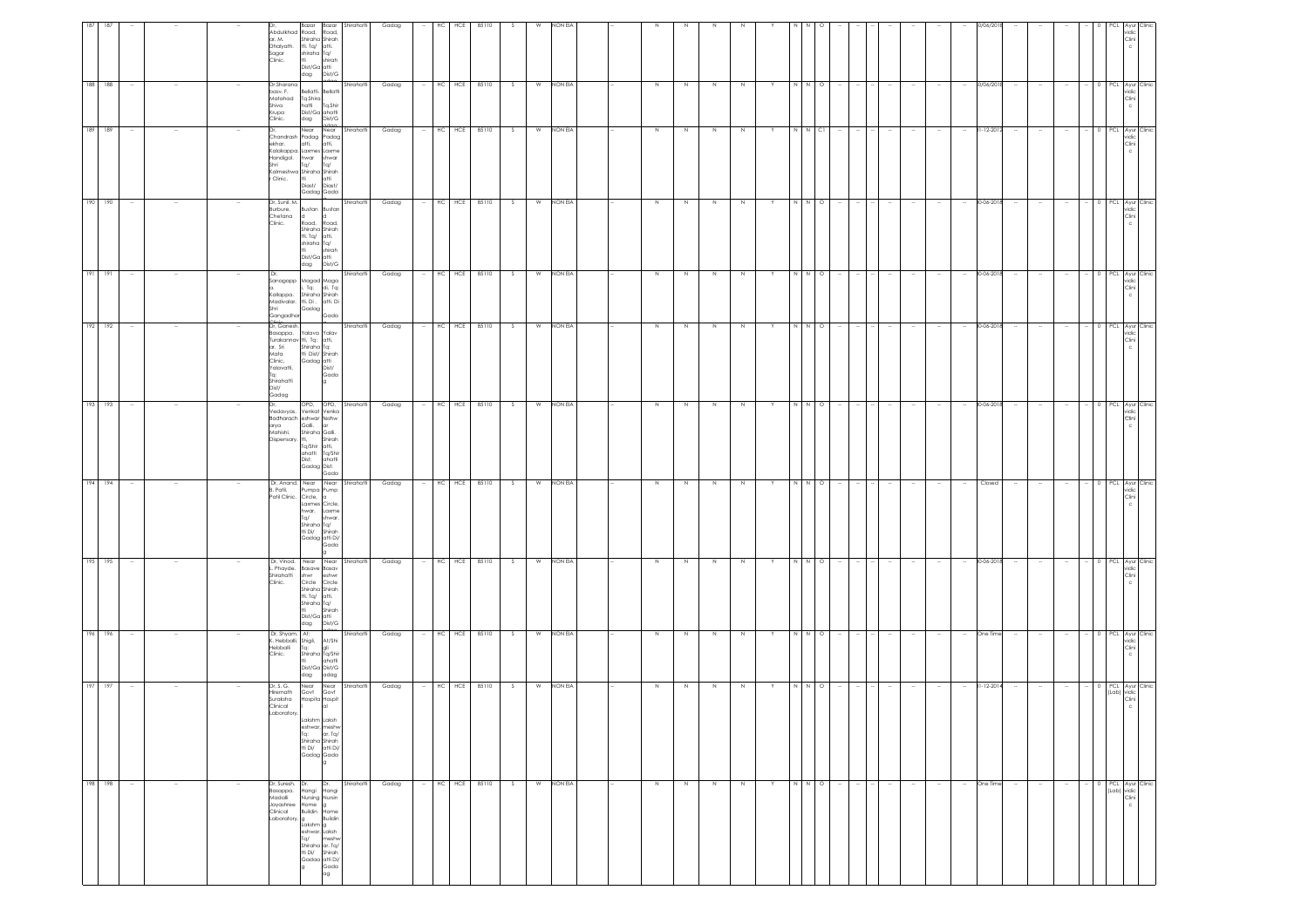|                                                                                                                            |                                                                                              |                                                                                      |                                                                                                                                 |                                                                                                                           |                                                                                                               |                                                                                                |                                                                                       |                                                                                                                             | 189                                                                             |                                                                           |                                                                                        |
|----------------------------------------------------------------------------------------------------------------------------|----------------------------------------------------------------------------------------------|--------------------------------------------------------------------------------------|---------------------------------------------------------------------------------------------------------------------------------|---------------------------------------------------------------------------------------------------------------------------|---------------------------------------------------------------------------------------------------------------|------------------------------------------------------------------------------------------------|---------------------------------------------------------------------------------------|-----------------------------------------------------------------------------------------------------------------------------|---------------------------------------------------------------------------------|---------------------------------------------------------------------------|----------------------------------------------------------------------------------------|
| 198 198                                                                                                                    | 197 197                                                                                      | 196 196                                                                              | 195 195                                                                                                                         | 194 194                                                                                                                   | 193 193                                                                                                       | 192 192                                                                                        | 191 191                                                                               | 190 190                                                                                                                     | 189                                                                             | 188 188                                                                   |                                                                                        |
| $\sim$                                                                                                                     | $\sim$                                                                                       | $\overline{\phantom{a}}$                                                             | $\sim$                                                                                                                          | - 11                                                                                                                      | $\overline{\phantom{a}}$                                                                                      | $\overline{\phantom{a}}$                                                                       |                                                                                       | $\sim$                                                                                                                      |                                                                                 | $\sim$                                                                    |                                                                                        |
| $\sim$                                                                                                                     |                                                                                              |                                                                                      |                                                                                                                                 |                                                                                                                           |                                                                                                               |                                                                                                |                                                                                       |                                                                                                                             |                                                                                 |                                                                           |                                                                                        |
|                                                                                                                            |                                                                                              |                                                                                      |                                                                                                                                 |                                                                                                                           |                                                                                                               |                                                                                                |                                                                                       |                                                                                                                             |                                                                                 |                                                                           |                                                                                        |
| $\sim$                                                                                                                     |                                                                                              |                                                                                      |                                                                                                                                 |                                                                                                                           |                                                                                                               |                                                                                                |                                                                                       |                                                                                                                             |                                                                                 |                                                                           |                                                                                        |
| Dr, Suresh. Dr.<br>lasappa.<br>Madalli<br>Jayashree<br>Clinical<br>Laboratory. g<br>Lakshm g<br>eshwar. Laksh<br>Tq/ meshw | Dr, S. G.<br>Hiremath<br>Suraksha<br>Clinical<br>Laboratory.                                 | Dr, Shyam.<br>illoddel<br>Clinic.                                                    | Dr, Vinad.<br>Phayde.<br>Shirahatti<br>Clinic.                                                                                  | Dr, Anand. Near Near Shirahatti<br>B. Patil.                                                                              | /edavyas.<br>Bodharach eshwar teshw<br>arya Galli. ar<br>Mahishi,<br>Dispensary, tti,                         | Dr, Ganesh.<br>asappa.<br>Mata<br>Clinic,<br>Yalavatti,<br>Tq:<br>Shirahatti<br>Dist/<br>Gadag | Sanagapp Magad Maga<br>Kallappa.<br>Madivalar.<br>Shri<br>Gangadhar                   | Dr, Sunil. M.<br>Burbure.<br>Chetana<br>Clinic.                                                                             | Chandrash Padag Padag<br>ekhar.<br>Kalakappa. Laxmes Laxme<br>Handigol.<br>Shri | Dr.Sharana<br>basv. F.<br>Matahad<br>Shiva<br>Krupa<br>Clinic.            | Abdulkhad Road, Road,<br>ar. M.<br>Dhalyath.<br>Sagar<br>Clinic.                       |
| Hangi Hangi<br>Nursing Nursin<br>Home<br>Buildin<br>g Buildin<br>shiraha ar. Ta/<br>tti Di/ Shirah<br>Gadaa atti Di/       | Near Near<br>Govt Govt<br>Hospita Hospit<br>Shiraha Shirah<br>tti Di/ atti Di/<br>Gadag Gada | At:<br>. Hebballi. Shigli, At/Shi<br>Tq:<br>Shiraha Tq/Shir<br>Dist/Ga Dist/G<br>dag | <b>Basave Basav</b><br>shwr<br>Circle Circle<br>Shiraha Shirah<br>tti, Tq/ atti,<br>Shiraha Tq/<br>tti -<br>Dist/Ga atti<br>dag | Pumpa Pump<br>Patil Clinic. Circle, a<br>Laxmes Circle,<br>hwar. Laxme<br>Tq/<br>Shiraha Tq/<br>tti Di/<br>Gadag atti Di/ | OPD, OPD,<br>Venkat Venka<br>Shiraha Galli.<br>Tq/Shir atti,<br>ahatti Ta/Shir<br>Dist: ahatti<br>Gadag Dist: | Yalava Yalav<br>tti Dist/ Shirah<br>Gadag atti<br>Dist/                                        | , Tq: di, Tq:<br>Shiraha Shirah<br>tti, Di . atti, Di<br>tti. La .<br>Gadag .<br>Gada | Bustan Bustan<br>d  <br>Road, Road,<br>Shiraha Shirah<br>tti. Ta/ atti.<br>shiraha Ta/<br>Ħi.<br>Dist/Ga atti<br>dag Dist/G | Near Near<br>atti,<br>hwar<br>Tq/<br>Diast/ Diast/<br>Gadag Gada                | Bellatti. Bellatti<br>Tq.Shira.<br>hatti Tq.Shir<br>Dist/Ga ahatti<br>dag | Shiraha Shirah<br>tti. Tq/ atti.<br>shiraha Tq/<br>tti i<br>Dist/Ga atti<br>dag Dist/G |
| Dr.<br>Gada<br>ag                                                                                                          | al<br>la                                                                                     | gli<br>ahatti<br>adag                                                                | eshwr<br>Shirah<br>Dist/G                                                                                                       | shwar.<br>Shirah<br>Gada                                                                                                  | Shirah<br>Gada                                                                                                | Gada                                                                                           |                                                                                       | $\vert d \vert$<br>shirah                                                                                                   | atti,<br>shwar<br>Tq/                                                           | Dist/G                                                                    | shirah                                                                                 |
| Shirahatti                                                                                                                 | Shirahatti                                                                                   | Shirahatti                                                                           | Near Near Shirahatti                                                                                                            |                                                                                                                           | Shirahatti                                                                                                    | Shirahatti                                                                                     | Shirahatti                                                                            | Shirahatti                                                                                                                  | Shirahatti                                                                      | Shirahatti                                                                | Bazar Bazar Shirahatti                                                                 |
| Gadag                                                                                                                      | Gadag                                                                                        | Gadag                                                                                | Gadag                                                                                                                           | Gadag                                                                                                                     | Gadag                                                                                                         | Gadag                                                                                          | Gadag                                                                                 | Gadag                                                                                                                       | Gadag                                                                           | Gadag                                                                     | Gadag                                                                                  |
|                                                                                                                            | $\sim$                                                                                       |                                                                                      |                                                                                                                                 |                                                                                                                           |                                                                                                               |                                                                                                |                                                                                       |                                                                                                                             |                                                                                 |                                                                           |                                                                                        |
| HCE<br>HC                                                                                                                  |                                                                                              | HCE<br>нc                                                                            | HC                                                                                                                              |                                                                                                                           | HC HCE                                                                                                        | HCE<br>HC                                                                                      |                                                                                       |                                                                                                                             | HCE<br>НC                                                                       | HC<br>HCE                                                                 | HCE<br>HС                                                                              |
| 85110                                                                                                                      |                                                                                              | 85110<br>HC HCE 85110                                                                | HCE<br>85110                                                                                                                    | HC HCE 85110                                                                                                              | 85110                                                                                                         | 85110                                                                                          | HC HCE 85110                                                                          | $-$ HC HCE 85110                                                                                                            | 85110                                                                           | 85110                                                                     | 85110                                                                                  |
| S.                                                                                                                         | S                                                                                            | S.                                                                                   | S.                                                                                                                              | - S                                                                                                                       | S.                                                                                                            | S.                                                                                             | S.                                                                                    | $\mathbf{s}$                                                                                                                |                                                                                 | S.                                                                        |                                                                                        |
| W                                                                                                                          | W                                                                                            | W                                                                                    | W                                                                                                                               | W                                                                                                                         | W                                                                                                             | W                                                                                              | W                                                                                     | W                                                                                                                           | W                                                                               | W                                                                         | W                                                                                      |
| NON EIA                                                                                                                    | NON EIA                                                                                      | NON EIA                                                                              | NON EIA                                                                                                                         | NON EIA                                                                                                                   | NON EIA                                                                                                       | NON EIA                                                                                        | NON EIA                                                                               | NON EIA                                                                                                                     | NON EIA                                                                         | NON EIA                                                                   | NON EIA                                                                                |
|                                                                                                                            |                                                                                              |                                                                                      |                                                                                                                                 |                                                                                                                           |                                                                                                               |                                                                                                |                                                                                       |                                                                                                                             |                                                                                 |                                                                           |                                                                                        |
|                                                                                                                            |                                                                                              |                                                                                      |                                                                                                                                 |                                                                                                                           |                                                                                                               |                                                                                                |                                                                                       |                                                                                                                             |                                                                                 |                                                                           |                                                                                        |
| N                                                                                                                          | N                                                                                            | N                                                                                    | N                                                                                                                               | N                                                                                                                         | $\,$ N                                                                                                        | $\,N\,$                                                                                        | $\,N\,$                                                                               | Z                                                                                                                           | $\,$ N                                                                          | N                                                                         |                                                                                        |
| N                                                                                                                          | N                                                                                            | N                                                                                    | N.                                                                                                                              | N                                                                                                                         | $\,N\,$                                                                                                       | N                                                                                              | $\,N\,$                                                                               | Z                                                                                                                           | N                                                                               | N                                                                         |                                                                                        |
| N                                                                                                                          | N                                                                                            | N                                                                                    | N                                                                                                                               | N                                                                                                                         | $\,$ N                                                                                                        | N                                                                                              | $\,$ N                                                                                | Z                                                                                                                           | N                                                                               | N                                                                         |                                                                                        |
| $\,N\,$                                                                                                                    | N                                                                                            | N                                                                                    | N                                                                                                                               | N                                                                                                                         | N                                                                                                             | N                                                                                              | $\,$ N                                                                                | $\,$ N                                                                                                                      | N                                                                               | N                                                                         |                                                                                        |
| Y                                                                                                                          | Y                                                                                            | Y.                                                                                   |                                                                                                                                 |                                                                                                                           | Y                                                                                                             |                                                                                                |                                                                                       |                                                                                                                             |                                                                                 |                                                                           |                                                                                        |
| $N$ $N$ $Q$                                                                                                                | N N O                                                                                        |                                                                                      | N N                                                                                                                             | NNI                                                                                                                       |                                                                                                               |                                                                                                | $N$ $N$ $Q$                                                                           | N N O                                                                                                                       |                                                                                 | N N                                                                       |                                                                                        |
|                                                                                                                            |                                                                                              | $\circ$                                                                              | $\circ$                                                                                                                         | $\circ$                                                                                                                   | $\circ$                                                                                                       | $\circ$                                                                                        |                                                                                       |                                                                                                                             | Сl                                                                              | $\circ$                                                                   |                                                                                        |
| $\sim$                                                                                                                     |                                                                                              |                                                                                      |                                                                                                                                 |                                                                                                                           |                                                                                                               |                                                                                                |                                                                                       |                                                                                                                             |                                                                                 |                                                                           |                                                                                        |
| $\sim$                                                                                                                     |                                                                                              |                                                                                      |                                                                                                                                 |                                                                                                                           |                                                                                                               |                                                                                                |                                                                                       |                                                                                                                             |                                                                                 |                                                                           |                                                                                        |
| $\sim$                                                                                                                     | $\sim$                                                                                       |                                                                                      | $\sim$                                                                                                                          |                                                                                                                           | $\sim$                                                                                                        |                                                                                                |                                                                                       | $\sim$                                                                                                                      |                                                                                 | $\sim$                                                                    |                                                                                        |
| $\sim$                                                                                                                     | $\sim$                                                                                       |                                                                                      |                                                                                                                                 |                                                                                                                           | $\overline{\phantom{a}}$                                                                                      |                                                                                                |                                                                                       | $\sim$                                                                                                                      |                                                                                 | $\sim$                                                                    |                                                                                        |
| $\sim$                                                                                                                     | $\sim$                                                                                       |                                                                                      | $\sim$                                                                                                                          |                                                                                                                           | $\overline{\phantom{a}}$                                                                                      |                                                                                                |                                                                                       | $\sim$                                                                                                                      |                                                                                 | $\sim$                                                                    |                                                                                        |
| One Time                                                                                                                   | $31 - 12 - 201$                                                                              | One Time                                                                             | 30-06-2018                                                                                                                      | Closed                                                                                                                    | 30-06-2018                                                                                                    | 30-06-201                                                                                      | 80-06-2018                                                                            | 30-06-2018                                                                                                                  | 81-12-201                                                                       | 80/06/201                                                                 | 10/06/20                                                                               |
| $\sim$                                                                                                                     | $\sim$                                                                                       |                                                                                      | $\sim$                                                                                                                          |                                                                                                                           |                                                                                                               |                                                                                                |                                                                                       | $\sim$                                                                                                                      |                                                                                 | $\sim$                                                                    |                                                                                        |
| $\sim$                                                                                                                     |                                                                                              |                                                                                      | $\sim$                                                                                                                          |                                                                                                                           |                                                                                                               |                                                                                                |                                                                                       |                                                                                                                             |                                                                                 |                                                                           |                                                                                        |
|                                                                                                                            | $\sim$                                                                                       |                                                                                      |                                                                                                                                 |                                                                                                                           |                                                                                                               |                                                                                                |                                                                                       | $\sim$                                                                                                                      |                                                                                 | $\sim$                                                                    |                                                                                        |
|                                                                                                                            |                                                                                              |                                                                                      |                                                                                                                                 |                                                                                                                           |                                                                                                               |                                                                                                |                                                                                       |                                                                                                                             |                                                                                 |                                                                           |                                                                                        |
| (Lab) vidic<br>Clini                                                                                                       |                                                                                              |                                                                                      |                                                                                                                                 |                                                                                                                           |                                                                                                               |                                                                                                |                                                                                       |                                                                                                                             |                                                                                 |                                                                           |                                                                                        |
| 0 PCL Ayur Clinic<br>$_{\rm c}$                                                                                            | 0 PCL Ayur Clinic<br>(Lab) vidic<br>Clini                                                    | PCL Ayur Clinic<br>vidic<br>Clini                                                    | PCL Ayur Clinic<br>vidic<br>Clini<br>c                                                                                          | PCL Ayur Clinic<br>vidic<br>Clini<br>c                                                                                    | 0 PCL Ayur Clinic<br>vidic<br>Clini                                                                           | PCL Ayur Clinic<br>vidic<br>Clini                                                              | 0 PCL Ayur Clinic<br>vidic<br>Clini                                                   | 0 PCL Ayur Clinic<br>vidic<br>Clini                                                                                         | PCL Ayur Clini<br>vidic<br>Clini                                                | 0 PCL Ayur Clinic<br>vidic<br>Clini<br>$\mathsf{c}$                       | vidic<br>Clini                                                                         |
|                                                                                                                            |                                                                                              |                                                                                      |                                                                                                                                 |                                                                                                                           |                                                                                                               |                                                                                                |                                                                                       |                                                                                                                             |                                                                                 |                                                                           |                                                                                        |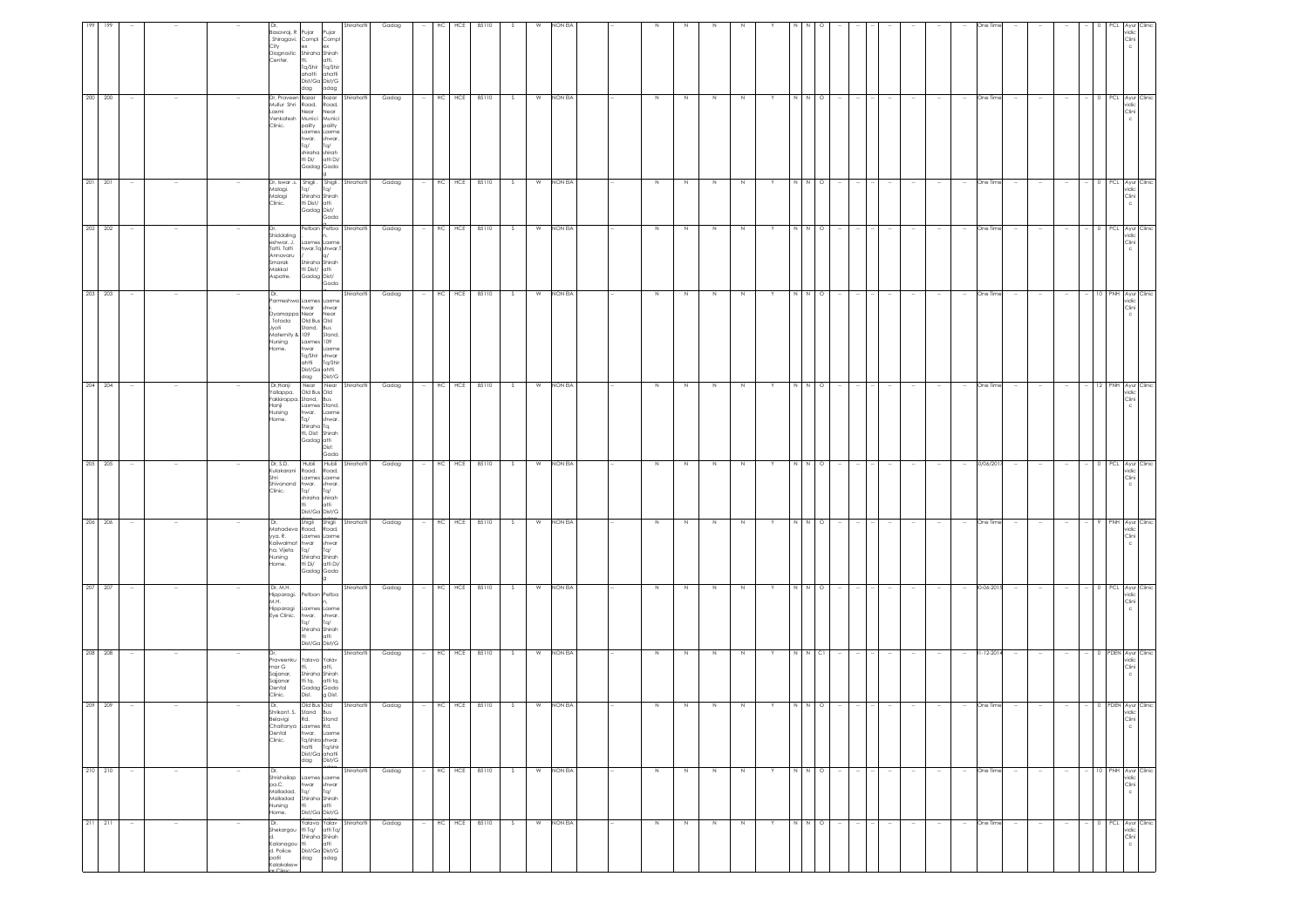| 211 211                                                                                         | 210 210                                                                                              | 209 209                                                                                 | 208 208                                                                   | 207 207                                                                 |                                                                                          | 206 206                                                             | 204 204<br>205 205                                                                                             | 203 203                                                                                                                                                            | 202                                                                                         | 201 201                                                                    | 200 200                                                                                         |                                                                                             |
|-------------------------------------------------------------------------------------------------|------------------------------------------------------------------------------------------------------|-----------------------------------------------------------------------------------------|---------------------------------------------------------------------------|-------------------------------------------------------------------------|------------------------------------------------------------------------------------------|---------------------------------------------------------------------|----------------------------------------------------------------------------------------------------------------|--------------------------------------------------------------------------------------------------------------------------------------------------------------------|---------------------------------------------------------------------------------------------|----------------------------------------------------------------------------|-------------------------------------------------------------------------------------------------|---------------------------------------------------------------------------------------------|
|                                                                                                 |                                                                                                      |                                                                                         |                                                                           |                                                                         |                                                                                          |                                                                     |                                                                                                                |                                                                                                                                                                    | 202                                                                                         |                                                                            |                                                                                                 |                                                                                             |
| $\sim$                                                                                          |                                                                                                      |                                                                                         |                                                                           |                                                                         |                                                                                          |                                                                     | $\sim$                                                                                                         | $\sim$                                                                                                                                                             | $\sim$                                                                                      | $\sim$                                                                     |                                                                                                 |                                                                                             |
| $\sim$                                                                                          |                                                                                                      |                                                                                         |                                                                           |                                                                         |                                                                                          |                                                                     |                                                                                                                |                                                                                                                                                                    | $\sim$                                                                                      | - 11                                                                       |                                                                                                 |                                                                                             |
|                                                                                                 |                                                                                                      |                                                                                         |                                                                           |                                                                         |                                                                                          |                                                                     |                                                                                                                |                                                                                                                                                                    |                                                                                             |                                                                            |                                                                                                 |                                                                                             |
|                                                                                                 |                                                                                                      |                                                                                         |                                                                           |                                                                         |                                                                                          |                                                                     |                                                                                                                |                                                                                                                                                                    |                                                                                             |                                                                            |                                                                                                 |                                                                                             |
|                                                                                                 |                                                                                                      |                                                                                         |                                                                           |                                                                         |                                                                                          |                                                                     |                                                                                                                |                                                                                                                                                                    |                                                                                             |                                                                            |                                                                                                 |                                                                                             |
| Dr.<br>Shekargou tti Tq/ atti Tq/<br>Kalanagou tti<br>d. Police<br>patil dag adag<br>Kalakalesw | Dr,<br>Shrishailap Laxmes Laxme<br>pa.C.<br>Malladad,<br>Malladad Shiraha Shirah<br>Nursing<br>Home. | Dr,<br>Shrikant. S. Stand Bus<br>Belavigi<br>Chaitanya Laxmes Rd.<br>Dental<br>Clinic.  | raveenku<br>mar G<br>Sajjanar,<br>Sajjanar<br>Dental<br>Clinic.           | Dr, M.H.<br>Hipparagi.<br>M.H.<br>Hipparagi<br>Eye Clinic. hwar.        | Mahadeva Road, Road,<br>yya. R.<br>Kaliwalmat hwar<br>ha, Vijeta Tq/<br>Nursing<br>Home. | Kulakarani Road, Road,<br>Shri<br>Shivanand hwar.<br>Clinic.<br>Dr, | Dr,Hanji<br>Fakkirappa. Stand, Bus<br>Hanji<br>Nursing<br>lome.<br>Dr, S.D.                                    | Dr,<br>Jyoti<br>Maternity & 109<br>Nursing<br>lome.                                                                                                                | Dr,<br>Shiddaling<br>eshwar. J.<br>Tatti, Tatti<br>Annavaru<br>Smarak<br>Makkal<br>Aspatre. | Dr, Iswar .s. Shigli . Shigli . Shirahatti<br>Malagi.<br>Malagi<br>Clinic. | Dr, Praveen Bazar Bazar Shirahatti<br>Mullur Shri Road,<br>Laxmi<br>Venkatesh Munici<br>Clinic. | Basavraj. R Pujar<br>Shiragavi. Compl Compl<br>City<br>Diagnostic Shiraha Shirah<br>Center. |
| Shiraha Shirah                                                                                  | dag Dist/G<br>hwar<br>Tq/<br>m.<br>Dist/Ga Dist/G                                                    | Old Bus Old<br>Rd.<br>hwar. Laxme<br>Tq/shira shwar.<br>hatti Ta/shir<br>Dist/Ga ahatti | Yalava Yalav<br>Shiraha Shirah<br>tti tg. atti tg.<br>Gadag Gada<br>Dist. | Petban Petba<br>Laxmes Laxme<br>Ta/<br>Shiraha Shirah<br>Dist/Ga Dist/G | Laxmes Laxme<br>Shiraha Shirah<br>tti Di/ atti Di/<br>Gadag Gada                         | Laxmes Laxme<br>Tq/<br>shiraha shirah<br>Dist/Ga Dist/G<br>Shigli   | rallappa. Old Bus Old<br>Laxmes Stand,<br>hwar. Laxme<br>Tq/<br>Shiraha Tq,<br>tti, Dist: Shirah<br>Gadag atti | Parmeshwa Laxmes Laxme<br>hwar shwar<br>)yamappa Near<br>Totada Old Bus Old<br>Stand, Bus<br>Laxmes 109<br>hwar<br>Tq/Shir<br>ahtti<br>Dist/Ga ahtti<br>dag Dist/G | Laxmes Laxme<br>hwar.Tq shwar.<br>Shiraha Shirah<br>tti Dist/ atti<br>Gadag Dist/           | Iq<br>Shiraha Shirah<br>tti Dist/ atti<br>Gadag Dist/                      | Near<br>pality<br>Laxmes Laxme<br>hwar.<br>Tq/<br>shiraha shirah<br>tti Di/<br>Gadag Gada       | ex<br>tti.<br>Tq/Shir Tq/Shir<br>ahatti<br>Dist/Ga Dist/G<br>dag                            |
| latti                                                                                           | shwar<br>Tq/<br>atti                                                                                 | Stand                                                                                   | atti.<br>g Dist.                                                          | shwar.<br>T <sub>G</sub><br>atti                                        | shwar<br>Ta/                                                                             | shwar.<br>Tq/<br>atti<br>Shigli                                     | shwar.<br>Dist:<br>Gada                                                                                        | Near<br>Stand,<br>Laxme<br>shwar<br>Tq/Shir                                                                                                                        | Gada                                                                                        | T <sub>0</sub><br>Gada                                                     | Road,<br>Near<br>Munici<br>pality<br>shwar.<br>Ta/<br>atti Di/                                  | <sup>&gt;</sup> ujar<br>atti.<br>ahatti<br>adag                                             |
| Yalava Yalav Shirahatti                                                                         | Shirahatti                                                                                           | Shirahatti                                                                              | Shirahatti                                                                | Shirahatti                                                              |                                                                                          | Shirahatti                                                          | Near Near Shirahatti<br>Hubli Hubli Shirahatti                                                                 | Shirahatti                                                                                                                                                         | Petban Petba Shirahatti                                                                     |                                                                            |                                                                                                 | Shirahatti                                                                                  |
| Gadag                                                                                           | Gadag                                                                                                | Gadag                                                                                   | Gadag                                                                     | Gadag                                                                   |                                                                                          | Gadag                                                               | Gadag<br>Gadag                                                                                                 | Gadag                                                                                                                                                              | Gadag                                                                                       | Gadag                                                                      | Gadag                                                                                           | Gadag                                                                                       |
| $\sim$                                                                                          |                                                                                                      | $\sim$                                                                                  | $\sim$                                                                    | $\sim$                                                                  |                                                                                          | $\sim$                                                              | <b>Section</b><br>$\sim$                                                                                       | $\sim$                                                                                                                                                             | $\sim$                                                                                      | $\sim$                                                                     | $\overline{\phantom{a}}$                                                                        |                                                                                             |
|                                                                                                 |                                                                                                      |                                                                                         |                                                                           |                                                                         |                                                                                          |                                                                     |                                                                                                                |                                                                                                                                                                    |                                                                                             |                                                                            |                                                                                                 | HC.                                                                                         |
|                                                                                                 |                                                                                                      |                                                                                         |                                                                           |                                                                         |                                                                                          |                                                                     |                                                                                                                |                                                                                                                                                                    | HC HCE                                                                                      |                                                                            |                                                                                                 | HCE                                                                                         |
| HC HCE 85110 S                                                                                  | HC HCE 85110                                                                                         | HC HCE 85110                                                                            | HC HCE 85110                                                              | HC HCE 85110                                                            |                                                                                          | HC HCE 85110                                                        | HC HCE 85110 \$<br>HC HCE 85110                                                                                | HC HCE 85110                                                                                                                                                       | 85110                                                                                       | HC HCE 85110                                                               | HC HCE 85110                                                                                    | 85110                                                                                       |
|                                                                                                 | S                                                                                                    | S                                                                                       | S.                                                                        | S.                                                                      |                                                                                          | - S                                                                 | S.                                                                                                             | S                                                                                                                                                                  | S.                                                                                          | S                                                                          | S                                                                                               |                                                                                             |
|                                                                                                 | W                                                                                                    | W                                                                                       | W                                                                         | W                                                                       |                                                                                          | W                                                                   | W                                                                                                              | W                                                                                                                                                                  | W                                                                                           |                                                                            | W                                                                                               | W                                                                                           |
| W NON EIA                                                                                       | NON EIA                                                                                              | NON EIA                                                                                 | NON EIA                                                                   | NON EIA                                                                 |                                                                                          | NON EIA                                                             | W NON EIA<br>NON EIA                                                                                           | NON EIA                                                                                                                                                            | NON EIA                                                                                     | W NON EIA                                                                  | NON EIA                                                                                         | NON EIA                                                                                     |
|                                                                                                 |                                                                                                      |                                                                                         |                                                                           |                                                                         |                                                                                          |                                                                     |                                                                                                                |                                                                                                                                                                    |                                                                                             |                                                                            |                                                                                                 |                                                                                             |
|                                                                                                 |                                                                                                      |                                                                                         |                                                                           |                                                                         |                                                                                          |                                                                     |                                                                                                                |                                                                                                                                                                    |                                                                                             |                                                                            |                                                                                                 |                                                                                             |
| N                                                                                               | Z                                                                                                    | N                                                                                       | N                                                                         | N                                                                       |                                                                                          | N                                                                   | N<br>N                                                                                                         | N                                                                                                                                                                  | N                                                                                           | N                                                                          | $\,$ N                                                                                          |                                                                                             |
| N                                                                                               | Z                                                                                                    | $\,N\,$                                                                                 | N                                                                         | N                                                                       |                                                                                          | N                                                                   | N<br>N                                                                                                         | N                                                                                                                                                                  | N                                                                                           | N                                                                          | $\,N\,$                                                                                         |                                                                                             |
| N                                                                                               | N                                                                                                    | $\mathbb N$                                                                             | N                                                                         | N                                                                       |                                                                                          | N                                                                   | N<br>N                                                                                                         | $\,$ N                                                                                                                                                             | N                                                                                           | N                                                                          | $\,$ N                                                                                          |                                                                                             |
| N                                                                                               | N                                                                                                    |                                                                                         | N                                                                         | N                                                                       |                                                                                          | N                                                                   | N<br>$\mathbb N$                                                                                               | N                                                                                                                                                                  | N                                                                                           | N                                                                          | $\,$ N                                                                                          |                                                                                             |
| Y                                                                                               | Y                                                                                                    |                                                                                         | Y                                                                         | Y                                                                       |                                                                                          |                                                                     | Y<br>Y                                                                                                         | Y.                                                                                                                                                                 | Y                                                                                           | Y                                                                          | Y                                                                                               |                                                                                             |
|                                                                                                 | N N                                                                                                  |                                                                                         |                                                                           | N N                                                                     |                                                                                          | I N                                                                 | N N                                                                                                            | N N                                                                                                                                                                | N N                                                                                         |                                                                            |                                                                                                 |                                                                                             |
| N N O                                                                                           | $\circ$                                                                                              |                                                                                         | N N CI                                                                    | $\circ$                                                                 |                                                                                          | $\circ$                                                             | N N O<br>$\circ$                                                                                               | $\circ$                                                                                                                                                            | $\circ$                                                                                     | N N O                                                                      | $\begin{array}{c c} \mathbf{N} & \mathbf{N} & \mathbf{O} \end{array}$                           |                                                                                             |
|                                                                                                 |                                                                                                      |                                                                                         |                                                                           |                                                                         |                                                                                          |                                                                     |                                                                                                                |                                                                                                                                                                    |                                                                                             |                                                                            |                                                                                                 |                                                                                             |
| $\sim$                                                                                          | $\sim$                                                                                               |                                                                                         |                                                                           |                                                                         |                                                                                          |                                                                     | $\sim$                                                                                                         | $\sim$                                                                                                                                                             | $\sim$                                                                                      | $\sim$                                                                     |                                                                                                 |                                                                                             |
| $\sim$                                                                                          |                                                                                                      |                                                                                         |                                                                           |                                                                         |                                                                                          |                                                                     |                                                                                                                |                                                                                                                                                                    | $\sim$                                                                                      |                                                                            |                                                                                                 |                                                                                             |
| $\sim$                                                                                          |                                                                                                      |                                                                                         |                                                                           |                                                                         |                                                                                          |                                                                     |                                                                                                                |                                                                                                                                                                    | $\sim$                                                                                      |                                                                            |                                                                                                 |                                                                                             |
| $\sim$                                                                                          |                                                                                                      |                                                                                         |                                                                           |                                                                         |                                                                                          |                                                                     | $\sim$                                                                                                         | $\overline{\phantom{a}}$                                                                                                                                           | $\sim$                                                                                      | $\sim$                                                                     |                                                                                                 |                                                                                             |
| $\sim$                                                                                          | $\sim$                                                                                               |                                                                                         |                                                                           | $\sim$                                                                  |                                                                                          |                                                                     | $\sim$<br>$\sim$                                                                                               | $\sim$                                                                                                                                                             | $\sim$                                                                                      | $\sim$                                                                     | $\overline{\phantom{a}}$                                                                        |                                                                                             |
| One Time                                                                                        | One Time                                                                                             | One Time                                                                                | $31 - 12 - 201$                                                           | 30-06-201                                                               |                                                                                          | One Time                                                            | One Time<br>80/06/201                                                                                          | One Time                                                                                                                                                           | One Time                                                                                    | One Time                                                                   | One Time                                                                                        |                                                                                             |
| $\sim$                                                                                          |                                                                                                      |                                                                                         |                                                                           |                                                                         |                                                                                          |                                                                     | $\sim$                                                                                                         | $\overline{\phantom{a}}$                                                                                                                                           | $\sim$                                                                                      | $\sim$                                                                     |                                                                                                 |                                                                                             |
| $\sim$                                                                                          |                                                                                                      |                                                                                         |                                                                           |                                                                         |                                                                                          |                                                                     |                                                                                                                |                                                                                                                                                                    | $\sim$                                                                                      |                                                                            |                                                                                                 |                                                                                             |
| $\sim$                                                                                          | $\sim$                                                                                               |                                                                                         |                                                                           |                                                                         |                                                                                          |                                                                     | $\sim$                                                                                                         | $\sim$                                                                                                                                                             | $\sim$                                                                                      | $\sim$                                                                     |                                                                                                 |                                                                                             |
|                                                                                                 | $10-1$                                                                                               |                                                                                         |                                                                           |                                                                         |                                                                                          |                                                                     |                                                                                                                | 10 I                                                                                                                                                               |                                                                                             |                                                                            |                                                                                                 |                                                                                             |
|                                                                                                 |                                                                                                      |                                                                                         |                                                                           |                                                                         |                                                                                          |                                                                     |                                                                                                                |                                                                                                                                                                    |                                                                                             |                                                                            |                                                                                                 |                                                                                             |
| 0 PCL Ayur Clinic<br>vidic<br>Clini<br>c                                                        | PNH Ayur Clinic<br>vidic<br>Clini<br>$\mathtt{c}$                                                    | PDEN Ayur Clinic<br>vidic<br>Clini<br>$\rm ^c$                                          | PDEN Ayur Clini<br>vidic<br>Clini                                         | PCL Ayur Clinic<br>vidic<br>Clini                                       | vidic<br>Clini                                                                           | vidic<br>Clini<br>PNH Ayur Clinic                                   | 12 PNH Ayur Clinic<br>vidic<br>Clini<br>PCL Ayur Clini                                                         | PNH Ayur Clinic<br>vidic<br>Clini                                                                                                                                  | 0 PCL Ayur Clinic<br>vidic<br>Clini                                                         | 0 PCL Ayur Clinic<br>vidic<br>Clini                                        | 0 PCL Ayur Clinic<br>vidic<br>Clini                                                             | vidic<br>Clini                                                                              |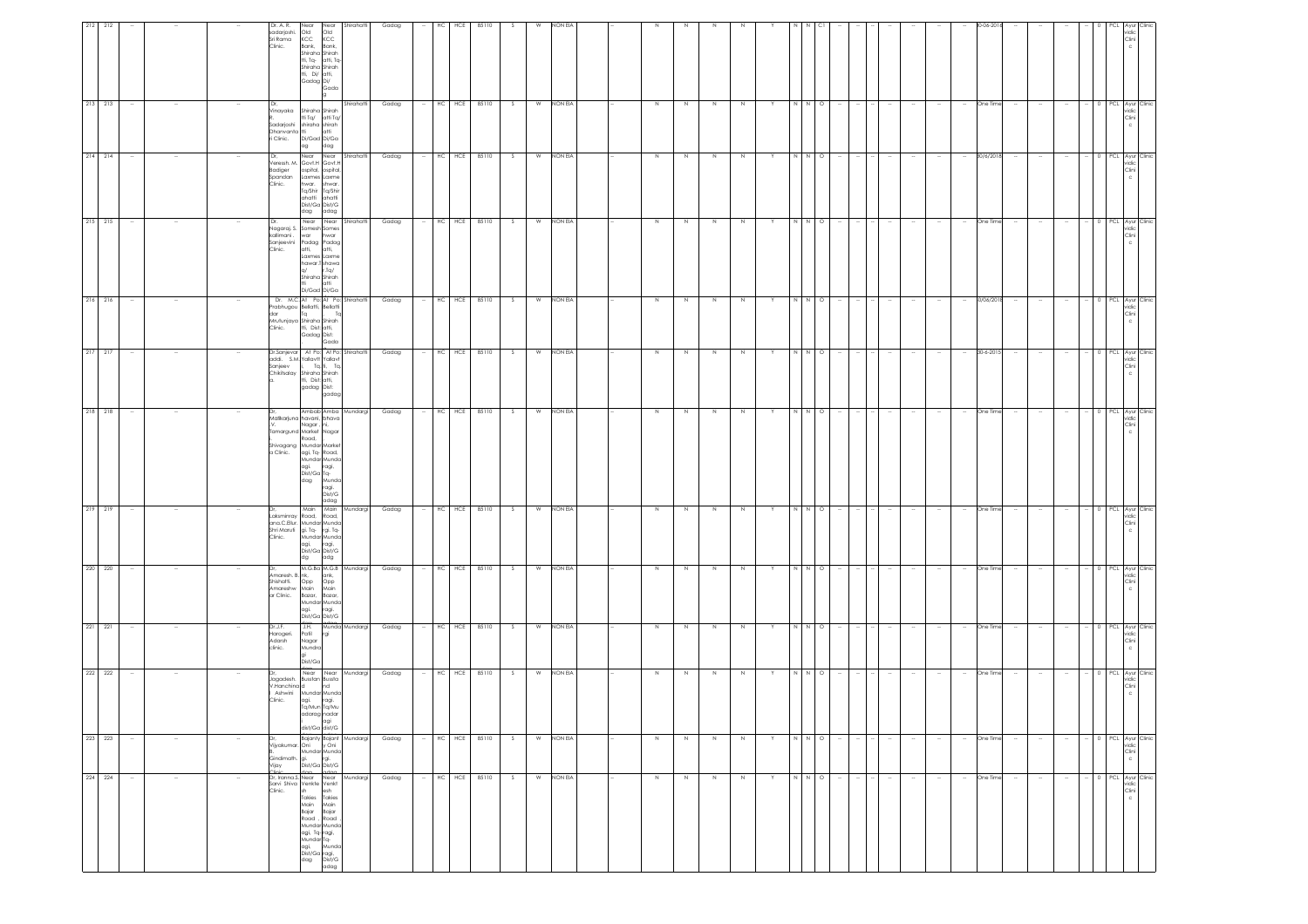|                                                                                                                     | 221 221<br>222 222 | 220 220                                                                | 219 219                                                                                                                                                                                                    | 218 218                                                                                                                                                                                                                                                     | 217 217                                                                                                                                                           | 216 216                                                                                                                                                 | 215 215                                                                                                                                                                                     | 214 214                                                                                                                                                                             | 213 213                                                                                                                                            |                                                                                                                                                                                 |
|---------------------------------------------------------------------------------------------------------------------|--------------------|------------------------------------------------------------------------|------------------------------------------------------------------------------------------------------------------------------------------------------------------------------------------------------------|-------------------------------------------------------------------------------------------------------------------------------------------------------------------------------------------------------------------------------------------------------------|-------------------------------------------------------------------------------------------------------------------------------------------------------------------|---------------------------------------------------------------------------------------------------------------------------------------------------------|---------------------------------------------------------------------------------------------------------------------------------------------------------------------------------------------|-------------------------------------------------------------------------------------------------------------------------------------------------------------------------------------|----------------------------------------------------------------------------------------------------------------------------------------------------|---------------------------------------------------------------------------------------------------------------------------------------------------------------------------------|
|                                                                                                                     |                    |                                                                        |                                                                                                                                                                                                            |                                                                                                                                                                                                                                                             |                                                                                                                                                                   |                                                                                                                                                         |                                                                                                                                                                                             |                                                                                                                                                                                     |                                                                                                                                                    |                                                                                                                                                                                 |
| $\sim$                                                                                                              |                    |                                                                        |                                                                                                                                                                                                            |                                                                                                                                                                                                                                                             |                                                                                                                                                                   |                                                                                                                                                         |                                                                                                                                                                                             |                                                                                                                                                                                     |                                                                                                                                                    |                                                                                                                                                                                 |
|                                                                                                                     |                    |                                                                        |                                                                                                                                                                                                            |                                                                                                                                                                                                                                                             |                                                                                                                                                                   |                                                                                                                                                         |                                                                                                                                                                                             |                                                                                                                                                                                     |                                                                                                                                                    |                                                                                                                                                                                 |
|                                                                                                                     |                    |                                                                        |                                                                                                                                                                                                            |                                                                                                                                                                                                                                                             |                                                                                                                                                                   |                                                                                                                                                         |                                                                                                                                                                                             |                                                                                                                                                                                     |                                                                                                                                                    |                                                                                                                                                                                 |
| Dr.J.F.<br>Harogeri.<br>Adarsh<br>clinic.                                                                           |                    | an<br>Amaresh, B. nk,<br>Shishatti, Opp<br>Amareshw Main<br>ar Clinic. |                                                                                                                                                                                                            | IDr.<br>a Clinic.                                                                                                                                                                                                                                           | Sanjeev                                                                                                                                                           | dar<br>Clinic.                                                                                                                                          | kallimani .<br>Sanjeevini<br>Clinic.                                                                                                                                                        | Dr,<br>Badiger<br>Spandan<br>Clinic.                                                                                                                                                | Dr,                                                                                                                                                | Dr. A. R.<br>sadarjoshi.<br>Sri Rama<br>Clinic.                                                                                                                                 |
| Mundar Munda<br>agi. ragi.<br>Dist/Ga Dist/G<br>J.H.<br>Munda Mundargi<br>Patil<br>Nagar<br>Mundra<br>gi<br>Dist/Ga |                    | M.G.Ba M.G.B Mundargi<br>ank,<br>Opp<br>Main<br>Bazar,<br>Bazar,       | Main Main Mundargi<br>Laksminray Road, Road,<br>ana.C.Ellur. Mundar Munda<br>Shri Maruti gi. Tq. rgi. Tq.<br>Shri Maruti gi. Tq. rgi. Tq.<br>Clinic. Mundar Munda<br>gi, ragi, Dist/Ga Dist/G<br>dg<br>adg | Ambab Amba Mundargi<br>Malikarjuna havani, bhava<br>Namarjona<br>Nagar, ni,<br>Tamargund Market Nagar<br>Road,<br>Shivagang Mundar Market<br>agi, Tq- Road,<br>Mundar Mundo<br>agi. ragi<br>Dist/Ga Tq.<br>ragi,<br>dag<br>Munda<br>ragi.<br>Dist/G<br>adag | Dr.Sanjevar At Po: At Po: Shirahatti<br>addi. S.M. Yallavtt Yallavt<br>i, Tq. ti, Tq<br>Chikitsalay Shiraha Shirah<br>a. tti, Dist: atti,<br>gadag Dist:<br>gadag | Dr. M.C. At Po: At Po: Shirahatti<br>Prabhugou Bellatti, Bellatti<br>Tq<br>. т.<br>Mrutunjaya Shiraha Shirah<br>tti, Dist: atti,<br>Gadag Dist:<br>Gada | Near Near Shirahatti<br>Nagaraj. S. Somesh Somes<br>war<br>hwar<br>Padag Padag<br>atti,<br>atti,<br>Laxmes Laxme<br>hawar.T shawa<br>q/<br>r.Tq/<br>Shiraha Shirah<br>latti<br>Di/Gad Di/Ga | Near Near<br>Shirahatti<br>Veressh. M. Govt.H Govt.H<br>ospital,<br>ospital<br>Laxmes Laxme<br>hwar.<br>shwar.<br>Tq/Shir Tq/Shir<br>ahatti ahatti<br>Dist/Ga Dist/G<br>dag<br>adag | Shirahatti<br>Vinayaka Shiraha Shirah<br>tti Tq/ atti Tq/<br>sadarjoshi<br>Dhanvanta tti ani<br>Li Clinic. Di/Gad Di/Ga I<br>Li Clinic. Di/Gad dag | Shirahatti<br>Near<br>Near<br>$Old$<br>$KCC$<br>Old<br>KCC<br>Bank,<br>Bank,<br>Shiraha Shirah<br>tti, Tq-<br>atti, To<br>Shiraha Shirah<br>tti, Di/ atti,<br>Gadag Di/<br>Gada |
|                                                                                                                     |                    |                                                                        |                                                                                                                                                                                                            |                                                                                                                                                                                                                                                             |                                                                                                                                                                   |                                                                                                                                                         |                                                                                                                                                                                             |                                                                                                                                                                                     |                                                                                                                                                    |                                                                                                                                                                                 |
| Gadag                                                                                                               |                    | Gadag                                                                  | Gadag                                                                                                                                                                                                      | Gadag                                                                                                                                                                                                                                                       | Gadag                                                                                                                                                             | Gadag                                                                                                                                                   | Gadag                                                                                                                                                                                       | Gadag                                                                                                                                                                               | Gadag                                                                                                                                              | Gadag                                                                                                                                                                           |
|                                                                                                                     |                    |                                                                        |                                                                                                                                                                                                            |                                                                                                                                                                                                                                                             |                                                                                                                                                                   |                                                                                                                                                         |                                                                                                                                                                                             |                                                                                                                                                                                     |                                                                                                                                                    |                                                                                                                                                                                 |
| HC HCE                                                                                                              |                    |                                                                        | HC HCE                                                                                                                                                                                                     | HC HCE                                                                                                                                                                                                                                                      | HC HCE                                                                                                                                                            | $HC$ $HCE$                                                                                                                                              |                                                                                                                                                                                             |                                                                                                                                                                                     | $HC$ $HCE$                                                                                                                                         | HC                                                                                                                                                                              |
| 85110                                                                                                               |                    | HC HCE 85110                                                           | 85110                                                                                                                                                                                                      | 85110                                                                                                                                                                                                                                                       | 85110                                                                                                                                                             | 85110                                                                                                                                                   | HC HCE 85110                                                                                                                                                                                | HC HCE 85110                                                                                                                                                                        | 85110                                                                                                                                              | HCE<br>85110                                                                                                                                                                    |
| S                                                                                                                   |                    |                                                                        | s.                                                                                                                                                                                                         | S.                                                                                                                                                                                                                                                          | S.                                                                                                                                                                | -S                                                                                                                                                      | S                                                                                                                                                                                           | S                                                                                                                                                                                   | S.                                                                                                                                                 |                                                                                                                                                                                 |
| W                                                                                                                   |                    | W                                                                      | W                                                                                                                                                                                                          | W                                                                                                                                                                                                                                                           |                                                                                                                                                                   | W                                                                                                                                                       |                                                                                                                                                                                             |                                                                                                                                                                                     | W                                                                                                                                                  |                                                                                                                                                                                 |
| NON EIA                                                                                                             |                    | NON EIA                                                                | NON EIA                                                                                                                                                                                                    | NON EIA                                                                                                                                                                                                                                                     | W NON EIA                                                                                                                                                         | NON EIA                                                                                                                                                 | W NON EIA                                                                                                                                                                                   | W NON EIA                                                                                                                                                                           | NON EIA                                                                                                                                            | NON EL                                                                                                                                                                          |
|                                                                                                                     |                    |                                                                        |                                                                                                                                                                                                            |                                                                                                                                                                                                                                                             |                                                                                                                                                                   |                                                                                                                                                         |                                                                                                                                                                                             |                                                                                                                                                                                     |                                                                                                                                                    |                                                                                                                                                                                 |
| $\,$ N                                                                                                              |                    | $\,$ N                                                                 | N                                                                                                                                                                                                          | N                                                                                                                                                                                                                                                           | N                                                                                                                                                                 | N                                                                                                                                                       | Z                                                                                                                                                                                           | $\,$ N                                                                                                                                                                              | N                                                                                                                                                  |                                                                                                                                                                                 |
| N                                                                                                                   |                    | N                                                                      | N                                                                                                                                                                                                          | N                                                                                                                                                                                                                                                           | N                                                                                                                                                                 | N                                                                                                                                                       | N                                                                                                                                                                                           | N                                                                                                                                                                                   | N                                                                                                                                                  |                                                                                                                                                                                 |
| $\,$ N<br>$\mathbb N$                                                                                               |                    | N                                                                      | N<br>N                                                                                                                                                                                                     | N<br>N                                                                                                                                                                                                                                                      | $\,$ N                                                                                                                                                            | N<br>$\mathbb{N}$                                                                                                                                       | Z<br>$\mathbb N$                                                                                                                                                                            | Z<br>$\mathbb N$                                                                                                                                                                    | N<br>N                                                                                                                                             |                                                                                                                                                                                 |
| Y                                                                                                                   |                    |                                                                        | Y                                                                                                                                                                                                          | Y                                                                                                                                                                                                                                                           |                                                                                                                                                                   |                                                                                                                                                         |                                                                                                                                                                                             |                                                                                                                                                                                     |                                                                                                                                                    |                                                                                                                                                                                 |
| $\,$ N                                                                                                              |                    | N                                                                      | N N O                                                                                                                                                                                                      | N                                                                                                                                                                                                                                                           | $\overline{N}$<br>N                                                                                                                                               | N                                                                                                                                                       | N N O                                                                                                                                                                                       | N N O                                                                                                                                                                               | - N                                                                                                                                                |                                                                                                                                                                                 |
| $N$ 0                                                                                                               |                    | $N$ O                                                                  |                                                                                                                                                                                                            | N O                                                                                                                                                                                                                                                         | $\circ$                                                                                                                                                           | $N$ 0                                                                                                                                                   |                                                                                                                                                                                             |                                                                                                                                                                                     | N O                                                                                                                                                |                                                                                                                                                                                 |
| $\sim$                                                                                                              |                    |                                                                        |                                                                                                                                                                                                            |                                                                                                                                                                                                                                                             |                                                                                                                                                                   |                                                                                                                                                         |                                                                                                                                                                                             |                                                                                                                                                                                     |                                                                                                                                                    |                                                                                                                                                                                 |
|                                                                                                                     |                    |                                                                        |                                                                                                                                                                                                            |                                                                                                                                                                                                                                                             |                                                                                                                                                                   |                                                                                                                                                         |                                                                                                                                                                                             |                                                                                                                                                                                     |                                                                                                                                                    |                                                                                                                                                                                 |
| $\sim$<br>$\sim$                                                                                                    |                    |                                                                        | $\sim$                                                                                                                                                                                                     |                                                                                                                                                                                                                                                             |                                                                                                                                                                   |                                                                                                                                                         |                                                                                                                                                                                             | $\sim$                                                                                                                                                                              |                                                                                                                                                    |                                                                                                                                                                                 |
| $\sim$                                                                                                              |                    |                                                                        | $\sim$                                                                                                                                                                                                     |                                                                                                                                                                                                                                                             |                                                                                                                                                                   |                                                                                                                                                         |                                                                                                                                                                                             | $\sim$                                                                                                                                                                              |                                                                                                                                                    |                                                                                                                                                                                 |
| $\sim$                                                                                                              |                    |                                                                        | $\sim$                                                                                                                                                                                                     |                                                                                                                                                                                                                                                             |                                                                                                                                                                   |                                                                                                                                                         |                                                                                                                                                                                             | $\sim$                                                                                                                                                                              |                                                                                                                                                    |                                                                                                                                                                                 |
| One Time                                                                                                            |                    | One Time                                                               | One Time                                                                                                                                                                                                   | One Time                                                                                                                                                                                                                                                    | 30-6-2015                                                                                                                                                         | 80/06/201                                                                                                                                               | One Time                                                                                                                                                                                    | 30/6/2018                                                                                                                                                                           | One Time                                                                                                                                           |                                                                                                                                                                                 |
| $\sim$                                                                                                              |                    |                                                                        | $\sim$                                                                                                                                                                                                     |                                                                                                                                                                                                                                                             |                                                                                                                                                                   |                                                                                                                                                         |                                                                                                                                                                                             |                                                                                                                                                                                     |                                                                                                                                                    |                                                                                                                                                                                 |
| $\overline{\phantom{a}}$                                                                                            |                    |                                                                        |                                                                                                                                                                                                            |                                                                                                                                                                                                                                                             |                                                                                                                                                                   |                                                                                                                                                         |                                                                                                                                                                                             |                                                                                                                                                                                     |                                                                                                                                                    |                                                                                                                                                                                 |
| $\sim$                                                                                                              |                    |                                                                        | $\sim$                                                                                                                                                                                                     |                                                                                                                                                                                                                                                             |                                                                                                                                                                   |                                                                                                                                                         |                                                                                                                                                                                             | $\sim$                                                                                                                                                                              |                                                                                                                                                    |                                                                                                                                                                                 |
|                                                                                                                     |                    |                                                                        |                                                                                                                                                                                                            |                                                                                                                                                                                                                                                             |                                                                                                                                                                   |                                                                                                                                                         |                                                                                                                                                                                             |                                                                                                                                                                                     |                                                                                                                                                    |                                                                                                                                                                                 |
| 0 PCL Ayur Clinic<br>vidic<br>Clini                                                                                 |                    | PCL Ayur Clin<br>vidic<br>Clini                                        | 0 PCL Ayur Clinic<br>vidic<br>Clini                                                                                                                                                                        | vidic<br>Clini                                                                                                                                                                                                                                              | PCL Ayur Clinic<br>vidic<br>Clini                                                                                                                                 | PCL Ayur Clinic<br>vidic<br>Clini<br>c                                                                                                                  | PCL Ayur Clini<br>vidic<br>Clini                                                                                                                                                            | 0 PCL Ayur Clinic<br>vidic<br>Clini                                                                                                                                                 | PCL Ayur Clinic<br>vidic<br>Clini                                                                                                                  | vidic<br>Clini                                                                                                                                                                  |
|                                                                                                                     |                    |                                                                        |                                                                                                                                                                                                            | PCL Ayur Clinic                                                                                                                                                                                                                                             |                                                                                                                                                                   |                                                                                                                                                         |                                                                                                                                                                                             |                                                                                                                                                                                     |                                                                                                                                                    |                                                                                                                                                                                 |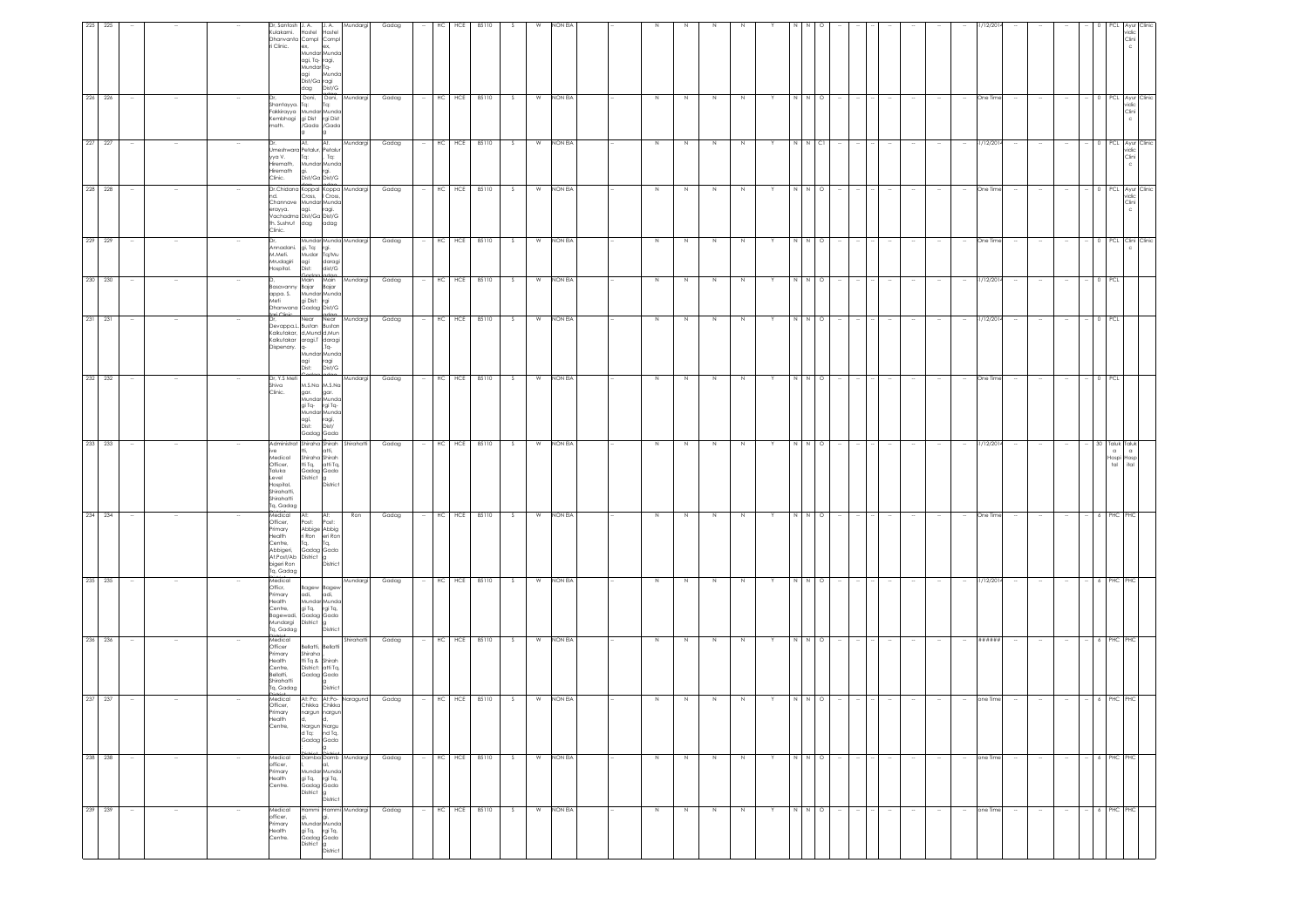| 225 225 |        |        |        | Dr, Santosh J. A.<br>Kulakarni.<br>i Clinic.                                                                 | Hostel<br>Hostel<br>Dhanvanta Compl Compl<br>ex,<br>ex,<br>Mundar Munda<br>agi, Tq- ragi,<br>Mundar Tq-<br>Munda<br>agi<br>Dist/Ga ragi<br>dag Dist/G                     | J.A. Mundargi | Gadag |        | HC. | HCE        | 85110            |     | w | NON EV    |             |         |        |             |   |               |                           |        |        |        |        |        |        | 12/21      |        |                          |                          |            |                                      | idic<br>Clini                       |  |
|---------|--------|--------|--------|--------------------------------------------------------------------------------------------------------------|---------------------------------------------------------------------------------------------------------------------------------------------------------------------------|---------------|-------|--------|-----|------------|------------------|-----|---|-----------|-------------|---------|--------|-------------|---|---------------|---------------------------|--------|--------|--------|--------|--------|--------|------------|--------|--------------------------|--------------------------|------------|--------------------------------------|-------------------------------------|--|
| 226 226 |        |        |        | Shantayya. Ta:<br>nath.                                                                                      | Doni, Doni, Mundargi<br>Tq:<br>Fakkirayya Mundar Munda<br>Kembhagi gi Dist rgi Dist<br>Gada /Gada                                                                         |               | Gadag |        |     | HC HCE     | 85110            | S.  | W | NON EIA   |             | N.      | N      | N           |   | N N           | $\circ$                   |        |        |        |        |        | $\sim$ | One Time   |        |                          |                          |            |                                      | 0 PCL Ayur Clinic<br>vidic<br>Clini |  |
| 227 227 |        |        |        | yya V.<br>Hiremath,<br>Hiremath<br>Clinic.                                                                   | Dr. At. At.<br>Umeshwara Petalur, Petalur<br>, $Tq$ :<br>Tq:<br>Mundar Munda<br>rgi.<br>gi.<br>Dist/Ga Dist/G                                                             | Mundargi      | Gadag |        |     |            | HC HCE 85110     | S   | W | NON EIA   | $\mathbb N$ | N       | $\,$ N | $\mathbb N$ |   |               | N N CI                    |        |        |        |        |        | $\sim$ | 31/12/2014 |        |                          |                          |            |                                      | PCL Ayur Clinic<br>vidic<br>Clini   |  |
| 228 228 |        |        |        | ıd.<br>th. Sushrut<br>Clinic.                                                                                | Dr.Chidana Koppal Koppa Mundargi<br>Cross, I Cross,<br>Channave Mundar Munda<br>erayya.<br>Vachadma Dist/Ga Dist/G<br>dag adag                                            |               | Gadag |        |     | HC HCE     | 85110            | S.  | W | NON EIA   | N           | N.      | N      | N           |   | N I N         | $\circ$                   |        |        |        |        |        |        | One Time   |        |                          |                          |            |                                      | PCL Ayur Clinic<br>ridia<br>Clini   |  |
| 229 229 | $\sim$ |        |        | Mrudagiri<br>Hospital.                                                                                       | Mundar Munda Mundargi<br>Annadani. gi, Tq: rgi.<br>M.Meti. Mudar Tq/Mu<br>agi daragi<br>Dist: dist/G<br>dor                                                               |               | Gadag |        |     |            | $-$ HC HCE 85110 | S   |   | W NON EIA | $\,N\,$     | N       | Z      | $\,$ N      |   | $\frac{1}{2}$ | $\circ$                   |        |        |        |        |        | $\sim$ | One Time   |        |                          | $\overline{\phantom{a}}$ |            |                                      | 0 PCL Clini Clinic                  |  |
| 230 230 |        |        |        | appa. S.<br>Meti                                                                                             | Main<br>Main<br>Basavanny Bajar Bajar<br>Mundar Munda<br>gi Dist: rgi<br>I<br>Chanwana Gadag Dist/G<br>Irai Clinic<br>Dr., Near Near Mundargi<br>Devappa.L. Bustan Bustan | Mundargi      | Gadag |        |     | HC HCE     | 85110            | - S | W | NON EIA   | $\mathbb N$ |         | N      |             |   | N             | $\circ$                   |        |        |        |        |        |        | 31/12/201  |        |                          |                          |            | PCI                                  |                                     |  |
| 231 231 | $\sim$ |        |        | Dispenary. q-                                                                                                | Kalkutakar. d.Mund d.Mun<br>Kalkutakar aragi.T daragi<br>$Ta-$<br>Mundar Munda<br>agi ragi<br>Dist: Dist/G                                                                |               | Gadag |        |     | HC HCE     | 85110            | S.  | W | NON EIA   | N           | N       | N      | N           | Y | N N           | $\circ$                   |        |        |        |        |        | $\sim$ | 31/12/201- |        |                          |                          | $^{\circ}$ | <b>PCL</b>                           |                                     |  |
| 232 232 |        |        |        | Dr, Y.S Meti<br>Shiva<br>Clinic.                                                                             | M.S.Na M.S.Na<br>gar. gar.<br>Mundar Munda<br>gi Tq- rgi Tq-<br>Mundar Munda<br>ragi,<br>agi,<br>Dist:<br>Dist/<br>Gadag Gada                                             | Mundargi      | Gadag |        |     |            | HC HCE 85110     | S   |   | W NON EIA | $\,N\,$     | N       | N      | N           |   |               | N N O                     |        |        |        |        |        |        | One Time   |        |                          |                          |            | 0 PCL                                |                                     |  |
| 233 233 |        |        |        | Administrat<br>Medical<br>Officer,<br>Taluka<br>Level<br>Hospital,<br>Shirahatti.<br>Shirahatti<br>Ta. Gadag | Shiraha Shirah Shirahatti<br>atti,<br>Shiraha Shirah<br>tti Tq, atti Tq,<br>Gadag Gada<br>District g<br>District                                                          |               | Gadag |        |     |            | HC HCE 85110     | S   | W | NON EIA   | $\,$ N      | $\,N\,$ | $\,$ N | $\,$ N      | Y |               | $N$ $N$ $O$               |        |        |        |        |        | $\sim$ | 81/12/2014 |        |                          |                          |            | 30 Taluk<br>$\alpha$<br>Hospi<br>tal | Taluk<br>$\alpha$<br>tosp<br>ital   |  |
| 234 234 |        |        |        | Medical<br>Officer,<br>Primary<br>Health<br>Centre,<br>Abbigeri,<br>Tq, Gadag                                | At:<br>At:<br>Post:<br>Post:<br>Abbige Abbig<br>ri Ron eri Ron<br>Tq,<br>Tq,<br>Gadag Gada<br>Abbrighthe District g<br>higeri Ron District District                       | Ron           | Gadag |        |     | HC HCE     | 85110            | S   | W | NON EIA   | N           | N       | N      | N           |   |               | N N O                     |        |        |        |        |        |        | One Time   |        |                          |                          |            | PHC                                  |                                     |  |
| 235 235 |        |        |        | Medical<br>Officr,<br>Primary<br>Health<br>Centre,<br>Bagewadi,<br>Mundargi<br>Tq, Gadag                     | Bagew Bagev<br>adi, adi,<br>Mundar Munda<br>gi Tq, rgi Tq,<br>Gadag Gada<br>District g<br>District                                                                        | Mundargi      | Gadag |        |     |            | HC HCE 85110     | S.  | W | NON EIA   | N           | N       | N      | N           |   |               | N N O                     |        |        |        |        |        |        | 81/12/2014 |        |                          |                          |            | 6 PHC                                |                                     |  |
| 236 236 | $\sim$ |        |        | Medical<br>Officer<br>Primary<br>Health<br>Centre,<br>Bellatti,<br>Shirahatti<br>Tq, Gadag<br>int.           | Bellatti, Bellatti<br>Shiraha<br>tti Tq & Shirah<br>District: atti Tq,<br>Gadag Gada<br>District                                                                          | Shirahatti    | Gadag |        |     | HC HCE     | 85110            | S.  | W | NON EIA   | N           | N       | N      | N           |   |               | $\circ$<br>$\overline{N}$ |        |        |        |        |        | $\sim$ | ******     |        | $\overline{\phantom{a}}$ | $\sim$                   |            | $-6$ PHC                             | ΉC                                  |  |
| 237 237 | $\sim$ |        |        | Medical<br>Officer.<br>Primary<br>Health<br>Centre,                                                          | At: Po: At:Po- Naragund<br>Chikka Chikka<br>nargun nargun<br>d, d,<br>Nargun Nargu<br>d Tq: nd Tq,<br>Gadag Gada<br>g.                                                    |               | Gadag |        |     |            | $-$ HC HCE 85110 | S   |   | W NON EIA |             |         |        | N           |   |               | $\circ$                   |        |        |        |        |        |        | one Time   |        |                          |                          |            |                                      |                                     |  |
| 238 238 | $\sim$ | $\sim$ |        | Medical<br>officer,<br>Primary<br>Health<br>Centre.                                                          | Damba Damb Mundargi<br>al,<br>Mundar Munda<br>gi Tq,       rgi Tq,<br>Gadag  Gada<br>District g<br>District                                                               |               | Gadag |        |     |            | HC HCE 85110     | S   | W | NON EIA   | N           | N       | N      | N           | Y |               | N N O                     |        | $\sim$ | $\sim$ |        |        | $\sim$ | one Time   | $\sim$ |                          |                          |            | 6 PHC                                | PHC                                 |  |
| 239 239 | $\sim$ | $\sim$ | $\sim$ | Medical<br>officer,<br>Primary<br>Health<br>Centre.                                                          | Hammi Hammi Mundargi<br>gi,<br>gi,<br>Mundar Munda<br>gi Tq, rgi Tq,<br>Gadag Gada<br>District g<br>District                                                              |               | Gadag | $\sim$ |     | $HC$ $HCE$ | 85110            | S   | W | NON EIA   | $\,$ N      | N       | $\,$ N | $\mathbb N$ | Y |               | N N O                     | $\sim$ | $\sim$ | $\sim$ | $\sim$ | $\sim$ | $\sim$ | one Time   | $\sim$ | $\sim$                   | $\sim$                   |            | 6 PHC                                | PHC                                 |  |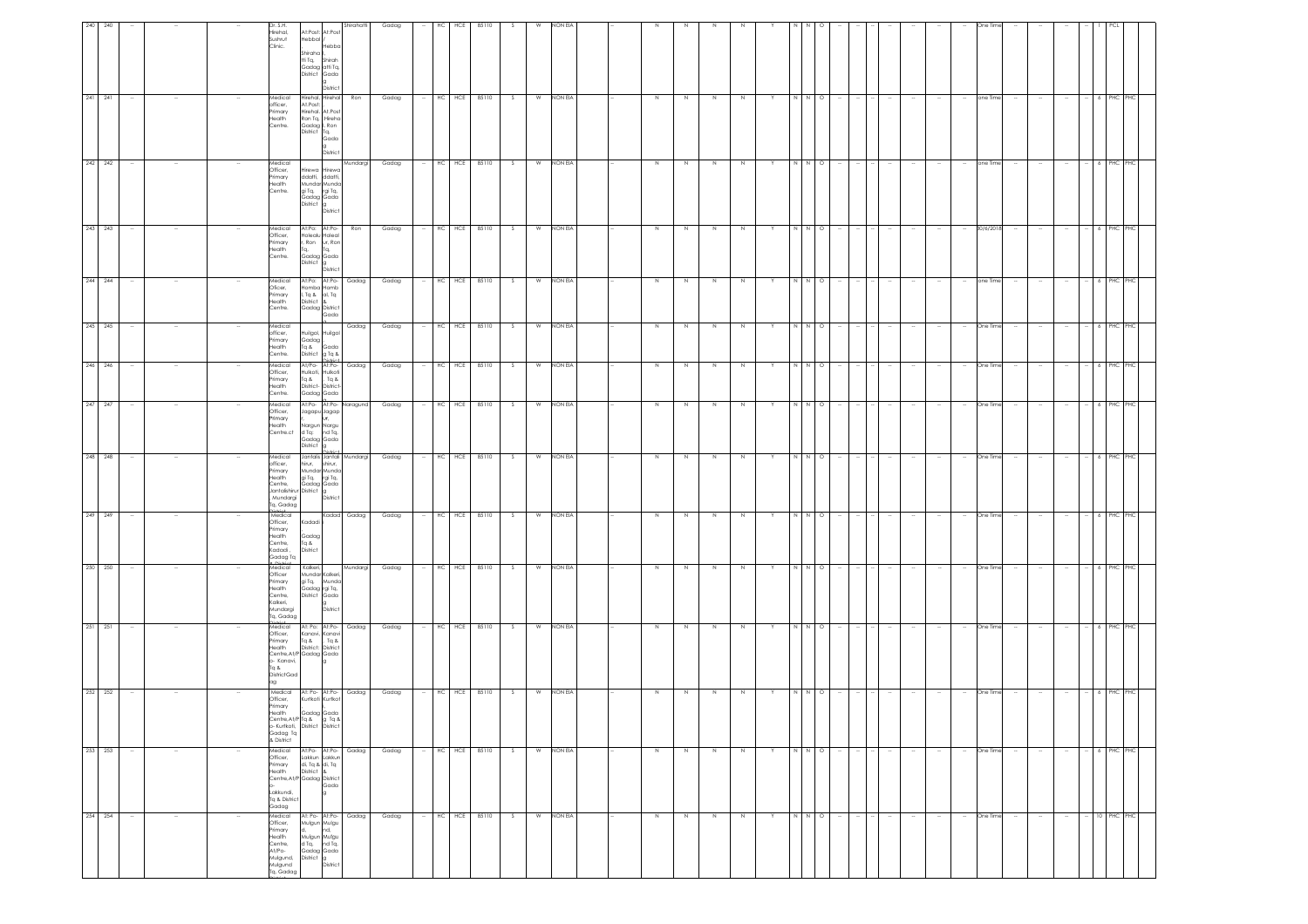| 240                |                          |        |        | Dr. S.H.<br>Hirehal,<br>Sushrut<br>Clinic.                                                                                                            | At:Post: At:Post<br>Hebbal /<br>Shiraha<br>tti Tq,<br>Gadag atti Tq,<br>District Gada               | Hebbc<br>Shirah<br><b>District</b> | Shirahatti             | Gadag          | нc     | HCE       | 85110                 |         | NON E                        |  |                  |              |             |              |    |                   |                    |        |                  |        |        |                      |                          |        |                          |            |                      |  |
|--------------------|--------------------------|--------|--------|-------------------------------------------------------------------------------------------------------------------------------------------------------|-----------------------------------------------------------------------------------------------------|------------------------------------|------------------------|----------------|--------|-----------|-----------------------|---------|------------------------------|--|------------------|--------------|-------------|--------------|----|-------------------|--------------------|--------|------------------|--------|--------|----------------------|--------------------------|--------|--------------------------|------------|----------------------|--|
| 241 241            |                          |        |        | Medical<br>officer,<br>Primary<br>Health<br>Centre.                                                                                                   | Hirehal, Hirehal<br>At.Post:<br>Hirehal. At.Post<br>Ron Tq, :Hireha<br>Gadag I. Ron<br>District Tq, | Gada<br><b>District</b>            | Ron                    | Gadag          |        |           | HC HCE 85110          | S       | W NON EIA                    |  | $\,N\,$          | N            | $\,$ N      | $\,N\,$      |    | N N               | $\circ$            |        |                  |        |        | one Time             |                          |        |                          |            | 6 PHC PHC            |  |
| 242 242            |                          |        |        | Medical<br>Officer,<br><sup>a</sup> rimary<br>Health<br>Centre.                                                                                       | Hirewa Hirewa<br>ddatti, ddatti,<br>Mundar Munda<br>gi Tq, rgi Tq,<br>Gadag Gada<br>District g      | <b>District</b>                    | Mundargi               | Gadag          |        |           | HC HCE 85110          | S       | W NON EIA                    |  | $\,$ N $\,$      | $\,N\,$      | $\,$ N      | $\,N\,$      |    | $N$ $N$ $\circ$ O |                    |        |                  |        |        | one Time             |                          |        |                          |            | 6 PHC PHC            |  |
| 243 243            |                          |        |        | Medical<br>Officer,<br><sup>2</sup> rimary<br>Health<br>Centre.                                                                                       | At:Po: At:Po-<br>Holealu Holeal<br>r, Ron ur, Ron<br>Tq,<br>Gadag Gada<br>District g                | Tq,<br><b>District</b>             | Ron                    | Gadag          |        |           | HC HCE 85110          | S       | NON EIA<br>W                 |  | $\mathbb N$      | N            | $\,$ N      | $\,N\,$      |    | N N               | $\circ$            |        |                  |        | $\sim$ | 30/6/2018            | $\overline{\phantom{a}}$ |        | $\overline{\phantom{a}}$ |            | 6 PHC PHC            |  |
| 244 244            | $\sim$                   | $\sim$ | $\sim$ | Medical<br>Oficer,<br><b>himary</b><br>Health<br>Centre.                                                                                              | At:Po: At:Po-<br>Homba Homb<br>$I, Tq$ & $Iq$ , $Tq$<br>District &<br>Gadag District                | Gada                               | Gadag                  | Gadag          | $\sim$ | HC HCE    | 85110                 | S       | NON EIA<br>W                 |  | N                | N            | N           | N            | Y  | N N               | $\circ$            | $\sim$ | $\sim$<br>$\sim$ |        | $\sim$ | one Time             | $\sim$                   | $\sim$ | $\sim$                   |            | 6 PHC PHC            |  |
| 245 245<br>246 246 |                          |        |        | Medical<br>officer,<br><sup>9</sup> rimary<br>Health<br>Centre.<br>Medical                                                                            | Huilgol, Huilgol<br>Gadag<br>Tq &<br>District g Tq &<br>At/Po- At:Po-                               | Gada                               | Gadag<br>Gadag         | Gadag<br>Gadag |        | HCE<br>HC | 85110<br>HC HCE 85110 | S.<br>S | NON EIA<br>W<br>W<br>NON EIA |  | $\,$ N<br>$\,$ N | N<br>$\,N\,$ | N<br>$\,$ N | N<br>$\,N\,$ |    | N N               | $\circ$<br>$\circ$ |        |                  |        |        | One Time<br>One Time |                          |        |                          |            | PHC PHC<br>6 PHC PHC |  |
| 247 247            | - 11                     |        |        | Officer,<br>Primary<br>Health<br>Centre.<br>Medical                                                                                                   | Hulkoti, Hulkoti<br>Tq &<br>District- District<br>Gadag Gada                                        | . Tq $\&$                          | At:Po- At:Po- Naragund | Gadag          | $\sim$ |           | HC HCE 85110          | S       | W NON EIA                    |  | N                | N            | N           | N            |    | N N               | $\circ$            |        |                  |        | $\sim$ | One Time             |                          |        | $\sim$                   |            | 6 PHC PHC            |  |
|                    |                          |        |        | Officer,<br>Primary<br>Health<br>Centre.ct                                                                                                            | Jagapu Jagap<br>Nargun Nargu<br>d Tq: nd Tq,<br>Gadag Gada<br>District g                            | lur.                               |                        |                |        |           |                       |         |                              |  |                  |              |             |              |    |                   |                    |        |                  |        |        |                      |                          |        |                          |            |                      |  |
| 248 248            |                          |        |        | Medical<br>officer,<br><sup>2</sup> rimary<br>Health<br>Centre,<br>Jantalishirur District g<br>Mundargi<br>Tq, Gadag                                  | Jantalis Jantali<br>hirur,<br>Mundar Munda<br>gi Tq, rgi Tq,<br>Gadag Gada                          | shirur,<br><b>District</b>         | Mundargi               | Gadag          |        |           | HC HCE 85110          | S.      | NON EIA<br>W                 |  | $\,$ N           | N            | $\,$ N      | N            |    | N                 | $\circ$            |        |                  |        |        | One Time             |                          |        |                          |            | PHC PHC              |  |
| 249 249            | $\sim$                   |        |        | Medical<br>Officer,<br>himary<br>Health<br>Centre,<br>, Kadadi<br>Gadag Tq                                                                            | Kadadi<br>Gadag<br>$Z_{\rm Q}$<br>District                                                          |                                    | Kadad Gadag            | Gadag          | $\sim$ |           | HC HCE 85110          | S       | W NON EIA                    |  | N                | N            | N           | $\,N\,$      | Y. | N N               | $\circ$            |        | $\sim$           |        | $\sim$ | One Time             | $\sim$                   |        | $\sim$                   |            | 6 PHC PHC            |  |
| 250 250            |                          |        |        | Medical<br>Officer<br>Primary<br>Health<br>Centre,<br>Kalkeri.<br>Mundargi<br>Tq, Gadag                                                               | Kalkeri,<br>Mundar Kalkeri<br>gi Tq, Munda<br>Gadag rgi Tq,<br>District Gada                        | <b>District</b>                    | Mundargi               | Gadag          |        |           | HC HCE 85110          | S       | W<br>NON EIA                 |  | $\,$ N           | N            | $\,$ N      | N            |    | N N               | $\circ$            |        |                  |        |        | One Time             |                          |        |                          |            | 6 PHC PHC            |  |
| 251 251            | $\overline{\phantom{a}}$ |        |        | Medical<br>Officer,<br>Primary<br>Health<br>Centre, At/P Gadag Gada<br>p- Kanavi,<br>Tq &<br>DistrictGad<br>go                                        | At: Po: At:Po-<br>Kanavi, Kanavi<br>Tq &<br>District: District                                      | . Tq $\&$                          | Gadag                  | Gadag          |        |           | HC HCE 85110          | S       | W<br>NON EIA                 |  | Z                | $\,N\,$      | Z           | $\,N\,$      |    | $\geq$<br>N       | $\circ$            |        |                  |        | $\sim$ | One Time             |                          |        | $\overline{\phantom{a}}$ |            | 6 PHC PHC            |  |
| 252 252            | $\sim$                   |        |        | Medical At: Po- At: Po- Gadag<br>Officer,<br>Primary<br>Health<br>Centre, At/P Tq & g Tq &<br>o-Kurtkoti, District District<br>Gadag Tq<br>& District | Kurtkoti Kurtkot<br>Gadag Gada                                                                      |                                    |                        | Gadag          | HC     | HCE       | 85110                 | S       | NON EIA<br>W                 |  | $\mathbb N$      |              | $\mathbb N$ | $\mathbb N$  |    |                   |                    |        |                  |        | $\sim$ | One Time             |                          |        |                          |            | PHC PHC              |  |
| 253 253            | $\sim$                   | $\sim$ |        | Medical<br>Officer,<br>Primary<br>Health<br>Centre, At/P Gadag District<br>Lakkundi,<br>Tq & District<br>Gadag                                        | At:Po- At:Po-<br>Lakkun Lakkun<br>di, Tq & di, Tq<br>District &                                     | Gada                               | Gadag                  | Gadag          |        |           | HC HCE 85110          | S       | NON EIA<br>W                 |  | N                | N            | N           | N            | Y. | $N$ $N$           | $\circ$            | $\sim$ | $\sim$<br>$\sim$ |        | $\sim$ | One Time             | $\sim$                   |        | $\sim$                   |            | 6 PHC PHC            |  |
| 254 254            | $\sim$                   | $\sim$ |        | Medical<br>Officer,<br>Primary<br>Health<br>Centre,<br>At/Po-<br>Mulgund,<br>Mulgund<br>Tq, Gadag                                                     | At: Po- At: Po-<br>Mulgun Mulgu<br>d,<br>Mulgun Mulgu<br>d Tq, nd Tq,<br>Gadag Gada<br>District g   | nd,<br>District                    | Gadag                  | Gadag          | $\sim$ |           | HC HCE 85110          | S.      | NON EIA<br>W                 |  | N                | N            | N           | N            | Y  | N N O             |                    | $\sim$ | $\sim$<br>$\sim$ | $\sim$ | $\sim$ | One Time             | $\sim$                   | $\sim$ | $\sim$                   | 10 PHC PHC |                      |  |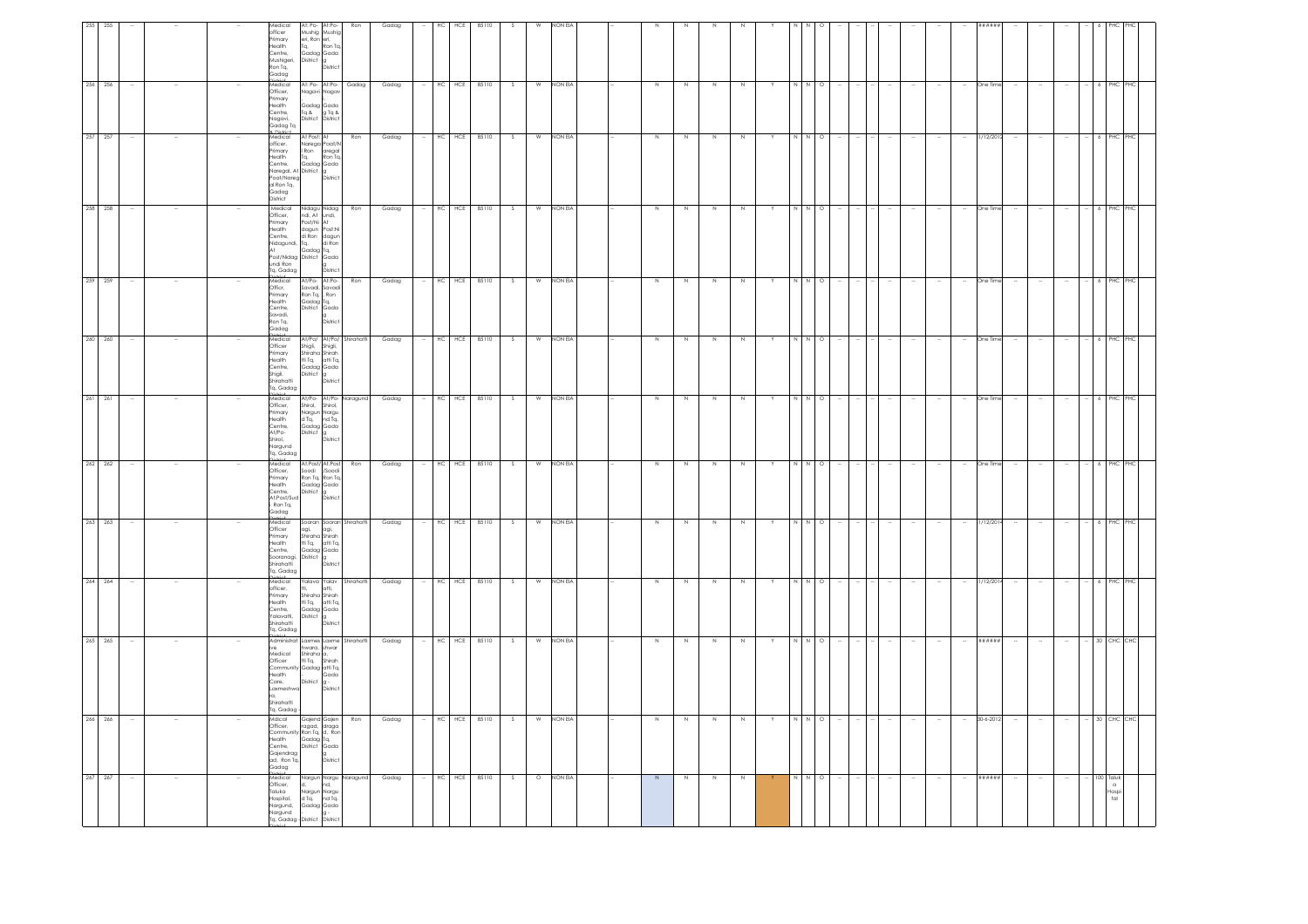|                                                                                                    |                                                                                 | $-6$ PHC PHC                                                                                                                              | 6 PHC                                                                                                                                                                                    |                                                                                         | $6$ PHC<br>ΉC                                                                                        |                                                                                                              | I PHC                                                                                                           | $6$ PHC                                                                                                 |                                                                                                        | CHC                                                                                                                                                            |                                                                                                                                   | $\alpha$<br>Hospi<br>tal                                                                           |
|----------------------------------------------------------------------------------------------------|---------------------------------------------------------------------------------|-------------------------------------------------------------------------------------------------------------------------------------------|------------------------------------------------------------------------------------------------------------------------------------------------------------------------------------------|-----------------------------------------------------------------------------------------|------------------------------------------------------------------------------------------------------|--------------------------------------------------------------------------------------------------------------|-----------------------------------------------------------------------------------------------------------------|---------------------------------------------------------------------------------------------------------|--------------------------------------------------------------------------------------------------------|----------------------------------------------------------------------------------------------------------------------------------------------------------------|-----------------------------------------------------------------------------------------------------------------------------------|----------------------------------------------------------------------------------------------------|
|                                                                                                    |                                                                                 |                                                                                                                                           |                                                                                                                                                                                          | 6 PHC                                                                                   |                                                                                                      |                                                                                                              |                                                                                                                 |                                                                                                         |                                                                                                        | $-30$ CHC                                                                                                                                                      | 30 CHC                                                                                                                            | 100 Taluk                                                                                          |
|                                                                                                    |                                                                                 | $\sim$                                                                                                                                    |                                                                                                                                                                                          |                                                                                         | $\sim$                                                                                               |                                                                                                              |                                                                                                                 | $\sim$                                                                                                  |                                                                                                        | $\sim$                                                                                                                                                         |                                                                                                                                   |                                                                                                    |
|                                                                                                    |                                                                                 | Ξ.                                                                                                                                        |                                                                                                                                                                                          |                                                                                         | $\sim$                                                                                               |                                                                                                              |                                                                                                                 |                                                                                                         |                                                                                                        | $\overline{\phantom{a}}$                                                                                                                                       |                                                                                                                                   |                                                                                                    |
| #####                                                                                              | One Tin                                                                         | 81/12/2012<br>$\sim$                                                                                                                      | One Time                                                                                                                                                                                 | One Tim                                                                                 | One Time<br>$\sim$                                                                                   | One Tim                                                                                                      | One Tim                                                                                                         | 1/12/201                                                                                                | /12/20                                                                                                 | ******<br>$\overline{\phantom{a}}$                                                                                                                             | 30-6-201                                                                                                                          | ######                                                                                             |
|                                                                                                    |                                                                                 | ÷                                                                                                                                         |                                                                                                                                                                                          |                                                                                         | $\sim$                                                                                               |                                                                                                              |                                                                                                                 | $\sim$                                                                                                  |                                                                                                        | $\sim$                                                                                                                                                         |                                                                                                                                   |                                                                                                    |
|                                                                                                    |                                                                                 |                                                                                                                                           |                                                                                                                                                                                          |                                                                                         |                                                                                                      |                                                                                                              |                                                                                                                 |                                                                                                         |                                                                                                        |                                                                                                                                                                |                                                                                                                                   |                                                                                                    |
|                                                                                                    |                                                                                 | $\sim$                                                                                                                                    |                                                                                                                                                                                          |                                                                                         |                                                                                                      |                                                                                                              |                                                                                                                 |                                                                                                         |                                                                                                        |                                                                                                                                                                |                                                                                                                                   |                                                                                                    |
|                                                                                                    |                                                                                 | $\sim$                                                                                                                                    |                                                                                                                                                                                          |                                                                                         |                                                                                                      |                                                                                                              |                                                                                                                 |                                                                                                         |                                                                                                        |                                                                                                                                                                |                                                                                                                                   |                                                                                                    |
|                                                                                                    |                                                                                 | $\sim$                                                                                                                                    |                                                                                                                                                                                          |                                                                                         |                                                                                                      |                                                                                                              |                                                                                                                 |                                                                                                         |                                                                                                        |                                                                                                                                                                |                                                                                                                                   |                                                                                                    |
|                                                                                                    |                                                                                 | <b>Section</b>                                                                                                                            |                                                                                                                                                                                          |                                                                                         |                                                                                                      |                                                                                                              |                                                                                                                 |                                                                                                         |                                                                                                        |                                                                                                                                                                |                                                                                                                                   |                                                                                                    |
| $\circ$                                                                                            |                                                                                 | NNO                                                                                                                                       | $\circ$                                                                                                                                                                                  | $\circ$                                                                                 | $\circ$                                                                                              | O                                                                                                            | $\circ$                                                                                                         | $\circ$                                                                                                 |                                                                                                        | $\circ$                                                                                                                                                        | $\circ$                                                                                                                           | $\circ$                                                                                            |
|                                                                                                    |                                                                                 |                                                                                                                                           |                                                                                                                                                                                          |                                                                                         |                                                                                                      |                                                                                                              |                                                                                                                 |                                                                                                         |                                                                                                        |                                                                                                                                                                |                                                                                                                                   |                                                                                                    |
|                                                                                                    |                                                                                 | Y                                                                                                                                         |                                                                                                                                                                                          |                                                                                         |                                                                                                      |                                                                                                              |                                                                                                                 |                                                                                                         |                                                                                                        | Y                                                                                                                                                              |                                                                                                                                   |                                                                                                    |
|                                                                                                    | N                                                                               | N                                                                                                                                         | N                                                                                                                                                                                        | N                                                                                       | N                                                                                                    | N                                                                                                            | N                                                                                                               | N                                                                                                       | N                                                                                                      | N                                                                                                                                                              | $\mathbb N$                                                                                                                       |                                                                                                    |
|                                                                                                    | $\,N\,$                                                                         | N                                                                                                                                         | N                                                                                                                                                                                        | N                                                                                       | N                                                                                                    | N                                                                                                            | N                                                                                                               | N                                                                                                       | N                                                                                                      | $\,$ N                                                                                                                                                         | N                                                                                                                                 |                                                                                                    |
|                                                                                                    | N.                                                                              | $\overline{N}$                                                                                                                            | N                                                                                                                                                                                        | N                                                                                       | N                                                                                                    | N                                                                                                            | N                                                                                                               | N                                                                                                       |                                                                                                        | N                                                                                                                                                              | N                                                                                                                                 |                                                                                                    |
|                                                                                                    | N                                                                               | N                                                                                                                                         | N                                                                                                                                                                                        | N                                                                                       | N                                                                                                    | $\,$ N                                                                                                       | N                                                                                                               | N                                                                                                       |                                                                                                        | N                                                                                                                                                              | $\mathbb N$                                                                                                                       | $\overline{N}$                                                                                     |
|                                                                                                    |                                                                                 |                                                                                                                                           |                                                                                                                                                                                          |                                                                                         |                                                                                                      |                                                                                                              |                                                                                                                 |                                                                                                         |                                                                                                        |                                                                                                                                                                |                                                                                                                                   |                                                                                                    |
|                                                                                                    |                                                                                 |                                                                                                                                           |                                                                                                                                                                                          |                                                                                         |                                                                                                      |                                                                                                              |                                                                                                                 |                                                                                                         |                                                                                                        |                                                                                                                                                                |                                                                                                                                   |                                                                                                    |
| NON EL                                                                                             | NON EIA                                                                         | NON EIA                                                                                                                                   | NON EIA                                                                                                                                                                                  | <b>NON EIA</b>                                                                          | <b>NON EIA</b>                                                                                       | NON EIA                                                                                                      | NON EIA                                                                                                         | NON EIA                                                                                                 | NON EIA                                                                                                | NON EIA                                                                                                                                                        | NON EIA                                                                                                                           | <b>NON EIA</b>                                                                                     |
| W                                                                                                  | W                                                                               | W                                                                                                                                         | W                                                                                                                                                                                        | W                                                                                       | W                                                                                                    | W                                                                                                            | W                                                                                                               | W                                                                                                       | W                                                                                                      | $\mathsf{w}$                                                                                                                                                   | W                                                                                                                                 | $\circ$                                                                                            |
|                                                                                                    | S.                                                                              | $\overline{\mathcal{S}}$                                                                                                                  | - S                                                                                                                                                                                      | S.                                                                                      | -S                                                                                                   | S.                                                                                                           | S.                                                                                                              | S.                                                                                                      | S.                                                                                                     | $\mathsf{S}$                                                                                                                                                   | -S                                                                                                                                |                                                                                                    |
| 85110<br>85110                                                                                     |                                                                                 | 85110                                                                                                                                     | 85110                                                                                                                                                                                    | 85110                                                                                   | 85110                                                                                                | 85110                                                                                                        | 85110                                                                                                           | 85110                                                                                                   | 85110                                                                                                  | 85110                                                                                                                                                          | 85110                                                                                                                             | 85110                                                                                              |
| HCE                                                                                                | $HC$ $HCE$                                                                      | HC HCE                                                                                                                                    | HC HCE                                                                                                                                                                                   | HCE                                                                                     | $HC$ $HCE$                                                                                           | HCE                                                                                                          | HCE                                                                                                             | HCE                                                                                                     | HCE                                                                                                    | $HC$ $HCE$                                                                                                                                                     | HCE                                                                                                                               | $HC$ HCE                                                                                           |
| HC                                                                                                 |                                                                                 | $\sim$                                                                                                                                    |                                                                                                                                                                                          | HC                                                                                      | $\sim$                                                                                               | HC                                                                                                           | HC                                                                                                              | HC                                                                                                      | HC                                                                                                     |                                                                                                                                                                | HC                                                                                                                                |                                                                                                    |
| Gadag                                                                                              | Gadag                                                                           | Gadag                                                                                                                                     | Gadag                                                                                                                                                                                    | Gadag                                                                                   | Gadag                                                                                                | Gadag                                                                                                        | Gadag                                                                                                           | Gadag                                                                                                   | Gadag                                                                                                  | Gadag                                                                                                                                                          | Gadag                                                                                                                             | Gadag                                                                                              |
| Ron                                                                                                |                                                                                 | Ron                                                                                                                                       |                                                                                                                                                                                          | Ron                                                                                     |                                                                                                      |                                                                                                              | Ron                                                                                                             | Shirahatt                                                                                               | Shirahatt                                                                                              |                                                                                                                                                                | Ron                                                                                                                               |                                                                                                    |
| Ron Tq.<br>Distric                                                                                 | At: Po- At:Po- Gadag                                                            | aregal<br>Ron Ta.<br>District                                                                                                             | Nidagu Nidag Ron<br>ndi, At undi,<br>District                                                                                                                                            | <b>Distric</b>                                                                          | At/Po/ At/Po/ Shirahatti<br>District                                                                 | At/Po- At/Po- Naragund<br>District                                                                           |                                                                                                                 | District                                                                                                | $_{\text{atti}}$<br>District                                                                           | axmes Laxme Shirahatti<br>Gada<br>Distric                                                                                                                      | District                                                                                                                          | Nargun Nargu Naraguna<br>nd.                                                                       |
| At: Po- At:Po-<br>Mushig Mushig<br>eri, Ron eri,<br>$T_{\mathbf{q}_i}$<br>Gadag Gada<br>District g | Nagavi Nagav<br>Gadag Gada<br>Tq & g Tq &<br>District District                  | At Post: At<br>Narega Poat/N<br>Ron <sup>T</sup><br>Ta.<br>Gadag Gada                                                                     | Gadag Tq,                                                                                                                                                                                | At/Po-At:Po-<br>Savadi, Savadi<br>Ron Tq, , Ron<br>Gadag Tq,<br>District Gada           | Shigli, Shigli,<br>Shiraha Shirah<br>tti Tq, atti Tq,<br>Gadag Gada<br>District                      | Shirol. Shirol.<br>Nargun Nargu<br>d Tq, nd Tq,<br>Gadag Gada<br>District g                                  | At.Post/ At.Post<br>Soodi /Soodi<br>Ron Tq, Ron Tq,<br>Gadag Gada<br>Gaau <sub>er</sub><br>District<br>District | Sooran Sooran<br>agi, agi,<br>Shiraha Shirah<br>tti Tq, atti Tq,<br>Gadag Gada<br>District g            | falava Yalav<br>Shiraha Shirah<br>tti Tq. atti Tq.<br>Gadag Gada<br>District                           | hwara, shwar<br>Shiraha a,<br>District                                                                                                                         | Gajend Gajen<br>Gadag Tq,<br>District Gada                                                                                        | d.<br>Nargun Nargu<br>d Tq, nd Tq,<br>Gadag Gada                                                   |
| Medical<br>officer<br>Primary<br>Health<br>Centre.<br>Mushigeri,<br>Ron Tq.<br>Gadaa               | Medical<br>Officer,<br>Primary<br>Health<br>Centre,<br>.<br>Nagavi,<br>Gadag Tq | a Distint<br>Medical<br>officer,<br>Primary<br>Health<br>Centre,<br>Naregal, At District<br>Poat/Nareg<br>al Ron Tq,<br>Gadag<br>District | Medical<br>Officer,<br>Frimary<br>Primary Post/Ni At<br>Health dagun Post:Ni<br>Centre, di Ron dagun<br>Nidagundi, Tq, di Ron<br>At<br>Post/Nidag District Gada<br>undi Ron<br>Tq, Gadag | a:<br>Medical<br>Officr,<br>Primary<br>Health<br>Centre.<br>Savadi,<br>Ron Tq,<br>Gadag | District<br>Medical<br>Officer<br>Primary<br>Health<br>Centre,<br>Shigli,<br>Shirahatti<br>Tq, Gadag | Nictrict<br>Medical<br>Officer,<br>Primary<br>Health<br>Centre,<br>At/Po-<br>Shirol,<br>Nargund<br>Tq, Gadag | Medical<br>Officer,<br>Primary<br>Health<br>Centre,<br>At.Post/Sud<br>Ron Tq,<br>Gadag                          | nistiat.<br>Medical<br>Officer<br>Primary<br>Health<br>Centre.<br>Sooranagi,<br>Shirahatti<br>Tq, Gadag | Nistrat<br>Medical<br>officer<br>Primary<br>Health<br>Centre,<br>Yalavatti,<br>Shirahatti<br>Tq, Gadag | Administrat<br>ive<br>Medical<br>Officer<br>Officer Hi Tq, Shirah<br>Community Gadag atti Tq,<br>Health<br>Care,<br>Laxmeshw<br>ra.<br>Shirahatti<br>Tq, Gadag | Mdical<br>Officer,<br>Officer, ragad, draga<br>Community Ron Tq, d, Ron<br>Health<br>Centre.<br>Gajendrag<br>ad, Ron Tq,<br>Gadag | Medical<br>Officer,<br>Taluka<br>Hospital,<br>Nargund,<br>Nargund<br>Tq. Gadag - District District |
|                                                                                                    |                                                                                 |                                                                                                                                           |                                                                                                                                                                                          |                                                                                         |                                                                                                      |                                                                                                              |                                                                                                                 |                                                                                                         |                                                                                                        |                                                                                                                                                                |                                                                                                                                   |                                                                                                    |
|                                                                                                    |                                                                                 |                                                                                                                                           |                                                                                                                                                                                          |                                                                                         |                                                                                                      |                                                                                                              |                                                                                                                 |                                                                                                         |                                                                                                        |                                                                                                                                                                |                                                                                                                                   |                                                                                                    |
|                                                                                                    |                                                                                 |                                                                                                                                           |                                                                                                                                                                                          |                                                                                         |                                                                                                      |                                                                                                              |                                                                                                                 |                                                                                                         |                                                                                                        |                                                                                                                                                                |                                                                                                                                   |                                                                                                    |
| 255                                                                                                |                                                                                 | $\sim$                                                                                                                                    |                                                                                                                                                                                          | 259                                                                                     |                                                                                                      | 261                                                                                                          | 262                                                                                                             | 263                                                                                                     | 264                                                                                                    | $\sim$                                                                                                                                                         | 266                                                                                                                               | 267                                                                                                |
| 255<br>256 256                                                                                     |                                                                                 | 257 257                                                                                                                                   | 258 258                                                                                                                                                                                  | 259                                                                                     | 260 260                                                                                              | 261                                                                                                          | 262                                                                                                             | 263                                                                                                     | 264                                                                                                    | 265 265                                                                                                                                                        | 266                                                                                                                               | 267                                                                                                |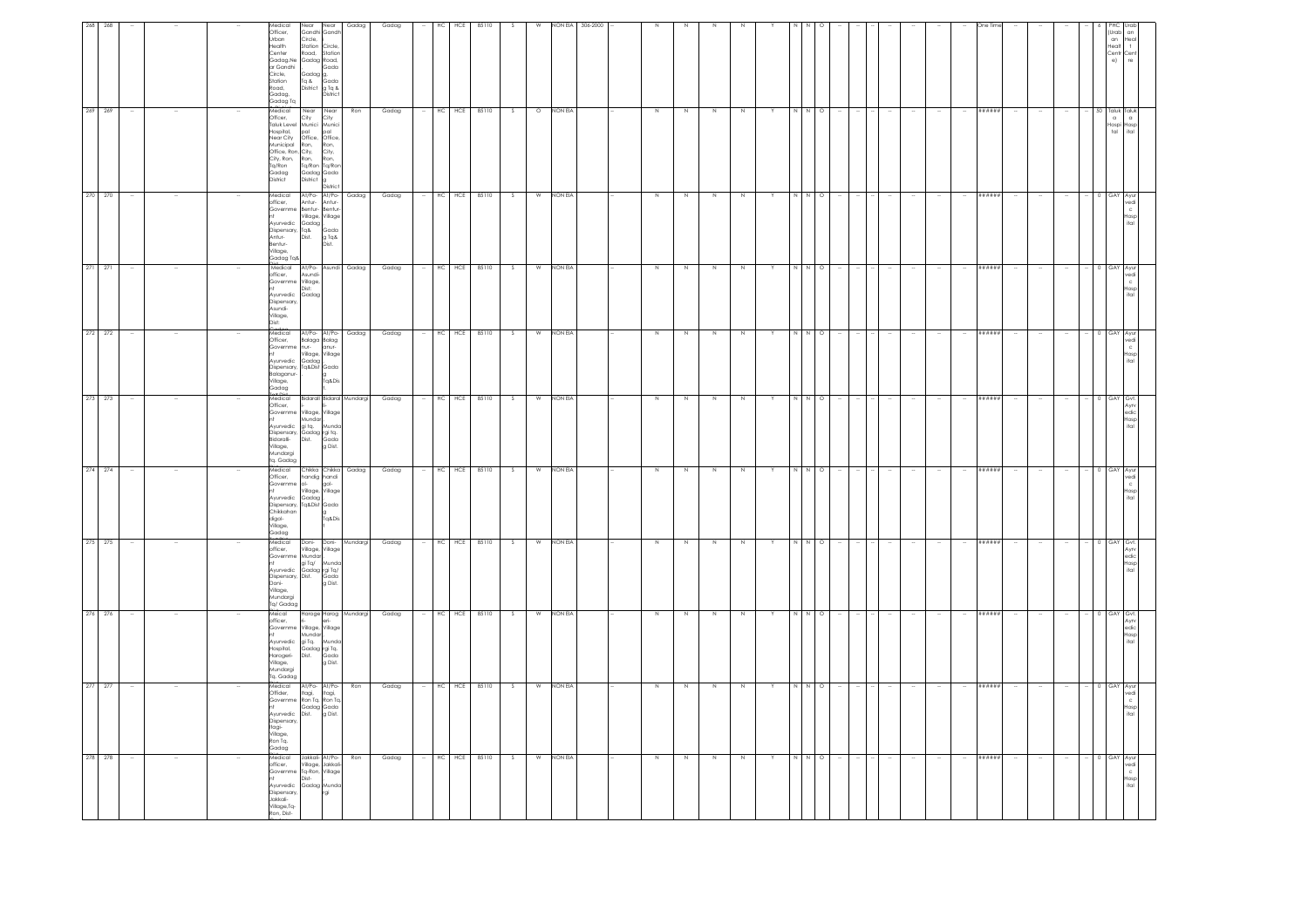| (Urab<br>an<br>Healt<br>Centr Cent<br>$\Theta$                                                                                             | 50 Taluk<br>$\alpha$<br>$\alpha$<br>Hospi Hosp<br>$t$ al<br>ital                                                                                                                                                                                                                                                                                                                                                                                                                                                                                                           | 0 GAY Ayur<br>edi<br>c<br>Hosp<br>ital<br><b>GAY</b>                                                                                                            | c.<br>Hosp<br>ital                                                             | 0 GAY AVU<br>/edi<br>Hosp<br>ital                                                                          | $0$ $GAY$<br>edic<br>losp<br>ital                                                                                                                                                                  | edi<br>Hosp<br>ital                                                                                                                       | 0 GAY<br>Ayrv<br>$_{\rm edic}$<br>Hosp<br>ital<br>0 GAY                                                                                                                                                                                                                         | Avry                                                                                                                         | 0 GAY Ayur<br>vedi<br>Hosp<br>ital                                                                                       | $0$ $GAY$<br>/edi                                                                                                     |
|--------------------------------------------------------------------------------------------------------------------------------------------|----------------------------------------------------------------------------------------------------------------------------------------------------------------------------------------------------------------------------------------------------------------------------------------------------------------------------------------------------------------------------------------------------------------------------------------------------------------------------------------------------------------------------------------------------------------------------|-----------------------------------------------------------------------------------------------------------------------------------------------------------------|--------------------------------------------------------------------------------|------------------------------------------------------------------------------------------------------------|----------------------------------------------------------------------------------------------------------------------------------------------------------------------------------------------------|-------------------------------------------------------------------------------------------------------------------------------------------|---------------------------------------------------------------------------------------------------------------------------------------------------------------------------------------------------------------------------------------------------------------------------------|------------------------------------------------------------------------------------------------------------------------------|--------------------------------------------------------------------------------------------------------------------------|-----------------------------------------------------------------------------------------------------------------------|
|                                                                                                                                            |                                                                                                                                                                                                                                                                                                                                                                                                                                                                                                                                                                            |                                                                                                                                                                 |                                                                                |                                                                                                            |                                                                                                                                                                                                    |                                                                                                                                           |                                                                                                                                                                                                                                                                                 |                                                                                                                              |                                                                                                                          |                                                                                                                       |
|                                                                                                                                            |                                                                                                                                                                                                                                                                                                                                                                                                                                                                                                                                                                            | $\sim$                                                                                                                                                          |                                                                                |                                                                                                            |                                                                                                                                                                                                    |                                                                                                                                           |                                                                                                                                                                                                                                                                                 |                                                                                                                              |                                                                                                                          |                                                                                                                       |
|                                                                                                                                            |                                                                                                                                                                                                                                                                                                                                                                                                                                                                                                                                                                            | $\sim$                                                                                                                                                          |                                                                                |                                                                                                            |                                                                                                                                                                                                    |                                                                                                                                           |                                                                                                                                                                                                                                                                                 |                                                                                                                              |                                                                                                                          |                                                                                                                       |
|                                                                                                                                            |                                                                                                                                                                                                                                                                                                                                                                                                                                                                                                                                                                            | $\sim$                                                                                                                                                          |                                                                                |                                                                                                            |                                                                                                                                                                                                    |                                                                                                                                           |                                                                                                                                                                                                                                                                                 |                                                                                                                              |                                                                                                                          |                                                                                                                       |
|                                                                                                                                            | ******                                                                                                                                                                                                                                                                                                                                                                                                                                                                                                                                                                     | ######<br>******                                                                                                                                                |                                                                                | ######                                                                                                     | ******                                                                                                                                                                                             | ####                                                                                                                                      | ******                                                                                                                                                                                                                                                                          | ******                                                                                                                       | ******                                                                                                                   | ******                                                                                                                |
|                                                                                                                                            |                                                                                                                                                                                                                                                                                                                                                                                                                                                                                                                                                                            | $\sim$                                                                                                                                                          |                                                                                |                                                                                                            | $\sim$                                                                                                                                                                                             |                                                                                                                                           |                                                                                                                                                                                                                                                                                 |                                                                                                                              |                                                                                                                          |                                                                                                                       |
|                                                                                                                                            |                                                                                                                                                                                                                                                                                                                                                                                                                                                                                                                                                                            | $\sim$                                                                                                                                                          |                                                                                |                                                                                                            |                                                                                                                                                                                                    |                                                                                                                                           |                                                                                                                                                                                                                                                                                 |                                                                                                                              |                                                                                                                          |                                                                                                                       |
|                                                                                                                                            |                                                                                                                                                                                                                                                                                                                                                                                                                                                                                                                                                                            | $\sim$                                                                                                                                                          |                                                                                |                                                                                                            |                                                                                                                                                                                                    |                                                                                                                                           |                                                                                                                                                                                                                                                                                 |                                                                                                                              |                                                                                                                          |                                                                                                                       |
|                                                                                                                                            |                                                                                                                                                                                                                                                                                                                                                                                                                                                                                                                                                                            | $\sim$                                                                                                                                                          |                                                                                |                                                                                                            |                                                                                                                                                                                                    |                                                                                                                                           |                                                                                                                                                                                                                                                                                 |                                                                                                                              |                                                                                                                          |                                                                                                                       |
|                                                                                                                                            |                                                                                                                                                                                                                                                                                                                                                                                                                                                                                                                                                                            |                                                                                                                                                                 |                                                                                |                                                                                                            |                                                                                                                                                                                                    |                                                                                                                                           |                                                                                                                                                                                                                                                                                 |                                                                                                                              |                                                                                                                          |                                                                                                                       |
|                                                                                                                                            |                                                                                                                                                                                                                                                                                                                                                                                                                                                                                                                                                                            | $\sim$                                                                                                                                                          |                                                                                |                                                                                                            |                                                                                                                                                                                                    |                                                                                                                                           |                                                                                                                                                                                                                                                                                 |                                                                                                                              |                                                                                                                          |                                                                                                                       |
|                                                                                                                                            | $\circ$                                                                                                                                                                                                                                                                                                                                                                                                                                                                                                                                                                    | $N$ 0<br>$\circ$                                                                                                                                                |                                                                                | $\circ$                                                                                                    | $\circ$                                                                                                                                                                                            |                                                                                                                                           | $\circ$                                                                                                                                                                                                                                                                         | $\circ$                                                                                                                      | $\circ$                                                                                                                  | $\circ$                                                                                                               |
|                                                                                                                                            | N                                                                                                                                                                                                                                                                                                                                                                                                                                                                                                                                                                          | N                                                                                                                                                               |                                                                                | NN                                                                                                         | N                                                                                                                                                                                                  |                                                                                                                                           | Z<br>$\overline{N}$<br>N N                                                                                                                                                                                                                                                      |                                                                                                                              | N N                                                                                                                      | N N                                                                                                                   |
|                                                                                                                                            |                                                                                                                                                                                                                                                                                                                                                                                                                                                                                                                                                                            | Y                                                                                                                                                               |                                                                                | Y                                                                                                          |                                                                                                                                                                                                    |                                                                                                                                           |                                                                                                                                                                                                                                                                                 |                                                                                                                              |                                                                                                                          |                                                                                                                       |
|                                                                                                                                            | N                                                                                                                                                                                                                                                                                                                                                                                                                                                                                                                                                                          | N<br>Ν                                                                                                                                                          |                                                                                | N                                                                                                          | $\mathbb N$                                                                                                                                                                                        |                                                                                                                                           | N                                                                                                                                                                                                                                                                               | $\mathbb N$                                                                                                                  | Z                                                                                                                        | $\,$ N                                                                                                                |
|                                                                                                                                            | N                                                                                                                                                                                                                                                                                                                                                                                                                                                                                                                                                                          | N<br>N                                                                                                                                                          |                                                                                | N                                                                                                          | $\,$ N                                                                                                                                                                                             | N                                                                                                                                         | Z                                                                                                                                                                                                                                                                               | N                                                                                                                            | Z                                                                                                                        | N                                                                                                                     |
|                                                                                                                                            | N                                                                                                                                                                                                                                                                                                                                                                                                                                                                                                                                                                          | N<br>N                                                                                                                                                          |                                                                                | N                                                                                                          | N                                                                                                                                                                                                  |                                                                                                                                           |                                                                                                                                                                                                                                                                                 | N                                                                                                                            | N                                                                                                                        | N                                                                                                                     |
|                                                                                                                                            | N                                                                                                                                                                                                                                                                                                                                                                                                                                                                                                                                                                          | N<br>N                                                                                                                                                          |                                                                                | N                                                                                                          | $\mathbb N$                                                                                                                                                                                        | Ν                                                                                                                                         | Z                                                                                                                                                                                                                                                                               | N                                                                                                                            | Z                                                                                                                        | N                                                                                                                     |
|                                                                                                                                            |                                                                                                                                                                                                                                                                                                                                                                                                                                                                                                                                                                            |                                                                                                                                                                 |                                                                                |                                                                                                            |                                                                                                                                                                                                    |                                                                                                                                           |                                                                                                                                                                                                                                                                                 |                                                                                                                              |                                                                                                                          |                                                                                                                       |
| 306-2000                                                                                                                                   |                                                                                                                                                                                                                                                                                                                                                                                                                                                                                                                                                                            |                                                                                                                                                                 |                                                                                |                                                                                                            |                                                                                                                                                                                                    |                                                                                                                                           |                                                                                                                                                                                                                                                                                 |                                                                                                                              |                                                                                                                          |                                                                                                                       |
| <b>VON EIA</b>                                                                                                                             | NON EIA                                                                                                                                                                                                                                                                                                                                                                                                                                                                                                                                                                    | NON EIA<br>non Ela                                                                                                                                              |                                                                                | <b>NON EIA</b>                                                                                             | NON EIA                                                                                                                                                                                            | NON EIA                                                                                                                                   | NON EIA                                                                                                                                                                                                                                                                         | NON EIA                                                                                                                      | <b>NON EIA</b>                                                                                                           | NON EIA                                                                                                               |
| W                                                                                                                                          | $\circ$                                                                                                                                                                                                                                                                                                                                                                                                                                                                                                                                                                    | W<br>W                                                                                                                                                          |                                                                                | W                                                                                                          | W                                                                                                                                                                                                  |                                                                                                                                           | W                                                                                                                                                                                                                                                                               | W                                                                                                                            | W                                                                                                                        | W                                                                                                                     |
|                                                                                                                                            | -S                                                                                                                                                                                                                                                                                                                                                                                                                                                                                                                                                                         | S<br>s                                                                                                                                                          |                                                                                | -S                                                                                                         | S.                                                                                                                                                                                                 |                                                                                                                                           | S                                                                                                                                                                                                                                                                               | - S                                                                                                                          | S.                                                                                                                       | S.                                                                                                                    |
| 85110                                                                                                                                      | 85110                                                                                                                                                                                                                                                                                                                                                                                                                                                                                                                                                                      | 85110<br>85110                                                                                                                                                  |                                                                                | 85110                                                                                                      | 85110                                                                                                                                                                                              | 85110                                                                                                                                     | 85110                                                                                                                                                                                                                                                                           | 85110                                                                                                                        | 85110                                                                                                                    | 85110                                                                                                                 |
| HCE                                                                                                                                        | HC HCE                                                                                                                                                                                                                                                                                                                                                                                                                                                                                                                                                                     | $HC$ $HCE$<br>HCE                                                                                                                                               |                                                                                | HC HCE                                                                                                     | $HC$ $HCE$                                                                                                                                                                                         | HCE                                                                                                                                       | HCE                                                                                                                                                                                                                                                                             | HC HCE                                                                                                                       | HCE                                                                                                                      | HC HCE                                                                                                                |
| НC                                                                                                                                         |                                                                                                                                                                                                                                                                                                                                                                                                                                                                                                                                                                            | $\sim$<br>HC                                                                                                                                                    |                                                                                |                                                                                                            |                                                                                                                                                                                                    | нc                                                                                                                                        | HC                                                                                                                                                                                                                                                                              |                                                                                                                              | HC                                                                                                                       |                                                                                                                       |
| Gadag                                                                                                                                      | Gadag                                                                                                                                                                                                                                                                                                                                                                                                                                                                                                                                                                      | Gadag<br>Gadag                                                                                                                                                  |                                                                                | Gadag                                                                                                      | Gadag                                                                                                                                                                                              | Gadag                                                                                                                                     | Gadag                                                                                                                                                                                                                                                                           | Gadag                                                                                                                        | Gadag                                                                                                                    | Gadag                                                                                                                 |
| Gadag                                                                                                                                      | Ron                                                                                                                                                                                                                                                                                                                                                                                                                                                                                                                                                                        | At/Po- At/Po- Gadag<br>At/Po- Asundi Gadag                                                                                                                      |                                                                                | Gadag                                                                                                      | Bidarall Bidaral Mundargi                                                                                                                                                                          | Gadag                                                                                                                                     | Mundargi                                                                                                                                                                                                                                                                        | Haroge Harog Mundargi<br>ri-<br>Village, Village                                                                             | Ron                                                                                                                      | Ron                                                                                                                   |
| Near<br>Gandhi Gandh<br>Road, Station<br>Gada<br>District                                                                                  | Distric                                                                                                                                                                                                                                                                                                                                                                                                                                                                                                                                                                    | Village, Village<br>Gada<br>g Tq&<br>Dist.                                                                                                                      |                                                                                | At/Po- At/Po-<br>Balaga Balag<br>g<br>Tq&Dis                                                               |                                                                                                                                                                                                    | Chikka Chikka<br>Village, Village<br>g<br>Tq&Dis                                                                                          | Doni-                                                                                                                                                                                                                                                                           |                                                                                                                              |                                                                                                                          | Gadag Mundo<br>rgi                                                                                                    |
| Near<br>Circle, i<br>Station Circle,<br>Gadag<br>Tq & Gada<br>District g Tq &                                                              | Gadag Gada<br>District g                                                                                                                                                                                                                                                                                                                                                                                                                                                                                                                                                   | Gadag                                                                                                                                                           | Asundi-<br>Village,<br>Dist:<br>Godoo                                          | nur-<br>anur-<br>Village, Village<br>Gadag                                                                 |                                                                                                                                                                                                    | handig handi<br>ol- gol-                                                                                                                  | Doni-                                                                                                                                                                                                                                                                           | Gadag rgi Tq.<br>Dist. Gada<br>g Dist.                                                                                       | At/Po-At/Po-<br>Itagi, Itagi,<br>Ron Tq. Ron Tq.<br>Gadag Gada<br>Dist. g Dist.                                          | Jakkali- At/Po-<br>Village, Jakkali-<br>Tq-Ron, Village<br>Dist-                                                      |
| edical<br>Officer,<br>umaar,<br>Health<br>Center<br>Gadag.Ne Gadag Road,<br>ar Gandhi<br>Circle,<br>Station<br>Road,<br>Gadaa.<br>Gadag Tq | $\begin{tabular}{l c c c} \hline \textit{Medical} & \textit{Neu} & \textit{.} \\ \hline \textit{Office}, & \textit{City} & \textit{City} \\ \textit{Table 1} & \textit{Multi} & \textit{Multi} \\ \textit{1:} & \textit{full} & \textit{pull} \\ \textit{I:} & \textit{out} & \textit{out} \\ \hline \end{tabular}$<br>Hospiral, particular control (March Chemical Rome, March Chemical Rome, Chemical Chemical Chemical Chemical Chemical Chemical Chemical Chemical Chemical Chemical Chemical Chemical Chemical Chemical Chemical Chemical Chemic<br>Gadag<br>District | Medical<br>officer, Antur-<br>Governme Bentur- Bentur-<br>Ayurvedic<br>Dispensary, Tq&<br>Antur- Dist.<br>Bentur-<br>Vilage,<br><b>Sadag Tg&amp;</b><br>Medical | officer,<br>Governme<br>Ayurvedic<br>Dispensary<br>Asundi-<br>/illage,<br>iet- | Medical<br>Officer,<br>Governme<br>Ayurvedic<br>Dispensary, Tq&Dist Gada<br>Balaganur-<br>/ilage,<br>poboś | r<br>Medical<br>Officer,<br>Governme Village, Village<br>nt Mundar<br>Ayurvedic giltq. Munda<br>Dispensary, Gadag rgita.<br>Bidaralli- Dist. Gada<br>Village, g Dist.<br><br>Mundargi<br>tq. Gadag | Medical<br>Officer,<br>Governme<br>Avurvedic<br>Ayurvedic Gadag ,<br>Dispensary, Tq&Dist Gada<br>Chikkahan<br>digol-<br>Village,<br>goboś | Medical<br>webuch<br>officer, Village, Village, Village, Village, Village, Village, Village, Village, Village, Village, Village, Village, Village, Village, Village, Village, Village, Village, Village, Village, Village, Village, Village<br>/ilage,<br>Mundargi<br>Tq/ Gadag | Meical<br>officer.<br>Governme<br>nt<br>Ayurvedic gi Tq. Mundo<br>lospital,<br>larogeri-<br>/ilage,<br>Mundarai<br>lq. Gadag | Medical<br>Offider.<br>Governme<br><br>Ayurvedic<br>.<br>Dispensary.<br>Itagi-<br>g.<br>Village,<br>Ron Tq.<br>.<br>Goda | a<br>Medical<br>officer,<br>Governme<br><b>Ayurvedic</b><br>.<br>Dispensary,<br>Jakkali-<br>village,Tq-<br>Ron, Dist- |
|                                                                                                                                            |                                                                                                                                                                                                                                                                                                                                                                                                                                                                                                                                                                            |                                                                                                                                                                 |                                                                                |                                                                                                            |                                                                                                                                                                                                    |                                                                                                                                           |                                                                                                                                                                                                                                                                                 |                                                                                                                              |                                                                                                                          |                                                                                                                       |
|                                                                                                                                            |                                                                                                                                                                                                                                                                                                                                                                                                                                                                                                                                                                            |                                                                                                                                                                 |                                                                                |                                                                                                            |                                                                                                                                                                                                    |                                                                                                                                           |                                                                                                                                                                                                                                                                                 |                                                                                                                              |                                                                                                                          |                                                                                                                       |
|                                                                                                                                            |                                                                                                                                                                                                                                                                                                                                                                                                                                                                                                                                                                            |                                                                                                                                                                 |                                                                                |                                                                                                            |                                                                                                                                                                                                    |                                                                                                                                           |                                                                                                                                                                                                                                                                                 |                                                                                                                              |                                                                                                                          |                                                                                                                       |
|                                                                                                                                            |                                                                                                                                                                                                                                                                                                                                                                                                                                                                                                                                                                            | $\sim$                                                                                                                                                          |                                                                                |                                                                                                            |                                                                                                                                                                                                    |                                                                                                                                           |                                                                                                                                                                                                                                                                                 |                                                                                                                              |                                                                                                                          |                                                                                                                       |
| 268<br>268                                                                                                                                 | 269 269                                                                                                                                                                                                                                                                                                                                                                                                                                                                                                                                                                    | 270 270<br>271 271                                                                                                                                              |                                                                                | 272 272                                                                                                    | 273 273                                                                                                                                                                                            | 274 274                                                                                                                                   | 275 275                                                                                                                                                                                                                                                                         | 276 276                                                                                                                      | 277 277                                                                                                                  | 278 278                                                                                                               |
|                                                                                                                                            |                                                                                                                                                                                                                                                                                                                                                                                                                                                                                                                                                                            |                                                                                                                                                                 |                                                                                |                                                                                                            |                                                                                                                                                                                                    |                                                                                                                                           |                                                                                                                                                                                                                                                                                 |                                                                                                                              |                                                                                                                          |                                                                                                                       |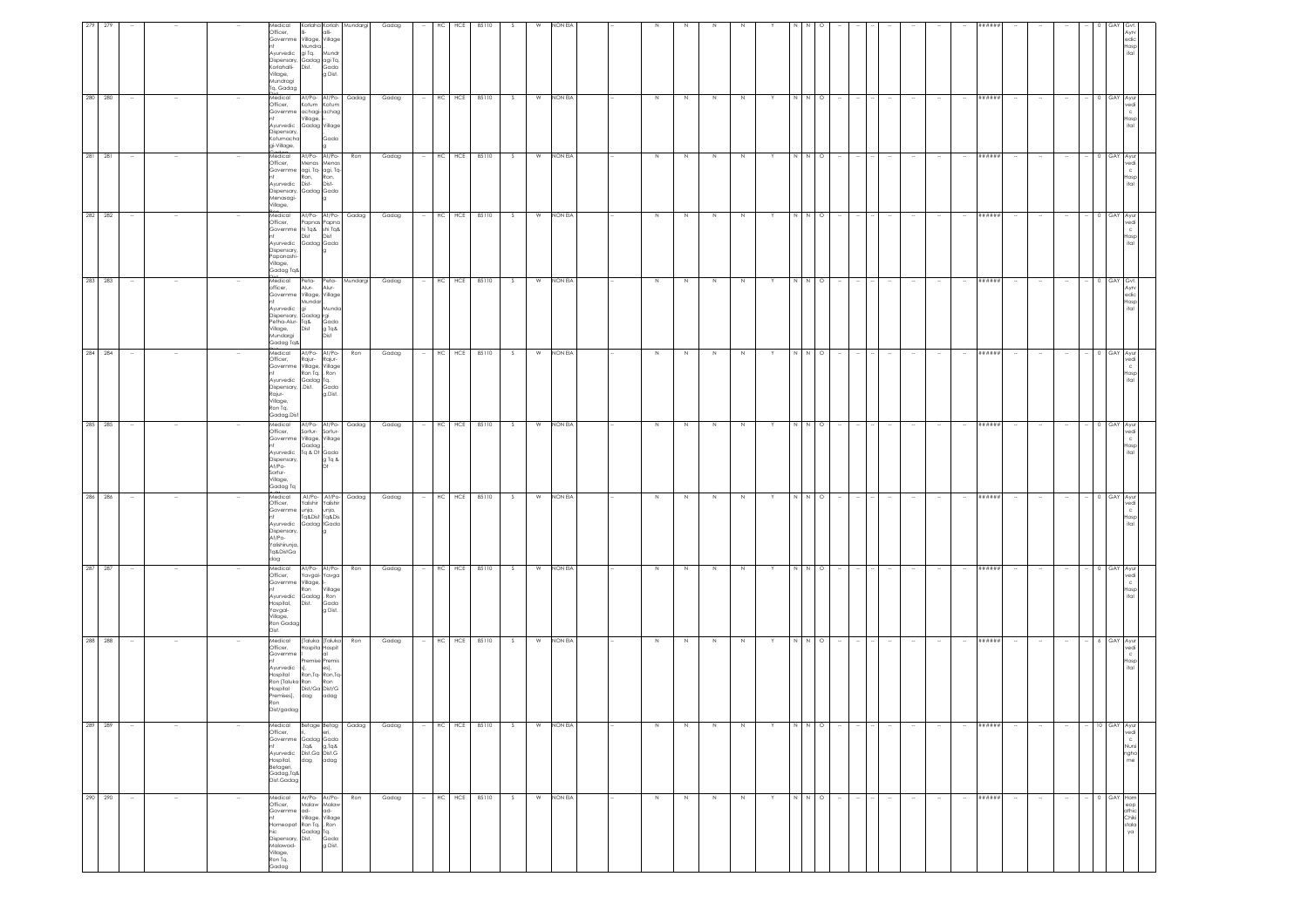| edic<br>Hosp<br>ital                                                                                                                                                             | 0 GAY Avu<br>vedi<br>c<br>Hosp<br>ital                                                                                                                                | 0 GAY Ayur<br>/edi<br>$\mathbf{C}$<br>Hosp<br>ital                                                                               | 0 GAY Ayur<br>vedi<br>Hosp<br>ital                                                            | <b>I</b> GAY<br>۹yrv<br>edic<br>Hosp<br>ital                                                                                                                                             | 0 GAY Ayur<br>vedi<br>$\rm ^c$<br>Hosp<br>ital                                                                        | 0 GAY Ayur<br>vedi<br>Hosp<br>ital                                               | 0 GAY Ayur<br>edi<br>Hosp<br>ital                                                                        | 0 GAY Ayu<br>/edi<br>Hosp<br>ital | $-6$ GAY Ayur<br>vedi<br>$\mathbb C$<br>Hosp<br>ital                                                                        | - 10 GAY Ayur<br>vedi                                                                                                             | $\mathbf{C}$<br>Nursi<br>ngho<br>$_{\sf me}$<br>0 GAY Hom                                                                                      |
|----------------------------------------------------------------------------------------------------------------------------------------------------------------------------------|-----------------------------------------------------------------------------------------------------------------------------------------------------------------------|----------------------------------------------------------------------------------------------------------------------------------|-----------------------------------------------------------------------------------------------|------------------------------------------------------------------------------------------------------------------------------------------------------------------------------------------|-----------------------------------------------------------------------------------------------------------------------|----------------------------------------------------------------------------------|----------------------------------------------------------------------------------------------------------|-----------------------------------|-----------------------------------------------------------------------------------------------------------------------------|-----------------------------------------------------------------------------------------------------------------------------------|------------------------------------------------------------------------------------------------------------------------------------------------|
|                                                                                                                                                                                  | $\sim$                                                                                                                                                                |                                                                                                                                  | $\sim$                                                                                        |                                                                                                                                                                                          |                                                                                                                       |                                                                                  |                                                                                                          |                                   |                                                                                                                             | $\sim$                                                                                                                            | $\sim$                                                                                                                                         |
|                                                                                                                                                                                  | $\sim$<br>$\sim$                                                                                                                                                      |                                                                                                                                  | $\sim$                                                                                        |                                                                                                                                                                                          |                                                                                                                       | $\overline{\phantom{a}}$                                                         |                                                                                                          |                                   |                                                                                                                             | $\sim$<br>$\sim$                                                                                                                  | $\sim$<br>$\sim$                                                                                                                               |
| #####                                                                                                                                                                            | ######                                                                                                                                                                | ######                                                                                                                           | ******                                                                                        | ******                                                                                                                                                                                   | ******                                                                                                                | ******                                                                           | ######                                                                                                   | ######                            |                                                                                                                             | ******                                                                                                                            | ******<br>******                                                                                                                               |
|                                                                                                                                                                                  | $\sim$                                                                                                                                                                |                                                                                                                                  | $\sim$                                                                                        |                                                                                                                                                                                          |                                                                                                                       | $\overline{\phantom{a}}$                                                         | $\sim$                                                                                                   |                                   |                                                                                                                             | $\sim$<br>$\sim$                                                                                                                  | $\sim$<br>$\sim$                                                                                                                               |
|                                                                                                                                                                                  |                                                                                                                                                                       |                                                                                                                                  |                                                                                               |                                                                                                                                                                                          |                                                                                                                       |                                                                                  |                                                                                                          |                                   |                                                                                                                             | $\sim$                                                                                                                            | $\sim$                                                                                                                                         |
|                                                                                                                                                                                  | $\sim$                                                                                                                                                                |                                                                                                                                  | $\sim$                                                                                        |                                                                                                                                                                                          |                                                                                                                       |                                                                                  |                                                                                                          |                                   |                                                                                                                             | $\sim$                                                                                                                            | $\sim$                                                                                                                                         |
|                                                                                                                                                                                  |                                                                                                                                                                       |                                                                                                                                  |                                                                                               |                                                                                                                                                                                          |                                                                                                                       |                                                                                  |                                                                                                          |                                   |                                                                                                                             | $\sim$                                                                                                                            | $\sim$                                                                                                                                         |
|                                                                                                                                                                                  |                                                                                                                                                                       |                                                                                                                                  |                                                                                               |                                                                                                                                                                                          |                                                                                                                       |                                                                                  |                                                                                                          |                                   |                                                                                                                             | <b>Contract</b>                                                                                                                   | $\sim$                                                                                                                                         |
|                                                                                                                                                                                  | N N O                                                                                                                                                                 | N N O                                                                                                                            | $\circ$                                                                                       | $\circ$                                                                                                                                                                                  | $\circ$                                                                                                               | $\circ$                                                                          | $\circ$                                                                                                  | $\circ$                           |                                                                                                                             | $N \quad N \quad O$                                                                                                               | $\begin{array}{c} \mathbb{N} \\ \mathbb{N} \end{array}$<br>N N O                                                                               |
|                                                                                                                                                                                  |                                                                                                                                                                       |                                                                                                                                  | $\mathbb N$                                                                                   |                                                                                                                                                                                          | $N$ $N$                                                                                                               | NN                                                                               | NN                                                                                                       | N N                               |                                                                                                                             |                                                                                                                                   |                                                                                                                                                |
|                                                                                                                                                                                  | Y                                                                                                                                                                     |                                                                                                                                  | Y                                                                                             |                                                                                                                                                                                          |                                                                                                                       | Y.                                                                               |                                                                                                          |                                   |                                                                                                                             | Y.                                                                                                                                | Y                                                                                                                                              |
|                                                                                                                                                                                  | N                                                                                                                                                                     | N                                                                                                                                | N                                                                                             | N                                                                                                                                                                                        | N                                                                                                                     | $\,N\,$                                                                          | N                                                                                                        |                                   | $\mathbb N$                                                                                                                 | N                                                                                                                                 | $\overline{N}$<br>$\,$ N                                                                                                                       |
|                                                                                                                                                                                  | N                                                                                                                                                                     | N                                                                                                                                | N                                                                                             | N                                                                                                                                                                                        | N                                                                                                                     | $\,$ N                                                                           | N                                                                                                        |                                   | $\,$ N                                                                                                                      | N                                                                                                                                 | $\,$ N<br>$\,$ N                                                                                                                               |
|                                                                                                                                                                                  | N                                                                                                                                                                     | N                                                                                                                                | N                                                                                             | N.                                                                                                                                                                                       | N                                                                                                                     | N                                                                                | N                                                                                                        |                                   | N                                                                                                                           | N                                                                                                                                 | N<br>$\,N\,$                                                                                                                                   |
|                                                                                                                                                                                  | N                                                                                                                                                                     | N                                                                                                                                | N                                                                                             | N                                                                                                                                                                                        | Z                                                                                                                     | $\,$ N                                                                           | N                                                                                                        |                                   | $\,$ N                                                                                                                      | N                                                                                                                                 | N<br>$\,$ N                                                                                                                                    |
|                                                                                                                                                                                  |                                                                                                                                                                       |                                                                                                                                  |                                                                                               |                                                                                                                                                                                          |                                                                                                                       |                                                                                  |                                                                                                          |                                   |                                                                                                                             |                                                                                                                                   |                                                                                                                                                |
| NON EIA                                                                                                                                                                          | NON EIA                                                                                                                                                               | NON EIA                                                                                                                          | <b>NON EIA</b>                                                                                | NON EIA                                                                                                                                                                                  | NON EIA                                                                                                               | NON EIA                                                                          | NON EIA                                                                                                  | NON EIA                           |                                                                                                                             | W NON EIA                                                                                                                         | NON EIA<br>NON EIA                                                                                                                             |
| W                                                                                                                                                                                | W                                                                                                                                                                     | S<br>W                                                                                                                           | W<br>s.                                                                                       | W                                                                                                                                                                                        | W<br>S                                                                                                                | S<br>W                                                                           | S<br>W                                                                                                   | W                                 |                                                                                                                             | S                                                                                                                                 | S<br>W<br>W<br>S                                                                                                                               |
| 85110                                                                                                                                                                            | S                                                                                                                                                                     | 85110                                                                                                                            | 85110                                                                                         | 85110<br>- S                                                                                                                                                                             | 85110                                                                                                                 | 85110                                                                            | 85110                                                                                                    |                                   |                                                                                                                             |                                                                                                                                   | 85110                                                                                                                                          |
| HCE                                                                                                                                                                              | HC HCE 85110                                                                                                                                                          | HC HCE                                                                                                                           | $HC$ $HCE$                                                                                    | HCE                                                                                                                                                                                      | HC HCE                                                                                                                | HC HCE                                                                           | HC HCE                                                                                                   | HC HCE 85110                      |                                                                                                                             |                                                                                                                                   | HCE<br>HC HCE 85110                                                                                                                            |
| HC                                                                                                                                                                               | $\sim$                                                                                                                                                                |                                                                                                                                  |                                                                                               | HC                                                                                                                                                                                       |                                                                                                                       |                                                                                  | $\sim$                                                                                                   |                                   |                                                                                                                             | $-$ HC HCE 85110                                                                                                                  | HC<br>$\sim$                                                                                                                                   |
| Gadag                                                                                                                                                                            | Gadag                                                                                                                                                                 | Gadag                                                                                                                            | Gadag                                                                                         | Gadag                                                                                                                                                                                    | Gadag                                                                                                                 | Gadag                                                                            | Gadag                                                                                                    | Gadag                             |                                                                                                                             | Gadag                                                                                                                             | Gadag<br>Gadag                                                                                                                                 |
|                                                                                                                                                                                  |                                                                                                                                                                       | Ron                                                                                                                              | Gadag                                                                                         | Mundargi                                                                                                                                                                                 | Ron                                                                                                                   | At/Po- At/Po- Gadag                                                              | At/Po- At/Po- Gadag                                                                                      |                                   | Ron                                                                                                                         | Ron                                                                                                                               | Gadag<br>Ron                                                                                                                                   |
| Korlaha Korlah Mundargi<br>alli-<br>g Dist.                                                                                                                                      | Gada                                                                                                                                                                  | At/Po- At/Po-<br>Menas Menas<br>Ron,<br>Dist-<br>lg.                                                                             | At/Po- At/Po-<br>Papnas Papna<br>hi Tq& shi Tq&<br>Dist<br>Gadag Gada                         | Peta-<br>Alur-<br>Mundo<br>Gada<br>g Tq&<br>Dist                                                                                                                                         | At/Po- At/Po-<br>Rajur-<br>Ron Tq. , Ron<br>Gada<br>g.Dist.                                                           | Sortur-Sortur-<br>Village, Village<br>Tq & Dt Gada<br>g Tq &                     | Yalishir Yalishir<br>unja,<br>Tq&Dist Tq&Dis<br>Gadag tGada                                              |                                   | At/Po- At/Po-<br>Yavgal- Yavga<br>Village<br>Gada<br>g Dist.                                                                | [Taluka   Taluka<br>Hospita Hospit<br>lal<br>Premise Premis<br>s],<br>s], es],<br>Ron,Tq-Ron,Tq-<br>Ron<br>Dist/Ga Dist/G<br>adag | Betage Betag<br>ri, eri,<br>g,Tq&<br>dag adag<br>Ar/Po- Ar/Po-                                                                                 |
| Medical<br>Officer,<br>Governme Village, Village<br>Mundra<br>Ayurvedic gi Tq. Mundr<br>Dispensary, Gadag agi Tq.<br>Korlahalli- Dist. Gada<br>Village,<br>Mundragi<br>Tq. Gadag | Medical At/Po- At/Po- Gadag<br>Officer, Kotum Kotum<br>Governme achagi-achag<br>Village, i-<br><br>Ayurvedic Gadag Village<br>Dispensary,<br>Kotumacha<br>gi-Village, | viedical<br>Officer,<br>Governme agi, Tq- agi, Tq-<br>Ron,<br>Ayurvedic Dist-<br>Dispensary, Gadag Gada<br>Menasagi-<br>/illage, | Medical<br>Officer,<br>Governme<br>Dist<br>Ayurvedic<br>Dispensary,<br>apanashi-<br>Gadag Tq& | Medical<br>Peta-<br>Alur-<br>officer,<br>Governme Village, Village<br>Mundar<br>Ayurvedic<br>qi<br>Dispensary, Gadag rgi<br>Petha-Alur- Tq&<br>Village,<br>Dist<br>Mundargi<br>Gadag Tq& | Medical<br>Officer,<br>Rajur-<br>Governme Village, Village<br>Ayurvedic Gadag Tq.<br>Dispensary, .Dist.<br>Gadag.Dist | Medical<br>Officer,<br>Governme<br>Gadag<br>Ayurvedic<br>Dispensary,<br>Gadag Tq | Medical<br>Officer,<br>Governme unja,<br>Ayurvedic<br>Dispensary<br>At/Po-<br>Yalishirunja,<br>Tq&DistGa |                                   | Medical<br>Officer,<br>Governme<br>Village,<br>Ron<br><br>Ayurvedic Gadag Ron<br>Dist.<br>Hospital,<br>Yavgal-<br>Ron Gadag | Medical<br>Officer,<br>Governme<br>Ayurvedic<br>Hospital<br>Ron [Taluka Ron<br>Hospital<br>Premises], dag<br>Dist/gadag           | Medical<br>Officer,<br>Governme Gadag Gada<br>SpT,<br>Ayurvedic Dist.Ga Dist.G<br>Hospital,<br>Betageri,<br>Gadag,Tq&<br>Dist.Gadag<br>Medical |
|                                                                                                                                                                                  |                                                                                                                                                                       |                                                                                                                                  | Village,                                                                                      |                                                                                                                                                                                          | Rajur-<br>Village,<br>Ron Tq.                                                                                         | At/Po-<br>Sortur-<br>Village,                                                    | gob                                                                                                      |                                   | Village,<br>Dist.                                                                                                           | Ron                                                                                                                               |                                                                                                                                                |
|                                                                                                                                                                                  |                                                                                                                                                                       |                                                                                                                                  |                                                                                               |                                                                                                                                                                                          |                                                                                                                       |                                                                                  |                                                                                                          |                                   |                                                                                                                             |                                                                                                                                   | $\sim$                                                                                                                                         |
| 279                                                                                                                                                                              | $\sim$                                                                                                                                                                |                                                                                                                                  | $\sim$                                                                                        | $\overline{\phantom{a}}$                                                                                                                                                                 |                                                                                                                       | $\overline{\phantom{a}}$                                                         |                                                                                                          |                                   |                                                                                                                             | $\sim$                                                                                                                            | $\sim$                                                                                                                                         |
| 279                                                                                                                                                                              | 280 280                                                                                                                                                               | 281 281                                                                                                                          | 282 282                                                                                       | 283 283                                                                                                                                                                                  | 284 284                                                                                                               | 285 285                                                                          | 286 286                                                                                                  |                                   |                                                                                                                             | 287 287<br>288 288                                                                                                                | $\begin{array}{ c c c }\hline 289 & 289 \\ \hline \end{array}$<br>290 290                                                                      |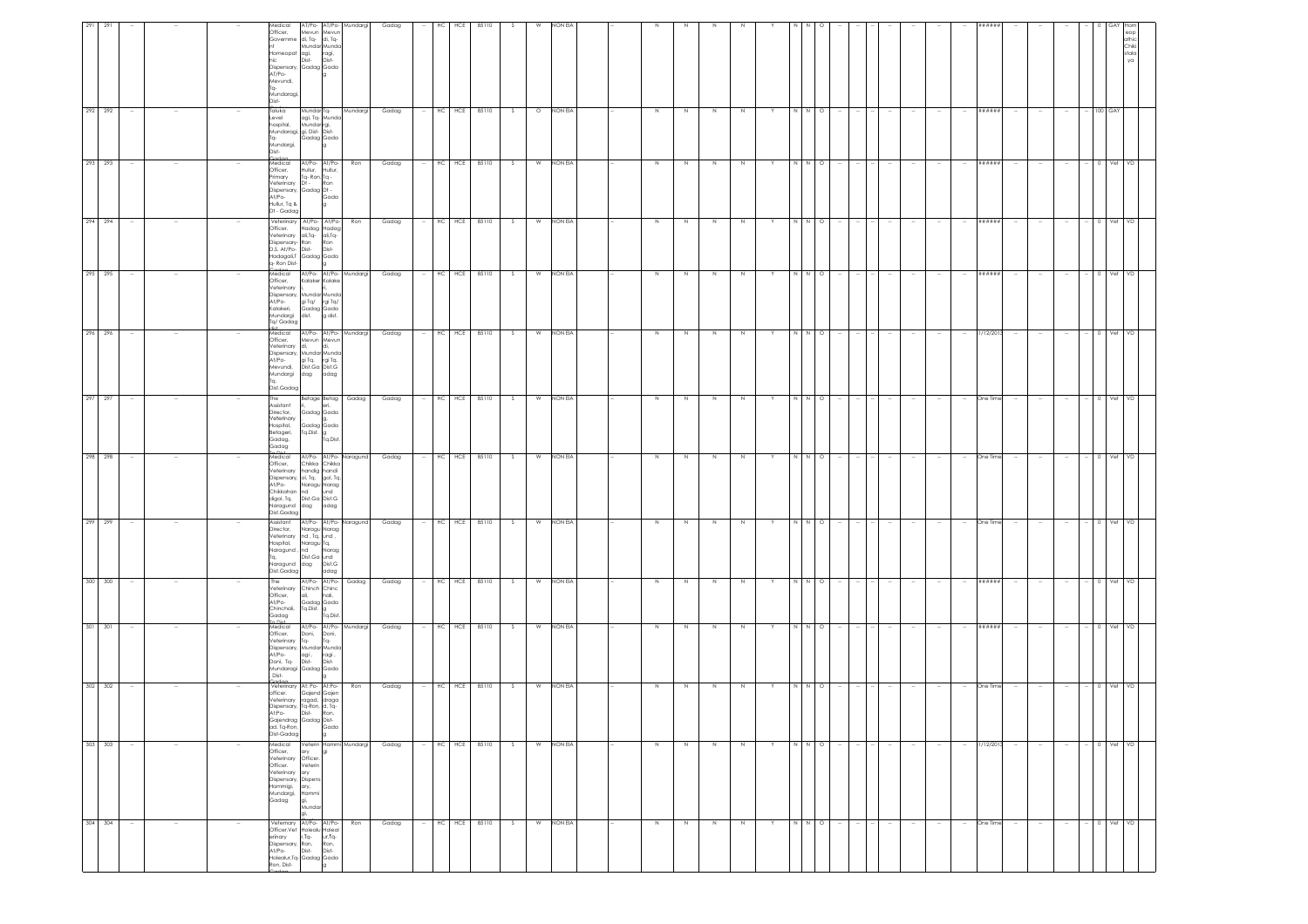| 291     |         |        |                  | Medical<br>Officer,<br>Officer, Mevun Mevun<br>Governme di, Tq- di, Tq-<br>Homeopat agi, ragi,<br>hic Dist- Dist-<br>Dispensary, Gadag Gada<br>AT/Po-<br>Mevundi,<br>Tq- | Mundar Munda                                                                                   |                              | AT/Po- AT/Po- Mundargi | Gadag |        | HC | HCE        | 85110 |          |          | NON EI    |  |             |   |             |         |   |       |         |        |                          |        |        |        |        | #####       |        |        |        |             | athic<br>Chiki<br>stala<br>ya |  |
|---------|---------|--------|------------------|--------------------------------------------------------------------------------------------------------------------------------------------------------------------------|------------------------------------------------------------------------------------------------|------------------------------|------------------------|-------|--------|----|------------|-------|----------|----------|-----------|--|-------------|---|-------------|---------|---|-------|---------|--------|--------------------------|--------|--------|--------|--------|-------------|--------|--------|--------|-------------|-------------------------------|--|
|         | 292 292 | $\sim$ |                  | Mundaragi,<br>-faic<br>Taluka<br>Level<br>hospital,<br>Mundaragi, gi, Dist- Dist-<br>Tq-<br>Mundargi,<br>Dist-                                                           | agi, Tq- Munda<br>Mundar rgi,<br>Gadag Gada                                                    | lg.                          | Mundar Tq- Mundargi    | Gadag |        |    | HC HCE     | 85110 | S        | $\circ$  | NON EIA   |  | N           | N | N           | N       |   | N     | $\circ$ |        |                          |        |        |        |        | ******      |        |        |        | $- 100$ GAY |                               |  |
|         | 293 293 | $\sim$ |                  | Medical<br>Officer.<br>Primary Tq-Ron, Tq -<br>Veterinary Dt - Ron<br>Dispensary, Gadag Dt -<br>At/Po- Gadag Dt -<br>Hullur, Tq &<br>Dt - Gadag                          | At/Po- At/Po-<br>Hullur, Hullur,                                                               | la.                          | Ron                    | Gadag |        |    | $-$ HC HCE | 85110 | $S \cup$ |          | W NON EIA |  | N           | N | N           | N       | Y | N N O |         |        | $\sim$                   |        | $\sim$ |        | $\sim$ | ######      | $\sim$ | $\sim$ | $\sim$ | 0 Vet VD    |                               |  |
|         | 294 294 | $\sim$ |                  | Officer.<br>Dispensary-Ron<br>D.S. At/Po- Dist-<br>a- Ron Dist-                                                                                                          | Veterinary At/Po- At/Po-<br>Hadag Hadag<br>Veterinary ali,Tq- ali,Tq-<br>Hadagali,T Gadag Gada | Ron<br>Dist-<br>$\vert$ 9    | Ron                    | Gadag |        |    | HC HCE     | 85110 | S        | W        | NON EIA   |  | N           | N | N           | $\,N\,$ |   | N N O |         |        |                          |        |        |        | $\sim$ | ******      |        |        |        | $-$ 0 Vet   | VD                            |  |
|         | 295 295 | $\sim$ |                  | Medical<br>Medical<br>Officer,<br>eterinary<br>At/Po-<br>Kalakeri,<br>Mundargi<br>Tq/ Gadag                                                                              | Kalaker Kalake<br>Dispensary, Mundar Munda<br>gi Tq/ rgi Tq/<br>Gadag Gada<br>dist. g dist.    |                              | At/Po- At/Po- Mundargi | Gadag | $\sim$ |    | $HC$ $HCE$ | 85110 | S        | W        | NON EIA   |  | N           | N | N           | N       |   | N     | N O     |        |                          |        |        |        | $\sim$ | ******      | $\sim$ |        |        | 0 Vet       | VD                            |  |
|         | 296 296 | $\sim$ |                  | Medical<br>Officer,<br>Veterinary di.<br>At/Po-<br>Mevundi,<br>Mundargi dag adag<br>Dist.Gadag                                                                           | Mevun Mevun<br>Dispensary, Mundar Munda<br>gi Tq. rgi Tq.<br>Dist.Ga Dist.G                    | di,                          | At/Po- At/Po- Mundargi | Gadag |        |    | $-$ HC HCE | 85110 | S        | <b>W</b> | NON EIA   |  | N           | N | N           | N       | Y | N N O |         | - 14   |                          |        |        |        | $\sim$ | 31/12/2013  | $\sim$ | $\sim$ | $\sim$ | - 0 Vet VD  |                               |  |
| 297 297 |         | $\sim$ |                  | The<br>Assistant<br>Director.<br>Veterinary<br>Hospital.<br>Betageri,<br>Gadag,<br>Gadag<br>Die                                                                          | Gadag Gada<br>Gadag Gada<br>Tq.Dist. g<br>Tq.Dist.                                             |                              | Betage Betag Gadag     | Gadag | $\sim$ |    | HC HCE     | 85110 | S        | W        | NON EIA   |  | N           | N | $\,$ N      | N       | Y | N N O |         | $\sim$ | $\sim$                   | $\sim$ | $\sim$ |        | $\sim$ | One Time    | $\sim$ | $\sim$ | $\sim$ | $- 0$ Vet   | VD                            |  |
| 298 298 |         |        |                  | Medical<br>Officer,<br>Veterinary<br>Dispensary, ol, Tq, gol, Tq,<br>At/Po-<br>Chikkahan nd<br>digol, Tq,<br>Naragund dag adag<br>Dist.Gadag                             | Chikka Chikka<br>handig handi<br>Naragu Narag<br>Dist.Ga Dist.G                                | und                          | At/Po- At/Po- Naragund | Gadag |        |    | HC HCE     | 85110 | S.       | W        | NON EIA   |  | $\mathbb N$ | N | $\mathbb N$ | N       |   |       | $\circ$ |        |                          |        |        |        |        | One Time    |        |        |        |             |                               |  |
| 299 299 |         |        |                  | Assistant<br>Director,<br>/eterinary<br>Hospital,<br>Naragund , <mark>I</mark> nd<br>Tq,<br>Naragund dag Dist.G<br>Dist.Gadag                                            | Naragu Narag<br>nd, Tq, und,<br>Naragu Tq,<br>Dist.Ga und                                      | Narag<br>adag                | At/Po- At/Po- Naragund | Gadag |        | HC | HCE        | 85110 | $\Delta$ | W        | NON EIA   |  | $\mathbb N$ |   | N           |         |   |       |         |        |                          |        |        |        |        | One Time    |        |        |        |             |                               |  |
| 300 300 |         | $\sim$ |                  | The<br>Officer,<br>At/Po-<br>At/Po-<br>Chinchali, Tq.Dist. g<br>Tq.Dist.<br>$n$ Dist                                                                                     | At/Po- At/Po-<br>Veterinary Chinch Chinc<br>ali,                                               | hali,                        | Gadag                  | Gadag |        | HC | HCE        | 85110 | S.       | W        | NON EIA   |  | N           | N | N           | N       |   |       | $\circ$ |        |                          |        |        |        | $\sim$ | ******      |        |        | $\sim$ | Vet         | /D                            |  |
|         | 301 301 | $\sim$ |                  | Medical<br>Officer,<br>Veterinary Tq-<br>At/Po-<br>Doni, Tq-<br>Mundaragi Gadag Gada<br>Dist-                                                                            | Doni, Doni,<br>Tq- Tq-<br>Dispensary, Mundar Munda<br>agi ,<br>Dist-                           | ragi,<br>Dist-               | At/Po- At/Po- Mundargi | Gadag | $\sim$ |    | HC HCE     | 85110 | S        | W        | NON EIA   |  | $\,$ N      | N | $\,$ N      | $\,N\,$ |   | N N O |         |        |                          |        |        |        | $\sim$ | # # # # # # | $\sim$ | $\sim$ | $\sim$ | $-$ 0 Vet   | VD                            |  |
|         | 302 302 | $\sim$ |                  | officer.<br>Dispensary, Tq-Ron, d, Tq-<br>At:Po-<br>Gajendrag Gadag Dist-<br>ad, Tq-Ron,<br>Dist-Gadag                                                                   | Codoo<br>Veterinary At: Po- At:Po-<br>Gajend Gajen<br>Veterinary ragad, draga<br>Dist- Ron,    | la                           | Ron                    | Gadag |        |    | $-$ HC HCE | 85110 | S.       | W        | NON EIA   |  | N           | N | N           | N       | Y | N N O |         |        |                          |        |        |        | $\sim$ | One Time    | $\sim$ | $\sim$ | $\sim$ | $-$ 0 Vet   | VD                            |  |
| 303 303 |         | $\sim$ | $\sim$           | Medical<br>Officer,<br>Veterinary<br>Officer.<br>Veterinary<br>Dispensary, Dispens<br>Hammigi,<br>Mundargi,<br>Gadag                                                     | ary<br>Officer.<br>Veterin<br>ary<br>ary,<br>Hammi<br>gi,<br>Mundar<br>gi,                     | lgi                          | Veterin Hammi Mundargi | Gadag |        |    | HC HCE     | 85110 | S.       | W        | NON EIA   |  | N           | N | N           | N       |   | N     | N O     |        |                          | $\sim$ | $\sim$ |        | $\sim$ | 31/12/2013  | $\sim$ | $\sim$ | $\sim$ | 0 Vet       | V <sub>D</sub>                |  |
|         | 304 304 | $\sim$ | $\sim$<br>$\sim$ | Officer.Vet Holealu Holeal<br>erinary<br>Dispensary, Ron,<br>At/Po-<br>Holealur, Tq- Gadag Gada<br>Ron, Dist-                                                            | Veternary At/Po- At/Po-<br>r,Tq-<br>Dist-                                                      | ur,Tq-<br>Ron,<br>Dist-<br>g | Ron                    | Gadag | $\sim$ | HC | HCE        | 85110 | S.       | W        | NON EIA   |  | $\mathbb N$ | N | $\,$ N      | $\,N\,$ | Y | N     | $N$ O   | $\sim$ | $\overline{\phantom{a}}$ | $\sim$ | $\sim$ | $\sim$ | $\sim$ | One Time    | $\sim$ | $\sim$ | $\sim$ | $-$ 0 Vet   | VD                            |  |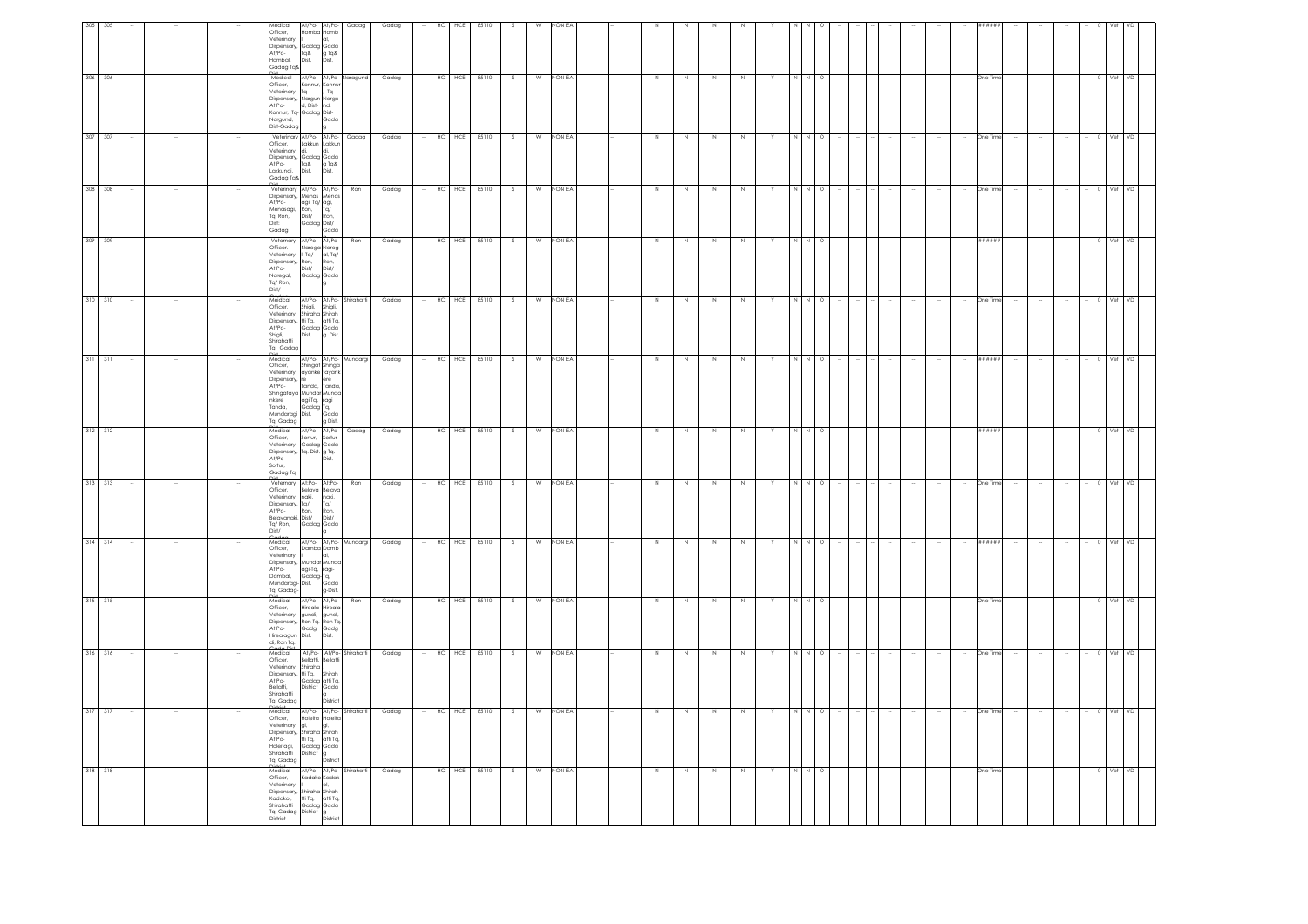|                                                              | 316 316                                    | 315 315                                                                        | 314 314                                                                                                            |                                                                                                    | 313<br>313                                                                                                         | 311 311<br>312<br>312                                                                                                                                                                                                       | 310<br>310                                                                                                                       | 309 309                                                                                                          | 308<br>308                                                                                                                | 307<br>307                                                                                                                     | 306 306                                                                                                                                                         | 305<br>305                                                                                    |
|--------------------------------------------------------------|--------------------------------------------|--------------------------------------------------------------------------------|--------------------------------------------------------------------------------------------------------------------|----------------------------------------------------------------------------------------------------|--------------------------------------------------------------------------------------------------------------------|-----------------------------------------------------------------------------------------------------------------------------------------------------------------------------------------------------------------------------|----------------------------------------------------------------------------------------------------------------------------------|------------------------------------------------------------------------------------------------------------------|---------------------------------------------------------------------------------------------------------------------------|--------------------------------------------------------------------------------------------------------------------------------|-----------------------------------------------------------------------------------------------------------------------------------------------------------------|-----------------------------------------------------------------------------------------------|
|                                                              |                                            |                                                                                |                                                                                                                    |                                                                                                    |                                                                                                                    |                                                                                                                                                                                                                             |                                                                                                                                  |                                                                                                                  |                                                                                                                           |                                                                                                                                |                                                                                                                                                                 |                                                                                               |
|                                                              |                                            |                                                                                |                                                                                                                    |                                                                                                    |                                                                                                                    |                                                                                                                                                                                                                             |                                                                                                                                  |                                                                                                                  |                                                                                                                           |                                                                                                                                |                                                                                                                                                                 |                                                                                               |
|                                                              |                                            |                                                                                |                                                                                                                    |                                                                                                    |                                                                                                                    |                                                                                                                                                                                                                             |                                                                                                                                  |                                                                                                                  |                                                                                                                           |                                                                                                                                |                                                                                                                                                                 |                                                                                               |
|                                                              |                                            |                                                                                |                                                                                                                    |                                                                                                    |                                                                                                                    |                                                                                                                                                                                                                             |                                                                                                                                  |                                                                                                                  |                                                                                                                           |                                                                                                                                |                                                                                                                                                                 |                                                                                               |
| di, Ron Tq.<br>Cada Dir<br>Medical<br>Officer,<br>Veterinary | At:Po- Gadg Gadg<br>Hirealagun Dist. Dist. | Medical<br>Officer,<br>Veterinary gundi, gundi,<br>Dispensary, Ron Tq. Ron Tq. | Medical<br>Officer,<br>Veterinary<br>Dispensary, Mundar Mund<br>At:Po-<br>Dambal,<br>Mundaragi-Dist.<br>Tq, Gadag- | Officer.<br>Veterinary naki,<br>Dispensary, Tq/<br>At/Po-<br>Belavanaki, Dist/<br>Tq/Ron,<br>Dist/ | Officer.<br>Veterinary<br>Dispensary, Tq. Dist. g Tq.<br>At/Po-<br>Sortur,<br>Gadag Tq.<br>Veternary At:Po- At:Po- | Medical At/Po- At/Po- Mundargi<br>Officer,<br>Veterinary ayanke tayank<br>Dispensary, re ere<br>At/Po- Tanda, Tanda,<br>Shingataya Mundar Munda<br>nkere<br>fanda.<br>Nundaragi Dist.<br>Tq, Gadag<br>Medical At/Po- At/Po- | Meidcal<br>Officer,<br>Veterinary Shiraha Shirah<br>Dispensary, tti Tq. atti Tq.<br>At/Po-<br>Shigli,<br>Shirahatti<br>Tg. Gadag | Veternary At/Po- At/Po-<br>Officer.<br>Veterinary<br>Dispensary, Ron,<br>At:Po-<br>Nareaal.<br>Tq/ Ron,<br>Dist/ | Net<br>Veterinary At/Po- At/Po-<br>Dispensary, Menas Mena<br>At/Po-<br>Menasagi, Ron,<br>Tq: Ron, Dist/<br>Dist:<br>Gadag | Veterinary At/Po- At/Po- Gadag<br>Officer,<br>Veterinary di, di,<br>Dispensary, Gadag Gada<br>At:Po-<br>Lakkundi.<br>Gadag Tq& | Medical At/Po- At/Po- Naragund<br>Officer.<br>Veterinary<br>Dispensary, Nargun Nargu<br>At:Po- d, Dist-nd,<br>Konnur, Tq- Gadag Dist-<br>Nargund,<br>Dist-Gadag | Medical<br>Officer,<br>Veterinary<br>Dispensary, Gadag Gada<br>At/Po-<br>Hombal,<br>Gadag Tq& |
| Shiraha                                                      |                                            | At/Po-<br>Hireala Hireala                                                      | Damba Damb<br>agi-Tq, ragi-<br>Gadag-Tq,                                                                           | Belava<br>Gadag Gada                                                                               | Sortur. Sortur<br>Gadag Gada                                                                                       | Shingat Shinga<br>agi Tq. ragi<br>Gadag Tq.                                                                                                                                                                                 | Shigli,<br>Gadag Gada<br>Dist. g Dist.                                                                                           | Narega Nareg<br>Dist/<br>Gadaa Gada                                                                              | agi, Tq/ agi,<br>Ron, Tq/<br>Gadag Dist/                                                                                  | Lakkun Lakkun<br>Tq&<br>Dist.                                                                                                  | Konnur, Konnur<br>Tq-                                                                                                                                           | Homba Homb<br>$z_{\text{PI}}$<br>Dist.                                                        |
|                                                              |                                            | At/Po-                                                                         | lot<br>Gada<br>a-Dist.                                                                                             | Belava<br>naki,<br>TQ/<br>Ron,<br>Dist/                                                            | Dist.                                                                                                              | Gada<br>g Dist.                                                                                                                                                                                                             | Shigli,                                                                                                                          | al, Tq/<br>Ron,<br>Dist/                                                                                         | Ron,<br>Gada                                                                                                              | g Tq&<br>Dist.                                                                                                                 | . Tq-<br>Gada                                                                                                                                                   | At/Po- At/Po-<br>g Tq&<br>Dist.                                                               |
| At/Po- At/Po- Shirahatti<br>Bellatti, Bellatti               |                                            | Ron                                                                            | At/Po- At/Po- Mundarai                                                                                             |                                                                                                    | Ron                                                                                                                | Gadag                                                                                                                                                                                                                       | At/Po- At/Po- Shirahatti                                                                                                         | Ron                                                                                                              | Ron                                                                                                                       |                                                                                                                                |                                                                                                                                                                 | Gadag                                                                                         |
| Gadag                                                        |                                            | Gadag                                                                          | Gadag                                                                                                              |                                                                                                    | Gadag                                                                                                              | Gadag<br>Gadag                                                                                                                                                                                                              | Gadag                                                                                                                            | Gadag                                                                                                            | Gadag                                                                                                                     | Gadag                                                                                                                          | Gadag                                                                                                                                                           | Gadag                                                                                         |
|                                                              |                                            |                                                                                | $\sim$                                                                                                             |                                                                                                    |                                                                                                                    | $\sim$                                                                                                                                                                                                                      |                                                                                                                                  |                                                                                                                  | $\sim$                                                                                                                    |                                                                                                                                |                                                                                                                                                                 |                                                                                               |
|                                                              |                                            |                                                                                |                                                                                                                    |                                                                                                    |                                                                                                                    | HC                                                                                                                                                                                                                          |                                                                                                                                  |                                                                                                                  | $HC$ $HCE$                                                                                                                |                                                                                                                                |                                                                                                                                                                 | HC.                                                                                           |
| HC HCE 85110                                                 |                                            | HC HCE 85110                                                                   | HC HCE 85110                                                                                                       |                                                                                                    | HC HCE 85110                                                                                                       | HCE                                                                                                                                                                                                                         | HC HCE                                                                                                                           | HC HCE 85110                                                                                                     |                                                                                                                           | HC HCE 85110                                                                                                                   | HC HCE 85110                                                                                                                                                    | HCE                                                                                           |
|                                                              |                                            |                                                                                |                                                                                                                    |                                                                                                    |                                                                                                                    | HC HCE 85110<br>85110                                                                                                                                                                                                       | 85110                                                                                                                            |                                                                                                                  | 85110                                                                                                                     |                                                                                                                                |                                                                                                                                                                 | 85110                                                                                         |
| - S                                                          |                                            | - S                                                                            | S.                                                                                                                 |                                                                                                    | $\mathcal{S}$                                                                                                      | S<br>S.                                                                                                                                                                                                                     |                                                                                                                                  | - S                                                                                                              | S.                                                                                                                        | $\overline{\mathbf{S}}$                                                                                                        | - S                                                                                                                                                             |                                                                                               |
| W                                                            |                                            | W                                                                              |                                                                                                                    |                                                                                                    | W                                                                                                                  | W                                                                                                                                                                                                                           | W                                                                                                                                | W                                                                                                                | W                                                                                                                         | W                                                                                                                              | W                                                                                                                                                               | W                                                                                             |
| NON EIA                                                      |                                            | NON EIA                                                                        | W NON EIA                                                                                                          |                                                                                                    | NON EIA                                                                                                            | W NON EIA<br>NON EIA                                                                                                                                                                                                        | NON EIA                                                                                                                          | NON EIA                                                                                                          | NON EIA                                                                                                                   | NON EIA                                                                                                                        | NON EIA                                                                                                                                                         | NON EIA                                                                                       |
|                                                              |                                            |                                                                                |                                                                                                                    |                                                                                                    |                                                                                                                    |                                                                                                                                                                                                                             |                                                                                                                                  |                                                                                                                  |                                                                                                                           |                                                                                                                                |                                                                                                                                                                 |                                                                                               |
|                                                              |                                            |                                                                                |                                                                                                                    |                                                                                                    |                                                                                                                    |                                                                                                                                                                                                                             |                                                                                                                                  |                                                                                                                  |                                                                                                                           |                                                                                                                                |                                                                                                                                                                 |                                                                                               |
| $\overline{N}$                                               |                                            | N                                                                              | N                                                                                                                  |                                                                                                    | N                                                                                                                  | N<br>N                                                                                                                                                                                                                      | N                                                                                                                                | N                                                                                                                | N                                                                                                                         | N                                                                                                                              | Z                                                                                                                                                               |                                                                                               |
| $\overline{N}$                                               |                                            | N                                                                              | N                                                                                                                  |                                                                                                    | N                                                                                                                  | N<br>N                                                                                                                                                                                                                      | N                                                                                                                                | N                                                                                                                | N                                                                                                                         | N                                                                                                                              | Z                                                                                                                                                               |                                                                                               |
| $\overline{N}$                                               |                                            | N                                                                              | N                                                                                                                  |                                                                                                    | N                                                                                                                  | N<br>N                                                                                                                                                                                                                      | N                                                                                                                                | N                                                                                                                | N                                                                                                                         | N                                                                                                                              | z                                                                                                                                                               |                                                                                               |
| <sup>N</sup>                                                 |                                            | N                                                                              | N                                                                                                                  |                                                                                                    | N                                                                                                                  | N<br>N                                                                                                                                                                                                                      |                                                                                                                                  | N                                                                                                                | N                                                                                                                         | N                                                                                                                              | $\mathbb{N}$                                                                                                                                                    |                                                                                               |
|                                                              |                                            |                                                                                | Y                                                                                                                  |                                                                                                    |                                                                                                                    | Y<br>Y                                                                                                                                                                                                                      |                                                                                                                                  |                                                                                                                  | Υ                                                                                                                         |                                                                                                                                |                                                                                                                                                                 |                                                                                               |
| N N                                                          |                                            |                                                                                | IN.                                                                                                                |                                                                                                    |                                                                                                                    | IN.<br>N                                                                                                                                                                                                                    |                                                                                                                                  | N.<br>N                                                                                                          |                                                                                                                           | <b>N</b><br>N                                                                                                                  | N<br>N                                                                                                                                                          |                                                                                               |
| $\circ$                                                      |                                            | $\circ$                                                                        | $\circ$                                                                                                            |                                                                                                    | $\circ$                                                                                                            | $\circ$<br>$\circ$                                                                                                                                                                                                          | $\circ$                                                                                                                          | $\circ$                                                                                                          | $\circ$                                                                                                                   | $\circ$                                                                                                                        | $\circ$                                                                                                                                                         |                                                                                               |
|                                                              |                                            |                                                                                | $\sim$                                                                                                             |                                                                                                    |                                                                                                                    | $\sim$                                                                                                                                                                                                                      |                                                                                                                                  |                                                                                                                  |                                                                                                                           |                                                                                                                                |                                                                                                                                                                 |                                                                                               |
|                                                              |                                            |                                                                                |                                                                                                                    |                                                                                                    |                                                                                                                    |                                                                                                                                                                                                                             |                                                                                                                                  |                                                                                                                  |                                                                                                                           |                                                                                                                                |                                                                                                                                                                 |                                                                                               |
|                                                              |                                            |                                                                                |                                                                                                                    |                                                                                                    |                                                                                                                    |                                                                                                                                                                                                                             |                                                                                                                                  |                                                                                                                  |                                                                                                                           |                                                                                                                                |                                                                                                                                                                 |                                                                                               |
|                                                              |                                            |                                                                                |                                                                                                                    |                                                                                                    |                                                                                                                    |                                                                                                                                                                                                                             |                                                                                                                                  |                                                                                                                  |                                                                                                                           |                                                                                                                                |                                                                                                                                                                 |                                                                                               |
|                                                              |                                            |                                                                                |                                                                                                                    |                                                                                                    |                                                                                                                    |                                                                                                                                                                                                                             |                                                                                                                                  |                                                                                                                  | $\sim$                                                                                                                    |                                                                                                                                |                                                                                                                                                                 |                                                                                               |
|                                                              |                                            |                                                                                | $\sim$                                                                                                             |                                                                                                    |                                                                                                                    | $\sim$                                                                                                                                                                                                                      |                                                                                                                                  |                                                                                                                  | $\overline{\phantom{a}}$                                                                                                  |                                                                                                                                |                                                                                                                                                                 |                                                                                               |
| One Time                                                     |                                            | One Time                                                                       | ######                                                                                                             |                                                                                                    | One Tim                                                                                                            | ######<br>******                                                                                                                                                                                                            | One Tim                                                                                                                          | ######                                                                                                           | One Time                                                                                                                  | One Time                                                                                                                       | One Time                                                                                                                                                        |                                                                                               |
|                                                              |                                            |                                                                                |                                                                                                                    |                                                                                                    |                                                                                                                    |                                                                                                                                                                                                                             |                                                                                                                                  |                                                                                                                  |                                                                                                                           |                                                                                                                                |                                                                                                                                                                 |                                                                                               |
|                                                              |                                            |                                                                                |                                                                                                                    |                                                                                                    |                                                                                                                    |                                                                                                                                                                                                                             |                                                                                                                                  |                                                                                                                  |                                                                                                                           |                                                                                                                                |                                                                                                                                                                 |                                                                                               |
|                                                              |                                            |                                                                                | $\sim$                                                                                                             |                                                                                                    |                                                                                                                    | $\overline{\phantom{a}}$                                                                                                                                                                                                    |                                                                                                                                  |                                                                                                                  | $\overline{\phantom{a}}$                                                                                                  |                                                                                                                                |                                                                                                                                                                 |                                                                                               |
|                                                              |                                            |                                                                                |                                                                                                                    |                                                                                                    |                                                                                                                    |                                                                                                                                                                                                                             |                                                                                                                                  | $\cap$                                                                                                           |                                                                                                                           |                                                                                                                                |                                                                                                                                                                 |                                                                                               |
| Vet                                                          |                                            | Vet                                                                            | Vet                                                                                                                |                                                                                                    | Vet                                                                                                                | Vet VD<br>Vet                                                                                                                                                                                                               |                                                                                                                                  | Vet VD                                                                                                           | Vet                                                                                                                       | Vet VD                                                                                                                         | Vet                                                                                                                                                             |                                                                                               |
| VD                                                           |                                            |                                                                                | VD                                                                                                                 |                                                                                                    |                                                                                                                    | VD                                                                                                                                                                                                                          |                                                                                                                                  |                                                                                                                  | VD                                                                                                                        |                                                                                                                                |                                                                                                                                                                 |                                                                                               |
|                                                              |                                            |                                                                                |                                                                                                                    |                                                                                                    |                                                                                                                    |                                                                                                                                                                                                                             |                                                                                                                                  |                                                                                                                  |                                                                                                                           |                                                                                                                                |                                                                                                                                                                 |                                                                                               |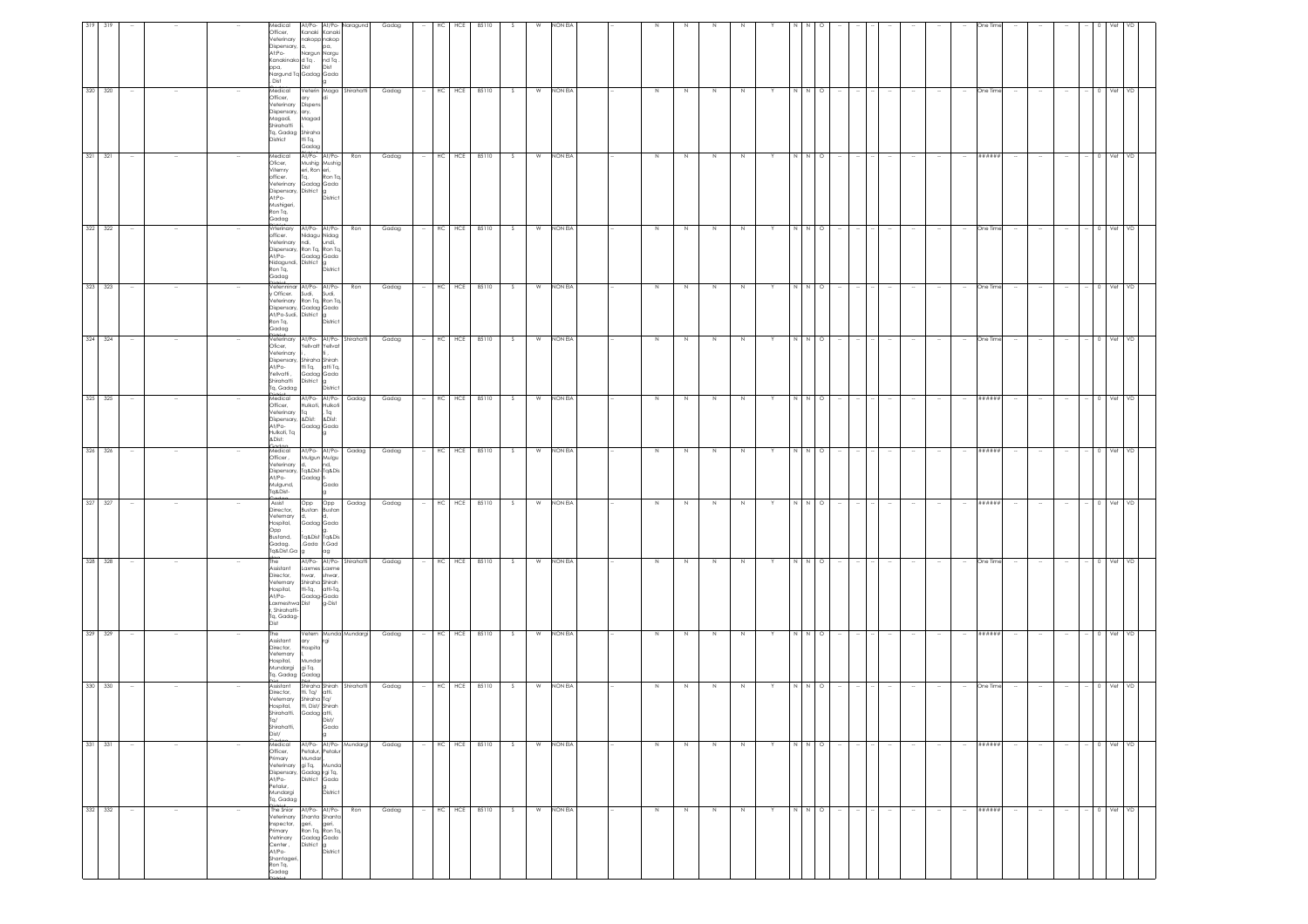|                    |        | Medical<br>Officer,<br>Veterinary nakopp nakop<br>Dispensary, a,<br>At:Po-<br>Kanakinako d <sup>T</sup> q. ndTq.<br>ppa,<br>Nargund Tq Gadag Gada<br>Dist                                                     | Kanaki Kanaki<br>Nargun Nargu<br>Dist                                     | At/Po- At/Po- Naragund<br>pa.<br>Dist       |                           | Gadag          |        | HC<br>HCE | 85110                                  |     |   | NON EL    |  |         |    |        |             |   |         |         |        |        |        |        |          |        |        |                          |           |     |
|--------------------|--------|---------------------------------------------------------------------------------------------------------------------------------------------------------------------------------------------------------------|---------------------------------------------------------------------------|---------------------------------------------|---------------------------|----------------|--------|-----------|----------------------------------------|-----|---|-----------|--|---------|----|--------|-------------|---|---------|---------|--------|--------|--------|--------|----------|--------|--------|--------------------------|-----------|-----|
| 320 320            |        | Medical<br>Officer,<br>Veterinary Dispens<br>Dispensary, ary,<br>Magadi, Magad<br>Shirahatti<br>Tq, Gadag Shiraha<br><b>District</b>                                                                          | ary<br>tti Tq,<br>Gadag                                                   |                                             | Veterin Maga Shirahatti   | Gadag          |        |           | $-$ HC HCE 85110 S                     |     |   | W NON EIA |  | N       | N  | N      | N           | Y | N N O   |         |        |        |        | $\sim$ | One Time |        |        |                          | $-$ 0 Vet | VD  |
| 321 321            |        | Medical<br>Oficer,<br>Viternry<br>officer.<br>Veterinary Gadag Gada<br>Dispensary, District g<br>At:Po-<br>Mushigeri,<br>Ron Tq,<br>Gadag                                                                     | At/Po- At/Po-<br>Mushig Mushig<br>eri, Ron eri,<br>Tq,                    | Ron To<br>District                          | Ron                       | Gadag          |        |           | HC HCE 85110                           | S   | W | NON EIA   |  | N       | N  | N      | N           |   | N N O   |         |        |        |        |        | *******  |        |        |                          | $- 0$ Vet | VD  |
| 322 322            |        | Vrterinary At/Po-At/Po-<br>officer.<br>Veterinary ndi, undi,<br>Dispensary, Ron Tq, Ron Tq<br>At/Po-<br>Nidagundi, District g<br>Ron Tq,<br>Gadag                                                             | Nidagu Nidag<br>Gadag Gada                                                | District                                    | Ron                       | Gadag          |        |           | HC HCE 85110                           | S   | W | NON EIA   |  | N       | N  | N      | N           |   | N N     | $\circ$ |        |        |        | $\sim$ | One Time |        |        |                          | 0 Vet     | VD  |
| 323 323<br>324 324 |        | Vetenninar At/Po- At/Po-<br>y Officer. Sudi, Sudi,<br>Veterinary Ron Tq, Ron Tq<br>Dispensary, Gadag Gada<br>At/Po-Sudi, District g<br>Ron Tq,<br>Gadag<br>the brian t<br>Veterinary At/Po- At/Po- Shirahatti |                                                                           | District                                    | Ron                       | Gadag<br>Gadag |        |           | $-$ HC HCE 85110<br>$-$ HC HCE 85110 S | S   | W | NON EIA   |  | $\,$ N  | N  | $\,$ N | $\mathbb N$ |   | $N$ $N$ | $\circ$ |        |        |        | $\sim$ | One Time |        |        | $\sim$                   | $-$ 0 Vet | VD  |
|                    |        | Oficer.<br>Veterinary<br>Dispensary, Shiraha Shirah<br>At/Po-<br>Yellvatti,<br>Shirahatti<br>Tq, Gadag<br>$+$                                                                                                 | Yellvatt Yellvat<br>tti Tq, atti Tq,<br>Gadag Gada<br>District g          | District                                    |                           |                |        |           |                                        |     | W | NON EIA   |  | N       | N  | N      | N           |   | N N O   |         |        |        |        | $\sim$ | One Time | $\sim$ |        | $\sim$                   | 0 Vet     | VD. |
| 325 325            |        | Medical<br>Officer,<br>Veterinary Tq , Tq<br>Dispensary, &Dist: &Dist:<br>At/Po-<br>Hulkoti, Tq<br>&Dist:                                                                                                     | Hulkoti, Hulkoti<br>Gadag Gada                                            |                                             | At/Po- At/Po- Gadag       | Gadag          |        |           | $-$ HC HCE 85110                       | S   | W | NON EIA   |  | N       | N  | N      | N           | Y | N N O   |         |        |        |        | $\sim$ | *******  |        |        | $\sim$                   | $-$ 0 Vet | VD  |
| 326 326            |        | Medical<br>Officer,<br>Veterinary d,<br>Dispensary, Tq&Dist-Tq&Dis<br>At/Po-<br>Mulgund,<br>Tq&Dist-<br>adaa                                                                                                  | Mulgun Mulgu<br>Gadag t-                                                  | At/Po- At/Po- Gadag<br>nd,<br>Gada          |                           | Gadag          |        |           | HC HCE 85110                           | S.  | W | NON EIA   |  | N       |    | N      | $\mathbb N$ |   | N N     | $\circ$ |        |        |        |        | ******   |        |        |                          | Vet       |     |
| 327 327            |        | Assist<br>Dirrector.<br>Veternary<br>Hospital,<br>Opp<br>Bustand,<br>Gadag.<br>Tq&Dist.Ga                                                                                                                     | Bustan Bustan<br>ld.<br>Gadag Gada<br>Tq&Dist Tq&Dis<br>Gada t.Gad        | ag                                          | Opp Opp Gadag             | Gadag          |        |           | HC HCE 85110                           | - S |   | W NON EIA |  | N       | N  | N      | N           |   | N N     | $\circ$ |        |        |        |        | ######   |        |        |                          |           |     |
| 328 328            |        | The<br>Assistant<br>Director,<br>Veternary<br>Hospital,<br>At/Po-<br>Laxmeshwa Dist<br>r. Shirahatti-<br>Tq, Gadag-<br>Dist                                                                                   | Laxmes Laxme<br>hwar,<br>Shiraha Shirah<br>tti-Tq. atti-Tq.<br>Gadag-Gada | At/Po- At/Po- Shirahatti<br>shwar<br>g-Dist |                           | Gadag          |        |           | $-$ HC HCE 85110                       | S   | W | NON EIA   |  | N       | N. | N      | N           |   | N N O   |         |        |        |        |        | One Time |        |        |                          | 0 Vet     |     |
| 329 329            |        | Assistant<br>Director.<br>Veternary<br>Hospital,<br>Mundargi giTq.<br>Tq. Gadag Gadag                                                                                                                         | ary<br>Hospita<br>Mundar                                                  | rgi                                         | Vetern Munda Mundargi     | Gadag          |        |           | HC HCE 85110                           |     | W | NON EIA   |  | $\,N\,$ |    | N      |             |   | N       | $\circ$ |        |        |        |        | ******   |        |        |                          |           |     |
| 330 330            |        | Assistant<br>Director,<br>Veternary<br>Hospital,<br>Shirahatti. Gadag atti,<br>Tq/<br>Shirahatti,<br>Dist/                                                                                                    | tti, Tq/ atti,<br>Shiraha Tq/<br>tti, Dist/ Shirah                        | Dist/<br>Gada                               | Shiraha Shirah Shirahatti | Gadag          | $\sim$ |           | HC HCE 85110                           | S   | W | NON EIA   |  | $\,$ N  | N  | $\,$ N | N           |   |         | $\circ$ |        |        |        | $\sim$ | One Time |        | $\sim$ | $\sim$                   | 0 Vet     | VD  |
| 331 331            | $\sim$ | Medical<br>Officer,<br>Primary<br>Veterinary gi Tq, Munda<br>Dispensary, Gadag rgi Tq,<br>At/Po-<br>Petalur,<br>Mundargi<br>Tq, Gadag                                                                         | Petalur, Petalur<br>Mundar<br>District Gada                               | At/Po- At/Po- Mundargi<br>District          |                           | Gadag          |        | HC        | HCE 85110                              | - S | W | NON EIA   |  | N       | N  | N      | N           | Y | $N$ $N$ | $\circ$ | $\sim$ | $\sim$ | $\sim$ | $\sim$ |          | $\sim$ | $\sim$ | $\overline{\phantom{a}}$ | $- 0$ Vet | VD. |
| 332 332            |        | The Snior At/Po- At/Po-<br>Veterinary Shanta Shanta<br>Inspector,<br>Primary<br>Vetrinary<br>Center,<br>At/Po-<br>Shantageri<br>Ron Tq,<br>Gadag                                                              | geri, geri,<br>Ron Tq, Ron Tq<br>Gadag Gada<br>District                   | lя<br>Distric                               | Ron                       | Gadag          |        | HC        | HCE 85110                              | - S | W | NON EIA   |  | N       | N  | N      | N           |   | N N     | $\circ$ |        |        |        | $\sim$ | *******  |        |        |                          | Vet       | VD  |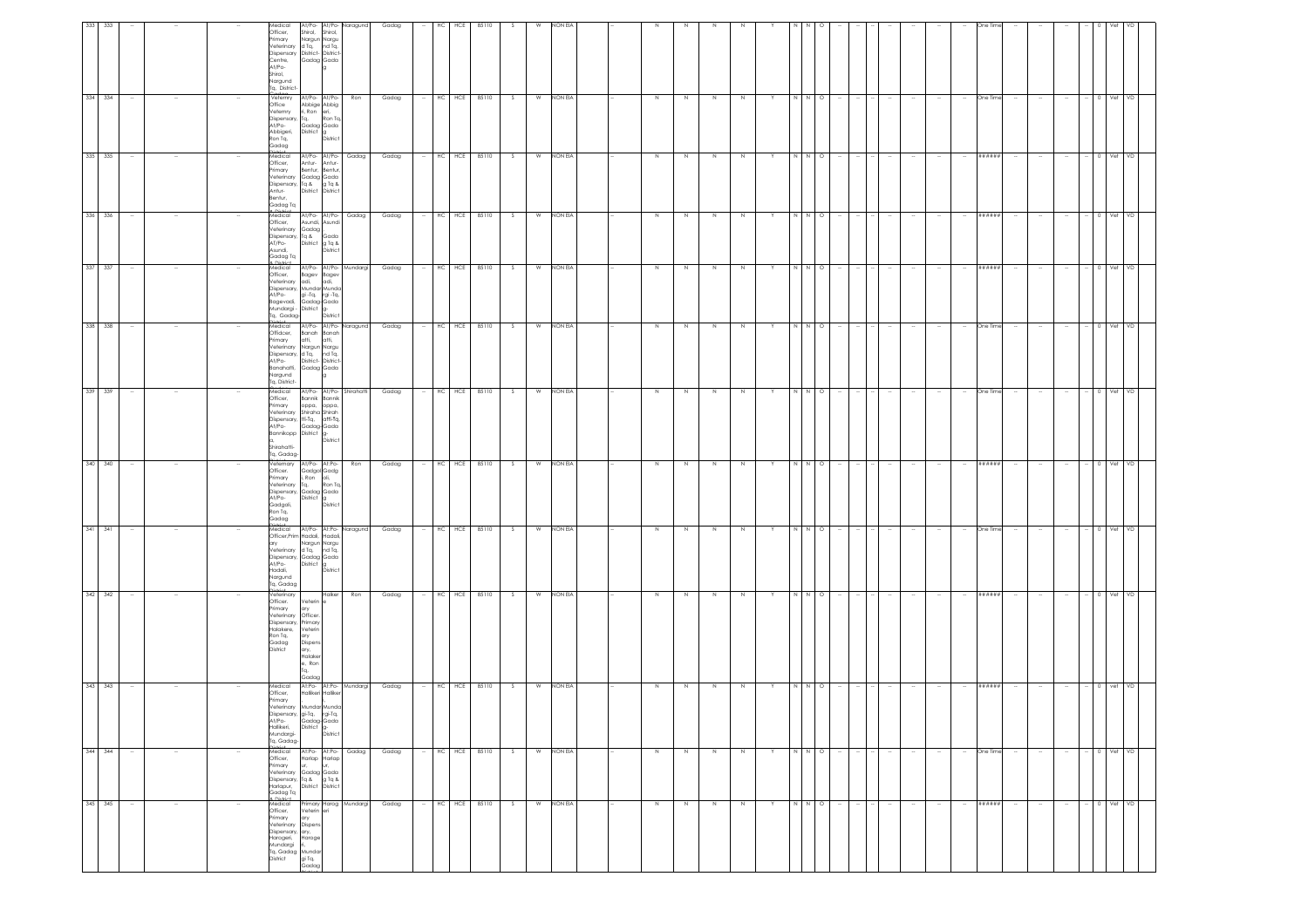| 333 333 |                          |        | Medical<br>Officer,                                                                                                                            | At/Po- At/Po- Naragund<br>Shirol, Shirol,                                                                                                                                                                 |     | Gadag |        | HC         | HCE              | 85110 |        | <b>W</b> | NON EIA   |             |    |             |         |    |             |         |                  |        |        |        |        |               |        |                          |                          |              |           |     |
|---------|--------------------------|--------|------------------------------------------------------------------------------------------------------------------------------------------------|-----------------------------------------------------------------------------------------------------------------------------------------------------------------------------------------------------------|-----|-------|--------|------------|------------------|-------|--------|----------|-----------|-------------|----|-------------|---------|----|-------------|---------|------------------|--------|--------|--------|--------|---------------|--------|--------------------------|--------------------------|--------------|-----------|-----|
|         |                          |        | Primary<br>Veterinary<br>Centre,<br>At/Po-<br>Shirol.<br>Nargund<br>Tq, District-                                                              | Nargun Nargu<br>d Tq, nd Tq,<br>Dispensary District- District-<br>Gadag Gada                                                                                                                              |     |       |        |            |                  |       |        |          |           |             |    |             |         |    |             |         |                  |        |        |        |        |               |        |                          |                          |              |           |     |
| 334 334 | $\sim$                   |        | Office<br>Veternry<br>Dispensary, Tq,<br>At/Po-<br>Abbigeri,<br>Ron Tq,<br>Gadag                                                               | Veternry At/Po- At/Po-<br>Abbige Abbig<br>ri, Roneri,<br>Tq, Ron Tq,<br>Gadag Gada<br>District g<br>District                                                                                              | Ron | Gadag | $\sim$ |            | HC HCE 85110     |       | S      |          | W NON EIA | N           | N. | N           | N       |    | N I N       | $\circ$ |                  |        |        |        | $\sim$ | One Time      | $\sim$ |                          | $\sim$                   |              | 0 Vet     | VD. |
| 335 335 |                          |        | Medical<br>Officer,<br>Primary<br>Veterinary<br>Antur-<br>Bentur,<br>Gadag Ta                                                                  | At/Po- At/Po- Gadag<br>Antur- Antur-<br>Bentur, Bentur,<br>Gadag Gada<br>Dispensary, Tq & g Tq &<br>District District                                                                                     |     | Gadag |        |            | HC HCE 85110     |       | S      |          | W NON EIA | N           | N  | $\,N\,$     | N       |    | N N O       |         |                  |        |        |        |        | *******       |        |                          |                          |              | $-$ 0 Vet | VD  |
| 336 336 | $\overline{\phantom{a}}$ |        | Medical<br>Officer,<br>Veterinary<br>AT/Po-<br>Asundi,<br>Gadag Tq<br>e Dictrict<br>Medical                                                    | At/Po- At/Po- Gadag<br>Asundi, Asundi<br>Gadag,<br>Dispensary, Tq & Gada<br>District g Tq &<br>District                                                                                                   |     | Gadag | $\sim$ | $HC$ $HCE$ |                  | 85110 | S      | W        | NON EIA   | N           | N  | N           | N       | Y  | N I N       | $\circ$ |                  | ÷      |        |        | $\sim$ | $"$ # # # # # |        | $\overline{\phantom{a}}$ | $\overline{\phantom{a}}$ |              | Vet       | VD  |
| 337 337 | $\sim$                   |        | At/Po-<br>Bagevadi,                                                                                                                            | At/Po- At/Po- Mundargi<br>Officer, Bagev Bagev<br>Veterinary adi, adi,<br>Dispensary, Mundar Munda<br>gi -Tq, rgi -Tq,<br>Gadag-Gada<br>Bagevaal, ususus<br>Mundargi - District g-<br>"Certon" - District |     | Gadag |        |            | $-$ HC HCE 85110 |       | S      |          | W NON EIA | N           | N  | N           | N       | Y  | N N O       |         | $\sim$           | $\sim$ | $\sim$ | $\sim$ | $\sim$ | *******       | $\sim$ | $\sim$                   | $\sim$                   |              | $-$ 0 Vet | VD  |
| 338 338 |                          |        | Medical<br>Offidcer,<br>Primary<br>Dispensary,<br>At/Po-<br>Banahatti,<br>Nargund<br>Tq, District-                                             | At/Po- At/Po- Naragund<br>Banah Banah<br>atti, atti,<br>Veterinary Nargun Nargu<br>d Tq, nd Tq,<br>District- District-<br>Gadag Gada<br>la.                                                               |     | Gadag |        |            | HC HCE 85110     |       | S      |          | W NON EIA | $\,$ N      | N  | N           | N       |    | N           | N O     |                  |        |        |        |        | One Time      |        |                          |                          |              | Vet       |     |
| 339 339 |                          |        | Medical<br>Officer,<br>Primary<br>At/Po-<br>Shirahatti-<br>Tq, Gadag-                                                                          | At/Po- At/Po- Shirahatti<br>Bannik Bannik<br>oppa, oppa,<br>Veterinary Shiraha Shirah<br>Dispensary, tti-Tq, atti-Tq,<br>Gadag-Gada<br>Bannikopp District g-<br>a, District                               |     | Gadag |        |            | HC HCE 85110     |       | S.     | W        | NON EIA   | $\mathbb N$ |    | N           |         |    |             | $\circ$ |                  |        |        |        |        | One Time      |        |                          |                          |              |           |     |
| 340 340 | $\sim$                   |        | Veternary<br>Officer.<br>Primary<br>Veterinary<br>At/Po-<br>Gadgoli,<br>Ron Tq,<br>Gadag                                                       | At/Po- At:Po- Ron<br>Gadgol Gadg<br>i, Ron oli,<br>Tq, Ron Tq,<br>Dispensary, Gadag Gada<br>District g<br>District                                                                                        |     | Gadag |        |            | $-$ HC HCE 85110 |       | S      |          | W NON EIA | N           | N  | N           | N       | Y  | NNO         |         | $\sim$           | $\sim$ |        |        | $\sim$ | ######        | $\sim$ | $\sim$                   | $\sim$                   | $- 0$ Vet VD |           |     |
| 341 341 |                          |        | Medical<br>ary<br>Veterinary<br>At/Po-<br>Hadali,<br>Nargund<br>Tq, Gadag                                                                      | At/Po- At:Po- Naragund<br>Officer, Prim Hadali, Hadali,<br>Nargun Nargu<br>d Tq, nd Tq,<br>Dispensary, Gadag Gada<br>District g<br>District                                                               |     | Gadag |        |            | $-$ HC HCE 85110 |       | S      |          | W NON EIA | $\,$ N      | N  | $\,$ N $\,$ | N       |    | $N$ $N$ $Q$ |         |                  |        |        |        | $\sim$ | One Time      |        |                          |                          |              | $-$ 0 Vet | VD  |
| 342 342 | $\sim$                   |        | Veterinary<br>Officer.<br>Primary<br>Veterinary<br>Dispensary,<br>Halakere,<br>Ron Tq,<br>Gadag<br><b>District</b>                             | Halker<br>Veterin e<br>ary<br>Officer<br>Primary<br>Veterin<br>ary<br>Dispen:<br>ary,<br>Halake<br>e, Ron<br>Ta.<br>Gadag                                                                                 | Ron | Gadag |        |            | $-$ HC HCE 85110 |       | $\sim$ |          | W NON EIA | Z           | N  | $\geq$      | $\,N\,$ |    | N N O       |         |                  |        |        |        | $\sim$ | ******        |        |                          | $\sim$                   |              | $-$ 0 Vet | VD  |
| 343 343 | $\sim$                   | $\sim$ | Medical<br>Officer,<br>Primary<br>Tq, Gadag-                                                                                                   | At:Po- At:Po- Mundargi<br>Hallikeri Halliker<br>Veterinary Mundar Munda<br>verenium virtuali virtuali<br>At/Po-Gadag-Gada<br>Hallikeri, District g-<br>Mundargi-District District                         |     | Gadag |        |            | $-$ HC HCE 85110 |       | S      | <b>W</b> | NON EIA   | N           | N  | N           | N       | Y. | N N         | $\circ$ | $\sim$           |        | $\sim$ | $\sim$ | $\sim$ | ######        | $\sim$ | $\sim$                   | $\sim$                   | $- 0$ vet    |           | VD  |
| 344 344 | $\sim$                   | $\sim$ | Medical<br>Officer,<br>Primary<br>Veterinary<br>Harlapur,<br>Gadag Tq                                                                          | At:Po- At:Po- Gadag<br>Harlap Harlap<br>ur.<br>ur,<br>Gadag Gada<br>Dispensary, Tq & g Tq &<br>Harlapur, District District                                                                                |     | Gadag |        |            | HC HCE 85110     |       | S.     | W        | NON EIA   | N           | N  | N           | N       | Y  | N N         | $\circ$ | $\sim$<br>$\sim$ | ÷      | $\sim$ | $\sim$ | $\sim$ | One Time      | $\sim$ | $\sim$                   | $\sim$                   |              | $-$ 0 Vet | VD  |
| 345 345 |                          |        | <b>e</b> District<br>Medical<br>Officer,<br>Primary<br>Veterinary<br>Dispensary, ary,<br>Harogeri,<br>Mundargi<br>Tq, Gadag Mundar<br>District | Primary Harog Mundargi<br>Veterin eri<br>ary<br>Dispens<br>Haroge<br>gi Tq,<br>Gadag                                                                                                                      |     | Gadag |        | HC HCE     |                  | 85110 | S      | W        | NON EIA   | $\,N\,$     | N  | $\,$ N      | N       |    | $N$ $N$ $O$ |         |                  |        |        |        |        | *******       |        |                          |                          |              | 0 Vet     | VD. |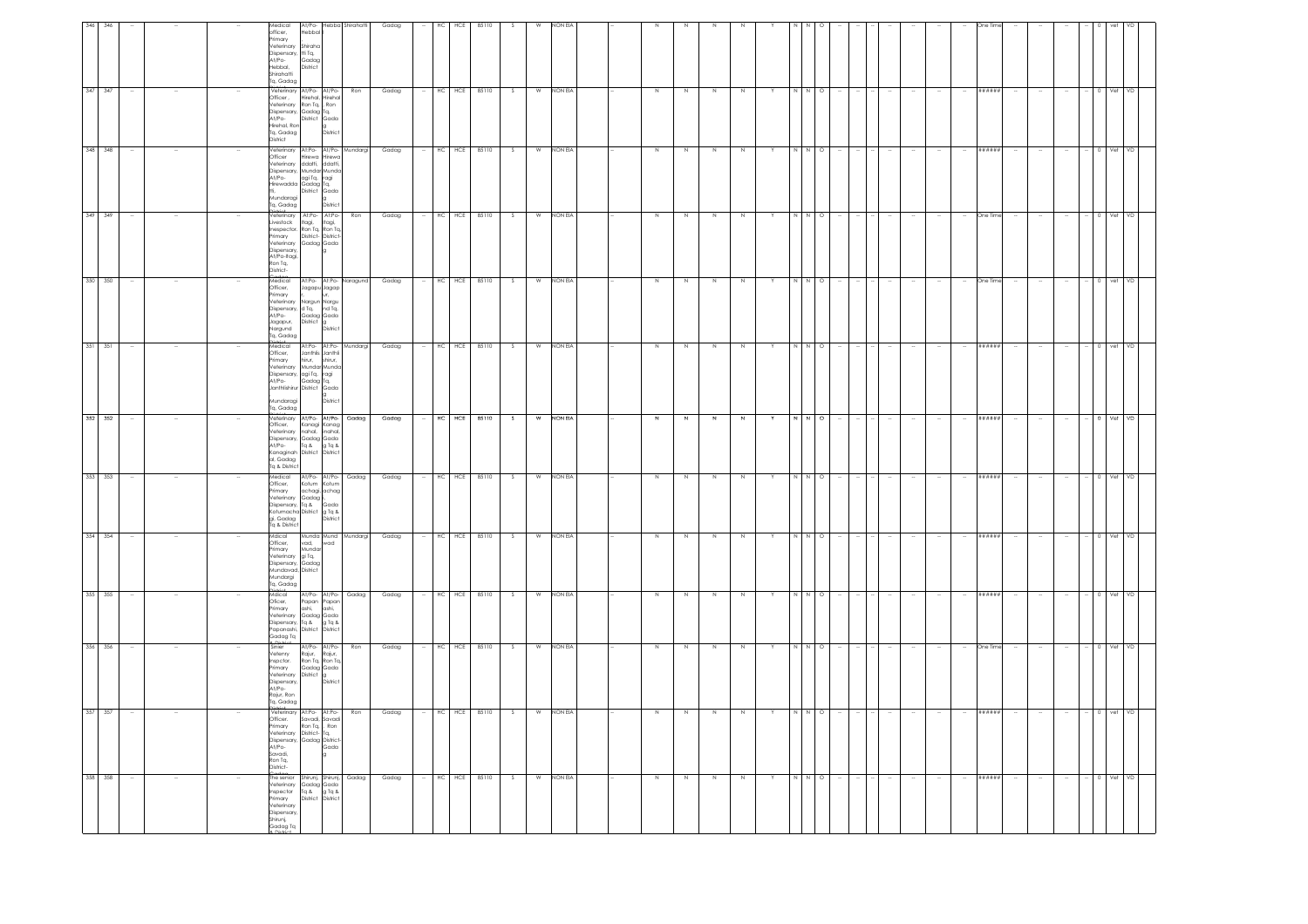|                                                                                                             | VD                                                                                                                                  |                                                                                                                                                             |                                                                                                              |                                                                                                                                          |                                                                                                                                                               |         |                                                                                                                                             |                                                                                                                             |                                                                                                            |                                                                                                  |                                                                                                                                         |                                                                                                                                 |
|-------------------------------------------------------------------------------------------------------------|-------------------------------------------------------------------------------------------------------------------------------------|-------------------------------------------------------------------------------------------------------------------------------------------------------------|--------------------------------------------------------------------------------------------------------------|------------------------------------------------------------------------------------------------------------------------------------------|---------------------------------------------------------------------------------------------------------------------------------------------------------------|---------|---------------------------------------------------------------------------------------------------------------------------------------------|-----------------------------------------------------------------------------------------------------------------------------|------------------------------------------------------------------------------------------------------------|--------------------------------------------------------------------------------------------------|-----------------------------------------------------------------------------------------------------------------------------------------|---------------------------------------------------------------------------------------------------------------------------------|
|                                                                                                             | I Vet                                                                                                                               | $0$ Vet                                                                                                                                                     | 0 Vet                                                                                                        |                                                                                                                                          |                                                                                                                                                               |         |                                                                                                                                             |                                                                                                                             | 0 Vet VD                                                                                                   | Vet                                                                                              | 0 Vet VD                                                                                                                                | $-$ 0 vet VD<br>$-$ 0 Vet VD                                                                                                    |
|                                                                                                             | $\sim$                                                                                                                              |                                                                                                                                                             |                                                                                                              |                                                                                                                                          |                                                                                                                                                               |         |                                                                                                                                             |                                                                                                                             | $\sim$                                                                                                     |                                                                                                  |                                                                                                                                         |                                                                                                                                 |
|                                                                                                             |                                                                                                                                     |                                                                                                                                                             |                                                                                                              |                                                                                                                                          |                                                                                                                                                               |         |                                                                                                                                             |                                                                                                                             |                                                                                                            |                                                                                                  |                                                                                                                                         | $\sim$<br>$\sim$                                                                                                                |
|                                                                                                             |                                                                                                                                     |                                                                                                                                                             |                                                                                                              |                                                                                                                                          |                                                                                                                                                               |         |                                                                                                                                             |                                                                                                                             |                                                                                                            |                                                                                                  |                                                                                                                                         |                                                                                                                                 |
|                                                                                                             | ######                                                                                                                              | ######                                                                                                                                                      | One Tim                                                                                                      | One Tir                                                                                                                                  | ######                                                                                                                                                        | #####   |                                                                                                                                             | #####                                                                                                                       | ######                                                                                                     | ******                                                                                           | One Tim                                                                                                                                 | ######<br>######                                                                                                                |
|                                                                                                             |                                                                                                                                     |                                                                                                                                                             |                                                                                                              |                                                                                                                                          |                                                                                                                                                               |         |                                                                                                                                             |                                                                                                                             | $\sim$                                                                                                     |                                                                                                  |                                                                                                                                         | $\sim$<br>$\sim$                                                                                                                |
|                                                                                                             |                                                                                                                                     |                                                                                                                                                             |                                                                                                              |                                                                                                                                          |                                                                                                                                                               |         |                                                                                                                                             |                                                                                                                             |                                                                                                            |                                                                                                  |                                                                                                                                         |                                                                                                                                 |
|                                                                                                             |                                                                                                                                     |                                                                                                                                                             |                                                                                                              |                                                                                                                                          |                                                                                                                                                               |         |                                                                                                                                             |                                                                                                                             |                                                                                                            |                                                                                                  |                                                                                                                                         |                                                                                                                                 |
|                                                                                                             |                                                                                                                                     |                                                                                                                                                             |                                                                                                              |                                                                                                                                          |                                                                                                                                                               |         |                                                                                                                                             |                                                                                                                             |                                                                                                            |                                                                                                  |                                                                                                                                         |                                                                                                                                 |
|                                                                                                             |                                                                                                                                     |                                                                                                                                                             |                                                                                                              |                                                                                                                                          |                                                                                                                                                               |         |                                                                                                                                             |                                                                                                                             |                                                                                                            |                                                                                                  |                                                                                                                                         |                                                                                                                                 |
|                                                                                                             | $\circ$                                                                                                                             | $\circ$                                                                                                                                                     | $\circ$                                                                                                      |                                                                                                                                          | $\circ$                                                                                                                                                       | $\circ$ |                                                                                                                                             |                                                                                                                             | $\circ$                                                                                                    | $\circ$                                                                                          |                                                                                                                                         |                                                                                                                                 |
|                                                                                                             |                                                                                                                                     | $\overline{M}$                                                                                                                                              | N                                                                                                            |                                                                                                                                          |                                                                                                                                                               |         |                                                                                                                                             |                                                                                                                             |                                                                                                            |                                                                                                  | N N O                                                                                                                                   | N N O<br>N N O                                                                                                                  |
|                                                                                                             |                                                                                                                                     |                                                                                                                                                             |                                                                                                              |                                                                                                                                          |                                                                                                                                                               |         |                                                                                                                                             |                                                                                                                             | Y                                                                                                          | Y                                                                                                |                                                                                                                                         | Y                                                                                                                               |
|                                                                                                             | N                                                                                                                                   | N                                                                                                                                                           | $\,$ N                                                                                                       | N                                                                                                                                        | N                                                                                                                                                             | N       |                                                                                                                                             |                                                                                                                             | N                                                                                                          | $\mathbb N$                                                                                      | N                                                                                                                                       | Z<br>Z                                                                                                                          |
|                                                                                                             | N                                                                                                                                   | Z                                                                                                                                                           | $\,$ N                                                                                                       | N                                                                                                                                        | N                                                                                                                                                             |         |                                                                                                                                             |                                                                                                                             | N                                                                                                          | $\,$ N                                                                                           | N                                                                                                                                       | Z<br>N                                                                                                                          |
|                                                                                                             | N                                                                                                                                   | Z                                                                                                                                                           | N                                                                                                            |                                                                                                                                          | N.                                                                                                                                                            |         |                                                                                                                                             |                                                                                                                             | N                                                                                                          | N                                                                                                | N                                                                                                                                       | $\overline{N}$<br>N                                                                                                             |
|                                                                                                             | N                                                                                                                                   | Z                                                                                                                                                           | $\,$ N                                                                                                       | N                                                                                                                                        | N                                                                                                                                                             |         |                                                                                                                                             | N                                                                                                                           | N                                                                                                          | N                                                                                                | N                                                                                                                                       | $\overline{N}$<br>N                                                                                                             |
|                                                                                                             |                                                                                                                                     |                                                                                                                                                             |                                                                                                              |                                                                                                                                          |                                                                                                                                                               |         |                                                                                                                                             |                                                                                                                             |                                                                                                            |                                                                                                  |                                                                                                                                         |                                                                                                                                 |
|                                                                                                             |                                                                                                                                     |                                                                                                                                                             |                                                                                                              |                                                                                                                                          |                                                                                                                                                               |         |                                                                                                                                             |                                                                                                                             |                                                                                                            |                                                                                                  |                                                                                                                                         |                                                                                                                                 |
| NON EIA                                                                                                     | NON EIA                                                                                                                             | NON EIA                                                                                                                                                     | NON EIA                                                                                                      | NON EIA                                                                                                                                  | NON EIA                                                                                                                                                       | NON EIA |                                                                                                                                             | NON EL                                                                                                                      | NON EIA                                                                                                    | NON EIA                                                                                          | NON EIA                                                                                                                                 | NON EIA<br>W NON EIA                                                                                                            |
| W                                                                                                           | W                                                                                                                                   | W                                                                                                                                                           | W                                                                                                            | W                                                                                                                                        | W                                                                                                                                                             | W       |                                                                                                                                             |                                                                                                                             | W                                                                                                          | W                                                                                                | W                                                                                                                                       | W                                                                                                                               |
| S.                                                                                                          | S.                                                                                                                                  | $\sqrt{2}$                                                                                                                                                  | S.                                                                                                           | - S                                                                                                                                      | S.                                                                                                                                                            | s       |                                                                                                                                             |                                                                                                                             | S.                                                                                                         | -S                                                                                               | S.                                                                                                                                      | $\overline{\mathbf{S}}$<br>$\sim$                                                                                               |
| 85110                                                                                                       | 85110                                                                                                                               |                                                                                                                                                             | 85110                                                                                                        |                                                                                                                                          |                                                                                                                                                               | 85110   |                                                                                                                                             | 85110                                                                                                                       |                                                                                                            | 85110                                                                                            |                                                                                                                                         |                                                                                                                                 |
| HC HCE                                                                                                      | HC HCE                                                                                                                              | HC HCE 85110                                                                                                                                                | $HC$ $HCE$                                                                                                   | HC HCE 85110                                                                                                                             | HC HCE 85110                                                                                                                                                  | HC HCE  |                                                                                                                                             | HC HCE                                                                                                                      |                                                                                                            | $HC$ $HCE$                                                                                       | HC HCE 85110                                                                                                                            | HC HCE 85110                                                                                                                    |
|                                                                                                             |                                                                                                                                     |                                                                                                                                                             |                                                                                                              |                                                                                                                                          |                                                                                                                                                               |         |                                                                                                                                             |                                                                                                                             | $-$ HC HCE 85110                                                                                           |                                                                                                  |                                                                                                                                         | $\sim$<br>$-$ HC HCE 85110                                                                                                      |
|                                                                                                             |                                                                                                                                     |                                                                                                                                                             |                                                                                                              |                                                                                                                                          |                                                                                                                                                               |         |                                                                                                                                             |                                                                                                                             |                                                                                                            |                                                                                                  |                                                                                                                                         |                                                                                                                                 |
| Gadag                                                                                                       | Gadag                                                                                                                               | Gadag                                                                                                                                                       | Gadag                                                                                                        | Gadag                                                                                                                                    | Gadag                                                                                                                                                         |         | Gadag                                                                                                                                       | Gadag                                                                                                                       |                                                                                                            | Gadag                                                                                            | Gadag                                                                                                                                   | Gadag<br>Gadag                                                                                                                  |
| lebba Shirahatti                                                                                            | Ron                                                                                                                                 | Mundargi                                                                                                                                                    | Ron                                                                                                          |                                                                                                                                          | Mundargi                                                                                                                                                      |         | Gadag                                                                                                                                       | Gadag                                                                                                                       |                                                                                                            | Gadag                                                                                            | Ron                                                                                                                                     | Ron                                                                                                                             |
| At/Po-<br>Hebbal<br>Shiraha<br>tti Tq,<br><br>Gadag<br>District                                             | Neterinary At/Po- At/Po-<br>Officer , Hirehal, Hirehal<br>Veterinary Ron Tq. , Ron<br>Gadag Tq.<br>District Gada<br><b>District</b> | At:Po- At/Po-<br>Hirewa Hirewa<br>ddatti, ddatti,<br>Dispensary, Mundar Munda<br>agi Tq, ragi<br>Hirewadda Gadag Tq.<br>tti, District Gada<br>g<br>District | At:Po- At:Po-<br>Livestock Itagi, Itagi,<br>Inespector: Ron Tq, Ron Tq,<br>District- District-<br>Gadag Gada | At:Po- At:Po- Naragund<br>Jagapu Jagap<br>lur.<br>Veterinary Nargun Nargu<br>Dispensary, d Tq, nd Tq,<br>Gadag<br>District g<br>District | At:Po- At:Po-<br>Janthlis Janthli<br>hirur, shirur,<br>Mundar Munda<br>Dispensary, agi Ta, ragi<br>At/Po- Gadag Ta,<br>Janthlishirur District Gada<br>Distric |         | At/Po- At/Po-<br>Kanagi Kanag<br>nahal, inahal,<br>Dispensary, Gadag Gada<br>At/Po- Tq & g Tq &<br>Kanaginah District District<br>al, Gadag | At/Po- At/Po-<br>Kotum Kotum<br>achagi, achag<br>Gadag i,<br>Dispensary, Tq & Gada<br>Kotumacha District g Tq &<br>District | Munda Mund Mundargi Gadag<br>vad, wad<br>Mundar<br>gi Tq,<br>Gadaa                                         | At/Po- At/Po-<br>Papan Papan<br>ashi, ashi,<br>Gadag Gada<br>Tq & g Tq &<br>District District    | At/Po- At/Po-<br>Rajur, Rajur,<br>Rajur, Rajur,<br>Gadag Gada<br>District g<br>District                                                 | Veterinary At:Po- At:Po-<br>Savadi, Savadi<br>Ron Tq. Ron<br>District- Tq.<br>Gadag District<br>Gada<br>Shirunj, Shirunj, Gadag |
| Aedical<br>officer,<br>Primary<br>Veterinary<br>Dispensary,<br>At/Po-<br>Hebbal,<br>shirahatti<br>Tq, Gadag | Dispensary,<br>At/Po-<br>Hirehal, Ron<br>Tq, Gadag<br>District                                                                      | Veterinary<br>Officer<br>Veterinary<br>At/Po-<br>Mundaraai<br>Tq, Gadag                                                                                     | Veterinary<br>Primary<br>/eterinary<br>Dispensary,<br>At/Po-Itagi,<br>Ron Tq,<br>District-                   | Cadar<br>Medical<br>Officer,<br>Primary<br>At/Po-<br>Jagapur,<br>Nargund<br>Tq, Gadag                                                    | Medical<br>Officer,<br>Primary<br>Veterinary<br>Mundaragi<br>lq, Gadag                                                                                        |         | .<br>Veterinary<br>Officer.<br>Veterinary<br>Tq & District                                                                                  | Medical<br>Officer,<br>Primary<br>Veterinary<br>gi, Gadag<br>Tq & District                                                  | Malical<br>Officer,<br>Primary<br>Veterinary<br>Dispensary.<br>Mundavad, District<br>Mundargi<br>Tq, Gadag | Nistriat.<br>Mdical<br>Oficer,<br>Primary<br>Veterinary<br>Dispensary.<br>Papanashi,<br>Gadaa Ta | s Dictrici<br>Sinier<br>etenry<br>Inspetor.<br><b>rimary</b><br>Veterinary<br>Dispensary<br>At/Po-<br>At/Po-<br>Rajur, Ron<br>Tq, Gadag | Officer.<br>Primary<br>Veterinary<br>Dispensary,<br>At/Po-<br>Savadi,<br>Ron Ta.<br>District-<br>The senior                     |
|                                                                                                             |                                                                                                                                     |                                                                                                                                                             |                                                                                                              |                                                                                                                                          |                                                                                                                                                               |         |                                                                                                                                             |                                                                                                                             |                                                                                                            |                                                                                                  |                                                                                                                                         |                                                                                                                                 |
|                                                                                                             |                                                                                                                                     |                                                                                                                                                             |                                                                                                              |                                                                                                                                          |                                                                                                                                                               |         |                                                                                                                                             |                                                                                                                             |                                                                                                            |                                                                                                  |                                                                                                                                         |                                                                                                                                 |
|                                                                                                             |                                                                                                                                     |                                                                                                                                                             |                                                                                                              |                                                                                                                                          |                                                                                                                                                               |         |                                                                                                                                             |                                                                                                                             | $\sim$                                                                                                     |                                                                                                  |                                                                                                                                         | $\sim$<br>$\sim$                                                                                                                |
|                                                                                                             | 347 347                                                                                                                             | 348 348                                                                                                                                                     | 349 349                                                                                                      | 350 350                                                                                                                                  | 351 351                                                                                                                                                       |         | 352 352                                                                                                                                     | 353 353                                                                                                                     | 354 354                                                                                                    | 355 355                                                                                          | 356 356                                                                                                                                 | 357 357<br>358 358                                                                                                              |
| 346 346                                                                                                     |                                                                                                                                     |                                                                                                                                                             |                                                                                                              |                                                                                                                                          |                                                                                                                                                               |         |                                                                                                                                             |                                                                                                                             |                                                                                                            |                                                                                                  |                                                                                                                                         |                                                                                                                                 |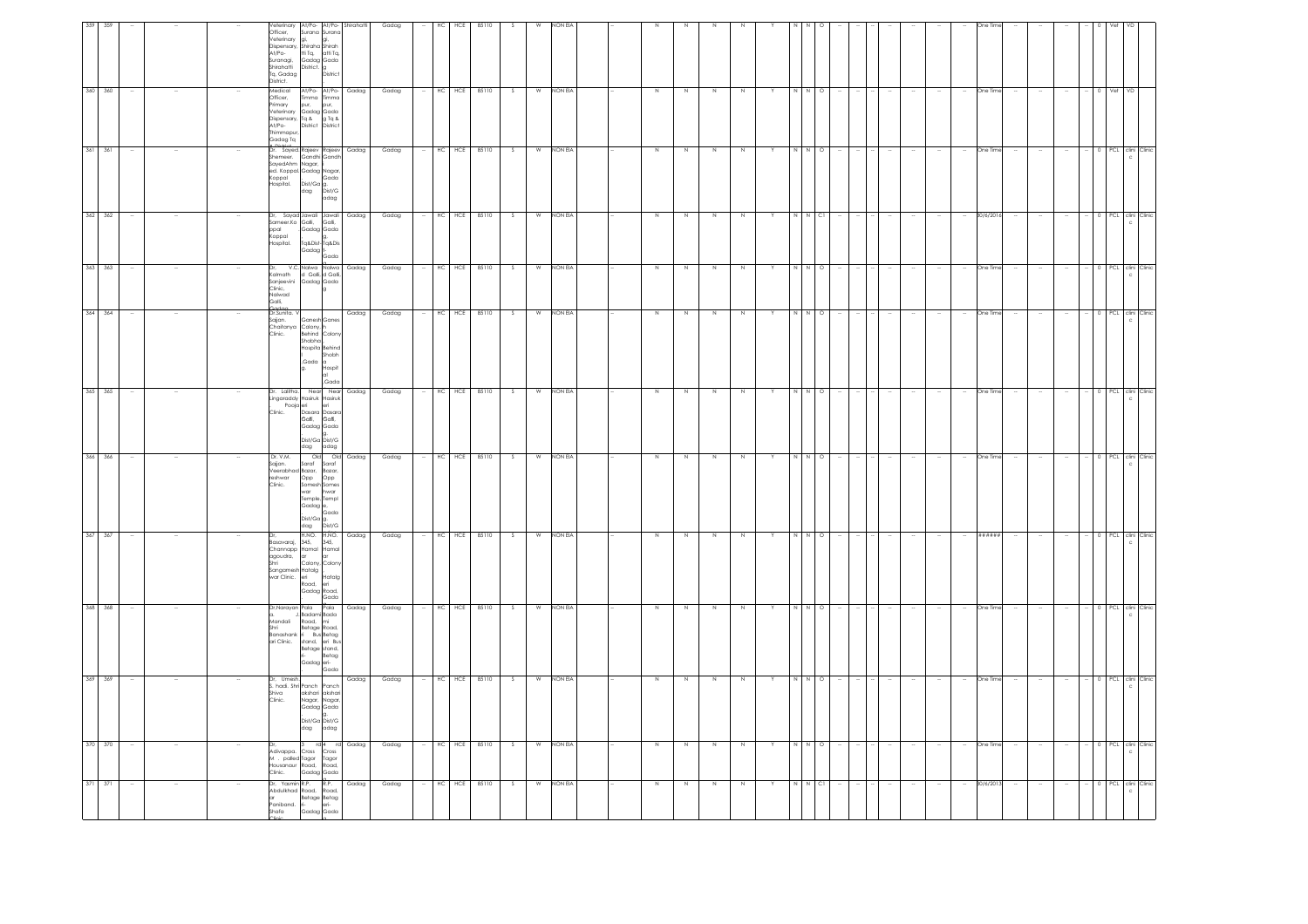| $371 - 371$                                                                                                                             | 370 370                                                                                               | 368 368<br>369 369                                                                                                               | 367 367                                                                                           | 366 366                                                                                                     | 365 365                                                                                                             | 364 364                                                                    | 363                                                         | 362 362                                                   | 361                                                                                                                               | 360 360                                                           | 359                                                                                                             |
|-----------------------------------------------------------------------------------------------------------------------------------------|-------------------------------------------------------------------------------------------------------|----------------------------------------------------------------------------------------------------------------------------------|---------------------------------------------------------------------------------------------------|-------------------------------------------------------------------------------------------------------------|---------------------------------------------------------------------------------------------------------------------|----------------------------------------------------------------------------|-------------------------------------------------------------|-----------------------------------------------------------|-----------------------------------------------------------------------------------------------------------------------------------|-------------------------------------------------------------------|-----------------------------------------------------------------------------------------------------------------|
|                                                                                                                                         |                                                                                                       |                                                                                                                                  |                                                                                                   |                                                                                                             |                                                                                                                     |                                                                            | 363                                                         |                                                           | 361                                                                                                                               |                                                                   |                                                                                                                 |
|                                                                                                                                         |                                                                                                       |                                                                                                                                  |                                                                                                   |                                                                                                             |                                                                                                                     | $\sim$                                                                     |                                                             |                                                           |                                                                                                                                   |                                                                   |                                                                                                                 |
|                                                                                                                                         |                                                                                                       |                                                                                                                                  |                                                                                                   |                                                                                                             |                                                                                                                     |                                                                            |                                                             |                                                           |                                                                                                                                   |                                                                   |                                                                                                                 |
|                                                                                                                                         |                                                                                                       |                                                                                                                                  |                                                                                                   |                                                                                                             |                                                                                                                     |                                                                            |                                                             |                                                           |                                                                                                                                   |                                                                   |                                                                                                                 |
| Clinic.<br>ar                                                                                                                           | Shiva<br>Clinic.<br>Adivappa.                                                                         | m<br>andali<br>Shri                                                                                                              | Dr.<br>Basavaraj,<br>agoudra,<br>Shri                                                             | Dr. V.M.<br>reshwar<br>Clinic.                                                                              | Clinic.                                                                                                             | Codoo<br>Dr.Sunita. V<br>Sajjan,<br>Clinic.                                | Dr,<br>Kalmath<br>Sanjeevini<br>Clinic,<br>Nalwad<br>Galli, | ppal<br>Koppal<br>Hospital.                               | Shemeer.<br>Koppal<br>Hospital,                                                                                                   | Medical<br>Officer,<br>Primary<br>At/Po-<br>Thimmapur<br>Gadag Tq | Officer,<br>At/Po-<br>Suranaai.<br>Shirahatti<br>Tq, Gadag<br>District,                                         |
| M . palled Tagor Tagor<br>Housanaur Road, Road,<br>Housanaur Road,<br>Dr. Yasmin R.P.<br>Abdulkhad Road, Road,<br>a<br>Shafa Gadag Gada | Dr, Umesh.<br>S. hadi. Shri Panch<br>$_{\rm dag}$<br>Cross                                            | Dr,Narayan Pala Pala<br>a. J, Badami Bada<br>Banashank ri Bus Betag<br>ari Clinic. stand, eri Bus<br>Betage stand,<br>Gadaa eri- | Channapp Hamal Hamal<br>agoudra, ar ar<br>Colony,<br>Sangamesh Hatalg<br>war Clinic. eri<br>Road, | Old<br>Sajjan. Saraf Saraf<br>Veerabhad Bazar, Bazar,<br>Opp<br>Gadag <sup>e</sup>                          | Dr. Lalitha. Near Near Gadag<br>Lingaraddy Hasiruk Hasiruk<br>Pooja eri<br>C. Dasara Dasara<br>Galli, Galli,<br>dag | Chaitanva Colony.<br>Shobha<br>.<br>Gada<br>g.                             | V.C. Nalwa<br>Ith d Galli, d Galli,                         | Dr, Sayad Jawali Jawali<br>Sameer.Ko Gali, Gali,<br>Gadag | a Distint<br>Dr. Sayed Rajeev Rajeev<br>SayedAhm Nagar,<br>ed. Koppal. Gadag Nagar                                                | pur,<br>Veterinary<br>Dispensary, Tq & g Tq &<br>District         | Veterinary At/Po- At/Po- Shirahatti<br>Veterinary gi, gi,<br>Dispensary, Shiraha Shirah<br>tti Tq,<br>District. |
| Gadaa Gada<br>R.P.<br>Betage Betag                                                                                                      | Panch<br>akshari akshari<br>Nagar, Nagar,<br>Gadag Gada<br>Dist/Ga Dist/G<br>adag<br>rd 4 rd<br>Cross | Road, mi<br>Betage Road,<br>Betag<br>Gada                                                                                        | H.NO. H.NO.<br>345, 345,<br>Colon<br>.<br>Hatalg<br>eri<br>Gadag Road,<br>Gada                    | O <sub>0</sub><br>Opp<br>Somesh Somes<br>war hwar<br>Temple, Templ<br>Gada<br>.<br>Dist/Ga g.<br>dag Dist/G | Gadag Gada<br>Dist/Ga Dist/G<br>adag                                                                                | Ganesh Ganes<br>Behind Colon<br>Hospita Behind<br>Shobh<br>Hospit<br>,Gada | Gadag Gada                                                  | Gadag Gada<br>Tq&Dist-Tq&Dis<br>Gado                      | Gandhi Gandh<br>$\left[\begin{matrix} \text{Dist/GG} \\ \text{Dist/GG} \\ \text{Dist/G} \end{matrix}\right]_{\text{G/G}}$<br>adag | At/Po- At/Po-<br>Timma Timma<br>pur,<br>District                  | Surana Surana<br>atti Tq,<br>Gadaa Gada<br><b>Distric</b>                                                       |
| Gadag                                                                                                                                   | Gadag                                                                                                 | Gadag<br>Gadag                                                                                                                   | Gadag                                                                                             | Gadag                                                                                                       |                                                                                                                     | Gadag                                                                      | Gadag                                                       | Gadag                                                     | Gadag                                                                                                                             | Gadag                                                             |                                                                                                                 |
| Gadag                                                                                                                                   | Gadag                                                                                                 | Gadag<br>Gadag                                                                                                                   | Gadag                                                                                             | Gadag                                                                                                       | Gadag                                                                                                               | Gadag                                                                      | Gadag                                                       | Gadag                                                     | Gadag                                                                                                                             | Gadag                                                             | Gadag                                                                                                           |
|                                                                                                                                         | $\sim$                                                                                                |                                                                                                                                  |                                                                                                   |                                                                                                             | $\sim$                                                                                                              | $\sim$                                                                     |                                                             |                                                           |                                                                                                                                   |                                                                   |                                                                                                                 |
| HC HCE 85110                                                                                                                            |                                                                                                       | HC HCE 85110<br>HC HCE 85110                                                                                                     | HC<br>HCE                                                                                         |                                                                                                             | HC HCE 85110                                                                                                        |                                                                            | HC<br>HCE                                                   | HC<br>HCE                                                 | HCE                                                                                                                               | HC                                                                | HC<br>HCE                                                                                                       |
|                                                                                                                                         | HC HCE 85110                                                                                          |                                                                                                                                  | 85110                                                                                             | HC HCE 85110                                                                                                |                                                                                                                     | HC HCE 85110                                                               | 85110                                                       | 85110                                                     | 85110                                                                                                                             | HCE 85110                                                         | 85110                                                                                                           |
| S                                                                                                                                       | S                                                                                                     | -S                                                                                                                               | -S                                                                                                | S.                                                                                                          | $\overline{\mathcal{S}}$                                                                                            | S                                                                          | - S                                                         | -S                                                        |                                                                                                                                   | s                                                                 |                                                                                                                 |
| W                                                                                                                                       | W                                                                                                     | W<br>W                                                                                                                           | W                                                                                                 | W                                                                                                           | W                                                                                                                   | W                                                                          | W                                                           | W                                                         | W                                                                                                                                 | W                                                                 |                                                                                                                 |
| NON EIA                                                                                                                                 | NON EIA                                                                                               | NON EIA<br>NON EIA                                                                                                               | NON EIA                                                                                           | NON EIA                                                                                                     | NON EIA                                                                                                             | NON EIA                                                                    | NON EIA                                                     | NON EIA                                                   | NON EIA                                                                                                                           | NON EIA                                                           | NON EL                                                                                                          |
|                                                                                                                                         |                                                                                                       |                                                                                                                                  |                                                                                                   |                                                                                                             |                                                                                                                     |                                                                            |                                                             |                                                           |                                                                                                                                   |                                                                   |                                                                                                                 |
|                                                                                                                                         |                                                                                                       |                                                                                                                                  |                                                                                                   |                                                                                                             |                                                                                                                     |                                                                            |                                                             |                                                           |                                                                                                                                   |                                                                   |                                                                                                                 |
| Z                                                                                                                                       | N                                                                                                     | N<br>N                                                                                                                           | N                                                                                                 | N                                                                                                           | N                                                                                                                   | N                                                                          | $\,$ N                                                      | N                                                         | N                                                                                                                                 |                                                                   |                                                                                                                 |
| N                                                                                                                                       | N                                                                                                     | N                                                                                                                                |                                                                                                   | N.                                                                                                          | $\overline{N}$                                                                                                      | N                                                                          | N.                                                          | N                                                         |                                                                                                                                   |                                                                   |                                                                                                                 |
| $\,$ N                                                                                                                                  | $\overline{N}$                                                                                        | N<br>N                                                                                                                           |                                                                                                   | N                                                                                                           | N                                                                                                                   | N                                                                          | N                                                           | $\,$ N                                                    |                                                                                                                                   |                                                                   |                                                                                                                 |
| $\,N$                                                                                                                                   | N                                                                                                     | $\mathbb{N}$<br>N                                                                                                                |                                                                                                   | N                                                                                                           | N                                                                                                                   | $\,N\,$                                                                    | N                                                           | N                                                         |                                                                                                                                   |                                                                   |                                                                                                                 |
|                                                                                                                                         | Y                                                                                                     |                                                                                                                                  |                                                                                                   |                                                                                                             |                                                                                                                     | Y                                                                          |                                                             |                                                           |                                                                                                                                   |                                                                   |                                                                                                                 |
|                                                                                                                                         | N N                                                                                                   | N N O                                                                                                                            |                                                                                                   |                                                                                                             | NNO                                                                                                                 | N N                                                                        |                                                             | $\,N\,$ $\,$ N $\,$ Cl $\,$                               |                                                                                                                                   |                                                                   |                                                                                                                 |
| C1                                                                                                                                      | $\circ$                                                                                               | $\Omega$                                                                                                                         | $\circ$                                                                                           | $\circ$                                                                                                     |                                                                                                                     | $\circ$                                                                    |                                                             |                                                           |                                                                                                                                   | $\circ$                                                           |                                                                                                                 |
|                                                                                                                                         |                                                                                                       |                                                                                                                                  |                                                                                                   |                                                                                                             |                                                                                                                     |                                                                            |                                                             |                                                           |                                                                                                                                   |                                                                   |                                                                                                                 |
|                                                                                                                                         |                                                                                                       |                                                                                                                                  |                                                                                                   |                                                                                                             |                                                                                                                     | $\sim$<br>$\sim$                                                           |                                                             |                                                           |                                                                                                                                   |                                                                   |                                                                                                                 |
|                                                                                                                                         |                                                                                                       |                                                                                                                                  |                                                                                                   |                                                                                                             |                                                                                                                     | $\sim$                                                                     |                                                             |                                                           |                                                                                                                                   |                                                                   |                                                                                                                 |
|                                                                                                                                         |                                                                                                       |                                                                                                                                  |                                                                                                   |                                                                                                             |                                                                                                                     |                                                                            |                                                             |                                                           |                                                                                                                                   |                                                                   |                                                                                                                 |
|                                                                                                                                         | $\sim$                                                                                                |                                                                                                                                  |                                                                                                   |                                                                                                             | $\sim$                                                                                                              | $\sim$                                                                     |                                                             |                                                           |                                                                                                                                   |                                                                   |                                                                                                                 |
| 30/6/201                                                                                                                                | One Time                                                                                              | One Time<br>One Time                                                                                                             | ######                                                                                            | One Time                                                                                                    | One Time                                                                                                            | One Time                                                                   | One Tin                                                     | 30/6/2016                                                 | )ne Tir                                                                                                                           | One Time                                                          |                                                                                                                 |
|                                                                                                                                         |                                                                                                       |                                                                                                                                  |                                                                                                   |                                                                                                             | $\sim$                                                                                                              | $\sim$                                                                     |                                                             |                                                           |                                                                                                                                   |                                                                   |                                                                                                                 |
|                                                                                                                                         |                                                                                                       |                                                                                                                                  |                                                                                                   |                                                                                                             | $\sim$                                                                                                              | $\sim$                                                                     |                                                             |                                                           |                                                                                                                                   |                                                                   |                                                                                                                 |
|                                                                                                                                         |                                                                                                       |                                                                                                                                  |                                                                                                   |                                                                                                             | $\sim$                                                                                                              | $\sim$                                                                     |                                                             |                                                           |                                                                                                                                   |                                                                   |                                                                                                                 |
|                                                                                                                                         |                                                                                                       |                                                                                                                                  |                                                                                                   |                                                                                                             |                                                                                                                     |                                                                            |                                                             |                                                           |                                                                                                                                   |                                                                   |                                                                                                                 |
|                                                                                                                                         |                                                                                                       | <b>PCL</b>                                                                                                                       | PCL.                                                                                              | PCL.                                                                                                        |                                                                                                                     |                                                                            | PCL                                                         | 0 PCL                                                     |                                                                                                                                   | Vet                                                               |                                                                                                                 |
| 0 PCL clini Clinic<br>c.                                                                                                                | PCL clini Clinic<br>c                                                                                 | clini Clinio<br>c.<br>0 PCL clini Clinic                                                                                         | clini Clinio                                                                                      | clini Clinic                                                                                                | - 0 PCL clini Clinic                                                                                                | - 0 PCL clini Clinic                                                       | clini Clinic                                                | clini Clinic                                              | :lini                                                                                                                             |                                                                   |                                                                                                                 |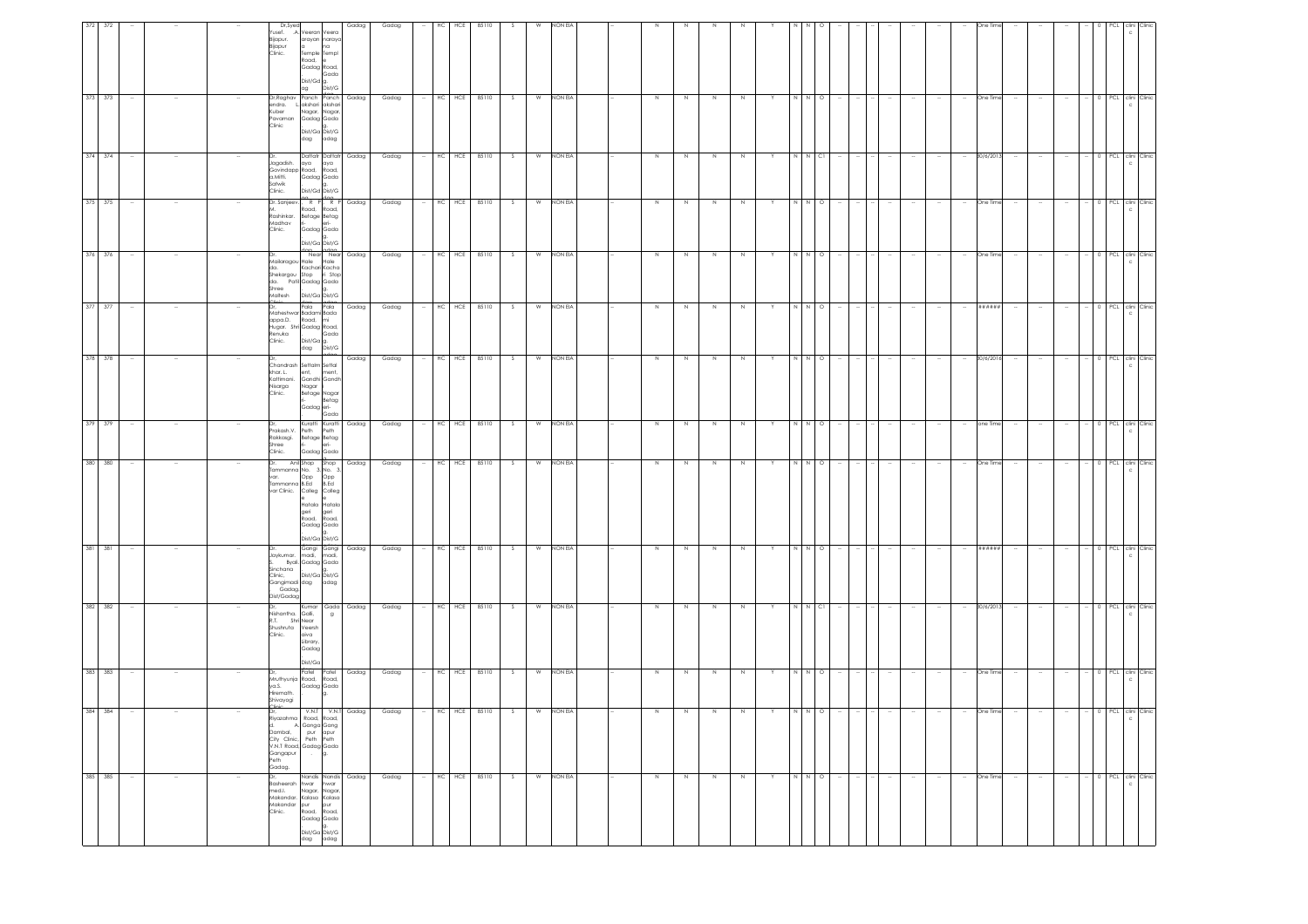|            |        |  | Dr,Syed<br>Yusef. .A. Veeran Veera<br>Bijapur.<br>Bijapur<br>Clinic.                                                                               | arayan naraya<br>na<br>Temple Templ<br>Road,<br>Gadag Road,<br>Gada<br>Dist/Gd g.          | Gadag                           | Gadag | HС     | HCE        | 85110        | -S. | W | NON EIA   |        |         |         |         |   |        |         |  |        |                          | Dne Tii   |        |        |                          |                                   |  |
|------------|--------|--|----------------------------------------------------------------------------------------------------------------------------------------------------|--------------------------------------------------------------------------------------------|---------------------------------|-------|--------|------------|--------------|-----|---|-----------|--------|---------|---------|---------|---|--------|---------|--|--------|--------------------------|-----------|--------|--------|--------------------------|-----------------------------------|--|
| 373 373    |        |  | Dr, Raghav Panch Panch<br>endra. Lakshari akshari<br>Kuber<br>Pavaman<br>Clinic                                                                    | Dist/G<br>ag<br>Nagar, Nagar,<br>Gadag Gada<br>Dist/Ga Dist/G<br>dag<br>adag               | Gadag                           | Gadag |        | HC<br>HCE  | 85110        | S.  | W | NON EIA   |        |         |         | N       |   |        | $\circ$ |  |        |                          | One Time  |        |        |                          | 0 PCL clini Clinic                |  |
| 374<br>374 | $\sim$ |  | Jagadish.<br>Govindapp Road,<br>a.Mitti.<br>Satwik<br>Clinic.                                                                                      | aya<br>aya<br>Road,<br>Gadag Gada<br>Dist/Gd Dist/G                                        | Dattatr Dattatr Gadag           | Gadag | $\sim$ | HC HCE     | 85110        | S.  | W | NON EIA   | N      | N       | N       | N       | Y | N N CI |         |  |        | $\sim$                   | 30/6/201  | $\sim$ | $\sim$ | $\sim$                   | 0 PCL clini Clinic                |  |
| 375 375    |        |  | Dr. Sanjeev.<br>Rashinkar.<br>Madhav<br>Clinic.                                                                                                    | $R$ $\overrightarrow{P}$<br>Road, Road,<br>Betage Betag<br>Gadag Gada<br>Dist/Ga Dist/G    | R P Gadag                       | Gadag |        | $HC$ $HCE$ | 85110        | S.  | W | NON EIA   | $\,$ N | N       | $\,$ N  | N       |   |        | $\circ$ |  |        | $\overline{\phantom{a}}$ | One Time  |        |        | $\overline{\phantom{a}}$ | 0 PCL clini Clinic                |  |
| 376<br>376 |        |  | Mailaragou Hale Hale<br>da.<br>Shekargou Stop<br>da. Patil Gadag Gada<br>Shree<br>Maltesh                                                          | Kachari Kacha<br>ri Stop<br>Dist/Ga Dist/G                                                 | Near Near Gadag                 | Gadag |        | $HC$ $HCE$ | 85110        | S.  | W | NON EIA   | N      | N       | N       | N       |   |        | $\circ$ |  |        |                          | One Time  |        |        |                          | 0 PCL clini Clinic                |  |
| 377 377    |        |  | Maheshwar Badami Bada<br>appa.D.<br>Hugar. Shri Gadag Road,<br>Renuka<br>Clinic.                                                                   | dag.<br>Pala<br>Pala<br>Road, mi<br>Gada<br>.<br>Dist/Ga g.<br>dag Dist/G                  | Gadag                           | Gadag |        | HC HCE     | 85110        | S   | W | NON EIA   | N      | N       | $\,N\,$ | N       |   | N N O  |         |  |        |                          | ######    |        |        |                          | 0 PCL clini Clinic                |  |
| 378 378    |        |  | Chandrash Settalm Settal<br>khar. L.<br>Kattimani.<br>Nisarga<br>Clinic.                                                                           | ent,<br>ment,<br>Gandhi Gandh<br>Nagar<br>Betage Nagar<br>Betag<br>Gadag eri-<br>Gada      | Gadag                           | Gadag | $\sim$ | HC HCE     | 85110        | S.  | W | NON EIA   | N      | N.      | N       | N       |   | N N    | $\circ$ |  |        | $\sim$                   | 30/6/2016 | $\sim$ | $\sim$ | $\sim$                   | 0 PCL clini Clinic                |  |
| 379 379    | $\sim$ |  | Dr.<br>Prakash.V.<br>Rakkasgi.<br>Shree<br>Clinic.                                                                                                 | Peth<br>Peth<br>Betage Betag<br>Gadag Gada                                                 | Kuratti Kuratti Gadag           | Gadag | $\sim$ |            | HC HCE 85110 | S   |   | W NON EIA | N      | N       | N       | N       | Y | N N    | $\circ$ |  | $\sim$ | $\sim$                   | one Time  | $\sim$ | $\sim$ | $\sim$                   | 0 PCL clini Clinic<br>c.          |  |
| 380 380    |        |  | Dr.<br>Tammanna No. 3, No. 3,<br>var.<br>Tammanna B.Ed B.Ed<br>var Clinic. Colleg Colleg                                                           | Opp Opp<br>Hatala Hatala<br>geri<br>Road,<br>geri<br>Road,<br>Gadag Gada<br>Dist/Ga Dist/G | Anil Shop Shop Gadag            | Gadag |        |            | HC HCE 85110 | S   | W | NON EIA   | $\,$ N | $\,N\,$ | $\,$ N  | N       |   |        | $\circ$ |  |        | $\overline{\phantom{a}}$ | One Time  |        |        | $\sim$                   | 0 PCL clini Clinic                |  |
| 381<br>381 | $\sim$ |  | Jaykumar. madi, madi,<br>Sinchana<br>Clinic.<br>Gangimadi dag adag<br>Gadag.<br>Dist/Gadag                                                         | Byali, Gadag Gada<br>Dist/Ga Dist/G                                                        | Gangi Gangi Gadag               | Gadag | $\sim$ | HC HCE     | 85110        | S   | W | NON EIA   | N      | N       | N       | N       | Y | N N O  |         |  |        | $\sim$                   | ######    | $\sim$ | $\sim$ | $\sim$                   | $-$ 0 PCL clini Clinic            |  |
| 382 382    |        |  | Nishantha. Galli,<br>R.T. Shri Near<br>Shushruta Veersh<br>Clinic.                                                                                 | aiva<br>Library,<br>Gadag<br>Dist/Ga                                                       | Kumar Gada Gadag<br>$\mathsf g$ | Gadag |        | $HC$ $HCE$ | 85110        | S.  | W | NON EIA   | N      | N       | N       | N       |   | N N    | C1      |  |        |                          | 30/6/2013 |        |        |                          | 0 PCL clini Clinic                |  |
| 383<br>383 |        |  | Mruthyunja Road, Road,<br>ya.S.<br>Hiremath.<br>Shivayogi                                                                                          | Patel<br>Patel<br>Gadag Gada                                                               | Gadag                           | Gadag |        | HC HCE     | 85110        | S.  | W | NON EIA   | $\,$ N | N       | N       | N       |   |        |         |  |        |                          | One Time  |        |        |                          | PCL clini Clinic                  |  |
| 384 384    |        |  | <b>Tinic</b><br>Dr,<br>d. A. Ganga Gang<br>Dambal, pur apur<br>City Clinic, Peth Peth<br>V.N.T Road, Gadag Gada<br>Gangapur<br>Peth<br>.<br>Gadag. | Road,<br>g.<br>$\sim$                                                                      | V.N.T V.N.T Gadag<br>oad,       | Gadag | $\sim$ |            | HC HCE 85110 | S   | W | NON EIA   | $\,$ N | N       | N       |         |   |        | $\circ$ |  |        |                          | One Time  |        |        |                          | 0 PCL clini Clinic                |  |
| 385 385    |        |  | Dr,<br>Basheerah hwar hwar<br>med.l.<br>Makandar.<br>Makandar pur pur<br>Clinic. Road, Road,                                                       | Nagar, Nagar,<br>Kalasa Kalasa<br>Gadag Gada<br>la.<br>.<br>Dist/Ga Dist/G<br>dag adag     | Nandis Nandis Gadag             | Gadag |        | HC HCE     | 85110        | S   | W | NON EIA   | N      | N       | $\,$ N  | $\,N\,$ |   | N N O  |         |  |        |                          | One Time  |        |        |                          | 0 PCL clini Clinic<br>$\mathbb C$ |  |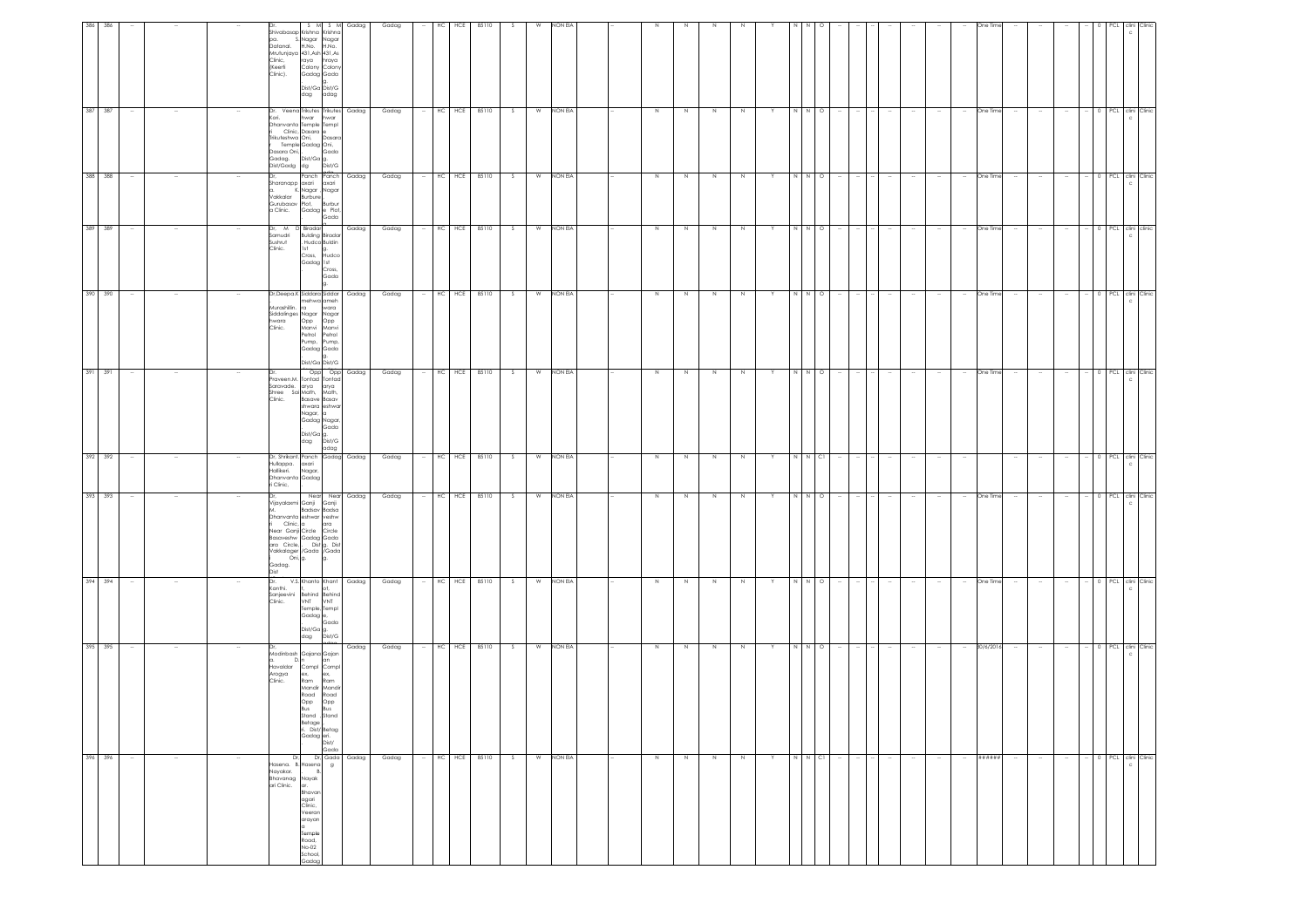| 396 396                                                                                                                  | 395 395                                                                                                                                                                                | 394 394                                                                                                              | 393 393                                                                                                                                                                                                                               | 392 392                                                 | 391 391                                                                                                                                                                       | 390 390                                                                                                                                                                    | 389 389                                                                                                | 388 388                                                                                                     | 387 387                                                                                                                                                                              | 386                                                                                                                                                                                |
|--------------------------------------------------------------------------------------------------------------------------|----------------------------------------------------------------------------------------------------------------------------------------------------------------------------------------|----------------------------------------------------------------------------------------------------------------------|---------------------------------------------------------------------------------------------------------------------------------------------------------------------------------------------------------------------------------------|---------------------------------------------------------|-------------------------------------------------------------------------------------------------------------------------------------------------------------------------------|----------------------------------------------------------------------------------------------------------------------------------------------------------------------------|--------------------------------------------------------------------------------------------------------|-------------------------------------------------------------------------------------------------------------|--------------------------------------------------------------------------------------------------------------------------------------------------------------------------------------|------------------------------------------------------------------------------------------------------------------------------------------------------------------------------------|
|                                                                                                                          |                                                                                                                                                                                        |                                                                                                                      |                                                                                                                                                                                                                                       |                                                         |                                                                                                                                                                               |                                                                                                                                                                            |                                                                                                        |                                                                                                             |                                                                                                                                                                                      | 386                                                                                                                                                                                |
| $\sim$                                                                                                                   | $\sim$                                                                                                                                                                                 | $\sim$                                                                                                               |                                                                                                                                                                                                                                       |                                                         | $\sim$                                                                                                                                                                        | $\sim$                                                                                                                                                                     |                                                                                                        | $\sim$                                                                                                      | $\sim$                                                                                                                                                                               |                                                                                                                                                                                    |
|                                                                                                                          |                                                                                                                                                                                        |                                                                                                                      |                                                                                                                                                                                                                                       |                                                         |                                                                                                                                                                               |                                                                                                                                                                            |                                                                                                        |                                                                                                             |                                                                                                                                                                                      |                                                                                                                                                                                    |
|                                                                                                                          |                                                                                                                                                                                        |                                                                                                                      |                                                                                                                                                                                                                                       |                                                         |                                                                                                                                                                               |                                                                                                                                                                            |                                                                                                        |                                                                                                             |                                                                                                                                                                                      |                                                                                                                                                                                    |
| Dr,<br>lasena. B.<br>Nayakar.<br>Bhavanag<br>ari Clinic.                                                                 | D.n                                                                                                                                                                                    | Kanthi,<br>Sanjeevini<br>Clinic.                                                                                     | Gadag.<br>tac                                                                                                                                                                                                                         | Hullappa.<br>Hallikeri.<br>Dhanvanta Gadag<br>i Clinic, | Clinic.                                                                                                                                                                       | Murashillin.<br>hwara<br>Clinic.                                                                                                                                           | Sushrut<br>Clinic.                                                                                     | Gurubasav Plot,<br>a Clinic.                                                                                | Kori.<br>rikuteshwa Oni,<br>Dasara Oni, .<br>Gadag.<br>Dist/Gadg dg                                                                                                                  | pa.<br>Datanal.<br>Clinic,<br>(Keerti<br>Clinic).                                                                                                                                  |
| lasena<br>Nayak<br>ar.<br>Bhavar<br>agari<br>Clinic,<br>Veeran<br>arayan<br>Temple<br>Road,<br>No-02<br>School,<br>`ndac | Modinbash Gajana Gajan<br>Havaldar Compl Compl<br>Arogya ex, ex,<br>Clinic. Ram Ram<br>Mandir Mandi<br>Road<br>Opp<br>Bus<br>Stand<br>Betage<br>ni. Dist/ Betag<br>Gadag eri.<br>Dist/ | V.S. Khanto Khant Gadag<br>Behind Behind<br>VNT VNT<br>Temple, Templ<br>Gadag e,<br>Cada<br>Dist/Ga g.<br>dag Dist/G | /ijayalaxmi Ganji Ganji<br>Badsav Badsa<br>M. Badsav Badsa<br>Dhanvanta eshwar veshw<br>ri Clinic, a ara<br>Near Ganji Circle Circle<br>Call Cada Cristian Cada<br>ara Circle, Dist g. Dist<br>Vakkalager /Gada /Gada<br>i Oni, g. g. | Dr, Shrikant. Panch Gadag Gadag<br>axari<br>Nagar,      | Praveen.M. Tontad Tontad<br>Saravade. arya arya<br>Shree Sai Math, Math,<br><b>Basave Basav</b><br>shwara eshwar<br>Nagar, a<br>Gadag Nagar,<br>.<br>Dist/Ga g.<br>dag Dist/G | Dr,Deepa.K Siddara Siddar Gadag<br>mehwa ameh<br>ra<br>Siddalinges Nagar Nagar<br>Opp<br>Manvi Manvi<br>Petrol Petrol<br>Pump, Pump,<br>Gadag Gada<br>g.<br>Dist/Ga_Dist/G | Dr. M D Biradar<br>Samudri Bulding Biradar<br>. Hudco Buldin<br>1st<br>Cross, Hudco<br>Gadag<br>Cross, | Panch Panch Gadag<br>Sharanapp axari axari<br>K. Nagar , Nagar<br>Vakkalar Burbure,<br>Gadag e Plot<br>Cada | Dr. Veena Trikutes Trikutes Gadag<br>hwar hwar<br>Dhanvanta Temple Templ<br>Clinic, Dasara e<br>uteshwa Oni, Dasarc<br>Temple Gadag Oni,<br>sara Oni, .<br>Dist/Ga g.<br>  dg Dist/G | S M<br>Shivabasap Krishna Krishna<br>S. Nagar Nagar<br>H.No. H.No.<br>Mrutunjaya 431, Ash 431, As<br>raya hraya<br>Colony Colony<br>Gadag Gada<br>g.<br>Dist/Ga_Dist/G<br>dag adag |
| Dr, Gada<br>$\mathfrak g$                                                                                                | an <sup>-</sup><br>Road<br>Opp<br>Bus<br>Stand<br>Gada                                                                                                                                 | $\overline{\phantom{a}}$                                                                                             | Near Near Gadag                                                                                                                                                                                                                       |                                                         | Opp Opp Gadag<br>Gada<br>adag                                                                                                                                                 | wara<br>Opp                                                                                                                                                                | Gada                                                                                                   | Burbur                                                                                                      |                                                                                                                                                                                      | S M Gadag                                                                                                                                                                          |
| Gadag                                                                                                                    | Gadag                                                                                                                                                                                  |                                                                                                                      |                                                                                                                                                                                                                                       |                                                         |                                                                                                                                                                               |                                                                                                                                                                            | Gadag                                                                                                  |                                                                                                             |                                                                                                                                                                                      |                                                                                                                                                                                    |
| Gadag                                                                                                                    | Gadag                                                                                                                                                                                  | Gadag                                                                                                                | Gadag                                                                                                                                                                                                                                 | Gadag                                                   | Gadag                                                                                                                                                                         | Gadag                                                                                                                                                                      | Gadag                                                                                                  | Gadag                                                                                                       | Gadag                                                                                                                                                                                | Gadag                                                                                                                                                                              |
|                                                                                                                          | $\sim$                                                                                                                                                                                 | $\sim$                                                                                                               |                                                                                                                                                                                                                                       |                                                         |                                                                                                                                                                               |                                                                                                                                                                            |                                                                                                        |                                                                                                             |                                                                                                                                                                                      |                                                                                                                                                                                    |
| $_{\rm HC}$<br>HCE                                                                                                       |                                                                                                                                                                                        | HCE<br>HC                                                                                                            |                                                                                                                                                                                                                                       | HCE<br>HC                                               |                                                                                                                                                                               |                                                                                                                                                                            |                                                                                                        | $-$ HC HCE 85110                                                                                            | $-$ HC HCE 85110                                                                                                                                                                     | НC<br>HCE                                                                                                                                                                          |
| 85110                                                                                                                    | HC HCE 85110                                                                                                                                                                           | 85110                                                                                                                | HC HCE 85110                                                                                                                                                                                                                          | 85110                                                   | $-$ HC HCE 85110                                                                                                                                                              | HC HCE 85110                                                                                                                                                               | HC HCE 85110                                                                                           |                                                                                                             |                                                                                                                                                                                      | 85110                                                                                                                                                                              |
| S                                                                                                                        | S                                                                                                                                                                                      | s.                                                                                                                   | - S                                                                                                                                                                                                                                   | S.                                                      | S                                                                                                                                                                             | S                                                                                                                                                                          | S.                                                                                                     | S.                                                                                                          | S                                                                                                                                                                                    |                                                                                                                                                                                    |
| W                                                                                                                        |                                                                                                                                                                                        | W                                                                                                                    | W                                                                                                                                                                                                                                     | W                                                       |                                                                                                                                                                               |                                                                                                                                                                            | W                                                                                                      | W                                                                                                           | W                                                                                                                                                                                    | W                                                                                                                                                                                  |
| NON EIA                                                                                                                  | W NON EIA                                                                                                                                                                              | NON EIA                                                                                                              | NON EIA                                                                                                                                                                                                                               | NON EIA                                                 | W NON EIA                                                                                                                                                                     | W NON EIA                                                                                                                                                                  | NON EIA                                                                                                | NON EIA                                                                                                     | NON EIA                                                                                                                                                                              | NON EIA                                                                                                                                                                            |
|                                                                                                                          |                                                                                                                                                                                        |                                                                                                                      |                                                                                                                                                                                                                                       |                                                         |                                                                                                                                                                               |                                                                                                                                                                            |                                                                                                        |                                                                                                             |                                                                                                                                                                                      |                                                                                                                                                                                    |
|                                                                                                                          |                                                                                                                                                                                        |                                                                                                                      |                                                                                                                                                                                                                                       |                                                         |                                                                                                                                                                               |                                                                                                                                                                            |                                                                                                        |                                                                                                             |                                                                                                                                                                                      |                                                                                                                                                                                    |
| Z                                                                                                                        | N                                                                                                                                                                                      | N                                                                                                                    | $\,N\,$                                                                                                                                                                                                                               | $\,$ N                                                  | N                                                                                                                                                                             | $\,$ N                                                                                                                                                                     | N                                                                                                      | N                                                                                                           | N                                                                                                                                                                                    |                                                                                                                                                                                    |
| N                                                                                                                        | N                                                                                                                                                                                      |                                                                                                                      | N                                                                                                                                                                                                                                     | N                                                       | N                                                                                                                                                                             | $\,N\,$                                                                                                                                                                    | $\,N\,$                                                                                                | N                                                                                                           | N                                                                                                                                                                                    |                                                                                                                                                                                    |
| N                                                                                                                        | N                                                                                                                                                                                      | N                                                                                                                    | $\,$ N                                                                                                                                                                                                                                | N                                                       | N                                                                                                                                                                             | $\,N\,$                                                                                                                                                                    | $\,$ N                                                                                                 | N                                                                                                           | N                                                                                                                                                                                    |                                                                                                                                                                                    |
| $\,$ N                                                                                                                   | N                                                                                                                                                                                      | N                                                                                                                    | $\,N\,$                                                                                                                                                                                                                               | $\,$ N                                                  | N                                                                                                                                                                             | N                                                                                                                                                                          | N                                                                                                      | N                                                                                                           | N                                                                                                                                                                                    |                                                                                                                                                                                    |
|                                                                                                                          | Y                                                                                                                                                                                      |                                                                                                                      |                                                                                                                                                                                                                                       |                                                         |                                                                                                                                                                               | Y                                                                                                                                                                          |                                                                                                        | Y                                                                                                           | Y                                                                                                                                                                                    |                                                                                                                                                                                    |
| N N CI                                                                                                                   | NNO                                                                                                                                                                                    | N N                                                                                                                  | $N$ $N$ $O$                                                                                                                                                                                                                           |                                                         | NNO                                                                                                                                                                           | $N$ $N$ $Q$                                                                                                                                                                | $N$ $N$ $O$                                                                                            | N N                                                                                                         | N N                                                                                                                                                                                  |                                                                                                                                                                                    |
|                                                                                                                          |                                                                                                                                                                                        | $\circ$                                                                                                              |                                                                                                                                                                                                                                       | C1                                                      |                                                                                                                                                                               |                                                                                                                                                                            |                                                                                                        | $\circ$                                                                                                     | $\circ$                                                                                                                                                                              |                                                                                                                                                                                    |
|                                                                                                                          | <b>Service</b>                                                                                                                                                                         |                                                                                                                      |                                                                                                                                                                                                                                       |                                                         |                                                                                                                                                                               | $\sim$                                                                                                                                                                     |                                                                                                        | $\sim$                                                                                                      |                                                                                                                                                                                      |                                                                                                                                                                                    |
|                                                                                                                          | $\sim$                                                                                                                                                                                 |                                                                                                                      |                                                                                                                                                                                                                                       |                                                         |                                                                                                                                                                               | $\sim$                                                                                                                                                                     |                                                                                                        | $\sim$                                                                                                      |                                                                                                                                                                                      |                                                                                                                                                                                    |
| $\sim$                                                                                                                   | $\sim$<br>$\sim$                                                                                                                                                                       | $\sim$                                                                                                               |                                                                                                                                                                                                                                       |                                                         | $\sim$                                                                                                                                                                        | $\sim$                                                                                                                                                                     |                                                                                                        | $\sim$<br>$\sim$                                                                                            |                                                                                                                                                                                      |                                                                                                                                                                                    |
| $\overline{\phantom{a}}$                                                                                                 | $\sim$                                                                                                                                                                                 |                                                                                                                      |                                                                                                                                                                                                                                       |                                                         |                                                                                                                                                                               |                                                                                                                                                                            |                                                                                                        | $\sim$                                                                                                      |                                                                                                                                                                                      |                                                                                                                                                                                    |
| $\overline{\phantom{a}}$                                                                                                 | $\sim$                                                                                                                                                                                 | $\sim$                                                                                                               |                                                                                                                                                                                                                                       |                                                         | $\sim$                                                                                                                                                                        | $\sim$                                                                                                                                                                     |                                                                                                        | $\sim$                                                                                                      | $\sim$                                                                                                                                                                               |                                                                                                                                                                                    |
| ******                                                                                                                   | 30/6/2016                                                                                                                                                                              | One Time                                                                                                             | One Time                                                                                                                                                                                                                              |                                                         | One Time                                                                                                                                                                      | One Time                                                                                                                                                                   | One Time                                                                                               | One Time                                                                                                    | One Time                                                                                                                                                                             | One Tin                                                                                                                                                                            |
| $\sim$                                                                                                                   | $\sim$                                                                                                                                                                                 | $\sim$                                                                                                               |                                                                                                                                                                                                                                       |                                                         |                                                                                                                                                                               | $\sim$                                                                                                                                                                     |                                                                                                        | $\sim$                                                                                                      |                                                                                                                                                                                      |                                                                                                                                                                                    |
| $\overline{\phantom{a}}$                                                                                                 | $\sim$                                                                                                                                                                                 | $\sim$                                                                                                               |                                                                                                                                                                                                                                       |                                                         |                                                                                                                                                                               |                                                                                                                                                                            |                                                                                                        | $\sim$                                                                                                      |                                                                                                                                                                                      |                                                                                                                                                                                    |
| $\sim$                                                                                                                   | $\sim$                                                                                                                                                                                 | $\sim$                                                                                                               |                                                                                                                                                                                                                                       |                                                         |                                                                                                                                                                               |                                                                                                                                                                            |                                                                                                        | $\sim$                                                                                                      |                                                                                                                                                                                      |                                                                                                                                                                                    |
|                                                                                                                          |                                                                                                                                                                                        |                                                                                                                      |                                                                                                                                                                                                                                       |                                                         |                                                                                                                                                                               |                                                                                                                                                                            |                                                                                                        |                                                                                                             |                                                                                                                                                                                      |                                                                                                                                                                                    |
|                                                                                                                          |                                                                                                                                                                                        |                                                                                                                      |                                                                                                                                                                                                                                       |                                                         |                                                                                                                                                                               |                                                                                                                                                                            |                                                                                                        |                                                                                                             |                                                                                                                                                                                      | 'n                                                                                                                                                                                 |
| 0 PCL clini Clinic<br>$\mathsf{c}$                                                                                       | 0 PCL clini Clinic                                                                                                                                                                     | 0 PCL clini Clinic                                                                                                   | 0 PCL clini Clinic                                                                                                                                                                                                                    | PCL clini Clinic                                        | 0 PCL clini Clinic<br>c                                                                                                                                                       | 0 PCL clini Clinic                                                                                                                                                         | 0 PCL clini clinic                                                                                     | 0 PCL clini Clinic                                                                                          | 0 PCL clini Clinic                                                                                                                                                                   |                                                                                                                                                                                    |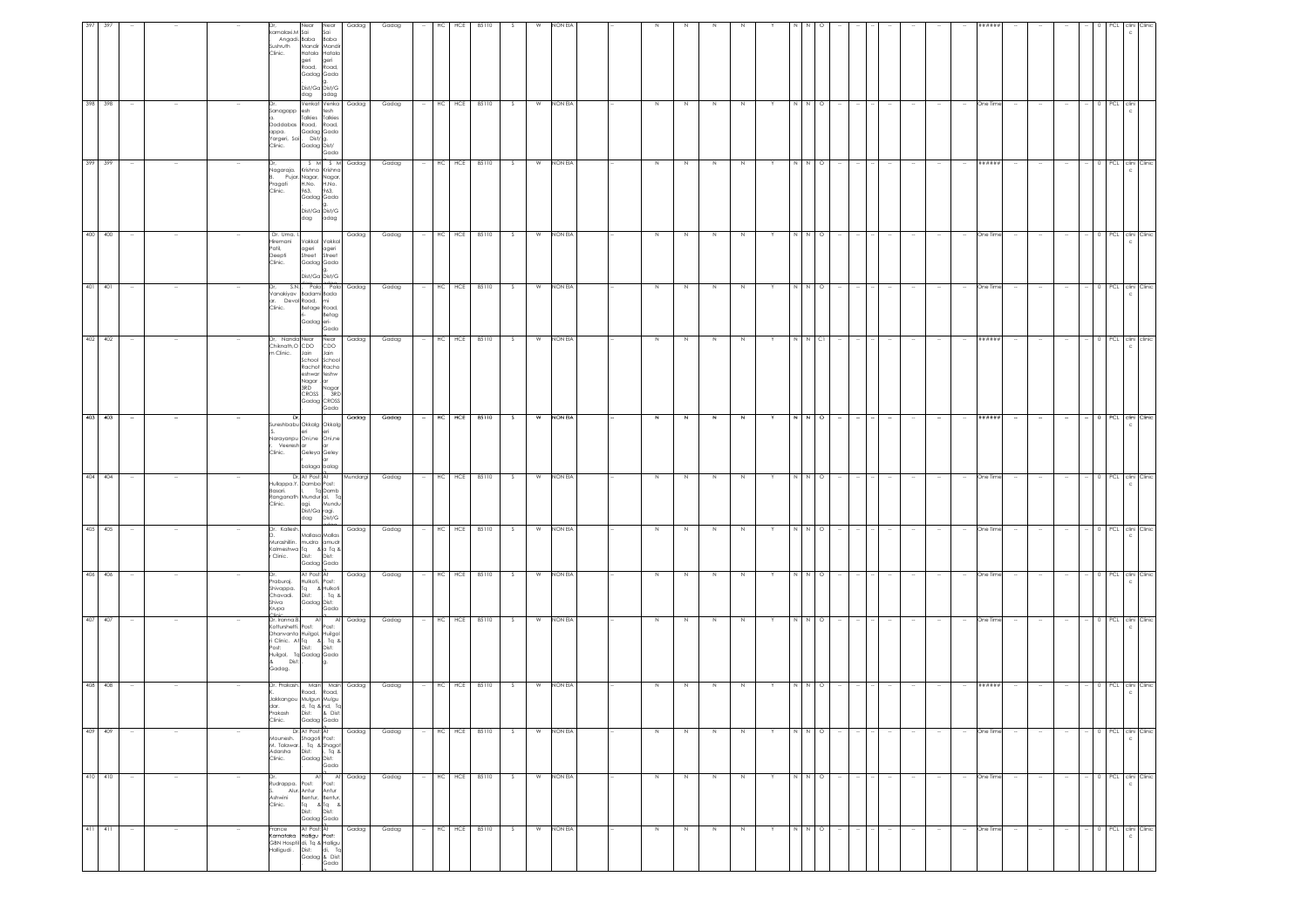| 411 411                                                                                                                                                                                                                        | 410 410                                                                        | 409 409                                                                                                    | 408 408                                                                                                                | 407 407                                                                                                                              | 406 406                                                                                         | 405 405                                                                                    | 404 404                                                                                                    | 403 403                                                                                    | 402 402                                                                                                                                                              | 401 401                                             | 400 400                                                                       | 399 399                                                                                      | 398 398                                                                                |                                                                                                                                                               |
|--------------------------------------------------------------------------------------------------------------------------------------------------------------------------------------------------------------------------------|--------------------------------------------------------------------------------|------------------------------------------------------------------------------------------------------------|------------------------------------------------------------------------------------------------------------------------|--------------------------------------------------------------------------------------------------------------------------------------|-------------------------------------------------------------------------------------------------|--------------------------------------------------------------------------------------------|------------------------------------------------------------------------------------------------------------|--------------------------------------------------------------------------------------------|----------------------------------------------------------------------------------------------------------------------------------------------------------------------|-----------------------------------------------------|-------------------------------------------------------------------------------|----------------------------------------------------------------------------------------------|----------------------------------------------------------------------------------------|---------------------------------------------------------------------------------------------------------------------------------------------------------------|
|                                                                                                                                                                                                                                |                                                                                |                                                                                                            |                                                                                                                        |                                                                                                                                      |                                                                                                 |                                                                                            |                                                                                                            |                                                                                            |                                                                                                                                                                      |                                                     |                                                                               |                                                                                              |                                                                                        |                                                                                                                                                               |
| - 11                                                                                                                                                                                                                           | $\sim$                                                                         |                                                                                                            | $\sim$                                                                                                                 |                                                                                                                                      | $\sim$                                                                                          | $\sim$                                                                                     |                                                                                                            |                                                                                            | $\sim$                                                                                                                                                               |                                                     | $\sim$                                                                        | $\sim$                                                                                       |                                                                                        |                                                                                                                                                               |
|                                                                                                                                                                                                                                | $\sim$                                                                         |                                                                                                            |                                                                                                                        |                                                                                                                                      |                                                                                                 |                                                                                            |                                                                                                            |                                                                                            |                                                                                                                                                                      |                                                     |                                                                               |                                                                                              |                                                                                        |                                                                                                                                                               |
|                                                                                                                                                                                                                                |                                                                                |                                                                                                            |                                                                                                                        |                                                                                                                                      |                                                                                                 |                                                                                            |                                                                                                            |                                                                                            |                                                                                                                                                                      |                                                     |                                                                               |                                                                                              |                                                                                        |                                                                                                                                                               |
| vous voltaires de la partie de la partie de la partie de la partie de la partie de la partie de la partie de la partie de la partie de la partie de la partie de la partie de la partie de la partie de la partie de la partie | Ashwini<br>Clinic.                                                             | Mountesh. shagon Polis<br>M. Talawar., Tq & Shagot<br>Adarsha Dist: i, Tq &<br>Clinic. Gadag Dist:<br>Gada | dar.<br>Prakash<br>Clinic.                                                                                             | Dr. Iranna.B.<br>Kotturshetti. Post:<br>Dhanvanta Huilgol, Huilgol<br>Post: Dist: Dist:<br>Huilgol, Tq Gadag Gada<br>Dist:<br>Gadag. | raburaj.<br>Shiva<br>Krupa                                                                      | Dr. Kallesh.<br>Murashillin. mudra amudr<br>Kalmeshwa Tq & a Tq &<br>r Clinic. Dist: Dist: | Basari.<br>Clinic.                                                                                         | Dr,<br>Veeresh ar<br>Clinic.                                                               | m Clinic.                                                                                                                                                            | S.N.,<br>ar. Deval Road, mi<br>Clinic. Betage Road  | Dr. Uma. I.<br>Hiremani<br>Patil.<br>Deepti<br>Clinic.                        | Nagaraja.<br>Pragati<br>Clinic.                                                              | Sanagapp esh<br>Doddabas<br>appa.<br>Yargeri, Sai<br>Clinic.                           | kamalaxi.M Sai<br>Sushruth<br>Clinic.                                                                                                                         |
|                                                                                                                                                                                                                                | Alur. Antur Antur<br>Bentur, Bentur,<br>Tq & Tq &<br>Dist: Dist:<br>Gadag Gada | Dr. At Post: At<br>Mounesh. Shagoti Post:                                                                  | Dr. Prakash, Main Main Gadag<br>Road, Road,<br>Jakkangou Mulgun Mulgu<br>d, Tq & nd, Tc<br>Dist: & Dist:<br>Gadag Gada | At<br>ri Clinic. At Tq &, Tq &                                                                                                       | At Post: At<br>Hulkoti, Post:<br>Shivappa. Tq & Hulkoti<br>Chavadi. Dist: , Tq &<br>Gadag Dist: | Mallasa Mallas<br>Gadag Gada                                                               | Dr, At Post: At<br>Iullappa.Y. Damba Post:<br>Ranganath Mundur al, To<br>agi. Mund<br>Dist/Ga ragi.<br>dag | iureshbabu Okkalg Okkalg<br>eri<br>Narayanpu Oni,ne Oni,ne<br>Geleya Geley<br>balaga balag | Dr, Nanda Near Near<br>Chiknath,O CDO CDO<br>m Clinic. Jain Jain<br>School School<br>Rachot Racho<br>eshwar teshw<br>Nagar , ar<br>3RD<br>CROSS , 3RD<br>Gadag CROSS | Vanakiyav Badami Bada<br>Betage Road,<br>Gadag eri- | Vakkal Vakkal<br>ageri ageri<br>Street Street<br>Gadag Gada<br>Dist/Ga Dist/G | Pujar, Nagar, Nagar,<br>H.No. H.No.<br>963, 963,<br>Gadag Gada<br>.<br>Dist/Ga Dist/G<br>dag | Venkat Venka<br>esh tesh<br>Talkies Talkies<br>Road,<br>Gadag Gada<br>i<br>Cadag Dist/ | Near<br>xmalaxi.M Sai Sai<br>Angadi. Baba Baba<br>Mandir Mandir<br>Hatala Hatala<br>geri geri<br>Road, Road,<br>Gadag Gada<br>.<br>Dist/Ga Dist/G<br>dag adag |
|                                                                                                                                                                                                                                |                                                                                |                                                                                                            |                                                                                                                        | Post:<br>g.                                                                                                                          | Gada                                                                                            |                                                                                            | Tq Damb<br>Mundu<br>Dist/G                                                                                 | ar<br>ar                                                                                   | Nagar<br>Gada                                                                                                                                                        | Betag<br>Gada                                       |                                                                               | adag                                                                                         | Road,<br>Gada                                                                          | Near                                                                                                                                                          |
| Gadag                                                                                                                                                                                                                          | Dr. At At Gadag<br>Rudrappa. Post: Post:                                       | Gadag                                                                                                      |                                                                                                                        | At Gadag                                                                                                                             | Gadag                                                                                           | Gadag                                                                                      | Mundargi                                                                                                   | Gadag                                                                                      | Gadag                                                                                                                                                                | Pala, Pala Gadag                                    | Gadag                                                                         | S M S M Gadag                                                                                | Gadag                                                                                  | Gadag                                                                                                                                                         |
| Gadag                                                                                                                                                                                                                          | Gadag                                                                          | Gadag                                                                                                      | Gadag                                                                                                                  | Gadag                                                                                                                                | Gadag                                                                                           | Gadag                                                                                      | Gadag                                                                                                      | Gadag                                                                                      | Gadag                                                                                                                                                                | Gadag                                               | Gadag                                                                         | Gadag                                                                                        | Gadag                                                                                  | Gadag                                                                                                                                                         |
|                                                                                                                                                                                                                                | $\sim$                                                                         |                                                                                                            |                                                                                                                        |                                                                                                                                      |                                                                                                 |                                                                                            |                                                                                                            |                                                                                            |                                                                                                                                                                      |                                                     |                                                                               |                                                                                              |                                                                                        |                                                                                                                                                               |
| HC<br>HCE                                                                                                                                                                                                                      | HC HCE 85110                                                                   | HC<br>HCE                                                                                                  | HC HCE                                                                                                                 | HC HCE 85110                                                                                                                         | HCE<br>HC                                                                                       | HC HCE 85110                                                                               | HCE<br>НC                                                                                                  | HC HCE                                                                                     | HCE<br>HC                                                                                                                                                            | HC HCE                                              | HCE<br>HC                                                                     | - HC HCE 85110                                                                               | HCE<br>HC                                                                              | HC<br>HCE                                                                                                                                                     |
| 85110                                                                                                                                                                                                                          |                                                                                | 85110                                                                                                      | 85110                                                                                                                  |                                                                                                                                      | 85110                                                                                           |                                                                                            | 85110                                                                                                      | 85110                                                                                      | 85110                                                                                                                                                                | 85110                                               | 85110                                                                         |                                                                                              | 85110                                                                                  | 85110                                                                                                                                                         |
| - S                                                                                                                                                                                                                            | S.                                                                             | S.                                                                                                         | S.                                                                                                                     | S                                                                                                                                    | s.                                                                                              | S                                                                                          | S.                                                                                                         | S                                                                                          | S.                                                                                                                                                                   | S                                                   | S.                                                                            | S                                                                                            | S.                                                                                     |                                                                                                                                                               |
| W                                                                                                                                                                                                                              | W                                                                              | W                                                                                                          | W                                                                                                                      | W                                                                                                                                    | W                                                                                               | W                                                                                          | W                                                                                                          |                                                                                            | W                                                                                                                                                                    | W                                                   | W                                                                             |                                                                                              | W                                                                                      |                                                                                                                                                               |
| NON EIA                                                                                                                                                                                                                        | NON EIA                                                                        | NON EIA                                                                                                    | NON EIA                                                                                                                | NON EIA                                                                                                                              | NON EIA                                                                                         | NON EIA                                                                                    | NON EIA                                                                                                    | W NON EIA                                                                                  | NON EIA                                                                                                                                                              | NON EIA                                             | NON EIA                                                                       | W NON EIA                                                                                    | NON EIA                                                                                | NON EIA                                                                                                                                                       |
|                                                                                                                                                                                                                                |                                                                                |                                                                                                            |                                                                                                                        |                                                                                                                                      |                                                                                                 |                                                                                            |                                                                                                            |                                                                                            |                                                                                                                                                                      |                                                     |                                                                               |                                                                                              |                                                                                        |                                                                                                                                                               |
|                                                                                                                                                                                                                                |                                                                                |                                                                                                            |                                                                                                                        |                                                                                                                                      |                                                                                                 |                                                                                            |                                                                                                            |                                                                                            |                                                                                                                                                                      |                                                     |                                                                               |                                                                                              |                                                                                        |                                                                                                                                                               |
| N                                                                                                                                                                                                                              | N                                                                              | N                                                                                                          | $\,$ N                                                                                                                 | $\,$ N                                                                                                                               | N                                                                                               | N                                                                                          | N                                                                                                          | $\mathbb{N}$                                                                               | N                                                                                                                                                                    | $\,$ N                                              | N                                                                             | N                                                                                            | N                                                                                      |                                                                                                                                                               |
| N                                                                                                                                                                                                                              | N                                                                              | N                                                                                                          | N                                                                                                                      | $\,N\,$                                                                                                                              | N                                                                                               | N                                                                                          | N                                                                                                          | N                                                                                          |                                                                                                                                                                      | N                                                   | N                                                                             | N                                                                                            | N.                                                                                     |                                                                                                                                                               |
| N                                                                                                                                                                                                                              | N                                                                              | N                                                                                                          | $\,$ N                                                                                                                 | $\,$ N                                                                                                                               | N                                                                                               | N                                                                                          | N                                                                                                          | $\mathbb N$                                                                                | N                                                                                                                                                                    | $\,$ N                                              | N                                                                             | N                                                                                            | N                                                                                      |                                                                                                                                                               |
| N                                                                                                                                                                                                                              | N                                                                              | N                                                                                                          | N                                                                                                                      | N                                                                                                                                    | N                                                                                               | N                                                                                          | N                                                                                                          | $\mathbb{N}$                                                                               | N                                                                                                                                                                    | $\mathbb N$                                         | N                                                                             | N                                                                                            | N                                                                                      |                                                                                                                                                               |
|                                                                                                                                                                                                                                | Y.                                                                             |                                                                                                            |                                                                                                                        |                                                                                                                                      | Y                                                                                               | Y                                                                                          |                                                                                                            |                                                                                            |                                                                                                                                                                      |                                                     | Y                                                                             | Y                                                                                            |                                                                                        |                                                                                                                                                               |
| N N O                                                                                                                                                                                                                          |                                                                                | NN                                                                                                         |                                                                                                                        | $\begin{array}{c c c c c} \hline \text{N} & \text{N} & \text{O} \end{array}$                                                         | N N                                                                                             | N N O                                                                                      |                                                                                                            | N N                                                                                        | N N CI                                                                                                                                                               | N N                                                 | N N O                                                                         |                                                                                              |                                                                                        |                                                                                                                                                               |
|                                                                                                                                                                                                                                | NNO                                                                            | $\circ$                                                                                                    | $\circ$                                                                                                                |                                                                                                                                      | $\circ$                                                                                         |                                                                                            | $\circ$                                                                                                    | $\circ$                                                                                    |                                                                                                                                                                      | $\circ$                                             |                                                                               | N N O                                                                                        | $\circ$                                                                                |                                                                                                                                                               |
|                                                                                                                                                                                                                                | the con-                                                                       |                                                                                                            |                                                                                                                        |                                                                                                                                      |                                                                                                 |                                                                                            |                                                                                                            |                                                                                            |                                                                                                                                                                      |                                                     |                                                                               | <b>Service</b>                                                                               |                                                                                        |                                                                                                                                                               |
|                                                                                                                                                                                                                                | $\sim$                                                                         | $\sim$                                                                                                     |                                                                                                                        |                                                                                                                                      |                                                                                                 |                                                                                            |                                                                                                            |                                                                                            |                                                                                                                                                                      |                                                     |                                                                               | $\sim$                                                                                       |                                                                                        |                                                                                                                                                               |
| $\sim$                                                                                                                                                                                                                         | $\sim$<br>$\sim$                                                               | $\sim$                                                                                                     |                                                                                                                        |                                                                                                                                      | $\sim$                                                                                          | $\sim$                                                                                     |                                                                                                            |                                                                                            |                                                                                                                                                                      |                                                     | $\sim$                                                                        | $\sim$<br>$\sim$                                                                             |                                                                                        |                                                                                                                                                               |
|                                                                                                                                                                                                                                | $\sim$                                                                         |                                                                                                            |                                                                                                                        |                                                                                                                                      | $\sim$                                                                                          |                                                                                            |                                                                                                            |                                                                                            |                                                                                                                                                                      |                                                     |                                                                               | $\sim$                                                                                       |                                                                                        |                                                                                                                                                               |
| $\sim$                                                                                                                                                                                                                         | $\sim$                                                                         | $\sim$                                                                                                     |                                                                                                                        |                                                                                                                                      | $\sim$                                                                                          | $\sim$                                                                                     |                                                                                                            | $\overline{\phantom{a}}$                                                                   | $\sim$                                                                                                                                                               |                                                     | $\sim$                                                                        | $\sim$                                                                                       |                                                                                        |                                                                                                                                                               |
| One Time                                                                                                                                                                                                                       | One Time                                                                       | One Time                                                                                                   | ******                                                                                                                 | One Time                                                                                                                             | One Time                                                                                        | One Time                                                                                   | One Time                                                                                                   | ******                                                                                     | ######                                                                                                                                                               | One Time                                            | One Time                                                                      | # # # # # #                                                                                  | One Time                                                                               | #####                                                                                                                                                         |
|                                                                                                                                                                                                                                | $\sim$                                                                         | $\sim$                                                                                                     |                                                                                                                        |                                                                                                                                      | $\sim$                                                                                          |                                                                                            |                                                                                                            |                                                                                            | $\sim$                                                                                                                                                               |                                                     | $\sim$                                                                        | $\sim$                                                                                       |                                                                                        |                                                                                                                                                               |
|                                                                                                                                                                                                                                | $\sim$                                                                         | $\sim$                                                                                                     |                                                                                                                        |                                                                                                                                      | ÷                                                                                               |                                                                                            |                                                                                                            |                                                                                            |                                                                                                                                                                      |                                                     |                                                                               | $\sim$                                                                                       |                                                                                        |                                                                                                                                                               |
|                                                                                                                                                                                                                                | $\sim$                                                                         | $\sim$                                                                                                     |                                                                                                                        |                                                                                                                                      | $\sim$                                                                                          |                                                                                            |                                                                                                            |                                                                                            | $\sim$                                                                                                                                                               |                                                     | $\sim$                                                                        | $\sim$                                                                                       |                                                                                        |                                                                                                                                                               |
|                                                                                                                                                                                                                                |                                                                                |                                                                                                            |                                                                                                                        |                                                                                                                                      |                                                                                                 |                                                                                            |                                                                                                            |                                                                                            |                                                                                                                                                                      |                                                     |                                                                               |                                                                                              |                                                                                        |                                                                                                                                                               |
|                                                                                                                                                                                                                                |                                                                                |                                                                                                            |                                                                                                                        |                                                                                                                                      |                                                                                                 |                                                                                            |                                                                                                            |                                                                                            |                                                                                                                                                                      |                                                     |                                                                               |                                                                                              | PCL clini                                                                              |                                                                                                                                                               |
| 0 PCL clini Clinic<br>$\mathbf{c}$                                                                                                                                                                                             | - 0 PCL clini Clinic<br>c                                                      | 0 PCL clini Clinic<br>$\mathbf{c}$                                                                         | 0 PCL clini Clinic                                                                                                     | 0 PCL clini Clinic                                                                                                                   | 0 PCL clini Clinic                                                                              | 0 PCL clini Clinic                                                                         | PCL clini Clinic                                                                                           | 0 PCL clini Clinic                                                                         | 0 PCL clini clinic                                                                                                                                                   | 0 PCL clini Clinic                                  | 0 PCL clini Clinic                                                            | 0 PCL clini Clinic                                                                           |                                                                                        |                                                                                                                                                               |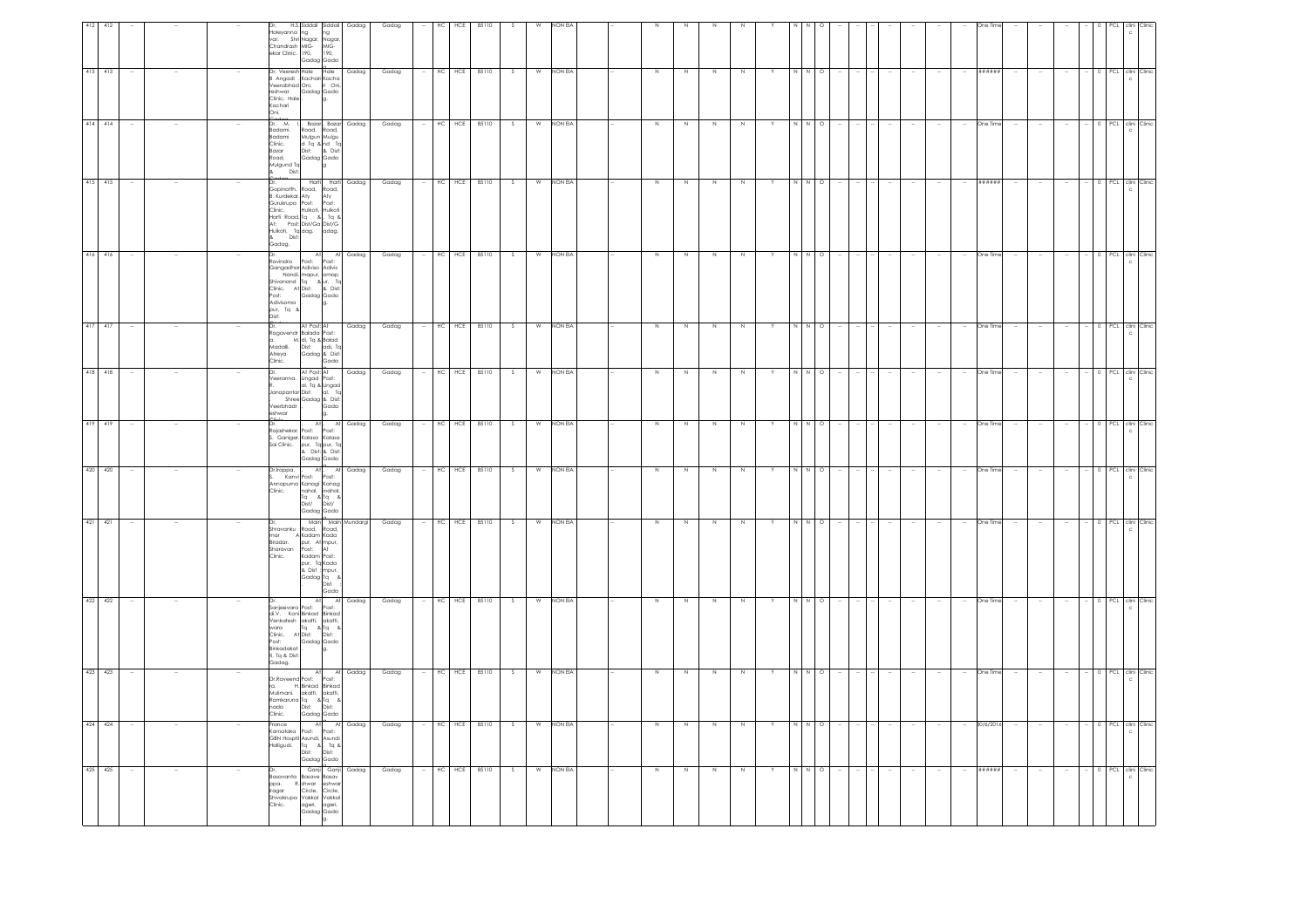|                                                                                        | PCL clini Clinic                                                                                              | 0 PCL clini Clinic                                                                              | PCL clini Clinic                                                                                                                                                                                         | PCL clini Clini                                                                                                                                                                               | 0 PCL clini Clinic                                                                                  | 0 PCL clini Clinic                                                                                                         | PCL clini Clinic                                                          | PCL clini Clinic                                                                  | 0 PCL clini Clinic                                                                                                                        | PCL clini<br>PCL clini Clinic                                                                                                                                                                    |                                                                                                                                                       | 0 PCL clini Clinic                                                                       | 0 PCL clini Clinic                                                                                |
|----------------------------------------------------------------------------------------|---------------------------------------------------------------------------------------------------------------|-------------------------------------------------------------------------------------------------|----------------------------------------------------------------------------------------------------------------------------------------------------------------------------------------------------------|-----------------------------------------------------------------------------------------------------------------------------------------------------------------------------------------------|-----------------------------------------------------------------------------------------------------|----------------------------------------------------------------------------------------------------------------------------|---------------------------------------------------------------------------|-----------------------------------------------------------------------------------|-------------------------------------------------------------------------------------------------------------------------------------------|--------------------------------------------------------------------------------------------------------------------------------------------------------------------------------------------------|-------------------------------------------------------------------------------------------------------------------------------------------------------|------------------------------------------------------------------------------------------|---------------------------------------------------------------------------------------------------|
|                                                                                        |                                                                                                               |                                                                                                 |                                                                                                                                                                                                          |                                                                                                                                                                                               |                                                                                                     |                                                                                                                            |                                                                           |                                                                                   |                                                                                                                                           |                                                                                                                                                                                                  |                                                                                                                                                       |                                                                                          |                                                                                                   |
|                                                                                        |                                                                                                               |                                                                                                 |                                                                                                                                                                                                          |                                                                                                                                                                                               |                                                                                                     |                                                                                                                            |                                                                           |                                                                                   |                                                                                                                                           |                                                                                                                                                                                                  |                                                                                                                                                       |                                                                                          |                                                                                                   |
|                                                                                        |                                                                                                               | $\sim$                                                                                          |                                                                                                                                                                                                          |                                                                                                                                                                                               |                                                                                                     | $\sim$                                                                                                                     |                                                                           |                                                                                   | $\sim$                                                                                                                                    |                                                                                                                                                                                                  | $\sim$                                                                                                                                                |                                                                                          | $\sim$                                                                                            |
|                                                                                        |                                                                                                               |                                                                                                 |                                                                                                                                                                                                          |                                                                                                                                                                                               |                                                                                                     |                                                                                                                            |                                                                           |                                                                                   |                                                                                                                                           |                                                                                                                                                                                                  |                                                                                                                                                       |                                                                                          | $\sim$                                                                                            |
|                                                                                        |                                                                                                               |                                                                                                 |                                                                                                                                                                                                          |                                                                                                                                                                                               |                                                                                                     |                                                                                                                            |                                                                           |                                                                                   |                                                                                                                                           |                                                                                                                                                                                                  |                                                                                                                                                       |                                                                                          | $\sim$                                                                                            |
|                                                                                        | #####                                                                                                         | One Time                                                                                        | #####                                                                                                                                                                                                    | One Time                                                                                                                                                                                      | One Time                                                                                            | One Time                                                                                                                   | One Tin                                                                   | One Time                                                                          | One Time                                                                                                                                  | One Tin<br>One Time                                                                                                                                                                              |                                                                                                                                                       | 30/6/201                                                                                 | ######                                                                                            |
|                                                                                        |                                                                                                               | $\sim$                                                                                          |                                                                                                                                                                                                          |                                                                                                                                                                                               |                                                                                                     |                                                                                                                            |                                                                           |                                                                                   |                                                                                                                                           |                                                                                                                                                                                                  | $\sim$                                                                                                                                                |                                                                                          | $\sim$                                                                                            |
|                                                                                        |                                                                                                               |                                                                                                 |                                                                                                                                                                                                          |                                                                                                                                                                                               |                                                                                                     |                                                                                                                            |                                                                           |                                                                                   |                                                                                                                                           |                                                                                                                                                                                                  |                                                                                                                                                       |                                                                                          | $\sim$                                                                                            |
|                                                                                        |                                                                                                               |                                                                                                 |                                                                                                                                                                                                          |                                                                                                                                                                                               |                                                                                                     |                                                                                                                            |                                                                           |                                                                                   |                                                                                                                                           |                                                                                                                                                                                                  |                                                                                                                                                       |                                                                                          |                                                                                                   |
|                                                                                        |                                                                                                               |                                                                                                 |                                                                                                                                                                                                          |                                                                                                                                                                                               |                                                                                                     |                                                                                                                            |                                                                           |                                                                                   |                                                                                                                                           |                                                                                                                                                                                                  |                                                                                                                                                       |                                                                                          | $\sim$                                                                                            |
|                                                                                        |                                                                                                               |                                                                                                 |                                                                                                                                                                                                          |                                                                                                                                                                                               |                                                                                                     |                                                                                                                            |                                                                           |                                                                                   |                                                                                                                                           |                                                                                                                                                                                                  |                                                                                                                                                       |                                                                                          | $\sim$                                                                                            |
|                                                                                        |                                                                                                               |                                                                                                 |                                                                                                                                                                                                          |                                                                                                                                                                                               |                                                                                                     |                                                                                                                            |                                                                           |                                                                                   |                                                                                                                                           |                                                                                                                                                                                                  |                                                                                                                                                       |                                                                                          |                                                                                                   |
|                                                                                        | $N$ O                                                                                                         | $\circ$                                                                                         | $\circ$                                                                                                                                                                                                  | $N$ 0                                                                                                                                                                                         | $N$ 0                                                                                               | N O                                                                                                                        | $\circ$                                                                   | $N$ 0                                                                             | N O                                                                                                                                       | $\circ$<br>$\circ$                                                                                                                                                                               |                                                                                                                                                       |                                                                                          |                                                                                                   |
|                                                                                        | N.                                                                                                            |                                                                                                 |                                                                                                                                                                                                          | N                                                                                                                                                                                             | N.                                                                                                  | $\mathbb{N}$                                                                                                               |                                                                           | $\overline{M}$                                                                    | N                                                                                                                                         | $\overline{N}$                                                                                                                                                                                   | N N O                                                                                                                                                 |                                                                                          | N N O                                                                                             |
|                                                                                        |                                                                                                               |                                                                                                 |                                                                                                                                                                                                          |                                                                                                                                                                                               |                                                                                                     | Y                                                                                                                          |                                                                           |                                                                                   | Y                                                                                                                                         |                                                                                                                                                                                                  |                                                                                                                                                       |                                                                                          | Y                                                                                                 |
|                                                                                        |                                                                                                               | N                                                                                               | N                                                                                                                                                                                                        | $\mathbb{N}$                                                                                                                                                                                  | N                                                                                                   | N                                                                                                                          | N                                                                         | N                                                                                 | N                                                                                                                                         | N                                                                                                                                                                                                |                                                                                                                                                       | N                                                                                        | N                                                                                                 |
|                                                                                        | N.                                                                                                            | N                                                                                               | N                                                                                                                                                                                                        | N                                                                                                                                                                                             | N                                                                                                   | N                                                                                                                          | $\,$ N                                                                    | N                                                                                 | N                                                                                                                                         |                                                                                                                                                                                                  | N                                                                                                                                                     | Z                                                                                        | N                                                                                                 |
|                                                                                        | N                                                                                                             | N                                                                                               | N                                                                                                                                                                                                        | Z                                                                                                                                                                                             | N                                                                                                   | N                                                                                                                          | N                                                                         | N                                                                                 | N                                                                                                                                         |                                                                                                                                                                                                  | N                                                                                                                                                     | N                                                                                        | N                                                                                                 |
|                                                                                        | N                                                                                                             | N                                                                                               | $\mathbb N$                                                                                                                                                                                              | N                                                                                                                                                                                             | N                                                                                                   | N                                                                                                                          | $\,$ N                                                                    | N                                                                                 | N                                                                                                                                         | N                                                                                                                                                                                                |                                                                                                                                                       | Z                                                                                        | N                                                                                                 |
|                                                                                        |                                                                                                               |                                                                                                 |                                                                                                                                                                                                          |                                                                                                                                                                                               |                                                                                                     |                                                                                                                            |                                                                           |                                                                                   |                                                                                                                                           |                                                                                                                                                                                                  |                                                                                                                                                       |                                                                                          |                                                                                                   |
|                                                                                        |                                                                                                               |                                                                                                 |                                                                                                                                                                                                          |                                                                                                                                                                                               |                                                                                                     |                                                                                                                            |                                                                           |                                                                                   |                                                                                                                                           |                                                                                                                                                                                                  |                                                                                                                                                       |                                                                                          |                                                                                                   |
| <b>JON EL</b>                                                                          | <b>NON EIA</b>                                                                                                | NON EIA                                                                                         | NON EIA                                                                                                                                                                                                  | NON EIA                                                                                                                                                                                       | NON EIA                                                                                             | <b>NON EIA</b>                                                                                                             | NON EIA                                                                   | NON EIA                                                                           | NON EIA                                                                                                                                   | NON EIA<br>NON EIA                                                                                                                                                                               |                                                                                                                                                       | W NON EIA                                                                                | NON EIA                                                                                           |
|                                                                                        | W                                                                                                             | W                                                                                               | W                                                                                                                                                                                                        | W                                                                                                                                                                                             | W                                                                                                   | W                                                                                                                          | W                                                                         | W                                                                                 | W                                                                                                                                         | w<br>W                                                                                                                                                                                           |                                                                                                                                                       |                                                                                          | W                                                                                                 |
|                                                                                        | S.                                                                                                            | S.                                                                                              | S.                                                                                                                                                                                                       | S.                                                                                                                                                                                            | -S                                                                                                  | S.                                                                                                                         | S.                                                                        | -S                                                                                | S.                                                                                                                                        | S.                                                                                                                                                                                               |                                                                                                                                                       | s                                                                                        | S                                                                                                 |
| 85110                                                                                  | 85110                                                                                                         | 85110                                                                                           | 85110                                                                                                                                                                                                    | 85110                                                                                                                                                                                         | 85110                                                                                               | 85110                                                                                                                      | 85110                                                                     | 85110                                                                             | 85110                                                                                                                                     | 85110<br>85110                                                                                                                                                                                   |                                                                                                                                                       | HC HCE 85110                                                                             | 85110                                                                                             |
| HCE                                                                                    | HCE                                                                                                           | $HC$ $HCE$                                                                                      | HCE                                                                                                                                                                                                      | HC HCE                                                                                                                                                                                        | HC HCE                                                                                              | HCE                                                                                                                        | $HC$ $HCE$                                                                | HC HCE                                                                            | $HC$ $HCE$                                                                                                                                | HCE<br>HC HCE                                                                                                                                                                                    |                                                                                                                                                       |                                                                                          | HC HCE                                                                                            |
|                                                                                        | HC                                                                                                            |                                                                                                 | HC                                                                                                                                                                                                       |                                                                                                                                                                                               |                                                                                                     | HC                                                                                                                         |                                                                           |                                                                                   |                                                                                                                                           | HC                                                                                                                                                                                               |                                                                                                                                                       |                                                                                          | $\sim$                                                                                            |
|                                                                                        |                                                                                                               |                                                                                                 |                                                                                                                                                                                                          |                                                                                                                                                                                               |                                                                                                     |                                                                                                                            |                                                                           |                                                                                   |                                                                                                                                           |                                                                                                                                                                                                  |                                                                                                                                                       |                                                                                          |                                                                                                   |
| Gadag                                                                                  | Gadag                                                                                                         | Gadag                                                                                           | Gadag                                                                                                                                                                                                    | Gadag                                                                                                                                                                                         | Gadag                                                                                               | Gadag                                                                                                                      | Gadag                                                                     | Gadag                                                                             | Gadag                                                                                                                                     | Gadag<br>Gadag                                                                                                                                                                                   |                                                                                                                                                       | Gadag                                                                                    | Gadag                                                                                             |
| Gadag                                                                                  | Gadag                                                                                                         | Bazar, Bazar Gadag                                                                              | Gadag                                                                                                                                                                                                    | At At Gadag                                                                                                                                                                                   | Gadag                                                                                               | Gadag                                                                                                                      | Gadag                                                                     | At At Gadag<br>Main Main Mundargi                                                 |                                                                                                                                           | Gadag                                                                                                                                                                                            |                                                                                                                                                       | At Gadag                                                                                 | Ganji Ganji Gadag                                                                                 |
| H.S. Siddali Siddali<br>Gadag Gada                                                     | ri Oni,<br>Gadag Gada<br>lg.                                                                                  | Road, Road,<br>Mulgun Mulgu<br>d Tq & nd Tq<br>Dist: & Dist:<br>Gadag Gada<br>$\vert$ 9         |                                                                                                                                                                                                          | lg.                                                                                                                                                                                           | M.di, Tq & Balad<br>Dist: adi, Tq<br>Gadag & Dist:<br>Cadag & Dist:                                 | At Post: At<br>Lingad Post:                                                                                                | Ganiger, Kalasa Kalasa<br>pur, Tapur, Ta<br>& Dist: & Dist:<br>Gadag Gada | Annapuma Kanagi Kanag<br>nahal, inahal,<br>Tq & Tq &<br>Dist/ Dist/<br>Gadag Gada | Road, Road,<br>A Kadam Kada<br>pur, At mpur,<br>n Post: At<br>Kadam Post:<br>pur, Tq Kada<br>& Dist : mpur,<br>Gadag Tq &<br>Dist<br>Gada | Gadag Gada<br>g.<br>At                                                                                                                                                                           | At                                                                                                                                                    | $A$ <sub>b</sub> $A$ <sub>b</sub> $A$ <sub>sur</sub><br>Gadag Gada                       | Basave Basav<br>R. shwar<br>Circle, Circle,<br>Vakkal Vakkal<br>ageri, ageri,<br>Gadag Gada<br>g. |
|                                                                                        |                                                                                                               |                                                                                                 |                                                                                                                                                                                                          |                                                                                                                                                                                               |                                                                                                     |                                                                                                                            |                                                                           | Kanvi Post:                                                                       |                                                                                                                                           |                                                                                                                                                                                                  |                                                                                                                                                       | Post:                                                                                    |                                                                                                   |
| Moleyanna ng ng<br>var. Shri Nagar, Nagar,<br>Chandrash MIG-<br>ekar Clinic. 190, 190, | Dr, Veeresh Hale Hale<br>3 Angadi Kachari Kacha<br>eerabhad Oni,<br>reshwar<br>Clinic, Hale<br>Kachari<br>JnC | Cadaa<br>Dr. M.<br>a<br>Badami.<br>Badami<br>Clinic.<br>Bazar<br>Road,<br>Mulgund Tq<br>& Dist: | Harti Harti<br>B. Kurdekar, Aty<br>B. Kurdekar, Aty<br>Ginic, Hulkoti Post:<br>Clinic, Hulkoti Post:<br>Harti Road, Tq & Tq &<br>At: Post: Dist/Ga Dist/G<br>Hulkoti, Tq dag. adag.<br>& Dist:<br>Gadag. | avindra<br>kavinara Post: Post:<br>Gangadhar Adivision Adivision<br>Shivanand Tq &ur, Tq<br>Shivanand Tq &ur, Tq<br>Clinic, At Dist: & Dist:<br>Post:<br>Adivisoma<br>pur, Tq &<br>.<br>Dist: | Dr. <b>At Post: At Post:</b><br>Ragavendr Balada Post:<br>Dr<br>u.<br>Madalli,<br>Atreya<br>Clinic. | eeranna.<br>recrammation and Tap & Lingad<br>Janopantar Dist: al. Tap<br>- Shree Gadag & Dist:<br>Veerbhadr , Gada<br>hwar | Sai Clinic.                                                               | Dr.Irappa.<br>Clinic.                                                             | Shravanku<br>mar<br>Biradar.<br>Sharavan<br>Clinic.                                                                                       | Dr. At At Gadag<br>Sanjeevara Post: Post:<br>di.V. Koni Binkad Binkad<br>Venkatesh akatti, akatti,<br>wara Tq & Tq &<br>Clinic, At Dist: Dist:<br>Post:<br>Binkadakat<br>i, Tq & Dist:<br>Gadag. | Dr.Raveend Post: Post:<br>ra. H. Binkad Binkad<br>ra.<br>Mulimani. akatti, akatti,<br>Mamkaruna Tq. & Tq. &<br>nada Dist: Dist:<br>Clinic. Gadag Gada | France<br>Karnataka<br>GBN Hospfil Asundi, Asundi<br>Halligudi. Tq & Tq &<br>Dist: Dist: | Basavanta<br>ppa.<br>Iragar<br>Shivakrupa<br>Clinic.                                              |
|                                                                                        |                                                                                                               |                                                                                                 |                                                                                                                                                                                                          |                                                                                                                                                                                               |                                                                                                     |                                                                                                                            |                                                                           |                                                                                   |                                                                                                                                           |                                                                                                                                                                                                  |                                                                                                                                                       |                                                                                          |                                                                                                   |
|                                                                                        |                                                                                                               |                                                                                                 |                                                                                                                                                                                                          |                                                                                                                                                                                               |                                                                                                     |                                                                                                                            |                                                                           |                                                                                   |                                                                                                                                           |                                                                                                                                                                                                  |                                                                                                                                                       |                                                                                          |                                                                                                   |
|                                                                                        |                                                                                                               |                                                                                                 |                                                                                                                                                                                                          |                                                                                                                                                                                               |                                                                                                     |                                                                                                                            |                                                                           |                                                                                   |                                                                                                                                           |                                                                                                                                                                                                  |                                                                                                                                                       |                                                                                          |                                                                                                   |
|                                                                                        |                                                                                                               |                                                                                                 |                                                                                                                                                                                                          |                                                                                                                                                                                               |                                                                                                     |                                                                                                                            |                                                                           |                                                                                   |                                                                                                                                           |                                                                                                                                                                                                  |                                                                                                                                                       |                                                                                          | $\sim$                                                                                            |
|                                                                                        | $413$ $413$                                                                                                   | $414$ $414$                                                                                     | 415 415                                                                                                                                                                                                  | $416$ $416$                                                                                                                                                                                   | $417$ $417$                                                                                         | $418$ $418$                                                                                                                | 419 419                                                                   | 420 420                                                                           | 421 421                                                                                                                                   | 422 422<br>423 423                                                                                                                                                                               | $424 - 424$                                                                                                                                           |                                                                                          | 425 425                                                                                           |
|                                                                                        |                                                                                                               |                                                                                                 |                                                                                                                                                                                                          |                                                                                                                                                                                               |                                                                                                     |                                                                                                                            |                                                                           |                                                                                   |                                                                                                                                           |                                                                                                                                                                                                  |                                                                                                                                                       |                                                                                          |                                                                                                   |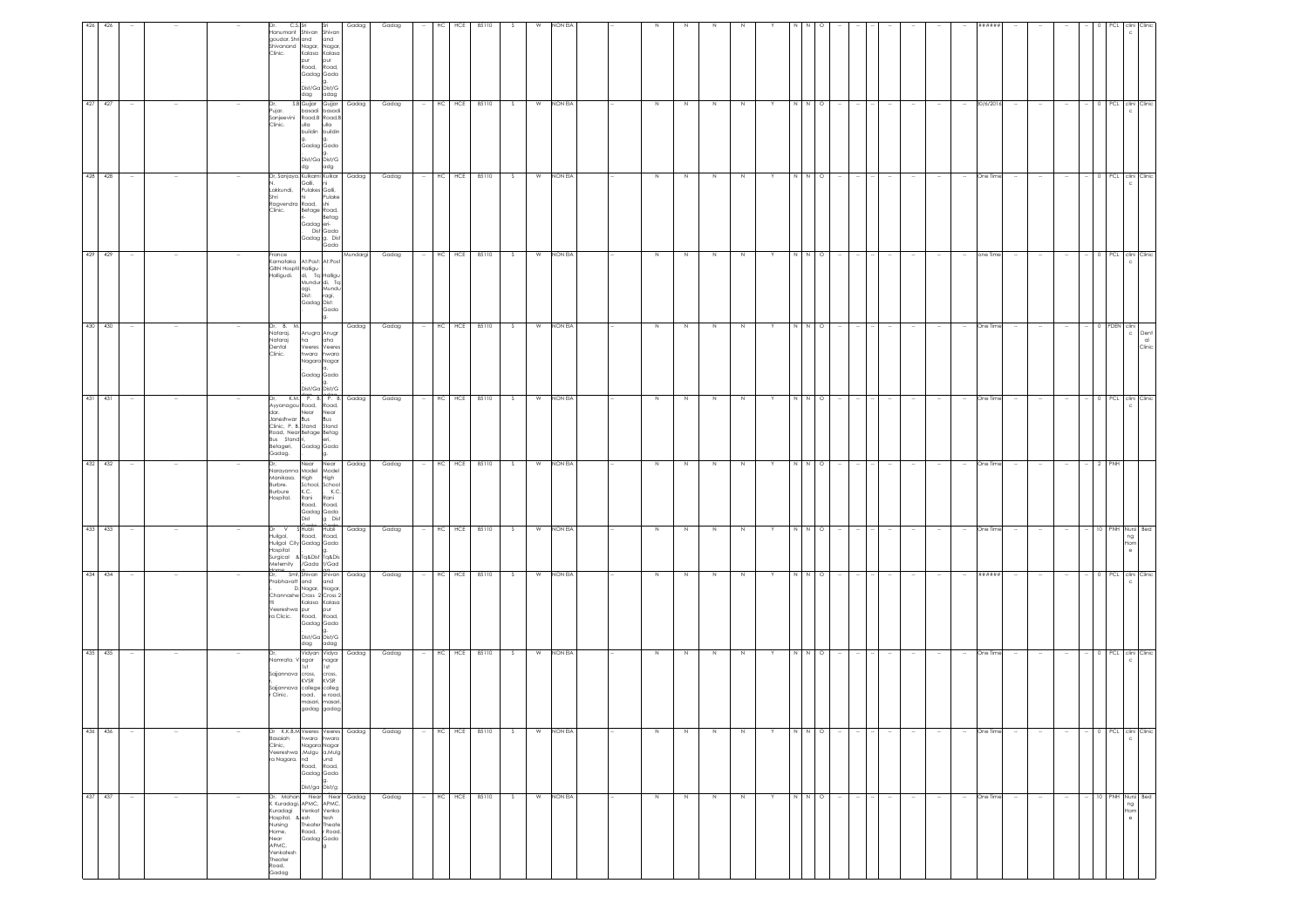|        |                                                                                                    | C.S. Sri<br>Clinic.<br>Dr,<br>Pujar.                                                    | Hanumant Shivan Shivan<br>goudar. Shri and<br>and<br>Shivanand Nagar, Nagar<br>pur<br>pur<br>Road, Road,<br>Gadag Gada<br>.<br>Dist/Ga_Dist/G<br>dag adag<br>buildin buildin<br>g. g.<br>Gadag Gada<br>.<br>Dist/Ga Dist/G<br>adg<br>dg<br>Galli, ni<br>Lakkundi, Pulakes Galli, | Gadag<br>Kalasa Kalasa<br>S.B Gujjar Gujjar<br>Gadag<br>basadi basadi<br>Sanjeevini Road, B Road, B<br>Clinic. Ulla Ulla<br>Dr, Sanjaya, Kulkarni Kulkar<br>Gadag | Gadag<br>Gadag<br>Gadag |        | HC<br>HC | HCE<br>85110<br>HCE 85110<br>HC HCE 85110 | S.<br>S. | W<br>W | NON EIA<br>NON EIA<br>NON EIA | N<br>N  | N<br>N. | N<br>N      | N<br>N      |    | $\circ$<br>N I N<br>N N O |        |        | $\sim$<br>$\sim$ |                  | $\sim$<br>$\sim$ | *****<br>30/6/201<br>One Time |                    |        |        | 0 PCL clini Clinic<br>0 PCL clini Clinic<br>c  |
|--------|----------------------------------------------------------------------------------------------------|-----------------------------------------------------------------------------------------|----------------------------------------------------------------------------------------------------------------------------------------------------------------------------------------------------------------------------------------------------------------------------------|-------------------------------------------------------------------------------------------------------------------------------------------------------------------|-------------------------|--------|----------|-------------------------------------------|----------|--------|-------------------------------|---------|---------|-------------|-------------|----|---------------------------|--------|--------|------------------|------------------|------------------|-------------------------------|--------------------|--------|--------|------------------------------------------------|
|        |                                                                                                    | Shri<br>Clinic.<br>France<br>Karnataka<br>Halligudi.                                    | Pulake<br>Ragvendra Road, shi<br>Betage Road,<br>Betag<br>Gadag eri-<br>Dist Gada<br>GBN Hospfil Halligu<br>di, Tq: Halligu                                                                                                                                                      | Gadag g. Dist<br>Gada<br>At:Post: At:Post                                                                                                                         | Mundargi<br>Gadag       | $\sim$ |          | HC HCE 85110                              | S        |        | W NON EIA                     | N       | N       | N           | N           | Y  | NNI<br>$\circ$            | $\sim$ | $\sim$ | $\sim$           | $\sim$<br>$\sim$ | $\sim$           |                               | one Time<br>$\sim$ | $\sim$ | $\sim$ | 0 PCL clini Clinic                             |
|        |                                                                                                    | Dr, B. M.<br>Nataraj.<br>Nataraj<br>Dental                                              | Mundur di, Tq<br>Dist:<br>ragi,<br>Gadag Dist:<br>. Gada<br>g.<br>Anugra Anugr<br>ha<br>aha<br>Veeres Veeres                                                                                                                                                                     | agi, Mundu<br>Gadag                                                                                                                                               | Gadag                   |        | HC       | HCE<br>85110                              | -S       | W      | NON EIA                       | $\,$ N  | -N      | $\mathbb N$ | N           |    | $\circ$                   |        |        |                  |                  |                  | One Time                      |                    |        |        | PDEN clini<br>$\mathbb{C}$                     |
|        |                                                                                                    | Clinic.<br>Dr,                                                                          | hwara<br>hwara<br>Nagara Nagar<br>Gadag Gada<br>.<br>Dist/Ga Dist/G<br>Ayyanagou Road, Road,<br>dar.<br>Janeshwar Bus Bus<br>Clinic, P. B. Stand Stand                                                                                                                           | K.M. P. B. P. B. Gadag                                                                                                                                            | Gadag                   |        |          | $-$ HC HCE<br>85110                       | S        | W      | NON EIA                       | $\,N\,$ | N       | $\,$ N      | $\,$ N      |    | N N O                     |        |        | $\sim$           | $\sim$           | $\sim$           | One Time                      |                    |        | $\sim$ | 0 PCL clini Clinic                             |
|        |                                                                                                    | Betageri,<br>Gadag.<br>Manikasa.<br>Burbre.<br>Burbure<br>Hospital.                     | soad, NearBetage Betag<br>Bus Stand ri, eri, eri,<br>Gadag Gada<br>g.<br>Near Near<br>Varayanna Model Model<br>High<br>High<br>K.C.<br>Rani<br>Rani<br>Road, Road,                                                                                                               | Gadag<br>School, School<br>K.C.                                                                                                                                   | Gadag                   |        |          | HC HCE<br>85110                           | S.       |        | W NON EIA                     | Z       | N       | $\geq$      | $\mathbb N$ |    | NN<br>$\circ$             |        |        |                  |                  |                  | One Time                      |                    |        |        | PNH                                            |
|        | Dr                                                                                                 | V<br>Huilgol,<br>Hospital                                                               | Gadag Gada<br>Dist<br>S Hubli Hubli<br>Road, Road,<br>Huilgol City Gadag Gada<br>Hospital . g.<br>Surgical & Tq&Dist Tq&Dis<br>Meternity /Gada t/Gad                                                                                                                             | g Dist<br>Gadag                                                                                                                                                   | Gadag                   | $\sim$ |          | $HC$ HCE<br>85110                         | S        | W      | NON EIA                       | $\,N\,$ | N       | $\,$ N $\,$ | $\,N\,$     | Y  | $N \quad N \quad O$       |        |        | $\sim$           | $\sim$<br>$\sim$ | $\sim$           | One Time                      | $\sim$             | $\sim$ | $\sim$ | 10 PNH Nursi Bed<br>ng<br>Hom<br>e             |
|        | Veereshwa pur<br>ra Clicic.                                                                        |                                                                                         | rabhavatt and and<br>pur<br>Road, Road,<br>Gadag Gada<br>.<br>Dist/Ga_Dist/G<br>dag adag                                                                                                                                                                                         | Smt, Shivan Shivan<br>Gadag<br>i. D. Nagar, <mark>Nagar,</mark><br>Channashe Cross 2 Cross 2<br>Kalasa Kalasa                                                     | Gadag                   |        |          | HC HCE 85110                              | S        | W      | NON EIA                       | N       | N       | $\,$ N      | N           | Y  | $N$ $N$ $Q$               |        |        | $\sim$           |                  | $\sim$           | ######                        |                    |        |        | 0 PCL clini Clinic                             |
|        | Namrata. Vagar nagar<br>Sajjannava cross,<br>KVSR<br>Sajjannava college colleg<br>r Clinic.        |                                                                                         | cross,<br>KVSR                                                                                                                                                                                                                                                                   | Vidyan Vidya<br>Gadag<br>road, e road,<br>masari, masari,<br>gadag gadag                                                                                          | Gadag                   |        | HC       | 85110<br>HCE                              | S.       | W      | NON EIA                       | N       | N.      | N           | N           |    | N N O                     |        |        |                  |                  | $\sim$           | One Time                      | $\sim$             |        |        | 0 PCL clini Clinic                             |
|        | Dr K.K.B.M Veeres Veeres<br>łasaiah<br>Clinic,<br>eereshwa , Mulgu a, Mulg<br>ra Nagara. nd        |                                                                                         | hwara hwara<br>Nagara Nagar<br>und<br>Road, Road,<br>Gadag Gada<br>g.<br>Dist/ga Dist/g                                                                                                                                                                                          | Gadag                                                                                                                                                             | Gadag                   |        | HC       | HCE<br>85110                              | S.       | W      | NON EIA                       | N       | N       | $\,$ N      | N           |    | $\circ$                   |        |        |                  |                  |                  | One Time                      |                    |        |        | 0 PCL clini Clinic                             |
| $\sim$ | or, Mohan<br>Kuradagi, APMC, APMC,<br>Kuradagi <sup>-</sup><br>Hospital, & esh<br>Nursing<br>Home, | Near Near<br>Venkat Venka<br>Lesh tesh<br>Theater Theate<br>Road, r Road,<br>Gadag Gada |                                                                                                                                                                                                                                                                                  | Gadag                                                                                                                                                             | Gadag                   |        | HC       | HCE<br>85110                              | S.       | W      | NON EIA                       | N       | N       | N           | N           | Y. | N N O                     | $\sim$ | $\sim$ | $\sim$           | $\sim$<br>$\sim$ | $\sim$           |                               | One Time<br>$\sim$ | $\sim$ | $\sim$ | PNH Nursi Bed<br>10<br>ng<br>Hom<br>$_{\rm e}$ |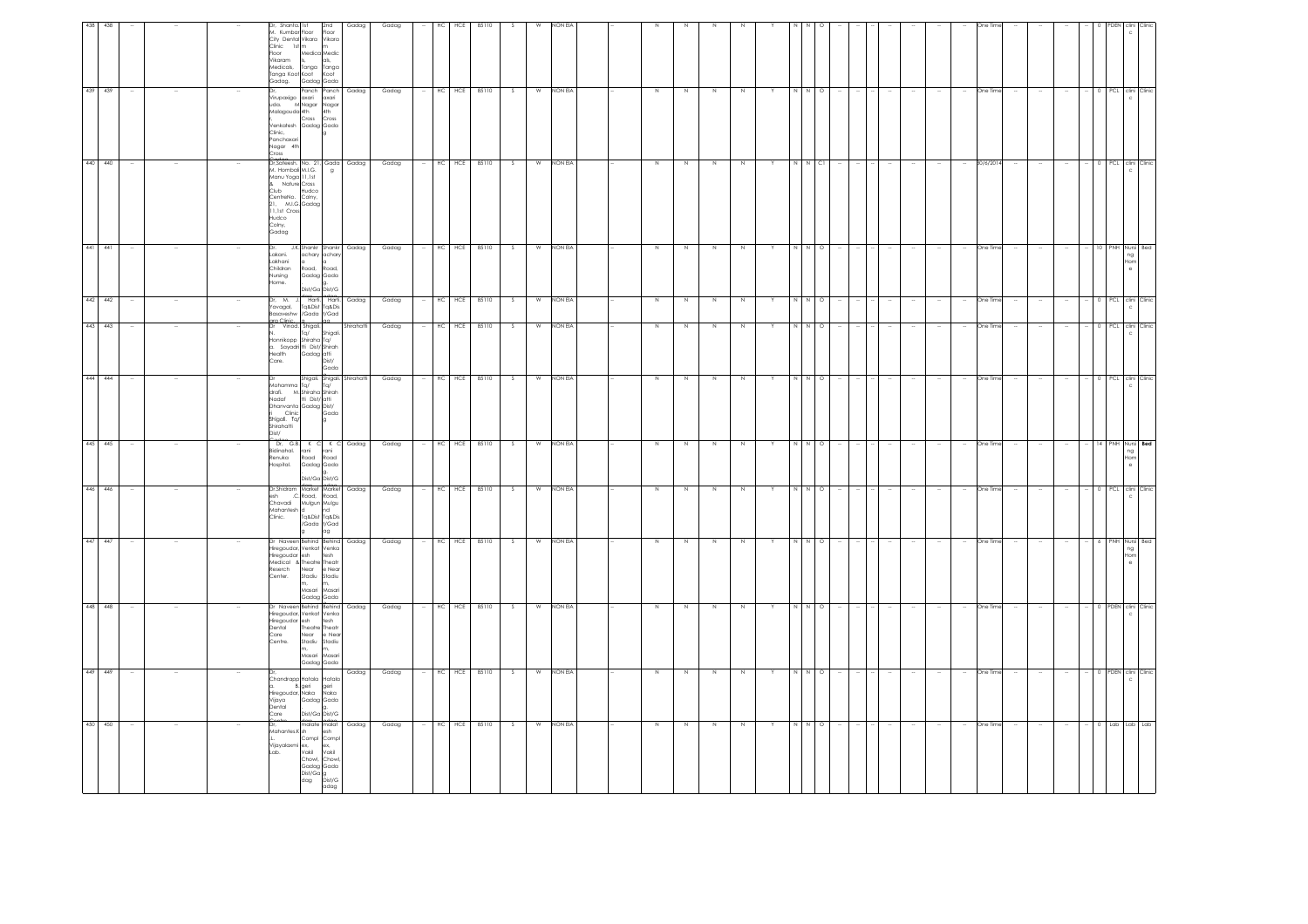|                                                                                                 |                                                       |                                                                                                             |                                                                                                                                                         |                                                                     |                                                            |                                                                                           |                                                                                                     |                                                                            | 441                                                                               |                                                                                                           | 439                                                                                                                    |                                                                                                                                                                                |
|-------------------------------------------------------------------------------------------------|-------------------------------------------------------|-------------------------------------------------------------------------------------------------------------|---------------------------------------------------------------------------------------------------------------------------------------------------------|---------------------------------------------------------------------|------------------------------------------------------------|-------------------------------------------------------------------------------------------|-----------------------------------------------------------------------------------------------------|----------------------------------------------------------------------------|-----------------------------------------------------------------------------------|-----------------------------------------------------------------------------------------------------------|------------------------------------------------------------------------------------------------------------------------|--------------------------------------------------------------------------------------------------------------------------------------------------------------------------------|
| 450 450                                                                                         | 449 449                                               | 448 448                                                                                                     | 447 447                                                                                                                                                 | 446 446                                                             | 445 445                                                    | 444 444                                                                                   | 443 443                                                                                             | 442 442                                                                    | 441                                                                               | 440 440                                                                                                   | 439                                                                                                                    | 438 438                                                                                                                                                                        |
|                                                                                                 |                                                       |                                                                                                             | $\sim$                                                                                                                                                  |                                                                     |                                                            |                                                                                           |                                                                                                     |                                                                            |                                                                                   |                                                                                                           |                                                                                                                        |                                                                                                                                                                                |
|                                                                                                 |                                                       |                                                                                                             |                                                                                                                                                         |                                                                     |                                                            |                                                                                           |                                                                                                     |                                                                            |                                                                                   |                                                                                                           |                                                                                                                        |                                                                                                                                                                                |
|                                                                                                 |                                                       |                                                                                                             |                                                                                                                                                         |                                                                     |                                                            |                                                                                           |                                                                                                     |                                                                            |                                                                                   |                                                                                                           |                                                                                                                        |                                                                                                                                                                                |
|                                                                                                 | Vijaya<br>Dental<br>Care                              | Care<br>Centre.                                                                                             |                                                                                                                                                         | esh<br>Clinic.                                                      |                                                            | Nadaf<br>Dist/                                                                            | Dr<br>Care.                                                                                         |                                                                            | Dr.<br>Home.                                                                      | Colny,                                                                                                    | Clinic,<br>Cross                                                                                                       |                                                                                                                                                                                |
| Mahantes.K sh<br>Vijayalaxmi ex,<br>Lab. Vakil<br>Chowl,<br>dag                                 | Chandrapp Hatala<br>a. B. geri<br>Hiregoudar, Naka    | Dr Naveen Behind Behind<br>Hiregoudar, Venkat Venka<br>Hiregoudar esh<br>Dental<br>Near<br>Stadiu<br>Masari | Dr Naveen Behind Behind<br>Hiregoudar, Venkat Venka<br>Hiregoudar esh tesh<br>Medical & Theatre Theatr<br>eserch<br>Near<br>Center.<br>Stadiu<br>Masari | Dr.Shidram Market Market<br>.C. Road,<br>Chavadi<br>Mahantesh d     | Dr. G.B. K C K C<br>Bidinahal. rani<br>Renuka<br>Hospital. | drafi. M. Shiraha Shirah<br>Dhanvanta Gadaa Dist/<br>Clinic<br>Shigali. Tq/<br>Shirahatti | Vinod. Shigali.<br>Ta/<br>Honnikopp Shiraha Tq/<br>a. Sayadri tti Dist/ Shirah<br>Health Gadag atti | Dr. M. J. Harti.<br>Yavagal,<br>Basaveshw /Gada t/Gad<br>ara Clinic – la – | Lakani.<br>Lakhani<br>Childran<br>Road,<br>Nursing                                | & Nature Cross<br>Club<br>Hudco<br>CentreNo. Colny,<br>21, M.I.G. Gadag<br>11,1st Cross<br>Hudco<br>Gadag | Virupaxigo axari<br>uda. MNagar Nagar<br>Malagouda 4th 4th<br>Cross<br>Venkatesh Gadag Gada<br>Panchaxari<br>Nagar 4th | Dr, Shanta. Ist<br>M. Kumbar Floor<br>City Dental Vikara<br>Clinic 1st m m<br>Floor Medica Medic<br>Vikaram<br>Medicals,<br>Tanga<br>Tanga Koot Koot Koot<br>Gadag. Gadag Gada |
| malate malat<br>Compl Comp<br>ex,<br>Vakil<br>Chow<br>Gadag Gada<br>Dist/Ga g<br>Dist/G<br>adag | Hatak<br>aeri<br>Naka<br>Gadag Gada<br>Dist/Ga Dist/G | tesh<br>Theatre Theatr<br>e Nea<br>Stadiu<br>Masar<br>Gadag Gada                                            | e Near<br>Stadiu<br>Masar<br>Gadag Gada                                                                                                                 | Road.<br>Mulgun Mulgu<br>nd<br>Tq&Dist Tq&Dis<br>/Gada t/Gad<br>lag | rani<br>Road Road<br>Gadag Gada<br>Dist/Ga Dist/G          | Dr<br>Mohamma Tq/ Tq/<br>tti Dist/ atti<br>Gada                                           | Shigal<br>Dist/<br>Godo                                                                             | Harti.<br>Tq&Dist Tq&Dis<br>n <sub>0</sub>                                 | J.K.Shankr Shankr Gadag<br>achary achary<br>Road,<br>Gadag Gada<br>Dist/Ga Dist/G | Dr.Sateesh, No. 21, Gada Gadag<br>M. Hombali M.I.G. g<br>Manu Yoga 11,1st                                 | Panch Panch<br>axari<br>Cross                                                                                          | 2nd<br>Floor<br>Vikara<br>als.<br>Tanga                                                                                                                                        |
| Gadag                                                                                           | Gadag                                                 | Gadag                                                                                                       | Gadag                                                                                                                                                   | Gadag                                                               | Gadag                                                      |                                                                                           | Shirahatti                                                                                          | Gadag                                                                      |                                                                                   |                                                                                                           | Gadag                                                                                                                  | Gadag                                                                                                                                                                          |
| Gadag                                                                                           | Gadag                                                 | Gadag                                                                                                       | Gadag                                                                                                                                                   | Gadag                                                               | Gadag                                                      | Gadag                                                                                     | Gadag                                                                                               | Gadag                                                                      | Gadag                                                                             | Gadag                                                                                                     | Gadag                                                                                                                  | Gadag                                                                                                                                                                          |
|                                                                                                 |                                                       |                                                                                                             |                                                                                                                                                         |                                                                     |                                                            |                                                                                           |                                                                                                     |                                                                            |                                                                                   |                                                                                                           |                                                                                                                        |                                                                                                                                                                                |
|                                                                                                 |                                                       |                                                                                                             |                                                                                                                                                         |                                                                     | HC.                                                        |                                                                                           |                                                                                                     | HC                                                                         | HC                                                                                |                                                                                                           |                                                                                                                        | нc                                                                                                                                                                             |
| $HC$ $HCE$                                                                                      | HC HCE 85110                                          | HC HCE                                                                                                      | HC HCE 85110                                                                                                                                            | $HC$ $HCE$                                                          | HCE                                                        | HC HCE 85110                                                                              | HC HCE 85110                                                                                        | HCE                                                                        | HCE                                                                               | HC HCE                                                                                                    | $HC$ $HCE$                                                                                                             | HCE                                                                                                                                                                            |
| 85110                                                                                           |                                                       | 85110                                                                                                       |                                                                                                                                                         | 85110                                                               | 85110                                                      |                                                                                           |                                                                                                     | 85110                                                                      | 85110                                                                             | 85110                                                                                                     | 85110                                                                                                                  | 85110                                                                                                                                                                          |
| S.                                                                                              | S.                                                    |                                                                                                             | - S                                                                                                                                                     | S.                                                                  | -S                                                         | S                                                                                         | $\overline{\mathbf{S}}$                                                                             | -S                                                                         | -S                                                                                | S                                                                                                         | s.                                                                                                                     |                                                                                                                                                                                |
|                                                                                                 | W                                                     | W                                                                                                           | W                                                                                                                                                       | W                                                                   | W                                                          |                                                                                           | W                                                                                                   | W                                                                          | W                                                                                 |                                                                                                           | W                                                                                                                      |                                                                                                                                                                                |
| W NON EIA                                                                                       | NON EIA                                               | NON EI                                                                                                      | NON EIA                                                                                                                                                 | NON EIA                                                             | <b>NON EIA</b>                                             | W NON EIA                                                                                 | NON EIA                                                                                             | NON EIA                                                                    | <b>NON EIA</b>                                                                    | W NON EIA                                                                                                 | NON EIA                                                                                                                |                                                                                                                                                                                |
|                                                                                                 |                                                       |                                                                                                             |                                                                                                                                                         |                                                                     |                                                            |                                                                                           |                                                                                                     |                                                                            |                                                                                   |                                                                                                           |                                                                                                                        |                                                                                                                                                                                |
| N                                                                                               | N                                                     |                                                                                                             | N                                                                                                                                                       | $\mathbb N$                                                         | N                                                          | N                                                                                         | N                                                                                                   | N                                                                          | N                                                                                 | $\,$ N                                                                                                    |                                                                                                                        |                                                                                                                                                                                |
| N                                                                                               | N                                                     |                                                                                                             | N                                                                                                                                                       | N                                                                   | N                                                          | $\,N\,$                                                                                   | $\overline{N}$                                                                                      | N                                                                          | N                                                                                 | N                                                                                                         |                                                                                                                        |                                                                                                                                                                                |
| N                                                                                               | N                                                     |                                                                                                             | N                                                                                                                                                       | $\mathbb N$                                                         | N                                                          | N                                                                                         | Z.                                                                                                  | N                                                                          | N                                                                                 | $\,$ N                                                                                                    | N                                                                                                                      |                                                                                                                                                                                |
| N                                                                                               | N                                                     |                                                                                                             | N                                                                                                                                                       | N                                                                   | N                                                          | $\mathbb N$                                                                               | N                                                                                                   | N                                                                          |                                                                                   | N                                                                                                         | N                                                                                                                      |                                                                                                                                                                                |
|                                                                                                 |                                                       |                                                                                                             | Y                                                                                                                                                       |                                                                     |                                                            |                                                                                           | Y                                                                                                   |                                                                            |                                                                                   | Y                                                                                                         |                                                                                                                        |                                                                                                                                                                                |
| N                                                                                               | I N                                                   |                                                                                                             |                                                                                                                                                         |                                                                     | N                                                          |                                                                                           |                                                                                                     | N                                                                          |                                                                                   | $\,$ N                                                                                                    |                                                                                                                        |                                                                                                                                                                                |
| $N$ 0                                                                                           | N I O                                                 | $\circ$                                                                                                     | N N O                                                                                                                                                   | $\circ$                                                             | $\circ$                                                    | $N$ $N$ $Q$                                                                               | NNO                                                                                                 | $N$ O                                                                      | $\circ$                                                                           | $N$ Cl                                                                                                    | $\circ$                                                                                                                |                                                                                                                                                                                |
|                                                                                                 |                                                       |                                                                                                             |                                                                                                                                                         |                                                                     |                                                            |                                                                                           |                                                                                                     |                                                                            |                                                                                   |                                                                                                           |                                                                                                                        |                                                                                                                                                                                |
|                                                                                                 |                                                       |                                                                                                             | $\sim$                                                                                                                                                  |                                                                     |                                                            |                                                                                           |                                                                                                     |                                                                            |                                                                                   |                                                                                                           |                                                                                                                        |                                                                                                                                                                                |
|                                                                                                 | $\overline{\phantom{a}}$                              |                                                                                                             | $\sim$                                                                                                                                                  |                                                                     |                                                            | $\sim$                                                                                    |                                                                                                     |                                                                            |                                                                                   |                                                                                                           | $\sim$                                                                                                                 |                                                                                                                                                                                |
|                                                                                                 |                                                       |                                                                                                             | $\sim$                                                                                                                                                  |                                                                     |                                                            | $\overline{\phantom{a}}$                                                                  |                                                                                                     |                                                                            |                                                                                   |                                                                                                           |                                                                                                                        |                                                                                                                                                                                |
|                                                                                                 | $\sim$                                                |                                                                                                             | $\sim$                                                                                                                                                  |                                                                     |                                                            | $\overline{\phantom{a}}$                                                                  |                                                                                                     |                                                                            |                                                                                   | $\sim$                                                                                                    |                                                                                                                        |                                                                                                                                                                                |
| One Time                                                                                        | One Time                                              | One Time                                                                                                    | One Time                                                                                                                                                | One Tim                                                             | One Time                                                   | One Time                                                                                  | One Time                                                                                            | One Time                                                                   | One Time                                                                          | 30/6/201                                                                                                  | One Time                                                                                                               |                                                                                                                                                                                |
|                                                                                                 |                                                       |                                                                                                             | $\sim$                                                                                                                                                  |                                                                     |                                                            |                                                                                           |                                                                                                     |                                                                            |                                                                                   |                                                                                                           |                                                                                                                        |                                                                                                                                                                                |
|                                                                                                 |                                                       |                                                                                                             | $\sim$                                                                                                                                                  |                                                                     |                                                            | $\overline{\phantom{a}}$                                                                  |                                                                                                     |                                                                            |                                                                                   |                                                                                                           |                                                                                                                        |                                                                                                                                                                                |
|                                                                                                 | $\sim$                                                |                                                                                                             | $\sim$                                                                                                                                                  |                                                                     |                                                            | $\sim$                                                                                    |                                                                                                     |                                                                            |                                                                                   |                                                                                                           | $\sim$                                                                                                                 |                                                                                                                                                                                |
|                                                                                                 |                                                       |                                                                                                             | 6 <sup>1</sup>                                                                                                                                          |                                                                     | 14                                                         |                                                                                           |                                                                                                     |                                                                            |                                                                                   |                                                                                                           |                                                                                                                        |                                                                                                                                                                                |
|                                                                                                 |                                                       |                                                                                                             |                                                                                                                                                         |                                                                     |                                                            |                                                                                           |                                                                                                     |                                                                            |                                                                                   |                                                                                                           |                                                                                                                        |                                                                                                                                                                                |
| 0 Lab Lab Lab                                                                                   | 0 PDEN clini Clinic                                   | PDEN clini Clinio<br>$\epsilon$                                                                             | PNH Nursi Bed<br>ng<br>Hom<br>$\sim$                                                                                                                    | PCL clini Clinic                                                    | PNH Nursi Bed<br>ng<br>Hom<br>$\theta$                     | 0 PCL clini Clinic                                                                        | 0 PCL clini Clinic                                                                                  | PCL clini Clinic                                                           | PNH Nursi Beo<br>ng<br>Hom                                                        | 0 PCL clini Clinic                                                                                        | PCL clini Clinic                                                                                                       |                                                                                                                                                                                |
|                                                                                                 |                                                       |                                                                                                             |                                                                                                                                                         |                                                                     |                                                            |                                                                                           |                                                                                                     |                                                                            |                                                                                   |                                                                                                           |                                                                                                                        |                                                                                                                                                                                |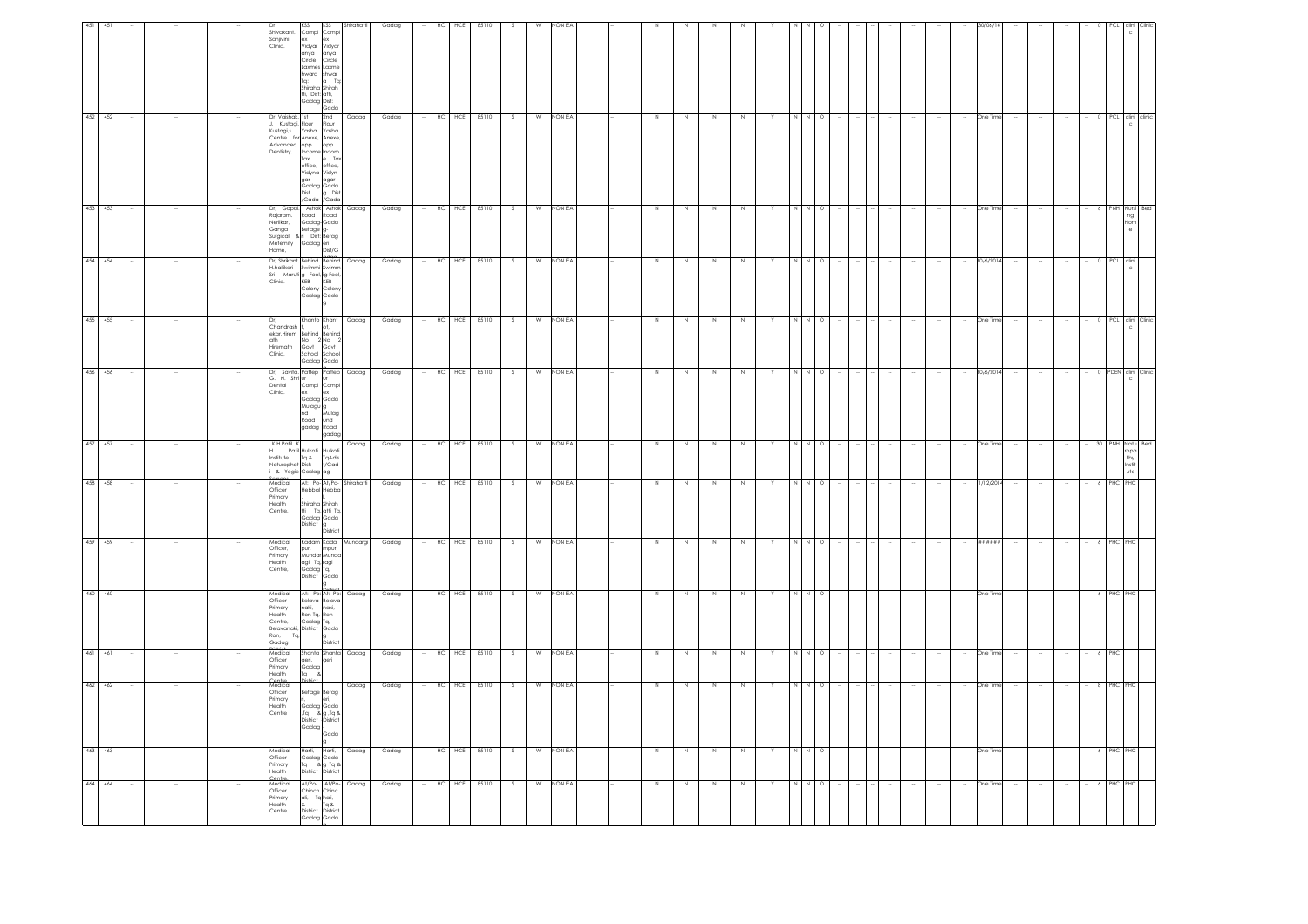| 464 464                                                                                   | 463 463                                                         | 462 462                                                                         |                                                  | 460 460<br>461 461                                                                                                           | 459 459                                                         |                                                                                                             | 458 458                                                                        | 456 456<br>457 457                                                                               | 455 455                                                                                                            | 454 454                                                                                                                                                                                   | 453 453                                                       | 452 452                                                                                                                                       |                                                                                                                                                                          |
|-------------------------------------------------------------------------------------------|-----------------------------------------------------------------|---------------------------------------------------------------------------------|--------------------------------------------------|------------------------------------------------------------------------------------------------------------------------------|-----------------------------------------------------------------|-------------------------------------------------------------------------------------------------------------|--------------------------------------------------------------------------------|--------------------------------------------------------------------------------------------------|--------------------------------------------------------------------------------------------------------------------|-------------------------------------------------------------------------------------------------------------------------------------------------------------------------------------------|---------------------------------------------------------------|-----------------------------------------------------------------------------------------------------------------------------------------------|--------------------------------------------------------------------------------------------------------------------------------------------------------------------------|
|                                                                                           |                                                                 |                                                                                 |                                                  |                                                                                                                              |                                                                 |                                                                                                             |                                                                                |                                                                                                  |                                                                                                                    |                                                                                                                                                                                           |                                                               |                                                                                                                                               |                                                                                                                                                                          |
|                                                                                           | $\sim$                                                          | $\sim$                                                                          |                                                  | $\sim$                                                                                                                       |                                                                 |                                                                                                             |                                                                                | $\sim$<br>$\overline{\phantom{a}}$                                                               | $\sim$                                                                                                             | - 11                                                                                                                                                                                      |                                                               |                                                                                                                                               |                                                                                                                                                                          |
|                                                                                           |                                                                 |                                                                                 |                                                  |                                                                                                                              |                                                                 |                                                                                                             |                                                                                |                                                                                                  |                                                                                                                    |                                                                                                                                                                                           |                                                               |                                                                                                                                               |                                                                                                                                                                          |
|                                                                                           |                                                                 |                                                                                 |                                                  |                                                                                                                              |                                                                 |                                                                                                             |                                                                                |                                                                                                  |                                                                                                                    |                                                                                                                                                                                           |                                                               |                                                                                                                                               |                                                                                                                                                                          |
| Medical<br>Officer<br>Primary<br>Health<br>Centre.                                        | Medical<br>Officer<br>Primary<br>ealth<br>n ter                 | Officer<br>Primary<br>lealth<br>Centre                                          | Officer<br>himary<br>lealth<br>Centre<br>Medical | Medical<br>Officer<br>mom <sup>s</sup><br>.<br>Health<br>Centre,<br>Ron.<br>Gadag<br>Nedical<br>Medical                      | Medical<br>Officer,<br><sup>h</sup> rimary<br>Health<br>Centre, | Scinces<br>Medical<br>Officer<br>rimary<br>Health<br>Centre,                                                |                                                                                | Dental<br>Clinic.<br>K.H.Patil. K                                                                | Clinic.                                                                                                            |                                                                                                                                                                                           | Gopal.<br>Raiaram.<br>lerlikar,<br>Meternity<br>ome,          | Dentistry.                                                                                                                                    | Shivakant.<br>Sanjivini<br>Clinic.                                                                                                                                       |
|                                                                                           |                                                                 | Gadag-                                                                          | geri,<br>Gadag<br>Tq &<br>istrict                | Belavanaki, District Gada<br>Tq,                                                                                             |                                                                 |                                                                                                             | Patil Hulkoti Hulkot<br>Institute Tg &<br>Naturophat Dist:<br>& Yogic Gadag ag |                                                                                                  | or, Nicolas de Chandrash de Chandrash de Behind<br>ekar.Hirem Behind Behind<br>ath No 2 No 2<br>Hiremath Govt Govt | Dr. Shrikant.<br>Dr. Shrikant. Behind Behind<br>H.hallikeri Swimmi Swimm<br>Dr. Shriksander Swimmi Swimmi<br>H.hallikeri Swimmi Swimmi<br>Sri Maruti (Fool, ig Fool, I<br>Clinic. KEB KEB | Ganga Betage g-<br>Surgical & ri Dist: Betag                  | Vaishak, 1st<br>Kustagi, Flour<br>Advanced opp<br>office,<br>Dist                                                                             | KSS<br>anya                                                                                                                                                              |
| At/Po- At/Po-<br>Chinch Chinc<br>ali, Tqhali,<br>& Tq&<br>District District<br>Gadag Gada | Harti, Harti,<br>Gadag Gada<br>Tq & g Tq &<br>District District | Betage Betag<br>ri,<br>Gadag Gada<br>.Tq & g ,Tq &<br>District District<br>Gada | geri                                             | At: Po: At: Po:<br>Ali 10. Ali 10<br>Belava Belava<br>naki, naki,<br>Ron-Tą, Ron-Gadag Tą,<br>g<br>District<br>Shanta Shanta | Mundar Munda<br>agi Tq, ragi<br>Gadag Tq,<br>District Gada      | At: Po-At/Po-<br>Hebbal Hebba<br>Shiraha Shirah<br>tti Tq, atti Tq,<br>Gadag Gada<br>District g<br>District | Tq&dis<br>t/Gad                                                                | Compl<br>ex ex<br>Gadag Gada<br>Mulagu<br>nd Mulag<br>nthough<br>Road und<br>gadag Road<br>gadas | Khanto Khant<br>School School<br>Gadag Gada                                                                        | Gadag Gada                                                                                                                                                                                | Ashok Ashok<br>Road Road<br>Gadag-Gada<br>Gadag eri<br>Dist/G | 2nd<br>Flour<br>opp<br>Income Incom<br>Tax e Tax<br>office,<br>Vidyna Vidyn<br>riayna nayn<br>gar agar<br>Gadag Gada<br>g Dist<br>/Gada /Gada | Compl<br>ex ex<br>Vidyar Vidyar<br>anya<br>Circle Circle<br>Laxmes Laxme<br>hwara shwar<br>Tq: a Tq:<br>rq:<br>Shiraha Shirah<br>tti, Dist: atti,<br>Gadag Dist:<br>Gada |
| Gadag                                                                                     | Gadag                                                           | Gadag                                                                           |                                                  | Gadag<br>Gadag                                                                                                               | Kadam Kada Mundargi<br>pur, mpur,                               |                                                                                                             | Shirahatti                                                                     | Dr. Savita Pattep Pattep Gadag<br>G. N. Shri ur<br>Gadag                                         | Gadag                                                                                                              | Gadag                                                                                                                                                                                     | Gadag                                                         | Gadag                                                                                                                                         | hirahatt                                                                                                                                                                 |
| Gadag                                                                                     | Gadag                                                           | Gadag                                                                           |                                                  | Gadag<br>Gadag                                                                                                               | Gadag                                                           |                                                                                                             | Gadag                                                                          | Gadag<br>Gadag                                                                                   | Gadag                                                                                                              | Gadag                                                                                                                                                                                     | Gadag                                                         | Gadag                                                                                                                                         | Gadag                                                                                                                                                                    |
|                                                                                           |                                                                 |                                                                                 |                                                  |                                                                                                                              |                                                                 |                                                                                                             |                                                                                |                                                                                                  |                                                                                                                    |                                                                                                                                                                                           |                                                               |                                                                                                                                               |                                                                                                                                                                          |
| HC HCE                                                                                    | HC HCE 85110                                                    | HCE<br>HC                                                                       |                                                  | HC<br>HCE<br>HC<br>HCE                                                                                                       | HC HCE                                                          |                                                                                                             | HCE<br>НC                                                                      | $-$ HC HCE<br>HC<br>HCE                                                                          | HCE<br>HC                                                                                                          | HCE<br>HC                                                                                                                                                                                 | HC HCE                                                        | HCE                                                                                                                                           | HCE                                                                                                                                                                      |
| 85110                                                                                     |                                                                 | 85110                                                                           |                                                  | 85110<br>85110                                                                                                               | 85110                                                           |                                                                                                             | 85110                                                                          | 85110                                                                                            | 85110<br>85110                                                                                                     | 85110                                                                                                                                                                                     | 85110                                                         | 85110                                                                                                                                         | 85110                                                                                                                                                                    |
|                                                                                           | S.                                                              | -S                                                                              | S.                                               | - S                                                                                                                          | -S                                                              |                                                                                                             |                                                                                | S.<br>S.                                                                                         | -S                                                                                                                 | -S.                                                                                                                                                                                       | $\mathbb{S}$                                                  |                                                                                                                                               |                                                                                                                                                                          |
| W                                                                                         | W                                                               | W                                                                               |                                                  | W<br>W                                                                                                                       | W                                                               |                                                                                                             | W                                                                              | W<br>W                                                                                           | W                                                                                                                  | W                                                                                                                                                                                         | W                                                             | W                                                                                                                                             |                                                                                                                                                                          |
| NON EIA                                                                                   | NON EIA                                                         | NON EIA                                                                         |                                                  | NON EIA<br>NON EIA                                                                                                           | NON EIA                                                         |                                                                                                             | NON EIA                                                                        | NON EIA<br>NON EIA                                                                               | NON EIA                                                                                                            | NON EIA                                                                                                                                                                                   | NON EIA                                                       | NON EIA                                                                                                                                       | <b>ION EL</b>                                                                                                                                                            |
|                                                                                           |                                                                 |                                                                                 |                                                  |                                                                                                                              |                                                                 |                                                                                                             |                                                                                |                                                                                                  |                                                                                                                    |                                                                                                                                                                                           |                                                               |                                                                                                                                               |                                                                                                                                                                          |
|                                                                                           |                                                                 |                                                                                 |                                                  |                                                                                                                              |                                                                 |                                                                                                             |                                                                                |                                                                                                  |                                                                                                                    |                                                                                                                                                                                           |                                                               |                                                                                                                                               |                                                                                                                                                                          |
| N                                                                                         | N                                                               | $\,N\,$                                                                         |                                                  | $\,N\,$<br>$\overline{N}$                                                                                                    | Z                                                               |                                                                                                             | N                                                                              | N<br>N                                                                                           | N                                                                                                                  | N                                                                                                                                                                                         | N                                                             |                                                                                                                                               |                                                                                                                                                                          |
|                                                                                           | N                                                               | N                                                                               | $\mathbb N$                                      | N                                                                                                                            | N                                                               |                                                                                                             |                                                                                | N<br>N                                                                                           | N                                                                                                                  | N                                                                                                                                                                                         | N                                                             |                                                                                                                                               |                                                                                                                                                                          |
|                                                                                           | N                                                               | $\,N\,$                                                                         | N                                                | $\,N\,$                                                                                                                      | N                                                               |                                                                                                             |                                                                                | N<br>N                                                                                           | N                                                                                                                  | N                                                                                                                                                                                         | N                                                             |                                                                                                                                               |                                                                                                                                                                          |
|                                                                                           | N                                                               | N                                                                               | $\mathbb N$                                      | $\mathbb N$                                                                                                                  | $\mathbb N$                                                     |                                                                                                             |                                                                                | N<br>N                                                                                           | N                                                                                                                  | N                                                                                                                                                                                         | $\mathbb N$                                                   |                                                                                                                                               |                                                                                                                                                                          |
|                                                                                           |                                                                 |                                                                                 |                                                  |                                                                                                                              |                                                                 |                                                                                                             |                                                                                | Y                                                                                                |                                                                                                                    | Y.                                                                                                                                                                                        |                                                               |                                                                                                                                               |                                                                                                                                                                          |
|                                                                                           | N                                                               |                                                                                 |                                                  | $\overline{N}$<br>N                                                                                                          |                                                                 |                                                                                                             |                                                                                | N                                                                                                |                                                                                                                    |                                                                                                                                                                                           |                                                               |                                                                                                                                               |                                                                                                                                                                          |
|                                                                                           | $\circ$                                                         | $\circ$                                                                         | $\circ$                                          | $\circ$                                                                                                                      | N N O                                                           |                                                                                                             |                                                                                | N N O<br>$\circ$                                                                                 | $\circ$                                                                                                            | $\circ$                                                                                                                                                                                   | $\circ$                                                       |                                                                                                                                               |                                                                                                                                                                          |
|                                                                                           |                                                                 |                                                                                 |                                                  |                                                                                                                              |                                                                 |                                                                                                             |                                                                                |                                                                                                  |                                                                                                                    |                                                                                                                                                                                           |                                                               |                                                                                                                                               |                                                                                                                                                                          |
|                                                                                           |                                                                 |                                                                                 |                                                  | $\sim$                                                                                                                       |                                                                 |                                                                                                             |                                                                                | $\sim$                                                                                           |                                                                                                                    |                                                                                                                                                                                           |                                                               |                                                                                                                                               |                                                                                                                                                                          |
|                                                                                           |                                                                 | $\sim$                                                                          | $\sim$                                           | $\sim$                                                                                                                       |                                                                 |                                                                                                             |                                                                                | $\sim$<br>$\sim$<br>- 11                                                                         |                                                                                                                    | - 11                                                                                                                                                                                      |                                                               |                                                                                                                                               |                                                                                                                                                                          |
|                                                                                           |                                                                 |                                                                                 |                                                  |                                                                                                                              |                                                                 |                                                                                                             |                                                                                | $\sim$                                                                                           |                                                                                                                    |                                                                                                                                                                                           |                                                               |                                                                                                                                               |                                                                                                                                                                          |
|                                                                                           |                                                                 |                                                                                 | $\overline{\phantom{a}}$                         | $\sim$                                                                                                                       |                                                                 |                                                                                                             |                                                                                | $\sim$<br>$\sim$                                                                                 |                                                                                                                    | $\sim$                                                                                                                                                                                    |                                                               |                                                                                                                                               |                                                                                                                                                                          |
| ∩ne Tin                                                                                   | One Time                                                        | One Time                                                                        |                                                  | One Time<br>One Time                                                                                                         | ######                                                          |                                                                                                             | 1/12/20                                                                        | 30/6/2014<br>One Time                                                                            | One Time                                                                                                           | 30/6/201                                                                                                                                                                                  | One Time                                                      | One Tim                                                                                                                                       |                                                                                                                                                                          |
|                                                                                           |                                                                 |                                                                                 |                                                  |                                                                                                                              |                                                                 |                                                                                                             |                                                                                | $\sim$                                                                                           |                                                                                                                    | $\sim$                                                                                                                                                                                    |                                                               |                                                                                                                                               |                                                                                                                                                                          |
|                                                                                           |                                                                 |                                                                                 |                                                  |                                                                                                                              |                                                                 |                                                                                                             |                                                                                | $\sim$                                                                                           |                                                                                                                    |                                                                                                                                                                                           |                                                               |                                                                                                                                               |                                                                                                                                                                          |
|                                                                                           |                                                                 |                                                                                 | $\overline{\phantom{a}}$                         | $\sim$                                                                                                                       |                                                                 |                                                                                                             |                                                                                | $\sim$<br>- 11                                                                                   |                                                                                                                    |                                                                                                                                                                                           |                                                               |                                                                                                                                               |                                                                                                                                                                          |
|                                                                                           |                                                                 |                                                                                 |                                                  |                                                                                                                              |                                                                 |                                                                                                             |                                                                                |                                                                                                  |                                                                                                                    |                                                                                                                                                                                           |                                                               |                                                                                                                                               |                                                                                                                                                                          |
|                                                                                           | PHC PHC                                                         | ЭHС                                                                             |                                                  | PHC PHC<br>ŤЮ                                                                                                                | 6 PHC PHC                                                       |                                                                                                             | ropa<br>thy<br>Instit<br>ute<br>ΉC<br>PHC                                      | 0 PDEN clini Clinic<br>30 PNH Natu Bed                                                           | PCL clini                                                                                                          | PCL clini                                                                                                                                                                                 | PNH Nursi<br>ng<br>Hom                                        |                                                                                                                                               |                                                                                                                                                                          |
|                                                                                           |                                                                 |                                                                                 |                                                  |                                                                                                                              |                                                                 |                                                                                                             |                                                                                |                                                                                                  | Clini<br>$\mathsf{c}$                                                                                              |                                                                                                                                                                                           | Bec                                                           | PCL clini clinic                                                                                                                              |                                                                                                                                                                          |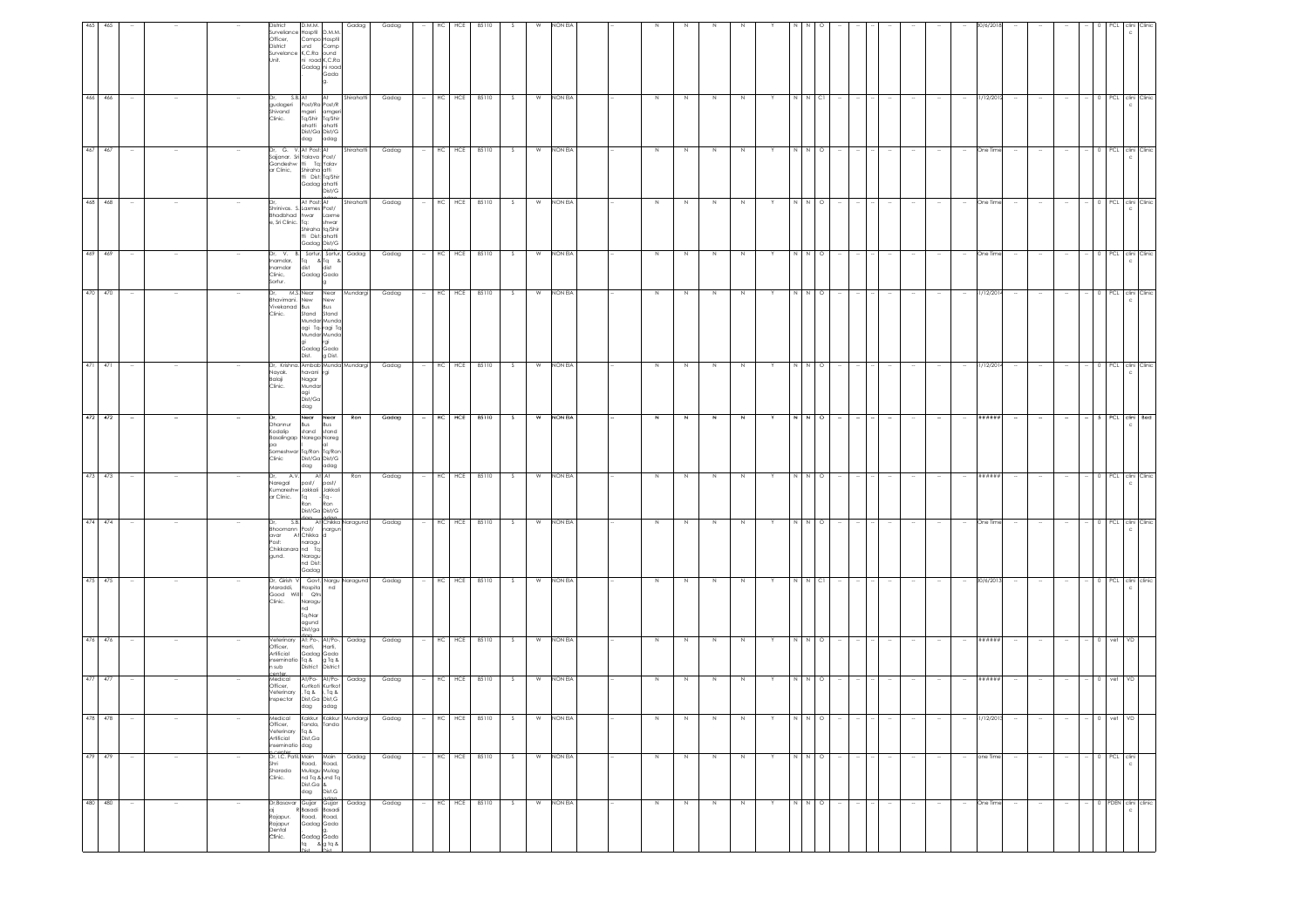| 465 | 465         |                  | <b>District</b><br>Officer,<br>District<br>Unit. | D.M.M.<br>Surveliance Hospfil D.M.M<br>und<br>Survelance K,C.Ra ound                                                                           | Compo Hospfil<br>Comp<br>ni road K,C.Ra<br>Gadag ni road<br>Gada                       | Gadag      | Gadag |        | HC<br>HCE    | 85110     |     |   | NON EL  |  |         |             |        |             |   |                                                                              |         |        |        |        |        |                      |        |        |                          |                     |              |                    |
|-----|-------------|------------------|--------------------------------------------------|------------------------------------------------------------------------------------------------------------------------------------------------|----------------------------------------------------------------------------------------|------------|-------|--------|--------------|-----------|-----|---|---------|--|---------|-------------|--------|-------------|---|------------------------------------------------------------------------------|---------|--------|--------|--------|--------|----------------------|--------|--------|--------------------------|---------------------|--------------|--------------------|
|     | 466 466     |                  | Clinic.                                          | S.B. At<br>gudageri Post/Ra Post/R<br>mgeri<br>Shivand<br>dag                                                                                  | At<br>amger<br>Tq/Shir Tq/Shir<br>ahatti ahatti<br>Dist/Ga Dist/G<br>adag              | Shirahatti | Gadag |        | HCE<br>HC    | 85110     | -S. | W | NON EIA |  | N       |             | N      | N           |   | N N CI                                                                       |         |        |        |        |        | 31/12/2012<br>$\sim$ |        |        |                          |                     |              | 0 PCL clini Clinic |
|     | 467 467     |                  |                                                  | Dr. G. V. At Post: At<br>Sajjanar. Sri Yalava Post/<br>Gondeshw tti Ta: Yalav<br>ar Clinic, Shiraha atti<br>tti Dist: Ta/Shir                  | Gadag ahatti<br>Dist/G                                                                 | Shirahatti | Gadag |        | HC HCE 85110 |           |     | W | NON EIA |  | N       |             | N      |             |   |                                                                              |         |        |        |        |        | One Tim              |        |        |                          |                     | PCL          | clini Clinic       |
|     | 468 468     |                  |                                                  | At Post: At<br>Shrinivas. S. Laxmes Post/<br>Bhadbhad hwar Laxme<br>e, Sri Clinic. Tq: shwar                                                   | Shiraha tq/Shir<br>tti Dist: ahatti<br>Gadag Dist/G                                    | Shirahatti | Gadag |        | HC HCE 85110 |           | S   | W | NON EIA |  | $\,$ N  | $\mathbb N$ | $\,$ N | $\,$ N      |   | $\begin{array}{c c c c c} \hline \text{N} & \text{N} & \text{O} \end{array}$ |         |        |        |        |        | One Time             |        |        | $\overline{\phantom{a}}$ |                     |              | 0 PCL clini Clinic |
|     | 469 469     |                  | Clinic,<br>Sortur.                               | Dr. V. B. Sortur, Sortur, Gadag<br>Inamdar.<br>Inamdar                                                                                         | s. sonur, sonur,<br>Tq &Tq &<br>dist dist<br>Gadag Gada                                |            | Gadag |        | HC           | HCE 85110 | S   | W | NON EIA |  | N       | N           | N      | N           | Y | N N                                                                          | $\circ$ |        |        |        |        | One Time<br>$\sim$   |        |        |                          |                     |              | 0 PCL clini Clinic |
|     | 470 470     |                  | Dr,<br>Clinic.                                   | M.S. Near Near Mundargi<br>Bhavimani. New<br>Vivekanad Bus<br>gi rgi<br>Gadag Gada<br>Dist.                                                    | New<br>Bus<br>Stand Stand<br>Mundar Munda<br>agi Tq-ragi Tq<br>Mundar Munda<br>g Dist. |            | Gadag | $\sim$ | HC HCE 85110 |           | - S | W | NON EIA |  | $\,N\,$ | N           | N      | N           |   |                                                                              | $\circ$ |        |        |        |        | 31/12/2014<br>$\sim$ |        |        |                          |                     |              | 0 PCL clini Clinic |
|     | 471 471     |                  | Balaji<br>Clinic.                                | Dr. Krishna. Ambab Munda Mundargi<br>Nayak.<br>havani rgi<br>Nagar<br>Mundar<br>agi<br>Dist/Ga<br>dag                                          |                                                                                        |            | Gadag |        | HCE<br>HC    | 85110     | -S  | W | NON EIA |  | N       | N           | N      | N           |   |                                                                              | $\circ$ |        |        |        |        | 1/12/201             |        |        |                          |                     | PCL          | clini Clinic       |
|     | $472$ $472$ | $\sim$           | pa<br>Clinic                                     | Near Near<br>Bus Bus<br><b>Dhannur</b><br>Kodalip<br>Basalingap Narega Nareg<br>Someshwar Tq/Ron Tq/Ron<br>Dist/Ga Dist/G<br>dag adag          | stand stand<br>lai                                                                     | Ron        | Gadag | $\sim$ | HC HCE 85110 |           | S   | w | NON EIA |  | N       | N           | N      | N           | Y | N N O                                                                        |         | $\sim$ | $\sim$ | $\sim$ |        | *******<br>$\sim$    | $\sim$ | $\sim$ | $\sim$                   | $- 5$ PCL clini Bed |              |                    |
|     | 473 473     |                  | Dr,                                              | A.V.<br>post/ post/<br>Naregal<br>Kumareshw Jakkali Jakkali<br>ar Clinic.<br>Tq<br>Ron                                                         | At At<br>$-1q -$<br>Ron<br>Dist/Ga Dist/G                                              | Ron        | Gadag |        | HCE<br>HC    | 85110     | -S  | W | NON EIA |  | $\,$ N  | -N          | N      | N           |   |                                                                              |         |        |        |        |        | *****:               |        |        |                          |                     | PCL          | clini Clinic       |
|     | 474 474     |                  | gund.                                            | S.B. At Chikka Naragund<br>Bhoomann Post/ nargun<br>avar At Chikka d<br>Post: naragu<br>Chikkanara nd Tq:<br>Naragu<br>nd Dist:<br>Gadag       |                                                                                        |            | Gadag |        | HC HCE 85110 |           |     | W | NON EIA |  | N       | N           | N      | N           |   | N                                                                            | $\circ$ |        |        |        |        | One Time             |        |        |                          |                     | PCL          | clini Clinic       |
|     | 475 475     |                  | Clinic.                                          | Dr. Girish V Govt, Nargu Naragund<br>Maraddi,<br>Hospita<br>Good Will Qtrs<br>Naragu<br>nd<br>Tq/Nar<br>agund<br>Dist/ga                       | nd                                                                                     |            | Gadag |        | HC HCE 85110 |           |     | W | NON EIA |  | N       | N.          | N      | N           |   | $N$ $N$ $Cl$                                                                 |         |        |        |        |        | 30/6/2013            |        |        |                          | PCL                 |              | clini clinic       |
|     | 476 476     |                  | due n                                            | Veterinary At: Po-, At/Po-,<br>Officer,<br>At: r.v.<br>Harti, Harn,<br>Gadag Gada<br>*- & g Tq &<br>Artificial<br>inseminatio Tq &<br>District | District                                                                               | Gadag      | Gadag |        | HC HCE 85110 |           | S   | W | NON EIA |  | $\,$ N  | N           | $\,$ N | N           |   | N N                                                                          | $\circ$ |        |        |        |        | ******               |        |        | $\sim$                   | 0 vet VD            |              |                    |
|     | 477 477     |                  | Officer,                                         | Medical<br>At/Po-<br>Veterinary , Tq & i, Tq &<br>Dist,Ga Dist,G<br>dag adag<br>Inspector                                                      | At/Po-<br>Kurtkoti Kurtkot                                                             | Gadag      | Gadag |        | HC HCE 85110 |           | S.  | W | NON EIA |  | $\,$ N  | N           | $\,$ N | $\mathbb N$ |   | N N O                                                                        |         |        |        |        |        | 88888888<br>$\sim$   |        |        | $\sim$                   | $-$ 0 vet           | VD           |                    |
|     |             |                  |                                                  | Kakkur<br>Officer,<br>Veterinary<br>Artificial<br>inseminatio dag<br>p.center<br>Dr, I.C. Patil, Main Main                                     | Tanda, Tanda<br>Tq &<br>Dist,Ga                                                        | uurg       | uaag  |        |              |           |     |   |         |  |         |             |        |             |   |                                                                              |         |        |        |        |        |                      |        |        |                          |                     |              |                    |
|     | 479 479     | $\sim$<br>$\sim$ | Shri<br>Clinic.                                  | Sharada<br>dag                                                                                                                                 | k Main<br>Road, Road,<br>Mulagu Mulag<br>nd Tq & und Tq<br>Dist.Ga &<br>dag Dist.G     | Gadag      | Gadag |        | HC           | HCE 85110 | - S | W | NON EIA |  | N       | N           | N      | N           | Y | N N O                                                                        |         |        |        | $\sim$ | $\sim$ | one Time<br>$\sim$   | $\sim$ | $\sim$ | $\sim$                   | 0 PCL clini         | $\mathsf{c}$ |                    |
|     | 480 480     |                  | Rajapur.<br>Rajapur<br>Dental<br>Clinic.         | Dr, Basavar Gujjar Gujjar<br>R Basadi Basadi                                                                                                   | Road, Road,<br>Gadag Gada<br>g,<br>Gadag Gada<br>tq & g tq &<br>Diet.                  | Gadag      | Gadag |        | HC<br>HCE    | 85110     | -S  | W | NON EIA |  | Z       | N           | $\,$ N | N           |   |                                                                              | $\circ$ |        |        |        |        | One Time             |        |        |                          | PDEN                |              | clini clinic       |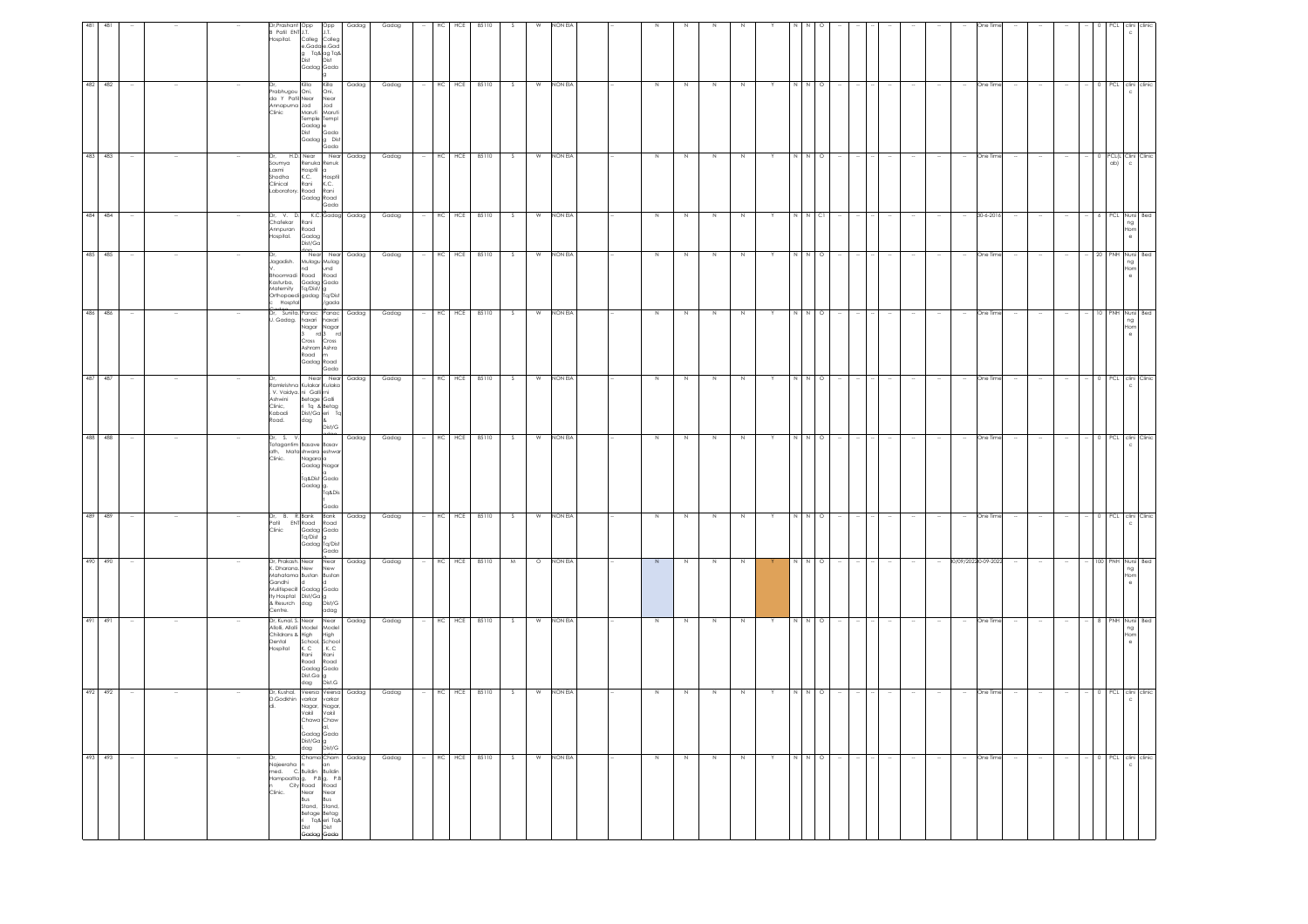| 493 493                                                                                                                                                                                                                                                                                                                           | 492 492                                                                                                                                                     | 491 491                                                                                                                                                                     | 490 490                                                                                                                                                           | 489 489                                                                                     | 488 488                                                                                                                    | 487 487                                                                                                                                                                                                              | 486 486                                                                                                                                   | 485 485                                                                                                                | 484 484                                                        | 483 483                                                                                                                          | 482 482                                                                                                                                                |                                                                                              |
|-----------------------------------------------------------------------------------------------------------------------------------------------------------------------------------------------------------------------------------------------------------------------------------------------------------------------------------|-------------------------------------------------------------------------------------------------------------------------------------------------------------|-----------------------------------------------------------------------------------------------------------------------------------------------------------------------------|-------------------------------------------------------------------------------------------------------------------------------------------------------------------|---------------------------------------------------------------------------------------------|----------------------------------------------------------------------------------------------------------------------------|----------------------------------------------------------------------------------------------------------------------------------------------------------------------------------------------------------------------|-------------------------------------------------------------------------------------------------------------------------------------------|------------------------------------------------------------------------------------------------------------------------|----------------------------------------------------------------|----------------------------------------------------------------------------------------------------------------------------------|--------------------------------------------------------------------------------------------------------------------------------------------------------|----------------------------------------------------------------------------------------------|
| $\sim$                                                                                                                                                                                                                                                                                                                            |                                                                                                                                                             |                                                                                                                                                                             | $\sim$                                                                                                                                                            |                                                                                             |                                                                                                                            |                                                                                                                                                                                                                      |                                                                                                                                           |                                                                                                                        |                                                                |                                                                                                                                  |                                                                                                                                                        |                                                                                              |
| $\sim$                                                                                                                                                                                                                                                                                                                            |                                                                                                                                                             |                                                                                                                                                                             |                                                                                                                                                                   |                                                                                             |                                                                                                                            |                                                                                                                                                                                                                      |                                                                                                                                           |                                                                                                                        |                                                                |                                                                                                                                  |                                                                                                                                                        |                                                                                              |
| $\sim$                                                                                                                                                                                                                                                                                                                            |                                                                                                                                                             |                                                                                                                                                                             |                                                                                                                                                                   |                                                                                             |                                                                                                                            |                                                                                                                                                                                                                      |                                                                                                                                           |                                                                                                                        |                                                                |                                                                                                                                  |                                                                                                                                                        |                                                                                              |
| Dr.<br>Najeeraha n                                                                                                                                                                                                                                                                                                                |                                                                                                                                                             | Childrans & High<br>Dental<br>Hospital                                                                                                                                      | Gandhi<br>Centre.                                                                                                                                                 | Clinic                                                                                      | Dr, S. V.<br>Clinic.                                                                                                       |                                                                                                                                                                                                                      | . Gadag.                                                                                                                                  | Jagadish.<br>hoomradi<br>Kasturba,<br>Matemity<br>Hosptal                                                              | Dr. V. D.<br>Chafekar R<br>Annpuran<br>Hospital.               | Soumya<br>Laxmi<br>shodha<br>Clinical                                                                                            | Prabhugou Oni,<br>da Y Patil Near<br>Annapurna Jod<br>Clinic                                                                                           | Dr,Prashant Opp<br>Patil ENT J.T.<br>lospital.                                               |
| Chama Cham<br>n an Gadag<br>Nagerona n<br>Hampaatta g, P.B. (g, P.B. City Road Road<br>n City Road Road<br>Clinic. Near Near<br>Stand, Stand, Stand<br>Stand, Stand, Stand, Stand, Stand, Stand, Stand, Stand, Stand, Stand, Stand, Stand, Stand, Stand, Stand, Stan<br>Betage Betag<br>ri Tq& eri Tq&<br>Dist Dist<br>Gadag Gada | Dr, Kushal. Veersa Veersa Gadag<br>D.Godkhin varkar varkar<br>Nagar, Nagar,<br>Vakil Vakil<br>Chawa Chaw<br>I, al,<br>Gadag Gada<br>Dist/Ga g<br>dag Dist/G | Dr, Kunal, S. Near Near Gadag<br>Allolli, Allolli Model Model<br>High<br>School, School<br>K, C, K, C<br>Rani<br>Rani<br>Road Road<br>Gadag Gada<br>Dist.Ga g<br>dag Dist.G | Dr, Prakash. Near Near<br>K. Dharana. New New<br>Mahatama Bustan Bustan<br>ld<br>Mulitispecill Gadag Gada<br>ty Hosptal Dist/Ga g<br>& Resurch dag Dist/G<br>adag | Dr, B. R.Bank Bank<br>Patil ENT Road Road<br>Gadag Gada<br>Tq/Dist<br>Gadag Tq/Dist<br>Gada | Totagantim Basave Basav<br>ath, Mata shwara eshwar<br>Nagara a<br>Gadag Nagar<br>q&Dist<br> Gadag  g.<br> Tq&Dis  <br>Gado | Near Near Gadag<br>Ramkrishna Kulakar Kulaka<br>Notine the California Control California<br>Ashwini Betage Galli<br>Clinic, ri Tq & Betage<br>Clinic, ri Tq & Betage<br>Kabadi Dist/California<br>Road. dag & Dist/C | Dr. Sunita. Panac Panac Gadag<br>haxari haxari<br>Nagar Nagar<br>3 rd 3 rd<br>Cross Cross<br>Ashram Ashra<br>Road m<br>Gadag Road<br>Gada | Near Near Gadag<br>Mulagu Mulag<br>nd und<br>Road Road<br>Gadag Gada<br>Tq/Dist/g<br>Orthopaedi gadag Tq/Dist<br>/gada | K.C. Gadag Gadag<br>Rani<br>Road<br>Gadag<br>Dist/Ga<br>$\sim$ | H.D. Near Near Gadag<br>Renuka Renuk<br>Hospfil a<br>K.C. Hospfil<br>Rani<br>K.C.<br>Laboratory, Road Rani<br>Gadag Road<br>Gada | Killa Killa<br>  Oni, Oni,<br> I Near Near<br>  Jod Jod<br>Maruti Maruti<br>Temple Templ<br>Gadag <sup>e</sup><br>Dist<br>Gada<br>Gadag g Dist<br>Gada | Opp<br>J.T.<br>Colleg Colleg<br>e.Gada e.Gad<br>g Tq& ag Tq&<br>Dist Dist<br>Gadag Gada<br>g |
|                                                                                                                                                                                                                                                                                                                                   |                                                                                                                                                             |                                                                                                                                                                             | Gadag                                                                                                                                                             | Gadag                                                                                       | Gadag                                                                                                                      |                                                                                                                                                                                                                      |                                                                                                                                           |                                                                                                                        |                                                                |                                                                                                                                  | Gadag                                                                                                                                                  | Gadag                                                                                        |
| Gadag                                                                                                                                                                                                                                                                                                                             | Gadag                                                                                                                                                       | Gadag                                                                                                                                                                       | Gadag                                                                                                                                                             | Gadag                                                                                       | Gadag                                                                                                                      | Gadag                                                                                                                                                                                                                | Gadag                                                                                                                                     | Gadag                                                                                                                  | Gadag                                                          | Gadag                                                                                                                            | Gadag                                                                                                                                                  | Gadag                                                                                        |
| $\sim$                                                                                                                                                                                                                                                                                                                            | $\sim$                                                                                                                                                      | $\sim$                                                                                                                                                                      | $\sim$                                                                                                                                                            | $\sim$                                                                                      |                                                                                                                            |                                                                                                                                                                                                                      |                                                                                                                                           | $\sim$                                                                                                                 |                                                                |                                                                                                                                  | $\sim$                                                                                                                                                 | HC                                                                                           |
| $HC$ $HCE$                                                                                                                                                                                                                                                                                                                        | HC HCE                                                                                                                                                      | $HC$ HCE                                                                                                                                                                    | HC<br>HCE                                                                                                                                                         | HC HCE                                                                                      | HC HCE                                                                                                                     |                                                                                                                                                                                                                      |                                                                                                                                           | HC HCE                                                                                                                 | $\div$ HC HCE                                                  | HC HCE                                                                                                                           | HC HCE                                                                                                                                                 | HCE                                                                                          |
| 85110                                                                                                                                                                                                                                                                                                                             | 85110                                                                                                                                                       | 85110                                                                                                                                                                       | 85110                                                                                                                                                             | 85110                                                                                       | 85110                                                                                                                      | HC HCE 85110                                                                                                                                                                                                         | HC HCE 85110                                                                                                                              | 85110                                                                                                                  | 85110                                                          | 85110                                                                                                                            | 85110                                                                                                                                                  | 85110                                                                                        |
| S                                                                                                                                                                                                                                                                                                                                 | S.                                                                                                                                                          | S                                                                                                                                                                           | M                                                                                                                                                                 | S                                                                                           | S                                                                                                                          | S                                                                                                                                                                                                                    | S                                                                                                                                         | S.                                                                                                                     | S                                                              | S                                                                                                                                | S.                                                                                                                                                     |                                                                                              |
| W                                                                                                                                                                                                                                                                                                                                 | W                                                                                                                                                           |                                                                                                                                                                             | $\circ$                                                                                                                                                           | W                                                                                           | W                                                                                                                          | W                                                                                                                                                                                                                    |                                                                                                                                           | W                                                                                                                      |                                                                | W                                                                                                                                |                                                                                                                                                        |                                                                                              |
| NON EIA                                                                                                                                                                                                                                                                                                                           | NON EIA                                                                                                                                                     | W NON EIA                                                                                                                                                                   | NON EIA                                                                                                                                                           | NON EIA                                                                                     | NON EIA                                                                                                                    | NON EIA                                                                                                                                                                                                              | W NON EIA                                                                                                                                 | NON EIA                                                                                                                | W NON EIA                                                      | NON EIA                                                                                                                          | W NON EIA                                                                                                                                              | NON EIA                                                                                      |
|                                                                                                                                                                                                                                                                                                                                   |                                                                                                                                                             |                                                                                                                                                                             |                                                                                                                                                                   |                                                                                             |                                                                                                                            |                                                                                                                                                                                                                      |                                                                                                                                           |                                                                                                                        |                                                                |                                                                                                                                  |                                                                                                                                                        |                                                                                              |
|                                                                                                                                                                                                                                                                                                                                   |                                                                                                                                                             |                                                                                                                                                                             |                                                                                                                                                                   |                                                                                             |                                                                                                                            |                                                                                                                                                                                                                      |                                                                                                                                           |                                                                                                                        |                                                                |                                                                                                                                  |                                                                                                                                                        |                                                                                              |
| $\,$ N                                                                                                                                                                                                                                                                                                                            | N                                                                                                                                                           | $\,$ N                                                                                                                                                                      | N                                                                                                                                                                 | $\,$ N                                                                                      | N                                                                                                                          | N                                                                                                                                                                                                                    | $\,$ N                                                                                                                                    | N                                                                                                                      | $\,$ N                                                         | N                                                                                                                                | N                                                                                                                                                      |                                                                                              |
| N                                                                                                                                                                                                                                                                                                                                 | N.                                                                                                                                                          | N                                                                                                                                                                           | N                                                                                                                                                                 | N                                                                                           | N                                                                                                                          | $\,N\,$                                                                                                                                                                                                              | N                                                                                                                                         | N                                                                                                                      | N                                                              | N                                                                                                                                | N                                                                                                                                                      |                                                                                              |
| $\,$ N                                                                                                                                                                                                                                                                                                                            | N                                                                                                                                                           | $\,N\,$                                                                                                                                                                     | N                                                                                                                                                                 | $\,$ N                                                                                      | N                                                                                                                          | $\,$ N                                                                                                                                                                                                               | $\,$ N                                                                                                                                    | N                                                                                                                      | $\,N\,$                                                        | N                                                                                                                                | N                                                                                                                                                      |                                                                                              |
| N                                                                                                                                                                                                                                                                                                                                 |                                                                                                                                                             | N                                                                                                                                                                           | N                                                                                                                                                                 | N                                                                                           | N                                                                                                                          | N                                                                                                                                                                                                                    | $\,N\,$                                                                                                                                   | N                                                                                                                      | N                                                              | N                                                                                                                                | N                                                                                                                                                      |                                                                                              |
| Y                                                                                                                                                                                                                                                                                                                                 |                                                                                                                                                             |                                                                                                                                                                             | Y                                                                                                                                                                 | Y                                                                                           | Υ                                                                                                                          |                                                                                                                                                                                                                      | Υ                                                                                                                                         | Y                                                                                                                      | Y                                                              | Y                                                                                                                                | Y                                                                                                                                                      |                                                                                              |
| $N$ $N$ 0                                                                                                                                                                                                                                                                                                                         |                                                                                                                                                             | N N                                                                                                                                                                         | N N                                                                                                                                                               | N N                                                                                         | NN                                                                                                                         | N N                                                                                                                                                                                                                  | N N                                                                                                                                       | N N                                                                                                                    | NNCI                                                           | NN                                                                                                                               | N N                                                                                                                                                    |                                                                                              |
|                                                                                                                                                                                                                                                                                                                                   | $\Omega$                                                                                                                                                    | $\circ$                                                                                                                                                                     | $\circ$                                                                                                                                                           | $\circ$                                                                                     | $\circ$                                                                                                                    | $\circ$                                                                                                                                                                                                              | $\circ$                                                                                                                                   | $\circ$                                                                                                                |                                                                | $\circ$                                                                                                                          | $\circ$                                                                                                                                                |                                                                                              |
| $\sim$                                                                                                                                                                                                                                                                                                                            |                                                                                                                                                             |                                                                                                                                                                             |                                                                                                                                                                   |                                                                                             |                                                                                                                            |                                                                                                                                                                                                                      |                                                                                                                                           |                                                                                                                        |                                                                |                                                                                                                                  |                                                                                                                                                        |                                                                                              |
|                                                                                                                                                                                                                                                                                                                                   |                                                                                                                                                             |                                                                                                                                                                             |                                                                                                                                                                   |                                                                                             |                                                                                                                            |                                                                                                                                                                                                                      |                                                                                                                                           |                                                                                                                        |                                                                |                                                                                                                                  |                                                                                                                                                        |                                                                                              |
| $\sim$                                                                                                                                                                                                                                                                                                                            |                                                                                                                                                             |                                                                                                                                                                             |                                                                                                                                                                   |                                                                                             |                                                                                                                            |                                                                                                                                                                                                                      |                                                                                                                                           |                                                                                                                        |                                                                |                                                                                                                                  |                                                                                                                                                        |                                                                                              |
| $\sim$                                                                                                                                                                                                                                                                                                                            |                                                                                                                                                             |                                                                                                                                                                             | $\sim$                                                                                                                                                            |                                                                                             |                                                                                                                            |                                                                                                                                                                                                                      |                                                                                                                                           |                                                                                                                        |                                                                |                                                                                                                                  |                                                                                                                                                        |                                                                                              |
| $\sim$                                                                                                                                                                                                                                                                                                                            |                                                                                                                                                             |                                                                                                                                                                             | $\sim$                                                                                                                                                            |                                                                                             |                                                                                                                            |                                                                                                                                                                                                                      |                                                                                                                                           |                                                                                                                        |                                                                |                                                                                                                                  |                                                                                                                                                        |                                                                                              |
| One Time<br>$\sim$                                                                                                                                                                                                                                                                                                                | One Time                                                                                                                                                    | One Time                                                                                                                                                                    | 0/09/20220-09-2022                                                                                                                                                | One Time                                                                                    | One Time                                                                                                                   | One Time                                                                                                                                                                                                             | One Time                                                                                                                                  | One Time                                                                                                               | 30-6-2016                                                      | One Time                                                                                                                         | One Time                                                                                                                                               |                                                                                              |
| $\sim$                                                                                                                                                                                                                                                                                                                            |                                                                                                                                                             |                                                                                                                                                                             | $\sim$                                                                                                                                                            |                                                                                             |                                                                                                                            |                                                                                                                                                                                                                      |                                                                                                                                           |                                                                                                                        |                                                                |                                                                                                                                  |                                                                                                                                                        |                                                                                              |
| $\sim$                                                                                                                                                                                                                                                                                                                            |                                                                                                                                                             |                                                                                                                                                                             | $\sim$                                                                                                                                                            |                                                                                             |                                                                                                                            |                                                                                                                                                                                                                      |                                                                                                                                           |                                                                                                                        |                                                                |                                                                                                                                  |                                                                                                                                                        |                                                                                              |
|                                                                                                                                                                                                                                                                                                                                   |                                                                                                                                                             |                                                                                                                                                                             |                                                                                                                                                                   |                                                                                             |                                                                                                                            |                                                                                                                                                                                                                      |                                                                                                                                           |                                                                                                                        |                                                                |                                                                                                                                  |                                                                                                                                                        |                                                                                              |
| $\sim$                                                                                                                                                                                                                                                                                                                            |                                                                                                                                                             |                                                                                                                                                                             | $\sim$                                                                                                                                                            |                                                                                             |                                                                                                                            |                                                                                                                                                                                                                      |                                                                                                                                           |                                                                                                                        |                                                                |                                                                                                                                  |                                                                                                                                                        |                                                                                              |
| 0 PCL clini clinic                                                                                                                                                                                                                                                                                                                | 0 PCL clini clinic                                                                                                                                          | 8 PNH Nursi Bed                                                                                                                                                             | 100 PNH Nursi Bed                                                                                                                                                 | 0 PCL clini Clinic                                                                          | 0 PCL clini Clinic                                                                                                         | 0 PCL clini Clinic                                                                                                                                                                                                   | 10 PNH Nursi Bed                                                                                                                          | 20 PNH Nursi Bed                                                                                                       | 6 PCL Nursi Bed                                                | 0 PCL(L Clini Clinic<br>ab)                                                                                                      | 0 PCL clini clinic                                                                                                                                     |                                                                                              |
| $\mathbb C$                                                                                                                                                                                                                                                                                                                       | $\mathbf{C}$                                                                                                                                                | ng<br>Hom<br>$\theta$                                                                                                                                                       | ng<br>Hon                                                                                                                                                         | $\mathtt{C}$                                                                                | $\mathtt{c}$                                                                                                               |                                                                                                                                                                                                                      | ng<br>Hom                                                                                                                                 | ng<br>Hom<br>$\theta$                                                                                                  | ng<br>Hom<br>$\cdot$ e                                         | $\mathsf{c}$                                                                                                                     | $\mathbf{C}$                                                                                                                                           |                                                                                              |
|                                                                                                                                                                                                                                                                                                                                   |                                                                                                                                                             |                                                                                                                                                                             |                                                                                                                                                                   |                                                                                             |                                                                                                                            |                                                                                                                                                                                                                      |                                                                                                                                           |                                                                                                                        |                                                                |                                                                                                                                  |                                                                                                                                                        |                                                                                              |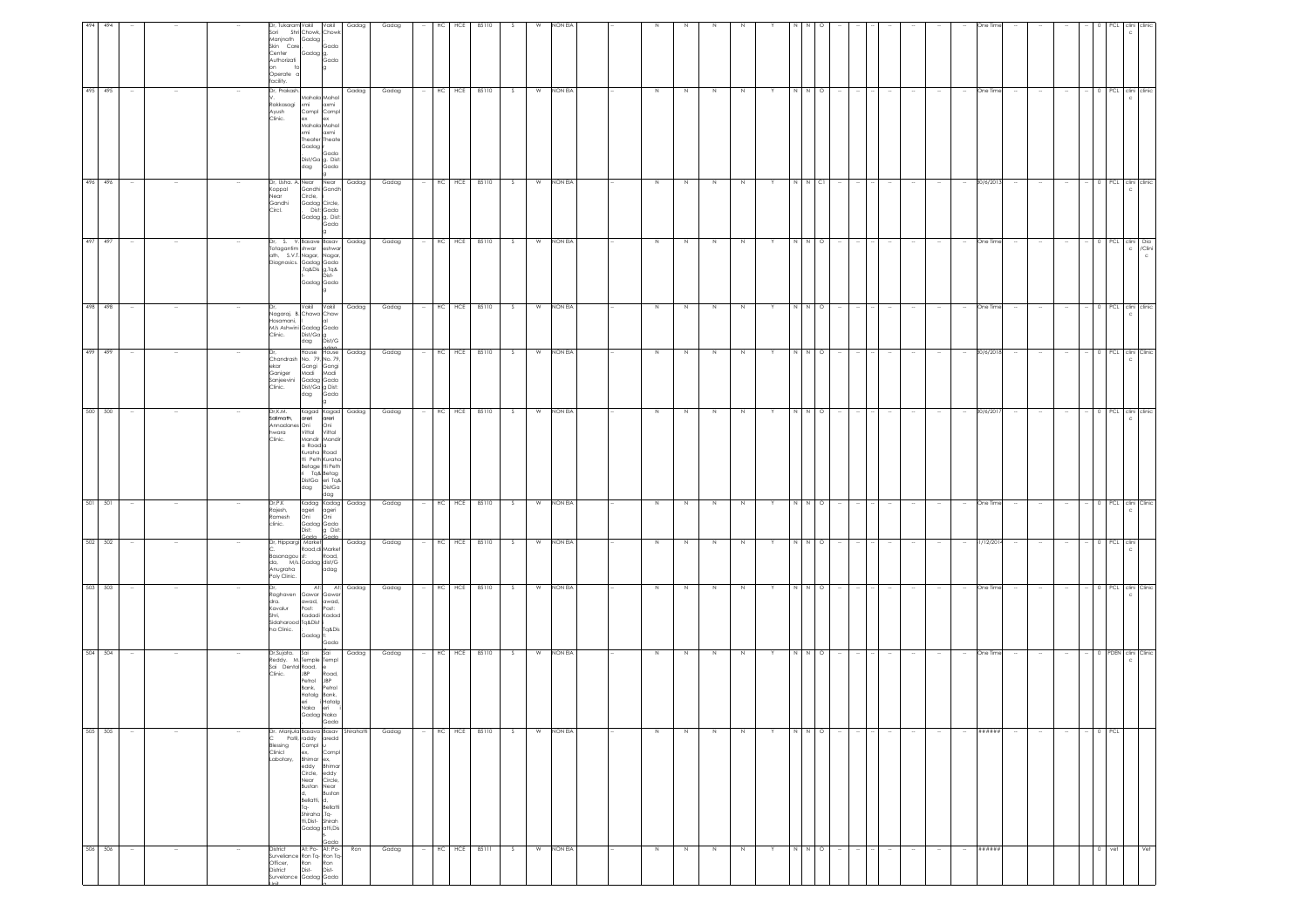| 494 |         |                          |                  | Dr, Tukaram Vakil<br>Sori<br>Manjnath Gadag<br>Skin Care<br>Center<br>Authorizati<br>on.<br>Operate o<br>facility.                                                               | Shri Chowk, Chowl<br>Gadag g,<br>Gada                                                                                                                                                                             | Vakil<br>Gada                                                                        | Gadag                                                          | Gadag | HC         | HCE | 85110 |     |   | <b>VON ELA</b> |  |             |   |             |         |    |               |         |        |        |        |        |            |                          |                          |                          |           |                       |                                |
|-----|---------|--------------------------|------------------|----------------------------------------------------------------------------------------------------------------------------------------------------------------------------------|-------------------------------------------------------------------------------------------------------------------------------------------------------------------------------------------------------------------|--------------------------------------------------------------------------------------|----------------------------------------------------------------|-------|------------|-----|-------|-----|---|----------------|--|-------------|---|-------------|---------|----|---------------|---------|--------|--------|--------|--------|------------|--------------------------|--------------------------|--------------------------|-----------|-----------------------|--------------------------------|
|     | 495 495 | $\overline{\phantom{a}}$ |                  | Dr, Prakash<br>Rakkasagi<br>Ayush<br>Clinic.                                                                                                                                     | xmi<br>Compl Compl<br>ex ex<br>Mahala Mahal<br>xmi<br>Gadag r<br>dag                                                                                                                                              | Mahala Mahal<br>axmi<br>axmi<br>Theater Theate<br>.<br>Dist/Ga g. Dist:<br>dag Gada  | Gadag                                                          | Gadag | HC HCE     |     | 85110 | S   | W | NON EIA        |  | Z           | Z | $\geq$      | $\,N\,$ |    | $\frac{1}{2}$ |         |        |        |        | $\sim$ | One Time   |                          |                          |                          |           | 0 PCL clini clinic    |                                |
|     | 496 496 | $\sim$                   |                  | (oppal<br>Vear<br>Gandhi<br>Circl.                                                                                                                                               | Dr, Usha. A. Near Near<br>Circle,<br>Gadag Circle,                                                                                                                                                                | Gandhi Gandh<br>Dist: Gada<br>Gadag g, Dist:<br>Gada<br>lg.                          | Gadag                                                          | Gadag | $HC$ $HCE$ |     | 85110 | S.  | W | NON EIA        |  | N           | N | N           | N       | Y. | N             | $N$ Cl  |        |        |        | $\sim$ | 30/6/2013  |                          | $\overline{\phantom{a}}$ | $\sim$                   |           | 0 PCL clini clinic    |                                |
|     | 497 497 | - 11                     |                  | Dr, S. V.Basave Basav Gadag<br>Totagantim shwar eshwar<br>ath, S.V.T. Nagar, Nagar,<br>Sini, Jos. Cadag Gada<br>Diagnosics. Cadag Gada<br>Tq&Dis g,Tq&<br>L. Dist.<br>Cadag Gada |                                                                                                                                                                                                                   |                                                                                      |                                                                | Gadag | HC HCE     |     | 85110 | s.  | w | NON EIA        |  | N           | N | N           | N       | Y  | NNO           |         |        |        |        |        | One Time   |                          |                          |                          |           |                       | PCL clini Dia<br>c /Clini<br>c |
|     | 498 498 |                          |                  | łosamani,<br>Clinic.                                                                                                                                                             | Nagaraj. B. Chawa Chaw<br>M/s Ashwini Gadag Gada<br>Dist/Ga g<br>dag Dist/G                                                                                                                                       | lat                                                                                  | Vakil Vakil Gadag                                              | Gadag | HC HCE     |     | 85110 |     | W | NON EIA        |  | $\,$ N      | N | $\mathbb N$ | N       |    |               | $\circ$ |        |        |        |        | One Time   |                          |                          |                          | PCL       |                       | clini clinic                   |
|     | 499 499 |                          |                  | ekar<br>Ganiger<br>Sanjeevini<br>Clinic.<br>Dr.K.M.                                                                                                                              | Chandrash No. 79, No. 79,<br>Gangi<br>Cangi Gangi<br>Madi Madi<br>Gadag Gada<br>Dist/Ga g Dist:<br>dag Gada<br>dag                                                                                                | House House                                                                          | Gadag                                                          | Gadag | HC         | HCE | 85110 | S.  | W | NON EIA        |  | N           | N | N           | N       |    | N             | $\circ$ |        |        |        | $\sim$ | 30/6/2018  |                          |                          |                          | PCL       | c                     | clini Clinic                   |
|     | 500 500 | $\sim$                   |                  | Safimath,<br>Annadanes Oni<br>hwara<br>Clinic.                                                                                                                                   | a Road a<br>Kuraha Road<br>tti Peth Kuraha<br>dag                                                                                                                                                                 | Mandir Mandir<br>Betage tti Peth<br>Tq& Betag<br>DistGa eri Tq&<br>dag DistGa<br>dag | Kagad Kagad Gadag<br>areri areri<br>s Oni Oni<br>Vittal Vittal | Gadag | HC         | HCE | 85110 | S.  | w | NON EIA        |  | N           | N | N           | N       | Y  | N             | N O     |        |        |        | $\sim$ | 30/6/2017  | $\sim$                   |                          | $\sim$                   |           | 0 PCL clini clinic    |                                |
|     | 501 501 |                          |                  | Dr,P.K<br>Rajesh,<br>Ramesh<br>clinic.                                                                                                                                           | ageri ageri<br>Oni Oni<br>Gadag Gada<br>Dist:<br><b>Cordo</b>                                                                                                                                                     | Kadag Kadag<br>g Dist:                                                               | Gadag                                                          | Gadag | HC HCE     |     | 85110 | s   | W | NON EIA        |  | $\,$ N      | N | $\mathbb N$ | N       |    | N             | N O     |        |        |        |        | One Time   |                          |                          |                          |           | PCL clini Clinic<br>c |                                |
|     | 502 502 | $\sim$                   |                  | Dr, Hippargi Market<br>--<br>Basanagou st: Road,<br>da, M/s.Gadag dist/G<br>Anugraha<br>oly Clinic.                                                                              | Market<br>Road,di Market                                                                                                                                                                                          | adag                                                                                 | Gadag                                                          | Gadag | HC HCE     |     | 85110 | S   | W | NON EIA        |  | N           | N | N           | $\,N\,$ | Y  | N N O         |         | $\sim$ | $\sim$ | $\sim$ | $\sim$ | 31/12/2014 | $\sim$                   | $\sim$                   | $\sim$                   | $- 0$ PCL | clini                 |                                |
|     | 503 503 |                          |                  | dghaven?<br>dra.<br>Kavalur<br>Shri,<br>Sidaharood Tq&Dist i<br>ha Clinic.                                                                                                       | At:<br>awad, awad,<br>Post: Post:<br>Gadag t:                                                                                                                                                                     | Gawar Gawar<br>Kadadi Kadad<br>Tq&Dis<br>Gada                                        | At: Gadag                                                      | Gadag | HC         | HCE | 85110 | S.  | W | NON EIA        |  | N           | N | N           | N       | Y  |               | $\circ$ |        |        |        |        | One Time   |                          |                          |                          | PCL       |                       | clini Clinic                   |
|     | 504 504 |                          |                  | Sai Dental Road, e<br>Clinic.                                                                                                                                                    | Dr,Sujata. Sai Sai<br>Reddy. M.Temple Templ<br><b>JBP</b><br>Petrol<br>Bank,<br>Hatalg Bank,<br>eri<br>Naka<br>Gadag Naka                                                                                         | Road,<br><b>JBP</b><br>Petrol<br>i Hatalg<br>eri<br>Gada                             | Gadag                                                          | Gadag | HC         | HCE | 85110 | - S | W | NON EIA        |  | N           | N | N           | N       |    | N             | $\circ$ |        |        |        |        | One Time   |                          |                          |                          | 0 PDEN    |                       | clini Clinic                   |
|     | 505 505 | $\overline{\phantom{a}}$ |                  | Dr. Manjula Basava Basav Shirahatti<br>Blessing<br>Clinicl<br>Labotary,                                                                                                          | Patil, raddy aredd<br>Compl u<br>ex.<br>Bhimar ex,<br>eddy Bhimar<br>Circle, eddy<br>Near Circle,<br>Bustan Near<br>d, Bustan<br>Bellatti, d,<br>Tq. Bellatti<br>Shiraha ,Tq.<br>Hi,Dist- Shirah<br>Gadag ati,Dis | Compl                                                                                |                                                                | Gadag | HC HCE     |     | 85110 | S.  | W | NON EIA        |  | $\mathbb N$ | N | $\mathbb N$ | N       |    | N N           | $\circ$ |        |        |        |        | ******     | $\overline{\phantom{a}}$ |                          | $\overline{\phantom{a}}$ | $0$ PCL   |                       |                                |
|     | 506 506 | $\sim$                   | $\sim$<br>$\sim$ | Cada<br>District At: Po-At: Po-<br>Surveillance Ron Tq-<br>Surveillance Ron Ron<br>District Dist-<br>District Cadag Gada<br>Surveillance Gadag Gada                              |                                                                                                                                                                                                                   |                                                                                      | Ron                                                            | Gadag | HC         | HCE | 85111 | S.  | W | NON EIA        |  | N           | N | N           | N       | Y  | N N O         |         |        |        |        | $\sim$ | ******     |                          |                          |                          | $0$ vet   |                       | Vet                            |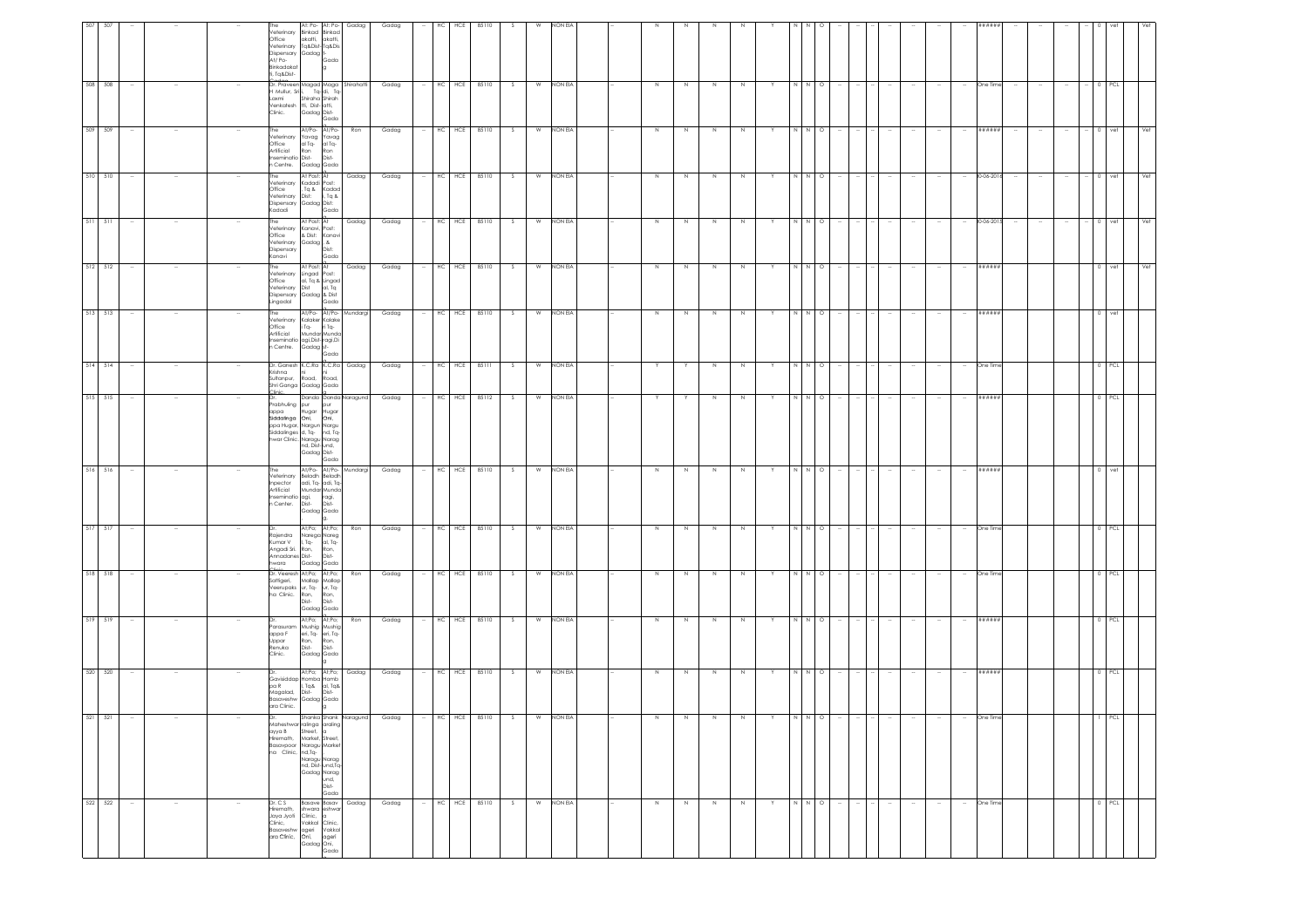| 508 508     | $\sim$ |                          |        | Office<br>Dispensary<br>At/Po-<br>Binkadakat<br>ti, Tq&Dist-                | At: Po- At: Po-<br>Veterinary Binkad Binkad<br>akatti, akatti,<br>Veterinary Tq&Dist-Tq&Dis<br>Gadag <sup>+</sup><br>Gada<br>Cadas<br>Dr. Praveen Magad Maga Shirahatti                                                               | Gadag | Gadag<br>Gadag |        | HC     | HCE<br>$-$ HC HCE 85110 | 85110            | S. | W<br>W | NON EL<br>NON EIA |  | N      | N  | N                        | N           | Y | N N   | $\circ$     |                          |        | $\sim$ |        | $\sim$                   | *###<br>One Time | $\sim$ | $\sim$ | $\sim$                   | 0 PCL     |     |
|-------------|--------|--------------------------|--------|-----------------------------------------------------------------------------|---------------------------------------------------------------------------------------------------------------------------------------------------------------------------------------------------------------------------------------|-------|----------------|--------|--------|-------------------------|------------------|----|--------|-------------------|--|--------|----|--------------------------|-------------|---|-------|-------------|--------------------------|--------|--------|--------|--------------------------|------------------|--------|--------|--------------------------|-----------|-----|
|             |        |                          |        | Mullur, Sri i,<br>Laxmi<br>Venkatesh tti, Dist- atti,<br>Clinic.            | Tq-di, Tq-<br>Shiraha Shirah<br>Gadag Dist-<br>Gada                                                                                                                                                                                   |       |                |        |        |                         |                  |    |        |                   |  |        |    |                          |             |   |       |             |                          |        |        |        |                          |                  |        |        |                          |           |     |
| 509 509     |        |                          |        | The<br>Veterinary<br>Office<br>Artificial<br>Inseminatio Dist-<br>n Centre. | At/Po- At/Po-<br>Yavag Yavag<br>al Tq- al Tq-<br>Ron<br>Ron<br>Dist-<br>Gadag Gada                                                                                                                                                    | Ron   | Gadag          |        |        | HC HCE 85110            |                  | S  | W      | NON EIA           |  | N      | N  | $\,$ N                   | $\,$ N      |   | N N O |             |                          |        |        |        |                          | ******           |        |        |                          | 0 vet     | Vet |
| 510 510     | $\sim$ |                          |        | he<br>Office<br>Veterinary<br>Kadadi                                        | At Post: At<br>Veterinary Kadadi Post:<br>, Tq & Kadad<br>Dist:<br>i, Tq &<br>Dispensary Gadag Dist:<br>Gada                                                                                                                          | Gadag | Gadag          |        |        | HC HCE 85110            |                  | S. | W      | NON EIA           |  | N      | N  | N                        | N           | Y | N     | $N$ $\circ$ |                          | $\sim$ |        |        | $\sim$                   | 30-06-2016       | $\sim$ | $\sim$ | $\sim$                   | $- 0$ vet | Vet |
| $511 - 511$ |        |                          |        | Veterinary<br>Office<br>Veterinary<br>Dispensary<br>Kanavi                  | At Post: At<br>Kanavi, Post:<br>& Dist: Kanavi<br>Gadag, &<br>Dist:<br>Gada                                                                                                                                                           | Gadag | Gadag          |        |        | HC HCE 85110            |                  | s. | W      | NON EIA           |  | $\,$ N | N  | N                        | N           |   |       | $\circ$     |                          |        |        |        |                          | 30-06-201        |        |        | $\overline{\phantom{a}}$ | 0 vet     | Vet |
| $512$ $512$ | $\sim$ |                          |        | The<br>Veterinary<br>Office<br>Veterinary<br>Dispensary<br>Lingadal         | At Post: At<br>Lingad Post:<br>al, Tq & Lingad<br>Dist al, Tq<br>Gadag & Dist<br>Gada                                                                                                                                                 | Gadag | Gadag          | $\sim$ |        | HC HCE 85110            |                  | S. | W      | NON EIA           |  | N      | N  | N                        | N           |   | N     | N O         | $\sim$<br>$\sim$         | $\sim$ | $\sim$ |        | $\sim$                   | ######           |        |        |                          | $0$ vet   | Vet |
| 513 513     |        |                          |        | he<br>Veterinary<br>Office<br>Artificial<br>Centre.                         | At/Po- At/Po- Mundargi<br>Kalaker Kalake<br>Tq- riTq-<br>Mundar Munda<br>seminatio agi,Dist-ragi,Di<br>Gadag st-<br>Gada                                                                                                              |       | Gadag          |        |        | HC HCE 85110            |                  | S  | W      | NON EIA           |  | N      | N  | N                        | N           |   | N     | $\circ$     |                          |        |        |        | $\sim$                   | ######           |        |        |                          | $0$   vet |     |
| 514 514     | $\sim$ |                          |        | Krishna<br>Sultanpur,                                                       | Dr. Ganesh K.C.Ra K.C.Ra Gadag<br>Road Road<br>Shri Ganga Gadag Gada                                                                                                                                                                  |       | Gadag          |        |        | $-$ HC HCE 85111        |                  | S  |        | W NON EIA         |  | Y      |    | $\,$ N                   | $\,N\,$     | Y | N N O |             |                          |        | $\sim$ |        | $\sim$                   | One Time         |        |        |                          | $0$ PCL   |     |
| 515 515     | $\sim$ |                          |        |                                                                             | Danda Danda Naragund<br>Dr.<br>Prabhuling pur pur<br> appa Hugar Hugar<br> Siddafinga Oni, Oni,<br>ppg Huggr, Nargun Nargu<br>Siddalinges d, Tq- nd, Tq-<br>hwar Clinic. Naragu Narag<br>nd, Dist- und,<br>Gadag Dist-<br>Gada        |       | Gadag          |        |        | - HC HCE 85112          |                  | S  | W      | NON EIA           |  | Y      |    | $\,$ N                   | $\,N\,$     | Y | N N O |             | <b>Section</b><br>$\sim$ |        |        |        | $\sim$                   | ######           |        |        |                          | 0 PCL     |     |
| $516$ $516$ | $\sim$ |                          |        | The<br>Inpector<br>Artificial<br>Inseminatio agi,<br>n Center. Dist-        | At/Po- At/Po- Mundargi<br>Veterinary Beladh Beladh<br>adi, Tq- adi, Tq-<br>Mundar Munda<br>ragi,<br>Dist-<br>Gadag Gada                                                                                                               |       | Gadag          |        | HC HCE |                         | 85110            | S. | W      | NON EIA           |  | N      | N. | N                        | N           |   | N     | N O         |                          |        |        |        | $\sim$                   | ######           |        |        |                          | 0 vet     |     |
| 517 517     |        |                          |        | Raiendra<br>Kumar V<br>Angadi Sri.<br>Annadanes Dist-<br>wara<br>inin       | At;Po; At;Po;<br>Narega Nareg<br>I, Tq- al, Tq-<br>Ron,<br>Ron,<br>Dist-<br>Gadag Gada                                                                                                                                                | Ron   | Gadag          |        |        | HC HCE 85110            |                  | S. | W      | NON EIA           |  | N      | N  | $\,$ N                   | $\mathbb N$ |   | N N O |             |                          |        |        |        |                          | One Time         |        |        |                          | $0$ $PCL$ |     |
| 518 518     | $\sim$ |                          |        | ìattigeri,<br>/eerupaks<br>ha Clinic.                                       | Dr. Veeresh At;Po; At;Po;<br>Mallap Mallap<br>ur, Tq- ur, Tq-<br>Ron,<br>Ron,<br>Dist-<br>Dist-<br>Gadag Gada                                                                                                                         | Ron   | Gadag          |        |        |                         | $-$ HC HCE 85110 | S  |        | W NON EIA         |  | N      | N  | N                        | N           | Y | NNO   |             |                          |        | $\sim$ |        | $\sim$                   | One Time         |        |        |                          | 0 PCL     |     |
| 519 519     |        |                          |        | Parasuram<br>appa F<br>Uppar<br>Renuka<br>Clinic.                           | At;Po; At;Po;<br>Mushig Mushig<br>eri, Tq- eri, Tq-<br>Ron,<br>Ron,<br>Dist-<br>Dist-<br>Gadag Gada<br>la.                                                                                                                            | Ron   | Gadag          |        |        | HC HCE 85110            |                  | S. | W      | NON EIA           |  | Z      | N  | $\,N\,$                  | $\mathbb N$ |   | N     | $N$ 0       |                          |        |        |        | $\overline{\phantom{a}}$ | ######           |        |        |                          | $0$   PCL |     |
| 520 520     | $\sim$ |                          |        | pa R<br>Magalad,<br>Basaveshw<br>ara Clinic.                                | At;Po; At;Po;<br>Gavisiddap Homba Homb<br>. Tq& al, Tq&<br>Dist-<br>Dist-<br>Gadag Gada<br>$\vert$ 9                                                                                                                                  | Gadag | Gadag          |        |        | $-$ HC HCE 85110        |                  | S. |        | W NON EIA         |  | N      | N  | N                        | N           |   | N     | N O         |                          |        |        |        |                          | ######           |        |        |                          | $0$ PCL   |     |
| 521 521     | $\sim$ |                          |        | аууа В<br>Hiremath,<br>na Clinic,                                           | Shanka Shank Naragund Gadag - HC HCE 85110 S W NONEIA<br>Maheshwar ralinga araling<br>Street, a<br>Market, Street,<br>Basavpoor Naragu Market<br>nd,Tq-<br>Naragu Narag<br>nd, Dist- und, Tq-<br>Gadag Narag<br>und,<br>Dist-<br>Gada |       |                |        |        |                         |                  |    |        |                   |  | N      |    | $N \mid N \mid N \mid Y$ |             |   |       |             | $ N N $ 0 $ - - - - $    |        |        |        | $\sim$                   | One Time         |        |        |                          | $1$ PCL   |     |
| 522 522     | $\sim$ | $\overline{\phantom{a}}$ | $\sim$ | Dr. C S<br>Hiremath.                                                        | Basave Basav Gadag<br>shwara eshwar<br>Jaya Jyoti Clinic, a<br>Clinic, Vakkal Clinic,<br>Clinic, Vakkal Clinic,<br>Basaveshw ageri Vakkal<br>ara Clinic, Oni, ageri<br>Gadag Oni,<br>Gada                                             |       | Gadag          |        | HC HCE |                         | 85110            | S. | W      | NON EIA           |  | N      | N  | N                        | N           |   | N     | $N$ 0       | - 14                     | $\sim$ | $\sim$ | $\sim$ | $\sim$                   | One Time         |        |        |                          | 0 PCL     |     |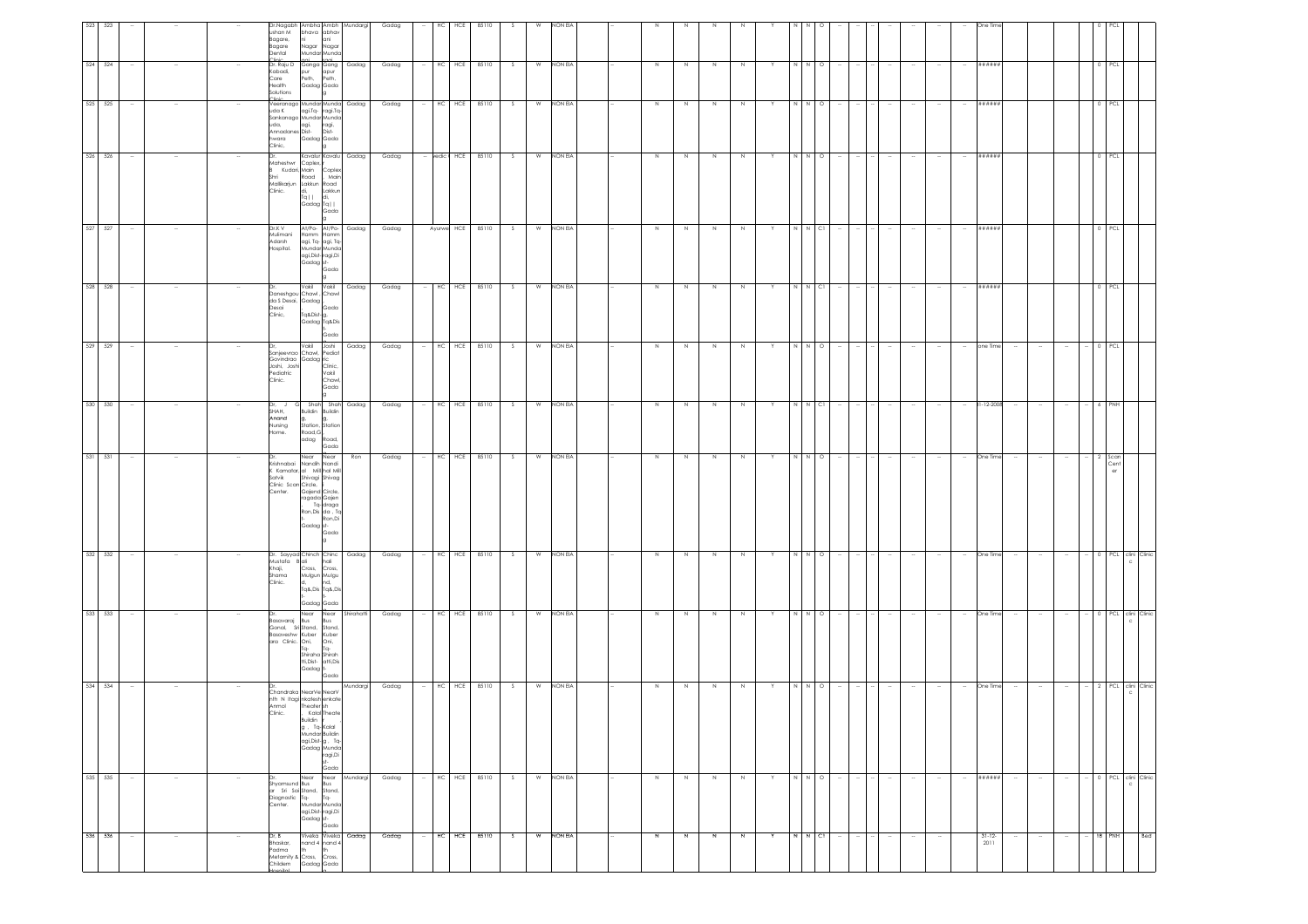| 523 523 |         |                          |        |        | Dr.Nagabh Ambha Ambh Mundargi                                                                                                  |                                                                                                                                |          |       |        | HC<br>HCE           | 85110 |    |   | NON EIA   |  |                |              |                |        |    |              |         |        |                |        |        |        |                          |                     |        |                          |                          |                    |                           |
|---------|---------|--------------------------|--------|--------|--------------------------------------------------------------------------------------------------------------------------------|--------------------------------------------------------------------------------------------------------------------------------|----------|-------|--------|---------------------|-------|----|---|-----------|--|----------------|--------------|----------------|--------|----|--------------|---------|--------|----------------|--------|--------|--------|--------------------------|---------------------|--------|--------------------------|--------------------------|--------------------|---------------------------|
|         |         |                          |        |        | ushan M<br>Bagare,<br>ni -<br>Bagare<br>Dental<br>linin.                                                                       | bhava abhav<br>ani<br>Nagar Nagar<br>Mundar Munda                                                                              |          | Gadag |        |                     |       |    |   |           |  |                |              |                |        |    |              |         |        |                |        |        |        |                          |                     |        |                          |                          |                    |                           |
|         | 524 524 |                          |        |        | Dr. Raju D Ganga Gang Gadag<br>Kabadi,<br>Care<br>Health<br>Solutions                                                          | pur apur<br>Peth, Peth,<br>Gadag Gada<br>la                                                                                    |          | Gadag |        | HC HCE 85110        |       | S. | W | NON EIA   |  | N              |              | N              | N      |    |              | $\circ$ |        |                |        |        |        |                          | ******              |        |                          |                          | PCL                |                           |
| 525 525 |         |                          |        |        | Veeranago Mundar Munda Gadag<br>uda K<br>Sankanago Mundar Munda<br>uda, agi,<br>uda, agi,<br>hwara<br>Clinic,                  | agi.Tq- ragi.Tq-<br>ragi,<br>Dist-<br>Gadag Gada                                                                               |          | Gadag |        | HC<br>HCE           | 85110 | -S | W | NON EIA   |  | N              | -N           | N              | N      |    |              | $\circ$ |        |                |        |        |        |                          | ******              |        |                          |                          |                    |                           |
|         | 526 526 |                          |        |        | Maheshwr Coplex, It<br>B Kudari, Main Coplex<br>Road<br>Shri<br>Mallikarjun Lakkun Road<br>Clinic.                             | Kavalur Kavalu Gadag<br>Main<br>takkun kada<br>  di,   Lakkun<br>  Tq   di,<br>  Gadag Tq  <br>Lakkun                          |          | Gadag |        | - vedic + HCE 85110 |       | S  | W | NON EIA   |  | N              | N            | N              | N      | Y  | N N O        |         |        |                |        |        |        | $\sim$                   | ******              |        |                          |                          | 0 PCL              |                           |
|         | 527 527 | $\sim$                   |        |        | Dr.K V<br>Mulimani<br>Adarsh<br>Hospital.                                                                                      | At/Po- At/Po- Gadag<br>Hamm Hamm<br>agi, Tq- agi, Tq-<br>Mundar Munda<br>agi, Dist-ragi, Di<br>Gadag st-<br>Gada               |          | Gadag |        | Ayurwe HCE 85110 S  |       |    | W | NON EIA   |  | N              | N            | N              | N      |    | N N CI       |         |        | $\sim$         | - 14   | $\sim$ |        | $\sim$                   | ******              |        |                          |                          | 0 PCL              |                           |
|         | 528 528 |                          |        |        | Daneshgou Chawl, Chawl<br>da S Desai, Gadag<br>Desai<br>Clinic,                                                                | Vakil Vakil<br>Gada<br>.<br>Tq&Dist-g,<br>Gadag Tq&Dis<br>Gada                                                                 | Gadag    | Gadag |        | $-$ HC HCE 85110    |       | S  | W | NON EIA   |  | N              | N            | N              | N      |    | $N$ $N$ $Cl$ |         |        |                |        |        |        | $\sim$                   | ******              |        |                          |                          | 0 PCL              |                           |
| 529 529 | 530 530 | $\overline{\phantom{a}}$ |        |        | Dr,<br>Sanjeevrao Chawl, Pediat<br>Sanjeevroor Contains<br>Govindrao Gadag ric<br>Inshi, Joshi Clinic,<br>Pediatric<br>Clinic. | Vakil Joshi<br>Vakil<br>Chawl<br>Gada                                                                                          | Gadag    | Gadag | $\sim$ | HC HCE 85110        |       | S. | W | NON EIA   |  | $\,$ N         | N            | N              | N      | Y. |              | $\circ$ |        |                |        |        |        | $\sim$                   | one Time            |        |                          | $\overline{\phantom{a}}$ | PCL                |                           |
|         |         | $\sim$                   |        |        | Dr, J G Shah Shah Gadag<br>SHAH,<br>Anand<br>Nursing<br>Road, G<br>Home.                                                       | Buildin Buildin<br>g,<br>Station, Station<br>adag Road,<br>Gada                                                                |          | Gadag |        | $-$ HC HCE 85110 S  |       |    |   | W NON EIA |  | N              | N            | N              | N      | Y  | N N CI       |         |        | $\sim$         |        | $\sim$ |        | $\sim$                   | 31-12-2008          | $\sim$ | $\sim$                   | $\sim$                   | 6 PNH              |                           |
| 531 531 |         |                          |        |        | Dr.<br>Krishnabai Nandih Nandi<br>K Kamatar, al Mill hal Mill<br>Satvik Shivagi Shivag<br>Clinic Scan Circle, i<br>Center.     | Near Near<br>Gajend Circle,<br>ragada Gajen<br>Tq-draga<br>Ron, Dis da, To<br>Ron,Di<br>Gadag st-<br>Gada                      | Ron      | Gadag |        | HC HCE 85110        |       | S  | W | NON EIA   |  | $\,$ N         | N            | $\,$ N         | N      |    | N N          | $\circ$ |        |                |        |        |        |                          | One Time            |        |                          |                          | Scar<br>Cent<br>er |                           |
|         | 532 532 |                          |        |        | Dr. Sayyad Chinch Chinc Gadag<br>Mustafa Bali<br>Khaji, Cross, Cross,<br>Shama<br>Clinic.                                      | Mulgun Mulgu<br>d, nd,<br>Tq&,Dis Tq&,Dis<br>Gadag Gada                                                                        |          | Gadag |        | HC HCE 85110        |       | S  | W | NON EIA   |  | Z              | $\,N\,$      | $\,$ N         | $\,$ N |    | N N          | $\circ$ |        |                |        |        |        | $\sim$                   | One Time            |        | $\sim$                   | $\overline{\phantom{a}}$ |                    | 0 PCL clini Clinic        |
|         | 533 533 |                          |        |        | Basavaraj Bus<br>Gonal, Sri Stand, Stand,<br>Basaveshw Kuber<br>ara Clinic. Oni,<br>tti, Dist-<br>Gadag t-                     | Near Near Shirahatti<br>Bus<br>Kuber<br>Oni,<br>Tq-<br>Shiraha Shirah<br>atti, Dis<br>Gada                                     |          | Gadag |        | $-$ HC HCE 85110    |       | S  |   | W NON EIA |  | $\overline{N}$ | N            | $\overline{N}$ | N      | Y  | N N O        |         |        |                |        |        |        | $\sim$                   | One Time            |        |                          |                          |                    | - 0 PCL clini Clinic<br>c |
|         | 534 534 | $\overline{\phantom{a}}$ |        |        | Chandraka NearVe NearV<br>nth N Itaginkatesh enkate<br>Anmol<br>Clinic.                                                        | Theater sh<br>Kalal Theate<br>Buildin<br>g , Tq-Kalal<br>Mundar Buildin<br>agi, Dist- g, Tq-<br>Gadag Munda<br>ragi,Di<br>Gada | Mundargi | Gadag |        | HC HCE 85110        |       | S  | W | NON EIA   |  | $\,$ N         | $\,N\,$      | $\,$ N         | $\,$ N | Y. |              | $\circ$ |        |                |        |        |        | $\overline{\phantom{a}}$ | One Time            |        |                          | $\overline{\phantom{a}}$ |                    | 2 PCL clini Clinic        |
|         | 535 535 | $\sim$                   | $\sim$ | $\sim$ | IDr<br>Shyamsund Bus<br>ar Sri Sai Stand, Stand,<br>Diagnostic Tq-<br>Center. Mundar Munda                                     | Near Near Mundargi<br>Bus<br>agi, Dist-ragi, Di<br>Gadag st-<br>Gada                                                           |          | Gadag |        | $-$ HC HCE 85110 S  |       |    |   | W NON EIA |  | N              | N            | N              | N      | Y  | $N N$ 0 $-$  |         |        | $\sim$<br>$-1$ | $\sim$ | $\sim$ | $\sim$ | $\sim$                   | #######  —  —       |        | <b>Contract Contract</b> | $\sim$                   |                    | - 0 PCL clini Clinic<br>c |
|         | 536 536 | $\sim$                   | $\sim$ | $\sim$ | Dr, B<br>Bhaskar,<br>Padma<br>Metamity & Cross,<br>Childern<br>mitml                                                           | Viveka Viveka<br>nand 4 nand 4<br>th<br>Cross,<br>Gadag Gada                                                                   | Gadag    | Gadag | $\sim$ | HC HCE 85110        |       | S. | w | NON EIA   |  | N              | $\mathbb{N}$ | N              | N      | Y  | $N$ $N$ $Cl$ |         | $\sim$ | $\sim$         | $\sim$ | $\sim$ | $\sim$ |                          | $31 - 12 -$<br>2011 | $\sim$ | $\sim$                   | $\sim$                   | $-18$ PNH          | Bed                       |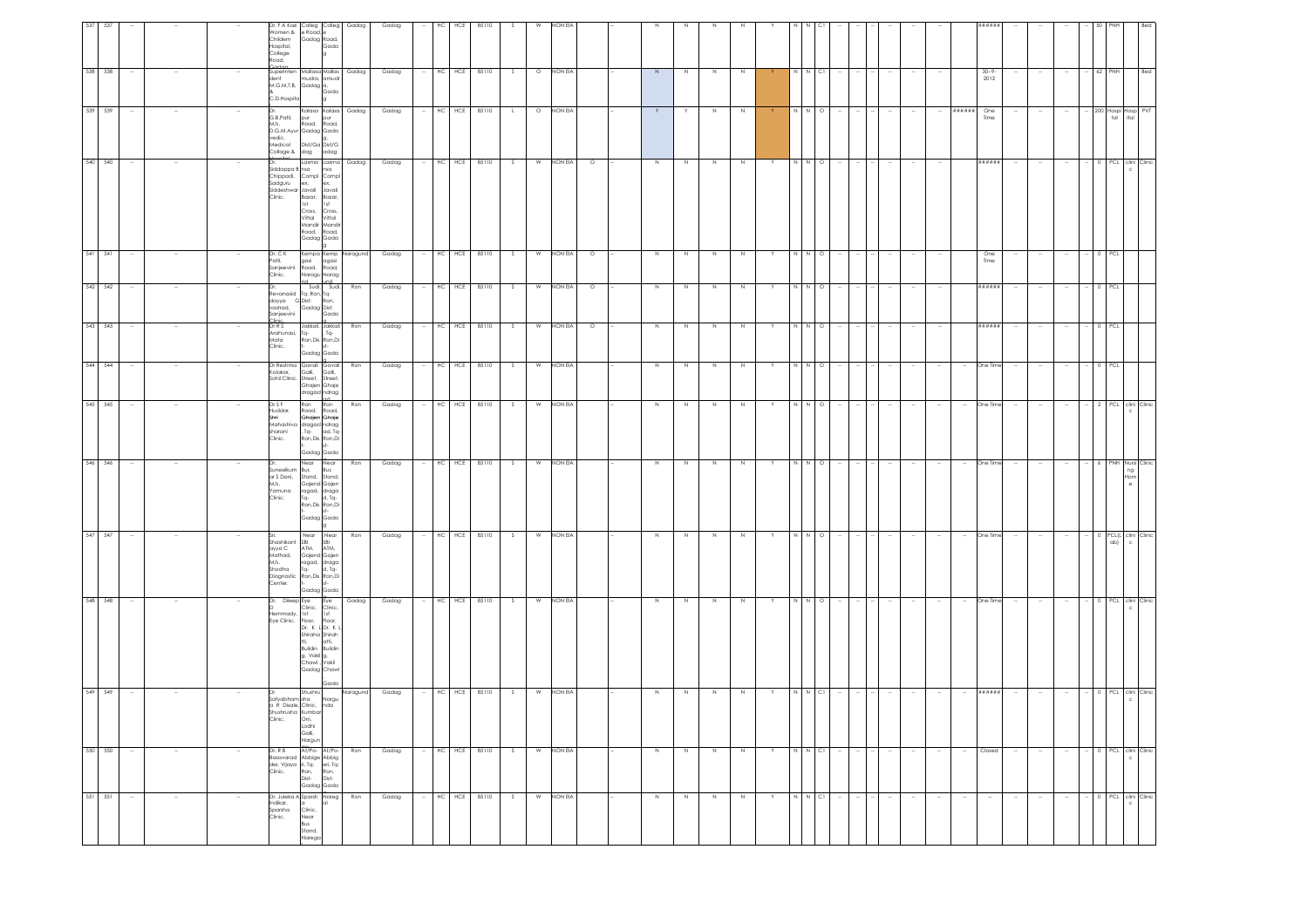| -537 | 538 538 |        | Women & e Road,<br>Childem<br>Hospital,<br>College<br>Road,                     | Dr, F A Kazi Colleg Colleg Gadag<br>Gadag Road,<br>Gada                                                                                                                                                   |                | Gadag          |        | HC         | HCE<br>85110<br>HC HCE 85110 |        |                | NON EV<br>O NON EIA  |             |        |             |              |    |        |               |        |                          |                  |                          |                          | #####                          |        |        |                          |                    |                    |
|------|---------|--------|---------------------------------------------------------------------------------|-----------------------------------------------------------------------------------------------------------------------------------------------------------------------------------------------------------|----------------|----------------|--------|------------|------------------------------|--------|----------------|----------------------|-------------|--------|-------------|--------------|----|--------|---------------|--------|--------------------------|------------------|--------------------------|--------------------------|--------------------------------|--------|--------|--------------------------|--------------------|--------------------|
|      | 539 539 |        | C.D.Hospita                                                                     | Superinten Mallasa Mallas<br>dent<br>M.G.M.T.B. Gadag a,<br>Gada<br>Kalasa Kalasa                                                                                                                         | Gadag<br>Gadag | Gadag<br>Gadag |        |            | $-$ HC HCE 85110             | S<br>L |                | O NON EIA            | $\geq$<br>Y | N<br>Y | $\,$ N<br>N | $\,N\,$<br>N | Y. |        | $N$ CI<br>NNO | $\sim$ |                          | $\sim$           | $\sim$                   |                          | $30 - 9$<br>2012<br>###### One |        |        | $\overline{\phantom{a}}$ | $- 62$ PNH         |                    |
|      |         |        | G.B.Patil,<br>M/s.<br>vedic,<br>Medical<br>Collage & dag                        | pur<br>pur<br>Road,<br>Road,<br>D.G.M.Ayur Gadag Gada<br>Dist/Ga Dist/G<br>dag adag                                                                                                                       |                |                |        |            |                              |        |                |                      |             |        |             |              |    |        |               |        |                          |                  |                          |                          | Time                           |        |        |                          | 200 Hospi Hosp PVT |                    |
|      | 540 540 |        | Siddappa B nsa<br>Sadguru<br>Siddeshwar Javali<br>Clinic.                       | Laxma Laxma Gadag<br>nsa<br>Chippadi, Compl Compl<br>ex.<br>ex,<br>Javali<br>Bazar, Bazar,<br>1st<br>1st<br>Cross,<br>Cross,<br>Vittal<br>Vittal<br>Mandir<br>Mandir<br>Road,<br>Road,<br>Gadag Gada      |                | Gadag          |        |            | $-$ HC HCE 85110             | S      |                | W NON EIA<br>$\circ$ | N           | N      | N           | N            | Y  |        | N N O         | $\sim$ | $\sim$                   | $\sim$           |                          |                          | ######                         | $\sim$ | $\sim$ | $\sim$                   | 0 PCL clini Clinic |                    |
|      | 541 541 |        | Dr. C K<br>Patil,<br>Clinic.                                                    | Kempa Kemp Naragund<br>gasi<br>agasi<br>Sanjeevini Road, Road,<br>Naragu Narag                                                                                                                            |                | Gadag          |        | $HC$ $HCE$ | 85110                        | S      | W              | NON EIA<br>$\circ$   | N           | N      | N           | N            | Y  | N      | $N$ O         |        |                          |                  |                          |                          | One<br>Time                    |        |        | $\sim$                   |                    | 0 PCL              |
|      | 542 542 |        | Sanjeevini                                                                      | nd und<br>Sudi, Sudi,<br>Revanasid Tq: Ron, Tq:<br>Revanasia<br>dayya G Dist: Ron,<br>wastrad. Gadag Dist:<br>Gada                                                                                        | Ron            | Gadag          |        | $HC$ $HC$  | 85110                        | S.     | W              | NON EIA<br>$\circ$   | N           | N      | N           | N            | Y  |        | N N O         |        |                          |                  |                          |                          | <b>#####</b>                   | $\sim$ | $\sim$ | $\sim$                   | 0 PCL              |                    |
|      | 543 543 |        | Dr R S<br>Arahunasi, Tq-<br>Mata<br>Clinic.                                     | Jakkali, Jakkali<br>, Tq-<br>Ron, Dis Ron, Di<br>Gadag Gada                                                                                                                                               | Ron            | Gadag          |        | HC HCE     | 85110                        | S.     | W              | NON EIA<br>$\circ$   | N           | N      | $\,$ N      | N            | Y  | N      | $\circ$<br>N  |        |                          |                  |                          |                          | ######                         | $\sim$ |        |                          |                    |                    |
|      | 544 544 |        | Sohil Clinic. Street,                                                           | Dr Reshma Gavali Gavali<br>Kolakar, Galli, Galli,<br>Street,<br>Ghajen Ghaje<br>dragad ndrag                                                                                                              | Ron            | Gadag          |        | $HC$ $HCE$ | 85110                        | S.     | W              | NON EIA              | N           | N      | N           | N            | Y  | N      | $\circ$       |        | $\overline{\phantom{a}}$ | $\sim$           | $\overline{\phantom{a}}$ | $\overline{\phantom{a}}$ | One Time                       | $\sim$ |        | $\overline{\phantom{a}}$ |                    |                    |
|      | 545 545 |        | Dr S F<br>Huddar,<br>Shri<br>sharani<br>Clinic.                                 | Ron<br>Ron<br>Road, Road,<br>Ghajen Ghaje<br>Mahashiva dragad ndrag<br>, Tq-<br>ad, Tq<br>Ron, Dis Ron, Di<br>Gadag Gada                                                                                  | Ron            | Gadag          |        | HC HCE     | 85110                        | S.     | W              | NON EIA              | $\mathbb N$ | N      | $\,$ N      |              |    | N      | $\circ$       |        |                          |                  |                          |                          | One Time                       |        |        |                          | 2 PCL clini        |                    |
|      | 546 546 |        | M/s.<br>Yamuna<br>Clinic.                                                       | Near Near<br>Suneelkum Bus Bus<br>ar S Dani, Stand, Stand,<br>Gajend Gajen<br>ragad, draga<br>Tq-<br>d, Tq-<br>Ron, Dis Ron, Di<br>Gadag Gada                                                             | Ron            | Gadag          |        |            | HC HCE 85110                 | S.     | W              | NON EIA              | N           | N      | N           | N            | Y  |        | N N O         |        |                          | $\sim$           | $\overline{\phantom{a}}$ | $\sim$                   | One Time                       | $\sim$ |        | $\sim$                   | 6                  |                    |
|      | 547 547 |        | Shashikant SBI<br>ayya C ATM,<br>аууа С<br>Mathad,<br>M/s.<br>Shodha<br>Center. | Near Near<br>SBI<br>ATM,<br>Gajend Gajen<br>ragad, draga<br>$TQ -$<br>d, Tq-<br>Diagnostic Ron, Dis Ron, Di<br>Gadag Gada                                                                                 | Ron            | Gadag          |        | HC HCE     | 85110                        | S.     | W              | NON EIA              | $\mathbb N$ | N      | $\,$ N      |              |    | $\,$ N | $N$ 0         |        |                          |                  |                          |                          | One Time                       |        |        |                          |                    | PCL(L clini Clinic |
|      | 548 548 |        | lemmady, 1st                                                                    | Dr. Dileep Eye Eye<br>Clinic, Clinic,<br>1st 1st<br>Eye Clinic. Floor, Floor, Dr. K LDr. K<br>Shiraha Shirah<br>Ħi,<br>atti,<br>Buildin<br>Buildin<br>g, Vakil g,<br>Chawl , Vakil<br>Gadag Chawl<br>Gada | Gadag          | Gadag          | $\sim$ |            | HC HCE 85110                 | s.     | $\overline{w}$ | NON EIA              | N           | N      | N           |              | Y  |        | N N O         |        | $\sim$                   | $\sim$           |                          | $\sim$                   | One Time                       | $\sim$ | $\sim$ | $\sim$                   | 0 PCL clini Clinic |                    |
|      | 549 549 |        | satyabham sha<br>Shushrusha Kumbar<br>Clinic.                                   | Shushru<br>Nargu<br>a R Disale, Clinic, nda<br>Oni,<br>Lodhi<br>Galli,<br>Nargun                                                                                                                          | Naragund       | Gadag          |        | $HC$ $HCE$ | 85110                        | S.     | W              | NON EIA              |             |        |             |              |    |        | N CI          |        |                          |                  |                          |                          | ######                         |        |        |                          | 0 PCL clini Clinic |                    |
|      | 550 550 | $\sim$ | Dr. R B                                                                         | At/Po- At/Po-<br>Basavarad Abbige Abbig<br>der, Vijaya ii, Tg;<br>der, Vijaya ii, Tg;<br>Clinic. Ron, Ron, Dist.<br>Gadag Gada                                                                            | Ron            | Gadag          |        |            | HC HCE 85110                 | S      |                | W NON EIA            | $\,$ N      | N      | $\,$ N      | N            | Y  |        | N N CI        |        |                          | $\sim$           |                          | $\sim$                   | Closed                         | $\sim$ |        |                          | 0 PCL clini Clinic |                    |
|      | 551 551 |        | Indikar,<br>Sparsha<br>Clinic.                                                  | Dr, Juleka A Sparsh Nareg<br>a<br>Clinic,<br>Near<br>Bus<br>Stand,<br>Narega                                                                                                                              | Ron            | Gadag          |        |            | HC HCE 85110                 | S      |                | W NON EIA            | $\mathbb N$ | N      | $\,$ N      | $\mathbb N$  | Y  |        | N N CI        |        | $\sim$                   | $\sim$<br>$\sim$ | $\sim$                   | $\overline{\phantom{a}}$ | $\sim$                         |        |        | $\sim$                   | 0 PCL clini Clinic |                    |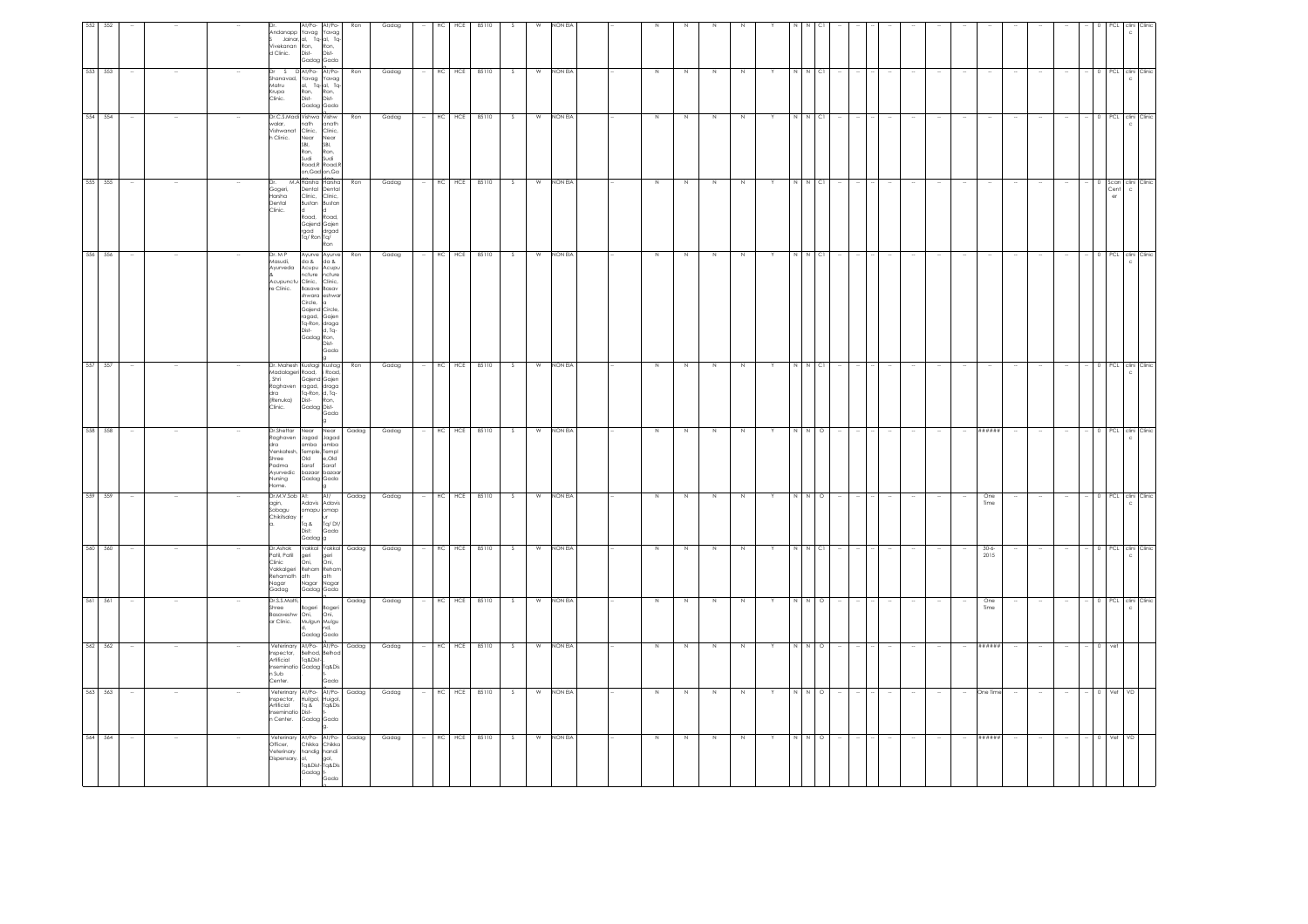| $\sim$ |
|--------|
|        |
|        |
| $\sim$ |
|        |
|        |
|        |
|        |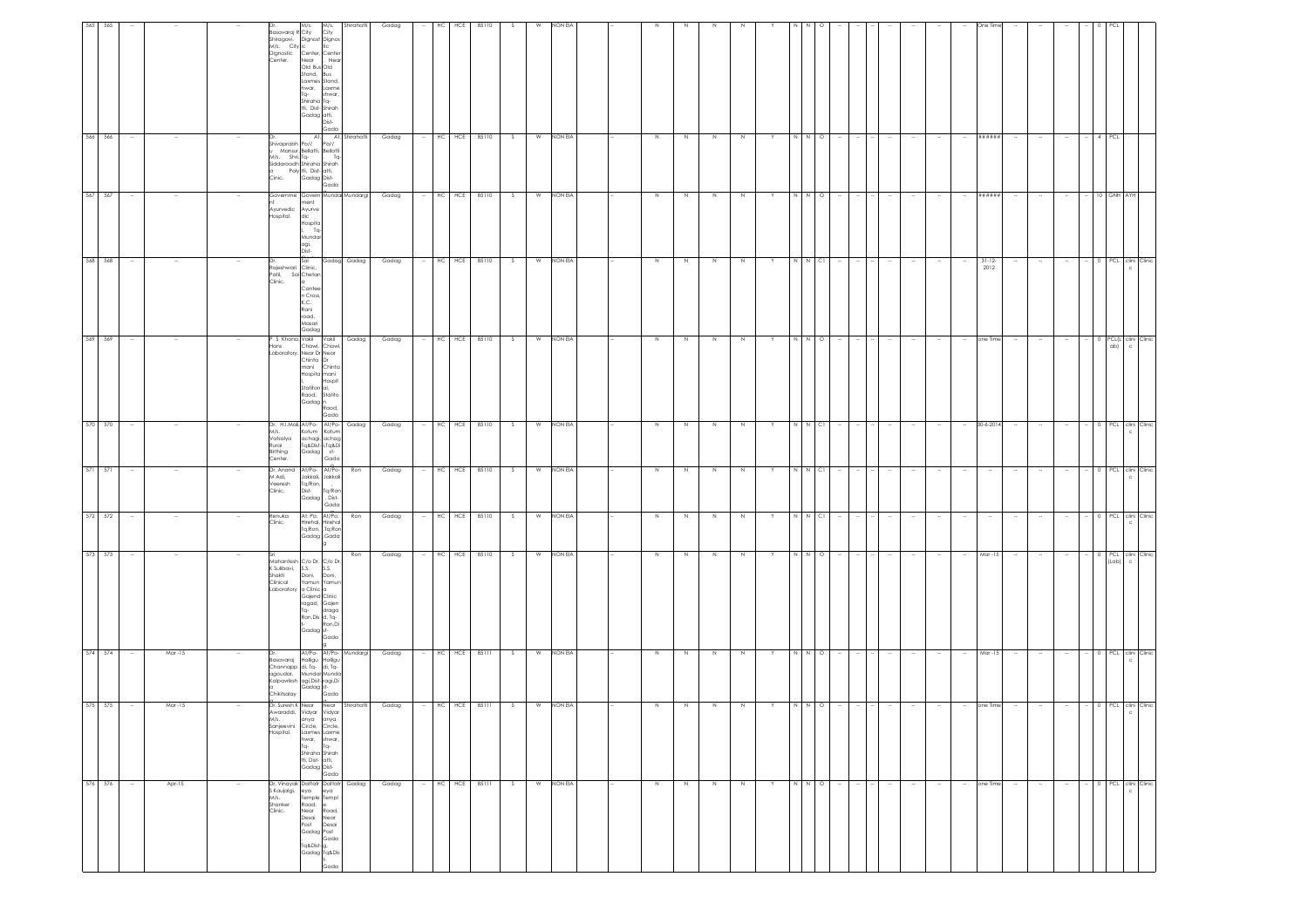| 565     | 565                |        |        |                              | M/s. City ic<br>hwar,<br>Tq-                                                                                          | Dr. M/s. M/s.<br>Basavaraj R City City<br>Shiragavi, Dignost Dignos<br>Dignostic Center, Center<br>Center. Near , Near<br>Near<br>Old Bus<br>Stand, Bus<br>Laxmes Stand,<br>Laxme<br>shwar,<br>Shiraha Tq-<br>tti, Dist-Shirah<br>Gadag atti,<br>Dist- | Shirahatti     | Gadag |        | HC         | HCE          | 85110        |    |   | NON EV         |             |         |             |             |   |             |         |        |        |                          |        | One Tim             |        |        |        |                               |                  |  |
|---------|--------------------|--------|--------|------------------------------|-----------------------------------------------------------------------------------------------------------------------|--------------------------------------------------------------------------------------------------------------------------------------------------------------------------------------------------------------------------------------------------------|----------------|-------|--------|------------|--------------|--------------|----|---|----------------|-------------|---------|-------------|-------------|---|-------------|---------|--------|--------|--------------------------|--------|---------------------|--------|--------|--------|-------------------------------|------------------|--|
|         | 566 566            |        |        |                              | Shivaprabh Po//<br>Mansur Po //<br>M/s. Shri. Tq-                                                                     | Gada<br>Po//<br>Mansur, Bellatti, Bellatti<br>Tq-<br>Siddaroodh Shiraha Shirah<br>Siddaroodh Shiraha Shirah<br>Cinic. Gadag Dist-<br>Gada                                                                                                              | At, Shirahatti | Gadag |        | HC HCE     |              | 85110        | S. | W | NON EIA        | $\mathbb N$ | N       | $\mathbb N$ |             |   |             | $\circ$ |        |        |                          |        | ******              |        |        |        | PCL                           |                  |  |
| 567 567 |                    |        |        |                              | Ayurvedic<br>lospital.<br>dic<br>agi,<br>Dist                                                                         | Governme Govern Mundai Mundargi<br>Ayurve<br>Hospita<br>$T_{\mathbf{q}}$<br>Mundar                                                                                                                                                                     |                | Gadag | $\sim$ | $HC$ $HCE$ |              | 85110        | S. |   | W NON EIA      | N           | N       | N           | N           | Y | $N$ $N$ $O$ |         |        | $\sim$ |                          | $\sim$ | ******              | $\sim$ | $\sim$ | $\sim$ | 10 GNH AYH                    |                  |  |
|         | 568 568            |        |        | Patil,<br>Clinic.            | Sai<br>---<br>Rajeshwari Clinic,<br>Patil, Sai Chetan<br>la.<br>Canter<br>n Cross,<br>K.C.<br>Rani<br>road,<br>Masari | Gadag                                                                                                                                                                                                                                                  | Gadag Gadag    | Gadag |        |            |              | HC HCE 85110 | S. |   | W NON EIA      | N           | N       | N           |             |   |             | N N CI  |        |        |                          |        | $31 - 12 -$<br>2012 |        |        |        | 0 PCL clini Clinic            | $\mathfrak{c}$   |  |
|         | 569 569            | $\sim$ |        | Hans                         | aboratory. Near Dr Near<br>mani                                                                                       | <sup>P</sup> S Khona, Vakil - Vakil -<br>Chawl, Chawl<br>Chinta Dr<br>Chinta<br>Hospita mani<br>Hospit<br>Statiton al,<br>Raod,<br>Statito<br>Gadag<br>Raod,<br>Gada                                                                                   | Gadag          | Gadag | $\sim$ |            |              | HC HCE 85110 | s. | W | NON EIA        | N           | N       | N           | N           | Y |             | N N O   | $\sim$ | $\sim$ | $\overline{\phantom{a}}$ | $\sim$ | one Time            | $\sim$ | $\sim$ | $\sim$ | 0 PCL(L clini Clinic<br>ab)   | $\mathbf{C}$     |  |
|         | 570 570            |        |        | Rural<br>Birthing<br>Center. | Vatsalya                                                                                                              | Dr. H.J.Mali, At/Po- At/Po-<br>M/s. Kotum Kotum<br>achagi, achag<br>Tq&Dist-i,Tq&Di<br>Gadag st-<br>Gadag<br>Gada                                                                                                                                      | Gadag          | Gadag |        |            |              | HC HCE 85110 | S  |   | W NON EIA      | $\,$ N      | N       | $\,$ N      | $\,N\,$     |   | N           | $N$ Cl  |        |        |                          |        | 30-6-2014           |        |        |        | 0 PCL clini Clinic            | $\epsilon$       |  |
|         | 571 571            |        |        | M Adi,<br>Veeresh<br>Clinic. |                                                                                                                       | Dr. Anand At/Po- At/Po-<br>Jakkali, Jakkali<br>Tq/Ron,<br>Tq/Ror<br>Dist-<br>Dist-<br>Gadag<br>Gada                                                                                                                                                    | Ron            | Gadag |        |            |              | HC HCE 85110 | S. | W | NON EIA        | $\,N\,$     | N       | N           | N           | Y | I N         | $N$ C1  | $\sim$ | $\sim$ | $\sim$                   | $\sim$ | $\sim$              | $\sim$ | $\sim$ | $\sim$ | 0 PCL clini Clinic            |                  |  |
|         | 572 572<br>573 573 |        |        | Renuka<br>Clinic.            |                                                                                                                       | At: Po: At/Po;<br>Hirehal, Hirehal<br>Tq;Ron, ,Tq;Ron<br>Gadag Gada                                                                                                                                                                                    | Ron            | Gadag |        |            | HC HCE 85110 |              | S. | W | NON EIA        | $\,N\,$     | N       | $\,$ N      | N           |   | N<br>N      | $N$ Cl  |        |        |                          |        |                     |        |        |        | 0 PCL clini Clinic            |                  |  |
|         |                    |        |        |                              |                                                                                                                       | an<br>Kahantesh C/o Dr. C/o Dr.<br>K Sulibavi, S.S. S.S.<br>Shakti Doni, Doni,<br>Clinical Yamun Yamun<br>Laboratory a Clinic a<br>Gajend Clinic<br>ragad, Gajen<br>Tq- draga<br>Ron,Dis d, Tq-<br>Ron,Di<br>Gadag st-<br>Gada                         | Ron            | Gadag |        |            |              | HC HCE 85110 | S  |   | W NON EIA      | $\,$ N      | $\,N\,$ | $\,$ N      | N           |   |             | $N$ 0   |        |        |                          |        | Mar-15              |        |        |        | 0 PCL clini Clinic<br>(Lab) c |                  |  |
|         | 574 574            |        | Mar-15 |                              | Chikitsalay                                                                                                           | At/Po- At/Po- Mundargi<br>Diasavaraj Halligu Halligu<br>Channapp di, Tq-<br>Channapp di, Tq-<br>Kalpavriksh agi, Dist-ragi, Di<br>Kalpavriksh agi, Dist-ragi, Di<br>Gada                                                                               |                | Gadag |        |            | HC HCE 85111 |              | S. | W | NON EIA        | $\,$ N      | N       | N           |             |   | N           | $N$ O   |        |        |                          |        | Mar-15              |        |        |        | 0 PCL clini Clinic            |                  |  |
|         | 575 575            |        | Mar-15 | Hospital.                    | Dr. Suresh K Near<br>Awaraddi, Vidyar<br>anya<br>hwar,<br>Tq-                                                         | Near<br>Vidyar<br>anya<br>Sanjeevini Circle, Circle,<br>Laxmes Laxme<br>shwar,<br>Tq-<br>Shiraha Shirah<br>tti, Dist-<br>Gadag Dist-<br>Gada                                                                                                           | Shirahatti     | Gadag |        | HC HCE     |              | 85111        | s. | W | <b>NON EIA</b> | N           | N       | N           |             |   |             | $\circ$ |        |        |                          |        | one Time            |        |        |        |                               | PCL clini Clinic |  |
|         | 576 576            |        | Apr-15 | M/s.<br>Shanker<br>Clinic.   | Road,<br>Near                                                                                                         | Dr. Vinayak Dattatr Dattatr<br>S Kaujalgi, eya eya<br>Temple Templ<br>le<br>Road,<br>Desai Near<br>Post Desai<br>Gadag Post<br>Gada<br>.<br>Tq&Dist-g,<br>Gadag Ta&Dis<br>Gada                                                                         | Gadag          | Gadag |        |            | HC HCE 85111 |              | S. | W | NON EIA        | $\,$ N      | N       | $\,$ N      | $\mathbb N$ | Y | N           | $N$ 0   |        |        |                          |        | one Time            |        |        |        | 0 PCL clini Clinic            | $\mathbf{C}$     |  |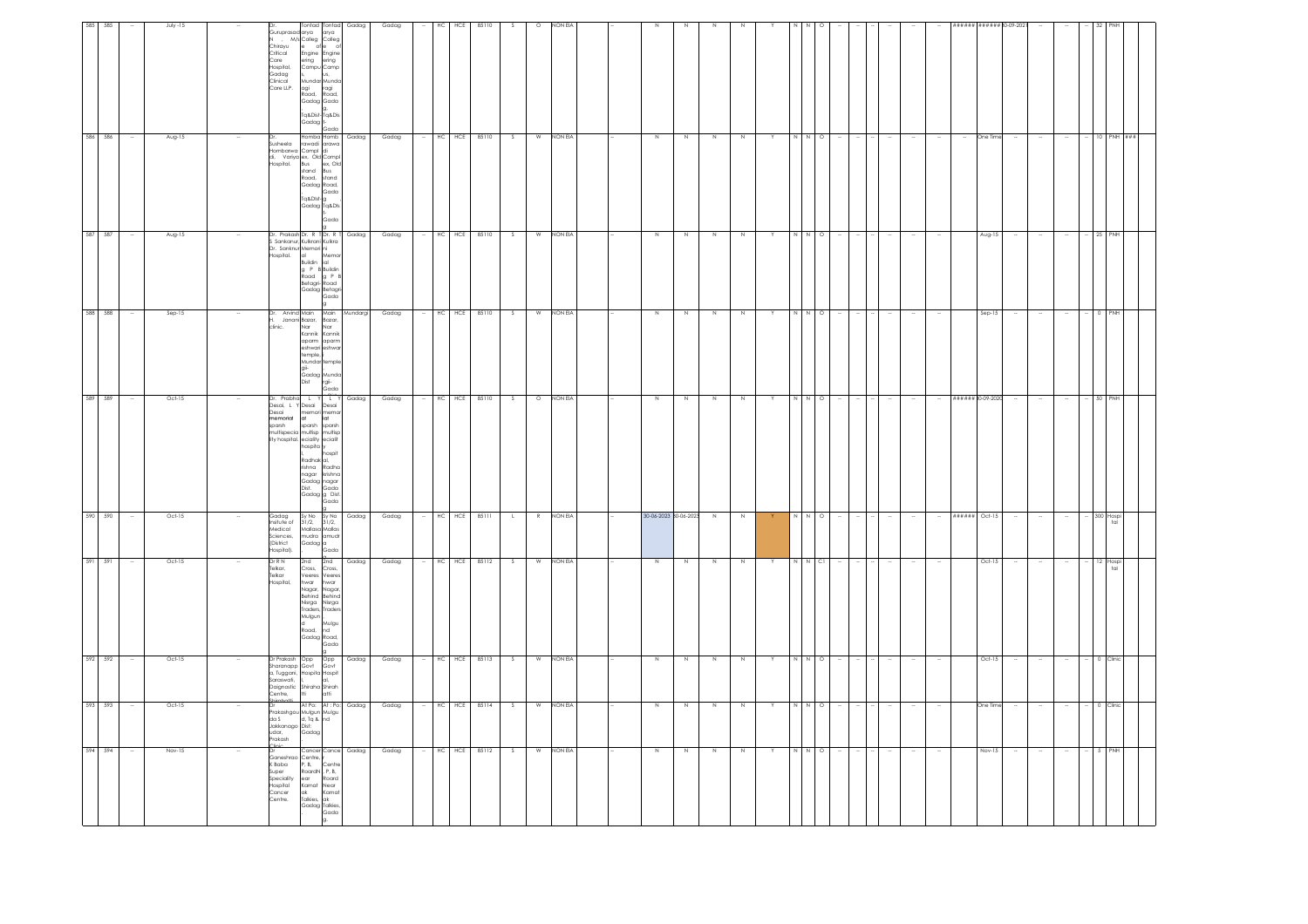| 594 594                                                                                                    |                                                                                                           | 592 592<br>593 593                                                                                                     | 591 591                                                                                                                        | 590                                                                                 |                                                                                                                                                                                                                       | 588 588<br>589 589                                                                                                                                           | 587 587                                                                                                                                                    | 586 586                                                                                                                                                     | 585 585                                                                                                                          |
|------------------------------------------------------------------------------------------------------------|-----------------------------------------------------------------------------------------------------------|------------------------------------------------------------------------------------------------------------------------|--------------------------------------------------------------------------------------------------------------------------------|-------------------------------------------------------------------------------------|-----------------------------------------------------------------------------------------------------------------------------------------------------------------------------------------------------------------------|--------------------------------------------------------------------------------------------------------------------------------------------------------------|------------------------------------------------------------------------------------------------------------------------------------------------------------|-------------------------------------------------------------------------------------------------------------------------------------------------------------|----------------------------------------------------------------------------------------------------------------------------------|
|                                                                                                            |                                                                                                           |                                                                                                                        |                                                                                                                                | 590                                                                                 |                                                                                                                                                                                                                       |                                                                                                                                                              |                                                                                                                                                            |                                                                                                                                                             |                                                                                                                                  |
|                                                                                                            |                                                                                                           | $\sim$                                                                                                                 |                                                                                                                                |                                                                                     |                                                                                                                                                                                                                       |                                                                                                                                                              |                                                                                                                                                            |                                                                                                                                                             |                                                                                                                                  |
| Nov-15                                                                                                     | Oct-15                                                                                                    | Oct-15                                                                                                                 | Oct-15                                                                                                                         | Oct-15                                                                              |                                                                                                                                                                                                                       | Sep-15<br>Oct-15                                                                                                                                             | Aug-15                                                                                                                                                     | Aug-15                                                                                                                                                      | July -15                                                                                                                         |
|                                                                                                            |                                                                                                           |                                                                                                                        |                                                                                                                                |                                                                                     | $\sim$                                                                                                                                                                                                                | $\sim$                                                                                                                                                       |                                                                                                                                                            |                                                                                                                                                             |                                                                                                                                  |
| K Baba<br>Super<br>Speciality<br>Hospital<br>Cancer<br>Centre.                                             | udar,<br>Prakash                                                                                          | Saraswati,<br>Centre,                                                                                                  | Dr R N<br>Telkar,<br>Telkar<br>Hospital,                                                                                       | Gadag<br>Insitute of<br>Medical<br>Sciences,<br>(District<br>lospital).             | Desai<br>nemorial<br>sparsh                                                                                                                                                                                           | clinic.                                                                                                                                                      | Hospital.                                                                                                                                                  | Susheela                                                                                                                                                    | Chirayu<br>Critical<br>Care<br>Hospital,<br>Gadag<br>Clinical<br>Care LLP.                                                       |
| Ganeshrao Centre,<br>P. B.<br>RoardN, P.B.<br>ear<br>Karnat Near<br>ak Kam<br>Talkies, ak<br>Gadag Talkies | Shirohatti<br>Dr At Po: At : Po:<br>Prakashgou Mulgun Mulgu<br>da S d, Tq & nd<br>Jakkanago Dist:<br>Gada | Dr Prakash Opp<br>Sharanapp Govt<br>a, Tuggani, Hospita Hospit<br>Daignostic<br>shiraha Shirah<br>tti atti<br>irohotti | 2nd<br>Cross,<br>Veeres Veere:<br>hwar<br>Nagar,<br>Behind Behind<br>Nisrga<br>Traders,<br>Mulgun<br>d<br>Road.<br>Gadag Road, | $\frac{Sy \text{ No}}{31/2}$ , $\frac{Sy \text{ No}}{31/2}$ ,<br>Gadag <sup>a</sup> | Dr. Prabha L Y L Y<br>Desai, L Y Desai Desai<br>$\alpha$<br>sparsh<br>multispecia multisp multisp<br>lity hospital. eciality ecialit<br>Radhak al,<br>rishna<br>nagar krishno<br>Gadag nagar<br>Dist.<br>Gadag g Dist | Dr. Arvind Main Main<br>H. Janani Bazar, Bazar,<br>Nar<br>Kannik Kannik<br>aparm<br>eshwari eshwa<br>temple,<br>Mundar temple<br>gii-<br>Gadag Mundo<br>Dist | Dr. Prakash Dr. R T Dr. R T<br>s. Hakamur, Kulkrani Kulkra<br>Dr. Sanknur Memori ni<br>$\alpha$<br>Buildin<br>g P B Buildin<br>Road g P E<br>Betagri- Road | rawadi arawa<br>Hombarwa Compl di<br>rinnown Comptom<br>di, Variya ex, Old Compt<br>Hospital. Bus ex, Old<br>stand Bus<br>Road, stand<br>Gadag<br>Tq&Dlst-g | Guruprasad arya<br>M/s Colleg Colleg<br>ofe<br>Engine Engine<br>ering ering<br>Campu Camp<br>agi<br>Road,<br>Gadag Gada<br>Gadag |
| Cancer Cance<br>Centri<br>Roard<br>Kamat<br>Gada                                                           |                                                                                                           | Opp<br>Govt<br>al,                                                                                                     | 2nd<br>Cross.<br>twar<br>Naga<br>Nisrga<br>rader<br>.<br>Mulgu<br>nd<br>Gada                                                   | Aallasa Malla:<br>mudra amudr<br>Gada                                               | memori memor<br>ial<br>sparsh<br>tiqzor<br>Radho<br>Gada<br>Gada                                                                                                                                                      | Nar<br>apam<br>rgi-<br>Gada                                                                                                                                  | Memo<br>Gadag Betagri<br>Gada                                                                                                                              | Homba Homb<br>ex, Old<br>Road.<br>Gada<br>Gadag Tq&Dls<br>Gada                                                                                              | Tontad Tontad<br>arya<br>Mundar Munde<br>ragi<br>Road,<br>Tq&Dist-Tq&Dis<br>Gada                                                 |
| Gadag                                                                                                      | Gadag                                                                                                     | Gadag                                                                                                                  | Gadag                                                                                                                          | Gadag                                                                               |                                                                                                                                                                                                                       | Mundargi<br>Gadag                                                                                                                                            | Gadag                                                                                                                                                      | Gadag                                                                                                                                                       | Gadag                                                                                                                            |
| Gadag                                                                                                      | Gadag                                                                                                     | Gadag                                                                                                                  | Gadag                                                                                                                          | Gadag                                                                               | Gadag                                                                                                                                                                                                                 | Gadag                                                                                                                                                        | Gadag                                                                                                                                                      | Gadag                                                                                                                                                       | Gadag                                                                                                                            |
|                                                                                                            |                                                                                                           |                                                                                                                        |                                                                                                                                |                                                                                     |                                                                                                                                                                                                                       |                                                                                                                                                              |                                                                                                                                                            |                                                                                                                                                             |                                                                                                                                  |
| HC HCE                                                                                                     |                                                                                                           |                                                                                                                        | HC<br>HCE                                                                                                                      | HCE<br>HC                                                                           |                                                                                                                                                                                                                       | HC<br>HCE<br>нc<br>HCE                                                                                                                                       | HCE<br>HC                                                                                                                                                  | HC HCE                                                                                                                                                      | HC.<br>HCE                                                                                                                       |
| 85112                                                                                                      | $-$ HC HCE 85114                                                                                          | HC HCE 85113                                                                                                           | 85112                                                                                                                          | 85111                                                                               |                                                                                                                                                                                                                       | 85110<br>85110                                                                                                                                               | 85110                                                                                                                                                      | 85110                                                                                                                                                       | 85110                                                                                                                            |
| -S                                                                                                         |                                                                                                           | S<br>- S                                                                                                               | S.                                                                                                                             | L.                                                                                  | S.                                                                                                                                                                                                                    | S.                                                                                                                                                           | S.                                                                                                                                                         | -S                                                                                                                                                          | -S                                                                                                                               |
| W                                                                                                          |                                                                                                           | W<br>W                                                                                                                 | W                                                                                                                              |                                                                                     | $\circ$                                                                                                                                                                                                               | W                                                                                                                                                            | W                                                                                                                                                          | W                                                                                                                                                           | $\circ$                                                                                                                          |
| NON EIA                                                                                                    | NON EIA                                                                                                   | NON EIA                                                                                                                | NON EIA                                                                                                                        | NON EIA                                                                             |                                                                                                                                                                                                                       | NON EIA<br>NON EIA                                                                                                                                           | NON EIA                                                                                                                                                    | NON EIA                                                                                                                                                     | NON EIA                                                                                                                          |
|                                                                                                            |                                                                                                           |                                                                                                                        |                                                                                                                                |                                                                                     |                                                                                                                                                                                                                       |                                                                                                                                                              |                                                                                                                                                            |                                                                                                                                                             |                                                                                                                                  |
|                                                                                                            |                                                                                                           |                                                                                                                        |                                                                                                                                |                                                                                     |                                                                                                                                                                                                                       |                                                                                                                                                              |                                                                                                                                                            |                                                                                                                                                             |                                                                                                                                  |
| N                                                                                                          | $\overline{N}$                                                                                            | N                                                                                                                      | $\overline{N}$                                                                                                                 | 30-06-2023 80-06-2023                                                               | N                                                                                                                                                                                                                     | N                                                                                                                                                            | N                                                                                                                                                          | N                                                                                                                                                           |                                                                                                                                  |
| N                                                                                                          |                                                                                                           | N<br>N                                                                                                                 | N                                                                                                                              |                                                                                     | N                                                                                                                                                                                                                     | N                                                                                                                                                            | N                                                                                                                                                          | N                                                                                                                                                           |                                                                                                                                  |
| N                                                                                                          | $\overline{N}$                                                                                            | N                                                                                                                      | $\,$ N                                                                                                                         | N                                                                                   | N                                                                                                                                                                                                                     | N                                                                                                                                                            | N                                                                                                                                                          | N                                                                                                                                                           |                                                                                                                                  |
| N                                                                                                          | Z                                                                                                         | N                                                                                                                      | N                                                                                                                              | N                                                                                   | N                                                                                                                                                                                                                     | N                                                                                                                                                            | N                                                                                                                                                          | Z                                                                                                                                                           |                                                                                                                                  |
|                                                                                                            |                                                                                                           | Y<br>Y                                                                                                                 | Y                                                                                                                              |                                                                                     | Y                                                                                                                                                                                                                     | Y                                                                                                                                                            | Y.                                                                                                                                                         |                                                                                                                                                             |                                                                                                                                  |
| N                                                                                                          | N N O                                                                                                     | N                                                                                                                      | $\overline{N}$                                                                                                                 |                                                                                     | $\mathbb N$                                                                                                                                                                                                           | N N O                                                                                                                                                        | N.                                                                                                                                                         | N N O                                                                                                                                                       |                                                                                                                                  |
| N O                                                                                                        |                                                                                                           | $\circ$                                                                                                                | $N$ Cl                                                                                                                         |                                                                                     | $N$ 0                                                                                                                                                                                                                 |                                                                                                                                                              | N O                                                                                                                                                        |                                                                                                                                                             |                                                                                                                                  |
|                                                                                                            |                                                                                                           | $\sim$<br>$\sim$                                                                                                       |                                                                                                                                |                                                                                     |                                                                                                                                                                                                                       |                                                                                                                                                              |                                                                                                                                                            |                                                                                                                                                             |                                                                                                                                  |
|                                                                                                            | ł,                                                                                                        |                                                                                                                        | $\sim$                                                                                                                         |                                                                                     |                                                                                                                                                                                                                       |                                                                                                                                                              |                                                                                                                                                            |                                                                                                                                                             |                                                                                                                                  |
|                                                                                                            |                                                                                                           | $\sim$                                                                                                                 |                                                                                                                                |                                                                                     |                                                                                                                                                                                                                       |                                                                                                                                                              |                                                                                                                                                            |                                                                                                                                                             |                                                                                                                                  |
|                                                                                                            |                                                                                                           | $\sim$                                                                                                                 |                                                                                                                                |                                                                                     | $\sim$                                                                                                                                                                                                                |                                                                                                                                                              |                                                                                                                                                            |                                                                                                                                                             |                                                                                                                                  |
|                                                                                                            |                                                                                                           |                                                                                                                        |                                                                                                                                | ###### Oct-15                                                                       |                                                                                                                                                                                                                       |                                                                                                                                                              |                                                                                                                                                            |                                                                                                                                                             |                                                                                                                                  |
| Nov-15                                                                                                     | One Time                                                                                                  | $Oct-15$                                                                                                               | $Oct-15$                                                                                                                       |                                                                                     |                                                                                                                                                                                                                       | $Sep-15$<br>###### 80-09-2020                                                                                                                                | Aug-15                                                                                                                                                     | One Time                                                                                                                                                    | ###### ######B0-09-2021                                                                                                          |
|                                                                                                            | Ξ<br>ł,                                                                                                   |                                                                                                                        | $\overline{\phantom{a}}$<br>$\sim$                                                                                             |                                                                                     | $\sim$<br>$\sim$                                                                                                                                                                                                      | $\sim$<br>$\sim$                                                                                                                                             |                                                                                                                                                            | J.<br>$\sim$                                                                                                                                                |                                                                                                                                  |
|                                                                                                            |                                                                                                           |                                                                                                                        |                                                                                                                                |                                                                                     |                                                                                                                                                                                                                       |                                                                                                                                                              |                                                                                                                                                            |                                                                                                                                                             |                                                                                                                                  |
|                                                                                                            | $\sim$                                                                                                    |                                                                                                                        | $\sim$                                                                                                                         |                                                                                     | $\sim$                                                                                                                                                                                                                | $\sim$                                                                                                                                                       |                                                                                                                                                            | $\sim$                                                                                                                                                      |                                                                                                                                  |
|                                                                                                            | $-$ 0 Clinic                                                                                              |                                                                                                                        |                                                                                                                                |                                                                                     | 50 PNH                                                                                                                                                                                                                |                                                                                                                                                              | 25 PNH                                                                                                                                                     |                                                                                                                                                             |                                                                                                                                  |
|                                                                                                            |                                                                                                           | 0 Clinic                                                                                                               | 12 Hospi<br>tal                                                                                                                | 00 Hospi<br>tal                                                                     |                                                                                                                                                                                                                       | 0 PNH                                                                                                                                                        |                                                                                                                                                            | $- 10$ PNH ###                                                                                                                                              |                                                                                                                                  |
|                                                                                                            |                                                                                                           |                                                                                                                        |                                                                                                                                |                                                                                     |                                                                                                                                                                                                                       |                                                                                                                                                              |                                                                                                                                                            |                                                                                                                                                             |                                                                                                                                  |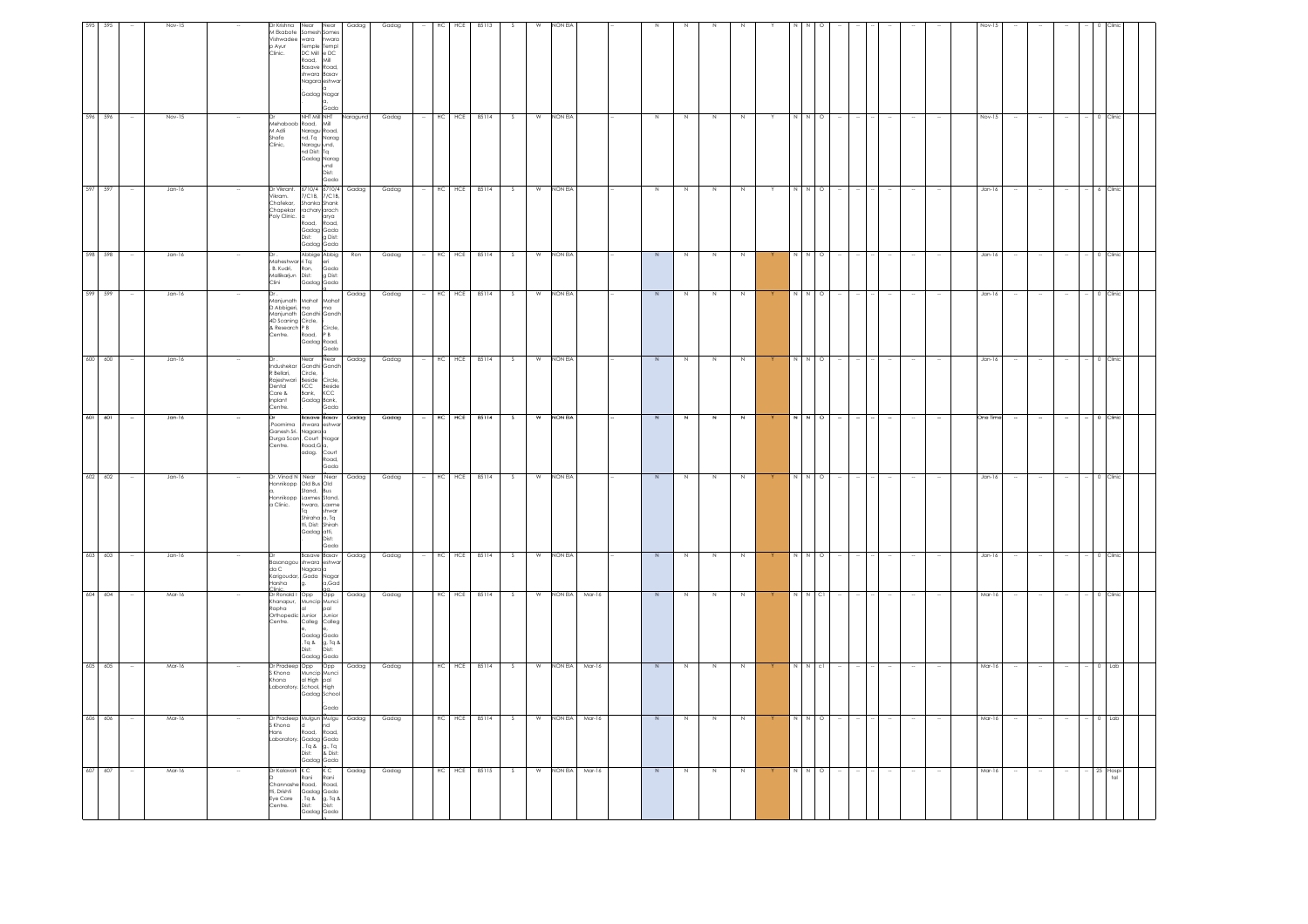| 607 607                                                                      | 606 606                                                                                                               |                                                                                                      |                                                                                                       | 603 603                                                                         |                                                                                                                                                                          |                                                                               | $601 - 601$                                                                                                               |                                                                                               | 598 598<br>599 599                                                 | 597 597                                                                                                                                                | 596 596                                                                                                | 595                                                                                                                                                           |
|------------------------------------------------------------------------------|-----------------------------------------------------------------------------------------------------------------------|------------------------------------------------------------------------------------------------------|-------------------------------------------------------------------------------------------------------|---------------------------------------------------------------------------------|--------------------------------------------------------------------------------------------------------------------------------------------------------------------------|-------------------------------------------------------------------------------|---------------------------------------------------------------------------------------------------------------------------|-----------------------------------------------------------------------------------------------|--------------------------------------------------------------------|--------------------------------------------------------------------------------------------------------------------------------------------------------|--------------------------------------------------------------------------------------------------------|---------------------------------------------------------------------------------------------------------------------------------------------------------------|
|                                                                              |                                                                                                                       | 605 605                                                                                              | 604 604                                                                                               |                                                                                 |                                                                                                                                                                          | $602$ $602$                                                                   | 600 600                                                                                                                   |                                                                                               |                                                                    |                                                                                                                                                        |                                                                                                        | 595                                                                                                                                                           |
|                                                                              | $\sim$                                                                                                                |                                                                                                      | $\sim$                                                                                                |                                                                                 |                                                                                                                                                                          | $\sim$                                                                        | $\sim$                                                                                                                    |                                                                                               |                                                                    | $\sim$                                                                                                                                                 |                                                                                                        |                                                                                                                                                               |
| Mar-16                                                                       | Mar-16                                                                                                                | Mar-16                                                                                               | Mar-16                                                                                                | Jan-16                                                                          |                                                                                                                                                                          | $Jan-16$                                                                      | Jan-16<br>Jan-16                                                                                                          |                                                                                               | Jan-16<br>Jan-16                                                   | Jan-16                                                                                                                                                 | Nov-15                                                                                                 | Nov-15                                                                                                                                                        |
| $\sim$                                                                       |                                                                                                                       |                                                                                                      |                                                                                                       |                                                                                 |                                                                                                                                                                          |                                                                               |                                                                                                                           |                                                                                               |                                                                    |                                                                                                                                                        |                                                                                                        |                                                                                                                                                               |
| Dr Kalavati K C<br>D Rani<br>tti, Drishti<br>Eye Care<br>Centre.             | S Khona<br>Hans                                                                                                       | Khona                                                                                                | Rapha<br>Centre.                                                                                      | $d\alpha C$<br>Harsha                                                           | a Clinic.                                                                                                                                                                | Poornima<br>Centre.                                                           | Dr<br>R Bellari,<br>Dental<br>Care &<br>nplant<br>Centre.                                                                 | D Abbigeri, ma<br>& Research P B<br>Centre,                                                   | Mallikarjun Dist:<br>Clini                                         | Chafekar,<br>Poly Clinic.                                                                                                                              | M Adli<br>Shafa<br>Clinic,                                                                             | p Ayur<br>Clinic.                                                                                                                                             |
| Channashe Road,<br>Gadag Gada<br>. Tq & g. Tq &<br>Dist: Dist:<br>Gadag Gada | Dr Pradeep Mulgun Mulgu Gadag<br>ld.<br>Road,<br>Laboratory. Gadag Gada<br>Tq & g., Tq<br>Dist: & Dist:<br>Gadaa Gada | Dr Pradeep Opp Opp<br>S Khona Muncip Munci<br>al High pal<br>Laboratory, School, High<br>Gadag Schoo | Dr Ronald   Opp   Opp  <br>Khanapur, Muncip Munci<br>lot<br>Orthopedic Junior<br>Colleg<br>Gadag Gada | Basanagou shwara eshwa<br>Nagara <mark>a</mark><br>Karigoudar, Gada Nagar<br>g. | Dr. Vinod N Near Near Gadag<br>Honnikopp Old Bus Old<br>Stand, Bus<br>Honnikopp Laxmes Stand,<br>hwara, Laxme<br>Ta<br>shiraha a, Tq<br>tti, Dist: Shirah<br>Gadag atti, | Ganesh Sri. Nagara a<br>Durga Scan , Court Nagar<br>Road, G a,<br>adag. Court | Near<br>Indushekar Gandhi Gandh<br>Circle,<br>Rajeshwari Beside Circle,<br>KCC Beside<br>Bank, KCC<br>Gadag Bank,<br>Gada | Manjunath Mahat Mahat<br>Manjunath Gandhi Gandh<br>4D Scaning Circle,<br>Road,<br>Gadag Road, | Abbige Abbig<br>Maheshwar ri Tq:<br>. B. Kudri, Ron,<br>Gadag Gada | Dr Vikrant. 6710/4 6710/4 Gadag<br>Vikram. 7/C18, 7/C18,<br>Shanka Shank<br>Chapekar rachary arach<br>Road, Road,<br>Gadag Gada<br>Dist:<br>Gadag Gada | Dr<br>Mehaboob Road, Mill<br>Naragu Road,<br>Naragu Road,<br>Naragu und,<br>nd Dist: Tq<br>Gadag Narag | Dr Krishna Near Near<br>M Ekabote Somesh Somes<br>Vishwadee wara<br>Temple Templ<br>DC Mill e DC<br>Road, Mill<br>Basave Road,<br>shwara Basav<br>Gadag Nagar |
| K C<br>Rani<br>Road,                                                         | nd<br>Road,                                                                                                           | Gada                                                                                                 | pal<br>Junior<br>Colleg<br>"<br>Gadag Gada<br>Tq & g, Tq &<br>Dist: Dist:                             | <b>Basave Basav</b><br>a,Gad                                                    | shwar<br>Dist <sup>-</sup><br>Gada                                                                                                                                       | shwara eshwa<br>Road,<br>Gada                                                 | Near<br>Basave Basav                                                                                                      | ma<br>Circle,<br>P B                                                                          | eri<br>Gada<br>g Dist:                                             | arya<br>g Dist:                                                                                                                                        | und<br>Dist:<br>Gada                                                                                   | hwara<br>Nagara <mark>eshwa</mark><br>Gada                                                                                                                    |
| Gadag                                                                        |                                                                                                                       | Gadag                                                                                                | Gadag                                                                                                 | Gadag                                                                           |                                                                                                                                                                          |                                                                               | Gadag<br>Gadag                                                                                                            |                                                                                               | Ron<br>Gadag                                                       |                                                                                                                                                        | Naragund                                                                                               | Gadag                                                                                                                                                         |
| Gadag                                                                        | Gadag                                                                                                                 | Gadag                                                                                                | Gadag                                                                                                 | Gadag                                                                           |                                                                                                                                                                          | Gadag                                                                         | Gadag<br>Gadag                                                                                                            |                                                                                               | Gadag<br>Gadag                                                     | Gadag                                                                                                                                                  | Gadag                                                                                                  | Gadag                                                                                                                                                         |
|                                                                              |                                                                                                                       |                                                                                                      |                                                                                                       |                                                                                 |                                                                                                                                                                          | $\sim$                                                                        |                                                                                                                           |                                                                                               |                                                                    |                                                                                                                                                        |                                                                                                        |                                                                                                                                                               |
| HC HCE                                                                       | HCE<br>HC                                                                                                             | HC HCE                                                                                               | HC HCE 85114                                                                                          | HC<br>HCE                                                                       |                                                                                                                                                                          | HC HCE                                                                        | HC HCE<br>HCE<br>нc                                                                                                       |                                                                                               | HC<br>HCE<br>HC HCE                                                | $-$ HC HCE 85114                                                                                                                                       | HC HCE                                                                                                 | HC<br>HCE                                                                                                                                                     |
| 85115                                                                        | 85114                                                                                                                 | 85114                                                                                                |                                                                                                       | 85114                                                                           |                                                                                                                                                                          | 85114                                                                         | 85114<br>85114                                                                                                            |                                                                                               | 85114<br>85114                                                     |                                                                                                                                                        | 85114                                                                                                  | 85113                                                                                                                                                         |
| S.                                                                           | S                                                                                                                     | S                                                                                                    | S                                                                                                     | s.                                                                              |                                                                                                                                                                          | S.<br>S                                                                       | S                                                                                                                         |                                                                                               | S<br>$\mathsf{S}$                                                  | -S                                                                                                                                                     |                                                                                                        |                                                                                                                                                               |
| W                                                                            | W                                                                                                                     | w                                                                                                    | W                                                                                                     | W                                                                               |                                                                                                                                                                          | w<br>w                                                                        | W                                                                                                                         |                                                                                               | W<br>W                                                             | W                                                                                                                                                      | W                                                                                                      |                                                                                                                                                               |
|                                                                              |                                                                                                                       |                                                                                                      |                                                                                                       | NON EIA                                                                         |                                                                                                                                                                          | NON EIA                                                                       | NON EIA<br>NON EIA                                                                                                        |                                                                                               | NON EIA<br>NON EIA                                                 | NON EIA                                                                                                                                                | NON EIA                                                                                                | <b>VON ELA</b>                                                                                                                                                |
| NON EIA Mar-16                                                               | NON EIA Mar-16                                                                                                        | NON EIA Mar-16                                                                                       | NON EIA Mar-16                                                                                        |                                                                                 |                                                                                                                                                                          |                                                                               |                                                                                                                           |                                                                                               |                                                                    |                                                                                                                                                        |                                                                                                        |                                                                                                                                                               |
|                                                                              |                                                                                                                       |                                                                                                      |                                                                                                       |                                                                                 |                                                                                                                                                                          |                                                                               |                                                                                                                           |                                                                                               |                                                                    |                                                                                                                                                        |                                                                                                        |                                                                                                                                                               |
| N                                                                            | N                                                                                                                     | N                                                                                                    | N                                                                                                     | N                                                                               |                                                                                                                                                                          | N<br>N                                                                        | N                                                                                                                         |                                                                                               | N<br>$\overline{N}$                                                | $\overline{N}$                                                                                                                                         | N                                                                                                      |                                                                                                                                                               |
| N                                                                            | N                                                                                                                     | N                                                                                                    | N                                                                                                     |                                                                                 |                                                                                                                                                                          | N<br>N                                                                        | N                                                                                                                         |                                                                                               | N<br>N                                                             | $\overline{N}$                                                                                                                                         |                                                                                                        |                                                                                                                                                               |
| N                                                                            | N                                                                                                                     | N                                                                                                    | N                                                                                                     | N                                                                               |                                                                                                                                                                          | N<br>N                                                                        | N                                                                                                                         |                                                                                               | N<br>$\geq$                                                        | $\overline{N}$                                                                                                                                         | $\mathbb N$                                                                                            |                                                                                                                                                               |
| N                                                                            | Z                                                                                                                     | N                                                                                                    | N                                                                                                     |                                                                                 |                                                                                                                                                                          | $\mathbb{N}$<br>N                                                             | N                                                                                                                         |                                                                                               | N<br>N                                                             | N,                                                                                                                                                     |                                                                                                        |                                                                                                                                                               |
|                                                                              |                                                                                                                       |                                                                                                      | Y                                                                                                     |                                                                                 | Y.                                                                                                                                                                       |                                                                               |                                                                                                                           |                                                                                               |                                                                    | Y                                                                                                                                                      |                                                                                                        |                                                                                                                                                               |
| N N O                                                                        | Z                                                                                                                     | N N C                                                                                                | $N$ $N$ $Cl$                                                                                          |                                                                                 |                                                                                                                                                                          | N N O                                                                         | N<br>$\sim$                                                                                                               |                                                                                               |                                                                    | N N O                                                                                                                                                  |                                                                                                        |                                                                                                                                                               |
|                                                                              | N O                                                                                                                   |                                                                                                      |                                                                                                       | $\overline{\Omega}$                                                             |                                                                                                                                                                          | $\circ$                                                                       | N O                                                                                                                       |                                                                                               | $\circ$<br>$\circ$                                                 |                                                                                                                                                        | $\Omega$                                                                                               |                                                                                                                                                               |
|                                                                              |                                                                                                                       |                                                                                                      | $\sim$<br>$\sim$                                                                                      |                                                                                 |                                                                                                                                                                          | $\sim$                                                                        |                                                                                                                           |                                                                                               |                                                                    |                                                                                                                                                        |                                                                                                        |                                                                                                                                                               |
|                                                                              | $\sim$                                                                                                                |                                                                                                      | $\sim$                                                                                                |                                                                                 |                                                                                                                                                                          | $\sim$                                                                        | $\sim$                                                                                                                    |                                                                                               |                                                                    |                                                                                                                                                        |                                                                                                        |                                                                                                                                                               |
|                                                                              | $\sim$                                                                                                                |                                                                                                      | $\sim$                                                                                                |                                                                                 |                                                                                                                                                                          | $\sim$                                                                        | $\sim$                                                                                                                    |                                                                                               |                                                                    |                                                                                                                                                        |                                                                                                        |                                                                                                                                                               |
|                                                                              |                                                                                                                       |                                                                                                      | $\sim$                                                                                                |                                                                                 |                                                                                                                                                                          | $\sim$                                                                        | $\sim$                                                                                                                    |                                                                                               |                                                                    |                                                                                                                                                        |                                                                                                        |                                                                                                                                                               |
|                                                                              |                                                                                                                       |                                                                                                      |                                                                                                       |                                                                                 |                                                                                                                                                                          |                                                                               |                                                                                                                           |                                                                                               |                                                                    |                                                                                                                                                        |                                                                                                        |                                                                                                                                                               |
| Mar-16                                                                       | Mar-16                                                                                                                | Mar-16                                                                                               | Mar-16                                                                                                | Jan-16                                                                          |                                                                                                                                                                          | One Tim<br>Jan-16                                                             | Jan-16                                                                                                                    |                                                                                               | Jan-16<br>Jan-16                                                   | Jan-16                                                                                                                                                 | Nov-15                                                                                                 |                                                                                                                                                               |
|                                                                              | $\sim$                                                                                                                |                                                                                                      | $\sim$                                                                                                |                                                                                 | $\sim$                                                                                                                                                                   |                                                                               | $\sim$                                                                                                                    |                                                                                               |                                                                    | $\sim$                                                                                                                                                 |                                                                                                        |                                                                                                                                                               |
| $\sim$                                                                       | $\overline{\phantom{a}}$                                                                                              |                                                                                                      | $\sim$                                                                                                |                                                                                 |                                                                                                                                                                          | $\sim$                                                                        | $\sim$                                                                                                                    |                                                                                               |                                                                    | $\sim$                                                                                                                                                 |                                                                                                        |                                                                                                                                                               |
| $\sim$                                                                       | $\sim$                                                                                                                |                                                                                                      | $\sim$                                                                                                |                                                                                 | $\sim$                                                                                                                                                                   |                                                                               | $\sim$                                                                                                                    |                                                                                               |                                                                    | $\sim$                                                                                                                                                 |                                                                                                        |                                                                                                                                                               |
| 25 Hospi                                                                     |                                                                                                                       |                                                                                                      | $- 0$ Clinic                                                                                          |                                                                                 |                                                                                                                                                                          | $-$ 0 Clinic                                                                  | 0 Clinic                                                                                                                  |                                                                                               |                                                                    | 6 Clinic                                                                                                                                               |                                                                                                        |                                                                                                                                                               |
| $t$ al                                                                       | $0$ Lab                                                                                                               | $0$ Lab                                                                                              |                                                                                                       |                                                                                 |                                                                                                                                                                          | 0 Clinic                                                                      |                                                                                                                           |                                                                                               |                                                                    |                                                                                                                                                        | 0 Clini                                                                                                |                                                                                                                                                               |
|                                                                              |                                                                                                                       |                                                                                                      |                                                                                                       |                                                                                 |                                                                                                                                                                          |                                                                               |                                                                                                                           |                                                                                               |                                                                    |                                                                                                                                                        |                                                                                                        |                                                                                                                                                               |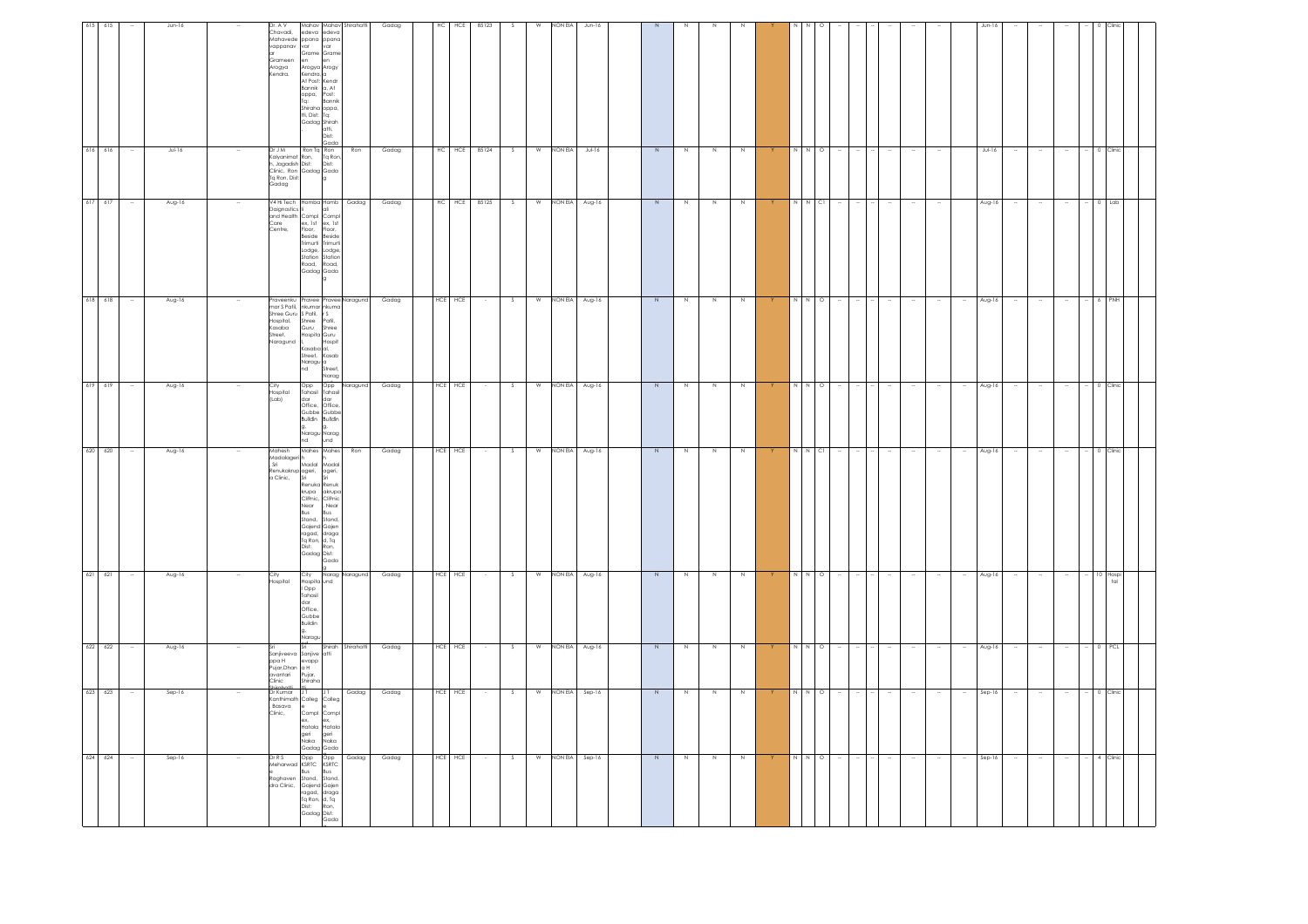| $\sim$      | Jun-16                         | Dr. A V<br>vappanav<br>Grameen<br>Arogya<br>Kendra,                                      | Mahav Mahav Shirahatti<br>Chavadi, edeva edeva<br>Mahavede ppana ppana<br>var<br>var<br>Grame Grame<br>en<br>Arogya Arogy<br>Kendra, a<br>At Post: Kendr<br>Bannik a, At<br>oppa,<br>Tq:<br>Post:<br>Bannik<br>Shiraha oppa,<br>tti, Dist: Tq:<br>Gadag Shirah<br>atti,<br>Dist:<br>Gada                                                       |                | Gadag |    |             | HC HCE 85123 | S      | W              | NON EIA | Jun-16   |                |                |                |                | $\mathbb N$    | $N$ 0   |  |        |        |        | $Jun-16$ |        |        |                      | 0 Clinic        |  |
|-------------|--------------------------------|------------------------------------------------------------------------------------------|------------------------------------------------------------------------------------------------------------------------------------------------------------------------------------------------------------------------------------------------------------------------------------------------------------------------------------------------|----------------|-------|----|-------------|--------------|--------|----------------|---------|----------|----------------|----------------|----------------|----------------|----------------|---------|--|--------|--------|--------|----------|--------|--------|----------------------|-----------------|--|
| $616$ 616   | $JU - 16$                      | Dr J M                                                                                   | Ron Tg Ron<br>Drum<br>Kalyanimat Ron, Ta Ron,<br>In Jagadish Dist:<br>Clinic, Ron Gadag Gada<br>Ta Ron, Dist: g<br>Gadag                                                                                                                                                                                                                       | Ron            | Gadag | HC |             | HCE 85124    | S      | W              | NON EIA | $Jul-16$ | $\overline{N}$ | N              | N              | $\mathbb N$    | N              | $\circ$ |  |        |        |        | $Jul-16$ |        |        |                      |                 |  |
| $617 - 617$ | Aug-16                         |                                                                                          | V4 Hi Tech Homba Homb<br>Daignostics<br>and Health Complete Complete Complete Complete Complete Complete Complete Complete Complete Complete Complete Complete Complete Complete Complete Complete Complete Complete Complete Complete Complete Complete C<br>Beside Beside<br>Trimurti Trimurti<br>Lodge, Lodge,<br>Road, Road,<br>Gadag Gada | Gadag          | Gadag | HC | HCE         | 85125        | S.     | W              | NON EIA | Aug-16   | N              | $\overline{N}$ | $\overline{N}$ | $\overline{N}$ | N N CI         |         |  |        |        |        | Aug-16   |        |        |                      | $0$ Lab         |  |
| $618$ 618   | Aug-16                         | .<br>Street,<br>Naragund                                                                 | Praveenku Pravee Pravee Naragund<br>nars Patil, nkumar iskumar<br>Shree Guru S Patil, r S<br>Hospital, Shree Patil,<br>Kasaba Guru Shree<br>Shree Patil,<br>Guru Shree<br>Hospita Guru<br>Hospit<br>.<br>Kasaba al,<br>Street, Kasab<br>Naragu a<br>nd<br>Street,<br>Narag                                                                     |                | Gadag |    | $HCE$ $HCE$ |              | S      | W              | NON EIA | Aug-16   | N              | N              | Z              | $\mathbb N$    | N              | $N$ 0   |  |        |        | $\sim$ | Aug-16   |        |        |                      |                 |  |
| 619 619     | ÷<br>Aug-16                    | City<br>Hospital<br>(Lab)                                                                | Opp Opp<br>Tahasil Tahasil<br>dar dar<br>Office, Office,<br>Gubbe Gubbe<br>Buildin Buildin<br>g,<br>g,<br>Naragu Narag<br>nd und                                                                                                                                                                                                               | Naragund       | Gadag |    | HCE HCE     |              | $\sim$ | $\overline{w}$ | NON EIA | Aug-16   | $\overline{N}$ | Z              | Z              | Z.             | N N O          |         |  | $\sim$ |        | $\sim$ | Aug-16   | $\sim$ |        |                      | $- 0$ Clinic    |  |
| 620 620     | Aug-16                         | Mahesh<br>Madalageri h<br>Sri<br>, an<br>Renukakrup ageri,<br>a Clinic, Sri<br>a Clinic, | Mahes Mahes<br>Madal Madal<br>ageri,<br>Sri<br><br>Renuka Renuk<br>krupa akrupa<br>Cli9nic,<br>Cli9nic<br>Near<br>Bus<br>, Near<br>Bus<br>Stand, Stand,<br>Gajend Gajen<br>ragad, draga<br>Tq Ron, d, Tq<br>Dist: Ron,<br>Gadag Dist:<br>Gada                                                                                                  | Ron            | Gadag |    | HCE HCE     |              | - S    | W              | NON EIA | Aug-16   | $\overline{N}$ | N              | N              | N              |                | $N$ C   |  |        |        |        | Aug-16   |        |        |                      |                 |  |
| $621$ $621$ | Aug-16<br>$\ddot{\phantom{a}}$ | City<br>Hospital                                                                         | City<br>Hospita und<br>l Opp<br>Tahasil<br>dar<br>Office,<br>Gubbe<br>Buildin<br>Naragu                                                                                                                                                                                                                                                        | Narag Naragund | Gadag |    | HCE HCE     |              | S      | W              | NON EIA | Aug-16   | $\overline{N}$ | N              | N              | N              | N              | N O     |  |        | $\sim$ | $\sim$ | Aug-16   | $\sim$ | $\sim$ | $\ddot{\phantom{a}}$ | 10 Hospi<br>tal |  |
| 622 622     | Aug-16                         | ppa H<br>Pujar, Dhan<br>avantari<br>Clinic                                               | Shirah<br>Sanjiveeva Sanjive atti<br>evapp<br>a H<br>Pujar,<br>Shiraha                                                                                                                                                                                                                                                                         | Shirahatti     | Gadag |    | HCE HCE     |              |        | W              | NON EIA | Aug-16   | $\overline{N}$ | N              | N              | N              |                | $\circ$ |  |        |        |        | Aug-16   |        |        |                      |                 |  |
| 623 623     | Sep-16                         | Dr Kumar<br>.com<br>, Basava<br>Clinic,                                                  | JT.<br>JT<br>Kanthimath Colleg Colleg<br>e e<br>Compl Compl<br>ex,<br>ex,<br>Hatala Hatala<br>geri geri<br>Naka Naka<br>Gadag Gada                                                                                                                                                                                                             | Gadag          | Gadag |    | HCE HCE     |              | s      | W              | NON EIA | Sep-16   | $\,N$          | N              | N              | N              | $\overline{N}$ | $\circ$ |  |        |        |        | Sep-16   |        |        |                      |                 |  |
| 624 624     | Sep-16<br>$\sim$               | DrRS<br>Meharwad<br>Raghaven<br>dra Clinic,                                              | Opp Opp<br><b>Bus</b><br>Bus<br>Stand,<br>Stand,<br>Gajend Gajen<br>Ta Ron, d, Ta<br>Ta Ron, d, Ta<br>Dist: Ron,<br>Gadag Dist:<br>Gada                                                                                                                                                                                                        | Gadag          | Gadag |    | HCE HCE     |              | S      | W              | NON EIA | Sep-16   | $\overline{N}$ | $\mathbb N$    | N              | N              | N              | N O     |  | $\sim$ | $\sim$ | $\sim$ | Sep-16   | $\sim$ | $\sim$ | $\sim$               | 4 Clinic        |  |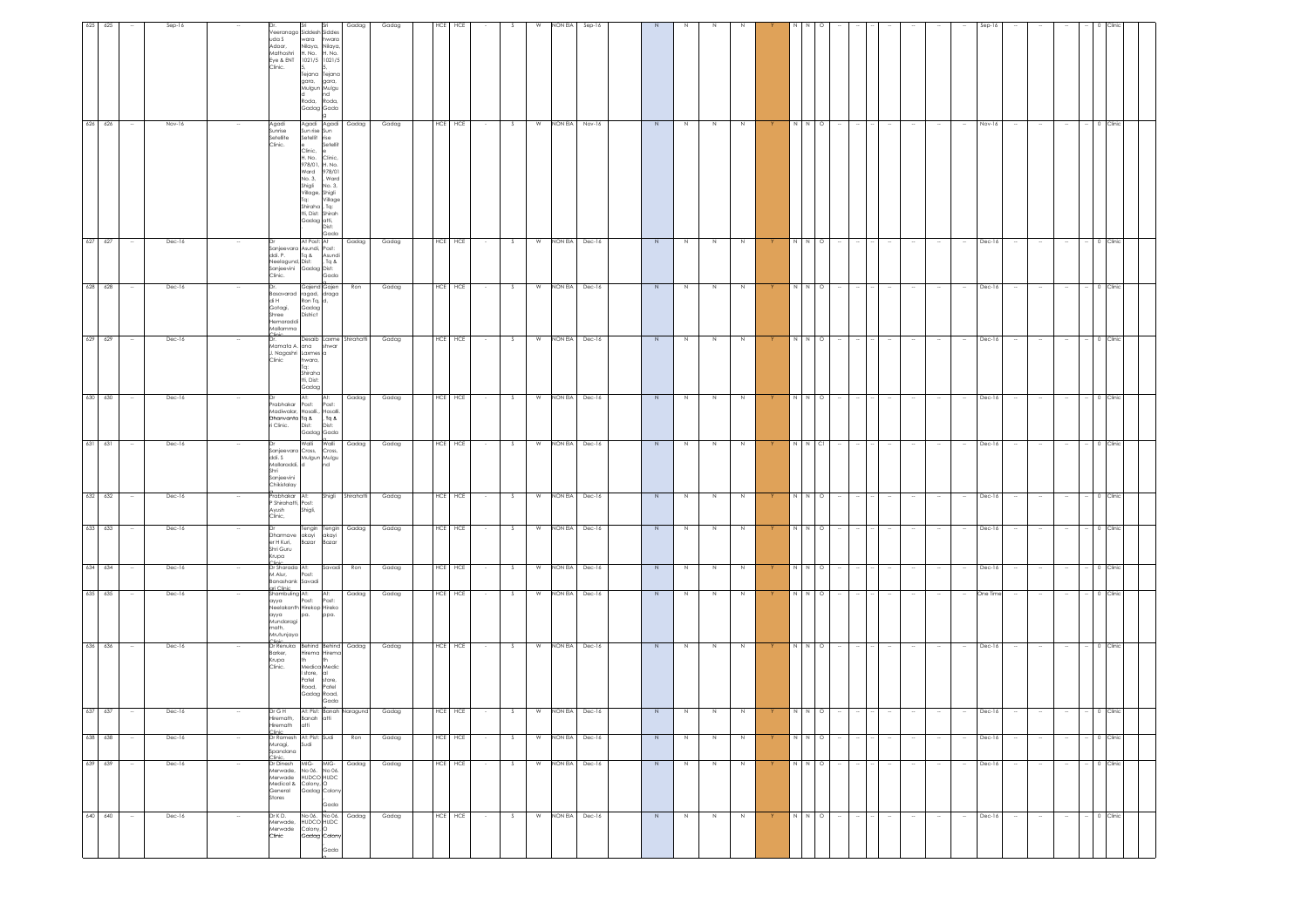|                                                                                                   |                                                                                                                                                      | 0 Clinic                                                                                     | 0 Clinic                                                                    |                                                 | 0 Clinic                                                                                                              |                                                                                          | 0 Clinic                                                | 0 Clinic                                                                                         | 0 Clinic                                      | 0 Clinic                                                                                                     |                                                                      |                                 | 0 Clinic                                        |                                                                                                                 | 0 Clinic                                       |
|---------------------------------------------------------------------------------------------------|------------------------------------------------------------------------------------------------------------------------------------------------------|----------------------------------------------------------------------------------------------|-----------------------------------------------------------------------------|-------------------------------------------------|-----------------------------------------------------------------------------------------------------------------------|------------------------------------------------------------------------------------------|---------------------------------------------------------|--------------------------------------------------------------------------------------------------|-----------------------------------------------|--------------------------------------------------------------------------------------------------------------|----------------------------------------------------------------------|---------------------------------|-------------------------------------------------|-----------------------------------------------------------------------------------------------------------------|------------------------------------------------|
|                                                                                                   |                                                                                                                                                      |                                                                                              |                                                                             |                                                 |                                                                                                                       | $-$ 0 Clinic                                                                             |                                                         |                                                                                                  |                                               |                                                                                                              |                                                                      |                                 |                                                 | $-$ 0 Clinic                                                                                                    |                                                |
|                                                                                                   |                                                                                                                                                      | $\sim$                                                                                       |                                                                             |                                                 | $\sim$                                                                                                                | $\sim$                                                                                   |                                                         | $\sim$                                                                                           | $\sim$                                        | $\sim$                                                                                                       |                                                                      |                                 | $\overline{\phantom{a}}$                        | $\sim$                                                                                                          | $\sim$                                         |
|                                                                                                   |                                                                                                                                                      | $\overline{\phantom{a}}$                                                                     |                                                                             |                                                 | $\sim$                                                                                                                | $\sim$                                                                                   |                                                         | $\sim$                                                                                           | $\sim$                                        | $\sim$                                                                                                       |                                                                      |                                 | $\overline{\phantom{a}}$                        | $\sim$                                                                                                          |                                                |
|                                                                                                   |                                                                                                                                                      | $\sim$                                                                                       |                                                                             |                                                 | $\sim$                                                                                                                | $\sim$                                                                                   | $\sim$                                                  | $\sim$                                                                                           | $\sim$                                        | $\sim$                                                                                                       |                                                                      |                                 | $\sim$                                          | $\sim$                                                                                                          | $\sim$                                         |
|                                                                                                   | Nov-16                                                                                                                                               | Dec-16                                                                                       | Dec-16                                                                      | Dec-16                                          | Dec-16                                                                                                                | Dec-16                                                                                   | Dec-16                                                  | Dec-16                                                                                           | Dec-16                                        | One Time                                                                                                     | Dec-16                                                               | Dec-16                          | Dec-16                                          | Dec-16                                                                                                          | Dec-16                                         |
|                                                                                                   |                                                                                                                                                      | $\sim$                                                                                       |                                                                             |                                                 | $\sim$                                                                                                                | $\sim$                                                                                   | $\sim$                                                  | $\sim$                                                                                           | $\sim$                                        | $\sim$                                                                                                       |                                                                      |                                 | $\sim$                                          | $\sim$                                                                                                          | $\sim$                                         |
|                                                                                                   |                                                                                                                                                      |                                                                                              |                                                                             |                                                 |                                                                                                                       | $\sim$                                                                                   |                                                         |                                                                                                  | $\sim$                                        |                                                                                                              |                                                                      |                                 |                                                 |                                                                                                                 |                                                |
|                                                                                                   |                                                                                                                                                      |                                                                                              |                                                                             |                                                 | $\sim$                                                                                                                | $\sim$                                                                                   | $\sim$                                                  |                                                                                                  | $\sim$                                        | $\sim$                                                                                                       |                                                                      |                                 | $\sim$                                          | $\sim$                                                                                                          |                                                |
|                                                                                                   |                                                                                                                                                      |                                                                                              |                                                                             |                                                 | $\sim$                                                                                                                | $\sim$                                                                                   | $\sim$                                                  |                                                                                                  | $\overline{\phantom{a}}$                      | $\sim$                                                                                                       |                                                                      |                                 |                                                 | $\sim$                                                                                                          |                                                |
|                                                                                                   |                                                                                                                                                      |                                                                                              |                                                                             |                                                 |                                                                                                                       |                                                                                          |                                                         |                                                                                                  |                                               |                                                                                                              |                                                                      |                                 |                                                 |                                                                                                                 |                                                |
|                                                                                                   |                                                                                                                                                      |                                                                                              |                                                                             |                                                 | $\sim$                                                                                                                | $\overline{\phantom{a}}$<br>$\overline{\phantom{a}}$                                     |                                                         |                                                                                                  | $\sim$                                        | $\sim$                                                                                                       |                                                                      |                                 |                                                 | $\sim$<br>$\sim$                                                                                                |                                                |
|                                                                                                   | $\circ$                                                                                                                                              | $N$ 0                                                                                        |                                                                             | $\circ$                                         |                                                                                                                       |                                                                                          | $N$ 0                                                   |                                                                                                  |                                               |                                                                                                              | $\circ$                                                              |                                 |                                                 |                                                                                                                 |                                                |
|                                                                                                   | N                                                                                                                                                    | $\overline{N}$                                                                               | N N O                                                                       |                                                 | NNO                                                                                                                   | $N$ $N$ $Cl$                                                                             | $\overline{N}$                                          | NNO                                                                                              | N N O                                         | NNO                                                                                                          |                                                                      |                                 | N N O                                           | N N O                                                                                                           | N N O                                          |
|                                                                                                   |                                                                                                                                                      |                                                                                              |                                                                             |                                                 |                                                                                                                       | Y.                                                                                       |                                                         |                                                                                                  | Y.                                            |                                                                                                              |                                                                      |                                 |                                                 |                                                                                                                 | Y.                                             |
|                                                                                                   | N                                                                                                                                                    | N                                                                                            | $\,N\,$                                                                     | N                                               | N                                                                                                                     | $\,N\,$                                                                                  | N                                                       | N                                                                                                | N                                             | N                                                                                                            | N                                                                    |                                 | N                                               | N                                                                                                               | N                                              |
|                                                                                                   | $\mathbb N$                                                                                                                                          | N                                                                                            | $\,N\,$                                                                     | N                                               | N                                                                                                                     | $\,$ N                                                                                   | N                                                       | N                                                                                                | N                                             | N                                                                                                            | N                                                                    | N                               | N                                               | N                                                                                                               | $\,N\,$                                        |
|                                                                                                   | N                                                                                                                                                    | N                                                                                            | N                                                                           | N                                               | N                                                                                                                     | N                                                                                        | N                                                       | N                                                                                                | N                                             | N                                                                                                            | N                                                                    | N                               | N                                               | N                                                                                                               | $\,N\,$                                        |
|                                                                                                   | N                                                                                                                                                    | $\overline{N}$                                                                               | N                                                                           | N                                               | N                                                                                                                     | N                                                                                        | N                                                       | N                                                                                                | N                                             | N                                                                                                            | $\overline{N}$                                                       | $\,N\,$                         | N                                               | N                                                                                                               | N                                              |
| Sep-16                                                                                            |                                                                                                                                                      |                                                                                              |                                                                             |                                                 |                                                                                                                       |                                                                                          |                                                         |                                                                                                  |                                               |                                                                                                              |                                                                      |                                 |                                                 |                                                                                                                 |                                                |
| NON EIA                                                                                           | NON EIA Nov-16                                                                                                                                       | NON EIA Dec-16                                                                               | NON EIA Dec-16                                                              | NON EIA<br>Dec-16                               | NON EIA Dec-16                                                                                                        | NON EIA Dec-16                                                                           | NON EIA Dec-16                                          | NON EIA Dec-16                                                                                   | NON EIA Dec-16                                | NON EIA Dec-16                                                                                               | NON EIA Dec-16                                                       | NON EIA Dec-16                  | NON EIA Dec-16                                  | NON EIA Dec-16                                                                                                  | NON EIA Dec-16                                 |
|                                                                                                   |                                                                                                                                                      |                                                                                              |                                                                             |                                                 |                                                                                                                       |                                                                                          |                                                         |                                                                                                  |                                               |                                                                                                              |                                                                      |                                 |                                                 |                                                                                                                 |                                                |
| W                                                                                                 | W                                                                                                                                                    | W                                                                                            | W                                                                           | W                                               | <b>W</b>                                                                                                              | W                                                                                        | w                                                       | W                                                                                                | W                                             | W                                                                                                            | W                                                                    | W                               | W                                               | W                                                                                                               | W                                              |
|                                                                                                   |                                                                                                                                                      | S.                                                                                           | S.                                                                          | s.                                              | S                                                                                                                     | S                                                                                        | S                                                       | S.                                                                                               | S                                             | S.                                                                                                           | s                                                                    | S                               | S                                               | S.                                                                                                              | S                                              |
|                                                                                                   |                                                                                                                                                      | $\sim$                                                                                       |                                                                             |                                                 | $\sim$                                                                                                                | $\sim$                                                                                   |                                                         | $\sim$                                                                                           | $\sim$                                        | $\sim$                                                                                                       |                                                                      | $\sim$                          | $\sim$                                          | $\sim$                                                                                                          | $\sim$                                         |
| HCE                                                                                               | HCE HCE                                                                                                                                              | HCE HCE                                                                                      | HCE HCE                                                                     | HCE                                             | HCE HCE                                                                                                               | HCE HCE                                                                                  | HCE HCE                                                 | HCE HCE                                                                                          | HCE HCE                                       | HCE HCE                                                                                                      | HCE HCE                                                              | HCE HCE                         | HCE HCE                                         | HCE HCE                                                                                                         | HCE HCE                                        |
| HCE                                                                                               |                                                                                                                                                      |                                                                                              |                                                                             | HCE                                             |                                                                                                                       |                                                                                          |                                                         |                                                                                                  |                                               |                                                                                                              |                                                                      |                                 |                                                 |                                                                                                                 |                                                |
|                                                                                                   |                                                                                                                                                      |                                                                                              |                                                                             |                                                 |                                                                                                                       |                                                                                          |                                                         |                                                                                                  |                                               |                                                                                                              |                                                                      |                                 |                                                 |                                                                                                                 |                                                |
| Gadag                                                                                             | Gadag                                                                                                                                                | Gadag                                                                                        | Gadag                                                                       | Gadag                                           | Gadag                                                                                                                 | Gadag                                                                                    | Gadag                                                   | Gadag                                                                                            | Gadag                                         | Gadag                                                                                                        | Gadag                                                                | Gadag                           | Gadag                                           | Gadag                                                                                                           | Gadag                                          |
| Gadag                                                                                             | Gadag                                                                                                                                                | Gadag                                                                                        | Ron                                                                         | Desaib Laxme Shirahatti                         | Gadag                                                                                                                 | Gadag                                                                                    | Shigli Shirahatti                                       |                                                                                                  | Ron                                           | Gadag                                                                                                        |                                                                      | At: Pist: Banah Naragund        | Ron                                             | Gadag                                                                                                           | No.06. No.06. Gadag<br>HUDCO HUDC<br>Colony, O |
| wara hwara<br>Nilaya, Nilaya,<br>Tejana Tejana<br>Mulgun Mulgu<br>nd<br>Roda, Roda,<br>Gadag Gada | Agadi Agadi<br>e Setellit<br>Clinic, e<br>H. No. Clinic,<br>978/01, H. No.<br>Ward 978/01<br>, Ward<br>Village<br>tti, Dist: Shirah<br>Dist:<br>Gada | Tq & Asundi<br>. Tq &<br>Gada                                                                |                                                                             | shwar                                           | At:<br>Gadag Gada                                                                                                     | Walli<br>nd                                                                              |                                                         |                                                                                                  | Savadi                                        | At:<br>Post:<br>ppa.                                                                                         | Hirema Hiremo<br>th<br>Medica Medic<br>store,<br>Gadag Road,<br>Gada |                                 |                                                 | Gadag Colony<br>Gada                                                                                            | Gadag Colony<br>Gada                           |
| H. No. H. No.<br>gara, gara,                                                                      | Sun rise Sun<br>Setellit rise<br>No. 3,<br>Shigli<br>Village, Shigli<br>Tq:<br>Shiraha , Tq:<br>Gadag atti,                                          | At Post: At                                                                                  | Gajend Gajen<br>Ron Tq, d,<br>Gadag<br>District                             | hwara,<br>Tq:<br>Shiraha<br>tti, Dist:<br>Gadag | At:                                                                                                                   | Walli<br>Mulgun Mulgu                                                                    | Shigli,                                                 |                                                                                                  | Post:                                         | Post:<br>pa.                                                                                                 | I store, al<br>Patel<br>Road, Patel                                  | Banah atti<br>otti              | Sudi                                            |                                                                                                                 |                                                |
| /eeranago Siddesh Siddes<br>uda S<br>Adoor.<br>Mathoshri<br>Eye & ENT 1021/5 1021/5<br>Clinic.    | Agadi<br>Sunrise<br>Setellite<br>Clinic.                                                                                                             | Sanjeevara Asundi, Post:<br>ddi. P.<br>Neelagund, Dist:<br>Sanjeevini Gadag Dist:<br>Clinic. | Basavarad ragad, draga<br>di H<br>Gotagi,<br>Shree<br>Hemaraddi<br>Mallamma | Mamata A. ana<br>I. Nagashri Laxmes a<br>Clinic | Prabhakar Post: Post:<br>Madiwalar, Hosalli., Hosalli.<br>Dhanvanta Tq & Tq &<br>ri Clinic. Dist: Dist:<br>ri Clinic. | Sanjeevara Cross, Cross,<br>ddi. S<br>Mallaraddi, d<br>Shri<br>Sanjeevini<br>Chikistalay | rabhakar At:<br>P Shirahatti, Post:<br>Ayush<br>Clinic, | Dr - Tengin Tengin Gadag<br>Dharmave akayi akayi<br>er H.Kuri, Bazar Bazar<br>Shri Guru<br>Krupa | Dr Sharada At:<br>M Alur,<br>Banashank Savadi | ri Clinic<br>Shambuling At:<br>аууа<br>Neelakanth Hirekop Hireko<br>аууа<br>Mundaragi<br>math,<br>Mrutunjaya | Dr Renuka Behind Behind Gadag<br>Barker,<br>Krupa<br>Clinic.         | Dr G H<br>Hiremath,<br>Hiremath | Dr Ramesh At: Pist: Sudi<br>Muragi,<br>Spandana | Dr Dinesh MIG- MIG-<br>Merwade, No 06. No 06.<br>Merwade HUDCO HUDC<br>Medical & Colony, O<br>General<br>Stores | Dr K D.<br>Merwade,<br>Merwade<br>Clinic       |
|                                                                                                   |                                                                                                                                                      |                                                                                              |                                                                             |                                                 |                                                                                                                       |                                                                                          |                                                         |                                                                                                  |                                               |                                                                                                              |                                                                      |                                 |                                                 | $\sim$                                                                                                          | $\sim$                                         |
|                                                                                                   |                                                                                                                                                      |                                                                                              |                                                                             |                                                 |                                                                                                                       |                                                                                          |                                                         |                                                                                                  |                                               |                                                                                                              |                                                                      |                                 |                                                 |                                                                                                                 |                                                |
| Sep-16                                                                                            | Nov-16                                                                                                                                               | Dec-16                                                                                       | Dec-16                                                                      | Dec-16                                          | Dec-16                                                                                                                | Dec-16                                                                                   | Dec-16                                                  | Dec-16                                                                                           | Dec-16                                        | Dec-16                                                                                                       | Dec-16                                                               | Dec-16                          | Dec-16                                          | Dec-16                                                                                                          | Dec-16                                         |
|                                                                                                   |                                                                                                                                                      | $\sim$                                                                                       |                                                                             | $\overline{\phantom{a}}$                        | - 11                                                                                                                  | $\sim$                                                                                   | $\sim$                                                  | $\sim$                                                                                           | $\sim$                                        | $\sim$                                                                                                       |                                                                      | ÷                               | $\sim$                                          | $\sim$                                                                                                          | $\sim$                                         |
| 625 625                                                                                           | 626 626                                                                                                                                              | 627 627                                                                                      | 628 628                                                                     | 629 629                                         | 630 630                                                                                                               | 631 631                                                                                  | 632 632                                                 | 633 633                                                                                          | 634 634                                       | 635 635                                                                                                      | 636 636                                                              | 637<br>637                      | 638 638                                         | 639 639                                                                                                         | 640 640                                        |
|                                                                                                   |                                                                                                                                                      |                                                                                              |                                                                             |                                                 |                                                                                                                       |                                                                                          |                                                         |                                                                                                  |                                               |                                                                                                              |                                                                      |                                 |                                                 |                                                                                                                 |                                                |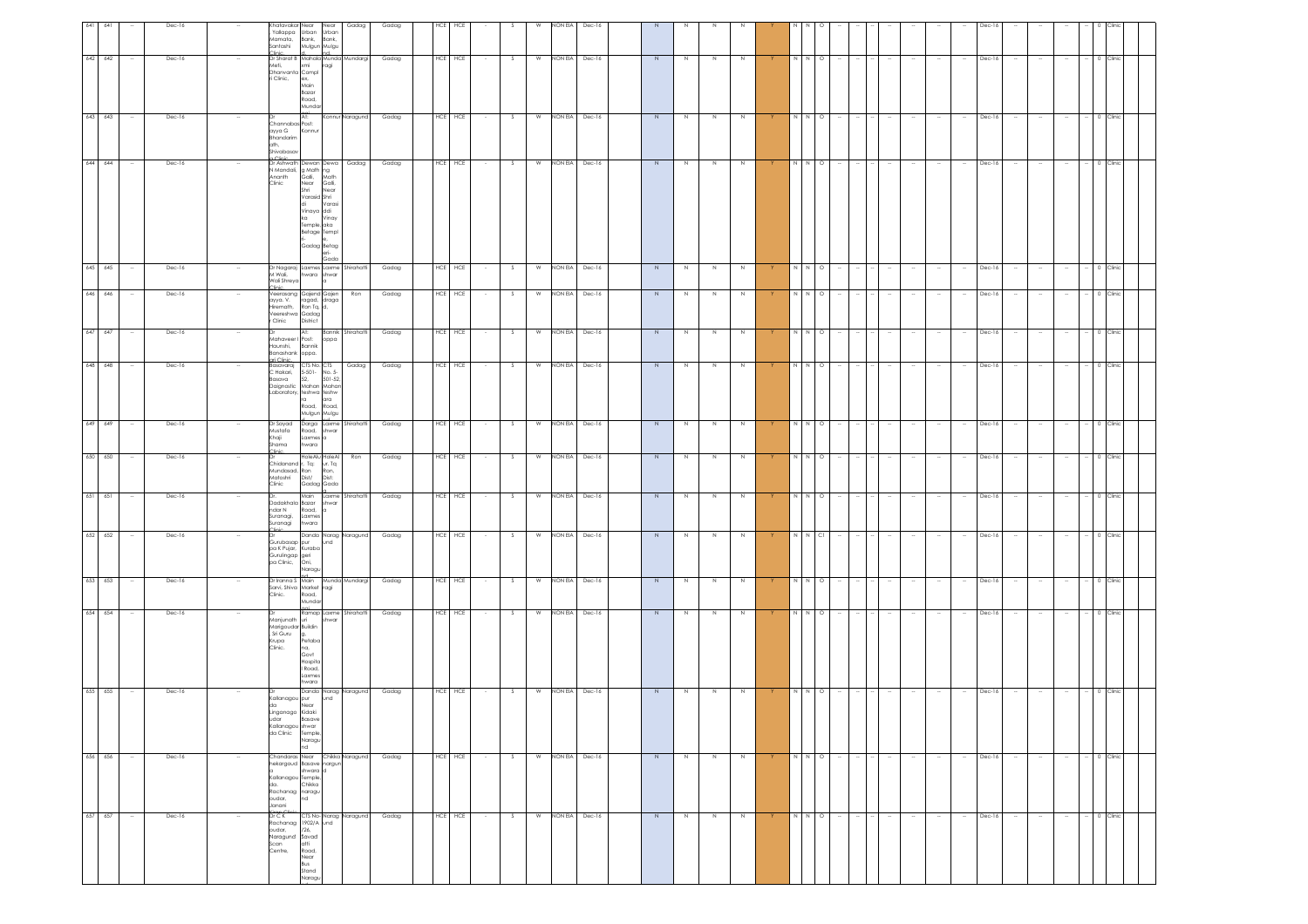| 641 | 641     |        | Dec-16 | Khatavakar Near<br>Yallappa<br>Mamata,<br>Santashi                                            | Urban Urban<br>Bank,<br>Mulgun Mulgu                                                                                                                         | Near<br>Bank,          | Gadag | Gadag |            |               |    |                | NON EIA | Dec-16           |                |                |             |         |          |                                                                                                                                                                                                                                                                                                                                                                                                                                        |         |                          |        |                                    |        |        |          |                  |        |                          |              |          |  |
|-----|---------|--------|--------|-----------------------------------------------------------------------------------------------|--------------------------------------------------------------------------------------------------------------------------------------------------------------|------------------------|-------|-------|------------|---------------|----|----------------|---------|------------------|----------------|----------------|-------------|---------|----------|----------------------------------------------------------------------------------------------------------------------------------------------------------------------------------------------------------------------------------------------------------------------------------------------------------------------------------------------------------------------------------------------------------------------------------------|---------|--------------------------|--------|------------------------------------|--------|--------|----------|------------------|--------|--------------------------|--------------|----------|--|
|     | 642 642 |        | Dec-16 | Clinic d nd nd<br>Dr Sharat B Mahala Munda Mundargi<br>Meti,<br>Dhanvanta Compl<br>ri Clinic, | xmi ragi<br>ex,<br>Main<br>Bazar<br>Road,<br>Mundar                                                                                                          |                        |       | Gadag | HCE HCE    |               | s  | W              | NON EIA | Dec-16           | $\overline{N}$ | $\,$ N         | $\mathbb N$ | N       |          |                                                                                                                                                                                                                                                                                                                                                                                                                                        | $N$ 0   |                          |        |                                    |        |        | $Dec-16$ |                  |        |                          |              | Clinic   |  |
|     | 643 643 | $\sim$ | Dec-16 | Channabas Post:<br>ayya G<br>Bhandarim<br>ath,<br>Shivabasav                                  | At:<br>Konnur                                                                                                                                                | Konnur Naragund        |       | Gadag | HCE HCE    | $\sim$        | S. | W              | NON EIA | Dec-16           | N              | N              | N           | N       |          | N N O                                                                                                                                                                                                                                                                                                                                                                                                                                  |         | $\overline{\phantom{a}}$ |        |                                    |        |        | Dec-16   | $\sim$           | $\sim$ | $\sim$                   | $-$ 0 Clinic |          |  |
|     | 644 644 |        | Dec-16 | Dr Ashwath<br>N Mandali,<br>Ananth<br>Clinic                                                  | Dewan Dewa<br>g Math ng<br>Galli, Math<br>Near Galli,<br>Shri<br>Varasid Shri<br>di<br>Vinaya ddi<br>ka<br>Temple, aka<br>Betage Templ<br>le.<br>Gadag Betag | Varas<br>Vinay<br>Gada | Gadag | Gadag | HCE HCE    |               | S  |                |         | W NON EIA Dec-16 | N              | N              | $\,$ N      | $\,N\,$ |          | N N O                                                                                                                                                                                                                                                                                                                                                                                                                                  |         |                          |        |                                    |        |        | Dec-16   |                  |        |                          |              | 0 Clinic |  |
|     | 645 645 | $\sim$ | Dec-16 | Dr Nagaraj Laxmes Laxme Shirahatti<br>M Wali,<br>Wali Shreya<br>Clinic.                       | hwara shwar<br>$\alpha$                                                                                                                                      |                        |       | Gadag | HCE HCE    | $\sim$        | S  | <b>W</b>       |         | NON EIA Dec-16   | N              | N              | N           | N       | <b>Y</b> | NNO                                                                                                                                                                                                                                                                                                                                                                                                                                    |         | $\sim$                   | $  -$  | $\sim$                             | $\sim$ | $\sim$ | Dec-16   | $\sim$ 100 $\mu$ | $\sim$ | $\sim$                   | $-$ 0 Clinic |          |  |
|     | 646 646 |        | Dec-16 | Veerasang<br>ayya. V.<br>Hiremath,<br>r Clinic                                                | Gajend Gajen<br>ragad, draga<br>Ron Tq, d,<br>Veereshwa Gadag<br>District                                                                                    |                        | Ron   | Gadag | HCE HCE    |               | S  | W              |         | NON EIA Dec-16   | $\overline{N}$ | $\overline{z}$ | $\,N\,$     | $\,N\,$ |          | $\begin{array}{ccc} N & N & O \end{array}$                                                                                                                                                                                                                                                                                                                                                                                             |         |                          |        |                                    |        |        | Dec-16   |                  |        |                          |              | 0 Clinic |  |
|     | 647 647 | $\sim$ | Dec-16 | Dr<br>Haunshi,<br>Banashank oppa.<br>ari Clinic                                               | At:<br>Mahaveer I Post:   oppa<br>Bannik                                                                                                                     | Bannik Shirahatti      |       | Gadag | HCE HCE    | $\sim$        | S  | <b>W</b>       |         | NON EIA Dec-16   | N              | N              | N           | N       | Y.       | NNO                                                                                                                                                                                                                                                                                                                                                                                                                                    |         | $\sim$                   | $\sim$ | $\sim$<br>$\sim$                   | $\sim$ | $\sim$ | Dec-16   | $\sim$           | $\sim$ | $\overline{\phantom{a}}$ | $-$ 0 Clinic |          |  |
|     | 648 648 |        | Dec-16 | Basavaraj<br>C Hakari,<br>Basava<br>Daignostic                                                | CTS No. CTS<br>5-501- No. 5-<br>52, 501-52,<br>Mahan Mahan<br>Laboratory, teshwa teshw<br>ra<br>Road. Road.<br>Mulgun Mulgu                                  | ara                    | Gadag | Gadag | HCE HCE    |               | S  | W              |         | NON EIA Dec-16   | N              | N              | N           | N       |          | N N O                                                                                                                                                                                                                                                                                                                                                                                                                                  |         |                          |        |                                    |        |        | Dec-16   |                  |        |                          | 0 Clinic     |          |  |
|     | 649 649 |        | Dec-16 | Dr Sayad<br>Mustafa<br>Khaji<br>Shama<br>Clinic                                               | Darga Laxme Shirahatti<br>Road, shwar<br>Laxmes a<br>hwara                                                                                                   |                        |       | Gadag | HCE HCE    |               | S  | $\overline{w}$ |         | NON EIA Dec-16   | $\overline{N}$ | $\overline{z}$ | $\,$ N      | N       |          | $\frac{1}{2}$                                                                                                                                                                                                                                                                                                                                                                                                                          |         |                          |        |                                    |        |        | Dec-16   |                  |        |                          | 0 Clinic     |          |  |
|     | 650 650 |        | Dec-16 | Mundasad, Ron<br>Matoshri<br>Clinic                                                           | HoleAlu HoleAl<br>Chidanand r, Tq: ur. Tq<br>Dist/<br>Gadag Gada                                                                                             | Ron,<br>Dist:          | Ron   | Gadag | HCE HCE    |               | s  | W              | NON EIA | Dec-16           | N              | $\,$ N         | $\mathbb N$ | N       |          |                                                                                                                                                                                                                                                                                                                                                                                                                                        | $\circ$ |                          |        |                                    |        |        | $Dec-16$ |                  |        |                          |              | :linic   |  |
|     | 651 651 |        | Dec-16 | ndar N<br>Suranagi,<br>Suranagi<br>linin <sub>-</sub>                                         | Dadakhala Bazar shwar<br>Road, a<br>Laxmes<br>hwara                                                                                                          | Main Laxme Shirahatti  |       | Gadag | HCE HCE    |               | S  | W              |         | NON EIA Dec-16   | N              | N              | $\mathbb N$ | N       |          | N N O                                                                                                                                                                                                                                                                                                                                                                                                                                  |         |                          |        |                                    |        |        | Dec-16   |                  |        |                          | $^{\circ}$   | Clinic   |  |
|     | 652 652 | $\sim$ | Dec-16 | pa K Pujar, Kuraba<br>Gurulingap geri<br>pa Clinic, Oni,<br>pa Clinic,                        | Danda Narag Naragund<br>Gurubasap pur und<br>Naragu                                                                                                          |                        |       | Gadag | HCE HCE    |               | S. |                |         | W NON EIA Dec-16 | N              | N              | N           | N       |          | $N$ $N$ $Cl$                                                                                                                                                                                                                                                                                                                                                                                                                           |         | $\sim$                   |        |                                    | $\sim$ |        | Dec-16   | $\sim$           | $\sim$ | $\sim$                   | $-$ 0 Clinic |          |  |
|     | 653 653 |        | Dec-16 | Clinic.                                                                                       | Dr Iranna S Main Munda Mundargi<br>Sarvi, Shiva Market ragi<br>Road,<br>Mundar                                                                               |                        |       | Gadag | HCE HCE    |               | S  | W              |         | NON EIA Dec-16   | $\overline{N}$ | $\geq$         | N           | N       |          | N N O                                                                                                                                                                                                                                                                                                                                                                                                                                  |         | $\overline{\phantom{a}}$ |        |                                    |        |        | Dec-16   |                  | $\sim$ | $\sim$                   | 0 Clinic     |          |  |
|     | 654 654 |        | Dec-16 | Manjunath<br>Marigoudar Buildin<br>, Sri Guru<br>Krupa<br>Clinic.                             | Ramap Laxme Shirahatti<br>uri<br>Petaba<br>na,<br>Govt<br>Hospita<br>I Road,<br>.axmes<br>hwara                                                              | shwar                  |       | Gadag | HCE HCE    |               | S  | W              | NON EIA | Dec-16           | $\overline{N}$ | $\frac{1}{2}$  | N           | N       |          | $\begin{array}{c c} \mathbf{X} & \mathbf{X} & \mathbf{X} \\ \mathbf{X} & \mathbf{X} & \mathbf{X} \\ \mathbf{X} & \mathbf{X} & \mathbf{X} \\ \mathbf{X} & \mathbf{X} & \mathbf{X} \\ \mathbf{X} & \mathbf{X} & \mathbf{X} \\ \mathbf{X} & \mathbf{X} & \mathbf{X} \\ \mathbf{X} & \mathbf{X} & \mathbf{X} \\ \mathbf{X} & \mathbf{X} & \mathbf{X} \\ \mathbf{X} & \mathbf{X} & \mathbf{X} \\ \mathbf{X} & \mathbf{X} & \mathbf{X} \\ \$ |         |                          |        |                                    |        |        | Dec-16   |                  | $\sim$ |                          | $-$ 0 Clinic |          |  |
|     | 655 655 | $\sim$ | Dec-16 | da<br>Linganago Kidaki<br>udar<br>Kallanagou shwar<br>da Clinic                               | Danda Narag Naragund<br>Kallanagou pur und<br>Near<br><b>Basave</b><br>Temple,<br>Naragu<br>nd                                                               |                        |       | Gadag | HCE HCE    |               | S  | $\overline{w}$ |         | NON EIA Dec-16   | N              | $\mathbb N$    | $\mathbb N$ | N       |          |                                                                                                                                                                                                                                                                                                                                                                                                                                        | N O     |                          |        |                                    |        |        | Dec-16   | $\sim$           |        |                          |              | 0 Clinic |  |
|     | 656 656 |        | Dec-16 | Kallanagou<br>da.<br>Rachanag naragu<br>oudar,<br>Janani                                      | Chandaras Near Chikka Naragund<br>hekargoud Basave nargun<br>shwara d<br>Temple,<br>Chikka<br>nd                                                             |                        |       | Gadag | HCE HCE    |               | S  | W              |         | NON EIA Dec-16   | $\overline{N}$ | Z              | Z           | Z       |          | $\begin{array}{c c} \mathbf{X} & \mathbf{X} & \mathbf{X} \\ \mathbf{X} & \mathbf{X} & \mathbf{X} \\ \mathbf{X} & \mathbf{X} & \mathbf{X} \\ \mathbf{X} & \mathbf{X} & \mathbf{X} \\ \mathbf{X} & \mathbf{X} & \mathbf{X} \\ \mathbf{X} & \mathbf{X} & \mathbf{X} \\ \mathbf{X} & \mathbf{X} & \mathbf{X} \\ \mathbf{X} & \mathbf{X} & \mathbf{X} \\ \mathbf{X} & \mathbf{X} & \mathbf{X} \\ \mathbf{X} & \mathbf{X} & \mathbf{X} \\ \$ |         |                          |        |                                    | $\sim$ |        | Dec-16   | $\sim$           | $\sim$ | $\sim$                   |              | 0 Clinic |  |
|     | 657 657 | $\sim$ | Dec-16 | Dr C K<br>oudar,<br>Naragund<br>Scan <sup>-</sup><br>Centre,                                  | Rachanag 1902/A und<br>126.<br>Savad<br>atti<br>Road,<br>Near<br>Bus<br>Stand<br>Naragu                                                                      | CTS No- Narag Naragund |       | Gadag | <b>HCE</b> | HCE<br>$\sim$ | S. | W              |         | NON EIA Dec-16   | N              | N              | N           | N       |          | NNO                                                                                                                                                                                                                                                                                                                                                                                                                                    |         | $\sim$                   |        | $\overline{\phantom{a}}$<br>$\sim$ | $\sim$ |        | Dec-16   | $\sim$           | $\sim$ | $\sim$                   | 0 Clinic     |          |  |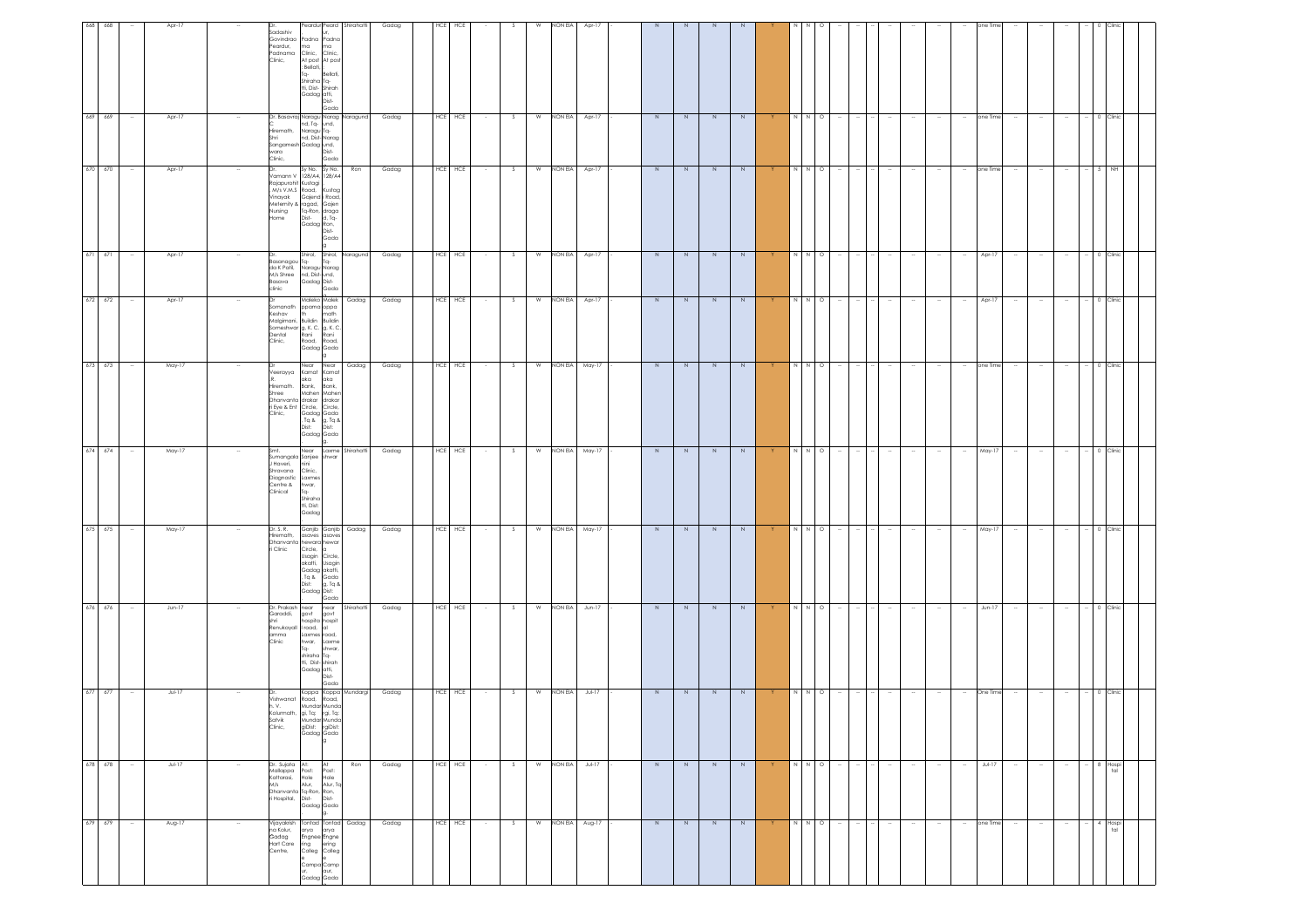| N<br>N N O<br>May-17<br>- 0 Clinic<br>N<br>N<br>N<br>$\sim$<br>$\sim$<br>$\sim$<br>$\sim$<br>$\sim$<br>$\sim$<br>$\sim$<br>$\sim$                                                              |
|------------------------------------------------------------------------------------------------------------------------------------------------------------------------------------------------|
|                                                                                                                                                                                                |
|                                                                                                                                                                                                |
|                                                                                                                                                                                                |
| $\overline{N}$<br>$\overline{N}$<br>N N O<br>May-17<br>$-$ 0 Clinic<br>$\sim$<br>$\sim$<br>$\sim$<br>$\sim$<br>$\sim$<br>$\sim$                                                                |
| N<br>$\overline{N}$<br>$\overline{N}$<br>$N$ $N$<br>$Jun-17$<br>0 Clinic<br>N<br>$\circ$<br>$\sim$<br>$\overline{\phantom{a}}$                                                                 |
| $\begin{array}{c c} \mathbb{N} & \mathbb{N} & \mathbb{O} \end{array}$<br>One Time<br>$-$ 0 Clinic<br>N<br>N<br>Y<br>$\sim$<br>$\sim$ $\sim$<br>$\sim$<br>$\sim$                                |
| $\overline{N}$<br>$\overline{N}$<br>N<br>N<br>$Jul-17$<br>N<br>N N<br>$\circ$<br>N<br>N<br>N<br>$\sim$<br>$\sim$<br>$\sim$<br>$\sim$<br>8 Hospi<br>$\sim$<br>$\sim$<br>$\sim$<br>$\sim$<br>tal |

g.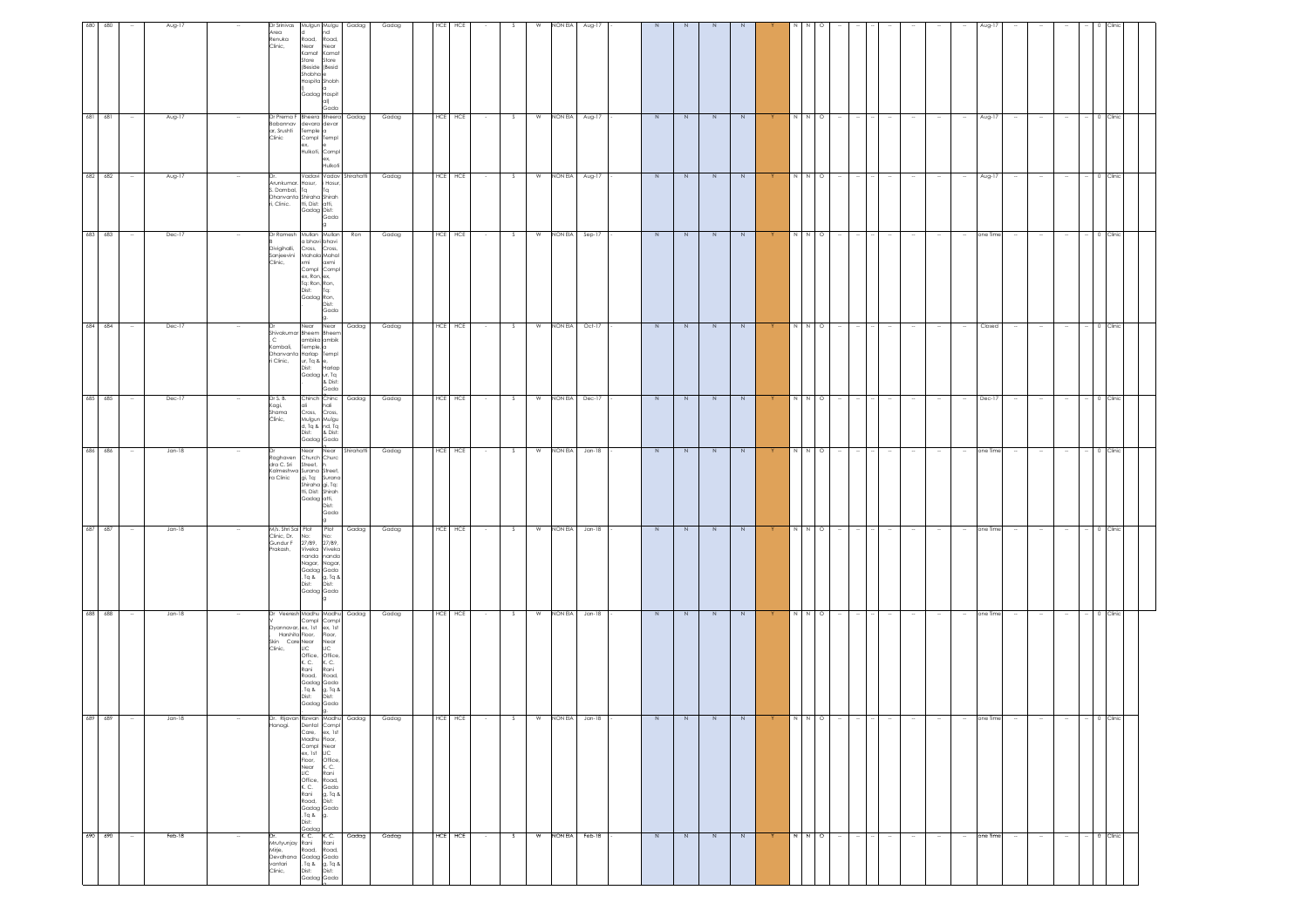| 680<br>680 |                          | Aug-17   |        | Dr Srinivas<br>Mulgun Mulgu<br>Area<br>Renuka<br>Road,<br>Clinic,<br>Near<br>Kamat Kamat<br>Store<br>(Beside (Besid<br>Shobha <sup>e</sup><br>Hospita Shobh<br>la.<br>Gadag Hospit                                                                                          | Gadag<br>hd<br>Road,<br>Near<br>Store<br> q <br>Gada | Gadag | HCE | HCE     |            |              | NON EIA<br>W | Aug-17         |                |                |                |                |          |                                                        |         |                  |        |                  |                          | Aug-1    |        |        |        |              |          |  |
|------------|--------------------------|----------|--------|-----------------------------------------------------------------------------------------------------------------------------------------------------------------------------------------------------------------------------------------------------------------------------|------------------------------------------------------|-------|-----|---------|------------|--------------|--------------|----------------|----------------|----------------|----------------|----------------|----------|--------------------------------------------------------|---------|------------------|--------|------------------|--------------------------|----------|--------|--------|--------|--------------|----------|--|
| 681 681    | $\sim$                   | Aug-17   |        | Dr Prema F Bheera Bheera<br>Babannav<br>devara devar<br>ar, Srushti<br>Temple a<br>Clinic<br>Compl Templ<br>ex,<br>Hulkoti, Compl                                                                                                                                           | Gadag<br>ex,<br>Hulkoti                              | Gadag | HCE | HCE     | $\sim$     | s.           | NON EIA<br>W | Aug-17         | N              | N              | N              | N              |          | N N                                                    | $\circ$ | $\sim$           |        | $\sim$<br>$\sim$ | $\sim$                   | Aug-17   | $\sim$ | $\sim$ | $\sim$ | 0 Clinic     |          |  |
| 682 682    | $\overline{\phantom{a}}$ | Aug-17   |        | Arunkumar. Hosur, i Hosur,<br>S. Dambal,<br>Ta<br>Dhanvanta Shiraha Shirah<br>i, Clinic.<br>tti, Dist: atti,<br>Gadag Dist:                                                                                                                                                 | Vadavi Vadav Shirahatti<br>Ta<br>Gada                | Gadag |     | HCE HCE |            | S            | NON EIA<br>w | Aug-17         | N              | N              | N              | N              |          | IN I                                                   | N O     |                  | - 14   |                  | $\sim$                   | Aug-17   | $\sim$ |        |        | 0 Clinic     |          |  |
| 683 683    | $\overline{\phantom{a}}$ | Dec-17   | $\sim$ | Dr Ramesh Mullan Mullan<br>a bhavi bhavi<br>Cross, Cross,<br>Divigihalli,<br>Sanjeevini<br>Clinic,<br>Mahala Mahal<br>xmi<br>Compl Compl<br>ex, Ron, ex,<br>Tg: Ron, Ron,<br>Dist: Tq:<br>Cadag Ron,<br>Cadag Ron,                                                          | Ron<br>Gada                                          | Gadag |     | HCE HCE |            | S.           | W<br>NON EIA | Sep-17         | N              | N              | N              | N              | Y        | N N O                                                  |         |                  |        |                  | $\sim$                   | one Time | $\sim$ |        |        | 0 Clinic     |          |  |
| 684 684    |                          | Dec-17   |        | Near Near<br>Shivakumar Bheem Bheem<br>$\mathsf{C}$<br>ambika ambik<br>Kambali,<br>Temple, a<br>Dhanvanta Harlap Templ<br>ri Clinic,<br>ur, Tq & e,<br>Dist:<br>Gadag ur, Tq                                                                                                | Gadag<br>Harlap<br>& Dist:<br>Gada                   | Gadag | HCE | HCE     |            | <sub>S</sub> | NON EIA<br>W | $Oct-17$       | $\geq$         | N              | $\,$ N         | $\,N$          |          |                                                        | $\circ$ |                  |        |                  |                          | Closed   |        |        |        |              | Clinic   |  |
| 685 685    | $\overline{\phantom{a}}$ | Dec-17   |        | Dr S. B.<br>Chinch Chinc<br>Kagi,<br>Shama<br>Clinic,<br>Cross,<br>Mulgun Mulgu<br>d, Tq & nd, Tq<br>Dist: & Dist:<br>Gadag Gada                                                                                                                                            | Gadag<br>hali<br>Cross,                              | Gadag |     | HCE HCE |            | S            | W<br>NON EIA | Dec-17         | $\overline{N}$ | $\frac{1}{2}$  | $\overline{N}$ | $\overline{N}$ |          | N N O                                                  |         |                  |        | $\sim$           | $\sim$                   | Dec-17   | $\sim$ | $\sim$ | $\sim$ | 0 Clinic     |          |  |
| 686 686    | $\sim$                   | $Jan-18$ |        | Church Churc<br>Raghaven<br>dra C. Sri<br>Street, h<br>Kalmeshwa Surana Street,<br>ra Clinic<br>gi, Tq: Surana<br>Shiraha gi, Ta:<br>tti, Dist: Shirah<br>Gadag atti,<br>Dist:<br>l9                                                                                        | Near Near Shirahaffi<br>Gada                         | Gadag |     | HCE HCE | $\sim$ $-$ | s.           | <b>W</b>     | NON EIA Jan-18 | N              | N              | N              | N              | Y.       | NNO                                                    |         | $\sim$<br>$\sim$ | $\sim$ | $\sim$<br>$\sim$ | $\sim$                   | one Time | $\sim$ | $\sim$ | $\sim$ | $-$ 0 Clinic |          |  |
| 687 687    | $\sim$                   | $Jan-18$ |        | M/s. Shri Sai Plot Plot<br>Clinic, Dr.<br>No:<br>Gundur F<br>27/B9, 27/B9,<br>Prakash,<br>Viveka Viveka<br>nanda nanda<br>Nagar, Nagar,<br>Gadag Gada<br>, Tq & g, Tq &<br>Dist: Dist:<br>Gadag Gada                                                                        | Gadag<br>No:                                         | Gadag |     | HCE HCE |            | $\sim$       | W<br>NON EIA | $Jan-18$       | $\overline{N}$ | $\overline{N}$ | $\overline{N}$ | $\overline{N}$ |          | $\begin{array}{c c}\nx & x & 0 \\ \hline\n\end{array}$ |         |                  | $\sim$ | $\sim$           | $\sim$                   | one Time | $\sim$ | $\sim$ | $\sim$ | 0 Clinic     |          |  |
| 688 688    | $\sim$                   | $Jan-18$ |        | Dr Veeresh Madhu Madhu Gadag<br>Compl Compl<br>Dyannavar, ex. 1st ex. 1st<br>Box Harshita Floor, Floor,<br>Skin Care Near Near<br>Clinic, LIC LIC<br>Office, Office,<br>K. C.<br>Rani<br>Road,<br>Gadag Gada<br>, Tq &<br>Dist:<br>Gadag Gada                               | K. C.<br>Rani<br>Road,<br>g, Tq &<br>Dist:           | Gadag |     | HCE HCE |            | S.           | NON EIA<br>W | $Jan-18$       | N              | N              | N              | N              |          | N                                                      | N O     |                  |        |                  | $\sim$                   | one Time |        |        |        | 0 Clinic     |          |  |
| 689<br>689 |                          | Jan-18   |        | Dr. Rijavan Rizwan Madhu Gadag<br>Hanagi.   Dental Compl<br>Dental Compl<br>Care, ex, 1st<br>Madhu Floor,<br>Compl<br>ex, 1st<br>Floor, Office,<br>ex, isi<br>Floor,<br>Near<br>LiC<br>Office,<br>K. C.<br>Rani<br>Road,<br>Gadag Gada<br>, Tq & g.<br>g.<br>Dist:<br>Gadag | K.C.<br>Rani<br>Road,<br>Gada<br>g, Tq &<br>Dist:    | Gadag |     | HCE HCE |            |              | W<br>NON EIA | Jan-18         | N              | N              | N.             | N              | <b>Y</b> |                                                        | N O     |                  |        |                  |                          | one Time |        |        |        |              | 0 Clinic |  |
| 690 690    |                          | Feb-18   |        | K. C.<br>Mrutyunjay<br>Rani<br>Mirje,<br>Road,<br>Devdhana<br>Gadag Gada<br>vantari<br>, Tq & g, Tq &<br>Dist: Dist:<br>Clinic,<br>Gadag Gada                                                                                                                               | K.C.<br>Gadag<br>Rani<br>Road,                       | Gadag | HCE | HCE     |            | s.           | W<br>NON EIA | Feb-18         | $\overline{N}$ | $\overline{N}$ | $\overline{N}$ | $\overline{N}$ |          | $\frac{z}{2}$                                          |         |                  |        | $\sim$           | $\overline{\phantom{a}}$ | one Time |        |        |        |              | 0 Clinic |  |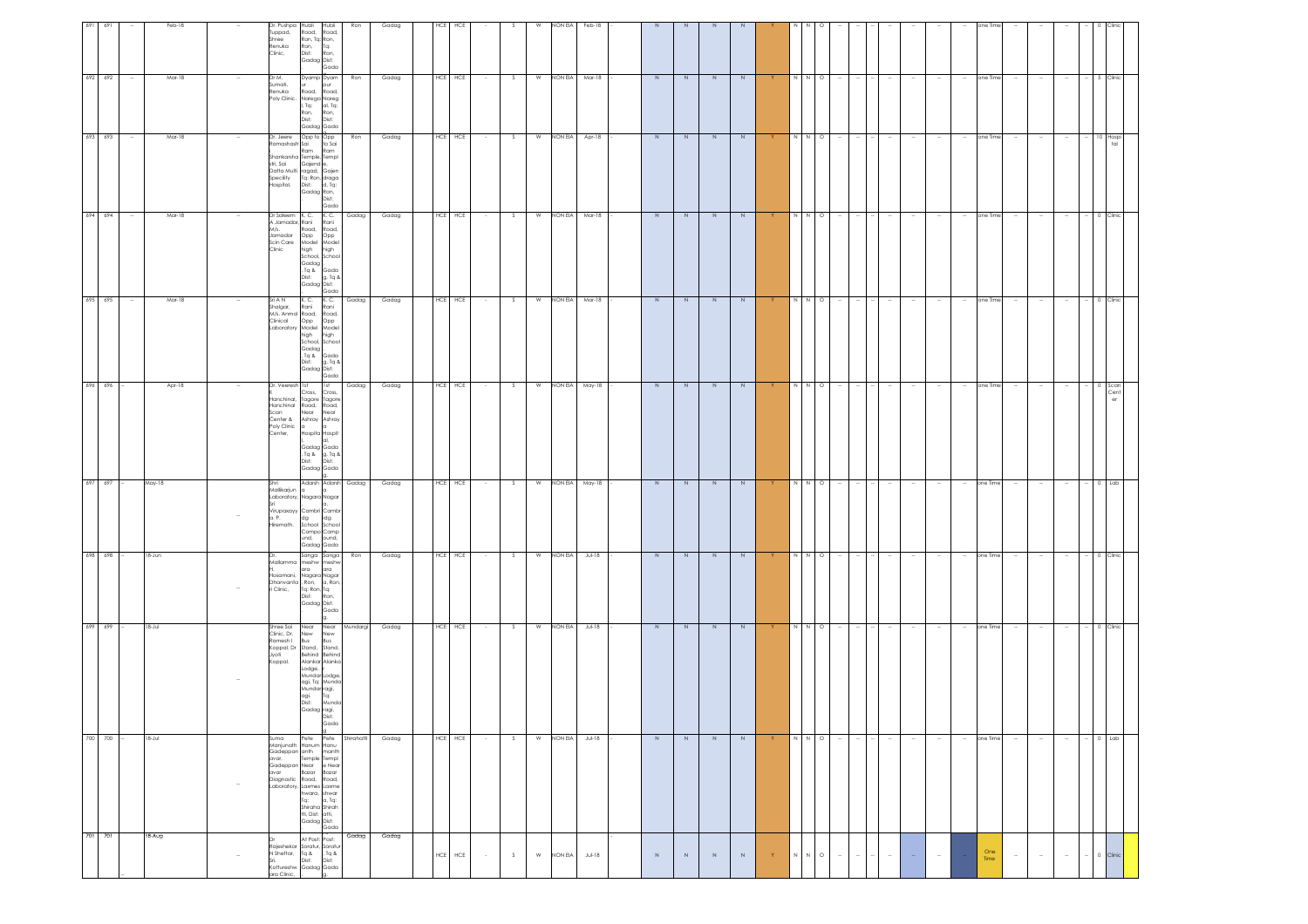| 691 691         |        | Feb-18      | Dr. Pushpa                                                                  | Hubli<br>Hubli                                                                                                                                                                                                                          | Ron             | Gadag | HCE<br>HCE                |                       | W         | NON EIA          | Feb-18    |                |               |                |             |                                       |                                                                                                                                                                                                                                                                                                                                                                                                                                        |                          |        |        |        |                                    | one Tir     |        |        |                          |                 |                  |
|-----------------|--------|-------------|-----------------------------------------------------------------------------|-----------------------------------------------------------------------------------------------------------------------------------------------------------------------------------------------------------------------------------------|-----------------|-------|---------------------------|-----------------------|-----------|------------------|-----------|----------------|---------------|----------------|-------------|---------------------------------------|----------------------------------------------------------------------------------------------------------------------------------------------------------------------------------------------------------------------------------------------------------------------------------------------------------------------------------------------------------------------------------------------------------------------------------------|--------------------------|--------|--------|--------|------------------------------------|-------------|--------|--------|--------------------------|-----------------|------------------|
|                 |        |             | uppad,<br>Shree<br>Renuka<br>Clinic,                                        | Road,<br>Road,<br>Ron, Tq: Ron,<br>Ron,<br>Dist:<br>Tq:<br>Ron,<br>Gadag Dist:<br>Gada                                                                                                                                                  |                 |       |                           |                       |           |                  |           |                |               |                |             |                                       |                                                                                                                                                                                                                                                                                                                                                                                                                                        |                          |        |        |        |                                    |             |        |        |                          |                 |                  |
| 692 692         | $\sim$ | Mar-18      | Dr M.<br>Sumati,<br>Renuka                                                  | Dyamp Dyam<br>pur<br>Road, Road,<br>Poly Clinic. Narega Nareg<br>. Tq:<br>al, Tq:<br>Ron,<br>Dist:<br>Ron,<br>Dist:<br>Gadag Gada                                                                                                       | Ron             | Gadag | HCE HCE                   | S<br>$\sim$           | W         | NON EIA          | Mar-18    | $\overline{N}$ | N             | N              | $\,N\,$     |                                       |                                                                                                                                                                                                                                                                                                                                                                                                                                        | $\circ$                  |        |        |        |                                    | one Time    |        |        | $\sim$                   |                 | 5 Clinic         |
| 693 693         |        | Mar-18      | Dr. Jeere<br>Ramashastr Sai<br>stri, Sai<br>Specility<br>Hospital,          | Opp to Opp<br>to Sai<br>Ram<br>Ram<br>Shankarsha Temple, Templ<br>Gajend e,<br>Datta Multi ragad, Gajen<br>Tg: Ron, draga<br>Dist: d, Tg:<br>Gadag Ron,<br>Dist:<br>Gada                                                                | Ron             | Gadag | HCE HCE                   | S<br>$\sim$ 10 $\pm$  | W         | NON EIA          | Apr-18    | $\overline{N}$ | $\frac{1}{2}$ | $\overline{N}$ | N           |                                       | $\begin{array}{c c} \mathbf{X} & \mathbf{X} & \mathbf{X} \\ \mathbf{X} & \mathbf{X} & \mathbf{X} \\ \mathbf{X} & \mathbf{X} & \mathbf{X} \\ \mathbf{X} & \mathbf{X} & \mathbf{X} \\ \mathbf{X} & \mathbf{X} & \mathbf{X} \\ \mathbf{X} & \mathbf{X} & \mathbf{X} \\ \mathbf{X} & \mathbf{X} & \mathbf{X} \\ \mathbf{X} & \mathbf{X} & \mathbf{X} \\ \mathbf{X} & \mathbf{X} & \mathbf{X} \\ \mathbf{X} & \mathbf{X} & \mathbf{X} \\ \$ | $\sim$                   |        |        |        | $\sim$<br>$\sim$                   | one Time    | $\sim$ | $\sim$ | $\sim$                   |                 | 10 Hospi<br>tal  |
| 694 694         |        | Mar-18      | Dr Saleem K.C.<br>A Jamadar, Rani<br>M/s.<br>Jamadar<br>Scin Care<br>Clinic | K.C.<br>Rani<br>Road, Road,<br>Opp<br>Opp<br>Model<br>Model<br>high<br>high<br>School, School<br>Gadag<br>, Tq &<br>Gada<br>g, Tq &<br>Dist:<br>Gadag Dist:<br>, Gada                                                                   | Gadag           | Gadag | HCE HCE                   | S.                    | W         | NON EIA          | Mar-18    | $\overline{N}$ | N             | N              | N           |                                       | N                                                                                                                                                                                                                                                                                                                                                                                                                                      | $\circ$                  |        |        |        |                                    | one Time    |        |        |                          |                 | Clinic           |
| 695 695         | $\sim$ | Mar-18      | Sri A N<br>Shalgar,<br>M/s. Anmol Road, Road,<br>Clinical                   | $K$ . C.<br>K. C.<br>Rani<br>Rani<br>Opp<br>Opp<br>Laboratory Model Model<br>high<br>high<br>School, School<br>Gadag<br>. Tq & Gada<br>g, Tq &<br>Dist:<br>Gadag Dist:<br>Gada                                                          | Gadag           | Gadag | HCE HCE                   | $\sim$ 100 $\pm$<br>S | <b>W</b>  | NON EIA          | Mar-18    | N              | N             | N              | N           | Y.                                    | N N O                                                                                                                                                                                                                                                                                                                                                                                                                                  | $\sim$                   |        |        |        |                                    | one Time    |        |        |                          |                 | 0 Clinic         |
| 696 696         |        | Apr-18      | Dr. Veeresh 1st<br>Hanchinal,<br>Scan<br>Center &<br>Poly Clinic<br>Center, | 1st<br>Cross,<br>Cross,<br>Tagore Tagore<br>Hanchinal Road, Road,<br>Near Near<br>Ashray Ashray<br>Hospita Hospit<br>Gadag Gada<br>, Tq & g, Tq &<br>Dist:<br>Dist:<br>Gadag Gada                                                       | Gadag           | Gadag | HCE HCE                   | S<br>$\sim$           | W         | NON EIA          | May-18    | $\overline{N}$ | N             | $\overline{N}$ | N           | Y.                                    | $N \quad N \quad O$                                                                                                                                                                                                                                                                                                                                                                                                                    | $\sim$                   |        |        |        | $\sim$                             | one Time    |        |        |                          |                 | $0$ Scan<br>Cent |
| $697 - 697 -$   |        | May-18      | Shri<br>Mallikarjun a<br>a. P.<br>Hiremath.                                 | Adarsh Adarsh Gadag<br>Laboratory, Nagara Nagar<br>Virupaxayy Cambri Cambr<br>idg<br>dg<br>School School<br>Compo Comp<br>und,<br>ound,<br>Gadag Gada                                                                                   |                 | Gadag | HCE HCE                   | $\sqrt{2}$<br>$\sim$  |           | W NON EIA May-18 |           | N              | N             | $\overline{N}$ | N           | Y                                     | N N O                                                                                                                                                                                                                                                                                                                                                                                                                                  | ÷                        |        |        |        | $\sim$                             | one Time    |        |        | $\sim$                   | $-$ 0 $\pm$ Lab |                  |
| $698$ $698$ -   |        | 18-Jun      | Hosamani,<br>ri Clinic,                                                     | Sanga Sanga<br>Mallamma meshw meshw<br>ara<br>ara<br>Nagara Nagar<br>Dhanvanta , Ron, a, Ron,<br>Tq: Ron, Tq:<br>Dist:<br>Ron,<br>Gadag Dist:<br>Gada                                                                                   | Ron             | Gadag | HCE HCE                   | $\sim 100$<br>S       |           | W NON EIA        | $JU - 18$ | $\overline{N}$ | N             | $\overline{N}$ | N           | Y.                                    | N N O                                                                                                                                                                                                                                                                                                                                                                                                                                  | $\overline{\phantom{a}}$ |        |        |        | $\sim$                             | one Time    |        |        | $\sim$                   |                 | $-$ 0 Clinic     |
| $699$ $699$ -   |        | $18 - Jul$  | Shree Sai<br>Clinic, Dr.<br>Ramesh I<br>Jyoti<br>Koppal,                    | Near<br>Near<br>New<br>New<br>Bus<br>Bus<br>Koppal, Dr Stand, Stand,<br>Behind Behind<br>Alankar Alanka<br>Lodge,<br>Mundar Lodge<br>agi, Tq: Munda<br>Mundar ragi,<br>agi, Tq:<br>agi,<br>Dist:<br>Munda<br>Gadag ragi,<br>Gada        | Mundargi        | Gadag | HCE HCE                   | S<br>$\sim$           | ${\sf W}$ | NON EIA          | $Jul-18$  | $\,N$          | N             | $\,N$          | N           | Y.                                    | $N$ $N$ $O$                                                                                                                                                                                                                                                                                                                                                                                                                            | $\sim$                   |        |        |        | $\overline{\phantom{a}}$<br>$\sim$ | one Time    | $\sim$ |        | $\overline{\phantom{a}}$ |                 | 0 Clinic         |
| $700$ $700$ $-$ |        | $18 - J$ ul | Suma<br>Manjunath<br>Gadeppan anth<br>Laboratory,                           | Pete<br>Hanum Hanu<br>manth<br>avar, Temple Templ<br>Gadeppan Near e Near<br>avar Bazar Bazar<br>Diagnostic Road, Road,<br>Laxmes Laxme<br>hwara, shwar<br>a, Tq:<br>Tq:<br>Shiraha Shirah<br>tti, Dist: atti,<br>Gadag Dist:<br>. Gada | Pete Shirahatti | Gadag | HCE HCE                   | S.<br>$\sim$          | W         | NON EIA          | $JU - 18$ | N              | N             | N              | N           | Y.                                    | N N O                                                                                                                                                                                                                                                                                                                                                                                                                                  | $\sim$                   |        |        |        | $\sim$                             | one Time    | $\sim$ |        |                          |                 | $0$ Lab          |
| 701 701         |        | 18-Aug      | N Shettar,<br>Kottureshw<br>ara Clinic,                                     | At Post: Post:<br>Rajeshekar Soratur, Soratur<br>$Z_{\rm p}$ Tq<br>, Tq &<br>Dist:<br>Dist:<br>Gadag Gada                                                                                                                               | Gadag           | Gadag | $\sf{HCE}$<br>${\sf HCE}$ | $\sim$<br>$\mathsf S$ | ${\sf W}$ | NON EIA          | $Jul-18$  | $\,$ N         | $\,N\,$       | $\,$ N         | $\,$ N $\,$ | $\mathsf{Y}^{\scriptscriptstyle\top}$ | $N$ $N$ $\circ$ O                                                                                                                                                                                                                                                                                                                                                                                                                      | $\sim$                   | $\sim$ | $\sim$ | $\sim$ | $\sim$                             | One<br>Time | $\sim$ | $\sim$ | $\sim$                   |                 | 0 Clinic         |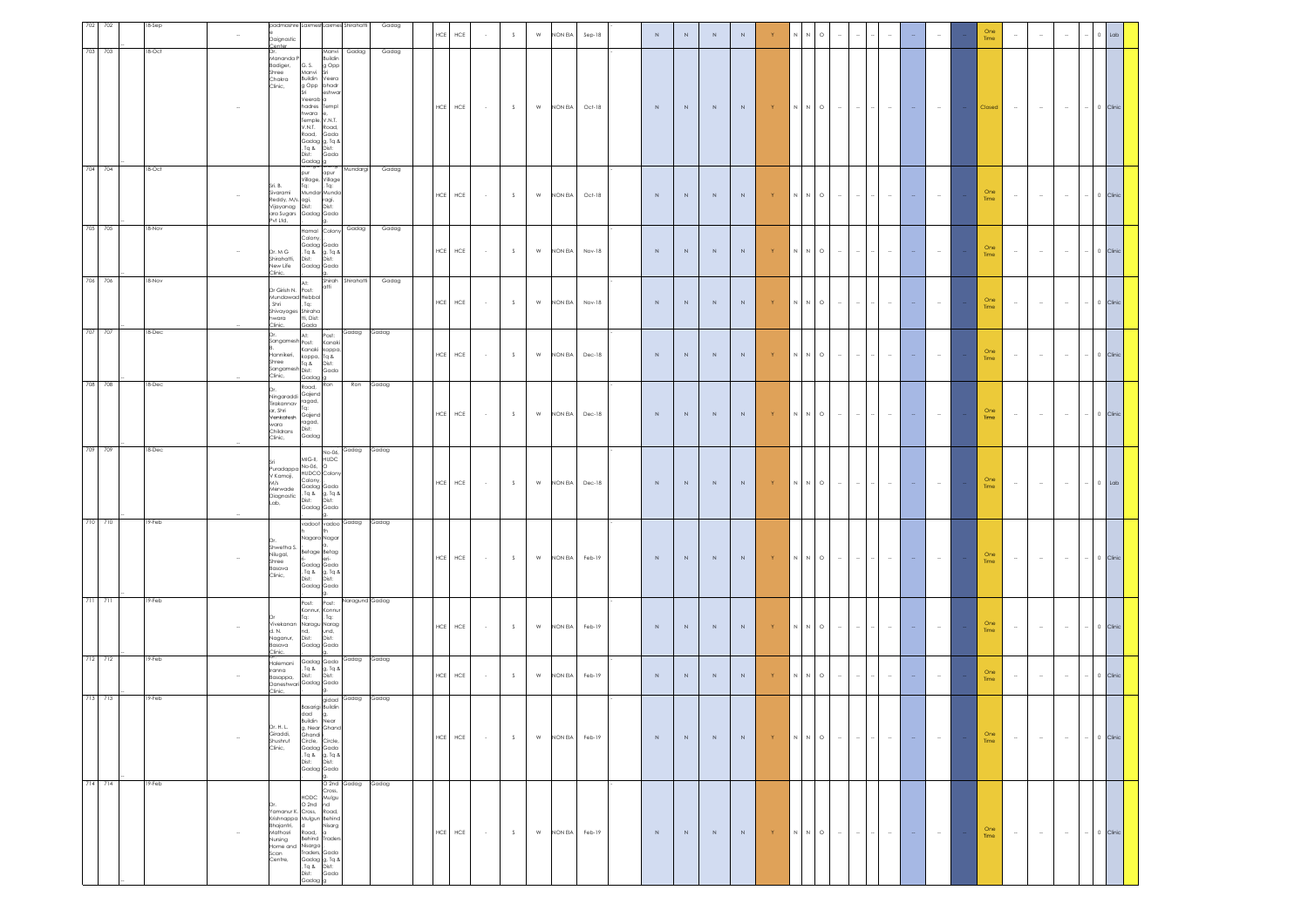| 702<br>702 | 8-Sep  |        | Daignostic                                                                                                              | padmashre LaxmeshLaxmes Shirahatti                                                                                                                                                          |                              | Gadag | $\sf{HCE}$  | HCE         |                  | S | ${\sf W}$     | NON EIA | $Sep-18$ | $\,$ N      | $\,N\,$ | $\,$ N      | $\,$ N $\,$ |                        |   | $\circ$                                                                                                |        |               |               |                          |            | One<br>Time        |        | $\sim$ | $\sim$         |              | .ab |
|------------|--------|--------|-------------------------------------------------------------------------------------------------------------------------|---------------------------------------------------------------------------------------------------------------------------------------------------------------------------------------------|------------------------------|-------|-------------|-------------|------------------|---|---------------|---------|----------|-------------|---------|-------------|-------------|------------------------|---|--------------------------------------------------------------------------------------------------------|--------|---------------|---------------|--------------------------|------------|--------------------|--------|--------|----------------|--------------|-----|
| 703 703    | 18-Oct |        | Mananda F<br>Badiger,<br>Shree<br>Chakra<br>Clinic,                                                                     | Manvi<br>Buildin<br>G. S.<br>g Opp<br>Manvi<br>Buildin<br>Veera<br>g Opp<br>bhadr                                                                                                           | Gadag                        | Gadag |             |             |                  |   |               |         |          |             |         |             |             |                        |   |                                                                                                        |        |               |               |                          |            |                    |        |        |                |              |     |
|            |        |        |                                                                                                                         | eshwa<br>Veerab<br>hadres<br>Templ<br>hwara<br>Temple, V.N.T.<br>V.N.T.<br>Road,<br>Road,<br>Gada<br>Gadag g, Tq &<br>, Tq & Dist:<br>Dist:<br>Gada<br>Gadaa c                              |                              |       | ${\sf HCE}$ | HCE         | $\sim$ $\sim$    | S | ${\mathsf W}$ | NON EIA | Oct-18   | $\,$ N $\,$ | $\,N\,$ | $\,$ N $\,$ | $\,$ N $\,$ | $\mathsf{Y}$ .         |   | N N O                                                                                                  | $\sim$ | $-1$          | $\sim$ $\sim$ | $\sim$                   | $\sim$ $-$ | Closed             | $\sim$ | $\sim$ | $\sim$         | $-$ 0 Clinic |     |
| 704 704    | 18-Oct |        | Sri. B.<br>Sivarami<br>Reddy, M/s. agi,<br>Vijayanag Dist:<br>ara Sugars<br>Pvt Ltd,                                    | pur<br>apur<br>Village, Village<br>Tq:<br>. Tq:<br>Mundar Munda<br>ragi,<br>Dist:<br>Gadag Gada                                                                                             | Mundargi                     | Gadag | ${\sf HCE}$ | ${\sf HCE}$ |                  | S | W             | NON EIA | Oct-18   | $\,$ N      | $\,N\,$ | $\,$ N $\,$ | $\,$ N      | Y                      |   | $N$ $N$ $\circ$ $\circ$                                                                                | $\sim$ | $\sim$        | $\sim$        |                          |            | $\frac{One}{Time}$ | $\sim$ | $\sim$ | $\sim$         | $-$ 0 Clinic |     |
| 705 705    | 18-Nov |        | Dr. M G<br>Shirahatti,<br>New Life<br>Clinic,                                                                           | Hamal Colony<br>Colony,<br>Gadag Gada<br>. Tq & g. Tq &<br>Dist: Dist:<br>Gadag Gada                                                                                                        | Gadag                        | Gadag | HCE         | ${\sf HCE}$ | $\sim$           | S | W             | NON EIA | Nov-18   | $\,$ N $\,$ | $\,N\,$ | $\,$ N      | $\,$ N $\,$ | Y                      |   | $\begin{array}{ccc} \mathbb{N} & \mathbb{N} & \mathbb{O} \end{array}$                                  | $\sim$ | $\sim$ 1      | $\sim$        | $\sim$                   | $\sim$     | $\frac{One}{Time}$ | $\sim$ | $\sim$ | $\sim$         | $-$ 0 Clinic |     |
| 706 706    | 18-Nov |        | Dr Girish N.<br>Mundawad Hebbal<br>Shri<br>Shivayoges Shiraha<br>hwara<br>Clinic,                                       | At:<br>atti<br>Post:<br>Tq:<br>tti, Dist:<br>Gada                                                                                                                                           | Shirah Shirahatti            | Gadag | HCE         | ${\sf HCE}$ | $\sim$           | S | ${\mathsf W}$ | NON EIA | Nov-18   | $\,$ N      | $\,N\,$ | $\,$ N $\,$ | $\,$ N $\,$ | Y                      |   | $\mathsf{N} \qquad \mathsf{N} \qquad \mathsf{O}$                                                       | $\sim$ | $\sim$        | $\sim$        |                          |            | $\frac{One}{Time}$ | $\sim$ | $\sim$ | $\sim$         | $-$ 0 Clinic |     |
| 707 707    | 18-Dec |        | Dr.<br>Sangamesh Post:<br>Hannikeri,<br>Shree Tq &<br>Sangamesh Dist:<br>Clinic,                                        | At:<br>Post:<br>Kanak<br>Kanaki<br>koppa<br>koppa, Tq &<br>Dist:<br>Gada<br>Gadag <sup>1</sup> g                                                                                            | Gadag Gadag                  |       | HCE         | ${\sf HCE}$ | $\sim$           | S | W             | NON EIA | Dec-18   | $\,$ N      | $\,N\,$ | N           | $\,$ N $\,$ | Y                      |   | $\mathbb N$ $\mathbb N$ $\mathbb O$                                                                    | $\sim$ | $\sim$        | $\sim$        | $\overline{\phantom{a}}$ | $\sim$     | One<br>Time        | $\sim$ | $\sim$ | $\sim$         | $-$ 0 Clinic |     |
| 708 708    | 18-Dec |        | Ningaraddi<br>Tirakannav<br>ar. Shri<br>Venkatesh<br>wara<br>Childrans<br>Clinic,                                       | Ron<br>Road,<br>Gajend<br>ragad,<br>Tq:<br>Gajend<br>ragad,<br>Dist:<br>Gadag                                                                                                               | Ron                          | Gadag | HCE         | HCE         | $\sim$           | S | W             | NON EIA | Dec-18   | $\,$ N      | $\,N\,$ | $\,$ N $\,$ | $\,$ N      | $\mid \mathsf{Y} \mid$ |   | $\begin{array}{ccc} \mathsf{N} & \mathsf{N} & \mathsf{O} \end{array}$                                  | $\sim$ | $\sim$        | $\sim$        |                          | $\sim$     | $\frac{One}{Time}$ | $\sim$ | $\sim$ | $\sim$         | $-$ 0 Clinic |     |
| 709 709    | 18-Dec |        | Puradappa No-06,<br>V Kamoji,<br>M/s<br>Merwade<br>Diagnostic<br>Lab,                                                   | No-06,<br>MIG-II,<br>HUDC<br>HUDCO Color<br>Colony<br>Gadag Gada<br>, Tq &<br>Dist:<br>g, Tq &<br>Dist:<br>Gadag Gada                                                                       | Gadag Gadag                  |       | ${\sf HCE}$ | HCE         | $\sim 10^{-1}$   | S | ${\mathsf W}$ | NON EIA | Dec-18   | $\,$ N $\,$ | $\,N\,$ | N           | $\,$ N $\,$ | Y                      |   | $N$ $N$ $\circ$ $\circ$                                                                                | $\sim$ | $\sim$ 1      | $\sim$        | $\sim$                   |            | One<br>Time        | $\sim$ | $\sim$ | $\sim 10^{-1}$ | $\sim$ 0 Lab |     |
| 710 710    | 19-Feb |        | Shwetha S.<br>Nilugal,<br>Shree<br>Basava<br>Clinic,                                                                    | vadoot vadoo Gadag Gadag<br>Nagara Naga<br>Betage Betag<br>Gadag Gada<br>. Tq & g, Tq &<br>Dist:<br>Dist:<br>Gadag Gada                                                                     |                              |       | ${\sf HCE}$ | HCE         | $\sim$ 100 $\pm$ | S | W             | NON EIA | Feb-19   | $\,$ N $\,$ | $\,N\,$ | $\,$ N $\,$ | $\,$ N $\,$ | Y                      |   | $\begin{array}{cccccccccccccc} \mathsf{N} & \mathsf{N} & \mathsf{O} & \cdots & \mathsf{N} \end{array}$ |        | $\sim$ $\sim$ | $-1$          | $\sim$                   | $\sim$     | One<br>Time        | $\sim$ | $\sim$ | $\sim$         | $-$ 0 Clinic |     |
| 711 711    | 19-Feb |        | d. N.<br>Naganur,<br>Basava<br>Clinic,                                                                                  | Post:<br>Post:<br>Konnur,<br>Konnu<br>Tq:<br>Tq:<br>Vivekanan Naragu Narag<br>nd,<br>Dist:<br>und,<br>Dist:<br>Gadag Gada                                                                   | Naragund Gadag               |       | HCE         | HCE         | $\sim$ 100 $\pm$ | S | ${\mathsf W}$ | NON EIA | Feb-19   | $\,$ N $\,$ | $\,N\,$ | $\,$ N $\,$ | $\,$ N $\,$ | $\mathsf{Y}$ .         |   | $\mathsf{N} \qquad \mathsf{N} \qquad \mathsf{O}$                                                       | $\sim$ |               | $\sim$        |                          |            | One<br>Time        | $\sim$ | $\sim$ | $\sim$         | $-$ 0 Clinic |     |
| 712 712    | 19-Feb |        | lalemani<br>Iranna<br>Basappa,                                                                                          | Gadag Gada<br>. Tq & g, Tq &<br>Dist: Dist:<br>Dist:<br>Daneshwari Gadag Gada<br>Ig.                                                                                                        | Gadag Gadag                  |       | <b>HCE</b>  | HCE         | $\sim$           | S | ${\mathsf W}$ | NON EIA | Feb-19   | $\,$ N      | $\,N\,$ | $\,$ N $\,$ | $\,$ N $\,$ |                        |   | $\mathsf{N} \qquad \mathsf{N} \qquad \mathsf{O}$                                                       | $\sim$ | $\sim$        | $\sim$        |                          |            | One<br>Time        | $\sim$ | $\sim$ | $\sim$         | $- 0$ Clinic |     |
| 713 713    | 19-Feb | $\sim$ | Clinic,<br>Dr. H. L.<br>Giraddi,<br>Shushruf<br>Clinic,                                                                 | Basarigi Buildin<br>dad g,<br>Buildin<br>Near<br>g, Near Ghand<br>Ghandi<br>Circle,<br>Circle<br>Gadag Gada<br>Journal of Grade<br>Dist: Dist:<br>Gadag Gada                                | gidad Gadag                  | Gadag | ${\sf HCE}$ | ${\sf HCE}$ | $\sim$           | S | W             | NON EIA | Feb-19   | $\,$ N $\,$ | N       | N           | $\,$ N $\,$ | Y.                     |   | $\mathsf{N}=\mathsf{N}=\mathsf{O}$                                                                     | $\sim$ | $\sim$        | $\sim$        | $\sim$                   | $\sim$     | $\frac{One}{Time}$ | $\sim$ | $\sim$ | $\sim$         | $-$ 0 Clinic |     |
| 714 714    | 19-Feb |        | Yamanur K. Cross, Road,<br>Krishnappa Mulgun Behind<br>Bhajantri,<br>Mathosri<br>Nursing<br>Home and<br>Scan<br>Centre, | Cross,<br>HODC<br>Mulgu<br>nd<br>$O$ 2nd<br>Road,<br>Nisarg<br>Road,<br>Behind<br><b>Trader</b><br>Nisarga ,<br>Traders, Gada<br>Gadag g, Tq &<br>, Tq &<br>Dist:<br>Dist:<br>Gada<br>Gadag | O <sub>2nd</sub> Gadag Gadag |       | $\sf{HCE}$  | ${\sf HCE}$ | $\sim$           | S | ${\mathsf W}$ | NON EIA | Feb-19   | $\,$ N      | $\,N\,$ | $\,$ N $\,$ | $\,$ N $\,$ | Y                      | N | $N$ 0                                                                                                  | $\sim$ | $\sim$        | $\sim$        | $\sim$                   |            | One<br>Time        | $\sim$ | $\sim$ | $\sim$         | $-$ 0 Clinic |     |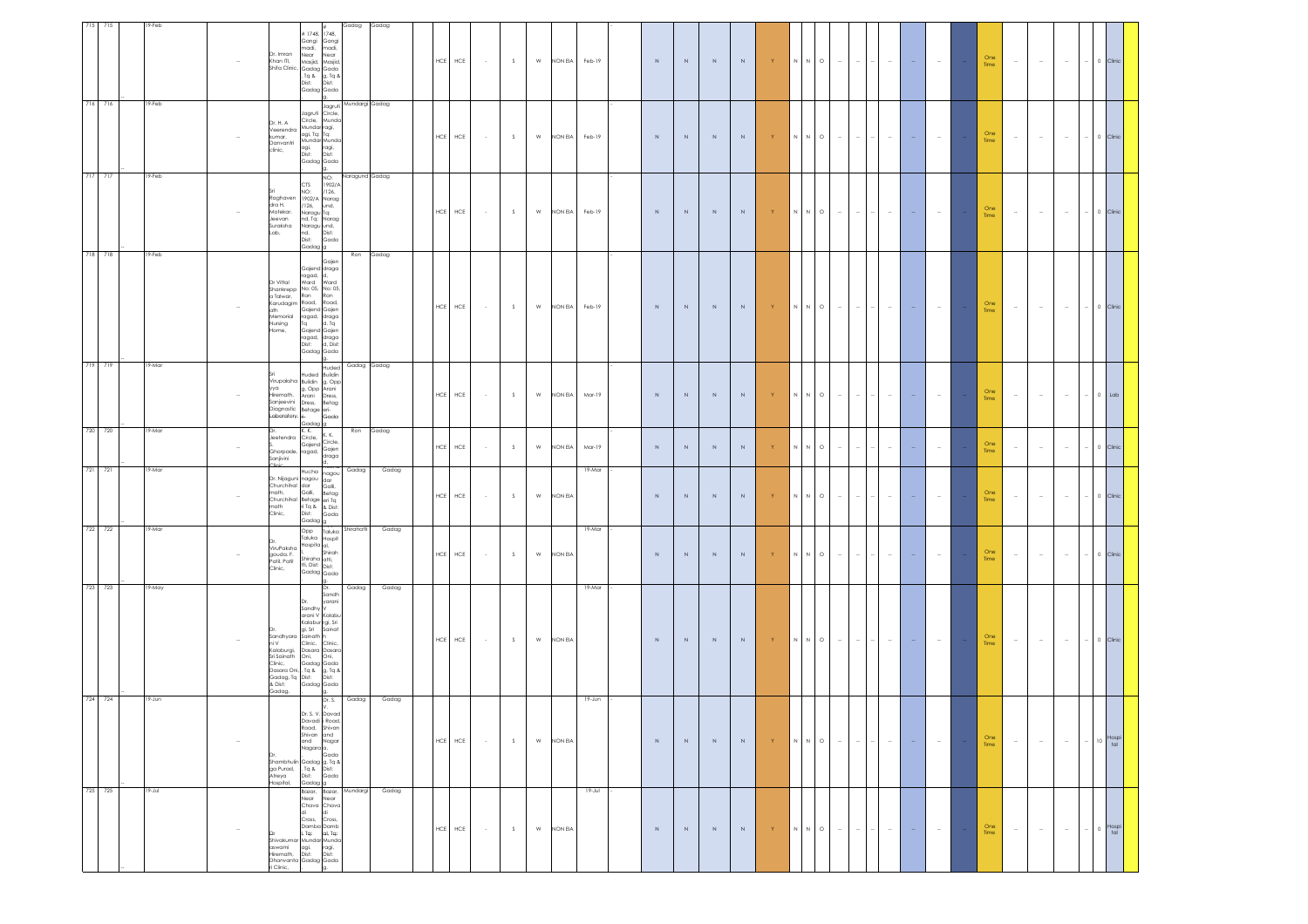| 715     | 715 | 19-Feb |        | Dr. Imran<br>Khan ITI,<br>Shifa Clinic,                                                                                                                 | #1748,<br>1748,<br>Gangi<br>Gangi<br>nadī,<br>nadi,<br>Near<br>Vear<br>Masjid,<br>vlasjid,<br>Gadag<br>Gada<br>Tq &<br>g, Tq &<br>Dist:<br>Dist:<br>Gadag<br>Gada                                            | Gadag                  | Gadag       | $HCE$<br>${\sf HCE}$      | $\sim 10^{-1}$ | S           | ${\sf W}$     | NON EIA | Feb-19      | $\,$ N $\,$ | $\,N\,$     | $\,$ N $\,$ | $\,$ N $\,$ | $-15$                                        | $\begin{array}{ccccccccccccc} \mathsf{N} & \mathsf{N} & \mathsf{O} & \cdots & \mathsf{N} \end{array}$ |        | $\sim$         | $\sim$ 1 | $\sim$ | $\sim$ $-$ | One<br>Time        | $\sim$ | $\sim$ | $\sim$ | $-1$   | 0 Clinic            |  |
|---------|-----|--------|--------|---------------------------------------------------------------------------------------------------------------------------------------------------------|--------------------------------------------------------------------------------------------------------------------------------------------------------------------------------------------------------------|------------------------|-------------|---------------------------|----------------|-------------|---------------|---------|-------------|-------------|-------------|-------------|-------------|----------------------------------------------|-------------------------------------------------------------------------------------------------------|--------|----------------|----------|--------|------------|--------------------|--------|--------|--------|--------|---------------------|--|
| 716 716 |     | 19-Feb |        | Dr. H. A<br>Veerendra<br>kumar,<br>Danvantri<br>clinic,                                                                                                 | Circle,<br>Jagruti<br>Circle,<br>Mundo<br>Mundar ragi,<br>agi, Tq: Tq:<br>Mundar Munda<br>agi,<br>ragi,<br>Dist:<br>Dist:<br>Gadag Gada                                                                      | Jagruti Mundargi Gadag |             | HCE<br>${\sf HCE}$        | $\sim 10^{-1}$ | $\mathsf S$ | W             | NON EIA | Feb-19      | $\,$ N      | $\,N\,$     | $\,$ N      | $\,$ N $\,$ | $-15$                                        | $N \qquad N \qquad O$                                                                                 | $\sim$ | $\sim$         | $\sim$ 1 | $\sim$ | $\sim$     | $\frac{One}{Time}$ | $\sim$ | $\sim$ | $\sim$ | $\sim$ | 0 Clinic            |  |
| 717 717 |     | 19-Feb |        | dra H.<br>Motekar.<br>Jeevan<br>Suraksha<br>Lab,                                                                                                        | NO:<br><b>CTS</b><br>1902/A<br>Sri NO: /126,<br>Raghaven 1902/A Narag<br>/126,<br>und,<br>Naragu Tq:<br>nd, Tq:<br>Narag<br>Naragu und,<br>nd, Dist:<br>nd,<br>Dist:<br>Gada<br>Gadag                        | Naragund Gadag         |             | HCE<br>${\sf HCE}$        | $\sim 10^{-1}$ | S           | ${\mathsf W}$ | NON EIA | Feb-19      | $\,$ N $\,$ | $\,$ N $\,$ | $\,$ N $\,$ | $\mathbb N$ | $-15$                                        | $N$ $N$ $\circ$ $O$                                                                                   | $\sim$ | $\sim$<br>$-1$ | $-1$     | $\sim$ | $\sim$     | One<br>Time        | $\sim$ | $\sim$ | $\sim$ | $\sim$ | $0$ Clinic          |  |
| 718 718 |     | 19-Feb |        | Dr Vittal<br>Shankrepp No: 05,<br>a Talwar, Ron<br>Karudagim<br>ath<br>Memorial<br>Nursing<br>Home,                                                     | Gajen<br>Gajend draga<br>ragad,<br>Ward<br>Ward<br>No: 05,<br>Ron<br>Road,<br>coad.<br>Gajen<br>Gajend<br>ragad.<br>draga<br>d. Tq<br>Тq<br>Gajend Gajen<br>ragad, draga<br>d, Dist:<br>Dist:<br>Gadag Gada  | Ron                    | Gadag       | <b>HCE</b><br>HCE         | $\sim$         | $\mathsf S$ | ${\sf W}$     | NON EIA | Feb-19      | $\,$ N      | $\,N\,$     | $\,$ N      | $\,$ N $\,$ | $-15$                                        | $N$ $N$ $\circ$ $O$                                                                                   | $\sim$ | $\sim$         | $\sim$   | $\sim$ | $\sim$     | $\frac{One}{Time}$ | $\sim$ | $\sim$ | $\sim$ |        | 0 Clinic            |  |
| 719 719 |     | 9-Mar  |        | Virupaksha Buildin<br>ууа<br>Hiremath,<br>Sanjeevini<br>Diagnostic<br>Laboratory.                                                                       | Huded<br>Huded Buildin<br>g, Opp<br>g, Opp Arani<br>Arani<br>Dress,<br>Dress,<br>gotes<br>Betage<br>eri.<br>Gada<br>Gadag                                                                                    |                        | Gadag Gadag | HCE<br>$HCE$              | $\sim$         | S           | W             | NON EIA | Mar-19      | $\,$ N      | $\,N\,$     | $\,$ N      | $\,$ N      | $\mid \mathsf{Y} \mid$                       | $N$ $N$ $O$                                                                                           | $\sim$ | $\sim$         | $\sim$   | $\sim$ | $\sim$     | $\frac{One}{Time}$ | $\sim$ | $\sim$ | $\sim$ | $\sim$ | $0$ Lab             |  |
| 720 720 |     | 19-Mar |        | Dr.<br>Jeetendra Circle,<br>S. Gajend<br>Ghorpade, ragad,<br>Sanjivini                                                                                  | K. K.<br>C.K.<br>Circle,<br>Gajen<br>traga                                                                                                                                                                   | Ron                    | Gadag       | HCE<br>HCE                | $\sim$         | S           | ${\mathsf W}$ | NON EIA | Mar-19      | $\,$ N      | $\mathbb N$ | $\,$ N      | $\,$ N $\,$ | $\mid \mathsf{Y} \mid$                       | $N \qquad N \qquad O$                                                                                 | $\sim$ | $\sim$         | $\sim$   | $\sim$ | $\sim$     | $\frac{One}{Time}$ | $\sim$ | $\sim$ | $\sim$ |        | 0 Clinic            |  |
| 721 721 |     | 19-Mar |        | Dr. Nijaguni nagou<br>Churchihal dar<br>math,<br>Churchihal Betage<br>math ri Tq &<br>Clinic,                                                           | Hucha nagou<br>dar<br>Galli,<br>Galli,<br>Betag<br>eri Tq<br>& Dist:<br>Dist:<br>Gada<br>Gadag                                                                                                               | Gadag                  | Gadag       | HCE<br>${\sf HCE}$        | $\sim$ $\sim$  | S           | ${\mathsf W}$ | NON EIA | 19-Mar      | $\,$ N $\,$ | $\,$ N $\,$ | N           | $\,$ N $\,$ | Y                                            | $N$ $N$ $Q$                                                                                           | $\sim$ | $\sim$         | $\sim$   | $\sim$ | $\sim$     | One<br>Time        | $\sim$ | $\sim$ | $\sim$ | ÷      | 0 Clinic            |  |
| 722 722 |     | 19-Mar |        | ViruPaksha<br>gouda. F.<br>Patil, Patil<br>Clinic,                                                                                                      | Opp<br>Taluka<br>Taluka<br>Hospit<br>Hospita<br>Shirah<br>Shiraha<br>atti,<br>Dist:<br>tti, Dist:<br>Gadag Gada                                                                                              | Shirahatt              | Gadag       | $\sf{HCE}$<br>${\sf HCE}$ | $\sim 10$      | $\mathsf S$ | ${\sf W}$     | NON EIA | 19-Mar      | $\,$ N      | $\,N\,$     | N           | $\,$ N $\,$ | $\langle \mathbf{Y} \rangle$                 | $N$ $\,N$ $\,$ $\,$ O $\,$                                                                            | $\sim$ | $\sim$         | $\sim$   | $\sim$ | $\sim$     | $\frac{One}{Time}$ | $\sim$ | $\sim$ | $\sim$ | $-1$   | 0 Clinic            |  |
| 723 723 |     | 19-May |        | Sandhvara Sainath<br>ni V<br>Kalaburgi,<br>Sri Sainath<br>Clinic,<br>Dasara Oni, , Tq &<br>Dasara Oni, , Tq &<br>Gadag, Tq   Dist:<br>& Dist:<br>Gadag. | Sandh<br>Dr.<br>rarani<br>Sandhy<br>arani V<br>Kalabu<br>Kalabur rgi, Sri<br>gi, Sri<br>Sainat<br>Clinic,<br>Clinic.<br>Dasara Dasara<br>Duni, Dhi,<br>Gadag Gada<br>Thi 8 g, Tq 8<br>Dist:<br>Gadag<br>Gada | Gadag                  | Gadag       | HCE<br>${\sf HCE}$        | $\sim 10^{-1}$ | S           | ${\mathsf W}$ | NON EIA | 19-Mar      | $\,$ N $\,$ | $\,$ N $\,$ | $\,$ N $\,$ | $\mathbb N$ | $\langle \langle \mathbf{Y} \rangle \rangle$ | NNO -                                                                                                 |        | $\sim$         | $\sim$ 1 | $\sim$ | $\sim$     | One<br>Time        | $\sim$ | $\sim$ | $\sim$ |        | 0 Clinic            |  |
| 724 724 |     | 19-Jun | $\sim$ | Shambhulin Gadag<br>ga Purad, , Tq &<br>Atreya Dist:<br>Hospital,                                                                                       | Dr. S.<br>Dr. S. V. Davad<br>Davadi i Road,<br>Road,<br>Shivan<br>and<br>Shivan<br>and<br>Nagar<br>Nagara a,<br>Gada<br>g, Tq &<br>Dist:<br>Gada<br>Gadag                                                    | Gadag                  | Gadag       | HCE<br>${\sf HCE}$        | $\sim 10^{-1}$ | S           | ${\sf W}$     | NON EIA | 19-Jun      | $\,$ N $\,$ | N           | N           | $\,$ N $\,$ | Y                                            | $N$ $N$ $\circ$ $\circ$                                                                               | $\sim$ | $\sim$         | $\sim$   | $\sim$ | $\sim$     | $\frac{One}{Time}$ | $\sim$ | $\sim$ | $\sim$ | $-1$   | $\frac{Hospi}{tal}$ |  |
| 725 725 |     | 19-Jul | $\sim$ | aswami<br>Hiremath,<br>Dhanvanta Gadag<br>i Clinic,                                                                                                     | Bazar,<br>Near<br>Bazar,<br>Near<br>Chava<br>Chava<br>di<br>di<br>Cross,<br>Cross,<br>Damba Damb<br>l, Tq;<br>al, Tq:<br>Shivakumar Mundar Munda<br>nas.<br>Dist:<br>ragi,<br>Dist:<br>Gada                  | Mundargi               | Gadag       | HCE<br>${\sf HCE}$        | $\sim$         | $\mathsf S$ | ${\sf w}$     | NON EIA | $19 - J$ ul | $\,$ N      | $\,$ N $\,$ | $\,$ N $\,$ | $\,$ N $\,$ | $\langle \mathbf{Y} \rangle$                 | $N$ $N$ $O$                                                                                           | $\sim$ | $\sim$         | $\sim$   | $\sim$ | $\sim$     | $\frac{One}{Time}$ | $\sim$ | $\sim$ | $\sim$ | L.     | $0$ Hospi           |  |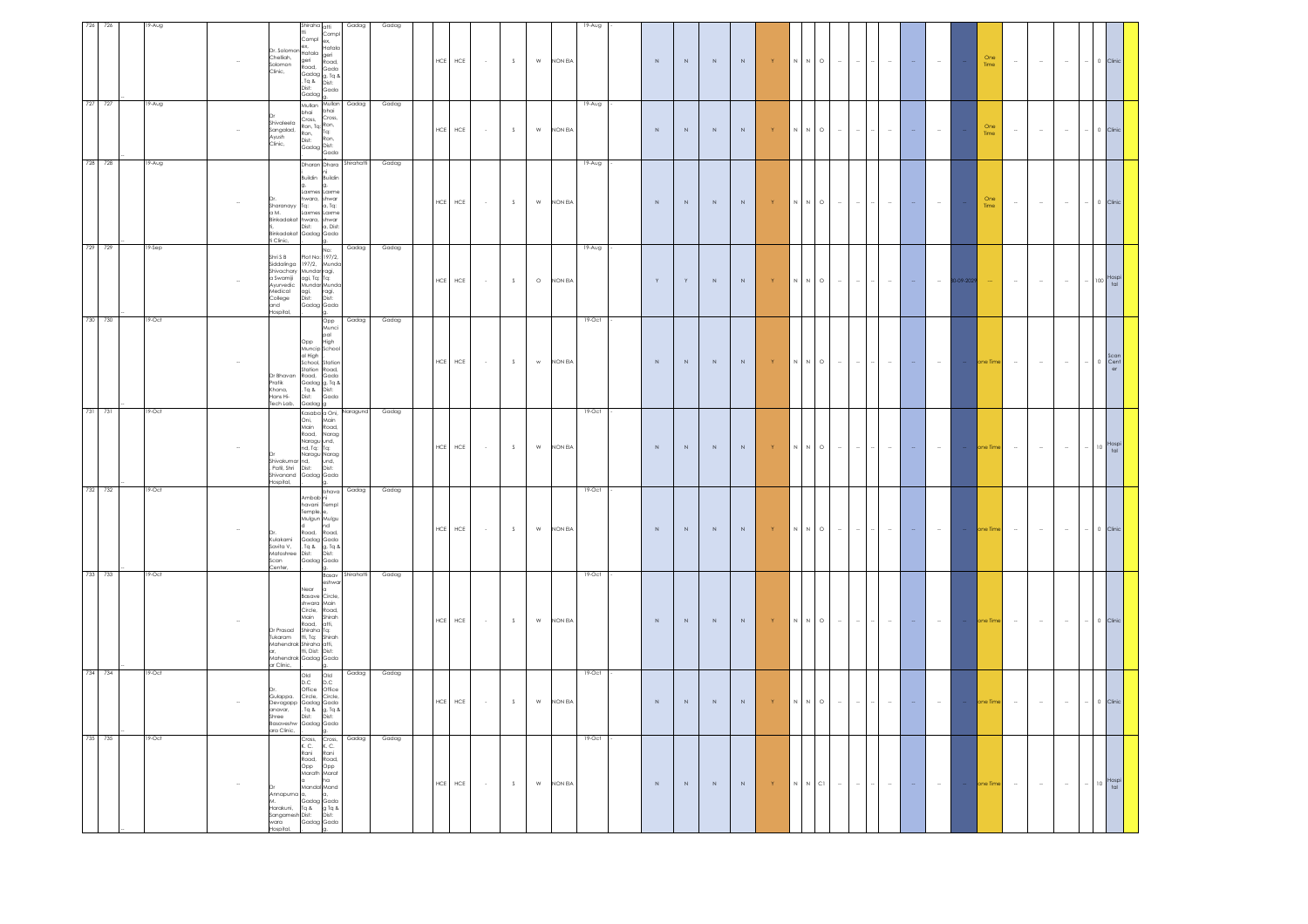| 726     | 726 | 9-Aug  | Shiraha <sub>atti</sub>                                                                                                                                                                                                                                                                                                       | Gadag                                                          | Gadag |             |             |                |             |                           |         | 19-Aug   |             |                        |             |             |                                |                                                                                                            |                                    |        |        |                 |             |             |        |        |        |        |                                          |
|---------|-----|--------|-------------------------------------------------------------------------------------------------------------------------------------------------------------------------------------------------------------------------------------------------------------------------------------------------------------------------------|----------------------------------------------------------------|-------|-------------|-------------|----------------|-------------|---------------------------|---------|----------|-------------|------------------------|-------------|-------------|--------------------------------|------------------------------------------------------------------------------------------------------------|------------------------------------|--------|--------|-----------------|-------------|-------------|--------|--------|--------|--------|------------------------------------------|
|         |     |        | Compl<br>ex,<br>$\alpha$ . Solomon Hatala<br>Chelligh.<br>aeri<br>iolomon<br>$\begin{array}{l} \text{wadd,} \\ \text{Gaday} \\ \text{Eq} \\ \text{Eq} \\ \text{N} \\ \text{Dir} \end{array} \hspace{-5pt} \begin{array}{l} \text{wadd} \\ \text{Gada} \\ \text{g, Tq} \\ \text{Dir} \end{array}$<br>Clinic,<br>Dist:<br>Gadag | Compl<br>ex,<br>Hatala<br>geri<br>Road,<br>ar<br>Dist:<br>Gada |       |             | $HCE$ $HCE$ | $\sim$ $\sim$  | $\mathsf S$ | ${\sf W}$                 | NON EIA |          | $\,$ N $\,$ | $\mathbb N$            | $\,$ N $\,$ | $\mathbb N$ | $\mathbf{Y}$                   | $\mathsf{N} \qquad \mathsf{N} \qquad \mathsf{O}$                                                           | $\sim$<br>$\bar{a}$                | $\sim$ |        |                 |             | One<br>Time | $\sim$ | $\sim$ | $\sim$ |        | 0 Clinic                                 |
| 727 727 |     | 19-Aug | Mullan Mullan<br>bhai<br>Cross,<br>Cross, Cross,<br>Ron, Tq: Ron,<br>Ron, Tq:<br>Shivaleela<br>.<br>Sangalad,<br>Ron,<br>Dist:<br>Ayush<br>Clinic,<br>Dist: Ron,<br>Gadag Dist:                                                                                                                                               | Gadag<br>bhai<br>Gada                                          | Gadag | <b>HCE</b>  | ${\sf HCE}$ | $\sim$         | $\mathsf S$ | ${\sf w}$                 | NON EIA | $19-Aug$ | $\mathbb N$ | $\,$ N $\,$            | $\,$ N      | $\,$ N $\,$ | $\langle \mathbf{Y} \rangle$   | $\,N\,$ $\,$ $\,$ N $\,$ $\,$ O $\,$                                                                       | $\sim$<br>$\sim$                   | $\sim$ |        |                 |             | One<br>Time | $\sim$ | $\sim$ | $\sim$ | $-1$   | 0 Clinic                                 |
| 728 728 |     | 19-Aug | .<br>Buildin<br>Laxmes Laxme<br>hwara, shwar<br>Sharanayy<br>Tq:<br>a M. Laxmes Laxme<br>Binkadakat hwara, shwar<br>i,<br>Sinkadakat Gadag Gada<br>Clinic,                                                                                                                                                                    | Dharan Dhara Shirahatti<br>Buildin<br>a, Tq:                   | Gadag | HCE         | HCE         | $\sim$         | S           | ${\sf w}$                 | NON EIA | $19-Aug$ | N           | $\,$ N                 | N           | N           | $\langle \mathbf{Y} \rangle$   | N N O                                                                                                      | $\sim$<br>$\sim$                   | $\sim$ | $\sim$ |                 |             | One<br>Time | $\sim$ | $\sim$ | $\sim$ |        | 0 Clinic                                 |
| 729 729 |     | 19-Sep | Shri S B<br>Siddalinga 197/2, Munda<br>Shivachary Mundar ragi,<br>a Swamiji<br>agi, Tq: Tq:<br>Mundar Munda<br>lyurvedic<br>Medical<br>agi,<br>Dist:<br>College<br>Gadag Gada<br>and<br>lospital,<br>lg.                                                                                                                      | Gadag<br>No:<br>ragi,<br>Dist:                                 | Gadag | ${\sf HCE}$ | HCE         | $\sim$         | $\mathsf S$ | $\circ$                   | NON EIA | $19-Aug$ | Y           | $\mid \mathsf{Y} \mid$ | $\,$ N $\,$ | $\,$ N $\,$ | $\langle \mathbf{Y} \rangle$   | $\mathbb N$ $\mathbb N$ $\mathbb O$                                                                        | $\sim$<br>$\sim$                   | $\sim$ | $\sim$ |                 | $-09 - 202$ |             | $\sim$ | $\sim$ | $\sim$ |        | $- 100$ Hospi                            |
| 730 730 |     | 19-Oct | Opp High<br>Muncip School<br>al High<br>School, Station<br>Station Road,<br>Dr Bhavan<br>Road, Gada<br>Gadag g, Tq &<br>Tq & Dist:<br>Dist: Gada<br>Pratik<br>, .a<br>Khona,<br>Hans Hi-<br>ech Lab,<br>Gadag g                                                                                                               | Gadag<br>Opp<br>Munci<br>pal<br>High                           | Gadag |             | $HCE$ $HCE$ | $\sim 10^{-1}$ | S           | $\mathbf{w}$ .            | NON EIA | 19-Oct   | $\,$ N $\,$ | $\mathbb N$            | $\mathbb N$ | $\mathbb N$ | $\langle \mathbf{Y} \rangle$   | $\begin{array}{cccccccccccccc} \mathsf{N} & \mathsf{N} & \mathsf{O} & \mathsf{I} & \mathsf{m} \end{array}$ | $\sim$                             | $\sim$ | $\sim$ | $\sim$          |             | one Time    | $\sim$ | $\sim$ | $\sim$ | $\sim$ | 0 Scan<br>Cent<br>er                     |
| 731 731 |     | 19-Oct | Kasaba a Oni,<br>Oni,<br>Main<br>Road, Narag<br>kaad, Naragu<br>Ind, Tq: Tq:<br>Ind, Tq: Naragu<br>Ind, Und,<br>Dist: Dist:<br>shivakumar nd,<br>Shivakumar nd,<br>. Patil, Shri Dist:<br>Shivanand Gadag Gada<br>lospital,                                                                                                   | Naragund<br>Main<br>Road,                                      | Gadag |             | $HCE$ $HCE$ | $\sim$ $\sim$  | $\mathsf S$ | $\ensuremath{\mathsf{W}}$ | NON EIA | 19-Oct   | $\,$ N      | $\mathbb N$            | $\,$ N $\,$ | $\,$ N $\,$ | $\langle \mathsf{Y} \rangle$ . |                                                                                                            | $\sim$<br>$\sim$                   | $\sim$ | $\sim$ | $\sim$          |             | one Time    | $\sim$ | $\sim$ | $\sim$ |        | $-$ 10 $\frac{\text{Hospi}}{\text{tal}}$ |
| 732 732 |     | 19-Oct | Ambab <sub>ni</sub><br>havani Templ<br>Temple, e,<br>Mulgun Mulgu<br>u<br>Road,<br>Kulakami<br>kada, kada,<br>Gadag Gada<br>, Tq & g, Tq &<br>Dist: Dist:<br>Gadag Gada<br>Savita V,<br>Matoshree<br>Scan<br>enter,<br>g.                                                                                                     | Gadag<br>bhava<br>nd<br>Road.                                  | Gadag | ${\sf HCE}$ | ${\sf HCE}$ | $\sim$         | $\mathsf S$ | ${\sf w}$                 | NON EIA | 19-Oct   | $\,$ N      | $\mathbb N$            | $\mathbb N$ | $\,$ N $\,$ | $\langle \mathsf{Y} \rangle$   | $\,N\,$ $\,$ $\,$ N $\,$ $\,$ O $\,$                                                                       | $\sim$<br>$\overline{\phantom{a}}$ | $\sim$ | $\sim$ |                 |             | one Time    | $\sim$ | $\sim$ | $\sim$ |        | $\circ$                                  |
| 733 733 |     | 19-Oct | Near<br>Basave Circle,<br>shwara Main<br>Circle, Road,<br>Main Shirah<br>Road, atti,<br>Shiraha Tq:<br>Dr Prasad<br>'ukaram<br>tti, Tq: Shirah<br>Mahendrak Shiraha atti,<br>ar, tti, Dist: Dist:<br>Aahendrak Gadag Gada<br>r Clinic,                                                                                        | Basav Shirahatti<br>eshwa                                      | Gadag |             | HCE HCE     | $\sim$ $\sim$  | S           | $\ensuremath{\mathsf{W}}$ | NON EIA | 19-Oct   | $\,$ N $\,$ | $\,$ N $\,$            | $\mathbb N$ | $\,$ N $\,$ | $\langle \mathbf{Y} \rangle$   |                                                                                                            | $\sim$                             | $\sim$ | $\sim$ | $\sim$ $-$      |             | - one Time  | $\sim$ | $\sim$ | $\sim$ |        | $-$ 0 Clinic                             |
| 734 734 |     | 19-Oct | g.<br>Old Old<br>D.C D.C<br>Office Office<br>Circle, Circle,<br>Gulappa.<br>Sevagapp Gadag Gada<br>Sevagapp Gadag Gada<br>Shree Dist: Dist:<br>anavar,<br>lasaveshw<br>Gadag Gada<br>ara Clinic,                                                                                                                              | Gadag                                                          | Gadag |             | $HCE$ $HCE$ | $\sim$         | S           | ${\sf W}$                 | NON EIA | 19-Oct   | $\,$ N $\,$ | $\,N\,$                | $\,$ N $\,$ | $\,$ N      | $\langle \mathsf{Y} \rangle$   | $\,N\,$ $\,$ $\,$ N $\,$ $\,$ O $\,$                                                                       | $\sim$<br>$\sim$                   | $\sim$ | $\sim$ | $\sim$          |             | ne Tim      | $\sim$ | $\sim$ | $\sim$ |        | $\circ$ 1                                |
| 735 735 |     | 19-Oct | Cross,<br>K. C.<br>Cross, Cross,<br>K.C. K.C.<br>Rani Rani<br>Road, Popp<br>Opp Opp<br>Marath Marat<br>ha<br>la.<br>Mandal Mand<br>Annapurna a,<br>lo.<br>Gadag Gada<br>---<br>Harakuni, Tq & g Tq &<br>Sangamesh Dist: Dist:<br>.<br>vara<br>tospital,<br>Gadag Gada                                                         | Gadag                                                          | Gadag |             | $HCE$ $HCE$ | $\sim$         | S           | $\ensuremath{\mathsf{W}}$ | NON EIA | 19-Oct   | $\,$ N      | $\,N\,$                | $\,N$       | $\,$ N $\,$ | $\langle \mathbf{Y} \rangle$   | $\begin{array}{ccccccccc} \mathsf{N} & \mathsf{N} & \mathsf{C1} & \cdots & \cdots \end{array}$             | $\omega$                           | $\sim$ | $\sim$ | $\sim 10^{-11}$ | $\sim$      | one Time    | $\sim$ | $\sim$ | $\sim$ |        | $-$ 10 $\frac{\text{Hospi}}{\text{tal}}$ |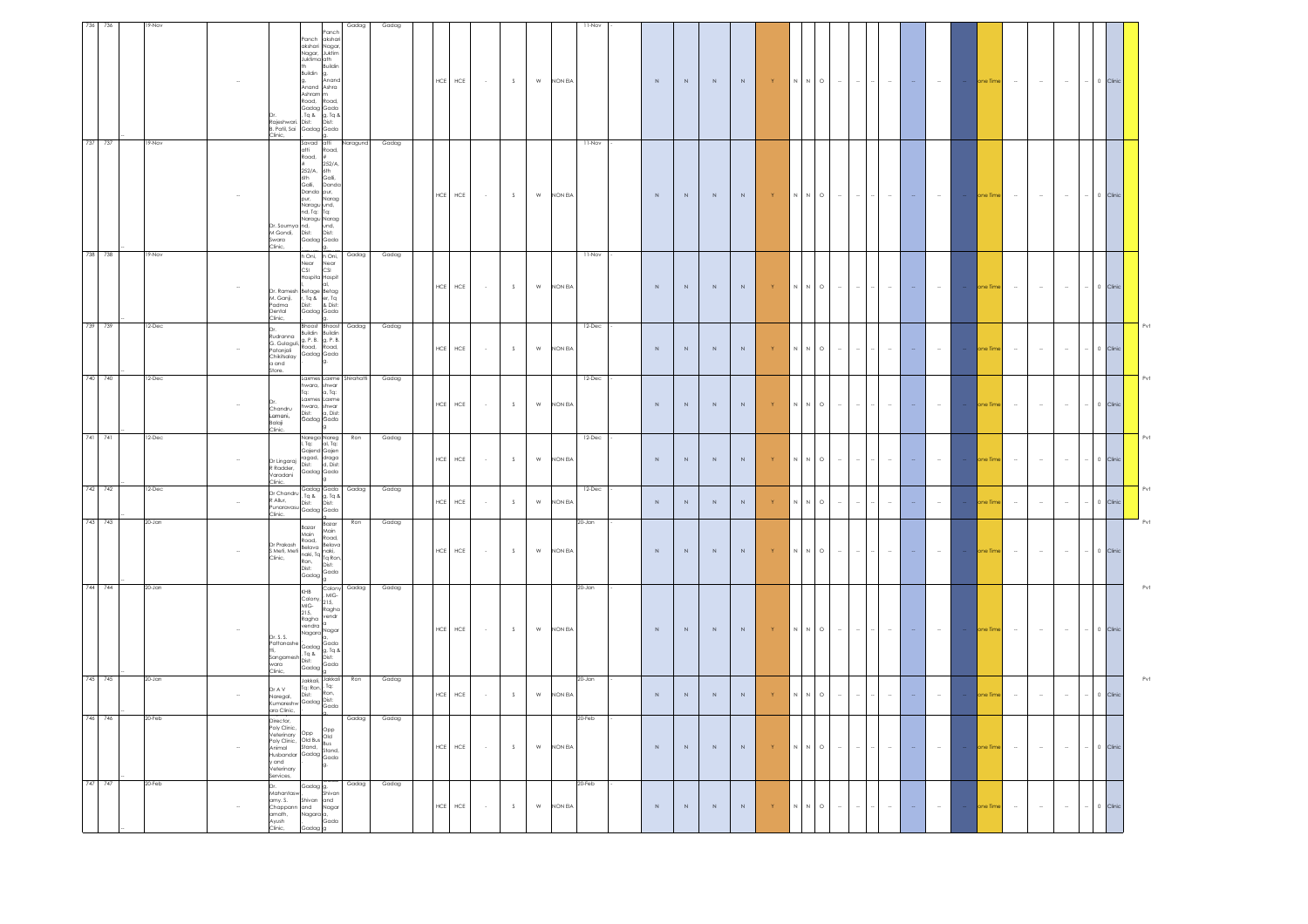| 736 736 | 9-Nov    |        |                                                                                                                                               |                                                                                                                                                                                                                                                                            | Gadag        | Gadag |             |             |        |                |               |           | $11-NO$    |             |             |             |             |                                              |             |                                                                       |          |        |        |        |                 |                     |        |        |        |                  |     |
|---------|----------|--------|-----------------------------------------------------------------------------------------------------------------------------------------------|----------------------------------------------------------------------------------------------------------------------------------------------------------------------------------------------------------------------------------------------------------------------------|--------------|-------|-------------|-------------|--------|----------------|---------------|-----------|------------|-------------|-------------|-------------|-------------|----------------------------------------------|-------------|-----------------------------------------------------------------------|----------|--------|--------|--------|-----------------|---------------------|--------|--------|--------|------------------|-----|
|         |          |        | Rajeshwar<br>Clinic,                                                                                                                          | anch<br>Panch<br>ikshar<br>akshari<br>www.com<br>Juktim<br>Nagar,<br>Juktima ath<br>Buildir<br>Buildin<br>Anand<br>g,<br>Anand<br>Ashra<br>Ashram<br>Road,<br>oad<br>Gadag Gada<br>, Tq & g, Tq &<br>g, Tq &<br>Dist:<br>Dist <sup>-</sup><br>B. Patil, Sai Gadag Gada     |              |       | $HCE$       | ${\sf HCE}$ | $\sim$ | S              |               | W NON EIA |            | $\mathbb N$ | $\mathbb N$ | N           | N           | $\langle \langle \mathsf{Y} \rangle \rangle$ |             | $N$ $N$ $\circ$ $\circ$                                               | $\sim$   | $\sim$ | $\sim$ |        |                 | one Time            | $\sim$ | $\sim$ |        | 0 Clinic         |     |
| 737 737 | 19-Nov   |        | massani)<br>Swara<br>Clinic.                                                                                                                  | Savad atti<br>atti<br>oad,<br>Road,<br><br>252/A.<br>252/A,<br>6th<br>Galli,<br>6th Galli,<br>Galli, Dand<br>Danda pur,<br>Danda<br>pur,<br>Narag<br>Naragu und,<br>nd, Tq: Tq:<br>Naragu Narag<br>und,<br>Dr. Soumya nd, und,<br>M Gondi, Dist: Dist:<br>Swara Gadag Gada | Naragund     | Gadag | ${\sf HCE}$ | $\sf{HCE}$  | $\sim$ | S              | w             | NON EIA   | 11-Nov     | $\,$ N      | $\mathbb N$ | $\mathbb N$ | $\mathbb N$ | $\langle \langle \mathsf{Y} \rangle \rangle$ |             | $\mathbb N$ $\quad \mathbb N$ $\quad$ $\mathbb O$                     | $\sim$   | $\sim$ | $\sim$ |        | $\sim 10^{-11}$ | - one Time          | $\sim$ | $\sim$ | $\sim$ | 0 Clinic         |     |
| 738 738 | 19-Nov   |        | Dr. Ramesh<br>M. Ganji,<br>Padma<br>Jental<br>Clinic,                                                                                         | h Oni,<br>h Oni,<br>Near<br>CSI<br>Near<br>CSI<br>Hospita Hospit<br>Betage Betag<br>F, Tq & er, Tq<br>Dist: & Dist:<br>Gadag Gada                                                                                                                                          | Gadag        | Gadag | $HCE$ $HCE$ |             | $\sim$ | S              | ${\sf w}$     | NON EIA   | 11-Nov     | $\mathbb N$ | N           | $\mathbb N$ | $\mathbb N$ | $-15$                                        |             | $\mathbb N$ $\mathbb N$ $\mathbb O$                                   | $\sim$   | $\sim$ | $\sim$ |        | $\sim$          | one Time            | $\sim$ | $\sim$ | $\sim$ | $-$ 0 Clinic     |     |
| 739 739 | $12-Dec$ |        | Patanjali<br>Chikitsalav<br>$a$ and<br>store.                                                                                                 | Bhoost<br>Bhoost<br>Dr.<br>Rudranna Buildin Buildin<br>G. Gulaguli, Road, Road,<br>Gadag Gada                                                                                                                                                                              | Gadag        | Gadag | HCE         | ${\sf HCE}$ | $\sim$ | S              | ${\sf W}$     | NON EIA   | 12-Dec     | $\mathbb N$ | $\mathbb N$ | N           | $\mathbb N$ | $\langle \mathbf{Y} \rangle$                 |             | $\begin{array}{ccc} \mathsf{N} & \mathsf{N} & \mathsf{O} \end{array}$ | $\omega$ | $\sim$ | $\sim$ | $\sim$ | $\sim$          | one Tim             | $\sim$ | $\sim$ | $\sim$ | 0 Clinic         |     |
| 740 740 | 12-Dec   |        | Chandru<br>Lamani,<br>Balaji                                                                                                                  | Laxmes Laxme Shirahatti<br>hwara,<br>shwar<br>a, Tq:<br>Tq:<br>.axmes<br>axme<br>hwara, shwar<br>Dist: a, Dist:<br>a, Dist:<br>Gadag Gada                                                                                                                                  |              | Gadag | $\sf{HCE}$  | ${\sf HCE}$ | $\sim$ | S              | ${\sf W}$     | NON EIA   | $12 - Dec$ | $\mathbb N$ | $\mathbb N$ | $\mathbb N$ | $\mathbb N$ | $\langle \mathbf{Y} \rangle$                 |             | $\mathbb N$ $\mathbb N$ $\mathbb O$                                   | $\sim$   |        | $\sim$ |        | $\sim$          | one Time            | $\sim$ | $\sim$ | $\sim$ | 0 Clinic         |     |
| 741 741 | 2-Dec    |        | Clinic.<br>Dr Lingaraj<br>R Radder.<br>/aradani<br>Clinic.                                                                                    | Narega Nareg<br>I, Tq: al, Tq:<br>Gajend Gajen<br>ragad, draga<br>Dist: d, Dist:<br>Gadag Gada                                                                                                                                                                             | Ron          | Gadag | $HCE$       | ${\sf HCE}$ | $\sim$ | S              | ${\sf w}$     | NON EIA   | 12-Dec     | $\mathbb N$ | $\mathbb N$ | $\mathbb N$ | $\mathbb N$ | $\langle \mathbf{Y} \rangle$                 |             | $N$ $N$ $O$                                                           | $\sim$   | $\sim$ | $\sim$ | $\sim$ | $\sim$          | one Time            | $\sim$ | $\sim$ | $\sim$ | 0 Clinic         |     |
| 742 742 | $12-Dec$ | $\sim$ | Dr Chandru<br>R Allur.<br>Clinic.                                                                                                             | Gadag Gada<br>. Tq & g, Tq &<br>Dist:<br>Dist:<br>vinaravasu Cadag Gada                                                                                                                                                                                                    | Gadag        | Gadag | $\sf{HCE}$  | ${\sf HCE}$ | $\sim$ | $\mathbb{S}^-$ | ${\sf w}$     | NON EIA   | 12-Dec     | $\,$ N      | $\,$ N $\,$ | $\,$ N $\,$ | $\mathbb N$ | $\langle \mathsf{Y} \rangle$                 | $\mathbb N$ | $\circ$                                                               | $\sim$   |        | $\sim$ |        | $\sim$          | ne Tim              | $\sim$ | $\sim$ | $\sim$ | $\,$ 0<br>Clinic | Pvl |
| 743 743 | 20-Jan   |        |                                                                                                                                               | Bazar<br>Bazar<br>Main<br>Main<br>Road,<br>Road,<br>Dr Prakash Belava Belava<br>S Meti, Meti Belava Inaki,<br>Ta Ta Ta Ron<br>Ron,<br>Dist:<br>Dist:<br>Gada<br>Gadag                                                                                                      | Ron          | Gadag | $\sf{HCE}$  | ${\sf HCE}$ | $\sim$ | $\mathbb{S}^-$ | ${\sf w}$     | NON EIA   | 20-Jan     | $\,$ N $\,$ | $\mathbb N$ | $\mathbb N$ | $\mathbb N$ | $\langle \mathbf{Y} \rangle$                 | $\,$ N $\,$ | $\circ$<br>N                                                          | $\sim$   |        | $\sim$ |        | $\sim$          | ine Time            | $\sim$ | $\sim$ | $\sim$ | 0 Clini          |     |
| 744 744 | 20-Jan   |        | .<br>Dr. S. S.<br>Pattanashe<br>iangamest<br>vara<br>Clinic,                                                                                  | KHB<br>Colony,<br>MIG-<br>215,<br>Ragha<br>215,<br>Ragha<br>vendr<br>vendra<br>Nagar<br>Nagara<br>,<br>Gadag Gada<br>, Tq & Dist:<br>Dist: Dist:<br>, Tq &<br>Dist:<br>Gado<br>Gadag                                                                                       | Colony Gadag | Gadag | ${\sf HCE}$ | ${\sf HCE}$ | $\sim$ | S              | ${\sf W}$     | NON EIA   | 20-Jan     | $\,$ N      | $\mathbb N$ | $\mathbb N$ | $\mathbb N$ | $\langle \langle \mathsf{Y} \rangle \rangle$ |             | $\,N\,$ $\,$ $\,$ N $\,$ $\,$ O $\,$                                  | $\sim$   | $\sim$ | $\sim$ | $\sim$ | $\sim$ $-$      | one Time            | $\sim$ | $\sim$ | $\sim$ | 0 Clini          | Pvt |
| 745 745 | 20-Jan   | ÷,     | Dr A V<br>Naregal,<br>(umareshy                                                                                                               | Jakkali, <sup>Jakkali</sup><br>Tq:<br>Tq: Ron.<br>Dist:<br>Ron,<br>Gadag Dist:<br>Gada                                                                                                                                                                                     | Ron          | Gadag | ${\sf HCE}$ | ${\sf HCE}$ | $\sim$ | S              | ${\sf W}$     | NON EIA   | 20-Jan     | $\,$ N      | $\mathbb N$ | $\,$ N $\,$ | $\,$ N $\,$ | Y                                            | N           | N<br>$\circ$                                                          | $\sim$   | $\sim$ | $\sim$ |        | $\sim$          | ine Time            | $\sim$ | $\sim$ | $\sim$ | 0 Clini          |     |
| 746 746 | 20-Feb   |        | ara Clinic,<br>= = ;= : ;<br>Director,<br>Poly Clinic<br>/eterinary<br>Poly Clinic,<br>IominA<br>lusbandar<br>vand<br>Veterinary<br>iervices, | Opp Opp<br>Old Bus<br>Stand, Bus<br>Cart Stond<br>Gadag Gada                                                                                                                                                                                                               | Gadag        | Gadag | ${\sf HCE}$ | ${\sf HCE}$ | $\sim$ | S              | ${\sf W}$     | NON EIA   | 20-Feb     | $\mathbb N$ | $\mathbb N$ | $\mathbb N$ | $\mathbb N$ | $\langle \mathbf{Y} \rangle$                 |             | $\mathbb N$ $\mathbb N$ $\mathbb O$                                   | $\sim$   | $\sim$ | $\sim$ | $\sim$ | $\sim$          | one Time            | $\sim$ | $\sim$ | $\sim$ |                  |     |
| 747 747 | 20-Feb   |        | Mahantasy<br>amy. S.<br>Chappann<br>math,<br>Ayush<br>Clinic,                                                                                 | Gadag g,<br>, Shivan<br>Shivan<br>and<br>and<br>Nagar<br>Nagara a,<br>Gada<br>Gadag                                                                                                                                                                                        | Gadag        | Gadag | <b>HCE</b>  | ${\sf HCE}$ | $\sim$ | S              | ${\mathsf W}$ | NON EIA   | $20 - Feb$ | $\mathbb N$ | $\mathbb N$ | $\mathbb N$ | $\mathbb N$ | $\langle \mathbf{Y} \rangle$                 |             | $\mathbb N$ $\quad \mathbb N$ $\quad$ $\mathbb O$                     | $\sim$   |        | $\sim$ |        | $\sim$          | <sub>i</sub> ne Tim | $\sim$ | $\sim$ | $\sim$ | $\circ$          |     |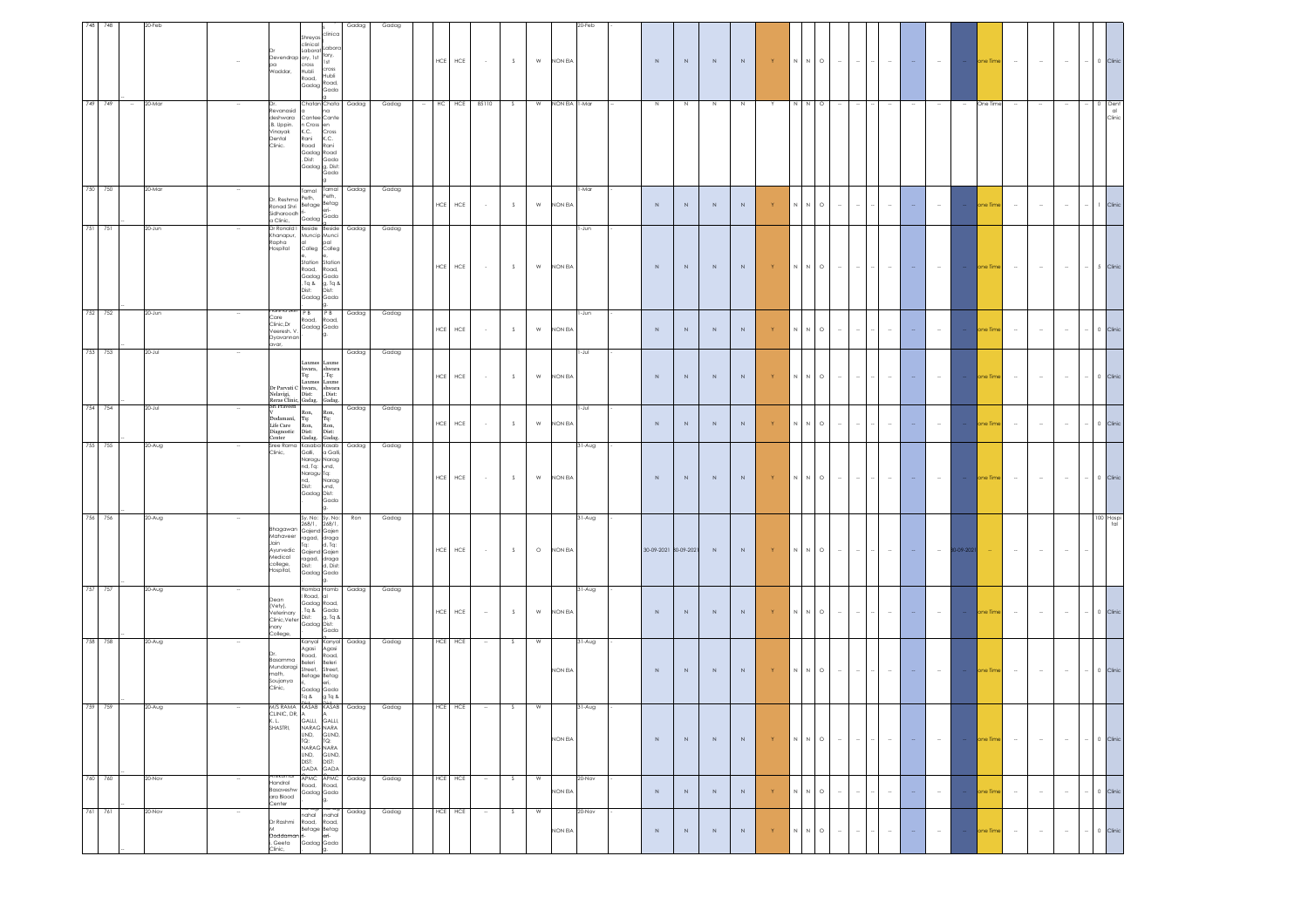| 748     | 748     |        | 20-Feb    |        |                                                                                     |                                                                                                                                                                                                                  | Gadag      | Gadag |       |                           |                  |    |               |               | 0-Feb    |                       |             |             |             |                              |                                            |         |                                    |        |                          |                 |            |            |        |        |        |        |                      |
|---------|---------|--------|-----------|--------|-------------------------------------------------------------------------------------|------------------------------------------------------------------------------------------------------------------------------------------------------------------------------------------------------------------|------------|-------|-------|---------------------------|------------------|----|---------------|---------------|----------|-----------------------|-------------|-------------|-------------|------------------------------|--------------------------------------------|---------|------------------------------------|--------|--------------------------|-----------------|------------|------------|--------|--------|--------|--------|----------------------|
|         |         |        |           |        | pa<br>Waddar,                                                                       | clinica<br>Shreyas<br>clinical<br>ahor<br>.aborat<br>tory,<br>Devendrap ory, 1st<br>1st<br>cross<br>cross<br>Hubli<br>Hubli<br>Road,<br>Gadag $\begin{bmatrix} \text{Read} \\ \text{Read} \end{bmatrix}$<br>Gada |            |       |       | <b>HCE</b><br>${\sf HCE}$ | $\sim 10^{-1}$   | S  | W             | NON EIA       |          | $\,$ N $\,$           | $\mathbb N$ | $\,$ N $\,$ | $\,$ N $\,$ | Y                            | $N$ $N$ $\quad$ O                          |         | $\sim$<br>$\sim$                   | $\sim$ | $\sim$                   | <b>Contract</b> |            | one Time   | $\sim$ | $\sim$ | $\sim$ | $\sim$ | 0 Clinic             |
|         | 749 749 | $\sim$ | 20-Mar    |        | evanasid<br>deshwara<br>.B. Uppin.<br>Vinayak<br>Dental<br>Clinic.                  | Chatan Chata Gadag<br>na<br>Cantee Cante<br>n Cross en<br>K.C.<br>Cross<br>K.C.<br>Rani<br>Road<br>Rani<br>Gadag Road<br>, Dist:<br>Gada<br>Gadag g, Dist:<br>Gada                                               |            | Gadag | HC    | HCE                       | 85110            | S  | W             | NON EIA 1-Mar |          | N                     | N           | $\,$ N      | N           |                              | N N                                        | $\circ$ |                                    |        |                          |                 |            | One Time   |        |        |        |        | Dent<br>al<br>Clinic |
|         | 750 750 |        | 20-Mar    |        | Dr. Reshma Peth,<br>Sidharoodh<br>a Clinic,                                         | Tamal Tamal<br>Peth,<br>Betag<br>Ronad Shri Betage<br>Gado<br>Gadag                                                                                                                                              | Gadag      | Gadag | HCE   | HCE                       | $\sim$           | S  | ${\sf W}$     | NON EIA       | l-Mar    | $\,$ N $\,$           | $\,N\,$     | $\,$ N $\,$ | $\,$ N $\,$ | $\mathsf{Y}$                 | $\overline{\mathsf{N}}$<br>$\mathbb{N}$    | $\circ$ | $\sim$<br>$\overline{\phantom{a}}$ | $\sim$ |                          | $\sim$          |            | one Time   | $\sim$ | $\sim$ | $\sim$ |        | 1 Clinic             |
| 751 751 |         |        | 20-Jun    |        | Khanapur,<br>apha?<br>Hospital                                                      | Dr Ronald I Beside Beside<br>Muncip Munci<br>al.<br>pal<br>Colleg Colleg<br>Station Station<br>Road,<br>Road,<br>Gadag<br>, Tq & g, Tq &<br>g, Tq &<br>Dist:<br>Dist <sup>-</sup><br>Gadag Gada                  | Gadag      | Gadag | $HCE$ | ${\sf HCE}$               | $\sim$           | S  | W             | NON EIA       | l-Jun    | $\,$ N                | $\,N$       | $\,N$       | $\,$ N $\,$ | Y                            | $\,N\,$ $\,$ $\,N\,$ $\,$ $\,$ $\,$ O $\,$ |         | $\sim$<br>$\sim$                   | $\sim$ | $\sim$                   | $\sim$ $-$      |            | one Time   | $\sim$ | $\sim$ | $\sim$ | $\sim$ | 5 Clinic             |
|         | 752 752 |        | 20-Jun    |        | Care<br>Clinic, Dr<br>Veeresh. V<br>Dyavannan                                       | P B<br>P B<br>Road,<br>Road,<br>Gadag Gada                                                                                                                                                                       | Gadag      | Gadag |       | HCE HCE                   | $\sim$ 100 $\mu$ | S  | ${\mathsf W}$ | NON EIA       | l-Jun    | $\,$ N $\,$           | $\mathbb N$ | $\,$ N $\,$ | $\,$ N $\,$ | Y                            | $\mathbb{N}$<br>N                          | $\circ$ | $\sim$<br>$\sim$                   | $\sim$ |                          | $\sim$          |            | one Time   | $\sim$ | $\sim$ | $\sim$ |        | 0 Clinic             |
|         | 753 753 |        | $20 - JU$ |        | IVar,<br>Dr Parvati C<br>Nelavigi, Dist:<br>Nelavigi, Dist:<br>Reras Clinic, Gadag. | Laxmes Laxme<br>hwara,<br>shwara<br>Tq:<br>, Tq:<br>Laxmes<br>Laxme<br>shwara<br>, Dist:<br>Gadag                                                                                                                | Gadag      | Gadag |       | HCE<br>${\sf HCE}$        | $\sim$           | S  | W             | NON EIA       | l-Jul    | $\,$ N                | $\,N\,$     | $\,$ N      | $\,$ N      | $\mathsf{Y}$                 | $\mathbb N$ $\blacksquare$ $\mathbb N$     | $\circ$ | $\sim$<br>$\overline{\phantom{a}}$ | $\sim$ | $\sim$                   | $\sim$          |            | one Time   | $\sim$ |        | $\sim$ |        | 0 Clinic             |
|         | 754 754 |        | $20 - JU$ |        | sri Fraveer<br>Dodamani,<br>Life Care<br>Diagnostic                                 | Ron,<br>Ron.<br>Tq:<br>Ron,<br>Dist:<br>Tq:<br>Ron,<br>Dist:<br>Gadag.<br>Gadag.                                                                                                                                 | Gadag      | Gadag |       | HCE HCE                   | $\sim$           | S  | W             | NON EIA       | l-Jul    | $\,$ N                | $\,N\,$     | $\,$ N $\,$ | $\,$ N      | $\mathsf{Y}$                 | $\overline{N}$<br>$\,N\,$                  | $\circ$ | $\sim$                             | $\sim$ |                          | $\sim$          |            | ne Time    | $\sim$ | $\sim$ | $\sim$ |        | 0 Clinic             |
|         | 755 755 |        | 20-Aug    |        | enter.<br>Clinic,                                                                   | Sree Rama Kasaba Kasab<br>a Galli,<br>Galli.<br>Naragu Narag<br>nd, Tq: und,<br>Naragu Tq:<br>nd,<br>Narag<br>Dist:<br>und,<br>Gadag Dist:<br>Gada                                                               | Gadag      | Gadag | HCE   | HCE                       | $\sim$           | S  | ${\sf W}$     | NON EIA       | $31-Aug$ | $\,$ N                | $\,N\,$     | $\,$ N $\,$ | $\,$ N $\,$ | Y                            | $N$ $N$ $\circ$ O                          |         | $\sim$<br>$\sim$                   | $\sim$ | $\sim$                   | $\sim$          |            | one Time   | $\sim$ | $\sim$ | $\sim$ | $\sim$ | 0 Clinic             |
|         | 756 756 |        | 20-Aug    |        | Mahaveer<br>Jain<br>Ayurvedic<br>Medical<br>college,<br>Hospital,                   | Sy. No: Sy. No:<br>$268/1$ ,<br>268/1<br>shagawan Gajend Gajen<br>ragad,<br>draga<br>d, Tq:<br>Tq:<br>Gajend Gajer<br>ragad, draga<br>Dist:<br>d, Dist<br>Gadag Gada                                             | Ron        | Gadag | HCE   | HCE                       | $\sim$           | S  | $\circ$       | NON EIA       | 31-Aug   | 30-09-2021 80-09-2021 |             | $\,$ N $\,$ | $\,$ N $\,$ | $\mid \mathsf{Y} \mid$       | $\mathbb N$<br>N                           | $\circ$ | $\sim$<br>$\sim$                   | $\sim$ | $\sim$                   | $\sim$          | $09 - 202$ |            | $\sim$ |        |        |        | 100 Hospi            |
| 757 757 |         |        | 20-Aug    |        | <b>Dean</b><br>(Vety),<br>Veterinary<br>inary<br>College,                           | Homba Homb<br>I Road, al<br>Gadag Road,<br>Tq & Gada<br>Dist:<br>g, Tq &<br>Clinic, Veter Gadag Dist:<br>Gada                                                                                                    | Gadag      | Gadag |       | <b>HCE</b><br>${\sf HCE}$ | $\sim$           | S  | W             | NON EIA       | 31-Aug   | $\,$ N                | $\,N\,$     | $\,$ N      | $\,$ N $\,$ | Y                            | $N$ $N$                                    | $\circ$ | $\sim$<br>$\overline{\phantom{a}}$ | $\sim$ |                          | $\sim$          |            | ne Time    | $\sim$ |        | $\sim$ | $\sim$ | 0 Clinic             |
|         | 758 758 |        | 20-Aug    |        | Basamma<br>Mundaragi Street,<br>nath,<br>Soujanya<br>Clinic,                        | Kanyal Kanyal Gadag<br>Agasi<br>Agasi<br>Road,<br>Road,<br>Beleri<br>Beleri<br>Street<br>Betage Betag<br>Gadag Gada<br>Zq<br>g Tq &                                                                              |            | Gadag |       | HCE HCE                   | $\sim$           | S  | W             | NON EIA       | 31-Aug   | $\,$ N                | $\,N\,$     | $\,$ N $\,$ | $\,$ N $\,$ | $\langle \mathsf{Y} \rangle$ | $\,$ N<br>N                                | $\circ$ | $\sim$<br>$\overline{\phantom{a}}$ | $\sim$ | $\sim$                   | $\sim$          |            | one Time   | $\sim$ | $\sim$ | $\sim$ |        | 0 Clinic             |
|         | 759 759 |        | 20-Aug    |        | CLINIC, DR, A<br>k. l.<br>Shastri,                                                  | M/S RAMA KASAB KASAB Gadag<br>A<br>GALLI, GALLI,<br>NARAG NARA<br>UND, GUND,<br>TQ:<br>TQ:<br>NARAG NARA<br>UND, GUND,<br>DIST:<br>DIST:<br>GADA GADA                                                            |            | Gadag |       | HCE HCE                   |                  | S  | W             | NON EIA       | 31-Aug   | $\,$ N $\,$           | $\,N$       | $\,$ N $\,$ | $\,$ N $\,$ | <b>Y</b>                     | $N$ $N$ $\circ$ ${\cal O}$                 |         | $\sim$<br>$\sim$                   | $\sim$ | $\sim$                   | $\sim 10^{-11}$ |            | - one Time | $\sim$ | $\sim$ | $\sim$ | $\sim$ | 0 Clinic             |
|         | 760 760 |        | 20-Nov    | $\sim$ | niikumc<br>Handral<br>Basaveshw<br>ara Blood<br>Center                              | APMC<br>Road,<br>Road,<br>Gadag Gada<br>la.                                                                                                                                                                      | APMC Gadag | Gadag |       | HCE HCE                   | $\sim$           | S  | w             | NON EIA       | 20-Nov   | $\,$ N                | $\,N$       | $\,N$       | $\,$ N $\,$ | $\mid \mathsf{Y} \mid$       | $\overline{N}$<br>N                        | $\circ$ | $\sim$                             | $\sim$ | $\sim$                   | $\sim$          |            | one Time   | $\sim$ | $\sim$ | $\sim$ |        | 0 Clinic             |
| 761 761 |         |        | 20-Nov    | $\sim$ | Dr Rashmi<br>M<br>Doddamo<br>, Geeta<br>Clinic,                                     | kanagi kanag<br>nahal inahal<br>Road,<br>Road,<br>Betage Betag<br>ri-<br>۱'n-<br>Gadag Gada                                                                                                                      | Gadag      | Gadag |       | HCE<br>HCE                | $\sim$           | S. | W             | NON EIA       | 20-Nov   | $\,$ N                | $\,N\,$     | $\,$ N      | $\,$ N $\,$ | $\mathsf{Y}$                 | $\,N\,$ $\,$ $\,N\,$                       | $\circ$ | $\sim$<br>$\sim$                   | $\sim$ | $\overline{\phantom{a}}$ | $\sim$          |            | one Time   | $\sim$ | $\sim$ | $\sim$ | $\sim$ | 0 Clinic             |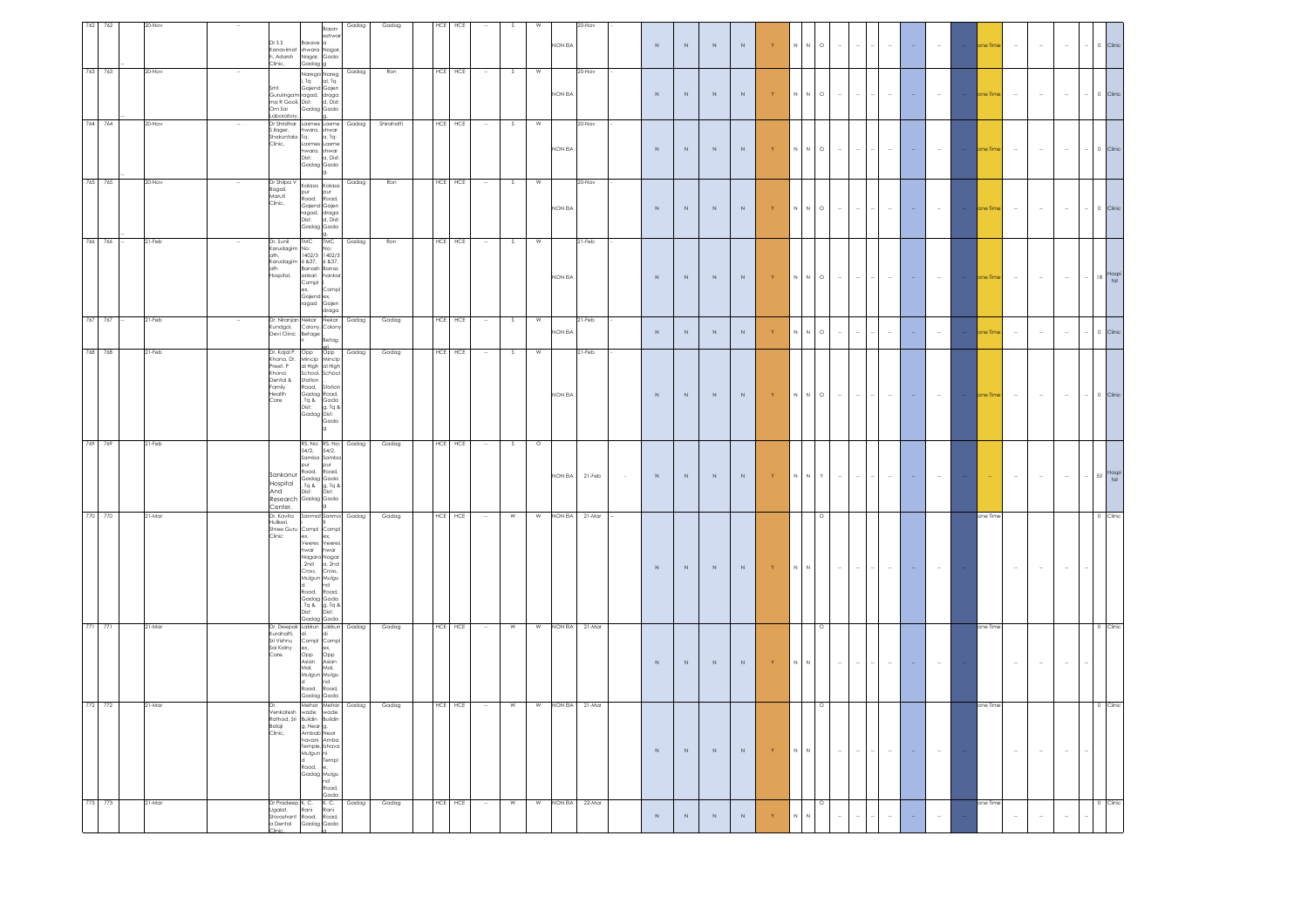| 762<br>762 |        | DrSS                                                                                                                                                                | a<br>Basan<br>shw                                                                                                                                                                          | Gadag | Gadag      | <b>HCE</b>  | HCE |                  |                   |                  |                |        |             |             |             |             |                                              |                            |                     |        |                                    |          |              |          |               |          |        |        |                          |                                          |          |
|------------|--------|---------------------------------------------------------------------------------------------------------------------------------------------------------------------|--------------------------------------------------------------------------------------------------------------------------------------------------------------------------------------------|-------|------------|-------------|-----|------------------|-------------------|------------------|----------------|--------|-------------|-------------|-------------|-------------|----------------------------------------------|----------------------------|---------------------|--------|------------------------------------|----------|--------------|----------|---------------|----------|--------|--------|--------------------------|------------------------------------------|----------|
|            |        | Kanavimat<br>h, Adarsh<br>Nagar,<br>Clinic,<br>Gadag <sup>1</sup>                                                                                                   | shwara Nagar<br>Gada                                                                                                                                                                       |       |            |             |     |                  |                   | NON EIA          |                |        | $\mathbb N$ | $\,$ N $\,$ | $\,$ N      | N           | Y                                            | $\,$ N<br>$\mathbb N$      | $\circ$             | $\sim$ | $\sim$                             | $\sim$   |              |          | $\sim$        | one Time | $\sim$ | $\sim$ | $\sim$                   | $\cdots \quad 0$                         | Clinic   |
| 763 763    | 20-Nov | range range<br>I, Tq<br>Gajend Gajen<br>mt<br>Sini<br>Gurulingam ragad, draga<br>ma R Gooli, Dist: d, Dist:<br>Om Sai Gadag Gada<br>Laboratory                      | Narega Nareg<br>I, Tq       al, Tq                                                                                                                                                         | Gadag | Ron        | <b>HCE</b>  | HCE | $\sim$           | S.<br>W           | NON EIA          | 20-Nov         |        | $\mathbb N$ | $\mathbb N$ | $\mathbb N$ | $\mathbb N$ | Y                                            | $\,$ N<br>$\mathbb N$      | $\circ$             | $\sim$ | $\sim$                             | $\sim$   | $\sim$       |          | $\sim$        | one Time | $\sim$ | $\sim$ | $\sim$                   | $-$ 0 Clinic                             |          |
| 764 764    | 20-Nov | Dr Shridhar<br>llager,<br>Shakuntala Tq: a, Tq:<br>Clinic, Laxmes Laxme                                                                                             | Laxmes Laxme<br>hwara, shwar<br>1 Tq: a, Tq:<br>hwara, shwar<br>Dist: a, Dist:<br>Gadag Gada<br>la.                                                                                        |       | Shirahatti | HCE HCE     |     |                  | $\mathsf{s}$<br>W | NON EIA          | 20-Nov         |        | $\mathbb N$ | $\,$ N $\,$ | $\,$ N      | $\mathbb N$ | $\mathbf Y$                                  | $\,$ N<br>$\mathbb N$      | $_{\circ}$          | $\sim$ | $\sim$                             | $\omega$ |              |          | $\sim$        | one Time | $\sim$ | $\sim$ | $\sim$                   | $\sim$ $-$ 0 $^{-}$                      |          |
| 765 765    | 20-Nov | Dr Shilpa V Kalasa Kalasa<br>-- - - - -<br>Bagali,<br>Clinic,<br>pur<br>.<br>Road,                                                                                  | pur<br>Road,<br>Gajend Gajen<br>ragad, draga<br>Dist: d, Dist:<br>Gadag Gada                                                                                                               | Gadag | Ron        | HCE HCE     |     |                  | S.<br>W           | NON EIA          | 20-Nov         |        | $\mathbb N$ | $\,$ N $\,$ | $\,$ N      | $\,$ N $\,$ | $\mathbf{Y}$                                 | $\,$ N<br>$\,N\,$          | $\circ$             | $\sim$ | $\sim$                             | $\sim$   |              |          | $\sim$        | one Time | $\sim$ | $\sim$ | $\sim$                   | $-$ 0 Clinic                             |          |
| 766 766    | 21-Feb | Dr. Sunil<br><b>TMC</b><br>Karudagim<br>No <sup>+</sup><br>ath,<br>Karudagim 6 837, 6 837,<br>ath Banash Banas<br>Hospital,<br>ankari<br>Compl<br>ex,<br>Gajend ex, | <b>TMC</b><br>No:<br>1402/3 1402/3<br>hankar<br>Comp<br>ragad Gajen<br>ragad Gajen                                                                                                         | Gadag | Ron        | HCE         | HCE |                  | W<br>S.           | NON EIA          | 21-Feb         |        | $\mathbb N$ | $\mathbb N$ | $\mathbb N$ | $\mathbb N$ | $\langle \mathbf{Y} \rangle$                 | $\,$ N $\,$                | $\,N\,$ $\,$ O $\,$ | $\sim$ | $\sim$<br>$\overline{\phantom{a}}$ | $\sim$   |              | $\omega$ | $\sim$        | one Time | $\sim$ | $\sim$ | $\sim$                   | $-$ 18 $\frac{\text{Hospi}}{\text{tal}}$ |          |
| 767 767    | 21-Feb | Dr. Niranja<br>n Nekar<br>Kundgol,<br>Devi Clinic<br>Colony, Colon<br>Betage                                                                                        | Nekar<br>Retar                                                                                                                                                                             | Gadag | Gadag      | HCE         | HCE |                  | S.<br>W           | NON EIA          | 21-Feb         |        | $\mathbb N$ | $\mathbb N$ | $\,$ N      | $\mathbb N$ | Y                                            | $\mathbb N$<br>$\mathbb N$ | $_{\circ}$          | $\sim$ | $\sim$<br>÷,                       | $\sim$   | $\mathbb{Z}$ |          | $\sim$        | one Time | $\sim$ | $\sim$ | $\sim$                   | $-$ 0 Clinic                             |          |
| 768 768    | 21-Feb | Dr. Kajal P.<br>Opp<br>Khona, Dr.<br>Preet. P<br>Khona<br>School, School<br>Station<br>S Ipher<br>Family<br>Road,<br>Health<br>Care                                 | Opp<br>Mincip Mincip<br>al High al High<br>Station<br>Gadaa Road.<br>Tq & Gada<br>Dist: g, Tq &<br>Gadag Dist:<br>Gada                                                                     | Gadag | Gadag      | $HCE$ $HCE$ |     | $\sim$           | S<br>W            | NON EIA          | 21-Feb         |        | $\,$ N      | $\,$ N $\,$ | $\,$ N $\,$ | $\mathbb N$ | $\langle \langle \mathsf{Y} \rangle \rangle$ |                            |                     | $\sim$ | $\sim$<br>$\overline{\phantom{a}}$ | $\sim$   |              | $\sim$   | $\sim$ $\sim$ | one Time | $\sim$ | $\sim$ | $\sim$                   | $-$ 0 Clinic                             |          |
| 769<br>769 | 21-Feb | pur<br>Road,<br>Sankanur<br>Hospital<br>And<br>Research Gadag Gada<br>Center,                                                                                       | RS. No: RS. No:<br>54/2, 54/2,<br>Samba Sambo<br>bur<br>Road,<br>Gadag Gada<br>, Tq & g, Tq &<br>Dist: Dist:<br>g                                                                          | Gadag | Gadag      | HCE HCE     |     |                  | $\circ$<br>s      | NON EIA          | 21-Feb         | $\sim$ | $\,$ N $\,$ | $\mathbb N$ | $\mathbb N$ | $\mathbb N$ | $\mid \mathsf{Y} \mid$                       | $\,$ N<br>N                | $\mathsf{Y}$        | $\sim$ |                                    |          |              |          |               |          | $\sim$ | $\sim$ | $\sim$                   | $-$ 50 $\frac{\text{Hospi}}{\text{tal}}$ |          |
| 770 770    | 21-Mar | Dr. Kavita<br>Hulikeri,<br>Shree Guru Compl Compl<br>Clinic<br>Road.<br>Gadaa Gada                                                                                  | Sanmat Sanma Gadag<br>ex, ex,<br>Veeres Veeres<br>hwar hwar<br>Nagara Nagar<br>, 2nd a, 2nd<br>Cross, Cross,<br>Mulgun Mulgu<br>hd<br>Road.<br>Gadag Gada<br>Tiq & g, Tiq &<br>Dist: Dist: |       | Gadag      | HCE HCE     |     | $\sim$ 100 $\mu$ | $\mathbf w$<br>W  | NON EIA 21-Mar   |                |        | $\,$ N $\,$ | $\mathbb N$ | $\mathbb N$ | $\mathbb N$ | $\langle \langle \mathsf{Y} \rangle \rangle$ | $\,$ N $\,$<br>$\,N\,$     | $\circ$             | $\sim$ | $\sim$<br>$\overline{\phantom{a}}$ | $\sim$   | $\sim$       |          | $\sim$        | one Time | $\sim$ | $\sim$ | $\sim$                   |                                          | 0 Clinic |
| 771 771    | 21-Mar | Dr. Deepak Lakkun Lakkun<br>Kurahatti,<br>Sri Vishnu<br>Sai Kidny<br>ex,<br>Care.<br>Road,<br>Gadag Gada                                                            | Compl Compl<br>ex, ex,<br>Opp Opp<br>Asian Asian<br>Mulgun Mulgu<br>nd<br>Road.                                                                                                            | Gadag | Gadag      | HCE HCE     |     | $\sim$           | <b>W</b>          | W NON EIA 21-Mar |                |        | N           | $\,N\,$     | N           | $\,N$       | Y.                                           | $\,$ N<br>$\,N\,$          | $\circ$             | $\sim$ | $\sim$                             | $\sim$   |              |          |               | one Time | $\sim$ | $\sim$ | $\overline{\phantom{a}}$ |                                          | 0 Clini  |
| 772 772    | 21-Mar | Venkatesh<br>wade<br>Rathod, Sri Buildin<br>kamot<br>Balaji<br>Clinic,<br>g, Near g,<br>Ambab Near<br>Mulgun ni<br>Road,<br>Gadag Mulgu<br>nd<br>Road,              | Mehar Mehar<br>wade<br>Buildin<br>havani Amba<br>Temple, bhavo<br>Templ<br>Gada                                                                                                            | Gadag | Gadag      | HCE HCE     |     | $\sim$           | W<br>W            |                  | NON EIA 21-Mar |        | $\,$ N $\,$ | N           | $\,$ N      | $\,$ N $\,$ | $\mathbf{Y}$ .                               | $\mathbb N-\mathbb N$      | $\circ$             | $\sim$ | $\sim$<br>$\sim$                   | $\sim$   | $\sim$       |          | $\sim$        | one Time | $\sim$ | $\sim$ | $\sim$                   |                                          | 0 Clinic |
| 773 773    | 21-Mar | Dr Pradeep K. C.<br>Ugalat, Rani<br>Shivashant<br>Road,<br>a Dental                                                                                                 | K. C.<br>Rani<br>Road, Road,<br>Gadag Gada                                                                                                                                                 | Gadag | Gadag      | HCE HCE     |     | $\sim$           | W<br>W            | NON EIA 22-Mar   |                |        | $\mathbb N$ | $\,$ N $\,$ | $\,$ N      | $\,$ N $\,$ |                                              | $\overline{N}$             | $\circ$             |        |                                    |          |              |          |               | one Time |        | $\sim$ | $\sim$                   |                                          | 0 Clinic |